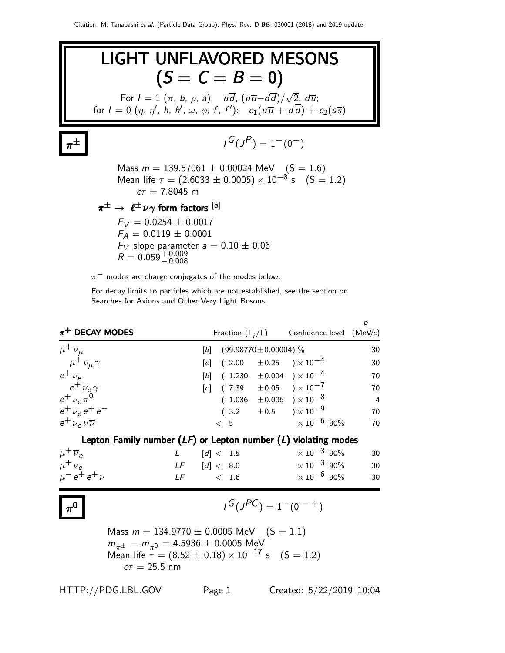

For decay limits to particles which are not established, see the section on Searches for Axions and Other Very Light Bosons.

| $\pi^+$ DECAY MODES                                                                                                                          |       |                 |                            | Fraction $(\Gamma_i/\Gamma)$ Confidence level (MeV/c) | $\boldsymbol{p}$ |
|----------------------------------------------------------------------------------------------------------------------------------------------|-------|-----------------|----------------------------|-------------------------------------------------------|------------------|
| $\mu^+ \nu_\mu$                                                                                                                              | $[b]$ |                 | $(99.98770 \pm 0.00004)$ % |                                                       | 30               |
| $\mu^+ \nu_\mu \gamma$                                                                                                                       |       |                 |                            | $[c]$ (2.00 $\pm$ 0.25 ) × 10 <sup>-4</sup>           | 30               |
| $e^+$ $\nu_e$                                                                                                                                |       |                 |                            | $[b]$ (1.230 $\pm 0.004$ ) × 10 <sup>-4</sup>         | 70               |
| $e^+$ $\nu_e \gamma$                                                                                                                         |       |                 |                            | $[c]$ (7.39 $\pm 0.05$ ) × 10 <sup>-7</sup>           | 70               |
| $e^+ \nu_e \pi^0$                                                                                                                            |       |                 |                            | $(1.036 \pm 0.006) \times 10^{-8}$                    | $\overline{4}$   |
| $e^+$ $\nu_e e^+ e^-$                                                                                                                        |       |                 |                            | $(3.2 \pm 0.5) \times 10^{-9}$                        | 70               |
| $e^{\dagger} \nu_{\rm e} \nu \overline{\nu}$                                                                                                 |       | < 5             |                            | $\times$ 10 $^{-6}$ 90%                               | 70               |
| Lepton Family number $(LF)$ or Lepton number $(L)$ violating modes                                                                           |       |                 |                            |                                                       |                  |
| $\mu^+ \overline{\nu}_e$                                                                                                                     |       | L $[d] < 1.5$   |                            | $\times$ 10 $^{-3}$ 90%                               | 30               |
| $\mu^+ \nu_e$                                                                                                                                |       |                 |                            | LF $[d] < 8.0$ $\times 10^{-3}$ 90%                   | 30               |
| $\mu^- e^+ e^+ \nu$                                                                                                                          |       | $LF \t\t < 1.6$ |                            | $\times 10^{-6}$ 90%                                  | 30               |
|                                                                                                                                              |       |                 |                            | $I^G(J^{PC}) = 1^-(0^{-+})$                           |                  |
| Mass $m = 134.9770 \pm 0.0005$ MeV $(S = 1.1)$                                                                                               |       |                 |                            |                                                       |                  |
| $m_{\pi^{\pm}} - m_{\pi^0} = 4.5936 \pm 0.0005$ MeV<br>Mean life $\tau = (8.52 \pm 0.18) \times 10^{-17}$ s $(S = 1.2)$<br>$c\tau = 25.5$ nm |       |                 |                            |                                                       |                  |
| HTTP://PDG.LBL.GOV                                                                                                                           |       | Page 1          |                            | Created: 5/22/2019 10:04                              |                  |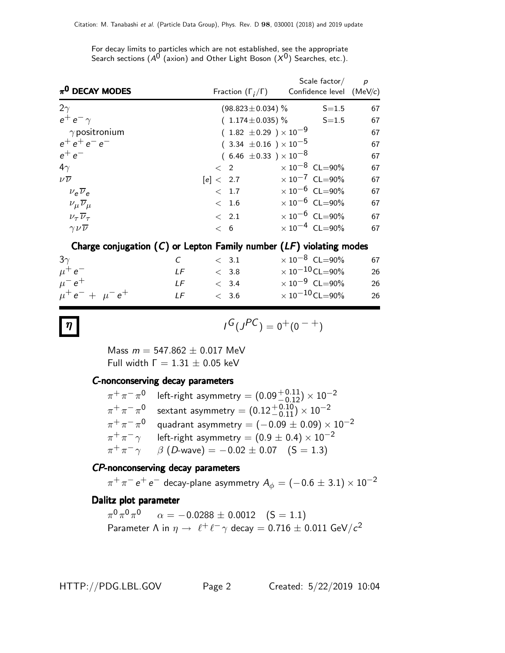For decay limits to particles which are not established, see the appropriate Search sections ( $A^0$  (axion) and Other Light Boson  $(X^0)$  Searches, etc.).

| $\pi^0$ DECAY MODES                | Fraction $(\Gamma_i/\Gamma)$     | Scale factor $/$<br>Confidence level (MeV/c) | $\overline{p}$ |
|------------------------------------|----------------------------------|----------------------------------------------|----------------|
| $2\gamma$                          | $(98.823 \pm 0.034)$ %           | $S = 1.5$                                    | 67             |
| $e^+e^-\gamma$                     | $(1.174 \pm 0.035)$ % S=1.5      |                                              | 67             |
| $\gamma$ positronium               | $(1.82 \pm 0.29) \times 10^{-9}$ |                                              | 67             |
| $e^+e^+e^-e^-$                     | $(3.34 \pm 0.16) \times 10^{-5}$ |                                              | 67             |
| $e^+e^-$                           | $(6.46 \pm 0.33) \times 10^{-8}$ |                                              | 67             |
| $4\gamma$                          | $\langle$ 2                      | $\times$ 10 <sup>-8</sup> CL=90%             | 67             |
| $\nu\overline{\nu}$                | [e] < 2.7                        | $\times 10^{-7}$ CL=90%                      | 67             |
| $v_e \overline{v}_e$               | < 1.7                            | $\times 10^{-6}$ CL=90%                      | 67             |
| $\nu_\mu \overline{\nu}_\mu$       | < 1.6                            | $\times 10^{-6}$ CL=90%                      | 67             |
| $\nu_{\tau} \overline{\nu}_{\tau}$ | $\langle$ 2.1                    | $\times 10^{-6}$ CL=90%                      | 67             |
| $\gamma \nu \overline{\nu}$        | < 6                              | $\times 10^{-4}$ CL=90%                      | 67             |
|                                    |                                  |                                              |                |

#### Charge conjugation  $(C)$  or Lepton Family number  $(LF)$  violating modes

| $3\gamma$               | $C$ and $C$ | $\langle$ 3.1 | $\times\,10^{-8}$ CL=90%        | 67 |
|-------------------------|-------------|---------------|---------------------------------|----|
| $\mu^+e^-$              | I F         | < 3.8         | $\times$ 10 $^{-10}$ CL $=$ 90% | 26 |
| $\mu^- e^+$             | IF          | < 3.4         | $\times$ 10 $^{-9}$ CL=90%      | 26 |
| $\mu^+ e^- + \mu^- e^+$ | LF          | < 3.6         | $\times$ 10 $^{-10}$ CL=90%     | 26 |

### $\eta$  is a set of  $\eta$  is a set of  $\eta$

$$
I^G(J^{PC})=0^+(0^{-+})
$$

Mass  $m = 547.862 \pm 0.017$  MeV Full width  $Γ = 1.31 ± 0.05$  keV

#### C-nonconserving decay parameters

|                         | $\pi^+ \pi^- \pi^0$ left-right asymmetry = $(0.09^{+0.11}_{-0.12}) \times 10^{-2}$ |
|-------------------------|------------------------------------------------------------------------------------|
| $\pi^{+}\pi^{-}\pi^{0}$ | sextant asymmetry = $(0.12^{+0.10}_{-0.11}) \times 10^{-2}$                        |
| $\pi^{+}\pi^{-}\pi^{0}$ | quadrant asymmetry = $(-0.09 \pm 0.09) \times 10^{-2}$                             |
| $\pi^+\pi^-\gamma$      | left-right asymmetry = $(0.9 \pm 0.4) \times 10^{-2}$                              |
| $\pi^+\pi^-\gamma$      | $\beta$ (D-wave) = -0.02 $\pm$ 0.07 (S = 1.3)                                      |

#### CP-nonconserving decay parameters

 $\pi^+\pi^-$  e $^+$  e $^-$  decay-plane asymmetry  $A_\phi=(-0.6\pm3.1)\times10^{-2}$ 

#### Dalitz plot parameter

 $\pi^{0}\pi^{0}\pi^{0}$   $\alpha=-0.0288\pm0.0012$   $(\mathsf{S}=1.1)$ Parameter  $\Lambda$  in  $\eta \to \ell^+ \ell^- \gamma$  decay  $= 0.716 \pm 0.011$  GeV/ $c^2$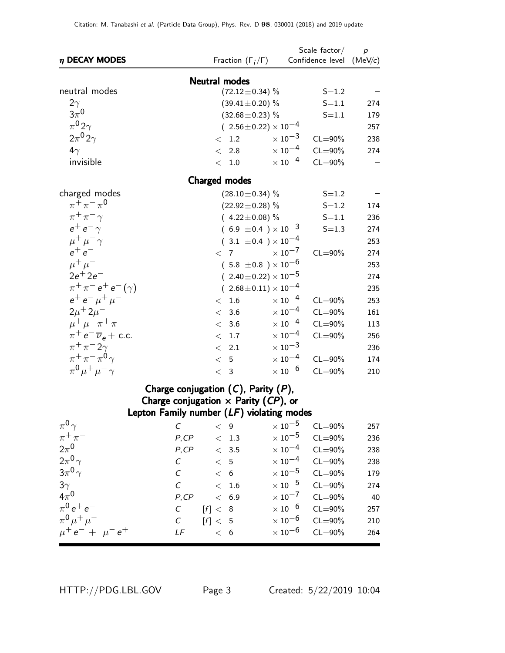| $\eta$ DECAY MODES                            | Fraction $(\Gamma_i/\Gamma)$                                                             | Scale factor $/$ p<br>Confidence level (MeV/c) |     |
|-----------------------------------------------|------------------------------------------------------------------------------------------|------------------------------------------------|-----|
|                                               | <b>Neutral modes</b>                                                                     |                                                |     |
| neutral modes                                 | $(72.12 \pm 0.34)$ %                                                                     | $S = 1.2$                                      |     |
| $2\gamma$                                     | $(39.41 \pm 0.20)$ %                                                                     | $S = 1.1$                                      | 274 |
| $3\pi^0$                                      | $(32.68 \pm 0.23)$ %                                                                     | $S = 1.1$                                      | 179 |
| $\pi^0 2\gamma$                               | $(2.56 \pm 0.22) \times 10^{-4}$                                                         |                                                | 257 |
| $2\pi^0 2\gamma$                              | < 1.2                                                                                    | $\times$ $10^{-3}$<br>$CL = 90\%$              | 238 |
| $4\gamma$                                     | < 2.8                                                                                    | $\times$ 10 <sup>-4</sup><br>$CL = 90\%$       | 274 |
| invisible                                     | < 1.0                                                                                    | $\times$ 10 $^{-4}$<br>$CL = 90\%$             |     |
|                                               | <b>Charged modes</b>                                                                     |                                                |     |
| charged modes                                 | $(28.10 \pm 0.34)$ %                                                                     | $S = 1.2$                                      |     |
| $\pi^{+}\pi^{-}\pi^{0}$                       | $(22.92 \pm 0.28)$ %                                                                     | $S = 1.2$                                      | 174 |
| $\pi^+\pi^-\gamma$                            | $(4.22 \pm 0.08)$ %                                                                      | $S = 1.1$                                      | 236 |
| $e^+e^-\gamma$                                | $(6.9 \pm 0.4) \times 10^{-3}$                                                           | $S = 1.3$                                      | 274 |
| $\mu^+ \mu^- \gamma$                          | $(.3.1 \pm 0.4) \times 10^{-4}$                                                          |                                                | 253 |
| $e^+e^-$                                      | $\langle 7$                                                                              | $\times$ 10 <sup>-7</sup><br>$CL = 90\%$       | 274 |
| $\mu^+ \mu^-$                                 | $(5.8 \pm 0.8) \times 10^{-6}$                                                           |                                                | 253 |
| $2e^{+}2e^{-}$                                | $(2.40 \pm 0.22) \times 10^{-5}$                                                         |                                                | 274 |
| $\pi^{+}\pi^{-}e^{+}e^{-}(\gamma)$            | $(2.68 \pm 0.11) \times 10^{-4}$                                                         |                                                | 235 |
| $e^+e^-\mu^+\mu^-$                            | < 1.6                                                                                    | $\times$ 10 $^{-4}$<br>$CL = 90\%$             | 253 |
| $2\mu + 2\mu$ <sup>-1</sup>                   | < 3.6                                                                                    | $\times$ 10 <sup>-4</sup><br>$CL = 90\%$       | 161 |
| $\mu^+ \mu^- \pi^+ \pi^-$                     | < 3.6                                                                                    | $\times$ $10^{-4}$<br>$CL = 90\%$              | 113 |
| $\pi^+ e^- \overline{\nu}_e$ + c.c.           | < 1.7                                                                                    | $\times$ 10 <sup>-4</sup><br>$CL = 90\%$       | 256 |
| $\pi^+\pi^-2\gamma$                           | $\langle$ 2.1                                                                            | $\times$ $10^{-3}$                             | 236 |
| $\pi^+\pi^-\pi^0\gamma$                       | < 5                                                                                      | $\times$ 10 <sup>-4</sup><br>$CL = 90\%$       | 174 |
| $\pi^{0} \mu^{+} \mu^{-} \gamma$              | < 3                                                                                      | $\times$ 10 <sup>-6</sup><br>$CL = 90\%$       | 210 |
|                                               | Charge conjugation $(C)$ , Parity $(P)$ ,                                                |                                                |     |
|                                               | Charge conjugation $\times$ Parity (CP), or<br>Lepton Family number (LF) violating modes |                                                |     |
| $\pi^0 \gamma$<br>$\mathcal{C}_{\mathcal{C}}$ | < 9                                                                                      | $\times$ 10 $^{-5}$<br>$CL = 90\%$             | 257 |
| $\pi^+\pi^-$<br>P, CP                         | $<\phantom{0}1.3$                                                                        | $\times$ 10 $^{-5}$<br>$CL = 90\%$             | 236 |
| $2\pi^0$<br>P, CP                             | < 3.5                                                                                    | $\times$ 10 $^{-4}$<br>$CL = 90\%$             | 238 |
| $2\pi^0\gamma$<br>$\cal C$                    | < 5                                                                                      | $\times$ 10 $^{-4}$<br>$CL = 90\%$             | 238 |
| $3\pi^0\gamma$<br>$\mathcal{C}_{0}$           | < 6                                                                                      | $\times$ $10^{-5}$<br>$CL = 90\%$              | 179 |
| $3\gamma$<br>$\cal C$                         | < 1.6                                                                                    | $\times$ 10 $^{-5}$<br>$CL = 90\%$             | 274 |
| $4\pi^0$<br>P, CP                             | < 6.9                                                                                    | $\times$ 10 $^{-7}$<br>$CL = 90\%$             | 40  |
| $\pi^0 e^+ e^-$<br>$\cal C$                   | [f]< 8                                                                                   | $\times$ 10 $^{-6}$<br>$CL = 90\%$             | 257 |
| $\pi^{0} \mu^{+} \mu^{-}$<br>$\cal C$         | [f] < 5                                                                                  | $\times$ 10 $^{-6}$<br>$CL = 90\%$             | 210 |
| $\mu^+ e^- + \mu^- e^+$<br>LF                 | < 6                                                                                      | $\times$ 10 $^{-6}$<br>$CL = 90\%$             | 264 |
|                                               |                                                                                          |                                                |     |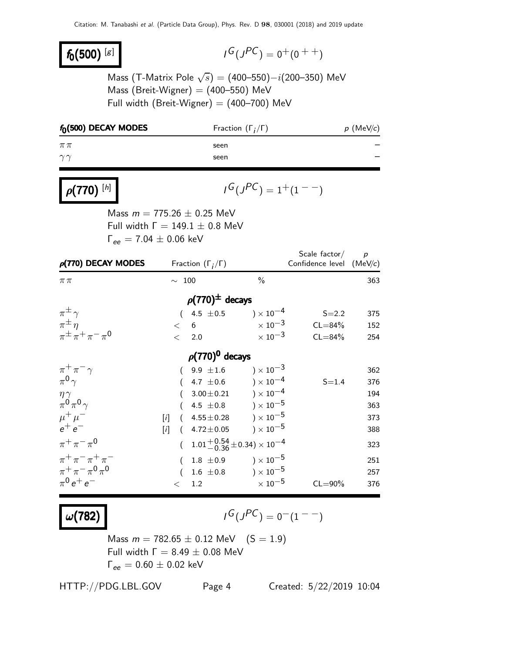## $f_0(500)^{[g]}$

$$
\iota^G(\jmath^{PC})=0^+(0^{++})
$$

Mass (T-Matrix Pole  $\sqrt{s}) = (400\text{--}550) - i(200\text{--}350)$  MeV Mass (Breit-Wigner)  $=$  (400-550) MeV Full width (Breit-Wigner) =  $(400-700)$  MeV

| $f_0(500)$ DECAY MODES                   |                                                                | Fraction $(\Gamma_i/\Gamma)$ |                                           | $p$ (MeV/c)    |
|------------------------------------------|----------------------------------------------------------------|------------------------------|-------------------------------------------|----------------|
| $\pi\pi$                                 | seen                                                           |                              |                                           |                |
| $\gamma\gamma$                           | seen                                                           |                              |                                           |                |
| $\rho(770)^{[h]}$                        |                                                                | $I^G(J^{PC}) = 1^+(1^{--})$  |                                           |                |
|                                          | Mass $m = 775.26 \pm 0.25$ MeV                                 |                              |                                           |                |
|                                          | Full width $\Gamma = 149.1 \pm 0.8$ MeV                        |                              |                                           |                |
|                                          | $\Gamma_{ee} = 7.04 \pm 0.06 \text{ keV}$                      |                              |                                           |                |
| $\rho$ (770) DECAY MODES                 | Fraction $(\Gamma_i/\Gamma)$                                   |                              | Scale factor/<br>Confidence level (MeV/c) | $\overline{p}$ |
| $\pi\pi$                                 | $\sim$ 100                                                     | $\%$                         |                                           | 363            |
|                                          | $\rho(770)^{\pm}$ decays                                       |                              |                                           |                |
| $\pi^{\pm} \gamma$                       | $(4.5 \pm 0.5)$                                                | ) $\times 10^{-4}$           | $S = 2.2$                                 | 375            |
| $\pi^{\pm}$ n                            | $6\overline{6}$<br>$\lt$                                       | $\times$ $10^{-3}$           | $CL = 84%$                                | 152            |
| $\pi^{\pm} \pi^+ \pi^- \pi^0$            | $\lt$<br>2.0                                                   | $\times$ 10 <sup>-3</sup>    | $CL = 84%$                                | 254            |
|                                          | $\rho(770)^{0}$ decays                                         |                              |                                           |                |
| $\pi^+\pi^-\gamma$                       | $9.9 \pm 1.6$                                                  | $\chi 10^{-3}$               |                                           | 362            |
| $\pi^0 \gamma$                           | 4.7 $\pm$ 0.6                                                  | $)\times10^{-4}$             | $S = 1.4$                                 | 376            |
| $\frac{\eta \gamma}{\pi^0 \pi^0 \gamma}$ | $3.00 \pm 0.21$                                                | ) $\times$ 10 $^{-4}$        |                                           | 194            |
|                                          | 4.5 $\pm$ 0.8                                                  | ) $\times$ 10 $^{-5}$        |                                           | 363            |
| $\mu^+ \mu^-$<br>$e^+e^-$                | $(4.55 \pm 0.28) \times 10^{-5}$<br>$[1]$<br>$(4.72 \pm 0.05)$ | ) $\times$ 10 $^{-5}$        |                                           | 373            |
|                                          | [i]                                                            |                              |                                           | 388            |
| $\pi^{+}\pi^{-}\pi^{0}$                  | $1.01 + 0.54 + 0.34$ $\times 10^{-4}$<br>(                     |                              |                                           | 323            |
| $\pi^{+}\pi^{-}\pi^{+}\pi^{-}$           | $1.8 \pm 0.9$<br>(                                             | ) $\times$ $10^{-5}$         |                                           | 251            |
| $\pi^+ \pi^- \pi^0 \pi^0$                | $1.6 \pm 0.8$                                                  | $) \times 10^{-5}$           |                                           | 257            |
| $\pi^{0}e^{+}e^{-}$                      | 1.2<br>$\lt$                                                   | $\times$ $10^{-5}$           | $CL = 90\%$                               | 376            |

 $\omega(782)$ 

 $G(J^{PC}) = 0(1^{--})$ 

Mass  $m = 782.65 \pm 0.12$  MeV  $(S = 1.9)$ Full width  $Γ = 8.49 ± 0.08$  MeV  $Γ_{ee} = 0.60 ± 0.02$  keV

HTTP://PDG.LBL.GOV Page 4 Created: 5/22/2019 10:04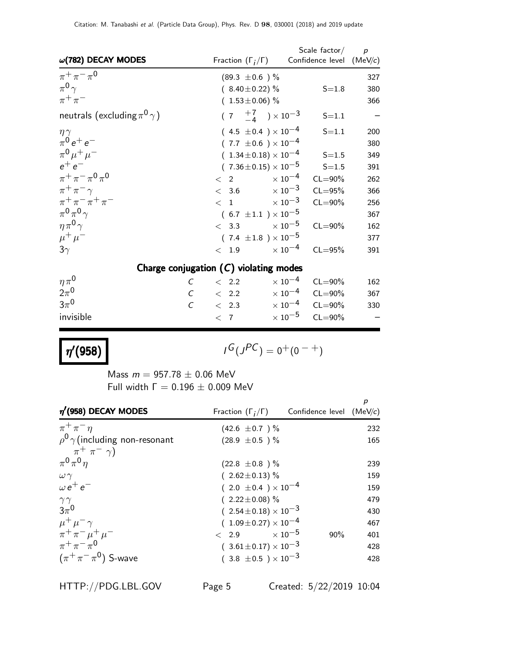| $\omega(782)$ DECAY MODES                  | Fraction $(\Gamma_i/\Gamma)$ Confidence level (MeV/c) | Scale factor $/$ p                 |     |
|--------------------------------------------|-------------------------------------------------------|------------------------------------|-----|
|                                            |                                                       |                                    |     |
| $\pi^{+}\pi^{-}\pi^{0}$                    | $(89.3 \pm 0.6)$ %                                    |                                    | 327 |
| $\pi^{0}\gamma$                            | $(8.40 \pm 0.22)$ %                                   | $S = 1.8$                          | 380 |
| $\pi^+\pi^-$                               | $(1.53 \pm 0.06)$ %                                   |                                    | 366 |
| neutrals (excluding $\pi^{0}\gamma$ )      | $(7 \tfrac{+7}{-4}) \times 10^{-3}$                   | $S = 1.1$                          |     |
| $\eta \gamma$                              | $(4.5 \pm 0.4) \times 10^{-4}$                        | $S = 1.1$                          | 200 |
| $\pi^{0} e^{+} e^{-}$                      | $(7.7 \pm 0.6) \times 10^{-4}$                        |                                    | 380 |
| $\pi^{0} \mu^{+} \mu^{-}$                  | $(1.34 \pm 0.18) \times 10^{-4}$                      | $S = 1.5$                          | 349 |
| $e^+e^-$                                   | $(7.36 \pm 0.15) \times 10^{-5}$                      | $S = 1.5$                          | 391 |
| $\pi^+ \pi^- \pi^0 \pi^0$                  | $< 2 \times 10^{-4}$                                  | $CL = 90\%$                        | 262 |
| $\pi^+\pi^-\gamma$                         | $< 3.6 \times 10^{-3}$                                | $CL = 95%$                         | 366 |
| $\pi^{+}\pi^{-}\pi^{+}\pi^{-}$             | $< 1$ $\times 10^{-3}$                                | $CL = 90\%$                        | 256 |
| $\pi^0 \pi^0 \gamma$                       | $(6.7 \pm 1.1) \times 10^{-5}$                        |                                    | 367 |
| $\eta \pi^0 \gamma$                        | $< 3.3$ $\times 10^{-5}$                              | $CL = 90\%$                        | 162 |
| $\mu^+ \mu^-$                              | $(7.4 \pm 1.8) \times 10^{-5}$                        |                                    | 377 |
| $3\gamma$                                  | $< 1.9 \times 10^{-4}$                                | $CL = 95%$                         | 391 |
|                                            | Charge conjugation $(C)$ violating modes              |                                    |     |
| $\eta\pi^0$<br>$\mathcal{C}_{\mathcal{C}}$ | $\langle$ 2.2                                         | $\times$ 10 $^{-4}$<br>$CL = 90\%$ | 162 |
| $2\pi^0$                                   | $C \t 2.2 \t 10^{-4} \t CL=90\%$                      |                                    | 367 |
| $3\pi^0$                                   | $C \t 2.3 \t \times 10^{-4} \t CL=90\%$               |                                    | 330 |
| invisible                                  | $\langle 7 \rangle$                                   | $\times$ 10 $^{-5}$<br>$CL = 90\%$ |     |

 $\eta'(958)$ 

$$
G(J^{PC}) = 0^+(0^{-+})
$$

Mass  $m = 957.78 \pm 0.06$  MeV Full width  $Γ = 0.196 ± 0.009$  MeV

| $\eta'$ (958) DECAY MODES                 | Fraction $(\Gamma_i/\Gamma)$ Confidence level (MeV/c) |     | p   |
|-------------------------------------------|-------------------------------------------------------|-----|-----|
| $\pi^+\pi^-\eta$                          | $(42.6 \pm 0.7)$ %                                    |     | 232 |
| $\rho^0$ $\gamma$ (including non-resonant | $(28.9 \pm 0.5)$ %                                    |     | 165 |
| $\pi^+$ $\pi^ \gamma$ )                   |                                                       |     |     |
| $\pi^0 \pi^0 \eta$                        | $(22.8 \pm 0.8)$ %                                    |     | 239 |
| $\omega \gamma$                           | $(2.62 \pm 0.13)\%$                                   |     | 159 |
| $\omega e^+ e^-$                          | $(2.0 \pm 0.4) \times 10^{-4}$                        |     | 159 |
| $\gamma\gamma$                            | $(2.22 \pm 0.08)\%$                                   |     | 479 |
| $3\pi^0$                                  | $(2.54 \pm 0.18) \times 10^{-3}$                      |     | 430 |
| $\mu^+ \mu^- \gamma$                      | $(1.09 \pm 0.27) \times 10^{-4}$                      |     | 467 |
| $\pi^+ \pi^- \mu^+ \mu^-$                 | $\epsilon$ 2.9 $\times 10^{-5}$                       | 90% | 401 |
| $\pi^{+}\pi^{-}\pi^{0}$                   | $(3.61 \pm 0.17) \times 10^{-3}$                      |     | 428 |
| $(\pi^+\pi^-\pi^0)$ S-wave                | $(3.8 \pm 0.5) \times 10^{-3}$                        |     | 428 |

HTTP://PDG.LBL.GOV Page 5 Created: 5/22/2019 10:04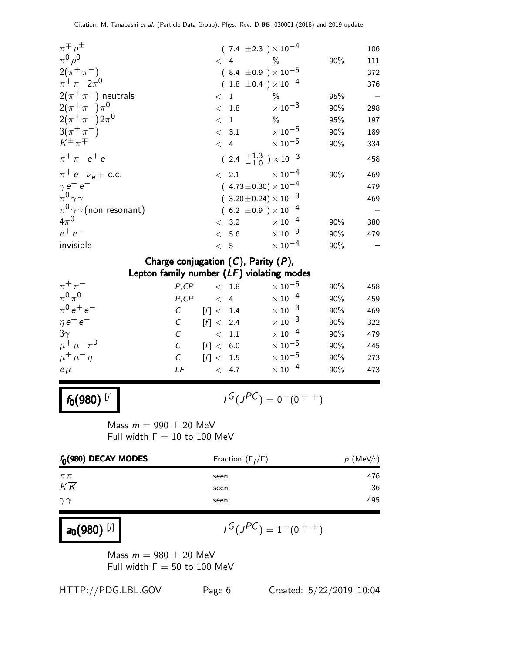| $\pi^{\mp} \rho^{\pm}$               |                        | $(7.4 \pm 2.3) \times 10^{-4}$           |     | 106 |
|--------------------------------------|------------------------|------------------------------------------|-----|-----|
| $\pi^0 \rho^0$                       | $\lt$ 4<br>$\%$        |                                          | 90% | 111 |
| $2(\pi^+\pi^-)$                      |                        | $(8.4 \pm 0.9) \times 10^{-5}$           |     | 372 |
| $\pi^{+}\pi^{-}2\pi^{0}$             |                        | $(1.8 \pm 0.4) \times 10^{-4}$           |     | 376 |
| $2(\pi^+\pi^-)$ neutrals             | $\langle$ 1            | $\%$                                     | 95% |     |
| $2(\pi^+\pi^-)\pi^0$                 | < 1.8                  | $\times$ 10 $^{-3}$                      | 90% | 298 |
| $2(\pi^+\pi^-)2\pi^0$                | $<$ 1                  | $\%$                                     | 95% | 197 |
| $3(\pi^{+}\pi^{-})$                  | $< 3.1 \times 10^{-5}$ |                                          | 90% | 189 |
| $K^{\pm} \pi^{\mp}$                  | < 4                    | $\times$ 10 $^{-5}$                      | 90% | 334 |
| $\pi^{+}\pi^{-}e^{+}e^{-}$           |                        | $(2.4 \frac{+1.3}{-1.0}) \times 10^{-3}$ |     | 458 |
| $\pi^+ e^- \nu_e +$ c.c.             | $\langle 2.1$          | $\times$ 10 $^{-4}$                      | 90% | 469 |
| $\gamma e^+ e^-$                     |                        | $(4.73 \pm 0.30) \times 10^{-4}$         |     | 479 |
| $\pi^0 \gamma \gamma$                |                        | $(3.20 \pm 0.24) \times 10^{-3}$         |     | 469 |
| $\pi^{0}\gamma\gamma$ (non resonant) |                        | $(6.2 \pm 0.9) \times 10^{-4}$           |     |     |
| $4\pi^0$                             | $<$ 3.2                | $\times$ 10 <sup>-4</sup>                | 90% | 380 |
| $e^+e^-$                             | < 5.6                  | $\times$ 10 $^{-9}$                      | 90% | 479 |
| invisible                            | < 5                    | $\times$ 10 <sup>-4</sup>                | 90% |     |
|                                      |                        |                                          |     |     |

| Charge conjugation $(C)$ , Parity $(P)$ , |                                             |               |                           |     |     |
|-------------------------------------------|---------------------------------------------|---------------|---------------------------|-----|-----|
|                                           | Lepton family number $(LF)$ violating modes |               |                           |     |     |
| $\pi^+\pi^-$                              | P, CP                                       | < 1.8         | $\times$ 10 $^{-5}$       | 90% | 458 |
| $\pi^0\pi^0$                              | P, CP                                       | $\langle 4$   | $\times$ 10 $^{-4}$       | 90% | 459 |
| $\pi^{0} e^{+} e^{-}$                     |                                             | [f] < 1.4     | $\times$ 10 $^{-3}$       | 90% | 469 |
| $\eta e^+ e^-$                            | $\mathcal{C}$                               | [f] < 2.4     | $\times$ 10 <sup>-3</sup> | 90% | 322 |
| $3\gamma$                                 |                                             | < 1.1         | $\times$ 10 $^{-4}$       | 90% | 479 |
| $\mu^+ \mu^- \pi^0$                       |                                             | [f] < 6.0     | $\times$ 10 $^{-5}$       | 90% | 445 |
| $\mu^+ \mu^- \eta$                        | C                                           | [f] < 1.5     | $\times$ 10 $^{-5}$       | 90% | 273 |
| $e\mu$                                    | LF                                          | $\langle 4.7$ | $\times$ 10 $^{-4}$       | 90% | 473 |
|                                           |                                             |               |                           |     |     |

 $f_0(980)$  [j]

$$
I^G(J^{PC}) = 0^+(0^{++})
$$

Mass  $m = 990 \pm 20$  MeV Full width  $\Gamma = 10$  to 100 MeV

| $f_{0}(980)$ DECAY MODES | Fraction $(\Gamma_i/\Gamma)$ | $p$ (MeV/c) |
|--------------------------|------------------------------|-------------|
| $\pi\pi$                 | seen                         | 476         |
|                          | seen                         | 36          |
| $\gamma\gamma$           | seen                         | 495         |
| $K\overline{K}$          |                              |             |

## $a_0(980)^{[j]}$

$$
I^G(J^{PC}) = 1^-(0^{++})
$$

Mass  $m = 980 \pm 20$  MeV Full width  $\Gamma = 50$  to 100 MeV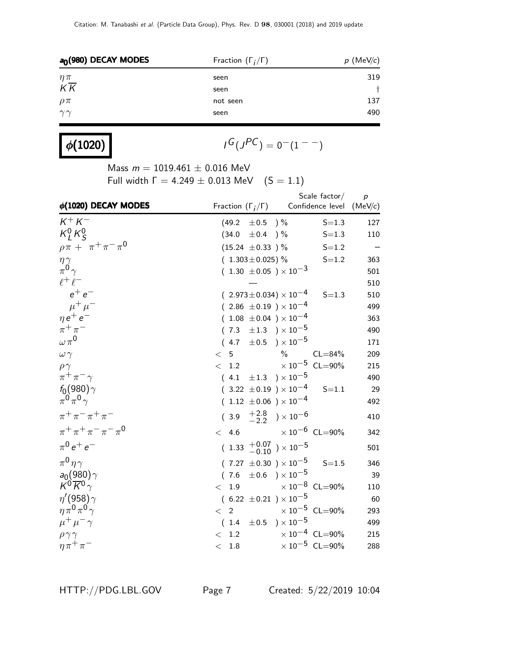| $a0$ (980) DECAY MODES | Fraction $(\Gamma_i/\Gamma)$ | $p$ (MeV/c) |
|------------------------|------------------------------|-------------|
| $\eta\pi$              | seen                         | 319         |
| $K\overline{K}$        | seen                         |             |
| $\rho \pi$             | not seen                     | 137         |
| $\gamma\gamma$         | seen                         | 490         |
|                        |                              |             |

| $\phi(1020)$ |  |
|--------------|--|
|--------------|--|

$$
I^G(J^{PC})=0^-(1^{--})
$$

Mass  $m = 1019.461 \pm 0.016$  MeV

Full width  $\Gamma = 4.249 \pm 0.013$  MeV  $(S = 1.1)$ 

| $\phi(1020)$ DECAY MODES              |                                              | Scale $factor/$<br>Fraction $(\Gamma_i/\Gamma)$ Confidence level (MeV/c) | $\boldsymbol{p}$ |
|---------------------------------------|----------------------------------------------|--------------------------------------------------------------------------|------------------|
| $K^+ K^-$                             | $(49.2 \pm 0.5)$ %                           | $S = 1.3$                                                                | 127              |
| $K_I^0 K_S^0$                         | $(34.0 \pm 0.4)$ %                           | $S = 1.3$                                                                | 110              |
| $\rho \pi + \pi^+ \pi^- \pi^0$        | $(15.24 \pm 0.33)$ %                         | $S = 1.2$                                                                |                  |
| $\eta\gamma$                          | $(1.303 \pm 0.025)\%$                        | $S = 1.2$                                                                | 363              |
| $\pi^0 \gamma$                        | $(1.30 \pm 0.05) \times 10^{-3}$             |                                                                          | 501              |
| $\ell^+\ell^-$                        |                                              |                                                                          | 510              |
| $e^+e^-$                              | $(2.973 \pm 0.034) \times 10^{-4}$           | $S = 1.3$                                                                | 510              |
| $\mu^+ \mu^-$                         | $(2.86 \pm 0.19) \times 10^{-4}$             |                                                                          | 499              |
| $\eta e^+ e^-$                        | $(1.08 \pm 0.04) \times 10^{-4}$             |                                                                          | 363              |
| $\pi^+\pi^-$                          | $(7.3 \pm 1.3) \times 10^{-5}$               |                                                                          | 490              |
| $\omega \pi^0$                        | $(4.7 \pm 0.5) \times 10^{-5}$               |                                                                          | 171              |
| $\omega \gamma$                       | < 5                                          | $\frac{0}{0}$<br>$CL = 84%$                                              | 209              |
| $\rho\gamma$                          | < 1.2                                        | $\times 10^{-5}$ CL=90%                                                  | 215              |
| $\pi^+\pi^-\gamma$                    | $(4.1 \pm 1.3) \times 10^{-5}$               |                                                                          | 490              |
| $f_0(980)\gamma$                      | $(3.22 \pm 0.19) \times 10^{-4}$             | $S = 1.1$                                                                | 29               |
| $\pi^0 \pi^0 \gamma$                  | $(1.12 \pm 0.06) \times 10^{-4}$             |                                                                          | 492              |
| $\pi^{+}\pi^{-}\pi^{+}\pi^{-}$        | $(3.9 \tfrac{+2.8}{-2.2}) \times 10^{-6}$    |                                                                          | 410              |
| $\pi^{+}\pi^{+}\pi^{-}\pi^{-}\pi^{0}$ |                                              | $< 4.6$ $\times 10^{-6}$ CL=90%                                          | 342              |
| $\pi^{0}e^{+}e^{-}$                   | $(1.33 \tfrac{+0.07}{-0.10}) \times 10^{-5}$ |                                                                          | 501              |
| $\pi^0 \eta \gamma$                   | $(7.27 \pm 0.30) \times 10^{-5}$             | $S = 1.5$                                                                | 346              |
| $a_0(980)\gamma$                      | $(7.6 \pm 0.6) \times 10^{-5}$               |                                                                          | 39               |
| $K^0 \overline{K}{}^0 \gamma$         | < 1.9                                        | $\times 10^{-8}$ CL=90%                                                  | 110              |
| $\eta'(958)\gamma$                    | $(6.22 \pm 0.21) \times 10^{-5}$             |                                                                          | 60               |
| $\eta \pi^0 \pi^0 \gamma$             | $\langle$ 2                                  | $\times\,10^{-5}$ CL=90%                                                 | 293              |
| $\mu^+ \mu^- \gamma$                  | $(1.4 \pm 0.5) \times 10^{-5}$               |                                                                          | 499              |
| $\rho \gamma \gamma$                  | < 1.2                                        | $\times 10^{-4}$ CL=90%                                                  | 215              |
| $\eta \pi^+ \pi^-$                    | < 1.8                                        | $\times$ 10 <sup>-5</sup> CL=90%                                         | 288              |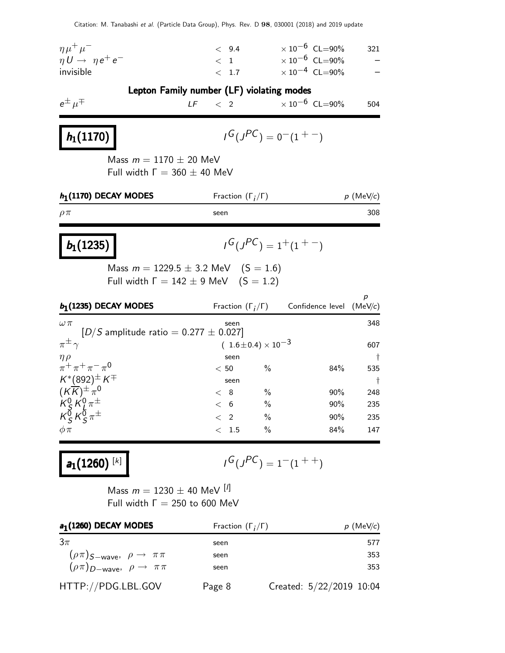| $\eta\mu^+\mu^-$<br>$\eta U \rightarrow \eta e^+ e^-$<br>invisible | < 9.4<br>$\langle 1$<br>< 1.7             | $\times 10^{-6}$ CL=90%<br>$\times$ 10 $^{-6}$ CL $=$ 90%<br>$\times 10^{-4}$ CL=90% | 321 |
|--------------------------------------------------------------------|-------------------------------------------|--------------------------------------------------------------------------------------|-----|
| $e^{\pm}$ $\mu^{\mp}$                                              | Lepton Family number (LF) violating modes | LF $\langle$ 2 $\times 10^{-6}$ CL=90%                                               | 504 |
| $h_1(1170)$                                                        |                                           | $I^G(J^{PC}) = 0^-(1^{+-})$                                                          |     |

Mass  $m = 1170 \pm 20$  MeV Full width  $Γ = 360 ± 40$  MeV

| $h_1(1170)$ DECAY MODES | Fraction $(\Gamma_i/\Gamma)$ | $p$ (MeV/c) |
|-------------------------|------------------------------|-------------|
| $\rho\pi$               | seen                         | 308         |
|                         |                              |             |

| $b_1(1235)$ |  |
|-------------|--|
|-------------|--|

$$
\iota^G(\jmath^{PC})=1^+(1^{+-})
$$

Mass  $m = 1229.5 \pm 3.2$  MeV  $(S = 1.6)$ Full width  $\Gamma = 142 \pm 9$  MeV  $(S = 1.2)$ 

| $b1$ (1235) DECAY MODES                                     | Fraction $(\Gamma_i/\Gamma)$   |               | Confidence level $(MeV/c)$ | р          |
|-------------------------------------------------------------|--------------------------------|---------------|----------------------------|------------|
| $\omega \pi$<br>$[D/S$ amplitude ratio = 0.277 $\pm$ 0.027] | seen                           |               |                            | 348        |
| $\pi^{\pm}$                                                 | $(1.6 \pm 0.4) \times 10^{-3}$ |               |                            | 607        |
| $\frac{\eta \rho}{\pi^+ \pi^+ \pi^- \pi^0}$                 | seen                           |               |                            | $\ddagger$ |
|                                                             | < 50                           | $\%$          | 84%                        | 535        |
| $K^*(892)^\pm K^\mp$                                        | seen                           |               |                            | $\ddagger$ |
| $(K\overline{K})^{\pm} \pi^0$                               | $<$ 8                          | $\%$          | 90%                        | 248        |
| $K_S^0 K_L^0 \pi^{\pm}$<br>$K_S^0 K_S^0 \pi^{\pm}$          | < 6                            | $\frac{0}{0}$ | 90%                        | 235        |
|                                                             | $\lt$ 2                        | $\%$          | 90%                        | 235        |
| $\phi \pi$                                                  | -1.5                           | $\%$          | 84%                        | 147        |

 $a_1(1260)^{[k]}$ 

$$
I^G(J^{PC}) = 1^-(1^{++})
$$

Mass  $m = 1230 \pm 40$  MeV  $[1]$ Full width  $\Gamma = 250$  to 600 MeV

| $a_1(1260)$ DECAY MODES                                    | Fraction $(\Gamma_i/\Gamma)$ | $p$ (MeV/c)              |
|------------------------------------------------------------|------------------------------|--------------------------|
| $3\pi$                                                     | seen                         | 577                      |
| $(\rho \pi)$ S-wave, $\rho \rightarrow \pi \pi$            | seen                         | 353                      |
| $(\rho \pi)_{D-\text{wave}}, \ \rho \rightarrow \ \pi \pi$ | seen                         | 353                      |
| HTTP://PDG.LBL.GOV                                         | Page 8                       | Created: 5/22/2019 10:04 |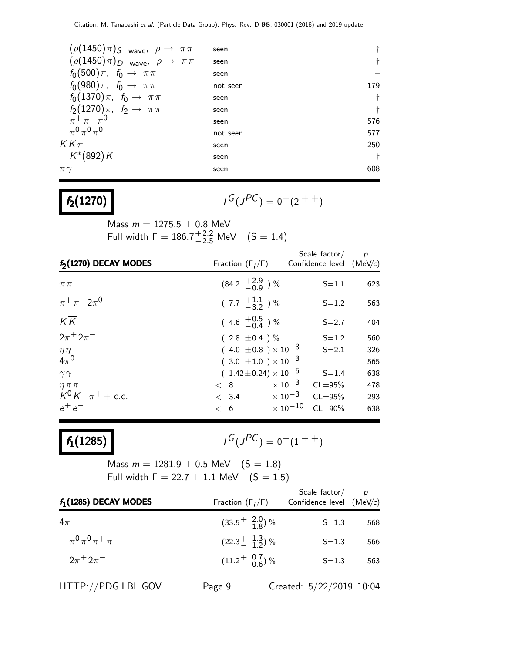| $(\rho(1450)\pi)_{S-wave}, \rho \rightarrow \pi\pi$ | seen     |            |
|-----------------------------------------------------|----------|------------|
| $(\rho(1450)\pi)_{D-wave}, \rho \rightarrow \pi\pi$ | seen     | t          |
| $f_0(500)\pi$ , $f_0 \to \pi\pi$                    | seen     |            |
| $f_0(980)\pi$ , $f_0 \to \pi\pi$                    | not seen | 179        |
| $f_0(1370)\pi$ , $f_0 \to \pi\pi$                   | seen     | t          |
| $f_2(1270)\pi$ , $f_2 \to \pi\pi$                   | seen     | t          |
| $\pi^{+}\pi^{-}\pi^{0}$                             | seen     | 576        |
| $\pi^{0}\pi^{0}\pi^{0}$                             | not seen | 577        |
| $KK\pi$                                             | seen     | 250        |
| $K^*(892)K$                                         | seen     | $\ddagger$ |
| $\pi\gamma$                                         | seen     | 608        |
|                                                     |          |            |

# $f_2(1270)$

$$
I^G(J^{PC}) = 0^+(2^{++})
$$

Mass  $m = 1275.5 \pm 0.8$  MeV Full width  $\Gamma = 186.7^{+2.2}_{-2.5}$  MeV  $(S = 1.4)$ 

| f <sub>2</sub> (1270) DECAY MODES | Fraction $(\Gamma_i/\Gamma)$     | Scale factor $\overline{p}$<br>Confidence level (MeV/c) |     |
|-----------------------------------|----------------------------------|---------------------------------------------------------|-----|
| $\pi\pi$                          | $(84.2 \tfrac{+2.9}{-0.9})$ %    | $S = 1.1$                                               | 623 |
| $\pi^{+}\pi^{-}2\pi^{0}$          | $(7.7 \frac{+1.1}{-3.2})$ %      | $S = 1.2$                                               | 563 |
| $K\overline{K}$                   | $(4.6 \tfrac{+0.5}{-0.4})\%$     | $S = 2.7$                                               | 404 |
| $2\pi + 2\pi^-$                   | $(2.8 \pm 0.4) \%$               | $S = 1.2$                                               | 560 |
| $\eta\eta$                        | $(4.0 \pm 0.8) \times 10^{-3}$   | $S = 2.1$                                               | 326 |
| $4\pi^0$                          | $(3.0 \pm 1.0) \times 10^{-3}$   |                                                         | 565 |
| $\gamma\gamma$                    | $(1.42 \pm 0.24) \times 10^{-5}$ | $S = 1.4$                                               | 638 |
| $\eta \pi \pi$                    | $< 8$ $\times 10^{-3}$           | $CL = 95%$                                              | 478 |
| $K^0 K^- \pi^+ +$ c.c.            | $< 3.4 \times 10^{-3}$           | $CL = 95%$                                              | 293 |
| $e^+e^-$                          | < 6                              | $\times$ 10 $^{-10}$<br>$CL = 90\%$                     | 638 |

## $f_1(1285)$

 $G(J^{PC}) = 0^+(1^{++})$ 

Mass  $m = 1281.9 \pm 0.5$  MeV  $(S = 1.8)$ Full width  $\Gamma = 22.7 \pm 1.1$  MeV  $(S = 1.5)$ 

| $f_1(1285)$ DECAY MODES        | Fraction $(\Gamma_i/\Gamma)$            | Scale factor/<br>Confidence level (MeV/c) | p   |
|--------------------------------|-----------------------------------------|-------------------------------------------|-----|
| 4 $\pi$                        | $(33.5\frac{+}{-}$ $\frac{2.0}{1.8})$ % | $S = 1.3$                                 | 568 |
| $\pi^{0}\pi^{0}\pi^{+}\pi^{-}$ | $(22.3 \pm \frac{1.3}{1.2})$ %          | $S = 1.3$                                 | 566 |
| $2\pi + 2\pi^-$                | $(11.2\frac{+}{0.6})\%$                 | $S = 1.3$                                 | 563 |
|                                |                                         |                                           |     |

HTTP://PDG.LBL.GOV Page 9 Created: 5/22/2019 10:04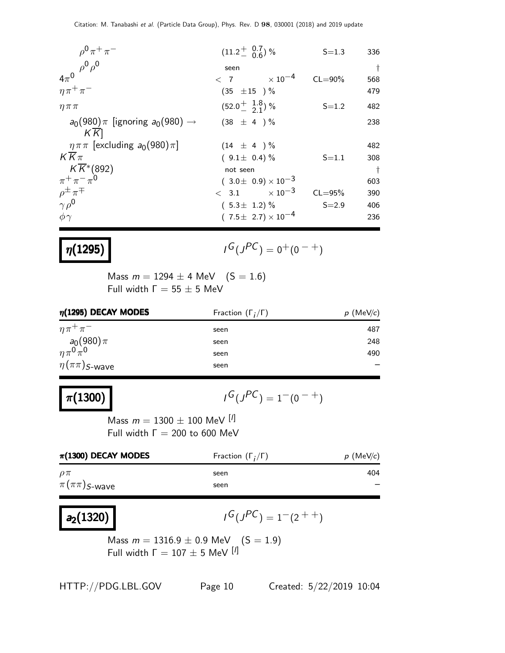| $\rho^{0} \pi^{+} \pi^{-}$                              | $(11.2 \frac{+}{0.6})$ %       | $S = 1.3$   | 336       |
|---------------------------------------------------------|--------------------------------|-------------|-----------|
| $\rho^0 \rho^0$                                         | seen                           |             | $\dagger$ |
| $4\pi^0$                                                | $< 7$ $\times 10^{-4}$         | $CL = 90\%$ | 568       |
| $\eta \pi^+ \pi^-$                                      | $(35 \pm 15) \%$               |             | 479       |
| $\eta \pi \pi$                                          | $(52.0 \frac{+}{2} 1.8)$ %     | $S = 1.2$   | 482       |
| $a_0(980)\pi$ [ignoring $a_0(980) \rightarrow$<br>$K$ K | $(38 \pm 4) \%$                |             | 238       |
| $\eta \pi \pi$ [excluding $a_0(980) \pi$ ]              | $(14 \pm 4) \%$                |             | 482       |
| $KK\pi$                                                 | $(9.1 \pm 0.4)\%$              | $S = 1.1$   | 308       |
| $K\overline{K}$ *(892)                                  | not seen                       |             | $\dagger$ |
| $\pi^{+}\pi^{-}\pi^{0}$                                 | $(3.0 \pm 0.9) \times 10^{-3}$ |             | 603       |
| $\rho^{\pm} \pi^{\mp}$                                  | $< 3.1 \times 10^{-3}$         | $CL = 95%$  | 390       |
| $\gamma \rho^0$                                         | $(5.3 \pm 1.2)$ %              | $S = 2.9$   | 406       |
| $\phi \gamma$                                           | $(7.5 \pm 2.7) \times 10^{-4}$ |             | 236       |

### $\eta(1295)$

$$
I^G(J^{PC}) = 0^+(0^{-+})
$$

Mass  $m = 1294 \pm 4$  MeV  $(S = 1.6)$ Full width  $Γ = 55 ± 5$  MeV

| $\eta$ (1295) DECAY MODES | Fraction $(\Gamma_i/\Gamma)$ | $p$ (MeV/c) |
|---------------------------|------------------------------|-------------|
| $\eta \pi^+ \pi^-$        | seen                         | 487         |
| $a_0(980)\pi$             | seen                         | 248         |
| $\eta \pi^0 \pi^0$        | seen                         | 490         |
| $\eta(\pi\pi)$ S-wave     | seen                         |             |

### $\pi$ (1300)

 $G(J^{PC}) = 1^-(0^{-+})$ 

Mass  $m = 1300 \pm 100$  MeV  $[1]$ Full width  $\Gamma = 200$  to 600 MeV

| $\pi$ (1300) DECAY MODES | Fraction $(\Gamma_i/\Gamma)$ | $p$ (MeV/c) |
|--------------------------|------------------------------|-------------|
| $\rho\pi$                | seen                         | 404         |
| $\pi(\pi\pi)$ S-wave     | seen                         |             |

### $a_2(1320)$

 $G(J^{PC}) = 1-(2^{++})$ 

Mass  $m = 1316.9 \pm 0.9$  MeV  $_{\rm rot}^{\rm s}$  (S  $= 1.9$ ) Full width  $\Gamma = 107 \pm 5$  MeV  $[1]$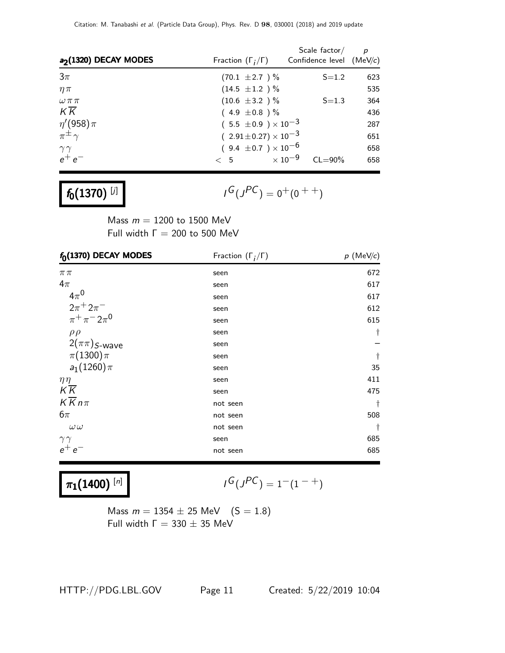| a <sub>2</sub> (1320) DECAY MODES           | Fraction $(\Gamma_i/\Gamma)$     | Scale $factor/$<br>Confidence level $(MeV/c)$ | $\boldsymbol{p}$ |
|---------------------------------------------|----------------------------------|-----------------------------------------------|------------------|
| $3\pi$                                      | $(70.1 \pm 2.7) \%$              | $S = 1.2$                                     | 623              |
| $\eta \pi$                                  | $(14.5 \pm 1.2) \%$              |                                               | 535              |
| $\omega \pi \pi$                            | $(10.6 \pm 3.2) \%$              | $S = 1.3$                                     | 364              |
| KK                                          | $(4.9 \pm 0.8)$ %                |                                               | 436              |
| $\frac{\eta^\prime(958)\pi}{\pi^\pm\gamma}$ | $(5.5 \pm 0.9) \times 10^{-3}$   |                                               | 287              |
|                                             | $(2.91 \pm 0.27) \times 10^{-3}$ |                                               | 651              |
| $\gamma\gamma$                              | $(9.4 \pm 0.7) \times 10^{-6}$   |                                               | 658              |
| $e^+e^-$                                    | $\langle 5 \rangle$              | $\times$ 10 $^{-9}$<br>$CL = 90\%$            | 658              |

$$
f_0(1370)^{[j]}
$$

 $I^G(J^{PC}) = 0^+(0^{++})$ 

Mass  $m = 1200$  to 1500 MeV Full width  $\Gamma = 200$  to 500 MeV

| $f_0(1370)$ DECAY MODES       | Fraction $(\Gamma_i/\Gamma)$ | $p$ (MeV/c) |
|-------------------------------|------------------------------|-------------|
| $\pi\pi$                      | seen                         | 672         |
| $4\pi$                        | seen                         | 617         |
| $4\pi^0$                      | seen                         | 617         |
| $2\pi^{+} 2\pi^{-}$           | seen                         | 612         |
| $\pi^{+}\pi^{-}2\pi^{0}$      | seen                         | 615         |
| $\rho \rho$                   | seen                         | $\dagger$   |
| $2(\pi\pi)$ <sub>S-Wave</sub> | seen                         |             |
| $\pi(1300)\pi$                | seen                         | $\dagger$   |
| $a_1(1260)\pi$                | seen                         | 35          |
| $\eta\eta$                    | seen                         | 411         |
| $K\overline{K}$               | seen                         | 475         |
| $K\overline{K}n\pi$           | not seen                     | t           |
| $6\pi$                        | not seen                     | 508         |
| $\omega\,\omega$              | not seen                     | $\ddagger$  |
| $\gamma\gamma$                | seen                         | 685         |
| $e^+e^-$                      | not seen                     | 685         |

 $\pi_1(1400)^{[n]}$ 

$$
I^G(J^{PC}) = 1^-(1^{-+})
$$

Mass  $m = 1354 \pm 25$  MeV  $(S = 1.8)$ Full width  $\Gamma = 330 \pm 35$  MeV

HTTP://PDG.LBL.GOV Page 11 Created: 5/22/2019 10:04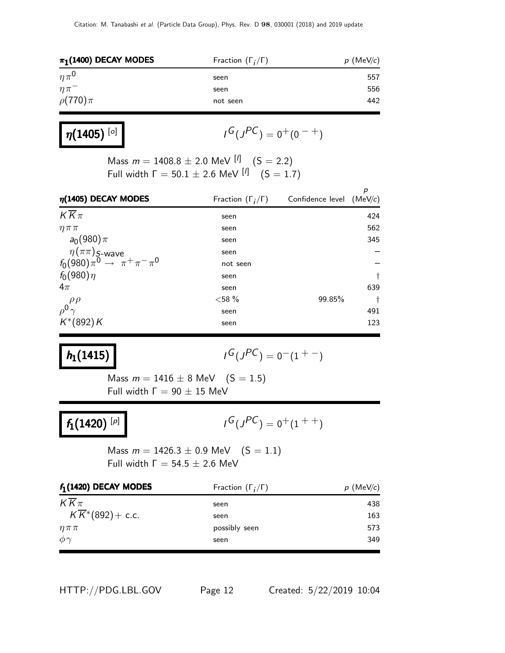| $\pi_1(1400)$ DECAY MODES | Fraction $(\Gamma_i/\Gamma)$ | $p$ (MeV/c) |
|---------------------------|------------------------------|-------------|
| $n\pi^0$                  | seen                         | 557         |
| $\eta \pi$                | seen                         | 556         |
| $\rho(770)\pi$            | not seen                     | 442         |

 $\eta(1405)^{[o]}$ 

 $I^G(J^{PC}) = 0^+(0^{-+})$ 

Mass  $m = 1408.8 \pm 2.0$  MeV  $\binom{[l]}{[l]}$  (S = 2.2) Full width  $\Gamma = 50.1 \pm 2.6$  MeV  $[1]$   $(S = 1.7)$ 

| $\eta(1405)$ DECAY MODES                                             | Fraction $(\Gamma_i/\Gamma)$ | Confidence level $(MeV/c)$ | р          |
|----------------------------------------------------------------------|------------------------------|----------------------------|------------|
| $K\overline{K}\pi$                                                   | seen                         |                            | 424        |
| $\eta \pi \pi$                                                       | seen                         |                            | 562        |
| $a_0(980)\pi$                                                        | seen                         |                            | 345        |
| $\eta(\pi\pi)$ S-wave<br>$f_0(980)\pi^0 \rightarrow \pi^+\pi^-\pi^0$ | seen                         |                            |            |
|                                                                      | not seen                     |                            |            |
| $f_0(980)\eta$                                                       | seen                         |                            | $\ddagger$ |
| $4\pi$                                                               | seen                         |                            | 639        |
| $\rho^{\rho\rho}_{\gamma}$                                           | ${<}58\%$                    | 99.85%                     | Ť          |
|                                                                      | seen                         |                            | 491        |
| $K^*(892)K$                                                          | seen                         |                            | 123        |

### $h_1(1415)$

$$
I^G(J^{PC}) = 0^-(1^{+-})
$$

Mass  $m = 1416 \pm 8$  MeV  $(S = 1.5)$ Full width  $Γ = 90 ± 15$  MeV

## $f_1(1420)^{[p]}$

 $I^G(J^{PC}) = 0^+(1^{++})$ 

Mass  $m = 1426.3 \pm 0.9$  MeV  $(S = 1.1)$ Full width  $\Gamma = 54.5 \pm 2.6$  MeV

| $f_1(1420)$ DECAY MODES      | Fraction $(\Gamma_i/\Gamma)$ | $p$ (MeV/c) |
|------------------------------|------------------------------|-------------|
| $KK\pi$                      | seen                         | 438         |
| $K\overline{K}$ *(892)+ c.c. | seen                         | 163         |
| $\eta \pi \pi$               | possibly seen                | 573         |
| $\phi \gamma$                | seen                         | 349         |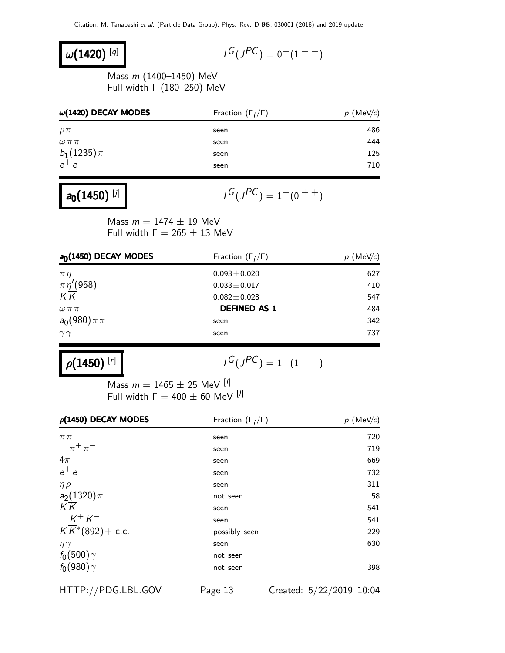### $\omega(1420)^{[q]}$

$$
I^G(J^{PC}) = 0^-(1^{--})
$$

Mass m (1400–1450) MeV Full width Γ (180–250) MeV

| $\omega$ (1420) DECAY MODES | Fraction $(\Gamma_i/\Gamma)$ | $p$ (MeV/c) |
|-----------------------------|------------------------------|-------------|
| $\rho\pi$                   | seen                         | 486         |
| $\omega\,\pi\,\pi$          | seen                         | 444         |
| $b_1(1235)\pi$              | seen                         | 125         |
| $e^+e^-$                    | seen                         | 710         |
|                             |                              |             |

### $a_0(1450)^{[j]}$

$$
I^G(J^{PC}) = 1^-(0^{++})
$$

Mass  $m = 1474 \pm 19$  MeV Full width  $\Gamma = 265 \pm 13$  MeV

| $a0(1450)$ DECAY MODES               | Fraction $(\Gamma_i/\Gamma)$ | $p \text{ (MeV/c)}$ |
|--------------------------------------|------------------------------|---------------------|
| $\pi\eta$                            | $0.093 \pm 0.020$            | 627                 |
| $\frac{\pi\eta^{\prime}(958)}{K\,K}$ | $0.033 \pm 0.017$            | 410                 |
|                                      | $0.082 \pm 0.028$            | 547                 |
| $\omega \pi \pi$                     | <b>DEFINED AS 1</b>          | 484                 |
| $a_0(980)\pi\pi$                     | seen                         | 342                 |
| $\gamma\gamma$                       | seen                         | 737                 |

 $\rho(1450)^{[r]}$ 

$$
I^G(J^{PC})=1^+(1^{--})
$$

Mass  $m = 1465 \pm 25$  MeV [<sup>I</sup>] Full width  $\Gamma = 400 \pm 60$  MeV  $^{[1]}$ 

| $\rho$ (1450) DECAY MODES                | Fraction $(\Gamma_i/\Gamma)$ | $p$ (MeV/c) |
|------------------------------------------|------------------------------|-------------|
| $\pi\pi$                                 | seen                         | 720         |
| $\pi^+\pi^-$                             | seen                         | 719         |
| $4\pi$                                   | seen                         | 669         |
| $e^+e^-$                                 | seen                         | 732         |
| $\eta \rho$                              | seen                         | 311         |
| $a_2(1320)\pi$                           | not seen                     | 58          |
| $K\overline{K}$                          | seen                         | 541         |
| $K^+K^-$                                 | seen                         | 541         |
| $K\overline{K}$ <sup>*</sup> (892)+ c.c. | possibly seen                | 229         |
| $\eta\gamma$                             | seen                         | 630         |
| $f_0(500)\gamma$                         | not seen                     |             |
| $f_0(980)\gamma$                         | not seen                     | 398         |

HTTP://PDG.LBL.GOV Page 13 Created: 5/22/2019 10:04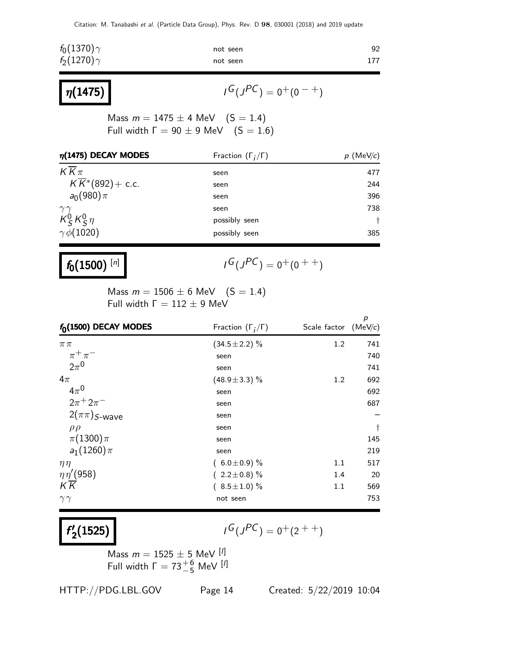| $f_0(1370)\gamma$ | not seen | 92  |
|-------------------|----------|-----|
| $f_2(1270)\gamma$ | not seen | 177 |
|                   |          |     |

$$
I^G(J^{PC}) = 0^+(0^{-+})
$$

Mass  $m = 1475 \pm 4$  MeV  $(S = 1.4)$ Full width  $\Gamma = 90 \pm 9$  MeV  $(S = 1.6)$ 

| $\eta$ (1475) DECAY MODES                                                | Fraction $(\Gamma_i/\Gamma)$ | $p \text{ (MeV/c)}$  |
|--------------------------------------------------------------------------|------------------------------|----------------------|
| $K\overline{K}\pi$                                                       | seen                         | 477                  |
| $K\overline{K}$ <sup>*</sup> (892)+ c.c.                                 | seen                         | 244                  |
| $a_0(980)\pi$                                                            | seen                         | 396                  |
|                                                                          | seen                         | 738                  |
| $\begin{array}{c} \gamma\gamma \ \kappa_5^0 \kappa_5^0 \eta \end{array}$ | possibly seen                | $\ddot{\phantom{1}}$ |
| $\gamma \ddot{\phi}$ (1020)                                              | possibly seen                | 385                  |

## $f_0(1500)^{[n]}$

 $\eta(1475)$ 

$$
I^G(J^{PC}) = 0^+(0^{++})
$$

Mass  $m = 1506 \pm 6$  MeV  $(S = 1.4)$ Full width  $\Gamma = 112 \pm 9$  MeV

|                         |                              |                        | p         |
|-------------------------|------------------------------|------------------------|-----------|
| $f_0(1500)$ DECAY MODES | Fraction $(\Gamma_i/\Gamma)$ | Scale factor $(MeV/c)$ |           |
| $\pi\pi$                | $(34.5 \pm 2.2)\%$           | 1.2                    | 741       |
| $\pi^+\pi^-$            | seen                         |                        | 740       |
| $2\pi^0$                | seen                         |                        | 741       |
| $4\pi$                  | $(48.9 \pm 3.3)\%$           | 1.2                    | 692       |
| $4\pi^0$                | seen                         |                        | 692       |
| $2\pi^{+} 2\pi^{-}$     | seen                         |                        | 687       |
| $2(\pi\pi)$ S-wave      | seen                         |                        |           |
| $\rho \rho$             | seen                         |                        | $\dagger$ |
| $\pi(1300)\pi$          | seen                         |                        | 145       |
| $a_1(1260)\pi$          | seen                         |                        | 219       |
| $\eta\eta$              | $(6.0 \pm 0.9)$ %            | 1.1                    | 517       |
| $\eta\eta' (958)$       | $(2.2 \pm 0.8)\%$            | 1.4                    | 20        |
| $K\overline{K}$         | $(8.5 \pm 1.0) \%$           | 1.1                    | 569       |
| $\gamma\gamma$          | not seen                     |                        | 753       |

#### f ′  $\binom{1}{2}$ (1525)

 $G(J^{PC}) = 0^+(2^{++})$ 

Mass  $m = 1525 \pm 5$  MeV  $\frac{[1]}{[1]}$ Full width  $\Gamma = 73^{+6}_{-5}$  MeV [<sup>1</sup>]

HTTP://PDG.LBL.GOV Page 14 Created: 5/22/2019 10:04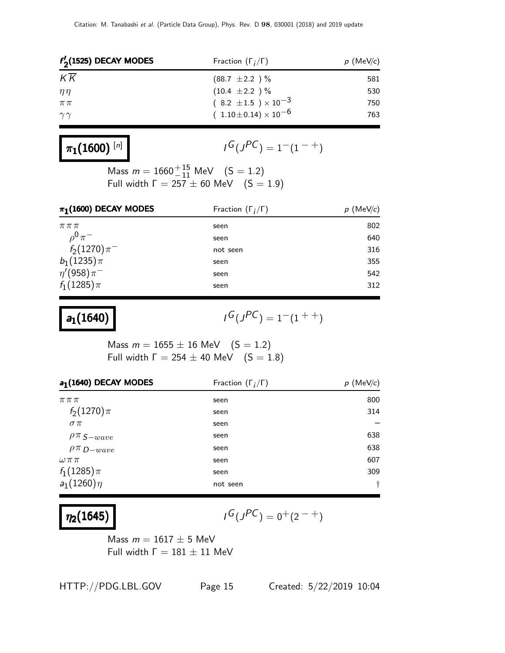| $f'_{2}(1525)$ DECAY MODES | Fraction $(\Gamma_i/\Gamma)$   | $p$ (MeV/c) |  |
|----------------------------|--------------------------------|-------------|--|
| KK                         | $(88.7 \pm 2.2) \%$            | 581         |  |
| $n\eta$                    | $(10.4 \pm 2.2) \%$            | 530         |  |
| $\pi\pi$                   | $(8.2 \pm 1.5) \times 10^{-3}$ | 750         |  |
| $\gamma\gamma$             | $(1.10\pm0.14)\times10^{-6}$   | 763         |  |
|                            |                                |             |  |

# $\pi_1(1600)^{[n]}$

$$
\iota^G(\jmath^{PC})=1^-(1^{-+})
$$

Mass  $m = 1660^{+15}_{-11}$  MeV  $(S = 1.2)$ Full width  $\Gamma = 257 \pm 60$  MeV  $(S = 1.9)$ 

| $\pi_1(1600)$ DECAY MODES | Fraction $(\Gamma_i/\Gamma)$ | $p$ (MeV/c) |
|---------------------------|------------------------------|-------------|
| $\pi\pi\pi$               | seen                         | 802         |
| $\rho^0 \pi^-$            | seen                         | 640         |
| $f_2(1270)\pi^-$          | not seen                     | 316         |
| $b_1(1235)\pi$            | seen                         | 355         |
| $\eta'(958)\pi^-$         | seen                         | 542         |
| $f_1(1285)\pi$            | seen                         | 312         |

 $a_1(1640)$  |

$$
G(J^{PC})=1^-(1^{++})
$$

Mass  $m = 1655 \pm 16$  MeV  $(S = 1.2)$ Full width  $Γ = 254 ± 40$  MeV  $(S = 1.8)$ 

| a <sub>1</sub> (1640) DECAY MODES | Fraction $(\Gamma_i/\Gamma)$ | $p$ (MeV/c) |
|-----------------------------------|------------------------------|-------------|
| $\pi\pi\pi$                       | seen                         | 800         |
| $f_2(1270)\pi$                    | seen                         | 314         |
| $\sigma \pi$                      | seen                         |             |
| $\rho \pi$ S-wave                 | seen                         | 638         |
| $\rho \pi_{D-wave}$               | seen                         | 638         |
| $\omega \pi \pi$                  | seen                         | 607         |
| $f_1(1285)\pi$                    | seen                         | 309         |
| $a_1(1260)\eta$                   | not seen                     | t           |

# $\eta_2(1645)$

$$
I^G(J^{PC}) = 0^+(2^{-+})
$$

Mass  $m = 1617 \pm 5$  MeV Full width  $Γ = 181 ± 11$  MeV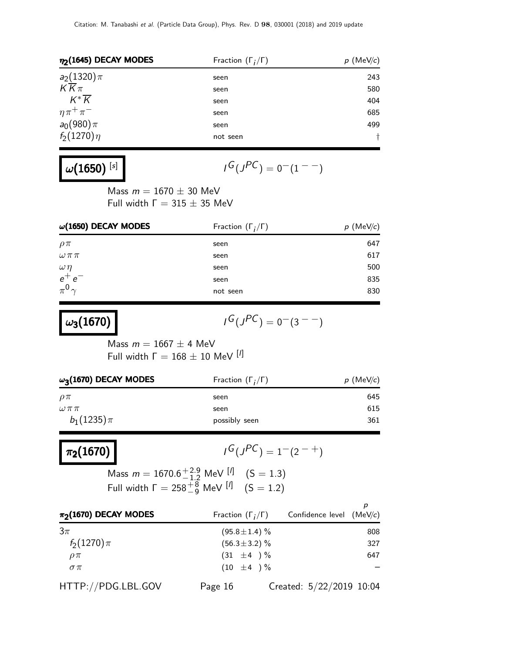| $\eta_2$ (1645) DECAY MODES | Fraction $(\Gamma_i/\Gamma)$ | $p$ (MeV/c) |  |
|-----------------------------|------------------------------|-------------|--|
| $a_2(1320)\pi$              | seen                         | 243         |  |
| $K\overline{K}\pi$          | seen                         | 580         |  |
| $K^*\overline{K}$           | seen                         | 404         |  |
| $\eta \pi^+ \pi^-$          | seen                         | 685         |  |
| $a_0(980)\pi$               | seen                         | 499         |  |
| $f_2(1270)\eta$             | not seen                     |             |  |

# $\omega(1650)^{~[s]}$

$$
I^G(J^{PC})=0^-(1^{--})
$$

Mass  $m = 1670 \pm 30$  MeV Full width  $Γ = 315 ± 35$  MeV

| $\omega(1650)$ DECAY MODES | Fraction $(\Gamma_i/\Gamma)$ | (MeV/c)<br>р |  |
|----------------------------|------------------------------|--------------|--|
| $\rho\pi$                  | seen                         | 647          |  |
| $\omega \pi \pi$           | seen                         | 617          |  |
| $\omega\eta$               | seen                         | 500          |  |
| $e^+e^-$                   | seen                         | 835          |  |
| $\pi^0 \gamma$             | not seen                     | 830          |  |

| $\omega_3(1670)$ |  |
|------------------|--|
|------------------|--|

$$
G(J^{PC})=0^-(3^{--})
$$

Mass  $m = 1667 \pm 4$  MeV Full width  $Γ = 168 ± 10$  MeV [<sup>I]</sup>

| $\omega_3$ (1670) DECAY MODES | Fraction $(\Gamma_i/\Gamma)$ | $p$ (MeV/c) |  |
|-------------------------------|------------------------------|-------------|--|
| $\rho\pi$                     | seen                         | 645         |  |
| $\omega\pi\pi$                | seen                         | 615         |  |
| $b_1(1235)\pi$                | possibly seen                | 361         |  |

# $\pi_2(1670)$  |

$$
{}^{1}G(J^{PC}) = 1-(2^{-+})
$$

Mass  $m = 1670.6^{+2.9}_{-1.2}$  MeV  $\frac{[l]}{[l]}$   $(S = 1.3)$ Full width  $\Gamma = 258^{+8}_{-9}$  MeV  $[1]$   $(S = 1.2)$ 

| $\pi_2$ (1670) DECAY MODES | Fraction $(\Gamma_i/\Gamma)$ |                          | Confidence level $(MeV/c)$ |
|----------------------------|------------------------------|--------------------------|----------------------------|
| $3\pi$                     | $(95.8 \pm 1.4)$ %           |                          | 808                        |
| $f_2(1270)\pi$             | $(56.3 \pm 3.2)$ %           |                          | 327                        |
| $\rho \pi$                 | $(31 \pm 4) \%$              |                          | 647                        |
| $\sigma \pi$               | $(10 \pm 4) \%$              |                          |                            |
| HTTP://PDG.LBL.GOV         | Page 16                      | Created: 5/22/2019 10:04 |                            |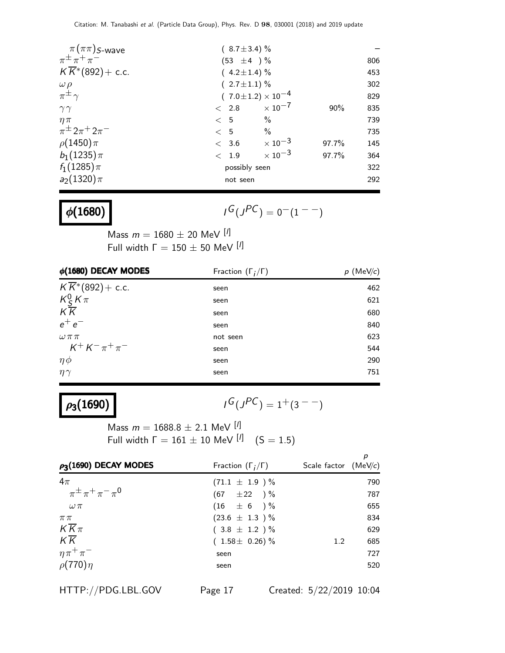| $\pi(\pi\pi)$ <i>S</i> -wave           | $(8.7 \pm 3.4)$ % |                                |       |     |
|----------------------------------------|-------------------|--------------------------------|-------|-----|
| $\pi^{\pm} \pi^+ \pi^-$                | $(53 \pm 4) \%$   |                                |       | 806 |
| $K\overline{K}$ *(892)+ c.c.           | $(4.2 \pm 1.4)$ % |                                |       | 453 |
|                                        | $(2.7 \pm 1.1)$ % |                                |       | 302 |
| $\frac{\omega \rho}{\pi^{\pm} \gamma}$ |                   | $(7.0 \pm 1.2) \times 10^{-4}$ |       | 829 |
| $\gamma\gamma$                         | < 2.8             | $\times$ 10 $^{-7}$            | 90%   | 835 |
| $\eta \pi$                             | < 5               | $\%$                           |       | 739 |
| $\pi^{\pm} 2\pi^{+} 2\pi^{-}$          | < 5               | $\%$                           |       | 735 |
| $\rho(1450)\pi$                        | < 3.6             | $\times$ 10 <sup>-3</sup>      | 97.7% | 145 |
| $b_1(1235)\pi$                         | < 1.9             | $\times$ 10 <sup>-3</sup>      | 97.7% | 364 |
| $f_1(1285)\pi$                         | possibly seen     |                                |       | 322 |
| $a_2(1320)\pi$                         | not seen          |                                |       | 292 |
|                                        |                   |                                |       |     |

 $\phi(1680)$ 

 $G(J^{PC}) = 0(1^{--})$ 

Mass  $m = 1680 \pm 20$  MeV  $[1]$ Full width  $\Gamma = 150 \pm 50$  MeV  $^{[1]}$ 

| Fraction $(\Gamma_i/\Gamma)$ | $p$ (MeV/c) |
|------------------------------|-------------|
| seen                         | 462         |
| seen                         | 621         |
| seen                         | 680         |
| seen                         | 840         |
| not seen                     | 623         |
| seen                         | 544         |
| seen                         | 290         |
| seen                         | 751         |
|                              |             |

## $\rho_3(1690)$

 $G(J^{PC}) = 1+(3^{--})$ 

Mass  $m = 1688.8 \pm 2.1$  MeV  $[1]$ Full width  $\Gamma = 161 \pm 10$  MeV  $\left[\frac{1}{1}\right]$  $(S = 1.5)$ 

| $\rho_3(1690)$ DECAY MODES    | Fraction $(\Gamma_i/\Gamma)$ | Scale factor $(MeV/c)$ |     |
|-------------------------------|------------------------------|------------------------|-----|
| $4\pi$                        | $(71.1 \pm 1.9) \%$          |                        | 790 |
| $\pi^{\pm} \pi^+ \pi^- \pi^0$ | $(67 \pm 22)$ %              |                        | 787 |
| $\omega \pi$                  | $(16 \pm 6) \%$              |                        | 655 |
| $\pi\pi$                      | $(23.6 \pm 1.3) \%$          |                        | 834 |
| $K\overline{K}\pi$            | $(3.8 \pm 1.2) \%$           |                        | 629 |
| $K\overline{K}$               | $(1.58 \pm 0.26)\%$          | 1.2                    | 685 |
| $\eta \pi^+ \pi^-$            | seen                         |                        | 727 |
| $\rho(770)\eta$               | seen                         |                        | 520 |

HTTP://PDG.LBL.GOV Page 17 Created: 5/22/2019 10:04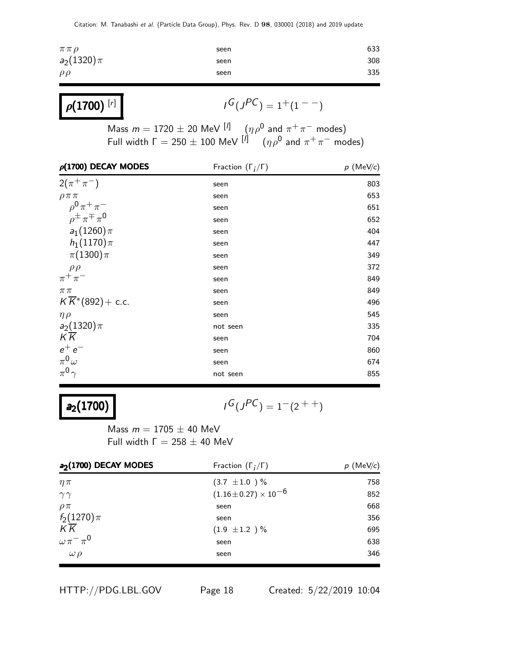| $\pi\pi\rho$   | seen | 633 |
|----------------|------|-----|
| $a_2(1320)\pi$ | seen | 308 |
| $\rho\rho$     | seen | 335 |
|                |      |     |

| $\rho(1700)^{[r]}$ | $I^G(J^{PC}) = 1^+(1)$ |
|--------------------|------------------------|
|--------------------|------------------------|

Mass  $m = 1720 \pm 20$  MeV  $\left[\begin{matrix} I \end{matrix}\right]$   $\left(\begin{matrix} \eta \rho^0 \end{matrix}\right)$  and  $\pi^+ \pi^-$  modes) Full width  $\Gamma = 250 \pm 100$  MeV  $^{[\prime]}$   $(\eta \rho^0$  and  $\pi^+ \pi^-$  modes)

 $-$ )

| $\rho(1700)$ DECAY MODES                 | Fraction $(\Gamma_i/\Gamma)$ | $p$ (MeV/c) |
|------------------------------------------|------------------------------|-------------|
| $2(\pi^{+}\pi^{-})$                      | seen                         | 803         |
| $\rho \pi \pi$                           | seen                         | 653         |
| $\rho^{0} \pi^{+} \pi^{-}$               | seen                         | 651         |
| $\rho^{\pm} \pi^{\mp} \pi^{\prime}$      | seen                         | 652         |
| $a_1(1260)\pi$                           | seen                         | 404         |
| $h_1(1170)\pi$                           | seen                         | 447         |
| $\pi(1300)\pi$                           | seen                         | 349         |
| $\rho \rho$                              | seen                         | 372         |
| $\pi^+\pi^-$                             | seen                         | 849         |
| $\pi\pi$                                 | seen                         | 849         |
| $K\overline{K}$ <sup>*</sup> (892)+ c.c. | seen                         | 496         |
| $\eta \rho$                              | seen                         | 545         |
| $a_2(1320)\pi$                           | not seen                     | 335         |
| K K                                      | seen                         | 704         |
| $e^+e^-$                                 | seen                         | 860         |
| $\pi^0\omega$                            | seen                         | 674         |
| $\pi^0 \gamma$                           | not seen                     | 855         |

## $a_2(1700)$

$$
I^G(J^{PC}) = 1^-(2^{++})
$$

Mass  $m = 1705 \pm 40$  MeV Full width  $\Gamma = 258 \pm 40$  MeV

| a <sub>2</sub> (1700) DECAY MODES | Fraction $(\Gamma_i/\Gamma)$ | $p$ (MeV/c) |
|-----------------------------------|------------------------------|-------------|
| $\eta \pi$                        | $(3.7 \pm 1.0) \%$           | 758         |
| $\gamma\gamma$                    | $(1.16\pm0.27)\times10^{-6}$ | 852         |
| $\rho \pi$                        | seen                         | 668         |
| $f_2(1270)\pi$                    | seen                         | 356         |
| $K\overline{K}$                   | $(1.9 \pm 1.2) \%$           | 695         |
| $\omega \pi^- \pi^0$              | seen                         | 638         |
| $\omega \rho$                     | seen                         | 346         |

HTTP://PDG.LBL.GOV Page 18 Created: 5/22/2019 10:04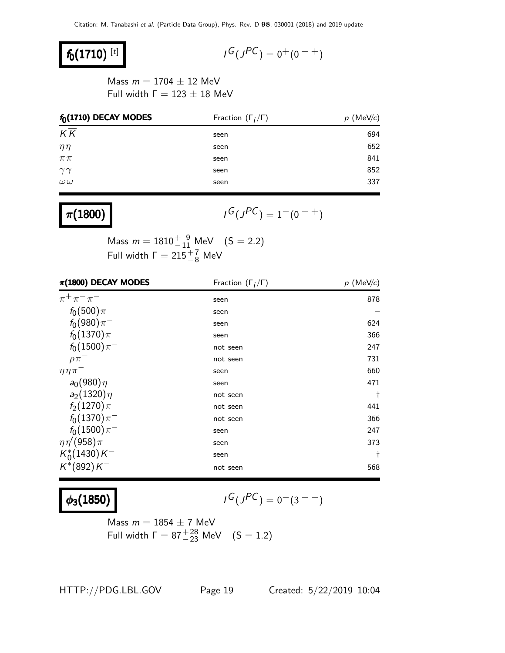### $f_0(1710)^{[t]}$

$$
\mathit{I}^G(\mathit{J}^{PC})=0^+(0^{++})
$$

Mass  $m = 1704 \pm 12$  MeV Full width  $Γ = 123 ± 18$  MeV

| $f_0(1710)$ DECAY MODES | Fraction $(\Gamma_i/\Gamma)$ | (MeV/c)<br>p |
|-------------------------|------------------------------|--------------|
| $K\overline{K}$         | seen                         | 694          |
| $\eta\eta$              | seen                         | 652          |
| $\pi\,\pi$              | seen                         | 841          |
| $\gamma\gamma$          | seen                         | 852          |
| $\omega\,\omega$        | seen                         | 337          |
|                         |                              |              |

### $\pi(1800)$

 $G(J^{PC}) = 1^-(0^{-+})$ 

Mass  $m = 1810^{+9}_{-11}$  MeV  $(S = 2.2)$ Full width  $\Gamma = 215 \frac{+7}{-8}$  MeV

| $\pi(1800)$ DECAY MODES  | Fraction $(\Gamma_i/\Gamma)$ | $p$ (MeV/c) |
|--------------------------|------------------------------|-------------|
| $\pi^{+}\pi^{-}\pi^{-}$  | seen                         | 878         |
| $f_0(500)\pi^-$          | seen                         |             |
| $f_0(980)\pi^-$          | seen                         | 624         |
| $f_0(1370)\pi^-$         | seen                         | 366         |
| $f_0(1500)\pi^-$         | not seen                     | 247         |
| $\rho \pi^-$             | not seen                     | 731         |
| $\eta \eta \pi$          | seen                         | 660         |
| $a_0(980)\eta$           | seen                         | 471         |
| $a_2(1320)\eta$          | not seen                     | Ť           |
| $f_2(1270)\pi$           | not seen                     | 441         |
| $f_0(1370)\pi^-$         | not seen                     | 366         |
| $f_0(1500)\pi^-$         | seen                         | 247         |
| $\eta \eta' (958) \pi^-$ | seen                         | 373         |
| $K_0^*(1430)K^-$         | seen                         | t           |
| $K^*(892)K^-$            | not seen                     | 568         |

### $\phi_3(1850)$

$$
I^G(J^{PC}) = 0^-(3^{--})
$$

Mass  $m = 1854 \pm 7$  MeV Full width  $\Gamma = 87^{+28}_{-23}$  MeV  $(S = 1.2)$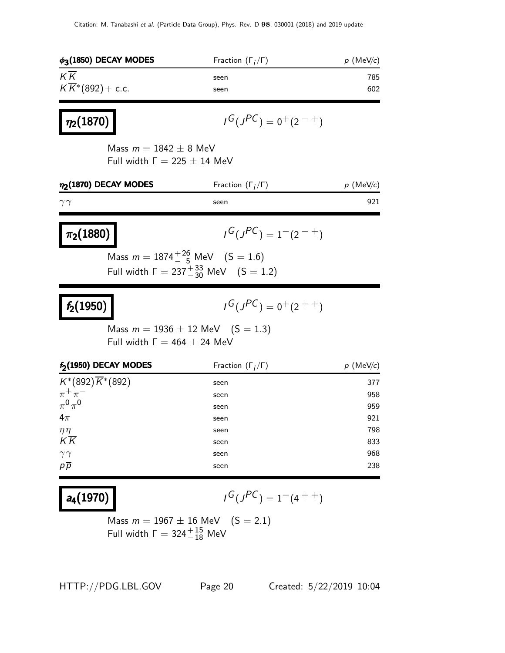| $\phi_3(1850)$ DECAY MODES                                        | Fraction $(\Gamma_i/\Gamma)$                                                                        | $p$ (MeV/c) |
|-------------------------------------------------------------------|-----------------------------------------------------------------------------------------------------|-------------|
| $K\overline{K}$                                                   | seen                                                                                                | 785         |
| $K\overline{K}$ *(892)+ c.c.                                      | seen                                                                                                | 602         |
| $ \eta_2(1870) $                                                  | $I^G(J^{PC}) = 0^+(2^{-+})$                                                                         |             |
| Mass $m = 1842 \pm 8$ MeV<br>Full width $\Gamma = 225 \pm 14$ MeV |                                                                                                     |             |
| $\eta_2(1870)$ DECAY MODES                                        | Fraction $(\Gamma_i/\Gamma)$                                                                        | $p$ (MeV/c) |
| $\gamma\gamma$                                                    | seen                                                                                                | 921         |
| $\pi_2(1880)$                                                     | $I^G(J^{PC}) = 1^-(2^{-+})$                                                                         |             |
|                                                                   | Mass $m = 1874^{+26}_{-5}$ MeV $(S = 1.6)$<br>Full width $\Gamma = 237^{+33}_{-30}$ MeV $(S = 1.2)$ |             |
| $ f_2(1950) $                                                     | $I^G(J^{PC}) = 0^+(2^{++})$                                                                         |             |
| Full width $\Gamma = 464 \pm 24$ MeV                              | Mass $m = 1936 \pm 12$ MeV $(S = 1.3)$                                                              |             |
| f <sub>2</sub> (1950) DECAY MODES                                 | Fraction $(\Gamma_i/\Gamma)$                                                                        | $p$ (MeV/c) |
| $K^*(892)\overline{K}^*(892)$                                     | seen                                                                                                | 377         |
| $\pi^+\pi^-$                                                      | seen                                                                                                | 958         |
| $\pi^0\pi^0$                                                      | seen                                                                                                | 959         |
| $4\pi$                                                            | seen                                                                                                | 921         |
| $\eta\eta$<br>$K\overline{K}$                                     | seen                                                                                                | 798         |
|                                                                   | seen                                                                                                | 833<br>968  |
| $\gamma\gamma$<br>$p\overline{p}$                                 | seen<br>seen                                                                                        | 238         |
|                                                                   |                                                                                                     |             |

 $a_4(1970)$ 

$$
I^G(J^{PC}) = 1^-(4^{++})
$$

Mass  $m = 1967 \pm 16$  MeV  $(S = 2.1)$ Full width  $\Gamma = 324^{+15}_{-18}$  MeV

HTTP://PDG.LBL.GOV Page 20 Created: 5/22/2019 10:04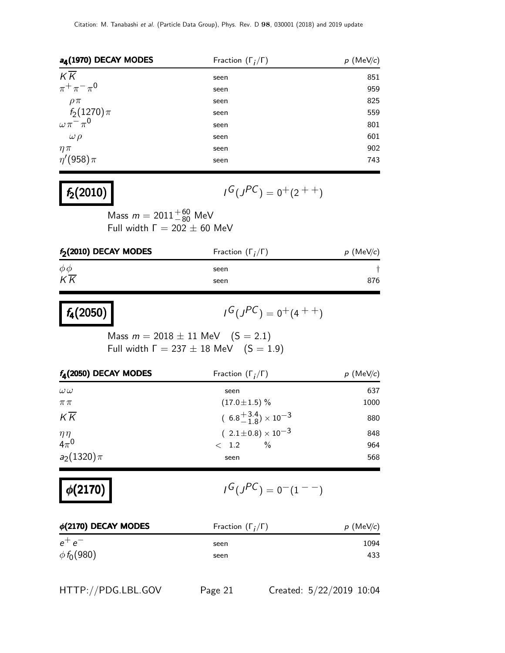| a <sub>4</sub> (1970) DECAY MODES | Fraction $(\Gamma_i/\Gamma)$ | $p$ (MeV/c) |
|-----------------------------------|------------------------------|-------------|
| $K\overline{K}$                   | seen                         | 851         |
| $\pi^{+}\pi^{-}\pi^{0}$           | seen                         | 959         |
| $\rho \pi$                        | seen                         | 825         |
| $f_2(1270)\pi$                    | seen                         | 559         |
| $\omega \pi^- \pi^0$              | seen                         | 801         |
| $\omega \rho$                     | seen                         | 601         |
| $\eta \pi$                        | seen                         | 902         |
| $\eta'(958)\pi$                   | seen                         | 743         |

### $f_2(2010)$

 $G(J^{PC}) = 0^+(2^{++})$ 

Mass  $m = 2011^{+60}_{-80}$  MeV Full width  $\Gamma = 202 \pm 60$  MeV

| $f_2(2010)$ DECAY MODES | Fraction $(\Gamma_i/\Gamma)$ | $p$ (MeV/c) |
|-------------------------|------------------------------|-------------|
| $\phi\phi$              | seen                         |             |
| $K\overline{K}$         | seen                         | 876         |

| $f_4(2050)$ |  |
|-------------|--|
|-------------|--|

$$
G(J^{PC}) = 0^+(4^{++})
$$

Mass  $m = 2018 \pm 11$  MeV  $(S = 2.1)$ Full width  $Γ = 237 ± 18$  MeV  $(S = 1.9)$ 

| $f_{\rm A}(2050)$ DECAY MODES | Fraction $(\Gamma_i/\Gamma)$         | $p$ (MeV/c) |
|-------------------------------|--------------------------------------|-------------|
| $\omega\omega$                | seen                                 | 637         |
| $\pi\pi$                      | $(17.0 \pm 1.5)$ %                   | 1000        |
| $K\overline{K}$               | $(6.8^{+3.4}_{-1.8}) \times 10^{-3}$ | 880         |
|                               | $(2.1\pm0.8)\times10^{-3}$           | 848         |
| $\frac{\eta \eta}{4\pi^0}$    | $\%$<br>$\langle$ 1.2                | 964         |
| $a_2(1320)\pi$                | seen                                 | 568         |

$$
\phi(2170) \qquad \qquad \blacksquare
$$

 $G(J^{PC}) = 0(1^{--})$ 

| $\phi$ (2170) DECAY MODES | Fraction $(\Gamma_i/\Gamma)$ | $p$ (MeV/c) |
|---------------------------|------------------------------|-------------|
| $e^+e^-$                  | seen                         | 1094        |
| $\phi f_0(980)$           | seen                         | 433         |

HTTP://PDG.LBL.GOV Page 21 Created: 5/22/2019 10:04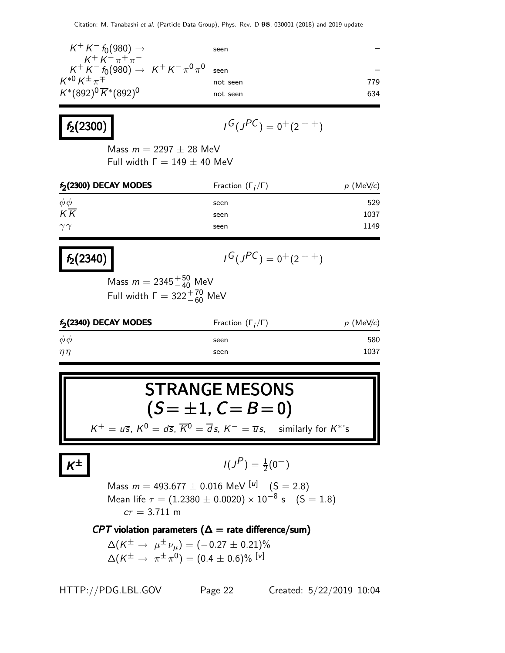| $K^+ K^- f_0(980) \to$                                                      | seen     |     |
|-----------------------------------------------------------------------------|----------|-----|
| $K^+ K^- \pi^+ \pi^-$<br>$K^+ K^- f_0(980) \rightarrow K^+ K^- \pi^0 \pi^0$ | seen     |     |
| $K^{*0}K^{\pm}\pi^{\mp}$                                                    | not seen | 779 |
| $K^*(892)^0 \overline{K}^*(892)^0$                                          | not seen | 634 |

$$
f_2(2300)
$$

$$
I^G(J^{PC})=\boldsymbol{0^+}(2^{++})
$$

Mass  $m = 2297 \pm 28$  MeV Full width  $Γ = 149 ± 40$  MeV

| f <sub>2</sub> (2300) DECAY MODES | Fraction $(\Gamma_i/\Gamma)$ | $p$ (MeV/c) |  |
|-----------------------------------|------------------------------|-------------|--|
| $\phi\phi$                        | seen                         | 529         |  |
| $K\overline{K}$                   | seen                         | 1037        |  |
| $\gamma\gamma$                    | seen                         | 1149        |  |
|                                   |                              |             |  |

### $f_2(2340)$

$$
I^G(J^{PC}) = 0^+(2^{++})
$$

Mass  $m = 2345^{+50}_{-40}$  MeV Full width  $\Gamma = 322^{+70}_{-60}$  MeV

| $f_2(2340)$ DECAY MODES | Fraction $(\Gamma_i/\Gamma)$ | $p$ (MeV/c) |  |
|-------------------------|------------------------------|-------------|--|
| $\phi\phi$              | seen                         | 580         |  |
| $\eta\eta$              | seen                         | 1037        |  |

# STRANGE MESONS  $(S = \pm 1, C = B = 0)$

 $K^+ = u\overline{s}$ ,  $K^0 = d\overline{s}$ ,  $\overline{K}^0 = \overline{d}s$ ,  $K^- = \overline{u}s$ , similarly for  $K^*$ 's

K

$$
I(J^P) = \frac{1}{2}(0^-)
$$

Mass  $m = 493.677 \pm 0.016$  MeV  $\begin{bmatrix} u \end{bmatrix}$   $(S = 2.8)$ Mean life  $\tau = (1.2380 \pm 0.0020) \times 10^{-8}$  s  $(S = 1.8)$  $c\tau = 3.711 \text{ m}$ 

#### CPT violation parameters ( $\Delta$  = rate difference/sum)

 $\Delta(K^\pm\to\ \mu^\pm\,\nu_\mu)=(-0.27\pm0.21)\%$  $\Delta(\mathcal{K}^{\pm}\,\rightarrow\,\,\pi^{\pm}\,\pi^{0}) = (0.4\,\pm\,0.6)\%$   $[\mathrm{v}]$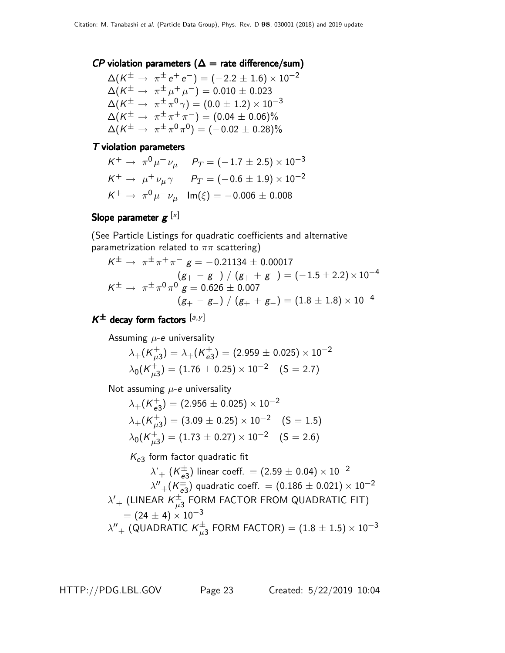#### $\mathsf{C}P$  violation parameters ( $\Delta =$  rate difference/sum)

$$
\begin{array}{ll}\Delta(K^{\pm}\to\pi^{\pm}\,e^+\,e^-) = (-2.2\pm1.6)\times10^{-2} \\ \Delta(K^{\pm}\to\pi^{\pm}\,\mu^+\,\mu^-) = 0.010\pm0.023 \\ \Delta(K^{\pm}\to\pi^{\pm}\,\pi^0\,\gamma) = (0.0\pm1.2)\times10^{-3} \\ \Delta(K^{\pm}\to\pi^{\pm}\,\pi^+\,\pi^-) = (0.04\pm0.06)\% \\ \Delta(K^{\pm}\to\pi^{\pm}\,\pi^0\,\pi^0) = (-0.02\pm0.28)\% \end{array}
$$

#### T violation parameters

$$
K^{+} \rightarrow \pi^{0} \mu^{+} \nu_{\mu} \qquad P_{T} = (-1.7 \pm 2.5) \times 10^{-3}
$$
  

$$
K^{+} \rightarrow \mu^{+} \nu_{\mu} \gamma \qquad P_{T} = (-0.6 \pm 1.9) \times 10^{-2}
$$
  

$$
K^{+} \rightarrow \pi^{0} \mu^{+} \nu_{\mu} \quad \text{Im}(\xi) = -0.006 \pm 0.008
$$

#### Slope parameter  $\boldsymbol{g}^{~[\times]}$

(See Particle Listings for quadratic coefficients and alternative parametrization related to  $\pi\pi$  scattering)

$$
K^{\pm} \rightarrow \pi^{\pm} \pi^{+} \pi^{-} g = -0.21134 \pm 0.00017
$$
  
\n
$$
(g_{+} - g_{-}) / (g_{+} + g_{-}) = (-1.5 \pm 2.2) \times 10^{-4}
$$
  
\n
$$
K^{\pm} \rightarrow \pi^{\pm} \pi^{0} \pi^{0} g = 0.626 \pm 0.007
$$
  
\n
$$
(g_{+} - g_{-}) / (g_{+} + g_{-}) = (1.8 \pm 1.8) \times 10^{-4}
$$

#### $K^{\pm}$  decay form factors  $[a,y]$

Assuming  $\mu$ -e universality

$$
\lambda_{+}(K_{\mu3}^{+}) = \lambda_{+}(K_{e3}^{+}) = (2.959 \pm 0.025) \times 10^{-2}
$$
  

$$
\lambda_{0}(K_{\mu3}^{+}) = (1.76 \pm 0.25) \times 10^{-2} \quad (S = 2.7)
$$

Not assuming  $\mu$ -e universality

$$
\lambda_{+}(K_{e3}^{+}) = (2.956 \pm 0.025) \times 10^{-2}
$$
\n
$$
\lambda_{+}(K_{\mu3}^{+}) = (3.09 \pm 0.25) \times 10^{-2} \quad (S = 1.5)
$$
\n
$$
\lambda_{0}(K_{\mu3}^{+}) = (1.73 \pm 0.27) \times 10^{-2} \quad (S = 2.6)
$$

 $K_{e3}$  form factor quadratic fit

$$
\lambda'_{+} (K_{e3}^{\pm}) \text{ linear coeff.} = (2.59 \pm 0.04) \times 10^{-2}
$$
  
\n
$$
\lambda''_{+} (K_{e3}^{\pm}) \text{ quadratic coeff.} = (0.186 \pm 0.021) \times 10^{-2}
$$
  
\n
$$
\lambda'_{+} \text{ (LINEAR } K_{\mu 3}^{\pm} \text{ FORM FACTOR FROM QUADRATIC FIT)}
$$
  
\n
$$
= (24 \pm 4) \times 10^{-3}
$$
  
\n
$$
\lambda''_{+} \text{ (QUADRATIC } K_{\mu 3}^{\pm} \text{ FORM FACTOR}) = (1.8 \pm 1.5) \times 10^{-3}
$$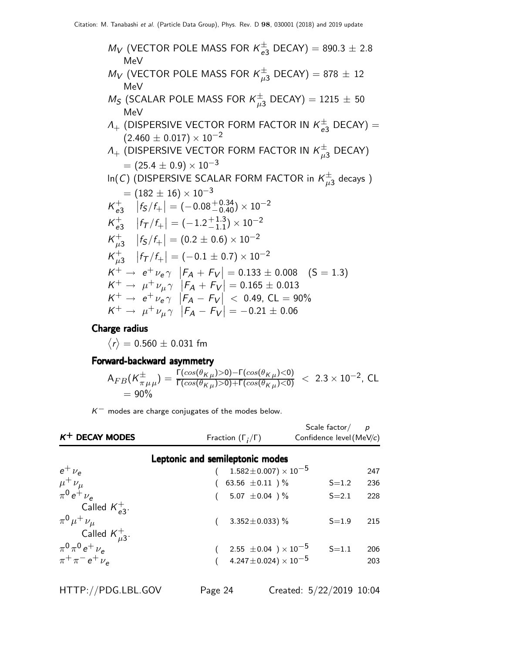$$
M_V (VECTOR POLE MASS FOR K_{e3}^{\pm} DECAY) = 890.3 \pm 2.8
$$
  
\n
$$
M_V (VECTOR POLE MASS FOR K_{\mu 3}^{\pm} DECAY) = 878 \pm 12
$$
  
\n
$$
M_S (SCALAR POLE MASS FOR K_{\mu 3}^{\pm} DECAY) = 1215 \pm 50
$$
  
\n
$$
M_{\pm} (DISPERSIVE VECTOR FORM FACTOR IN K_{e3}^{\pm} DECAY) =
$$
  
\n
$$
(2.460 \pm 0.017) \times 10^{-2}
$$
  
\n
$$
A_{+} (DISPERSIVE VECTOR FORM FACTOR IN K_{\mu 3}^{\pm} DECAY)
$$
  
\n
$$
= (25.4 \pm 0.9) \times 10^{-3}
$$
  
\n
$$
In(C) (DISPERSIVE SCALAR FORM FACTOR in K_{\mu 3}^{\pm} decays)
$$
  
\n
$$
= (182 \pm 16) \times 10^{-3}
$$
  
\n
$$
K_{e3}^{\pm} |f_5/f_+| = (-0.08_{-0.40}^{+0.34}) \times 10^{-2}
$$
  
\n
$$
K_{e3}^{\pm} |f_7/f_+| = (-1.2_{-1.1}^{+1.3}) \times 10^{-2}
$$
  
\n
$$
K_{\mu 3}^{\pm} |f_5/f_+| = (0.2 \pm 0.6) \times 10^{-2}
$$
  
\n
$$
K_{\mu 3}^{\pm} |f_5/f_+| = (-0.1 \pm 0.7) \times 10^{-2}
$$
  
\n
$$
K^{\pm} \rightarrow e^+ \nu_e \gamma |F_A + F_V| = 0.133 \pm 0.008 (S = 1.3)
$$
  
\n
$$
K^+ \rightarrow \mu^+ \nu_\mu \gamma |F_A + F_V| = 0.165 \pm 0.013
$$
  
\n
$$
K^+ \rightarrow \mu^+ \nu_\mu \gamma |F_A - F_V| < 0.49, CL = 90\%
$$
  
\n
$$
K^+ \rightarrow \mu^+ \nu_\mu \gamma |F_A - F_V| = -0.21 \pm 0.06
$$

Charge radius

 $\langle r \rangle =$  0.560  $\pm$  0.031 fm

#### Forward-backward asymmetry

$$
A_{FB}(K_{\pi\mu\mu}^{\pm}) = \frac{\Gamma(cos(\theta_{K\mu})>0)-\Gamma(cos(\theta_{K\mu})<0)}{\Gamma(cos(\theta_{K\mu})>0)+\Gamma(cos(\theta_{K\mu})<0)} < 2.3 \times 10^{-2}, \text{ CL}
$$
  
= 90%

 $K^-$  modes are charge conjugates of the modes below.

| $K^+$ DECAY MODES                            | Fraction $(\Gamma_i/\Gamma)$                | Scale factor $/$<br>Confidence level (MeV/c) | $\overline{p}$ |
|----------------------------------------------|---------------------------------------------|----------------------------------------------|----------------|
|                                              |                                             |                                              |                |
|                                              | Leptonic and semileptonic modes             |                                              |                |
| $e^+$ $\nu_e$                                | $1.582\!\pm\!0.007)\times10^{-5}$           |                                              | 247            |
| $\mu^{+}\nu_{\mu}$<br>$\pi^{0} e^{+}\nu_{e}$ | 63.56 $\pm 0.11$ ) %                        | $S = 1.2$                                    | 236            |
|                                              | 5.07 $\pm$ 0.04 ) $\%$                      | $S = 2.1$                                    | 228            |
| Called $K_{a3}^+$ .                          |                                             |                                              |                |
| $\pi^{0} \mu^{+} \nu_{\mu}$                  | 3.352 $\pm$ 0.033) %                        | $S = 1.9$                                    | 215            |
| Called $K_{\mu 3}^+$ .                       |                                             |                                              |                |
| $\pi^{0}\pi^{0}e^{+}\nu_{e}$                 | 2.55 $\pm$ 0.04 $\mathrm{)} \times 10^{-5}$ | $S = 1.1$                                    | 206            |
| $\pi^{+}\pi^{-}e^{+}\nu_{e}$                 | 4.247 $\pm$ 0.024) $\times$ 10 $^{-5}$      |                                              | 203            |
|                                              |                                             |                                              |                |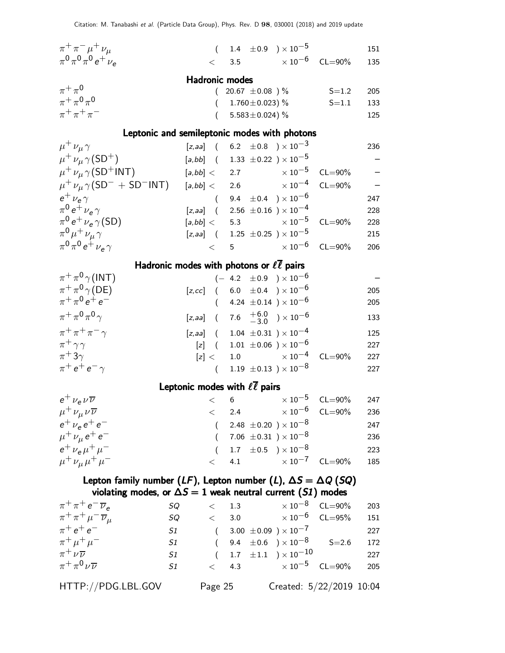| $\pi^+ \pi^- \mu^+ \nu_\mu$                                                                 |                       | $(1.4 \pm 0.9) \times 10^{-5}$                                         |                           |             | 151 |
|---------------------------------------------------------------------------------------------|-----------------------|------------------------------------------------------------------------|---------------------------|-------------|-----|
| $\pi^{0}\pi^{0}\pi^{0}e^{+}\nu_{e}$                                                         | $\lt$                 | 3.5 $\times 10^{-6}$                                                   |                           | $CL = 90\%$ | 135 |
|                                                                                             | <b>Hadronic modes</b> |                                                                        |                           |             |     |
| $\pi^+\pi^0$                                                                                | $\left($              | 20.67 $\pm$ 0.08 ) %                                                   |                           | $S = 1.2$   | 205 |
| $\pi^{+}\pi^{0}\pi^{0}$                                                                     |                       | $(1.760 \pm 0.023)\%$                                                  |                           | $S = 1.1$   | 133 |
| $\pi$ + $\pi$ + $\pi$ -                                                                     | $\left($              | 5.583 $\pm$ 0.024) %                                                   |                           |             | 125 |
| Leptonic and semileptonic modes with photons                                                |                       |                                                                        |                           |             |     |
| $\mu^+ \nu_\mu \gamma$                                                                      |                       | [ <i>z</i> , <i>aa</i> ] ( $6.2 \pm 0.8$ ) $\times 10^{-3}$            |                           |             | 236 |
| $\mu^+ \nu_\mu \gamma(SD^+)$                                                                |                       | $[a, bb]$ ( 1.33 $\pm 0.22$ ) $\times 10^{-5}$                         |                           |             |     |
| $\mu^+ \nu_\mu \gamma (SD^+INT)$                                                            |                       | $[a, bb] < 2.7$ $\times 10^{-5}$                                       |                           | $CL = 90\%$ |     |
| $\mu^+ \nu_\mu \gamma (\text{SD}^- + \text{SD}^- \text{INT})$ [a,bb] < 2.6 $\times 10^{-4}$ |                       |                                                                        |                           | $CL = 90\%$ |     |
| $e^+$ $\nu_e \gamma$                                                                        |                       | $(9.4~\pm 0.4~)\times 10^{-6}$                                         |                           |             | 247 |
| $\pi^0 e^+ \nu_e \gamma$                                                                    |                       | [ <i>z</i> , <i>aa</i> ] ( 2.56 $\pm$ 0.16 ) $\times$ 10 <sup>-4</sup> |                           |             | 228 |
| $\pi^0 e^+ \nu_e \gamma(SD)$                                                                |                       | $[a, bb] < 5.3 \times 10^{-5}$                                         |                           | $CL = 90\%$ | 228 |
| $\pi^0 \mu^+ \nu_\mu \gamma$                                                                |                       | [z,aa] $(1.25 \pm 0.25) \times 10^{-5}$                                |                           |             | 215 |
| $\pi^{0} \pi^{0} e^{+} \nu_{e} \gamma$                                                      |                       | $< 5$ $\times 10^{-6}$                                                 |                           | $CL = 90\%$ | 206 |
|                                                                                             |                       | Hadronic modes with photons or $\ell \overline{\ell}$ pairs            |                           |             |     |
| $\pi^+\pi^0\gamma$ (INT)                                                                    |                       | $(-4.2 \pm 0.9) \times 10^{-6}$                                        |                           |             |     |
| $\pi^+\pi^0\gamma$ (DE)                                                                     |                       | [z,cc] ( $6.0 \pm 0.4$ ) $\times 10^{-6}$                              |                           |             | 205 |
| $\pi^+ \pi^0 e^+ e^-$                                                                       |                       | $(4.24 \pm 0.14) \times 10^{-6}$                                       |                           |             | 205 |
| $\pi^+\pi^0\pi^0\gamma$                                                                     |                       | [z,aa] $(7.6 \tfrac{+6.0}{-3.0}) \times 10^{-6}$                       |                           |             | 133 |
| $\pi^+ \pi^+ \pi^- \gamma$                                                                  |                       | [ <i>z</i> , <i>aa</i> ] ( 1.04 $\pm$ 0.31 ) $\times$ 10 <sup>-4</sup> |                           |             | 125 |
| $\pi^+ \gamma \gamma$                                                                       |                       | $[z]$ ( 1.01 $\pm$ 0.06 ) × 10 <sup>-6</sup>                           |                           |             | 227 |
| $\pi^+3\gamma$                                                                              |                       | $[z] < 1.0 \times 10^{-4}$                                             |                           | $CL = 90\%$ | 227 |
| $\pi^+ e^+ e^- \gamma$                                                                      |                       | $(1.19 \pm 0.13) \times 10^{-8}$                                       |                           |             | 227 |
|                                                                                             |                       | Leptonic modes with $\ell \overline{\ell}$ pairs                       |                           |             |     |
| $e^{\pm} \nu_e \nu \overline{\nu}$                                                          |                       | $<$ 6 $\times 10^{-5}$ CL=90%                                          |                           |             | 247 |
| $\mu^+ \nu_\mu \nu \overline{\nu}$                                                          | $\lt$                 | 2.4                                                                    | $\times$ $10^{-6}$        | $CL = 90\%$ | 236 |
| $e^+$ $\nu_e$ $e^+$ $e^-$                                                                   | $\left($              | 2.48 $\pm$ 0.20 $) \times 10^{-8}$                                     |                           |             | 247 |
| $\mu^+ \nu_\mu e^+ e^-$                                                                     |                       | 7.06 $\pm$ 0.31 ) $\times$ 10 <sup>-8</sup>                            |                           |             | 236 |
| $e^{\mu} \nu_e \mu^+ \mu^-$                                                                 |                       | 1.7 $\pm 0.5$ $\times 10^{-8}$                                         |                           |             | 223 |
| $\mu^+ \nu_\mu \mu^+ \mu^-$                                                                 | $\,<\,$               | 4.1                                                                    | $\times$ 10 <sup>-7</sup> | $CL = 90\%$ | 185 |
| Lepton family number (LF), Lepton number (L), $\Delta S = \Delta Q$ (SQ)                    |                       |                                                                        |                           |             |     |
| violating modes, or $\Delta S = 1$ weak neutral current (S1) modes                          |                       |                                                                        |                           |             |     |
| $\pi^+ \pi^+ e^- \overline{\nu}_e$<br>SQ                                                    | $\lt$                 | 1.3                                                                    | $\times\,10^{-8}$         | $CL = 90\%$ | 203 |
| $\pi^+ \pi^+ \mu^- \overline{\nu}_\mu$<br>SQ                                                | $\lt$                 | 3.0                                                                    | $\times$ 10 $^{-6}$       | $CL = 95%$  | 151 |
| $\pi^+ e^+ e^-$<br>S1                                                                       | $\overline{(\ }$      | 3.00 $\pm$ 0.09 $) \times 10^{-7}$                                     |                           |             | 227 |
| $\pi^+ \mu^+ \mu^-$<br>S1                                                                   |                       | 9.4 $\pm 0.6$ ) $\times 10^{-8}$                                       |                           | $S = 2.6$   | 172 |

 $\pi$ 

 $\pi^+\pi$ 

 $+\nu \overline{\nu}$  51 ( 1.7  $\pm 1.1$  ) × 10<sup>-10</sup> 227

 $^{0}$  v  $\overline{v}$  51 < 4.3  $\times 10^{-5}$  CL=90% 205

HTTP://PDG.LBL.GOV Page 25 Created: 5/22/2019 10:04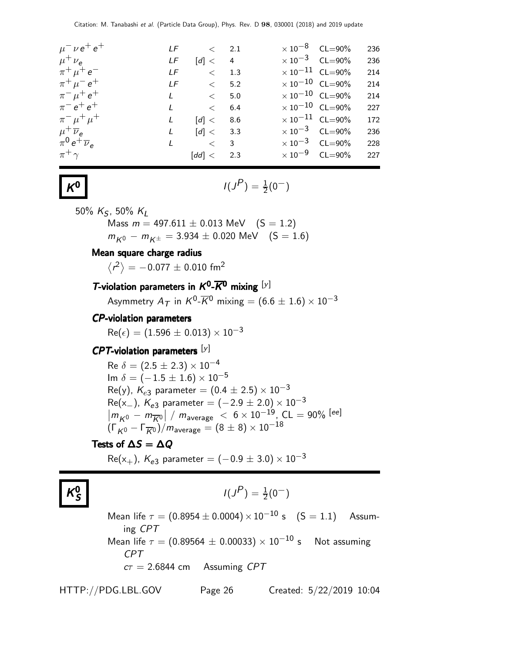| $\mu^{-} \nu e^{+} e^{+}$    |     | $LF \t\t < 2.1$                |                         | $\times$ 10 <sup>-8</sup> CL=90%  | 236 |
|------------------------------|-----|--------------------------------|-------------------------|-----------------------------------|-----|
| $\mu^+ \nu_{\rm e}$          | LF  | $\lceil d \rceil < 4$          |                         | $\times$ 10 <sup>-3</sup> CL=90%  | 236 |
| $\pi^+ \mu^+ e^-$            | LF. | $\langle$ 1.3                  |                         | $\times$ 10 <sup>-11</sup> CL=90% | 214 |
| $\pi^{+} \mu^{-} e^{+}$      | LF  | $\lt$ 5.2                      |                         | $\times 10^{-10}$ CL=90%          | 214 |
| $\pi^{-} \mu^{+} e^{+}$      |     | $L \qquad \qquad < \qquad 5.0$ |                         | $\times$ 10 $^{-10}$ CL=90%       | 214 |
| $\pi^{-} e^{+} e^{+}$        | L   | $\lt$ 6.4                      |                         | $\times$ 10 <sup>-10</sup> CL=90% | 227 |
| $\pi^{-} \mu^{+} \mu^{+}$    | L   | [d] < 8.6                      |                         | $\times$ 10 $^{-11}$ CL=90%       | 172 |
| $\mu^+ \overline{\nu}_e$     | L   | [d] < 3.3                      | $\times 10^{-3}$ CL=90% |                                   | 236 |
| $\pi^0 e^+ \overline{\nu}_e$ | L   | $\langle$ 3                    |                         | $\times$ 10 <sup>-3</sup> CL=90%  | 228 |
| $\pi^+ \gamma$               |     | $\text{[dd]} < 2.3$            |                         | $\times 10^{-9}$ CL=90% 227       |     |

K

$$
I(J^P) = \frac{1}{2}(0^-)
$$

50%  $K_S$ , 50%  $K_L$ 

Mass  $m = 497.611 \pm 0.013$  MeV  $(S = 1.2)$  $m_{K0} - m_{K\pm} = 3.934 \pm 0.020$  MeV  $(S = 1.6)$ 

#### Mean square charge radius

 $\left<\mathsf{r}^2\right>=-0.077\pm0.010\;\mathsf{fm}^2$ 

#### T-violation parameters in  $K^0$ - $\overline{K}{}^0$  mixing  $[\nu]$

Asymmetry  $A_{\mathcal{T}}$  in  $\mathcal{K}^0\text{-}\overline{\mathcal{K}}{}^0$  mixing  $= (6.6 \pm 1.6) \times 10^{-3}$ 

#### CP-violation parameters

 $Re(\epsilon) = (1.596 \pm 0.013) \times 10^{-3}$ 

#### $CPT$ -violation parameters  $[y]$

Re  $\delta = (2.5 \pm 2.3) \times 10^{-4}$ Im  $\delta = (-1.5 \pm 1.6) \times 10^{-5}$ Re(y),  $K_{e3}$  parameter =  $(0.4 \pm 2.5) \times 10^{-3}$  $Re(x_{-})$ ,  $K_{e3}$  parameter =  $(-2.9 \pm 2.0) \times 10^{-3}$  $\left|\frac{m_{K^0}-m_{\overline{K}^0}}{m_{\overline{K}^0}}\right|/m_{\text{average}} < 6 \times 10^{-19}, \text{CL} = 90\%$  [ee]  $(\Gamma_{K^0} - \Gamma_{\overline{K}0})/m_{\text{average}} = (8 \pm 8) \times 10^{-18}$ 

#### Tests of  $\Delta S = \Delta Q$

 $Re(x_{+})$ ,  $K_{e3}$  parameter =  $(-0.9 \pm 3.0) \times 10^{-3}$ 

$$
K_S^0
$$

$$
I(J^P) = \frac{1}{2}(0^-)
$$

Mean life  $\tau = (0.8954 \pm 0.0004) \times 10^{-10}$  s  $(S = 1.1)$  Assuming CPT Mean life  $\tau = (0.89564 \pm 0.00033) \times 10^{-10}$  s Not assuming CPT  $c\tau = 2.6844$  cm Assuming CPT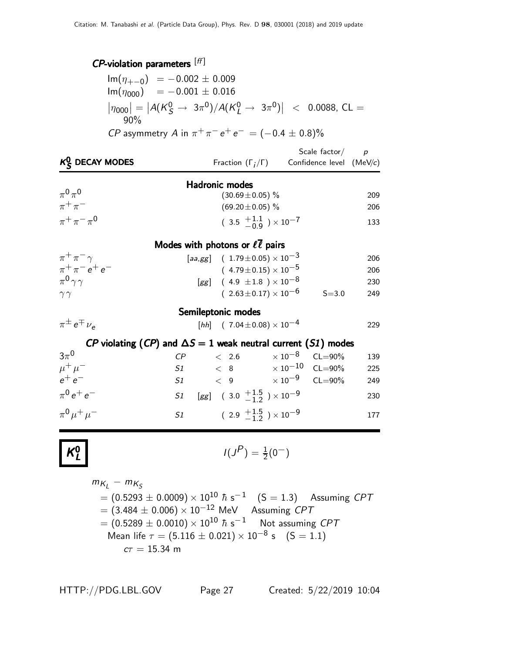### $\emph{CP}-$ violation parameters  $^{[ff]}$

| $\text{Im}(\eta_{+-0}) = -0.002 \pm 0.009$                                                                                      |
|---------------------------------------------------------------------------------------------------------------------------------|
| $\text{Im}(\eta_{000}) = -0.001 \pm 0.016$                                                                                      |
| $ \eta_{000}  =  A(K_{\mathcal{S}}^0 \rightarrow 3\pi^0)/A(K_{\mathcal{I}}^0 \rightarrow 3\pi^0)  \sim 0.0088$ , CL =<br>$90\%$ |
| <i>CP</i> asymmetry A in $\pi^{+} \pi^{-} e^{+} e^{-} = (-0.4 \pm 0.8)\%$                                                       |

| $K_{\mathcal{S}}^0$ DECAY MODES                                      |                                        |       | Fraction $(\Gamma_i/\Gamma)$                   |                     | Scale factor/ $p$<br>Confidence level (MeV/c)                      |     |
|----------------------------------------------------------------------|----------------------------------------|-------|------------------------------------------------|---------------------|--------------------------------------------------------------------|-----|
|                                                                      | <b>Hadronic modes</b>                  |       |                                                |                     |                                                                    |     |
| $\pi^0\pi^0$                                                         |                                        |       | $(30.69 \pm 0.05)\%$                           |                     |                                                                    | 209 |
| $\pi^+\pi^-$                                                         |                                        |       | $(69.20 \pm 0.05)$ %                           |                     |                                                                    | 206 |
| $\pi^{+}\pi^{-}\pi^{0}$                                              |                                        |       | $(3.5 \tfrac{+1.1}{-0.9}) \times 10^{-7}$      |                     |                                                                    | 133 |
|                                                                      | Modes with photons or $\ell\ell$ pairs |       |                                                |                     |                                                                    |     |
| $\pi^+\pi^-\gamma$                                                   |                                        |       | [aa,gg] $(1.79 \pm 0.05) \times 10^{-3}$       |                     |                                                                    | 206 |
| $\pi^{+}\pi^{-}e^{+}e^{-}$                                           |                                        |       | $(4.79 \pm 0.15) \times 10^{-5}$               |                     |                                                                    | 206 |
| $\pi^0 \gamma \gamma$                                                |                                        |       | [gg] $(4.9 \pm 1.8) \times 10^{-8}$            |                     |                                                                    | 230 |
| $\gamma\gamma$                                                       |                                        |       | $(2.63 \pm 0.17) \times 10^{-6}$               |                     | $S = 3.0$                                                          | 249 |
|                                                                      | Semileptonic modes                     |       |                                                |                     |                                                                    |     |
| $\pi^{\pm} e^{\mp} \nu_{\alpha}$                                     |                                        |       | [hh] $(7.04 \pm 0.08) \times 10^{-4}$          |                     |                                                                    | 229 |
| CP violating (CP) and $\Delta S = 1$ weak neutral current (S1) modes |                                        |       |                                                |                     |                                                                    |     |
| $3\pi^0$                                                             | $\mathcal{C}P$                         | < 2.6 |                                                | $\times$ 10 $^{-8}$ | $CL = 90\%$                                                        | 139 |
| $\mu^+ \mu^-$                                                        |                                        |       |                                                |                     | $51 \qquad < 8 \qquad \qquad \times 10^{-10} \quad \text{CL=90\%}$ | 225 |
| $e^+e^-$                                                             |                                        |       |                                                |                     | 51 < 9 $\times 10^{-9}$ CL=90%                                     | 249 |
| $\pi^{0}e^{+}e^{-}$                                                  | S1                                     |       | [gg] $(3.0 \tfrac{+1.5}{-1.2}) \times 10^{-9}$ |                     |                                                                    | 230 |
| $\pi^{0} \mu^{+} \mu^{-}$                                            | S1                                     |       | $(2.9 \tfrac{+1.5}{-1.2}) \times 10^{-9}$      |                     |                                                                    | 177 |

$$
K^0_L
$$

$$
I(J^P) = \frac{1}{2}(0^-)
$$

$$
m_{K_L} - m_{K_S}
$$
  
= (0.5293 ± 0.0009) × 10<sup>10</sup>  $\hbar$  s<sup>-1</sup> (S = 1.3) Assuming CPT  
= (3.484 ± 0.006) × 10<sup>-12</sup> MeV Assuming CPT  
= (0.5289 ± 0.0010) × 10<sup>10</sup>  $\hbar$  s<sup>-1</sup> Not assuming CPT  
Mean life  $\tau$  = (5.116 ± 0.021) × 10<sup>-8</sup> s (S = 1.1)  
 $c\tau$  = 15.34 m

HTTP://PDG.LBL.GOV Page 27 Created: 5/22/2019 10:04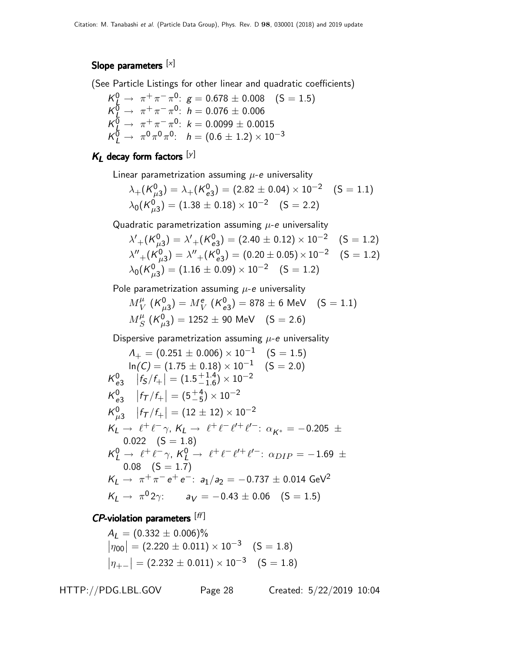#### Slope parameters [x]

(See Particle Listings for other linear and quadratic coefficients)

$$
K_L^0 \rightarrow \pi^+ \pi^- \pi^0: g = 0.678 \pm 0.008 \quad (S = 1.5)
$$
  
\n
$$
K_L^0 \rightarrow \pi^+ \pi^- \pi^0: h = 0.076 \pm 0.006
$$
  
\n
$$
K_L^0 \rightarrow \pi^+ \pi^- \pi^0: k = 0.0099 \pm 0.0015
$$
  
\n
$$
K_L^0 \rightarrow \pi^0 \pi^0 \pi^0: h = (0.6 \pm 1.2) \times 10^{-3}
$$

### $K_L$  decay form factors  $[y]$

Linear parametrization assuming  $\mu$ -e universality

$$
\lambda_{+}(\mathcal{K}_{\mu3}^{0}) = \lambda_{+}(\mathcal{K}_{e3}^{0}) = (2.82 \pm 0.04) \times 10^{-2} \quad (S = 1.1)
$$
  

$$
\lambda_{0}(\mathcal{K}_{\mu3}^{0}) = (1.38 \pm 0.18) \times 10^{-2} \quad (S = 2.2)
$$

Quadratic parametrization assuming  $\mu$ -e universality

$$
\lambda'_{+} (K_{\mu 3}^{0}) = \lambda'_{+} (K_{e3}^{0}) = (2.40 \pm 0.12) \times 10^{-2} \quad (S = 1.2)
$$
  

$$
\lambda''_{+} (K_{\mu 3}^{0}) = \lambda''_{+} (K_{e3}^{0}) = (0.20 \pm 0.05) \times 10^{-2} \quad (S = 1.2)
$$
  

$$
\lambda_{0} (K_{\mu 3}^{0}) = (1.16 \pm 0.09) \times 10^{-2} \quad (S = 1.2)
$$

Pole parametrization assuming  $\mu$ -e universality

$$
M_V^{\mu} (K_{\mu 3}^0) = M_V^e (K_{e3}^0) = 878 \pm 6 \text{ MeV} \quad (S = 1.1)
$$
  

$$
M_S^{\mu} (K_{\mu 3}^0) = 1252 \pm 90 \text{ MeV} \quad (S = 2.6)
$$

Dispersive parametrization assuming  $\mu$ -e universality

$$
\Lambda_{+} = (0.251 \pm 0.006) \times 10^{-1} \quad (S = 1.5)
$$
\n
$$
\ln(C) = (1.75 \pm 0.18) \times 10^{-1} \quad (S = 2.0)
$$
\n
$$
\mathcal{K}_{e3}^{0} \quad |f_{S}/f_{+}| = (1.5^{+1.4}_{-1.6}) \times 10^{-2}
$$
\n
$$
\mathcal{K}_{e3}^{0} \quad |f_{T}/f_{+}| = (5^{+4}_{-5}) \times 10^{-2}
$$
\n
$$
\mathcal{K}_{\mu3}^{0} \quad |f_{T}/f_{+}| = (12 \pm 12) \times 10^{-2}
$$
\n
$$
\mathcal{K}_{L} \rightarrow \ell^{+} \ell^{-} \gamma, \, \mathcal{K}_{L} \rightarrow \ell^{+} \ell^{-} \ell^{+} \ell^{'} \text{ : } \alpha_{K^{*}} = -0.205 \pm 0.022 \quad (S = 1.8)
$$
\n
$$
\mathcal{K}_{L}^{0} \rightarrow \ell^{+} \ell^{-} \gamma, \, \mathcal{K}_{L}^{0} \rightarrow \ell^{+} \ell^{-} \ell^{'} \text{ : } \alpha_{DIP} = -1.69 \pm 0.08 \quad (S = 1.7)
$$
\n
$$
\mathcal{K}_{L} \rightarrow \pi^{+} \pi^{-} e^{+} e^{-} \text{ : } a_{1}/a_{2} = -0.737 \pm 0.014 \text{ GeV}^{2}
$$
\n
$$
\mathcal{K}_{L} \rightarrow \pi^{0} 2\gamma \text{ : } a_{V} = -0.43 \pm 0.06 \quad (S = 1.5)
$$

#### $\mathsf{CP}\text{-}$ violation parameters  $^{[ff]}$

$$
A_L = (0.332 \pm 0.006)\%
$$
  
\n
$$
|\eta_{00}| = (2.220 \pm 0.011) \times 10^{-3} \quad (S = 1.8)
$$
  
\n
$$
|\eta_{+-}| = (2.232 \pm 0.011) \times 10^{-3} \quad (S = 1.8)
$$

HTTP://PDG.LBL.GOV Page 28 Created: 5/22/2019 10:04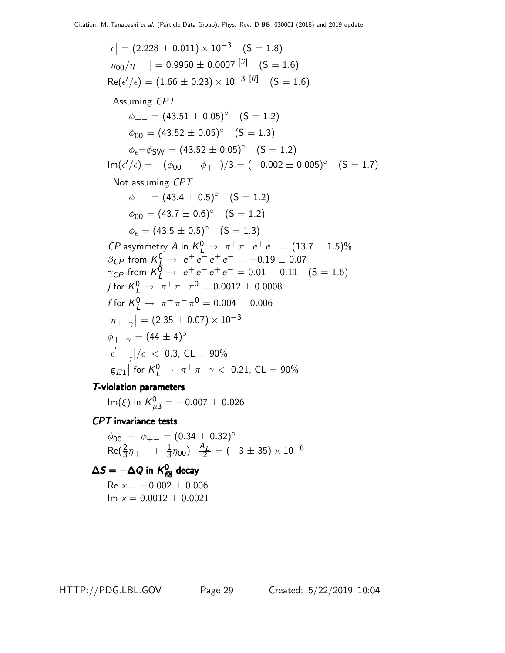$\left|\epsilon\right| = (2.228 \pm 0.011) \times 10^{-3} \quad (\text{S} = 1.8)$  $|\eta_{00}/\eta_{+-}| = 0.9950 \pm 0.0007$ <sup>[ii]</sup> (S = 1.6)  $\mathsf{Re}(\epsilon'/\epsilon) = (1.66 \pm 0.23) \times 10^{-3}$   $[\textit{ii}]\quad \text{(S = 1.6)}$ Assuming CPT  $\phi_{+-} = (43.51 \pm 0.05)^{\circ}$   $(S = 1.2)$  $\phi_{00} = (43.52 \pm 0.05)^{\circ}$  (S = 1.3)  $\phi_{\epsilon} = \phi_{SW} = (43.52 \pm 0.05)^{\circ}$  (S = 1.2)  $\mathsf{Im}(\epsilon'/\epsilon) = -(\phi_{00} - \phi_{+-})/3 = (-0.002 \pm 0.005)^\circ$  (S = 1.7) Not assuming CPT  $\phi_{+-} = (43.4 \pm 0.5)^{\circ}$  (S = 1.2)  $\phi_{00} = (43.7 \pm 0.6)^{\circ}$   $(S = 1.2)$  $\phi_{\epsilon} = (43.5 \pm 0.5)^{\circ}$   $(S = 1.3)$ *CP* asymmetry *A* in  $K^0_L \rightarrow \pi^+ \pi^- e^+ e^- = (13.7 \pm 1.5)\%$  $\beta_{CP}$  from  $\mathcal{K}_{\frac{L}{2}}^0 \rightarrow e^+e^-e^+e^- = -0.19 \pm 0.07$  $\gamma_{CP}$  from  $K^{\overline{0}}_L \rightarrow e^+e^-e^+e^- = 0.01 \pm 0.11$  (S = 1.6) j for  ${\cal K}_L^0 \rightarrow \ \pi^+ \pi^- \pi^0 = 0.0012 \pm 0.0008$ f for  $K^0_L \to \pi^+ \pi^- \pi^0 = 0.004 \pm 0.006$  $\left|\eta_{+-\gamma}\right| = (2.35 \pm 0.07) \times 10^{-3}$  $\phi_{+-\gamma} = (44 \pm 4)^{\circ}$  $|\epsilon'_{+ - \gamma}| / \epsilon \ < 0.3$ , CL = 90%  $\left| \mathrm{g}_{E1} \right|$  for  $K^0_L \rightarrow \pi^+ \pi^- \gamma < 0.21$ , CL = 90% T-violation parameters

 ${\sf Im}(\xi)$  in  ${\sf K}^0_{\mu3}=-0.007\pm0.026$ 

CPT invariance tests

 $\phi_{00} - \phi_{+-} = (0.34 \pm 0.32)$ °  $Re(\frac{2}{3}\eta_{+-} + \frac{1}{3})$  $(\frac{1}{3}\eta_{00}){-}\frac{A_L}{2}=(-3\pm35)\times10^{-6}$ 

 $\Delta S = -\Delta Q$  in  $K^0_{\ell 3}$  decay

 $Re x = -0.002 \pm 0.006$  $Im x = 0.0012 \pm 0.0021$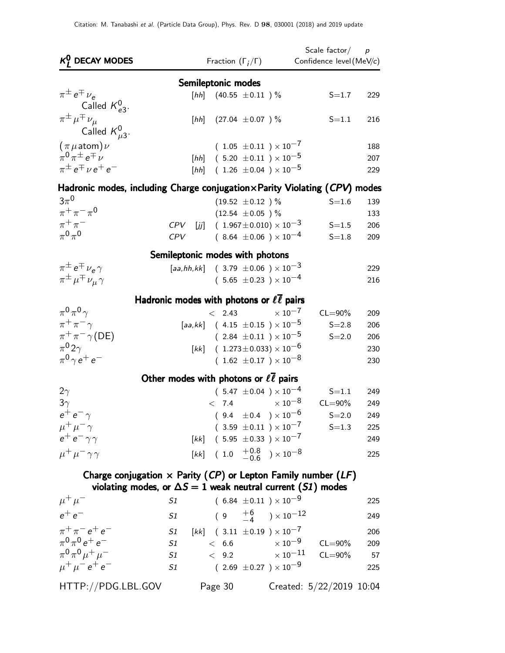| $K_I^0$ DECAY MODES                                                                                                                        |                                                         | Fraction $(\Gamma_i/\Gamma)$          |                      |                                                                                             | Scale factor $p$<br>Confidence level (MeV/c) |            |
|--------------------------------------------------------------------------------------------------------------------------------------------|---------------------------------------------------------|---------------------------------------|----------------------|---------------------------------------------------------------------------------------------|----------------------------------------------|------------|
|                                                                                                                                            |                                                         | Semileptonic modes                    |                      |                                                                                             |                                              |            |
| $\pi^{\pm} e^{\mp} \nu_e$                                                                                                                  |                                                         | [hh] $(40.55 \pm 0.11)$ %             |                      |                                                                                             | $S = 1.7$                                    | 229        |
| Called $K_{e3}^0$ .<br>$\pi^{\pm} \mu^{\mp} \nu_{\mu}$                                                                                     |                                                         | [hh] $(27.04 \pm 0.07)$ %             |                      |                                                                                             | $S = 1.1$                                    | 216        |
| Called $K_{\mu 3}^0$ .                                                                                                                     |                                                         |                                       |                      |                                                                                             |                                              |            |
| $(\pi \mu \text{atom}) \nu$                                                                                                                |                                                         |                                       |                      | $(1.05 \pm 0.11) \times 10^{-7}$                                                            |                                              | 188        |
| $\pi^0 \pi^{\pm} e^{\mp} \nu$                                                                                                              |                                                         |                                       |                      | [hh] $(5.20 \pm 0.11) \times 10^{-5}$                                                       |                                              | 207        |
| $\pi^{\pm}e^{\mp}$ $\nu e^+e^-$                                                                                                            |                                                         | [hh] $(1.26 \pm 0.04) \times 10^{-5}$ |                      |                                                                                             |                                              | 229        |
| Hadronic modes, including Charge conjugation $\times$ Parity Violating (CPV) modes                                                         |                                                         |                                       |                      |                                                                                             |                                              |            |
| $3\pi^0$                                                                                                                                   |                                                         |                                       | $(19.52 \pm 0.12)$ % |                                                                                             | $S = 1.6$                                    | 139        |
| $\pi^{+}\pi^{-}\pi^{0}$<br>$\pi^+\pi^-$                                                                                                    |                                                         |                                       | $(12.54 \pm 0.05)$ % |                                                                                             |                                              | 133        |
| $\pi^0\pi^0$                                                                                                                               | $\mathsf{CPV}$<br><b>CPV</b>                            |                                       |                      | [ <i>jj</i> ] $(1.967 \pm 0.010) \times 10^{-3}$<br>$(8.64 \pm 0.06) \times 10^{-4}$        | $S = 1.5$<br>$S = 1.8$                       | 206<br>209 |
|                                                                                                                                            |                                                         |                                       |                      |                                                                                             |                                              |            |
|                                                                                                                                            | Semileptonic modes with photons                         |                                       |                      |                                                                                             |                                              |            |
| $\pi^{\pm} e^{\mp} \nu_e \gamma$<br>$\pi^{\pm} \mu^{\mp} \nu_{\mu} \gamma$                                                                 | [aa,hh,kk] (3.79 $\pm$ 0.06 ) $\times$ 10 <sup>-3</sup> |                                       |                      | $(5.65 \pm 0.23) \times 10^{-4}$                                                            |                                              | 229        |
|                                                                                                                                            |                                                         |                                       |                      |                                                                                             |                                              | 216        |
|                                                                                                                                            | Hadronic modes with photons or $\ell\ell$ pairs         |                                       |                      |                                                                                             |                                              |            |
| $\pi^0 \pi^0 \gamma$                                                                                                                       |                                                         |                                       |                      | $< 2.43 \times 10^{-7}$                                                                     | $CL = 90\%$                                  | 209        |
| $\pi^+\pi^-\gamma$                                                                                                                         |                                                         |                                       |                      | [aa,kk] $(4.15 \pm 0.15) \times 10^{-5}$                                                    | $S = 2.8$                                    | 206        |
| $\pi^+\pi^-\gamma$ (DE)<br>$\pi^0 2\gamma$                                                                                                 |                                                         |                                       |                      | $(2.84 \pm 0.11) \times 10^{-5}$                                                            | $S = 2.0$                                    | 206        |
| $\pi^0 \gamma e^+ e^-$                                                                                                                     |                                                         |                                       |                      | $[kk]$ ( 1.273 ± 0.033) × 10 <sup>-6</sup><br>$(1.62 \pm 0.17) \times 10^{-8}$              |                                              | 230<br>230 |
|                                                                                                                                            |                                                         |                                       |                      |                                                                                             |                                              |            |
|                                                                                                                                            | Other modes with photons or $\ell\ell$ pairs            |                                       |                      |                                                                                             |                                              |            |
| $2\gamma$<br>$3\gamma$                                                                                                                     |                                                         | < 7.4                                 |                      | $(5.47 \pm 0.04) \times 10^{-4}$<br>$\times$ 10 $^{-8}$                                     | $S = 1.1$<br>$CL = 90\%$                     | 249<br>249 |
| $e^+e^-\gamma$                                                                                                                             |                                                         |                                       |                      | $(9.4 \pm 0.4) \times 10^{-6}$                                                              | $S = 2.0$                                    | 249        |
| $\mu^+ \mu^- \gamma$                                                                                                                       |                                                         |                                       |                      | $(3.59 \pm 0.11) \times 10^{-7}$                                                            | $S = 1.3$                                    | 225        |
| $e^+e^-\gamma\gamma$                                                                                                                       |                                                         |                                       |                      | $[kk]$ (5.95 ± 0.33 ) $\times 10^{-7}$                                                      |                                              | 249        |
| $\mu^+ \mu^- \gamma \gamma$                                                                                                                |                                                         |                                       |                      | $[kk]$ (1.0 $\frac{+0.8}{-0.6}$ ) × 10 <sup>-8</sup>                                        |                                              | 225        |
|                                                                                                                                            |                                                         |                                       |                      |                                                                                             |                                              |            |
| Charge conjugation $\times$ Parity (CP) or Lepton Family number (LF)<br>violating modes, or $\Delta S = 1$ weak neutral current (S1) modes |                                                         |                                       |                      |                                                                                             |                                              |            |
| $\mu^+ \mu^-$                                                                                                                              | S1                                                      |                                       |                      | $(6.84 \pm 0.11) \times 10^{-9}$                                                            |                                              | 225        |
| $e^+e^-$                                                                                                                                   | S1                                                      |                                       |                      | $(\begin{array}{ccc} 9 & \begin{array}{c} +6 \ -4 \end{array} \end{array}) \times 10^{-12}$ |                                              | 249        |
| $\pi^+ \pi^- e^+ e^-$                                                                                                                      | S1                                                      |                                       |                      | $[kk]$ (3.11 $\pm 0.19$ ) $\times 10^{-7}$                                                  |                                              | 206        |
| $\pi^{0}\pi^{0}e^{+}e^{-}$                                                                                                                 | S1                                                      | < 6.6                                 |                      | $\times$ 10 $^{-9}$                                                                         | $CL = 90\%$                                  | 209        |
| $\pi^{0}\pi^{0}\mu^{+}\mu^{-}$                                                                                                             | S1                                                      | < 9.2                                 |                      | $\times$ 10 $^{-11}$                                                                        | $CL = 90\%$                                  | 57         |
| $\mu^+ \mu^- e^+ e^-$                                                                                                                      | S1                                                      |                                       |                      | $($ 2.69 $\pm$ 0.27 $)\times10^{-9}$                                                        |                                              | 225        |
| HTTP://PDG.LBL.GOV                                                                                                                         |                                                         | Page 30                               |                      |                                                                                             | Created: 5/22/2019 10:04                     |            |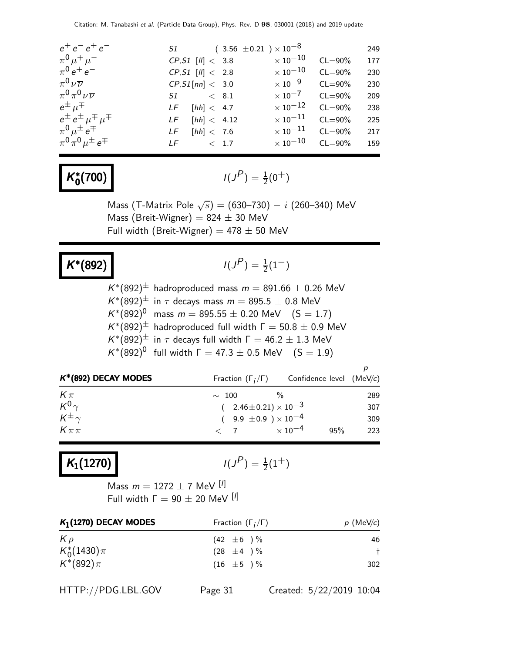| $e^+e^-e^+e^-$                           |                          | $51$ $(3.56 \pm 0.21) \times 10^{-8}$ |                      |             | 249 |
|------------------------------------------|--------------------------|---------------------------------------|----------------------|-------------|-----|
| $\pi^{0} \mu^{+} \mu^{-}$                | $CP, S1$ $ 11  < 3.8$    |                                       | $\times$ 10 $^{-10}$ | $CL = 90\%$ | 177 |
| $\pi^{0} e^{+} e^{-}$                    | $CP, S1$ $  1  < 2.8$    |                                       | $\times$ 10 $^{-10}$ | $CL = 90\%$ | 230 |
| $\pi^0\nu\overline{\nu}$                 | $CP, S1$ [nn] < 3.0      |                                       | $\times$ 10 $^{-9}$  | $CL = 90\%$ | 230 |
| $\pi^0 \pi^0 \nu \overline{\nu}$         | $S1 \qquad \qquad < 8.1$ |                                       | $\times$ 10 $^{-7}$  | $CL = 90\%$ | 209 |
| $e^{\pm}$ $\mu^{\mp}$                    | $LF$ [hh] < 4.7          |                                       | $\times$ 10 $^{-12}$ | $CL = 90\%$ | 238 |
| $e^{\pm}e^{\pm}$ $\mu^{\mp}$ $\mu^{\mp}$ | [hh] < 4.12<br>LF        |                                       | $\times$ 10 $^{-11}$ | $CL = 90\%$ | 225 |
| $\pi^0 \mu^{\pm} e^{\mp}$                | $LF$ [hh] < 7.6          |                                       | $\times$ 10 $^{-11}$ | $CL = 90\%$ | 217 |
| $\pi^{0}\pi^{0}\mu^{\pm}e^{\mp}$         | $LF \t\t < 1.7$          |                                       | $\times$ 10 $^{-10}$ | $CL = 90\%$ | 159 |
|                                          |                          |                                       |                      |             |     |

#### K ∗  $\binom{1}{0}$   $(1)$

$$
I(J^P) = \frac{1}{2}(0^+)
$$

Mass (T-Matrix Pole  $\sqrt{s})=(630\text{--}730)-i$  (260–340) MeV Mass (Breit-Wigner) =  $824 \pm 30$  MeV Full width (Breit-Wigner) =  $478 \pm 50$  MeV

### $K^*(892)$   $1(J$

$$
I(J^P) = \frac{1}{2}(1^-)
$$

| $K^*(892)^{\pm}$ hadroproduced mass $m = 891.66 \pm 0.26$ MeV            |
|--------------------------------------------------------------------------|
| $K^*(892)^{\pm}$ in $\tau$ decays mass $m = 895.5 \pm 0.8$ MeV           |
| $K^*(892)^0$ mass $m = 895.55 \pm 0.20$ MeV $(S = 1.7)$                  |
| $K^*(892)^{\pm}$ hadroproduced full width $\Gamma = 50.8 \pm 0.9$ MeV    |
| $K^*(892)^{\pm}$ in $\tau$ decays full width $\Gamma = 46.2 \pm 1.3$ MeV |
| $K^*(892)^0$ full width $\Gamma = 47.3 \pm 0.5$ MeV $(S = 1.9)$          |

| $K^*(892)$ DECAY MODES |                                | Fraction $(\Gamma_i/\Gamma)$ Confidence level (MeV/c) |     |
|------------------------|--------------------------------|-------------------------------------------------------|-----|
| $K\pi$                 | $\sim$ 100                     |                                                       | 289 |
| $K^0\gamma$            | $(2.46\pm0.21)\times10^{-3}$   |                                                       | 307 |
| $K^{\pm}$              | $(9.9 \pm 0.9) \times 10^{-4}$ |                                                       | 309 |
| $K\pi\pi$              | $< 7$ $\times 10^{-4}$         | 95%                                                   | 223 |

# $K_1(1270)$

$$
I(J^P) = \frac{1}{2}(1^+)
$$

Mass  $m = 1272 \pm 7$  MeV [<sup>I</sup>] Full width  $Γ = 90 ± 20$  MeV [ $I$ ]

| Fraction $(\Gamma_i/\Gamma)$ | $p$ (MeV/c) |  |
|------------------------------|-------------|--|
| $(42 \pm 6) \%$              | 46          |  |
| $(28 \pm 4) \%$              |             |  |
| $(16 \pm 5) \%$              | 302         |  |
|                              |             |  |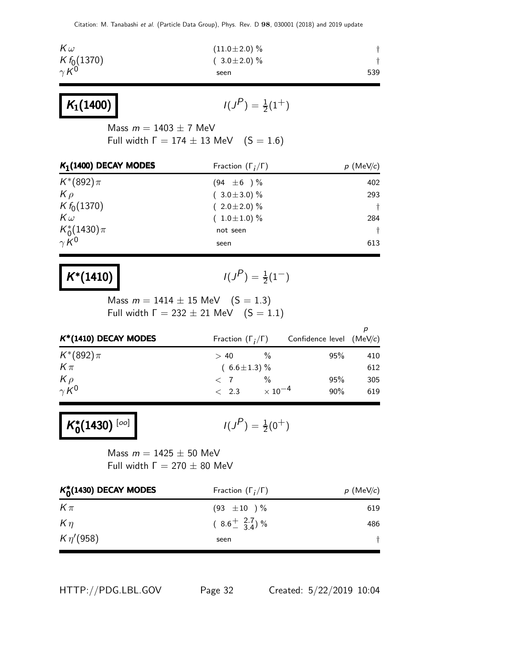Citation: M. Tanabashi et al. (Particle Data Group), Phys. Rev. D 98, 030001 (2018) and 2019 update

| $K f_0(1370)$<br>$\gamma K^0$<br>$K_1(1400)$                                                              | $(3.0 \pm 2.0)$ %<br>seen<br>$I(J^P) = \frac{1}{2}(1^+)$                                           | $\dagger$<br>539                                    |
|-----------------------------------------------------------------------------------------------------------|----------------------------------------------------------------------------------------------------|-----------------------------------------------------|
|                                                                                                           |                                                                                                    |                                                     |
|                                                                                                           |                                                                                                    |                                                     |
| Mass $m = 1403 \pm 7$ MeV<br>Full width $\Gamma = 174 \pm 13$ MeV $(S = 1.6)$                             |                                                                                                    |                                                     |
| $K_1(1400)$ DECAY MODES                                                                                   | Fraction $(\Gamma_i/\Gamma)$                                                                       | $p \text{ (MeV/c)}$                                 |
| $K^*(892)\pi$<br>$K \rho$<br>$K f_0(1370)$<br>$K\omega$<br>$K_0^*(1430)\pi$<br>$\gamma K^0$               | $(94 \pm 6) \%$<br>$(3.0 \pm 3.0)$ %<br>$(2.0 \pm 2.0)$ %<br>$(1.0 \pm 1.0)$ %<br>not seen<br>seen | 402<br>293<br>$\dagger$<br>284<br>$\ddagger$<br>613 |
| $K^*(1410)$<br>Mass $m = 1414 \pm 15$ MeV $(S = 1.3)$<br>Full width $\Gamma = 232 \pm 21$ MeV $(S = 1.1)$ | $I(J^P) = \frac{1}{2}(1^-)$                                                                        |                                                     |
| $K^*(1410)$ DECAY MODES                                                                                   | Fraction $(\Gamma_i/\Gamma)$                                                                       | p<br>Confidence level<br>(MeV/c)                    |
| $K^*(892)\pi$<br>$K\pi$<br>$K \rho$<br>$\gamma K^0$                                                       | $\%$<br>>40<br>$(6.6 \pm 1.3)$ %<br>$\%$<br>$\langle 7$<br>$< 2.3 \times 10^{-4}$                  | 95%<br>410<br>612<br>95%<br>305<br>90%<br>619       |
| $K_0^*(1430)$ [oo]                                                                                        | $I(J^{P}) = \frac{1}{2}(0^{+})$                                                                    |                                                     |
| Mass $m = 1425 \pm 50$ MeV<br>Full width $\Gamma = 270 \pm 80$ MeV                                        |                                                                                                    |                                                     |
| $K_0^*(1430)$ DECAY MODES                                                                                 | Fraction $(\Gamma_i/\Gamma)$                                                                       | $p$ (MeV/c)                                         |
| $K\pi$<br>$K\eta$<br>$K\eta' (958)$                                                                       | $(93 \pm 10) \%$<br>$(8.6 \frac{+}{-} \frac{2.7}{3.4})$ %<br>seen                                  | 619<br>486<br>t                                     |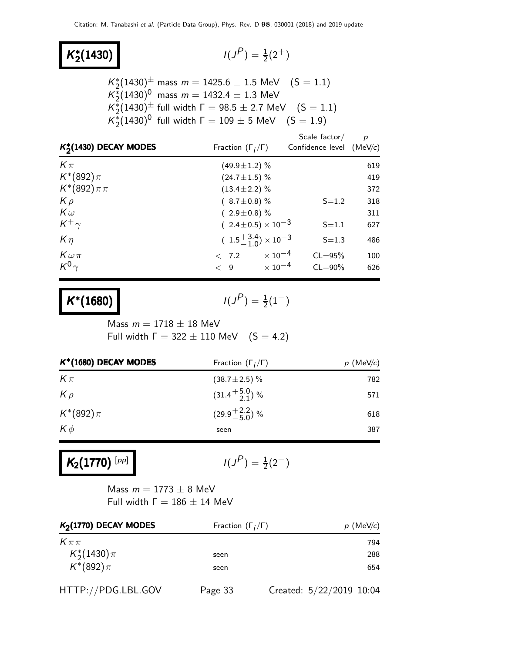#### K ∗ **2**(1430)  $\vert$  (*J*

$$
I(J^P) = \frac{1}{2}(2^+)
$$

 $K_2^*(1430)^{\pm}$  mass  $m = 1425.6 \pm 1.5$  MeV  $(S = 1.1)$  $\overline{K_2^*}(1430)^0$  mass  $m=1432.4\pm1.3$  MeV  $K_2^*(1430)$ <sup>±</sup> full width  $\Gamma = 98.5 \pm 2.7$  MeV (S = 1.1)  $K_2^*(1430)^0$  full width  $\Gamma = 109 \pm 5$  MeV  $(S = 1.9)$ 

| $K_{2}^{*}(1430)$ DECAY MODES | Fraction $(\Gamma_i/\Gamma)$            | Scale factor/<br>Confidence level (MeV/c) | p   |
|-------------------------------|-----------------------------------------|-------------------------------------------|-----|
| $K\pi$                        | $(49.9 \pm 1.2)$ %                      |                                           | 619 |
| $K^*(892)\pi$                 | $(24.7 \pm 1.5)\%$                      |                                           | 419 |
| $K^*(892)\pi\pi$              | $(13.4 \pm 2.2)\%$                      |                                           | 372 |
| $K \rho$                      | $(8.7 \pm 0.8)\%$                       | $S = 1.2$                                 | 318 |
| $K\omega$                     | $(2.9 \pm 0.8)$ %                       |                                           | 311 |
| $K^+\gamma$                   | $(2.4 \pm 0.5) \times 10^{-3}$          | $S = 1.1$                                 | 627 |
| $K\eta$                       | $(1.5\frac{+3.4}{-1.0}) \times 10^{-3}$ | $S = 1.3$                                 | 486 |
| $K\omega\pi$                  | $\times$ 10 $^{-4}$<br>< 7.2            | $CL = 95%$                                | 100 |
| $K^0\gamma$                   | $\times$ 10 $^{-4}$<br>$\lt$ 9          | $CL = 90\%$                               | 626 |

$$
K^*(1680) \qquad \qquad I(J^P) = \frac{1}{2}(1^-)
$$

Mass  $m = 1718 \pm 18$  MeV Full width  $\Gamma = 322 \pm 110$  MeV  $(S = 4.2)$ 

| $K^*(1680)$ DECAY MODES | Fraction $(\Gamma_i/\Gamma)$ | $p$ (MeV/c) |
|-------------------------|------------------------------|-------------|
| $K\pi$                  | $(38.7 \pm 2.5)\%$           | 782         |
| $K \rho$                | $(31.4 + 5.0)$ %             | 571         |
| $K^*(892)\pi$           | $(29.9 + \frac{2.2}{5.0})$ % | 618         |
| $K\phi$                 | seen                         | 387         |
|                         |                              |             |

## $K_2(1770)^{[pp]}$

$$
I(J^P) = \frac{1}{2}(2^-)
$$

Mass  $m = 1773 \pm 8$  MeV Full width  $Γ = 186 ± 14$  MeV

| $K2(1770)$ DECAY MODES | Fraction $(\Gamma_i/\Gamma)$ | $p$ (MeV/c)              |
|------------------------|------------------------------|--------------------------|
| $K\pi\pi$              |                              | 794                      |
| $K_2^*(1430)\pi$       | seen                         | 288                      |
| $K^*(892)\pi$          | seen                         | 654                      |
| HTTP://PDG.LBL.GOV     | Page 33                      | Created: 5/22/2019 10:04 |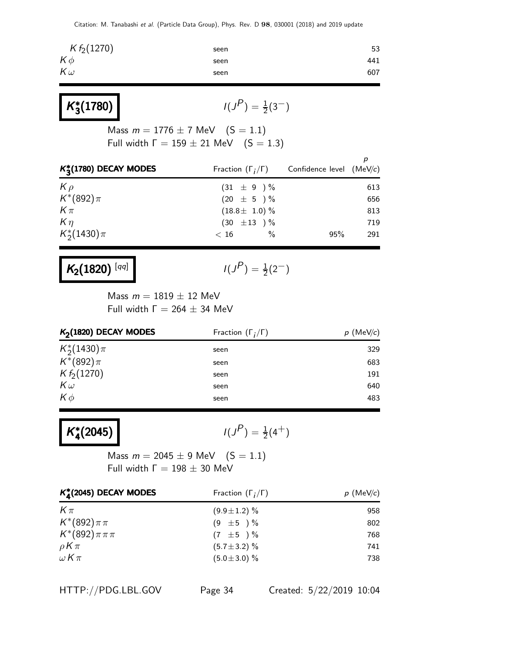| $K f_2(1270)$ | seen | 53  |
|---------------|------|-----|
| $K\phi$       | seen | 441 |
| $K\omega$     | seen | 607 |

| $K_3^*(1780)$ |  |
|---------------|--|
|---------------|--|

 $P$ ) =  $\frac{1}{2}(3^{-})$ 

Mass  $m = 1776 \pm 7$  MeV  $(S = 1.1)$ Full width  $\Gamma = 159 \pm 21$  MeV  $(S = 1.3)$ 

| $K_3^*(1780)$ DECAY MODES | Fraction $(\Gamma_i/\Gamma)$ | Confidence level (MeV/c) |     |
|---------------------------|------------------------------|--------------------------|-----|
| $K \rho$                  | $(31 \pm 9) \%$              |                          | 613 |
| $K^*(892)\pi$             | $(20 \pm 5) \%$              |                          | 656 |
| $K\pi$                    | $(18.8 \pm 1.0) \%$          |                          | 813 |
| $K\eta$                   | $(30 \pm 13) \%$             |                          | 719 |
| $K_2^*(1430)\pi$          | $\%$<br>< 16                 | 95%                      | 291 |

 $K_2(1820)^{\lceil qq\rceil}$ 

$$
I(J^P) = \frac{1}{2}(2^-)
$$

Mass  $m = 1819 \pm 12$  MeV Full width  $\Gamma = 264 \pm 34$  MeV

| $K2(1820)$ DECAY MODES | Fraction $(\Gamma_i/\Gamma)$ | $p$ (MeV/c) |
|------------------------|------------------------------|-------------|
| $K_{2}^{*}(1430)\pi$   | seen                         | 329         |
| $K^*(892)\pi$          | seen                         | 683         |
| $K f_2(1270)$          | seen                         | 191         |
| $K\omega$              | seen                         | 640         |
| $K\phi$                | seen                         | 483         |
|                        |                              |             |

K ∗  $\binom{*}{4}(2045)$  /(J

 $(P) = \frac{1}{2}(4^+)$ 

Mass  $m = 2045 \pm 9$  MeV  $(S = 1.1)$ Full width  $Γ = 198 ± 30$  MeV

| $K_A^*(2045)$ DECAY MODES | Fraction $(\Gamma_i/\Gamma)$ | $p$ (MeV/c) |
|---------------------------|------------------------------|-------------|
| $K \pi$                   | $(9.9 \pm 1.2)$ %            | 958         |
| $K^*(892)\pi\pi$          | $(9 \pm 5) \%$               | 802         |
| $K^*(892)\pi\pi\pi$       | $(7 \pm 5) \%$               | 768         |
| $\rho K \pi$              | $(5.7 \pm 3.2)$ %            | 741         |
| $\omega K\pi$             | $(5.0 \pm 3.0)$ %            | 738         |

HTTP://PDG.LBL.GOV Page 34 Created: 5/22/2019 10:04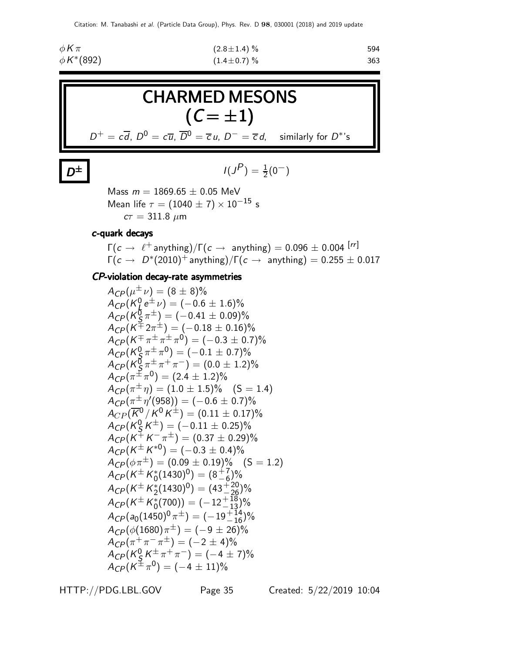| $\phi$ K $\pi$     | $(2.8 \pm 1.4)$ % | 594 |
|--------------------|-------------------|-----|
| $\phi\,K^{*}(892)$ | $(1.4 \pm 0.7)\%$ | 363 |



 $\pm$   $\vert$   $\vert$  $(P) = \frac{1}{2}(0^{-})$ 

> Mass  $m = 1869.65 \pm 0.05$  MeV Mean life  $\tau = (1040 \pm 7) \times 10^{-15}$  s  $c\tau = 311.8 \ \mu m$

#### c-quark decays

 $\mathsf{D}^{\pm}$ 

 $\Gamma(c \to \ell^+$  anything)/ $\Gamma(c \to \text{anything}) = 0.096 \pm 0.004$  [rr]  $\Gamma(c \to D^*(2010)^+$  anything)/ $\Gamma(c \to \text{ anything}) = 0.255 \pm 0.017$ 

#### CP-violation decay-rate asymmetries

$$
A_{CP}(\mu^{\pm}\nu) = (8 \pm 8)\%
$$
  
\n
$$
A_{CP}(K_{0}^{0}e^{\pm}\nu) = (-0.6 \pm 1.6)\%
$$
  
\n
$$
A_{CP}(K_{5}^{0}\pi^{\pm}) = (-0.41 \pm 0.09)\%
$$
  
\n
$$
A_{CP}(K^{\mp}2\pi^{\pm}) = (-0.18 \pm 0.16)\%
$$
  
\n
$$
A_{CP}(K^{\mp}\pi^{\pm}\pi^{\pm}\pi^{0}) = (-0.3 \pm 0.7)\%
$$
  
\n
$$
A_{CP}(K_{5}^{0}\pi^{\pm}\pi^{0}) = (-0.1 \pm 0.7)\%
$$
  
\n
$$
A_{CP}(K_{5}^{0}\pi^{\pm}\pi^{\mp}) = (0.0 \pm 1.2)\%
$$
  
\n
$$
A_{CP}(K_{5}^{0}\pi^{\pm}\pi^{\mp}) = (2.4 \pm 1.2)\%
$$
  
\n
$$
A_{CP}(\pi^{\pm}\eta') = (1.0 \pm 1.5)\%
$$
 (S = 1.4)  
\n
$$
A_{CP}(\pi^{\pm}\eta') = (1.0 \pm 1.5)\%
$$
 (S = 1.4)  
\n
$$
A_{CP}(K_{5}^{0}/K^{0}K^{\pm}) = (0.11 \pm 0.17)\%
$$
  
\n
$$
A_{CP}(K_{5}^{0}K^{\pm}) = (-0.11 \pm 0.25)\%
$$
  
\n
$$
A_{CP}(K^{\pm}K^{\mp}) = (0.37 \pm 0.29)\%
$$
  
\n
$$
A_{CP}(K^{\pm}K^{*0}) = (-0.3 \pm 0.4)\%
$$
  
\n
$$
A_{CP}(K^{\pm}K^{*0}) = (-0.3 \pm 0.4)\%
$$
  
\n
$$
A_{CP}(K^{\pm}K^{*0}(1430)^{0}) = (8\frac{+7}{6})\%
$$
  
\n
$$
A_{CP}(K^{\pm}K^{*0}_{0}(1430)^{0}) = (43\frac{+20}{13})\%
$$
  
\n
$$
A_{CP}(K^{\pm}K^{*0}_{0}(700)) = (-12\frac{+18}{
$$

HTTP://PDG.LBL.GOV Page 35 Created: 5/22/2019 10:04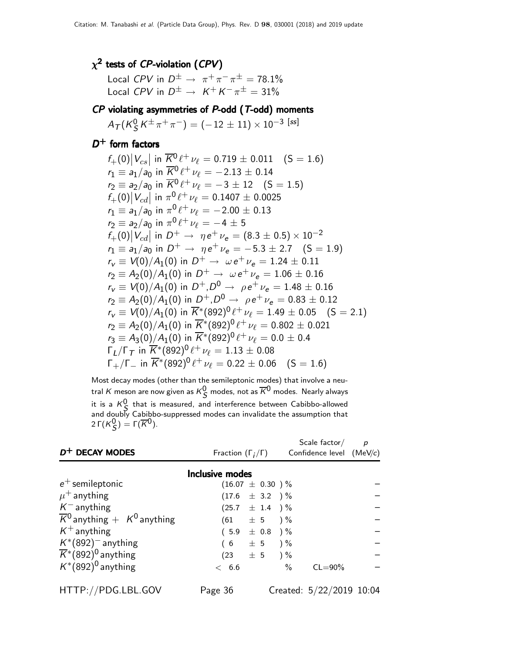#### $\chi^2$  tests of  ${\it CP}$ -violation ( ${\it CPV})$

Local CPV in  $D^{\pm} \rightarrow \pi^{+} \pi^{-} \pi^{\pm} = 78.1\%$ Local CPV in  $D^{\pm} \rightarrow K^{+} K^{-} \pi^{\pm} = 31\%$ 

### $\cal CP$  violating asymmetries of  $\cal P$ -odd ( $\cal T$ -odd) moments

 $A_{\mathcal{T}}(K^0_S$  $\frac{0}{S}\, {\cal K}^{\pm}\, \pi^+\, \pi^-)= (-\,12\,\pm\,11)\times 10^{-3}\,$  [ss]

#### $D^+$  form factors

$$
f_{+}(0)|V_{cs}| \text{ in } \overline{K^{0}} \ell^{+} \nu_{\ell} = 0.719 \pm 0.011 \quad (S = 1.6)
$$
  
\n
$$
r_{1} \equiv a_{1}/a_{0} \text{ in } \overline{K^{0}} \ell^{+} \nu_{\ell} = -2.13 \pm 0.14
$$
  
\n
$$
r_{2} \equiv a_{2}/a_{0} \text{ in } \overline{K^{0}} \ell^{+} \nu_{\ell} = -3 \pm 12 \quad (S = 1.5)
$$
  
\n
$$
f_{+}(0)|V_{cd}| \text{ in } \pi^{0} \ell^{+} \nu_{\ell} = 0.1407 \pm 0.0025
$$
  
\n
$$
r_{1} \equiv a_{1}/a_{0} \text{ in } \pi^{0} \ell^{+} \nu_{\ell} = -2.00 \pm 0.13
$$
  
\n
$$
r_{2} \equiv a_{2}/a_{0} \text{ in } \pi^{0} \ell^{+} \nu_{\ell} = -4 \pm 5
$$
  
\n
$$
f_{+}(0)|V_{cd}| \text{ in } D^{+} \rightarrow \eta e^{+} \nu_{e} = (8.3 \pm 0.5) \times 10^{-2}
$$
  
\n
$$
r_{1} \equiv a_{1}/a_{0} \text{ in } D^{+} \rightarrow \eta e^{+} \nu_{e} = -5.3 \pm 2.7 \quad (S = 1.9)
$$
  
\n
$$
r_{V} \equiv V(0)/A_{1}(0) \text{ in } D^{+} \rightarrow \omega e^{+} \nu_{e} = 1.24 \pm 0.11
$$
  
\n
$$
r_{2} \equiv A_{2}(0)/A_{1}(0) \text{ in } D^{+} \rightarrow \omega e^{+} \nu_{e} = 1.06 \pm 0.16
$$
  
\n
$$
r_{V} \equiv V(0)/A_{1}(0) \text{ in } D^{+}, D^{0} \rightarrow \rho e^{+} \nu_{e} = 1.48 \pm 0.16
$$
  
\n
$$
r_{V} \equiv V(0)/A_{1}(0) \text{ in } \overline{K^{*}}(892)^{0} \ell^{+} \nu_{\ell} = 1.49 \pm 0.
$$

Most decay modes (other than the semileptonic modes) that involve a neutral  $K$  meson are now given as  $K^0_{\mathsf{C}}$  modes, not as  $\overline{K}{}^0$  modes. Nearly always If at A meson are now given as  $K_S$  modes, not as A modes. Nearly always<br>it is a  $K_S^0$  that is measured, and interference between Cabibbo-allowed and doubly Cabibbo-suppressed modes can invalidate the assumption that 2 Γ $(K_S^0) = \Gamma(\overline{K}^0)$ .

|                                                         |                              | Scale factor $\frac{\rho}{\rho}$ |  |
|---------------------------------------------------------|------------------------------|----------------------------------|--|
| $D^+$ DECAY MODES                                       | Fraction $(\Gamma_i/\Gamma)$ | Confidence level $(MeV/c)$       |  |
|                                                         | <b>Inclusive modes</b>       |                                  |  |
| $e^+$ semileptonic                                      | $(16.07 \pm 0.30)$ %         |                                  |  |
| $\mu^+$ anything                                        | $(17.6 \pm 3.2)$ %           |                                  |  |
| $K^-$ anything                                          | $(25.7 \pm 1.4) \%$          |                                  |  |
| $\overline{K}{}^0$ anything $+$ K <sup>0</sup> anything | $(61 \pm 5) \%$              |                                  |  |
| $K^+$ anything                                          | $(5.9 \pm 0.8)$ %            |                                  |  |
| $K^*(892)$ <sup>-</sup> anything                        | $(6 \pm 5) \%$               |                                  |  |
| $\overline{K}$ *(892) <sup>0</sup> anything             | $(23 \pm 5) \%$              |                                  |  |
| $K^*(892)^0$ anything                                   | < 6.6                        | $\%$<br>$CL = 90\%$              |  |
|                                                         |                              |                                  |  |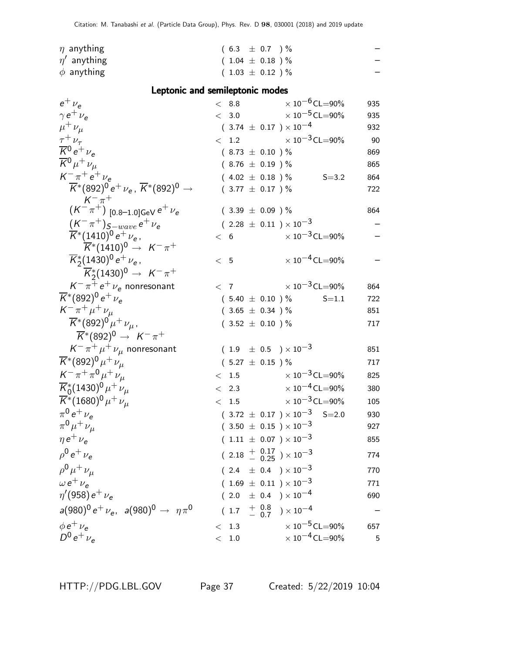| $\eta$ anything  | $(6.3 \pm 0.7)$ %    | $\overline{\phantom{0}}$ |
|------------------|----------------------|--------------------------|
| $\eta'$ anything | $(1.04 \pm 0.18) \%$ |                          |
| $\phi$ anything  | $(1.03 \pm 0.12)$ %  |                          |

#### Leptonic and semileptonic modes

| $e^+$ $\nu_e$                                                                 | < 8.8                                       | $\times$ 10 $^{-6}$ CL $=$ 90%<br>935   |
|-------------------------------------------------------------------------------|---------------------------------------------|-----------------------------------------|
| $\gamma e^+ \nu_e$                                                            | < 3.0                                       | $\times$ 10 $^{-5}$ CL $=$ 90%<br>935   |
| $\mu^+ \nu_\mu$                                                               | $(3.74 \pm 0.17) \times 10^{-4}$            | 932                                     |
| $\tau^+ \nu_\tau$                                                             | $< 1.2$ $\times 10^{-3}$ CL=90%             | -90                                     |
| $\overline{K}{}^0 e^+ \nu_e$                                                  | $(8.73 \pm 0.10) \%$                        | 869                                     |
| $\overline{K}{}^0 \mu^+ \nu_\mu$                                              | $(8.76 \pm 0.19)$ %                         | 865                                     |
| $K^{-} \pi^{+} e^{+} \nu_{e}$                                                 | $(4.02 \pm 0.18) \%$                        | $S = 3.2$<br>864                        |
| $\overline{K}^*(892)^0 e^+ \nu_e$ , $\overline{K}^*(892)^0 \rightarrow$       | $(3.77 \pm 0.17)$ %                         | 722                                     |
| $\stackrel{\sim}{(K^-\pi^+)}^+_{[0.8-1.0]{\rm GeV}}\,e^+\,\nu_e$              | $(3.39 \pm 0.09)$ %                         | 864                                     |
| $(K^-\pi^+)_{S-wave} e^+\nu_e$                                                | $(2.28 \pm 0.11) \times 10^{-3}$            |                                         |
| $\overline{K}^*(1410)^0 e^+ \nu_e$ ,                                          | < 6                                         | $\times$ 10 $^{-3}$ CL=90%              |
| $\overline{K}^*(1410)^0 \rightarrow K^-\pi^+$                                 |                                             |                                         |
| $\overline{K}_2^*(1430)^0 e^+ \nu_e$                                          | < 5                                         | $\times$ 10 <sup>-4</sup> CL=90%        |
| $\overline{K}_{2}^{*}(1430)^{0} \rightarrow K^{-}\pi^{+}$                     |                                             |                                         |
| $K^-\pi^+e^+\nu_e$ nonresonant                                                | $\langle 7$                                 | $\times$ 10 <sup>-3</sup> CL=90%<br>864 |
| $\overline{K}$ *(892) <sup>0</sup> e <sup>+</sup> $\nu_e$                     | $(5.40 \pm 0.10) \%$                        | $S = 1.1$<br>722                        |
| $K^- \pi^+ \mu^+ \nu_\mu$                                                     | $(3.65 \pm 0.34)$ %                         | 851                                     |
| $\overline{K}$ *(892) <sup>0</sup> $\mu$ <sup>+</sup> $\nu_{\mu}$ ,           | $(3.52 \pm 0.10) \%$                        | 717                                     |
| $\overline{K}^*(892)^0 \rightarrow K^-\pi^+$                                  |                                             |                                         |
| $K^-\pi^+\mu^+\nu_\mu$ nonresonant                                            | $(1.9 \pm 0.5) \times 10^{-3}$              | 851                                     |
| $\overline{K}$ <sup>*</sup> (892) <sup>0</sup> $\mu$ <sup>+</sup> $\nu_{\mu}$ | $(5.27 \pm 0.15)$ %                         | 717                                     |
| $K^- \pi^+ \pi^0 \mu^+ \nu_\mu$                                               | $< 1.5$ $\times 10^{-3}$ CL=90%             | 825                                     |
| $\overline{K}_{0}^{*}(1430)^{0} \mu^{+} \nu_{\mu}$                            | < 2.3                                       | $\times$ 10 $^{-4}$ CL $=$ 90%<br>380   |
| $\overline{K}^*(1680)^0 \mu^+ \nu_\mu$                                        | $\lt$                                       | 1.5 $\times 10^{-3}$ CL=90%<br>105      |
| $\pi^{0} e^{+} \nu_{e}$                                                       | $(3.72 \pm 0.17) \times 10^{-3}$ S=2.0      | 930                                     |
| $\pi^{0} \mu^{+} \nu_{\mu}$                                                   | $(3.50 \pm 0.15) \times 10^{-3}$            | 927                                     |
| $\eta e^+ \nu_e$                                                              | $(1.11 \pm 0.07) \times 10^{-3}$            | 855                                     |
| $\rho^0 e^+ \nu_e$                                                            | $(2.18 + \frac{0.17}{0.25}) \times 10^{-3}$ | 774                                     |
| $\rho^{0} \mu^{+} \nu_{\mu}$                                                  | $(2.4 \pm 0.4) \times 10^{-3}$              | 770                                     |
| $\omega e^+ \nu_{\rm e}$                                                      | $(1.69 \pm 0.11) \times 10^{-3}$            | 771                                     |
| $\eta'(958) e^+ \nu_e$                                                        | $(2.0 \pm 0.4) \times 10^{-4}$              | 690                                     |
| $a(980)^{0} e^{+} \nu_{e}$ , $a(980)^{0} \rightarrow \eta \pi^{0}$            | $(1.7 \frac{+}{0.8}) \times 10^{-4}$        |                                         |
| $\phi e^+ \nu_{\rm e}$                                                        | < 1.3                                       | $\times$ 10 $^{-5}$ CL $=$ 90%<br>657   |
| $D^0 e^+ \nu_e$                                                               | $1.0\,$<br>$\lt$                            | $\times$ 10 <sup>-4</sup> CL=90%<br>5   |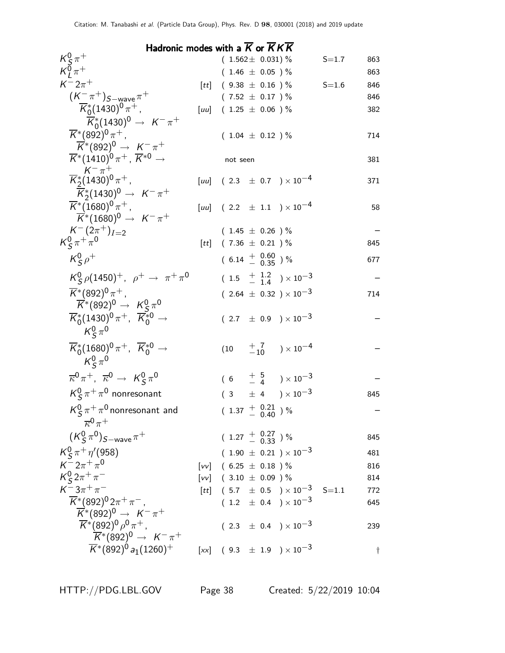| Hadronic modes with a $\overline{K}$ or $\overline{K}K\overline{K}$                |  |                                                    |                  |  |  |  |  |  |
|------------------------------------------------------------------------------------|--|----------------------------------------------------|------------------|--|--|--|--|--|
| $\frac{K_S^0 \pi^+}{K_I^0 \pi^+}$                                                  |  | $(1.562 \pm 0.031)$ %                              | $S = 1.7$<br>863 |  |  |  |  |  |
|                                                                                    |  | $(1.46 \pm 0.05)$ %                                | 863              |  |  |  |  |  |
| $K^-2\pi^+$                                                                        |  | [ <i>tt</i> ] $(9.38 \pm 0.16)$ %                  | $S = 1.6$<br>846 |  |  |  |  |  |
| $(K^-\pi^+)_{S-wave}\pi^+$                                                         |  | $(7.52 \pm 0.17)$ %                                | 846              |  |  |  |  |  |
| $\overline{K}_{0}^{*}(1430)^{0}\pi^{+}$ ,                                          |  | [ <i>uu</i> ] $(1.25 \pm 0.06)$ %                  | 382              |  |  |  |  |  |
| $\overline{K}_{0}^{*}(1430)^{0} \rightarrow K^{-} \pi^{+}$                         |  |                                                    |                  |  |  |  |  |  |
| $\overline{K}$ *(892) <sup>0</sup> $\pi$ <sup>+</sup> ,                            |  | $(1.04 \pm 0.12)$ %                                | 714              |  |  |  |  |  |
| $\overline{K}$ *(892) <sup>0</sup> $\rightarrow$ K <sup>-</sup> $\pi$ <sup>+</sup> |  |                                                    |                  |  |  |  |  |  |
| $\overline{K}^*(1410)^0 \pi^+$ , $\overline{K}^{*0} \rightarrow$                   |  | not seen                                           | 381              |  |  |  |  |  |
| $\frac{K^-\pi^+}{K_2^*(1430)^0\pi^+}$                                              |  | [ <i>uu</i> ] (2.3 $\pm$ 0.7 ) × 10 <sup>-4</sup>  | 371              |  |  |  |  |  |
| $\overline{K}_2^*(1430)^0 \rightarrow K^- \pi^+$                                   |  |                                                    |                  |  |  |  |  |  |
| $\overline{K}$ *(1680) <sup>0</sup> $\pi$ <sup>+</sup> ,                           |  | [ <i>uu</i> ] (2.2 $\pm$ 1.1 ) × 10 <sup>-4</sup>  | 58               |  |  |  |  |  |
| $\overline{K}$ <sup>*</sup> (1680) <sup>0</sup> $\rightarrow$ $K^- \pi^+$          |  |                                                    |                  |  |  |  |  |  |
| $K^{-}(2\pi^{+})_{I=2}$                                                            |  | $(1.45 \pm 0.26)$ %                                |                  |  |  |  |  |  |
| $K_S^0 \pi^+ \pi^0$                                                                |  | [tt] $(7.36 \pm 0.21)$ %                           | 845              |  |  |  |  |  |
| $K_S^0 \rho^+$                                                                     |  | $(6.14 \frac{+}{0.35})\%$                          | 677              |  |  |  |  |  |
| $K_S^0 \rho (1450)^+$ , $\rho^+ \to \pi^+ \pi^0$                                   |  | $(1.5 \tfrac{+1.2}{-1.4}) \times 10^{-3}$          |                  |  |  |  |  |  |
| $\overline{K}$ *(892) <sup>0</sup> $\pi$ <sup>+</sup> ,                            |  | $(2.64 \pm 0.32) \times 10^{-3}$                   | 714              |  |  |  |  |  |
| $\overline{K}^*(892)^0 \rightarrow K_S^0 \pi^0$                                    |  |                                                    |                  |  |  |  |  |  |
| $\overline{K}_0^*(1430)^0 \pi^+, \overline{K}_0^{*0} \rightarrow$                  |  | $(2.7 \pm 0.9) \times 10^{-3}$                     |                  |  |  |  |  |  |
| $K^0_S \pi^0$                                                                      |  |                                                    |                  |  |  |  |  |  |
| $\overline{K}^*_0(1680)^0 \pi^+$ , $\overline{K}^{*0}_0 \rightarrow$               |  |                                                    |                  |  |  |  |  |  |
| $K^0_s \pi^0$                                                                      |  |                                                    |                  |  |  |  |  |  |
| $\overline{\kappa}^0 \pi^+$ , $\overline{\kappa}^0 \to K^0_S \pi^0$                |  | $(6 + \frac{5}{4}) \times 10^{-3}$                 |                  |  |  |  |  |  |
| $K_S^0 \pi^+ \pi^0$ nonresonant                                                    |  | $(3 \pm 4) \times 10^{-3}$                         | 845              |  |  |  |  |  |
| $K_S^0 \pi^+ \pi^0$ nonresonant and                                                |  | $(1.37 + 0.21 \n0.40)$ %                           |                  |  |  |  |  |  |
| $\overline{\kappa}^0 \pi^+$                                                        |  |                                                    |                  |  |  |  |  |  |
| $(K_S^0 \pi^0)_{S-wave} \pi^+$                                                     |  | $(1.27 \frac{+}{0.33})\%$                          | 845              |  |  |  |  |  |
| $K_S^0 \pi^+ \eta' (958)$                                                          |  | $(1.90 \pm 0.21) \times 10^{-3}$                   | 481              |  |  |  |  |  |
| $K = 2\pi + \pi^0$                                                                 |  | [vv] $(6.25 \pm 0.18)$ %                           | 816              |  |  |  |  |  |
| $K_S^0 2\pi^+\pi^-$                                                                |  | [vv] $(3.10 \pm 0.09)$ %                           | 814              |  |  |  |  |  |
| $K^- 3\pi^+ \pi^-$                                                                 |  | [ <i>tt</i> ] $(5.7 \pm 0.5) \times 10^{-3}$ S=1.1 | 772              |  |  |  |  |  |
| $\overline{K}$ *(892) <sup>0</sup> 2 $\pi$ <sup>+</sup> $\pi$ <sup>-</sup> ,       |  | $(1.2 \pm 0.4) \times 10^{-3}$                     | 645              |  |  |  |  |  |
| $\overline{K}^*(892)^0 \rightarrow K^-\pi^+$                                       |  |                                                    |                  |  |  |  |  |  |
| $\overline{K}$ *(892) <sup>0</sup> $\rho$ <sup>0</sup> $\pi$ <sup>+</sup> ,        |  | $(2.3 \pm 0.4) \times 10^{-3}$                     | 239              |  |  |  |  |  |
| $\overline{K}$ *(892) <sup>0</sup> $\rightarrow$ K <sup>-</sup> $\pi$ <sup>+</sup> |  |                                                    |                  |  |  |  |  |  |
| $\overline{K}$ *(892) <sup>0</sup> a <sub>1</sub> (1260) <sup>+</sup>              |  | $[x \times]$ (9.3 $\pm$ 1.9 ) $\times 10^{-3}$     | $^\dagger$       |  |  |  |  |  |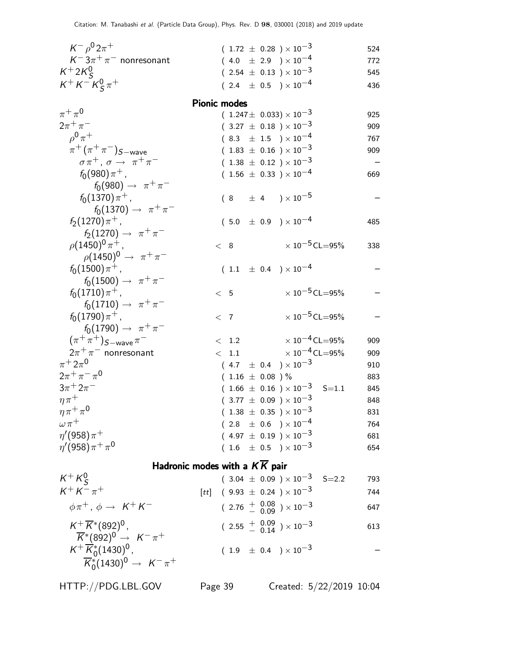| $K^- \rho^0 2\pi^+$                                        |       |                     |                      | $(1.72 \pm 0.28) \times 10^{-3}$                                                             | 524        |
|------------------------------------------------------------|-------|---------------------|----------------------|----------------------------------------------------------------------------------------------|------------|
| $K^-3\pi^+\pi^-$ nonresonant                               |       |                     |                      | $(4.0 \pm 2.9) \times 10^{-4}$                                                               | 772        |
| $K^+2K_S^0$                                                |       |                     |                      | $(2.54 \pm 0.13) \times 10^{-3}$                                                             | 545        |
| $K^+ K^- K^0_S \pi^+$                                      |       |                     |                      | $(2.4 \pm 0.5) \times 10^{-4}$                                                               | 436        |
|                                                            |       | <b>Pionic modes</b> |                      |                                                                                              |            |
| $\pi^+\pi^0$                                               |       |                     |                      | $(1.247 \pm 0.033) \times 10^{-3}$                                                           | 925        |
| $2\pi^{+}\pi^{-}$                                          |       |                     |                      | $(3.27 \pm 0.18) \times 10^{-3}$                                                             | 909        |
| $\rho^{0}\pi^{+}$                                          |       |                     |                      | $(\begin{array}{cc} 8.3 & \pm \end{array} \begin{array}{cc} 1.5 \end{array}) \times 10^{-4}$ | 767        |
| $\pi^+ (\pi^+ \pi^-)_{S-wave}$                             |       |                     |                      | $(1.83 \pm 0.16) \times 10^{-3}$                                                             | 909        |
| $\sigma \pi^+$ , $\sigma \rightarrow \pi^+ \pi^-$          |       |                     |                      | $(1.38 \pm 0.12) \times 10^{-3}$                                                             |            |
| $f_0(980)\pi^+$ ,                                          |       |                     |                      | $(1.56 \pm 0.33) \times 10^{-4}$                                                             | 669        |
| $f_0(980) \to \pi^+\pi^-$                                  |       |                     |                      |                                                                                              |            |
| $f_0(1370)\pi^+$ ,                                         |       |                     |                      | $(8 \pm 4) \times 10^{-5}$                                                                   |            |
| $f_0(1370) \to \pi^+ \pi^-$                                |       |                     |                      |                                                                                              |            |
| $f_2(1270)\pi^+$ ,                                         |       |                     |                      | $(5.0 \pm 0.9) \times 10^{-4}$                                                               | 485        |
| $f_2(1270) \to \pi^+ \pi^-$                                |       |                     |                      |                                                                                              |            |
| $\rho (1450)^{0} \pi^{+}$ ,                                | < 8   |                     |                      | $\times$ 10 <sup>-5</sup> CL=95%                                                             | 338        |
| $\rho(1450)^0 \to \pi^+ \pi^-$                             |       |                     |                      |                                                                                              |            |
| $f_0(1500)\pi^+$ ,                                         |       |                     |                      | $(1.1 \pm 0.4) \times 10^{-4}$                                                               |            |
| $f_0(1500) \to \pi^+\pi^-$                                 |       |                     |                      |                                                                                              |            |
| $f_0(1710)\pi^+$ ,                                         | < 5   |                     |                      | $\times$ 10 <sup>-5</sup> CL=95%                                                             |            |
| $f_0(1710) \to \pi^+ \pi^-$                                |       |                     |                      |                                                                                              |            |
| $f_0(1790)\pi^+$ ,                                         | $<$ 7 |                     |                      | $\times$ 10 <sup>-5</sup> CL=95%                                                             |            |
| $f_0(1790) \to \pi^+\pi^-$<br>$(\pi^+\pi^+)_{S-wave}\pi^-$ |       |                     |                      | $\times$ 10 $^{-4}$ CL=95%                                                                   |            |
| $2\pi^+\pi^-$ nonresonant                                  |       |                     | < 1.2                | $< 1.1$ $\times 10^{-4}$ CL=95%                                                              | 909        |
| $\pi^+ 2\pi^0$                                             |       |                     |                      | $(4.7 \pm 0.4) \times 10^{-3}$                                                               | 909<br>910 |
| $2\pi^{+}\pi^{-}\pi^{0}$                                   |       |                     | $(1.16 \pm 0.08) \%$ |                                                                                              | 883        |
| $3\pi + 2\pi^-$                                            |       |                     |                      | $(1.66 \pm 0.16) \times 10^{-3}$ S=1.1                                                       | 845        |
| $\eta \pi^+$                                               |       |                     |                      | $(3.77 \pm 0.09) \times 10^{-3}$                                                             | 848        |
| $\eta\pi^+\pi^0$                                           |       |                     |                      | $(1.38~\pm~0.35~)\times10^{-3}$                                                              | 831        |
| $\omega \pi^+$                                             |       |                     |                      | $(2.8\phantom{0}\pm\phantom{0}0.6\phantom{0})\times10^{-4}$                                  | 764        |
| $\eta'(958)\pi^+$                                          |       |                     |                      | $(\begin{array}{cc} 4.97 \pm 0.19 \end{array}) \times 10^{-3}$                               | 681        |
| $\eta'(958)\pi^{+}\pi^{0}$                                 |       |                     |                      | $(1.6 \pm 0.5) \times 10^{-3}$                                                               | 654        |
| Hadronic modes with a $K\overline{K}$ pair                 |       |                     |                      |                                                                                              |            |
| $K^+ K^0_c$                                                |       |                     |                      | $(3.04 \pm 0.09) \times 10^{-3}$ S=2.2                                                       | 793        |
| $K^+ K^- \pi^+$                                            |       |                     |                      | [ <i>tt</i> ] (9.93 $\pm$ 0.24 ) $\times$ 10 <sup>-3</sup>                                   | 744        |
|                                                            |       |                     |                      |                                                                                              |            |
| $\phi \pi^+$ , $\phi \rightarrow K^+ K^-$                  |       |                     |                      | $(2.76 \frac{+}{0.09}) \times 10^{-3}$                                                       | 647        |
| $K^+ \overline{K}^* (892)^0$ ,                             |       |                     |                      | $(2.55 \frac{+}{0.04}) \times 10^{-3}$                                                       | 613        |
| $\overline{K}^*(892)^0 \rightarrow K^-\pi^+$               |       |                     |                      |                                                                                              |            |
| $K^+ \overline{K}^*_0 (1430)^0$ ,                          |       |                     |                      | $(\begin{array}{cc} 1.9 & \pm \end{array} \begin{array}{cc} 0.4 \end{array}) \times 10^{-3}$ |            |
| $\overline{K}_{0}^{*}(1430)^{0} \rightarrow K^{-} \pi^{+}$ |       |                     |                      |                                                                                              |            |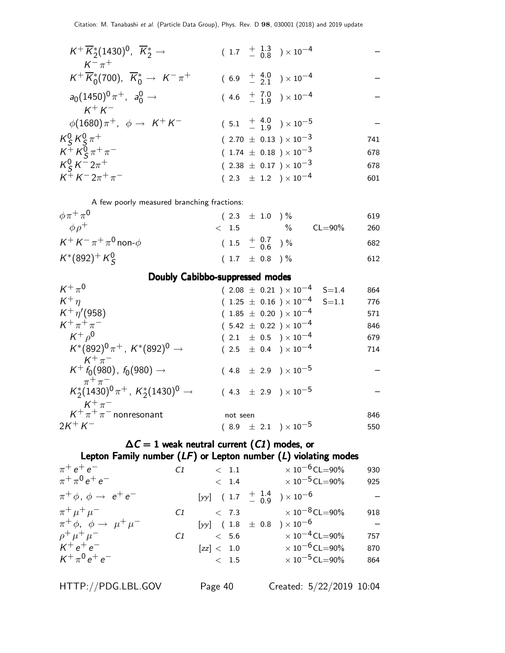|  | 741                                                                                                                                                                                                                                                                                                                 |
|--|---------------------------------------------------------------------------------------------------------------------------------------------------------------------------------------------------------------------------------------------------------------------------------------------------------------------|
|  | 678                                                                                                                                                                                                                                                                                                                 |
|  | 678                                                                                                                                                                                                                                                                                                                 |
|  | 601                                                                                                                                                                                                                                                                                                                 |
|  | $(1.7 + \frac{1.3}{0.8}) \times 10^{-4}$<br>$(6.9 + \frac{4.0}{2.1}) \times 10^{-4}$<br>$(4.6 + 7.0 / 19) \times 10^{-4}$<br>$(5.1 + \frac{4.0}{1.9}) \times 10^{-5}$<br>$(2.70 \pm 0.13) \times 10^{-3}$<br>$(1.74 \pm 0.18) \times 10^{-3}$<br>$(2.38 \pm 0.17) \times 10^{-3}$<br>$(2.3 \pm 1.2) \times 10^{-4}$ |

A few poorly measured branching fractions:

| $\phi \pi^+ \pi^0$                | $(2.3 \pm 1.0) \%$           |      |             | 619 |
|-----------------------------------|------------------------------|------|-------------|-----|
| $\phi \rho^+$                     | $<$ 1.5 $\sim$               | $\%$ | $CL = 90\%$ | 260 |
| $K^+ K^- \pi^+ \pi^0$ non- $\phi$ | $(1.5 \tfrac{+0.7}{-0.6})\%$ |      |             | 682 |
| $K^*(892)^+ K^0_S$                | $(1.7 \pm 0.8)$ %            |      |             | 612 |

#### Doubly Cabibbo-suppressed modes

|                                  | 864                                                                              |
|----------------------------------|----------------------------------------------------------------------------------|
|                                  | 776                                                                              |
| $(1.85 \pm 0.20) \times 10^{-4}$ | 571                                                                              |
| $(5.42 \pm 0.22) \times 10^{-4}$ | 846                                                                              |
| $(2.1 \pm 0.5) \times 10^{-4}$   | 679                                                                              |
| $(2.5 \pm 0.4) \times 10^{-4}$   | 714                                                                              |
| $(4.8 \pm 2.9) \times 10^{-5}$   |                                                                                  |
| $(4.3 \pm 2.9) \times 10^{-5}$   |                                                                                  |
| not seen                         | 846                                                                              |
| $(8.9 \pm 2.1) \times 10^{-5}$   | 550                                                                              |
|                                  | $(2.08 \pm 0.21) \times 10^{-4}$ S=1.4<br>$(1.25 \pm 0.16) \times 10^{-4}$ S=1.1 |

## $\Delta C = 1$  weak neutral current  $(C1)$  modes, or Lepton Family number  $(LF)$  or Lepton number  $(L)$  violating modes

| $\pi^{+}e^{+}e^{-}$                           | C1 | $\langle 1.1$                                 | $\times$ 10 $^{-6}$ CL $=$ 90%   | 930 |
|-----------------------------------------------|----|-----------------------------------------------|----------------------------------|-----|
| $\pi^+ \pi^0 e^+ e^-$                         |    |                                               | $< 1.4$ $\times 10^{-5}$ CL=90%  | 925 |
| $\pi^+ \phi$ , $\phi \rightarrow e^+ e^-$     |    | [yy] $(1.7 + \frac{1.4}{0.9}) \times 10^{-6}$ |                                  |     |
| $\pi^+ \mu^+ \mu^-$                           | C1 |                                               | $< 7.3$ $\times 10^{-8}$ CL=90%  | 918 |
| $\pi^+ \phi$ , $\phi \rightarrow \mu^+ \mu^-$ |    | [yy] $(1.8 \pm 0.8) \times 10^{-6}$           |                                  |     |
| $\rho^+ \mu^+ \mu^-$                          | C1 | < 5.6                                         | $\times$ 10 <sup>-4</sup> CL=90% | 757 |
| $K^+e^+e^-$                                   |    | [zz] < 1.0                                    | $\times$ 10 $^{-6}$ CL=90%       | 870 |
| $K^+\pi^0 e^+ e^-$                            |    | < 1.5                                         | $\times$ 10 $^{-5}$ CL $=$ 90%   | 864 |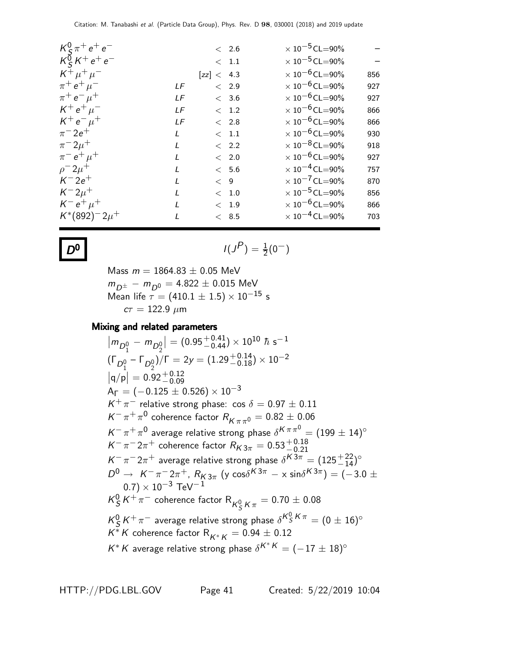| $K_c^0 \pi^+ e^+ e^-$                           |               |            | $< 2.6$       | $\times$ 10 <sup>-5</sup> CL=90%        |
|-------------------------------------------------|---------------|------------|---------------|-----------------------------------------|
| $K_S^{\delta} K^+ e^+ e^-$<br>$K^+ \mu^+ \mu^-$ |               |            | $\rm <~1.1$   | $\times$ 10 $^{-5}$ CL=90%              |
|                                                 |               | [zz] < 4.3 |               | $\times$ 10 <sup>-6</sup> CL=90%<br>856 |
| $\pi^+ e^+ \mu^-$                               | LF            |            | $\langle$ 2.9 | $\times$ 10 $^{-6}$ CL=90%<br>927       |
| $\pi^+ e^- \mu^+$                               | LF            |            | < 3.6         | $\times$ 10 $^{-6}$ CL=90%<br>927       |
| $K^+ e^+ \mu^-$                                 | LF            |            | < 1.2         | $\times$ 10 <sup>-6</sup> CL=90%<br>866 |
| $K^+e^-\mu^+$                                   | LF            |            | < 2.8         | $\times$ 10 $^{-6}$ CL=90%<br>866       |
| $\pi^{-} 2e^{+}$                                | L             |            | < 1.1         | $\times$ 10 $^{-6}$ CL=90%<br>930       |
| $\pi^{-} 2\mu^{+}$                              | $\mathsf{L}$  |            | < 2.2         | $\times$ 10 <sup>-8</sup> CL=90%<br>918 |
| $\pi^{-} e^{+} \mu^{+}$                         | L             |            | $\langle$ 2.0 | $\times$ 10 $^{-6}$ CL=90%<br>927       |
| $\rho^- 2\mu^+$                                 | $\mathcal{L}$ |            | < 5.6         | $\times$ 10 <sup>-4</sup> CL=90%<br>757 |
| $K^- 2e^+$                                      | L             | < 9        |               | $\times$ 10 <sup>-7</sup> CL=90%<br>870 |
| $K^{-}2\mu^{+}$                                 | $\mathcal{L}$ |            | $\rm <~1.0$   | $\times$ 10 <sup>-5</sup> CL=90%<br>856 |
| $K^- e^+ \mu^+$                                 | $\mathbf{I}$  |            | < 1.9         | $\times$ 10 $^{-6}$ CL=90%<br>866       |
| $K^*(892)^-2\mu^+$                              | L             |            | < 8.5         | $\times$ 10 <sup>-4</sup> CL=90%<br>703 |
|                                                 |               |            |               |                                         |

$$
D^0
$$

**0** 
$$
I(J^P) = \frac{1}{2}(0^-)
$$

Mass  $m = 1864.83 \pm 0.05$  MeV  $m_{D^\pm}$  −  $m_{D^0}$  = 4.822  $\pm$  0.015 MeV Mean life  $\tau = (410.1 \pm 1.5) \times 10^{-15}$  s  $c\tau = 122.9 \ \mu m$ 

#### Mixing and related parameters

$$
|m_{D_1^0} - m_{D_2^0}| = (0.95^{+0.41}_{-0.44}) \times 10^{10} \hbar s^{-1}
$$
  
\n
$$
(\Gamma_{D_1^0} - \Gamma_{D_2^0})/\Gamma = 2y = (1.29^{+0.14}_{-0.18}) \times 10^{-2}
$$
  
\n
$$
|q/p| = 0.92^{+0.12}_{-0.09}
$$
  
\n
$$
A_{\Gamma} = (-0.125 \pm 0.526) \times 10^{-3}
$$
  
\n
$$
K^{+} \pi^{-}
$$
 relative strong phase:  $\cos \delta = 0.97 \pm 0.11$   
\n
$$
K^{-} \pi^{+} \pi^{0}
$$
 coherence factor  $R_{K \pi \pi^{0}} = 0.82 \pm 0.06$   
\n
$$
K^{-} \pi^{+} \pi^{0}
$$
 average relative strong phase  $\delta^{K \pi \pi^{0}} = (199 \pm 14)^{\circ}$   
\n
$$
K^{-} \pi^{-} 2\pi^{+}
$$
 coherence factor  $R_{K 3\pi} = 0.53^{+0.18}_{-0.21}$   
\n
$$
K^{-} \pi^{-} 2\pi^{+}
$$
 average relative strong phase  $\delta^{K 3\pi} = (125^{+22}_{-14})^{\circ}$   
\n
$$
D^{0} \rightarrow K^{-} \pi^{-} 2\pi^{+}
$$
,  $R_{K 3\pi}$  (y  $\cos \delta^{K 3\pi} - \times \sin \delta^{K 3\pi}$ ) = (-3.0  $\pm$   
\n0.7) × 10<sup>-3</sup> TeV<sup>-1</sup>  
\n $K_{S}^{0} K^{+} \pi^{-}$  coherence factor  $R_{K_{S}^{0} K \pi} = 0.70 \pm 0.08$   
\n $K_{S}^{0} K^{+} \pi^{-}$  average relative strong phase  $\delta^{K_{S}^{0} K \pi} = (0 \pm 16)^{\circ}$   
\n $K^{*} K$  coherence factor  $R_{K^{*} K} = 0.94 \pm 0.12$   
\n $K^{*} K$  average relative strong phase  $\delta^{K^{*} K}$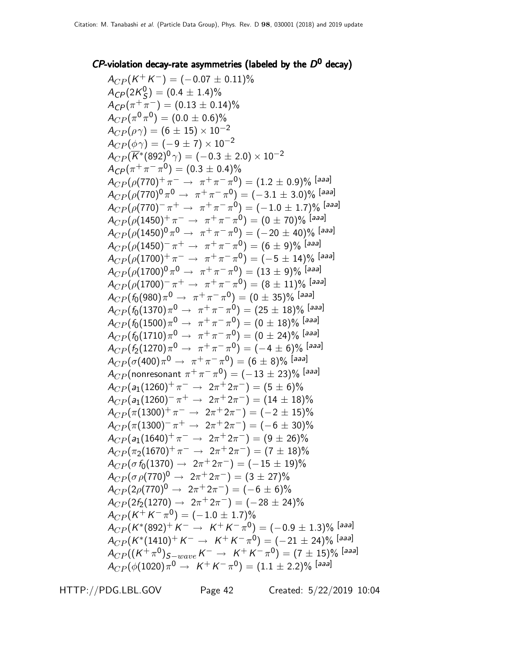## $CP$ -violation decay-rate asymmetries (labeled by the  $D^0$  decay)

 $A_{CP}(K^+K^-)=(-0.07\pm0.11)\%$  $A_{CP}$ (2K $_{S}^0$  $S^{0}(S) = (0.4 \pm 1.4)\%$  $A_{CP}(\pi^{+}\pi^{-}) = (0.13 \pm 0.14)\%$  $A_{CP}(\pi^0\pi^0) = (0.0\pm 0.6)\%$  $A_{CP}(\rho \gamma) = (6 \pm 15) \times 10^{-2}$  $A_{CP}(\phi \gamma) = (-9 \pm 7) \times 10^{-2}$  $A_{CP}(\overline{K}^*(892) ^0\, \gamma) = (-0.3 \pm 2.0) \times 10^{-2}$  $A_{CP}(\pi^+\pi^-\pi^0) = (0.3\pm0.4)\%$  $A_{CP}(\rho(770)^+ \, \pi^- \rightarrow \ \pi^+ \, \pi^- \, \pi^0) = (1.2 \pm 0.9)\%$  [aaa]  $A_{CP}(\rho(770)^{0}\,\pi^{0}\rightarrow\ \pi^{+}\,\pi^{-}\,\pi^{0}) = (-3.1\pm 3.0)\%$  [aaa]  $A_{CP}(\rho(770)^{-}\,\pi^{+}\rightarrow\ \pi^{+}\,\pi^{-}\,\pi^{0}) = (-1.0\,\pm\,1.7)\%$  [aaa]  $A_{CP}(\rho(1450)^+ \pi^- \rightarrow \pi^+ \pi^- \pi^0) = (0 \pm 70)\%$  [aaa]  $A_{CP}(\rho(1450)^{0}\,\pi^{0}\,\rightarrow\,\,\pi^{+}\,\pi^{-}\,\pi^{0}) = (-\,20\,\pm\,40)^{\rho_{0}}\,\left[$ aaa]  $A_{CP}(\rho(1450)^{-}\,\pi^{+}\,\rightarrow\,\,\pi^{+}\,\pi^{-}\,\pi^{0})=(6\pm9)\%$  [aaa]  $A_{CP}(\rho(1700)^+ \pi^- \rightarrow \pi^+ \pi^- \pi^0) = (-5 \pm 14)\%$  [aaa]  $A_{CP}(\rho(1700)^{0}\,\pi^{0}\,\to\,\,\pi^{+}\,\pi^{-}\,\pi^{0}) = (13\pm9)\%$  [aaa]  $A_{CP}(\rho(1700)^{-}\pi^{+} \rightarrow \pi^{+}\pi^{-}\pi^{0}) = (8 \pm 11)\%$  [aaa]  $A_{CP} (f_0(980) \pi^0 \rightarrow \ \pi^+ \pi^- \pi^0) = (0 \pm 35)\%$  [aaa]  $A_{CP} (f_0(1370) \pi^0 \rightarrow \ \pi^+ \pi^- \pi^0) = (25 \pm 18)\%$  [aaa]  $A_{CP}(f_0(1500)\pi^0\rightarrow \pi^+\pi^-\pi^0)=(0\pm18)\%$  [aaa]  $A_{CP} (f_0(1710)\pi^0 \rightarrow \ \pi^+ \pi^- \pi^0) = (0 \pm 24)\%$  [aaa]  $A_{CP} (f_2(1270) \pi^0 \rightarrow\ \pi^+ \pi^- \pi^0) = (-4\pm 6)\%$  [aaa]  $A_{CP}(\sigma(400)\pi^0\to\ \pi^+\pi^-\pi^0)=(6\pm 8)\%$  [aaa]  $A_{CP} ($ nonresonant  $\pi^+ \pi^- \pi^0) = (-13 \pm 23)\%$  [aaa]  $A_{CP}(a_1(1260)^+ \pi^- \rightarrow 2\pi^+ 2\pi^-) = (5 \pm 6)\%$  $A_{CP}(a_1(1260)^- \pi^+ \rightarrow 2\pi^+ 2\pi^-) = (14 \pm 18)\%$  $A_{CP}(\pi(1300)^+ \pi^- \rightarrow 2\pi^+ 2\pi^-) = (-2 \pm 15)\%$  $A_{CP}(\pi(1300)^-\pi^+ \rightarrow 2\pi^+2\pi^-)=(-6\pm30)\%$  $A_{CP}(a_1(1640)^+ \pi^- \rightarrow 2\pi^+ 2\pi^-) = (9 \pm 26)\%$  $A_{CP}(\pi_2(1670)^+ \, \pi^- \to \, 2 \pi^+ 2 \pi^-) = (7 \pm 18)\%$  $A_{CP}(\sigma\, f_0(1370)\,\,\rightarrow\,\, 2\pi^+\, 2\pi^-) = (-\,15\,\pm\,19)\%$  $A_{CP}(\sigma\,\rho(770)^{0}\rightarrow\ 2\pi^{+}2\pi^{-})=(3\pm27)\%$  $A_{CP}(2\rho(770)^{0} \rightarrow 2\pi^{+}2\pi^{-}) = (-6 \pm 6)\%$  $A_{CP}(2f_2(1270) \rightarrow 2\pi^+2\pi^-) = (-28 \pm 24)\%$  $A_{CP}(K^+K^-\pi^0)=(-1.0\pm1.7)\%$  $A_{CP}(K^*(892)^+\,K^-\rightarrow\,\,K^+\,K^-\,\pi^0)=(-0.9\pm1.3)\%\;[$ aaa]  $A_{CP}(K^*(1410)^+ K^- \to K^+ K^- \pi^0) = (-21 \pm 24)\%$  [aaa]  $A_{CP}((K^{+}\pi^{0})_{S-wave}K^{-} \rightarrow K^{+}K^{-}\pi^{0}) = (7 \pm 15)\%$  [aaa]  $A_{CP}(\phi(1020)\pi^0\to~\,$  K  $^+$  K  $^ \pi^0)=(1.1\pm 2.2)\%$  [aaa]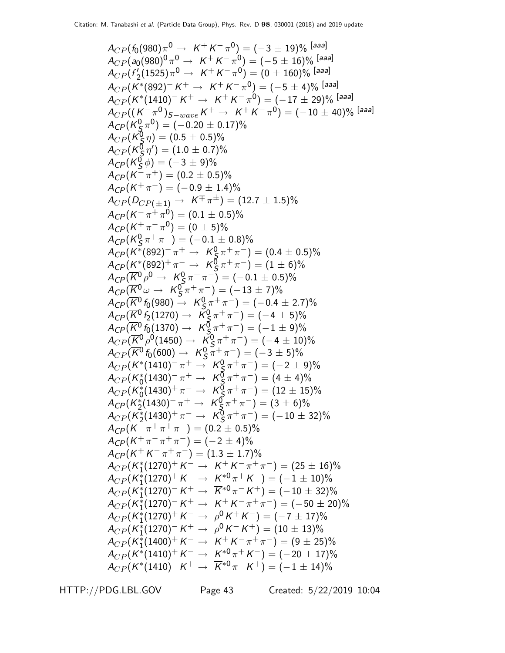$$
A_{CP}(f_0(980)\pi^0 \rightarrow K^+K^-\pi^0) = (-3 \pm 19)\% [aaa]
$$
  
\n
$$
A_{CP}(q_0(980)^0\pi^0 \rightarrow K^+K^-\pi^0) = (-5 \pm 16)\% [aaa]
$$
  
\n
$$
A_{CP}(f'_2(1525)\pi^0 \rightarrow K^+K^-\pi^0) = (0 \pm 160)\% [aaa]
$$
  
\n
$$
A_{CP}(K^*(892)^-K^+ \rightarrow K^+K^-\pi^0) = (-5 \pm 4)\% [aaa]
$$
  
\n
$$
A_{CP}(K^*(892)^-K^+ \rightarrow K^+K^-\pi^0) = (-17 \pm 29)\% [aaa]
$$
  
\n
$$
A_{CP}(K^*(892)^-K^+ \rightarrow K^+K^-\pi^0) = (-10 \pm 40)\% [aaa]
$$
  
\n
$$
A_{CP}(K^0_S\pi^0) = (-0.0 \pm 0.5)\%
$$
  
\n
$$
A_{CP}(K^0_S\pi^0) = (0.5 \pm 0.5)\%
$$
  
\n
$$
A_{CP}(K^0_S\pi^0) = (0.3 \pm 0.5)\%
$$
  
\n
$$
A_{CP}(K^0_S\pi^+ \pi^-) = (0.2 \pm 0.5)\%
$$
  
\n
$$
A_{CP}(K^0\pi^+ \pi^-) = (0.1 \pm 0.5)\%
$$
  
\n
$$
A_{CP}(K^* \pi^+ \pi^-) = (0.1 \pm 0.5)\%
$$
  
\n
$$
A_{CP}(K^*(892)^+ \pi^- \rightarrow K^0_S \pi^+ \pi^-) = (1 \pm 6)\%
$$
  
\n
$$
A_{CP}(K^*(892)^+ \pi^- \rightarrow K^0_S \pi^+ \pi^-) = (-1 \pm 0.5)\%
$$
  
\n
$$
A_{CP}(K^*(892)^+ \pi^- \rightarrow K^0_S \pi^+ \pi^-) = (-1 \pm 0.5)\%
$$
  
\n
$$
A_{CP}(K^*(892)^+ \pi^- \rightarrow K^0_S \pi^+ \pi^-) = (-1 \pm 0.5)\%
$$
  
\n
$$
A_{CP}(K^0(6(1370) \rightarrow
$$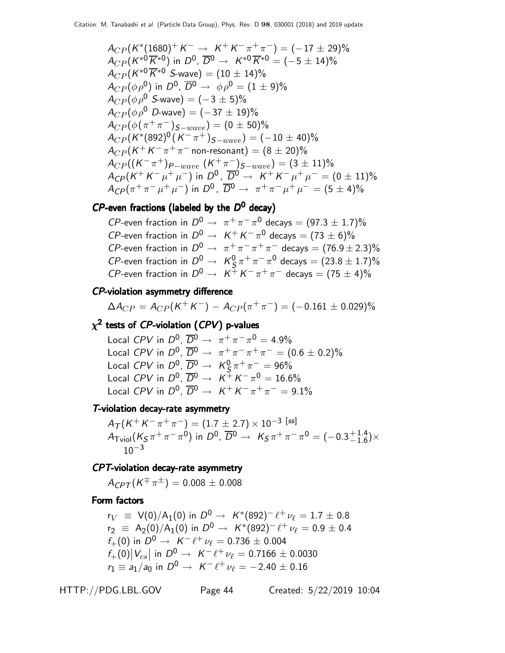$$
A_{CP}(K^{*}(1680)^{+} K^{-} \rightarrow K^{+} K^{-} \pi^{+} \pi^{-}) = (-17 \pm 29)\%
$$
  
\n
$$
A_{CP}(K^{*0}\overline{K}^{*0}) \text{ in } D^{0}, \overline{D}^{0} \rightarrow K^{*0}\overline{K}^{*0} = (-5 \pm 14)\%
$$
  
\n
$$
A_{CP}(K^{*0}\overline{K}^{*0} S\text{-wave}) = (10 \pm 14)\%
$$
  
\n
$$
A_{CP}(\phi \rho^{0}) \text{ in } D^{0}, \overline{D}^{0} \rightarrow \phi \rho^{0} = (1 \pm 9)\%
$$
  
\n
$$
A_{CP}(\phi \rho^{0} S\text{-wave}) = (-3 \pm 5)\%
$$
  
\n
$$
A_{CP}(\phi \rho^{0} D\text{-wave}) = (-37 \pm 19)\%
$$
  
\n
$$
A_{CP}(\phi (\pi^{+} \pi^{-})_{S-wave}) = (0 \pm 50)\%
$$
  
\n
$$
A_{CP}(K^{*}(892)^{0}(K^{-} \pi^{+})_{S-wave}) = (-10 \pm 40)\%
$$
  
\n
$$
A_{CP}(K^{+} K^{-} \pi^{+} \pi^{-} \text{ non-resonant}) = (8 \pm 20)\%
$$
  
\n
$$
A_{CP}((K^{-} \pi^{+})_{P-wave} (K^{+} \pi^{-})_{S-wave}) = (3 \pm 11)\%
$$
  
\n
$$
A_{CP}(K^{+} K^{-} \mu^{+} \mu^{-}) \text{ in } D^{0}, \overline{D}^{0} \rightarrow K^{+} K^{-} \mu^{+} \mu^{-} = (0 \pm 11)\%
$$
  
\n
$$
A_{CP}(\pi^{+} \pi^{-} \mu^{+} \mu^{-}) \text{ in } D^{0}, \overline{D}^{0} \rightarrow \pi^{+} \pi^{-} \mu^{+} \mu^{-} = (5 \pm 4)\%
$$

#### $\mathcal{C}P$ -even fractions (labeled by the  $D^0$  decay)

*CP*-even fraction in  $D^0 \rightarrow \pi^+ \pi^- \pi^0$  decays =  $(97.3 \pm 1.7)\%$ *CP*-even fraction in  $D^0 \rightarrow K^+ K^- \pi^0$  decays =  $(73 \pm 6)\%$ CP-even fraction in  $D^0 \rightarrow \pi^+ \pi^- \pi^+ \pi^-$  decays =  $(76.9 \pm 2.3)\%$  $\mathcal{CP}$ -even fraction in  $D^0 \rightarrow \ \mathcal{K}^0_S$  $\frac{0}{\mathsf{S}}\pi^+\pi^-\pi^0$  decays  $=(23.8\pm1.7)\%$ *CP*-even fraction in  $D^0 \rightarrow K^+ K^- \pi^+ \pi^-$  decays =  $(75 \pm 4)\%$ 

#### CP-violation asymmetry difference

$$
\Delta A_{CP} = A_{CP}(K^+K^-) - A_{CP}(\pi^+\pi^-) = (-0.161 \pm 0.029)\%
$$

# $\chi^{\bf 2}$  tests of  ${\it CP}$ -violation ( ${\it CPV}$ ) p-values

Local CPV in  $D^0$ ,  $\overline{D}^0 \rightarrow \pi^+ \pi^- \pi^0 = 4.9\%$ Local CPV in  $D^0$ ,  $\overline{D}^0 \rightarrow \pi^+ \pi^- \pi^+ \pi^- = (0.6 \pm 0.2)\%$ Local  $CPV$  in  $D^0$ ,  $\overline{D}{}^0 \rightarrow~\mathcal{K}^0_S$  $\frac{0}{5}\pi^+\pi^-=96\%$ Local CPV in  $D^0$ ,  $\overline{D}{}^0 \rightarrow K^+ K^- \pi^0 = 16.6\%$ Local CPV in  $D^0$ ,  $\overline{D}^0 \rightarrow K^+ K^- \pi^+ \pi^- = 9.1\%$ 

#### T-violation decay-rate asymmetry

 $A_{\mathcal{T}}(K^+K^-\pi^+\pi^-) = (1.7\pm 2.7)\times 10^{-3}$  [ss]  $A_\mathsf{Tviol} (K_\mathcal{S} \pi^+ \pi^- \pi^0)$  in  $D^0$ ,  $\overline{D}{}^0 \to~\mathcal{K}_\mathcal{S} \pi^+ \pi^- \pi^0 = (-0.3 {+1.4 \atop -1.6})$  $^{+1.4}_{-1.6}$ )×  $10^{-3}$ 

#### CPT-violation decay-rate asymmetry

 $A_{CPT}(K^{\mp}\pi^{\pm})=0.008\pm0.008$ 

#### Form factors

 $r_V$  = V(0)/A<sub>1</sub>(0) in  $D^0 \rightarrow K^*(892)^- \ell^+ \nu_{\ell} = 1.7 \pm 0.8$  $r_2 \equiv A_2(0)/A_1(0)$  in  $D^0 \rightarrow K^*(892)^- \ell^+ \nu_\ell = 0.9 \pm 0.4$  $f_+(0)$  in  $D^0 \to K^- \ell^+ \nu_\ell = 0.736 \pm 0.004$  $f_{+}(0)|V_{cs}|$  in  $D^0 \rightarrow K^- \ell^+ \nu_{\ell} = 0.7166 \pm 0.0030$  $\vert$  $r_1 \equiv a_1/a_0$  in  $D^0 \to K^- \ell^+ \nu_\ell = -2.40 \pm 0.16$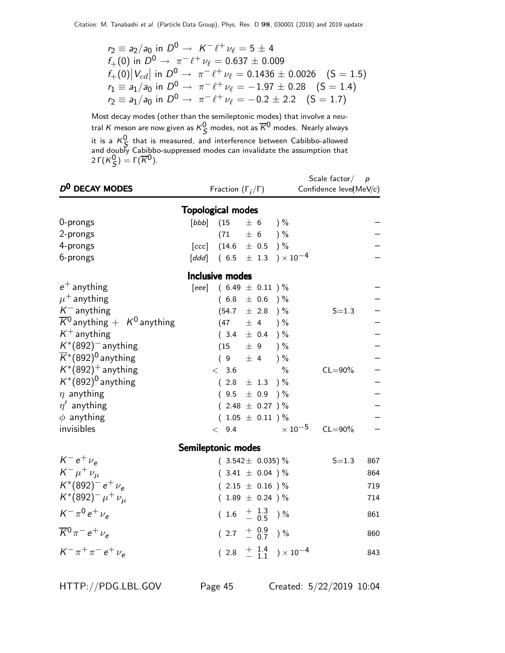$$
r_2 \equiv a_2/a_0 \text{ in } D^0 \to K^- \ell^+ \nu_\ell = 5 \pm 4
$$
  
\n $f_+(0) \text{ in } D^0 \to \pi^- \ell^+ \nu_\ell = 0.637 \pm 0.009$   
\n $f_+(0) |V_{cd}| \text{ in } D^0 \to \pi^- \ell^+ \nu_\ell = 0.1436 \pm 0.0026 \quad (S = 1.5)$   
\n $r_1 \equiv a_1/a_0 \text{ in } D^0 \to \pi^- \ell^+ \nu_\ell = -1.97 \pm 0.28 \quad (S = 1.4)$   
\n $r_2 \equiv a_1/a_0 \text{ in } D^0 \to \pi^- \ell^+ \nu_\ell = -0.2 \pm 2.2 \quad (S = 1.7)$ 

Most decay modes (other than the semileptonic modes) that involve a neutral  $K$  meson are now given as  $K^0_S$  modes, not as  $\overline{K}{}^0$  modes. Nearly always it is a  $K^0_S$  that is measured, and interference between Cabibbo-allowed and doubly Cabibbo-suppressed modes can invalidate the assumption that 2 Γ $(K_S^0)$  = Γ $(\overline{K}^0)$ .

| D <sup>0</sup> DECAY MODES                              |                    | Fraction $(\Gamma_i/\Gamma)$                |           |                                          | Scale factor $/$ p<br>Confidence leve(MeV/c) |             |     |  |  |  |  |  |
|---------------------------------------------------------|--------------------|---------------------------------------------|-----------|------------------------------------------|----------------------------------------------|-------------|-----|--|--|--|--|--|
| <b>Topological modes</b>                                |                    |                                             |           |                                          |                                              |             |     |  |  |  |  |  |
| 0-prongs                                                | [bbb]              | (15)                                        |           | $\pm 6$ )%                               |                                              |             |     |  |  |  |  |  |
| 2-prongs                                                |                    | (71)                                        |           | $\pm 6$ )%                               |                                              |             |     |  |  |  |  |  |
| 4-prongs                                                |                    | [ccc] $(14.6 \pm 0.5)$ %                    |           |                                          |                                              |             |     |  |  |  |  |  |
| 6-prongs                                                |                    | $[ddd]$ (6.5 $\pm$ 1.3 ) × 10 <sup>-4</sup> |           |                                          |                                              |             |     |  |  |  |  |  |
|                                                         |                    | Inclusive modes                             |           |                                          |                                              |             |     |  |  |  |  |  |
| $e^+$ anything                                          |                    | [eee] $(6.49 \pm 0.11)$ %                   |           |                                          |                                              |             |     |  |  |  |  |  |
| $\mu^+$ anything                                        |                    |                                             |           | $(6.8 \pm 0.6)$ %                        |                                              |             |     |  |  |  |  |  |
| $K^-$ anything                                          |                    | $(54.7 \pm 2.8)$ %                          |           |                                          |                                              | $S = 1.3$   |     |  |  |  |  |  |
| $\overline{K}{}^0$ anything $+$ K <sup>0</sup> anything |                    | (47)                                        | ± 4       | $) \%$                                   |                                              |             |     |  |  |  |  |  |
| $K^+$ anything                                          |                    | (3.4)                                       |           | $\pm$ 0.4 ) %                            |                                              |             |     |  |  |  |  |  |
| $K^*(892)^-$ anything                                   |                    | (15)                                        | $\pm$ 9   | $) \%$                                   |                                              |             |     |  |  |  |  |  |
| $\overline{K}$ <sup>*</sup> (892) <sup>0</sup> anything |                    | (9                                          |           | $\pm$ 4 ) %                              |                                              |             |     |  |  |  |  |  |
| $K^*(892)^+$ anything                                   |                    | < 3.6                                       |           | $\frac{0}{0}$                            |                                              | $CL = 90\%$ |     |  |  |  |  |  |
| $K^*(892)^0$ anything                                   |                    | $(2.8 \pm 1.3)$ %                           |           |                                          |                                              |             |     |  |  |  |  |  |
| $\eta$ anything                                         |                    | (9.5)                                       | $\pm$ 0.9 | $) \%$                                   |                                              |             |     |  |  |  |  |  |
| $\eta'$ anything                                        |                    | $(2.48 \pm 0.27)$ %                         |           |                                          |                                              |             |     |  |  |  |  |  |
| $\phi$ anything                                         |                    |                                             |           | $(1.05 \pm 0.11)$ %                      |                                              |             |     |  |  |  |  |  |
| invisibles                                              |                    | < 9.4                                       |           |                                          | $\times$ 10 $^{-5}$                          | $CL = 90\%$ |     |  |  |  |  |  |
|                                                         | Semileptonic modes |                                             |           |                                          |                                              |             |     |  |  |  |  |  |
| $K^-e^+\nu_e$                                           |                    |                                             |           | $(3.542 \pm 0.035)\%$                    |                                              | $S = 1.3$   | 867 |  |  |  |  |  |
| $K^- \mu^+ \nu_\mu$                                     |                    |                                             |           | $(3.41 \pm 0.04) \%$                     |                                              |             | 864 |  |  |  |  |  |
| $K^*(892)^- e^+ \nu_e$                                  |                    |                                             |           | $(2.15 \pm 0.16) \%$                     |                                              |             | 719 |  |  |  |  |  |
| $K^*(892)^- \mu^+ \nu_\mu$                              |                    | $(1.89 \pm 0.24) \%$                        |           |                                          |                                              |             | 714 |  |  |  |  |  |
| $K^{-} \pi^{0} e^{+} \nu_{e}$                           |                    |                                             |           | $(1.6 \tfrac{+1.3}{-0.5})\%$             |                                              |             | 861 |  |  |  |  |  |
| $\overline{K}{}^0 \pi^- e^+ \nu_e$                      |                    |                                             |           | $(2.7 \tfrac{+0.9}{-0.7})\%$             |                                              |             | 860 |  |  |  |  |  |
| $K^- \pi^+ \pi^- e^+ \nu_e$                             |                    |                                             |           | $(2.8 + \frac{1.4}{1.1}) \times 10^{-4}$ |                                              |             | 843 |  |  |  |  |  |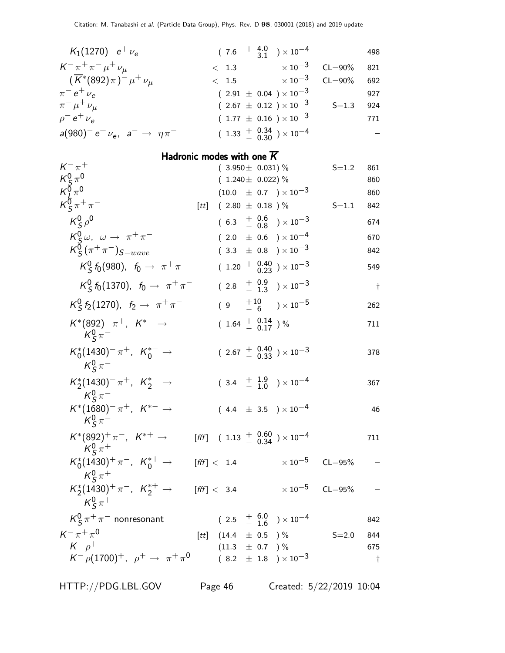| $K_1(1270)^- e^+ \nu_e$                                                 |      |                           |  | $(7.6 \tfrac{+4.0}{-3.1}) \times 10^{-4}$                           |                                                      | 498       |
|-------------------------------------------------------------------------|------|---------------------------|--|---------------------------------------------------------------------|------------------------------------------------------|-----------|
| $K^- \pi^+ \pi^- \mu^+ \nu_\mu$                                         |      | < 1.3                     |  | $\times$ 10 <sup>-3</sup>                                           | $CL = 90\%$                                          | 821       |
| $(\overline{K}^*(892)\pi)^{-} \mu^{+} \nu_{\mu}$                        |      | < 1.5                     |  | $\times$ 10 <sup>-3</sup>                                           | $CL = 90\%$                                          | 692       |
| $\pi^{-} e^{+} \nu_{e}$                                                 |      |                           |  | $(2.91 \pm 0.04) \times 10^{-3}$                                    |                                                      | 927       |
| $\pi^{-} \mu^{+} \nu_{\mu}$                                             |      |                           |  | $(2.67 \pm 0.12) \times 10^{-3}$                                    | $S = 1.3$                                            | 924       |
| $\rho^- e^+ \nu_e$                                                      |      |                           |  | $(1.77 \pm 0.16) \times 10^{-3}$                                    |                                                      | 771       |
| $a(980)^- e^+ \nu_e$ , $a^- \rightarrow \eta \pi^-$                     |      |                           |  | $(1.33 + 0.34 \over 0.30}) \times 10^{-4}$                          |                                                      |           |
| Hadronic modes with one $K$                                             |      |                           |  |                                                                     |                                                      |           |
| $K^{-}$ $\pi^{+}$                                                       |      | $(3.950 \pm 0.031)$ %     |  |                                                                     | $S = 1.2$                                            | 861       |
| $\frac{K_S^0 \pi^0}{K_L^0 \pi^0}$                                       |      | $(1.240 \pm 0.022)\%$     |  |                                                                     |                                                      | 860       |
| $K_S^0 \pi^+ \pi^-$                                                     |      |                           |  | $(10.0 \pm 0.7) \times 10^{-3}$                                     |                                                      | 860       |
|                                                                         | [tt] | $(2.80 \pm 0.18)$ %       |  |                                                                     | $S = 1.1$                                            | 842       |
| $K^0_S \rho^0$                                                          |      |                           |  | $(6.3 + \begin{array}{cc} 0.6 \\ -0.8 \end{array}) \times 10^{-3}$  |                                                      | 674       |
| $K^0_s \omega$ , $\omega \rightarrow \pi^+ \pi^-$                       |      |                           |  | $(2.0 \pm 0.6) \times 10^{-4}$                                      |                                                      | 670       |
| $K_S^0(\pi^+\pi^-)_{S-wave}$                                            |      |                           |  | $(3.3 \pm 0.8) \times 10^{-3}$                                      |                                                      | 842       |
| $K_S^0$ $f_0$ (980), $f_0 \to \pi^+ \pi^-$                              |      |                           |  | $(1.20 + \begin{array}{c} 0.40 \\ 0.23 \end{array}) \times 10^{-3}$ |                                                      | 549       |
| $K_S^0$ $f_0$ (1370), $f_0 \to \pi^+ \pi^-$                             |      |                           |  | $(2.8 + \begin{array}{cc} 0.9 \\ -1.3 \end{array}) \times 10^{-3}$  |                                                      | $\dagger$ |
| $K_S^0$ $f_2$ (1270), $f_2 \rightarrow \pi^+ \pi^-$                     |      |                           |  | $(9 + \frac{10}{6}) \times 10^{-5}$                                 |                                                      | 262       |
| $K^*(892)^- \pi^+, K^{*-} \to$<br>$K^0_S \pi^-$                         |      | $(1.64 \frac{+}{0.17})\%$ |  |                                                                     |                                                      | 711       |
| $K_0^*(1430)^-\pi^+$ , $K_0^{*-} \to$<br>$K^0_s \pi^-$                  |      |                           |  | $(2.67 + \begin{array}{c} 0.40 \\ 0.33 \end{array}) \times 10^{-3}$ |                                                      | 378       |
| $K_2^*(1430)^-\pi^+$ , $K_2^{*-} \to$<br>$K^0_s \pi^-$                  |      |                           |  | $(3.4 + \frac{1.9}{1.0}) \times 10^{-4}$                            |                                                      | 367       |
| $K^*(1680)^{-} \pi^+$ , $K^{*-} \to$<br>$K^0_S \pi^-$                   |      |                           |  | $(4.4~\pm~3.5~)\times10^{-4}$                                       |                                                      | 46        |
| $\mathit{K}^*(892)^+\pi^-,~\mathit{K}^{*+}\rightarrow$<br>$K^0_s \pi^+$ |      |                           |  | $[{\it fff}]$ (1.13 $\frac{+}{-}$ 0.60 ) $\times$ 10 <sup>-4</sup>  |                                                      | 711       |
| $K_0^*(1430)^+\pi^-$ , $K_0^{*+} \rightarrow$<br>$K^0_s \pi^+$          |      |                           |  |                                                                     | $\mathrm{[{\it fff}]} < 1.4$ $\times 10^{-5}$ CL=95% |           |
| $K_2^*(1430)^+\pi^-$ , $K_2^{*+} \rightarrow$<br>$K^0_s \pi^+$          |      | $[$ fff $] < 3.4$         |  | $\times$ 10 $^{-5}$ CL=95%                                          |                                                      |           |
| $K^0_S \pi^+ \pi^-$ nonresonant                                         |      |                           |  | $(2.5 + 6.0 + 1.6) \times 10^{-4}$                                  |                                                      | 842       |
| $K^{-} \pi^{+} \pi^{0}$                                                 |      | [tt] $(14.4 \pm 0.5)$ %   |  |                                                                     | $S = 2.0$                                            | 844       |
| $K^ \rho^+$                                                             |      | $(11.3 \pm 0.7)$ %        |  |                                                                     |                                                      | 675       |
| $K^- \rho (1700)^+$ , $\rho^+ \to \pi^+ \pi^0$                          |      |                           |  | $(8.2 \pm 1.8) \times 10^{-3}$                                      |                                                      | $\dagger$ |

HTTP://PDG.LBL.GOV Page 46 Created: 5/22/2019 10:04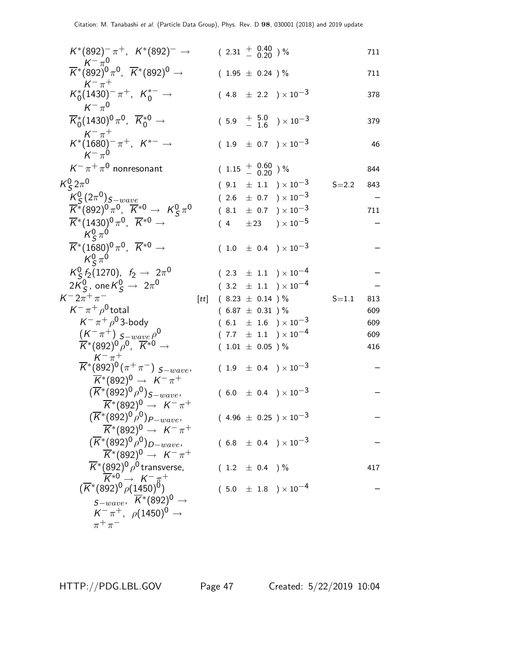| $K^*(892)^- \pi^+$ , $K^*(892)^- \rightarrow$                                                                                                                 |      | $(2.31 + \frac{0.40}{0.20})$ % |  |                                                              |           | 711 |
|---------------------------------------------------------------------------------------------------------------------------------------------------------------|------|--------------------------------|--|--------------------------------------------------------------|-----------|-----|
| $\overline{K}^*(892)^0 \pi^0$ , $\overline{K}^*(892)^0 \rightarrow$                                                                                           |      | $(1.95 \pm 0.24)$ %            |  |                                                              |           | 711 |
| $K^{-}$ $\pi^{+}$<br>$K_0^*(1430)^-\pi^+$ , $K_0^{*-} \to$<br>$K^{-} \pi^{0}$                                                                                 |      |                                |  | $(4.8 \pm 2.2) \times 10^{-3}$                               |           | 378 |
| $\overline{K}_0^*(1430)^0 \pi^0$ , $\overline{K}_0^{*0} \rightarrow$                                                                                          |      |                                |  | $(5.9 + \frac{5.0}{1.6}) \times 10^{-3}$                     |           | 379 |
| $K^- \pi^+$<br>$K^*(1680)^{-} \pi^+, K^{*-} \rightarrow$<br>$K^{-} \pi^0$                                                                                     |      |                                |  | $(1.9 \pm 0.7) \times 10^{-3}$                               |           | 46  |
| $K^-\pi^+\pi^0$ nonresonant                                                                                                                                   |      | $(1.15 + 0.60)$ %              |  |                                                              |           | 844 |
| $K_S^0 2\pi^0$                                                                                                                                                |      |                                |  | $(9.1 \pm 1.1) \times 10^{-3}$                               | $S = 2.2$ | 843 |
| $K_S^0(2\pi^0)_{S-wave}$                                                                                                                                      |      |                                |  | $(2.6 \pm 0.7) \times 10^{-3}$                               |           |     |
| $\overline{K}^*(892)^0 \pi^0$ , $\overline{K}^{*0} \rightarrow K^0_S \pi^0$                                                                                   |      |                                |  | $(8.1 \pm 0.7) \times 10^{-3}$                               |           | 711 |
| $\overline{K}^*(1430)^0 \pi^0$ , $\overline{K}^{*0} \rightarrow$<br>$K^0_S \pi^0$                                                                             |      |                                |  | $(\begin{array}{ccc} 4 & \pm 23 \end{array}) \times 10^{-5}$ |           |     |
| $\overline{K}^*(1680)^0 \pi^0$ , $\overline{K}^{*0} \rightarrow$<br>$K^0_s \pi^0$                                                                             |      |                                |  | $(1.0 \pm 0.4) \times 10^{-3}$                               |           |     |
| $K_S^0$ $f_2$ (1270), $f_2 \rightarrow 2\pi^0$                                                                                                                |      |                                |  | $(2.3 \pm 1.1) \times 10^{-4}$                               |           |     |
| $2K_{\mathsf{S}}^0$ , one $K_{\mathsf{S}}^0 \rightarrow 2\pi^0$                                                                                               |      |                                |  | $(3.2 \pm 1.1) \times 10^{-4}$                               |           |     |
| $K^{-}2\pi^{+}\pi^{-}$                                                                                                                                        | [tt] | $(8.23 \pm 0.14) \%$           |  |                                                              | $S = 1.1$ | 813 |
| $K^-\pi^+\rho^0$ total                                                                                                                                        |      | $(6.87 \pm 0.31)$ %            |  |                                                              |           | 609 |
| $K^-\pi^+\rho^0$ 3-body                                                                                                                                       |      |                                |  | $(6.1 \pm 1.6) \times 10^{-3}$                               |           | 609 |
| $(K^{-} \pi^{+})$ $S^{-} wave \rho^{0}$                                                                                                                       |      |                                |  | $(7.7 \pm 1.1) \times 10^{-4}$                               |           | 609 |
| $\overline{K}^*(892)^0 \rho^0$ , $\overline{K}^{*0}$ $\rightarrow$                                                                                            |      | $(1.01 \pm 0.05)$ %            |  |                                                              |           | 416 |
| $\overline{K^*}^{\pi^+}_{(892)^0(\pi^+\pi^-)}\,s_{-wave},$<br>$\overline{K}^*(892)^0 \rightarrow K^-\pi^+$                                                    |      |                                |  | $(1.9 \pm 0.4) \times 10^{-3}$                               |           |     |
| $(\overline{K}^*(892)^0 \rho^0)_{S-wave},$<br>$\overline{K}^*(892)^0 \rightarrow K^-\pi^+$                                                                    |      |                                |  | $(6.0 \pm 0.4) \times 10^{-3}$                               |           |     |
| $(\overline{K}^*(892)^0 \rho^0)_{P-wave}$<br>$\overline{K}^*(892)^0 \rightarrow K^-\pi^+$                                                                     |      |                                |  | $(4.96 \pm 0.25) \times 10^{-3}$                             |           |     |
| $(\overline{K}^*(892)^0 \rho^0)_{D-wave},$<br>$\overline{K}$ *(892) <sup>0</sup> → $K^- \pi^+$                                                                |      |                                |  | $(6.8 \pm 0.4) \times 10^{-3}$                               |           |     |
| $\overline{K}^*(892)^0\rho^0$ transverse,                                                                                                                     |      | $(1.2 \pm 0.4)$ %              |  |                                                              |           | 417 |
| $\overline{K}^{*0} \rightarrow K^- \pi^+ \ (\overline{K}^*(892)^0 \overline{\rho(1450)^0})$<br>$s_{-wave}$ , $\overline{K}$ *(892) <sup>0</sup> $\rightarrow$ |      |                                |  | $(5.0 \pm 1.8) \times 10^{-4}$                               |           |     |
| $K^-\pi^+$ , $\rho(1450)^0 \to$                                                                                                                               |      |                                |  |                                                              |           |     |
| $\pi^+\pi^-$                                                                                                                                                  |      |                                |  |                                                              |           |     |

HTTP://PDG.LBL.GOV Page 47 Created: 5/22/2019 10:04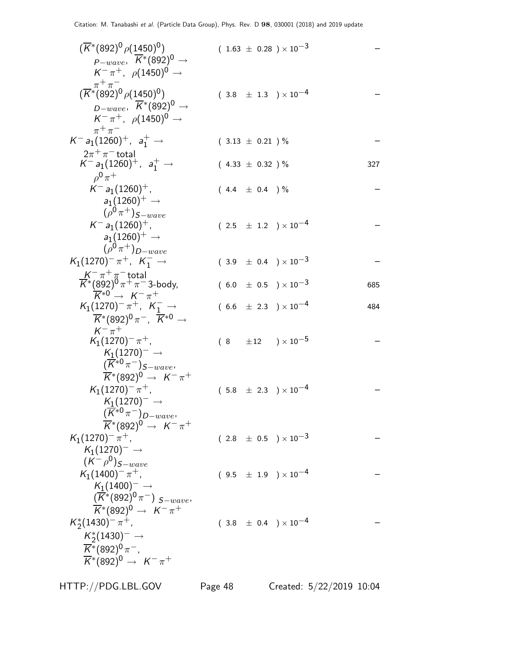$$
(\overline{K}^*(892)^0 \rho (1450)^0) \qquad (1.63 \pm 0.28) \times 10^{-3} \qquad -\frac{p-wave}{K^* \pi^+} \rho (1450)^0 \rightarrow \frac{K^* \pi^+}{K^* \pi^+} \rho (1450)^0 \rightarrow \frac{K^* \pi^+}{K^* \pi^+} \rho (1450)^0 \rightarrow \frac{K^* \pi^+}{K^* \pi^+} \rho (1450)^0 \rightarrow \frac{K^* \pi^+}{K^* \pi^+} \rho (1450)^0 \rightarrow \frac{K^* \pi^+}{K^* \pi^+} \rho (1450)^0 \rightarrow \frac{K^* \pi^+}{K^* \pi^+} \rho (1450)^0 \rightarrow \frac{K^* \pi^+}{K^* \pi^+} \rho (1260)^+ , \quad a_1^+ \rightarrow \frac{2\pi^+ \pi^- \text{total}}{K^* \pi^+ \pi^+} \rho (1260)^+ \rightarrow \frac{2\pi^+ \pi^- \text{total}}{K^* \pi^+ \pi^+} \rho (1260)^+ \rightarrow \frac{2(1260)^+ \rightarrow \frac{2(1260)^+ \rightarrow \frac{2(1260)^+ \rightarrow \frac{2(1260)^+ \rightarrow \frac{2(1260)^+ \rightarrow \frac{2(1260)^+ \rightarrow \frac{2(1260)^+ \rightarrow \frac{2(1260)^+ \rightarrow \frac{2(1260)^+ \rightarrow \frac{2(1260)^+ \rightarrow \frac{2(1260)^+ \rightarrow \frac{2(1260)^+ \rightarrow \frac{2(1260)^+ \rightarrow \frac{2(1260)^+ \rightarrow \frac{2(1260)^+ \rightarrow \frac{2(1260)^+ \rightarrow \frac{2(1260)^+ \rightarrow \frac{2(1260)^+ \rightarrow \frac{2(1260)^+ \rightarrow \frac{2(1260)^+ \rightarrow \frac{2(1260)^+ \rightarrow \frac{2(1260)^+ \rightarrow \frac{2(1260)^+ \rightarrow \frac{2(1260)^+ \rightarrow \frac{2(1260)^+ \rightarrow \frac{2(1260)^+ \rightarrow \frac{2(1260)^+ \rightarrow \frac{2(1260)^+ \rightarrow \frac{2(1260)^+ \rightarrow \frac{2(126
$$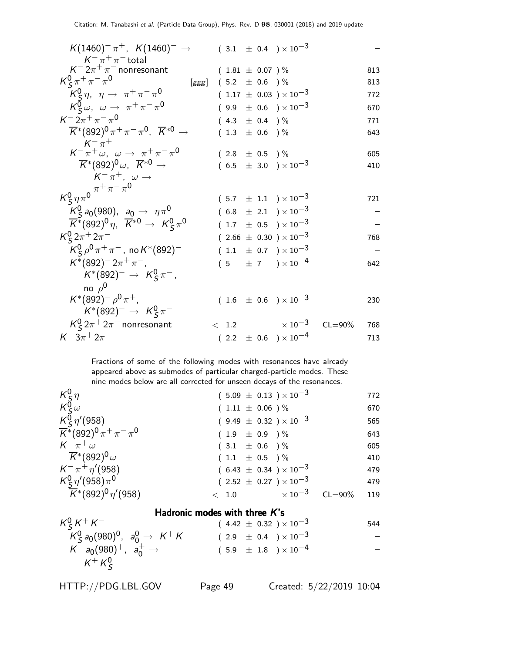| $K(1460)^{-} \pi^{+}$ , $K(1460)^{-} \rightarrow$                                                                                         |   |                     |                   | $(3.1 \pm 0.4) \times 10^{-3}$   |             |     |
|-------------------------------------------------------------------------------------------------------------------------------------------|---|---------------------|-------------------|----------------------------------|-------------|-----|
| $K^-\pi^+\pi^-$ total                                                                                                                     |   |                     |                   |                                  |             |     |
| $K^- 2\pi^+\pi^-$ nonresonant                                                                                                             |   | $(1.81 \pm 0.07)$ % |                   |                                  |             | 813 |
| $K_S^0 \pi^+ \pi^- \pi^0$<br>$[\mathit{ggg}]$                                                                                             |   | $(5.2 \pm 0.6)$ %   |                   |                                  |             | 813 |
| $K^0_s \eta$ , $\eta \rightarrow \pi^+ \pi^- \pi^0$                                                                                       |   |                     |                   | $(1.17 \pm 0.03) \times 10^{-3}$ |             | 772 |
| $K^0_s\omega$ , $\omega \rightarrow \pi^+\pi^-\pi^0$                                                                                      |   |                     |                   | $(9.9 \pm 0.6) \times 10^{-3}$   |             | 670 |
| $K^- 2\pi^+ \pi^- \pi^0$                                                                                                                  |   | $(4.3 \pm 0.4)$ %   |                   |                                  |             | 771 |
| $\overline{K}$ *(892) <sup>0</sup> $\pi$ <sup>+</sup> $\pi$ <sup>-</sup> $\pi$ <sup>0</sup> , $\overline{K}$ * <sup>0</sup> $\rightarrow$ |   |                     | 1.3 $\pm$ 0.6 ) % |                                  |             | 643 |
| $K^- \pi^+$                                                                                                                               |   |                     |                   |                                  |             |     |
| $K^-\pi^+\omega$ , $\omega \rightarrow \pi^+\pi^-\pi^0$                                                                                   |   | $(2.8 \pm 0.5)$ %   |                   |                                  |             | 605 |
| $\overline{K}^*(892)^0\omega$ , $\overline{K}^{*0} \rightarrow$                                                                           |   |                     |                   | $(6.5 \pm 3.0) \times 10^{-3}$   |             | 410 |
| $K^-\pi^+$ , $\omega \rightarrow$                                                                                                         |   |                     |                   |                                  |             |     |
| $K_S^0 \eta \pi^0 \stackrel{\pi^+}{\pi^-} \stackrel{\cdot \cdot}{\pi^0}$                                                                  |   |                     |                   |                                  |             |     |
|                                                                                                                                           |   |                     |                   | $(5.7 \pm 1.1) \times 10^{-3}$   |             | 721 |
| $K_S^0$ a <sub>0</sub> (980), $a_0 \to \eta \pi^0$                                                                                        |   |                     |                   | $(6.8 \pm 2.1) \times 10^{-3}$   |             |     |
| $\overline{K}^*(892)^0 \eta$ , $\overline{K}^{*0} \rightarrow K^0_S \pi^0$                                                                |   |                     |                   | $(1.7 \pm 0.5) \times 10^{-3}$   |             |     |
| $K_S^0 2\pi^+ 2\pi^-$                                                                                                                     |   |                     |                   | $(2.66 \pm 0.30) \times 10^{-3}$ |             | 768 |
| $K_S^0 \rho^0 \pi^+ \pi^-$ , no $K^*(892)^-$                                                                                              | ( |                     |                   | 1.1 $\pm$ 0.7 $) \times 10^{-3}$ |             |     |
| $K^*(892)^- 2\pi^+\pi^-,$                                                                                                                 |   |                     |                   | $(5 \pm 7) \times 10^{-4}$       |             | 642 |
| $K^*(892)^- \to K^0_S \pi^-$ ,                                                                                                            |   |                     |                   |                                  |             |     |
| no $\rho^0$                                                                                                                               |   |                     |                   |                                  |             |     |
| $K^*(892)^ \rho^0 \pi^+$ ,                                                                                                                |   |                     |                   | $(1.6 \pm 0.6) \times 10^{-3}$   |             | 230 |
| $K^*(892)^- \rightarrow K_S^0 \pi^-$                                                                                                      |   |                     |                   |                                  |             |     |
| $K_S^0 2\pi^+ 2\pi^-$ nonresonant                                                                                                         |   |                     |                   | $< 1.2 \times 10^{-3}$           | $CL = 90\%$ | 768 |
| $K^-3\pi^+2\pi^-$                                                                                                                         |   |                     |                   | $(2.2 \pm 0.6) \times 10^{-4}$   |             | 713 |

Fractions of some of the following modes with resonances have already appeared above as submodes of particular charged-particle modes. These nine modes below are all corrected for unseen decays of the resonances.

| $K_S^0 \eta$                                                                     | $(5.09 \pm 0.13) \times 10^{-3}$ |                     |             | 772 |
|----------------------------------------------------------------------------------|----------------------------------|---------------------|-------------|-----|
| $K_S^{\overline{0}}\omega$<br>$K_S^{\overline{0}}\eta'$ (958)                    | $(1.11 \pm 0.06)$ %              |                     |             | 670 |
|                                                                                  | $(9.49 \pm 0.32) \times 10^{-3}$ |                     |             | 565 |
| $\overline{K}$ *(892) <sup>0</sup> $\pi$ + $\pi$ <sup>-</sup> $\pi$ <sup>0</sup> | $(1.9 \pm 0.9)$ %                |                     |             | 643 |
| $K^{-} \pi^{+} \omega$                                                           | $(3.1 \pm 0.6) \%$               |                     |             | 605 |
| $\overline{K}{}^*(892)^0\omega$                                                  | $(1.1 \pm 0.5)$ %                |                     |             | 410 |
| $K^{-} \pi^{+} \eta' (958)$                                                      | $(6.43 \pm 0.34) \times 10^{-3}$ |                     |             | 479 |
| $K^0_S \eta' (958) \pi^0$                                                        | $(2.52 \pm 0.27) \times 10^{-3}$ |                     |             | 479 |
| $\overline{K}$ *(892) <sup>0</sup> $\eta$ '(958)                                 | $<$ 1.0                          | $\times$ 10 $^{-3}$ | $CL = 90\%$ | 119 |
|                                                                                  |                                  |                     |             |     |

## Hadronic modes with three  $K$ 's

|                                                                | נושטוטוווט וווטשטט זיונוו נוווככ ול ט |     |
|----------------------------------------------------------------|---------------------------------------|-----|
| $K_S^0 K^+ K^-$                                                | $(4.42 \pm 0.32) \times 10^{-3}$      | 544 |
| $K_S^0$ $a_0$ (980) <sup>0</sup> , $a_0^0 \rightarrow K^+ K^-$ | $(2.9 \pm 0.4) \times 10^{-3}$        |     |
| $K^- a_0(980)^+$ , $a_0^+ \rightarrow$                         | $(5.9 \pm 1.8) \times 10^{-4}$        |     |
| $K^+ K^0_S$                                                    |                                       |     |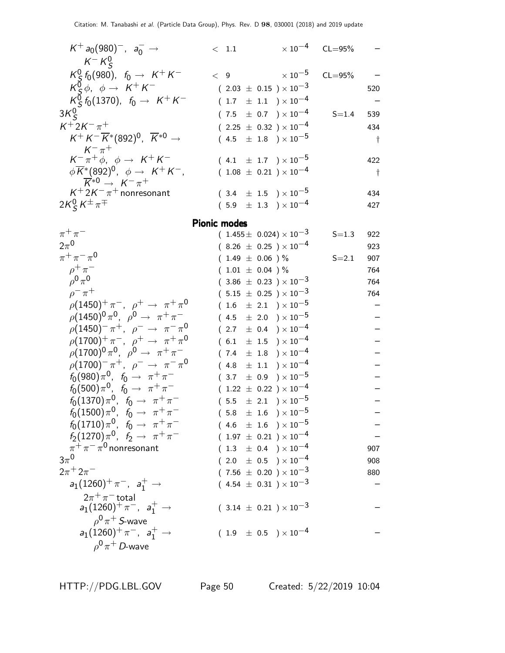| $K^+ a_0(980)^-, a_0^- \rightarrow$                               | $\langle$ 1.1                    |                     | $\times 10^{-4}$ CL=95% |            |
|-------------------------------------------------------------------|----------------------------------|---------------------|-------------------------|------------|
| $K^- K^0_S$                                                       |                                  |                     |                         |            |
| $K_S^0$ $f_0$ (980), $f_0 \to K^+ K^-$                            | $\langle 9 \rangle$              | $\times$ 10 $^{-5}$ | $CL = 95%$              |            |
| $K_S^0 \phi$ , $\phi \rightarrow K^+ K^-$                         | $(2.03 \pm 0.15) \times 10^{-3}$ |                     |                         | 520        |
| $K_S^0$ $f_0$ (1370), $f_0 \rightarrow K^+ K^-$                   | $(1.7 \pm 1.1) \times 10^{-4}$   |                     |                         |            |
| $3K_c^0$                                                          | $(7.5 \pm 0.7) \times 10^{-4}$   |                     | $S = 1.4$               | 539        |
| $K^{+}2K^{-}\pi^{+}$                                              | $(2.25 \pm 0.32) \times 10^{-4}$ |                     |                         | 434        |
| $K^+ K^- \overline{K}^*(892)^0$ , $\overline{K}^{*0} \rightarrow$ | $(4.5 \pm 1.8) \times 10^{-5}$   |                     |                         | $\ddagger$ |
| $K^{-}$ $\pi^{+}$                                                 |                                  |                     |                         |            |
| $K^-\pi^+\phi$ , $\phi \rightarrow K^+K^-$                        | $(4.1 \pm 1.7) \times 10^{-5}$   |                     |                         | 422        |
| $\phi \overline{K}^*(892)^0$ , $\phi \rightarrow K^+K^-$ ,        | $(1.08 \pm 0.21) \times 10^{-4}$ |                     |                         | $\ddagger$ |
| $\overline{K}^{*0} \rightarrow K^{-} \pi^{+}$                     |                                  |                     |                         |            |
| $K^+ 2K^- \pi^+$ nonresonant                                      | $(3.4 \pm 1.5) \times 10^{-5}$   |                     |                         | 434        |
| $2K_S^0 K^{\pm} \pi^{\mp}$                                        | $(5.9 \pm 1.3) \times 10^{-4}$   |                     |                         | 427        |
|                                                                   |                                  |                     |                         |            |
|                                                                   | <b>Pionic modes</b>              |                     |                         |            |
| $\pi$ + $\pi$ -                                                   | $(1.455 + 0.024) \times 10^{-3}$ |                     | $S - 13$                | റാറ        |

| $\pi^+\pi^-$                                              | $(1.455 \pm 0.024) \times 10^{-3}$ | $S = 1.3$ | 922 |
|-----------------------------------------------------------|------------------------------------|-----------|-----|
| $2\pi^0$                                                  | $(8.26 \pm 0.25) \times 10^{-4}$   |           | 923 |
| $\pi^{+}\pi^{-}\pi^{0}$                                   | $(1.49 \pm 0.06) \%$               | $S = 2.1$ | 907 |
| $\rho^+\pi^-$                                             | $(1.01 \pm 0.04) \%$               |           | 764 |
| $\rho^{0} \pi^{0}$                                        | $(~3.86~\pm~0.23~) \times 10^{-3}$ |           | 764 |
| $\rho^- \pi^+$                                            | $(5.15 \pm 0.25) \times 10^{-3}$   |           | 764 |
| $\rho(1450)^{+}\pi^{-}$ , $\rho^{+} \to \pi^{+}\pi^{0}$   | $(1.6 \pm 2.1) \times 10^{-5}$     |           |     |
| $\rho (1450)^0 \pi^0$ , $\rho^0 \to \pi^+ \pi^-$          | $(4.5 \pm 2.0) \times 10^{-5}$     |           |     |
| $\rho(1450)^{-} \pi^{+}$ , $\rho^{-} \to \pi^{-} \pi^{0}$ | $(2.7 \pm 0.4) \times 10^{-4}$     |           |     |
| $\rho(1700)^+ \pi^-$ , $\rho^+ \to \pi^+ \pi^0$           | $(6.1 \pm 1.5) \times 10^{-4}$     |           |     |
| $\rho(1700)^0 \pi^0$ , $\rho^0 \to \pi^+ \pi^-$           | $(7.4 \pm 1.8) \times 10^{-4}$     |           |     |
| $\rho(1700)^{-} \pi^{+}$ , $\rho^{-} \to \pi^{-} \pi^{0}$ | $(4.8 \pm 1.1) \times 10^{-4}$     |           |     |
| $f_0(980)\pi^0$ , $f_0 \to \pi^+\pi^-$                    | $(3.7 \pm 0.9) \times 10^{-5}$     |           |     |
| $f_0(500)\pi^0$ , $f_0 \to \pi^+\pi^-$                    | $(1.22 \pm 0.22) \times 10^{-4}$   |           |     |
| $f_0(1370)\pi^0$ , $f_0 \to \pi^+\pi^-$                   | $(5.5 \pm 2.1) \times 10^{-5}$     |           |     |
| $f_0(1500)\pi^0$ , $f_0 \to \pi^+\pi^-$                   | $(5.8 \pm 1.6) \times 10^{-5}$     |           |     |
| $f_0(1710)\pi^0$ , $f_0 \to \pi^+\pi^-$                   | $(4.6 \pm 1.6) \times 10^{-5}$     |           |     |
| $f_2(1270)\pi^0$ , $f_2 \to \pi^+\pi^-$                   | $(1.97 \pm 0.21) \times 10^{-4}$   |           |     |
| $\pi^+\pi^-\pi^0$ nonresonant                             | $(1.3 \pm 0.4) \times 10^{-4}$     |           | 907 |
| $3\pi^0$                                                  | $(2.0 \pm 0.5) \times 10^{-4}$     |           | 908 |
| $2\pi + 2\pi^-$                                           | $(7.56 \pm 0.20) \times 10^{-3}$   |           | 880 |
| $a_1(1260)^+ \pi^-$ , $a_1^+ \to$                         | $(4.54 \pm 0.31) \times 10^{-3}$   |           |     |
| $2\pi^+\pi^-$ total                                       |                                    |           |     |
| $a_1(1260)^+ \pi^-$ , $a_1^+ \to$                         | $(3.14 \pm 0.21) \times 10^{-3}$   |           |     |
| $\rho^0 \pi^+$ S-wave                                     |                                    |           |     |
| $a_1(1260)^+ \pi^-$ , $a_1^+ \to$                         | $(1.9 \pm 0.5) \times 10^{-4}$     |           |     |
| $\rho^0 \pi^+$ D-wave                                     |                                    |           |     |

HTTP://PDG.LBL.GOV Page 50 Created: 5/22/2019 10:04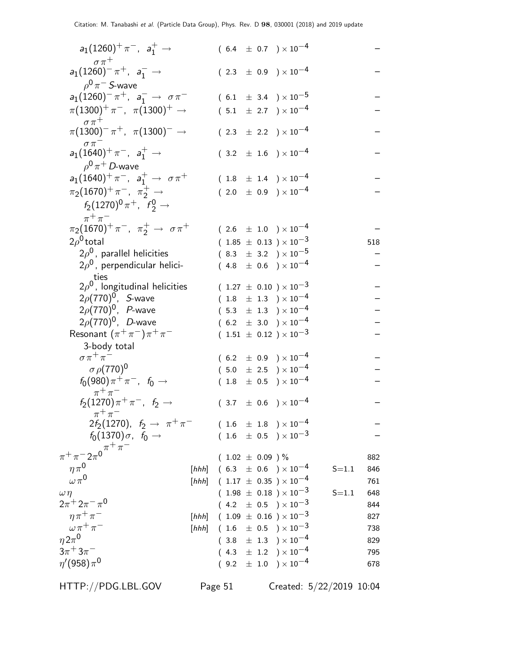| $a_1(1260)^+ \pi^-$ , $a_1^+ \to$                                       |       |  |                     | $(6.4 \pm 0.7) \times 10^{-4}$                                                               |           |     |
|-------------------------------------------------------------------------|-------|--|---------------------|----------------------------------------------------------------------------------------------|-----------|-----|
| $\sigma \pi^+$<br>$a_1(1260)^{-} \pi^{+}$ , $a_1^{-} \rightarrow$       |       |  |                     | $(2.3 \pm 0.9) \times 10^{-4}$                                                               |           |     |
| $\rho^0\pi^-$ S-wave                                                    |       |  |                     |                                                                                              |           |     |
| $a_1(1260)^{-} \pi^{+}$ , $a_1^{-} \rightarrow \sigma \pi^{-}$          |       |  |                     | $(6.1 \pm 3.4) \times 10^{-5}$                                                               |           |     |
| $\pi(1300)^{+}\pi^{-}$ , $\pi(1300)^{+} \rightarrow$                    |       |  |                     | $(5.1 \pm 2.7) \times 10^{-4}$                                                               |           |     |
| $\sigma \pi^+$<br>$\pi(1300)^{-} \pi^{+}$ , $\pi(1300)^{-} \rightarrow$ |       |  |                     | $(2.3 \pm 2.2) \times 10^{-4}$                                                               |           |     |
| $\sigma\,\pi$<br>$a_1(1640)^+ \pi^-$ , $a_1^+ \to$                      |       |  |                     | $(3.2 \pm 1.6) \times 10^{-4}$                                                               |           |     |
| $\rho^0 \pi^+$ D-wave                                                   |       |  |                     |                                                                                              |           |     |
| $a_1(1640)^+ \pi^-$ , $a_1^+ \rightarrow \sigma \pi^+$                  |       |  |                     | $(1.8 \pm 1.4) \times 10^{-4}$                                                               |           |     |
| $\pi_2(1670)^+ \pi^-$ , $\pi_2^+ \to$                                   |       |  |                     | $(2.0 \pm 0.9) \times 10^{-4}$                                                               |           |     |
| $f_2(1270)^0 \pi^+$ , $f_2^0 \rightarrow$<br>$\pi^+\pi^-$               |       |  |                     |                                                                                              |           |     |
| $\pi_2(1670)^+ \pi^-$ , $\pi_2^+ \to \sigma \pi^+$                      |       |  |                     | $(2.6 \pm 1.0) \times 10^{-4}$                                                               |           |     |
| $2\rho^0$ total                                                         |       |  |                     | $(1.85 \pm 0.13) \times 10^{-3}$                                                             |           | 518 |
| $2\rho^0$ , parallel helicities                                         |       |  |                     | $(8.3 \pm 3.2) \times 10^{-5}$                                                               |           |     |
| $2\rho^0$ , perpendicular helici-                                       |       |  |                     | $(4.8 \pm 0.6) \times 10^{-4}$                                                               |           |     |
| ties                                                                    |       |  |                     |                                                                                              |           |     |
| $2\rho^0$ , longitudinal helicities                                     |       |  |                     | $(1.27 \pm 0.10) \times 10^{-3}$                                                             |           |     |
| $2\rho(770)^0$ , <i>S</i> -wave                                         |       |  |                     | $(1.8 \pm 1.3) \times 10^{-4}$                                                               |           |     |
| $2\rho(770)^0$ , <i>P</i> -wave                                         |       |  |                     | $(5.3 \pm 1.3) \times 10^{-4}$                                                               |           |     |
| $2\rho(770)^{0}$ , <i>D</i> -wave                                       |       |  |                     | $(6.2 \pm 3.0) \times 10^{-4}$                                                               |           |     |
| Resonant $(\pi^+\pi^-)\pi^+\pi^-$                                       |       |  |                     | $(1.51 \pm 0.12) \times 10^{-3}$                                                             |           |     |
| 3-body total                                                            |       |  |                     |                                                                                              |           |     |
| $\sigma \pi^+ \pi^-$                                                    |       |  |                     | $(6.2 \pm 0.9) \times 10^{-4}$                                                               |           |     |
| $\sigma$ $\rho$ (770) <sup>0</sup>                                      |       |  |                     | $(5.0 \pm 2.5) \times 10^{-4}$                                                               |           |     |
| $f_0(980)\pi^+\pi^-, f_0 \rightarrow$<br>$\pi^+\pi^-$                   |       |  |                     | $(1.8 \pm 0.5) \times 10^{-4}$                                                               |           |     |
| $f_2(1270)\pi^+\pi^-$ , $f_2 \to$<br>$\pi^+\pi^-$                       |       |  |                     | $(3.7 \pm 0.6) \times 10^{-4}$                                                               |           |     |
| $2f_2(1270)$ , $f_2 \to \pi^+\pi^-$                                     |       |  |                     | $(1.6 \pm 1.8) \times 10^{-4}$                                                               |           |     |
| $f_0(1370)\sigma$ , $f_0 \rightarrow$                                   |       |  |                     | $(1.6 \pm 0.5) \times 10^{-3}$                                                               |           |     |
| $\pi^+ \pi^- 2\pi^0 \pi^+ \pi^-$                                        |       |  | $(1.02 \pm 0.09)$ % |                                                                                              |           | 882 |
| $\eta\pi^0$                                                             |       |  |                     | [hhh] $(6.3 \pm 0.6) \times 10^{-4}$                                                         | $S = 1.1$ | 846 |
| $\omega \pi^0$                                                          |       |  |                     | [hhh] $(1.17 \pm 0.35) \times 10^{-4}$                                                       |           | 761 |
| $\omega\eta$                                                            |       |  |                     | $(1.98 \pm 0.18) \times 10^{-3}$                                                             | $S = 1.1$ | 648 |
| $2\pi^+ 2\pi^- \pi^0$                                                   |       |  |                     | $(4.2 \pm 0.5) \times 10^{-3}$                                                               |           | 844 |
| $\eta \pi^+ \pi^-$                                                      | [hhh] |  |                     | $( \ 1.09 \ \pm \ 0.16 \ \ ) \times 10^{-3}$                                                 |           | 827 |
| $\omega \pi^+ \pi^-$                                                    | [hhh] |  |                     | $(1.6 \pm 0.5) \times 10^{-3}$                                                               |           | 738 |
| $\eta 2\pi^0$                                                           |       |  |                     | $(3.8 \pm 1.3) \times 10^{-4}$                                                               |           | 829 |
| $3\pi + 3\pi$                                                           |       |  |                     | $(\begin{array}{cc} 4.3 & \pm \end{array} \begin{array}{cc} 1.2 \end{array}) \times 10^{-4}$ |           | 795 |
| $\eta'(958)\pi^0$                                                       |       |  |                     | $(\begin{array}{cc} 9.2 & \pm \end{array} \begin{array}{cc} 1.0 \end{array}) \times 10^{-4}$ |           | 678 |

HTTP://PDG.LBL.GOV Page 51 Created: 5/22/2019 10:04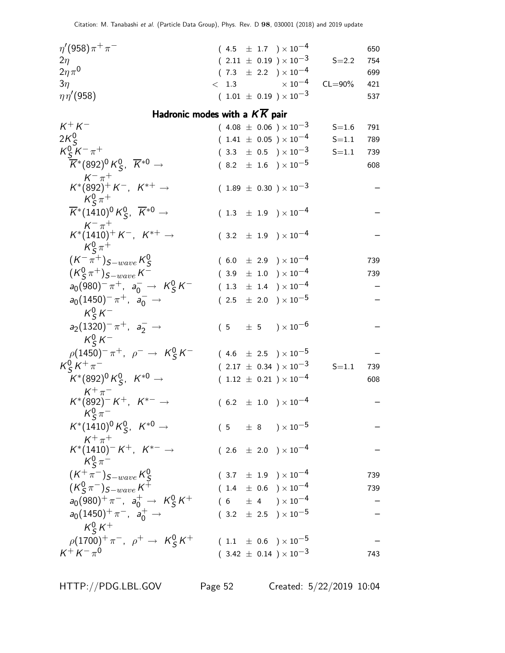| $\eta'(958)\pi^{+}\pi^{-}$ | $(4.5 \pm 1.7) \times 10^{-4}$   |           | 650 |
|----------------------------|----------------------------------|-----------|-----|
| $2\eta$                    | $(2.11 \pm 0.19) \times 10^{-3}$ | $S = 2.2$ | 754 |
| $2\eta\pi^0$               | $(7.3 \pm 2.2) \times 10^{-4}$   |           | 699 |
| 3n                         | $< 1.3$ $\times 10^{-4}$ CL=90%  |           | 421 |
| $\eta\eta^\prime(958)$     | $(1.01 \pm 0.19) \times 10^{-3}$ |           | 537 |

# Hadronic modes with a  $K\overline{K}$  pair

| $K^+ K^-$                                                                     |  |  | $(4.08 \pm 0.06) \times 10^{-3}$ | $S = 1.6$ | 791 |
|-------------------------------------------------------------------------------|--|--|----------------------------------|-----------|-----|
| $2K_S^0$                                                                      |  |  | $(1.41 \pm 0.05) \times 10^{-4}$ | $S = 1.1$ | 789 |
| $K_S^0 K^- \pi^+$                                                             |  |  | $(3.3 \pm 0.5) \times 10^{-3}$   | $S = 1.1$ | 739 |
| $\overline{K}^*(892)^0 K^0_S$ , $\overline{K}^{*0} \rightarrow$               |  |  | $(8.2 \pm 1.6) \times 10^{-5}$   |           | 608 |
| $K^{-}$ $\pi^{+}$<br>$K^*(892)^+ K^-$ , $K^{*+} \rightarrow$<br>$K_S^0 \pi^+$ |  |  | $(1.89 \pm 0.30) \times 10^{-3}$ |           |     |
| $\overline{K}^*(1410)^0 K^0_S$ , $\overline{K}^{*0}$ $\rightarrow$            |  |  | $(1.3 \pm 1.9) \times 10^{-4}$   |           |     |
| $K^{-} \pi^{+}$<br>$K^*(1410)^+ K^-$ , $K^{*+} \rightarrow$<br>$K^0_s \pi^+$  |  |  | $(3.2 \pm 1.9) \times 10^{-4}$   |           |     |
| $(K^{-}\pi^{+})_{S-wave} K_{S}^{0}$                                           |  |  | $(6.0 \pm 2.9) \times 10^{-4}$   |           | 739 |
| $(K_S^0 \pi^+)_{S-wave} K^-$                                                  |  |  | $(3.9 \pm 1.0) \times 10^{-4}$   |           | 739 |
| $a_0(980)^{-} \pi^{+}$ , $a_0^{-} \to K_S^0 K^{-}$                            |  |  | $(1.3 \pm 1.4) \times 10^{-4}$   |           |     |
| $a_0(1450)^- \pi^+$ , $a_0^ \rightarrow$                                      |  |  | $(2.5 \pm 2.0) \times 10^{-5}$   |           |     |
| $K^0_S K^-$                                                                   |  |  |                                  |           |     |
| $a_2(1320)^{-} \pi^{+}$ , $a_2^{-} \rightarrow$                               |  |  | $(5 \pm 5) \times 10^{-6}$       |           |     |
| $K^0_s K^-$                                                                   |  |  |                                  |           |     |
| $\rho(1450)^{-} \pi^{+}$ , $\rho^{-} \to K^{0}_{S} K^{-}$                     |  |  | $(4.6 \pm 2.5) \times 10^{-5}$   |           |     |
| $K_S^0 K^+ \pi^-$                                                             |  |  | $(2.17 \pm 0.34) \times 10^{-3}$ | $S = 1.1$ | 739 |
| $K^*(892)^0 K^0_S$ , $K^{*0} \rightarrow$                                     |  |  | $(1.12 \pm 0.21) \times 10^{-4}$ |           | 608 |
| $K^+\pi^-$<br>$K^*(892)^- K^+$ , $K^{*-}$ $\rightarrow$                       |  |  | $(6.2 \pm 1.0) \times 10^{-4}$   |           |     |
| $K_S^0 \pi^-$<br>$K^*(1410)^0 K_S^0$ , $K^{*0} \rightarrow$                   |  |  | $(5 \pm 8) \times 10^{-5}$       |           |     |
| $K^+\pi^+$<br>$K^*(1410)^- K^+$ , $K^{*-} \to$<br>$K_S^0 \pi^-$               |  |  | $(2.6 \pm 2.0) \times 10^{-4}$   |           |     |
| $(K^+\pi^-)_{S-wave}\,$ K $^{\sf U}_S$                                        |  |  | $(3.7 \pm 1.9) \times 10^{-4}$   |           | 739 |
| $(K_S^0 \pi^-)_{S-wave} K^+$                                                  |  |  | $(1.4 \pm 0.6) \times 10^{-4}$   |           | 739 |
| $a_0(980)^+ \pi^-$ , $a_0^+ \to K_S^0 K^+$                                    |  |  | $(6 \pm 4) \times 10^{-4}$       |           |     |
| $a_0(1450)^+ \pi^-$ , $a_0^+ \to$                                             |  |  | $(3.2 \pm 2.5) \times 10^{-5}$   |           |     |
| $K^0_s K^+$                                                                   |  |  |                                  |           |     |
| $\rho(1700)^{+}\pi^{-}$ , $\rho^{+} \to K_S^0 K^{+}$                          |  |  | $(1.1 \pm 0.6) \times 10^{-5}$   |           |     |
| $K^{+} K^{-} \pi^{0}$                                                         |  |  | $(3.42 \pm 0.14) \times 10^{-3}$ |           | 743 |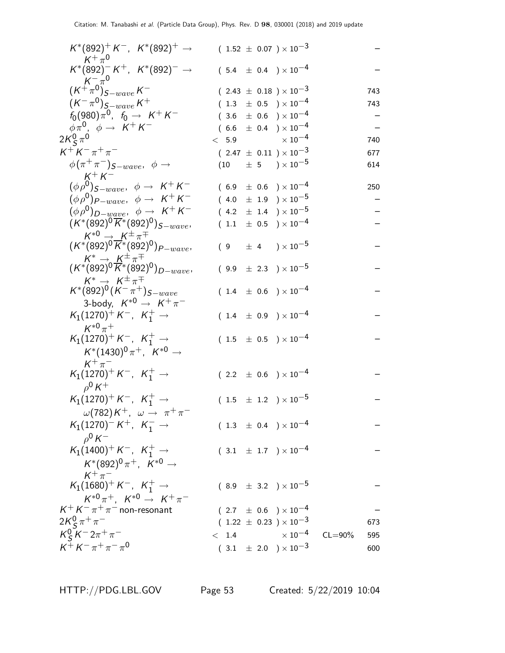| $K^*(892)^+ K^-$ , $K^*(892)^+$ $\rightarrow$<br>$K^+\pi^0$                               |       | $(1.52 \pm 0.07) \times 10^{-3}$ |             |     |
|-------------------------------------------------------------------------------------------|-------|----------------------------------|-------------|-----|
| $K^*(892)^- K^+$ , $K^*(892)^- \rightarrow$                                               |       | $(5.4 \pm 0.4) \times 10^{-4}$   |             |     |
| $(K^+\pi^0)_{S-wave}K^-$                                                                  |       | $(2.43 \pm 0.18) \times 10^{-3}$ |             | 743 |
| $(K^{-} \pi^{0})_{S-wave} K^{+}$                                                          |       | $(1.3 \pm 0.5) \times 10^{-4}$   |             | 743 |
| $f_0(980)\pi^0$ , $f_0 \rightarrow K^+K^-$                                                |       | $(3.6 \pm 0.6) \times 10^{-4}$   |             |     |
| $\phi \pi^0$ , $\phi \rightarrow K^+ K^-$                                                 |       | $(6.6 \pm 0.4) \times 10^{-4}$   |             |     |
| 2 $K^0_S\,\pi^0$                                                                          |       | $< 5.9$ $\times 10^{-4}$         |             | 740 |
| $K^+ K^- \pi^+ \pi^-$                                                                     |       | $(2.47 \pm 0.11) \times 10^{-3}$ |             | 677 |
| $\phi(\pi^+\pi^-)$ <sub>S-wave</sub> , $\phi \rightarrow$                                 |       | $(10 \t\pm 5 \t)\times 10^{-5}$  |             | 614 |
| $K^+ K^-$                                                                                 |       |                                  |             |     |
| $(\phi \rho^0)_{S-wave}, \phi \rightarrow K^+ K^-$                                        |       | $(6.9 \pm 0.6) \times 10^{-4}$   |             | 250 |
| $(\phi \rho^0)_{P-wave}, \phi \rightarrow K^+ K^-$                                        |       | $(4.0 \pm 1.9) \times 10^{-5}$   |             |     |
|                                                                                           |       |                                  |             |     |
| $(\phi \rho^0)_{D-wave}, \phi \rightarrow K^+ K^-$                                        |       | $(4.2 \pm 1.4) \times 10^{-5}$   |             |     |
| $(K^*(892)^0\overline{K}^*(892)^0)_{S-wave},$                                             |       | $(1.1 \pm 0.5) \times 10^{-4}$   |             |     |
| $K^{*0} \rightarrow K^{\pm} \pi^{\mp}$                                                    |       |                                  |             |     |
| $(K^*(892)^0\overline{K}^*(892)^0)_{P-wave}$                                              |       | $(9 \pm 4) \times 10^{-5}$       |             |     |
| $K^* \to K^{\pm} \pi^{\mp}$<br>( $K^*(892)^0 \overline{K^*(892)^0}$ ) <sub>D-wave</sub> , |       |                                  |             |     |
|                                                                                           |       | $(9.9 \pm 2.3) \times 10^{-5}$   |             |     |
| $K^* \rightarrow K^{\pm} \pi^{\mp}$                                                       |       |                                  |             |     |
| $\mathcal{K}^{*}(892)^{0}(\mathcal{K}^{-}\pi^{+})_{S-wave}$                               |       | $(1.4 \pm 0.6) \times 10^{-4}$   |             |     |
| 3-body, $K^{*0} \rightarrow K^+ \pi^-$                                                    |       |                                  |             |     |
| $K_1(1270)^+ K^-$ , $K_1^+ \rightarrow$                                                   |       | $(1.4 \pm 0.9) \times 10^{-4}$   |             |     |
| $K^{*0}\pi^+$                                                                             |       |                                  |             |     |
| $K_1(1270)^+ K^-$ , $K_1^+ \to$                                                           |       | $(1.5 \pm 0.5) \times 10^{-4}$   |             |     |
| $K^*(1430)^0 \pi^+$ , $K^{*0} \to$                                                        |       |                                  |             |     |
| $K^+\pi^-$                                                                                |       |                                  |             |     |
| $K_1(1270)^+ K^-$ , $K_1^+ \rightarrow$                                                   |       | $(2.2 \pm 0.6) \times 10^{-4}$   |             |     |
| $\rho^0 K^+$                                                                              |       |                                  |             |     |
|                                                                                           |       |                                  |             |     |
| $K_1(1270)^+ K^-$ , $K_1^+ \to$                                                           |       | $(1.5 \pm 1.2) \times 10^{-5}$   |             |     |
| $\omega(782)K^+$ , $\omega \rightarrow \pi^+\pi$                                          |       |                                  |             |     |
| $K_1(1270)^- K^+$ , $K_1^- \rightarrow$                                                   |       | $(1.3 \pm 0.4) \times 10^{-4}$   |             |     |
| $\rho^0 K^-$                                                                              |       |                                  |             |     |
| $K_1(1400)^+ K^-$ , $K_1^+ \rightarrow$                                                   |       | $(3.1 \pm 1.7) \times 10^{-4}$   |             |     |
| $K^*(892)^0 \pi^+$ , $K^{*0}$ $\rightarrow$                                               |       |                                  |             |     |
| $K^+\pi^-$                                                                                |       |                                  |             |     |
| $K_1(1680)^+ K^-$ , $K_1^+ \rightarrow$                                                   |       | $(8.9 \pm 3.2) \times 10^{-5}$   |             |     |
| $K^{*0}\pi^+$ . $K^{*0} \to K^+\pi^-$                                                     |       |                                  |             |     |
| $K^+ K^- \pi^+ \pi^-$ non-resonant                                                        |       | $(2.7 \pm 0.6) \times 10^{-4}$   |             |     |
| 2K $^0$ s $\pi^+\pi^-$                                                                    |       | $(1.22 \pm 0.23) \times 10^{-3}$ |             | 673 |
|                                                                                           |       |                                  |             |     |
| $K_S^0 K^- 2\pi^+\pi^-$                                                                   | < 1.4 | $\times$ 10 $^{-4}$              | $CL = 90\%$ | 595 |
| $K^+ K^- \pi^+ \pi^- \pi^0$                                                               |       | $(3.1 \pm 2.0) \times 10^{-3}$   |             | 600 |

HTTP://PDG.LBL.GOV Page 53 Created: 5/22/2019 10:04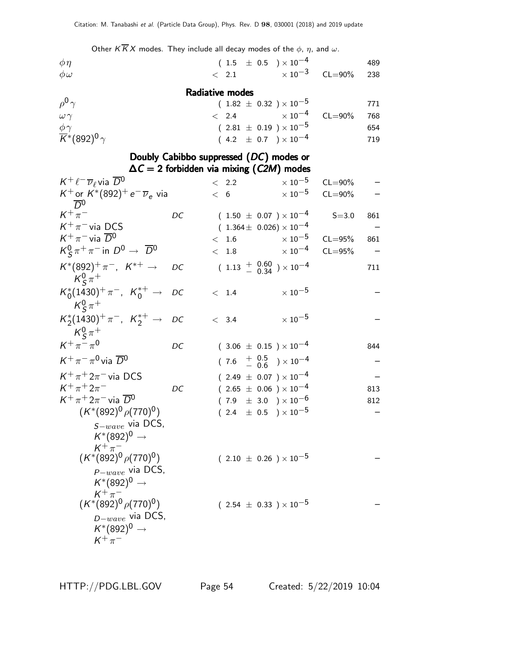Other  $K \overline{K} X$  modes. They include all decay modes of the  $\phi$ ,  $\eta$ , and  $\omega$ .

| $\phi\eta$                                                                                |                                                 |               | $(1.5 \pm 0.5) \times 10^{-4}$                                                                                                      |             | 489                      |
|-------------------------------------------------------------------------------------------|-------------------------------------------------|---------------|-------------------------------------------------------------------------------------------------------------------------------------|-------------|--------------------------|
| $\phi\omega$                                                                              |                                                 | $\langle$ 2.1 | $\times$ 10 $^{-3}$                                                                                                                 | $CL = 90\%$ | 238                      |
|                                                                                           | Radiative modes                                 |               |                                                                                                                                     |             |                          |
| $\rho^0 \gamma$<br>$\omega \gamma$<br>$\frac{\phi\gamma}{\mathsf{K}^*}$ (892) $^0\gamma$  |                                                 | < 2.4         | $(1.82 \pm 0.32) \times 10^{-5}$<br>$\times$ 10 <sup>-4</sup><br>$(2.81 \pm 0.19) \times 10^{-5}$<br>$(4.2 \pm 0.7) \times 10^{-4}$ | $CL = 90\%$ | 771<br>768<br>654<br>719 |
|                                                                                           | Doubly Cabibbo suppressed (DC) modes or         |               |                                                                                                                                     |             |                          |
|                                                                                           | $\Delta C = 2$ forbidden via mixing (C2M) modes |               |                                                                                                                                     |             |                          |
| $K^+ \ell^- \overline{\nu}_{\ell}$ via $\overline{D}{}^0$                                 |                                                 | $\langle$ 2.2 | $\times$ 10 $^{-5}$                                                                                                                 | $CL = 90\%$ |                          |
| $K^+$ or $K^*(892)^+e^ \overline{\nu}_e$ via<br>$\overline{D}^0$                          |                                                 | < 6           | $\times$ 10 $^{-5}$                                                                                                                 | $CL = 90\%$ |                          |
| $K^+\pi^-$                                                                                | DC                                              |               | $(1.50 \pm 0.07) \times 10^{-4}$                                                                                                    | $S = 3.0$   | 861                      |
| $K^+\pi^-$ via DCS                                                                        |                                                 |               | $(1.364 \pm 0.026) \times 10^{-4}$                                                                                                  |             |                          |
| $K^+\pi^-$ via $\overline{D}{}^0$                                                         |                                                 | < 1.6         | $\times$ 10 $^{-5}$                                                                                                                 | $CL = 95%$  | 861                      |
| $K_S^0 \pi^+ \pi^-$ in $D^0 \to \overline{D}{}^0$                                         | $\lt$                                           | 1.8           | $\times$ 10 <sup>-4</sup>                                                                                                           | $CL = 95%$  |                          |
| $K^*(892)^+\pi^-$ , $K^{*+}\to$<br>$K^0_s \pi^+$                                          | DC                                              |               | $(1.13 + 0.60 \n3.4) \times 10^{-4}$                                                                                                |             | 711                      |
| $K_0^*(1430)^+ \pi^-$ , $K_0^{*+} \to$<br>$K^0_s \pi^+$                                   | DC                                              | < 1.4         | $\times$ $10^{-5}$                                                                                                                  |             |                          |
| $K_2^*(1430)^+\pi^-$ , $K_2^{*+} \rightarrow$                                             | DC                                              | < 3.4         | $\times$ $10^{-5}$                                                                                                                  |             |                          |
| $K^0_s \pi^+$<br>$K^+\pi^-\pi^0$                                                          |                                                 |               |                                                                                                                                     |             |                          |
|                                                                                           | DC                                              |               | $(3.06 \pm 0.15) \times 10^{-4}$                                                                                                    |             | 844                      |
| $K^+\pi^-\pi^0$ via $\overline{D}{}^0$                                                    |                                                 |               | $(7.6 \tfrac{+0.5}{-0.6}) \times 10^{-4}$                                                                                           |             |                          |
| $K^+\pi^+2\pi^-$ via DCS                                                                  |                                                 |               | $(2.49 \pm 0.07) \times 10^{-4}$                                                                                                    |             |                          |
| $K^+\pi^+2\pi^-$<br>$K^+\pi^+2\pi^-$ via $\overline{D}{}^0$                               | DC                                              |               | $(2.65 \pm 0.06) \times 10^{-4}$                                                                                                    |             | 813                      |
| $(K^*(892)^0 \rho(770)^0)$                                                                |                                                 |               | $(7.9 \pm 3.0) \times 10^{-6}$                                                                                                      |             | 812                      |
| $S-wave$ via DCS,<br>$K^*(892)^0 \rightarrow$                                             |                                                 |               | $(2.4 \pm 0.5) \times 10^{-5}$                                                                                                      |             |                          |
| $K^+\pi^-$<br>$(K^*(892)^0 \rho(770)^0)$                                                  |                                                 |               | $(2.10 \pm 0.26) \times 10^{-5}$                                                                                                    |             |                          |
| $p_{-wave}$ via DCS,<br>$K^*(892)^0 \rightarrow$                                          |                                                 |               |                                                                                                                                     |             |                          |
| $K^+\pi^-$<br>$(K^*(892)^0 \rho(770)^0)$<br>$D-wave$ via DCS,<br>$K^*(892)^0 \rightarrow$ |                                                 |               | $(2.54 \pm 0.33) \times 10^{-5}$                                                                                                    |             |                          |
| $K^+\pi^-$                                                                                |                                                 |               |                                                                                                                                     |             |                          |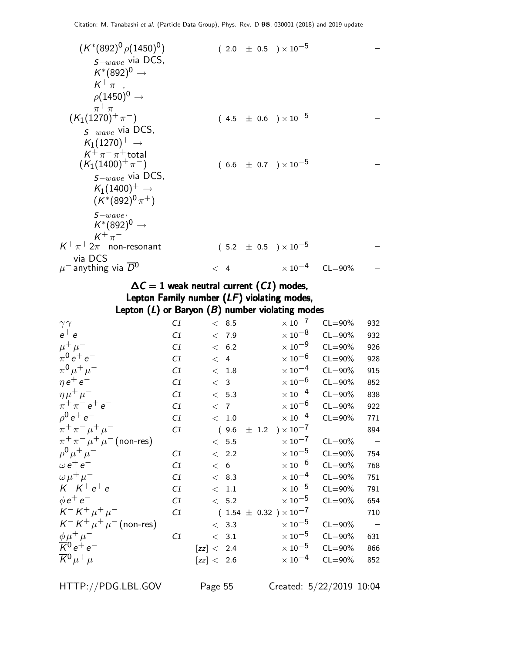| $(K^*(892)^0 \rho(1450)^0)$              |            | $(2.0 \pm 0.5) \times 10^{-5}$ |             |  |
|------------------------------------------|------------|--------------------------------|-------------|--|
| $S-wave$ via DCS,                        |            |                                |             |  |
| $K^*(892)^0 \rightarrow$                 |            |                                |             |  |
| $K^+\pi^-$ .                             |            |                                |             |  |
| $\rho$ (1450) <sup>0</sup> $\rightarrow$ |            |                                |             |  |
| $\pi^+\pi^-$                             |            |                                |             |  |
| $(K_1(1270)^+\pi^-)$                     |            | $(4.5 \pm 0.6) \times 10^{-5}$ |             |  |
| $S-wave$ via DCS,                        |            |                                |             |  |
| $K_1(1270)^+ \rightarrow$                |            |                                |             |  |
| $K^+\pi^-\pi^+$ total                    |            |                                |             |  |
| $(K_1(1400)^+\pi^-)$                     |            | $(6.6 \pm 0.7) \times 10^{-5}$ |             |  |
| $S-wave$ via DCS,                        |            |                                |             |  |
| $K_1(1400)^+ \rightarrow$                |            |                                |             |  |
| $(K^*(892)^0 \pi^+)$                     |            |                                |             |  |
| $S-wave$                                 |            |                                |             |  |
| $K^*(892)^0 \rightarrow$                 |            |                                |             |  |
| $K^+\pi^-$                               |            |                                |             |  |
| $K^+\pi^+2\pi^-$ non-resonant            |            | $(5.2 \pm 0.5) \times 10^{-5}$ |             |  |
| via DCS                                  |            |                                |             |  |
| $\mu^-$ anything via $\overline{D}{}^0$  | 4<br>$\lt$ | $\times$ 10 <sup>-4</sup>      | $CL = 90\%$ |  |

## $\Delta C = 1$  weak neutral current  $(C1)$  modes, Lepton Family number (LF) violating modes, Lepton  $(L)$  or Baryon  $(B)$  number violating modes

| $\gamma\gamma$                      | C1 | < 8.5      | $\times$ 10 <sup>-7</sup>                         | $CL = 90\%$ | 932                      |
|-------------------------------------|----|------------|---------------------------------------------------|-------------|--------------------------|
| $e^+e^-$                            | C1 | < 7.9      | $\times\,10^{-8}$                                 | $CL = 90\%$ | 932                      |
| $\mu^+ \mu^-$                       | C1 | < 6.2      | $\times$ 10 $^{-9}$                               | $CL = 90\%$ | 926                      |
| $\pi^{0} e^{+} e^{-}$               | C1 | < 4        | $\times$ 10 $^{-6}$                               | $CL = 90\%$ | 928                      |
| $\pi^{0} \mu^{+} \mu^{-}$           | C1 | < 1.8      | $\times$ 10 $^{-4}$                               | $CL = 90\%$ | 915                      |
| $\eta e^+ e^-$                      | C1 | < 3        | $\times$ 10 $^{-6}$                               | $CL = 90\%$ | 852                      |
| $\eta \mu^+ \mu^-$                  | C1 | < 5.3      | $\times$ 10 $^{-4}$                               | $CL = 90\%$ | 838                      |
| $\pi^{+}\pi^{-}e^{+}e^{-}$          | C1 | < 7        | $\times$ 10 $^{-6}$                               | $CL = 90\%$ | 922                      |
| $\rho^0 e^+ e^-$                    | C1 | $< 1.0$    | $\times$ 10 $^{-4}$                               | $CL = 90\%$ | 771                      |
| $\pi^+ \pi^- \mu^+ \mu^-$           | C1 | (9.6)      | $\pm$ 1.2 $\rightarrow$ $\times$ 10 <sup>-7</sup> |             | 894                      |
| $\pi^+ \pi^- \mu^+ \mu^-$ (non-res) |    | < 5.5      | $\times$ 10 $^{-7}$                               | $CL = 90\%$ | $\overline{\phantom{0}}$ |
| $\rho^{0} \mu^{+} \mu^{-}$          | C1 | < 2.2      | $\times$ 10 $^{-5}$                               | $CL = 90\%$ | 754                      |
| $\omega e^+ e^-$                    | C1 | < 6        | $\times$ 10 $^{-6}$                               | $CL = 90\%$ | 768                      |
| $\omega \mu^+ \mu^-$                | C1 | < 8.3      | $\times$ 10 $^{-4}$                               | $CL = 90\%$ | 751                      |
| $K^- K^+ e^+ e^-$                   | C1 | < 1.1      | $\times$ 10 $^{-5}$                               | $CL = 90\%$ | 791                      |
| $\phi e^+ e^-$                      | C1 | < 5.2      | $\times$ 10 $^{-5}$                               | $CL = 90\%$ | 654                      |
| $K^- K^+ \mu^+ \mu^-$               | C1 |            | $(1.54 \pm 0.32) \times 10^{-7}$                  |             | 710                      |
| $K^- K^+ \mu^+ \mu^-$ (non-res)     |    | < 3.3      | $\times$ 10 $^{-5}$                               | $CL = 90\%$ | $\overline{\phantom{a}}$ |
| $\phi \mu^+ \mu^-$                  | C1 | < 3.1      | $\times$ 10 $^{-5}$                               | $CL = 90\%$ | 631                      |
| $\overline{K}^0 e^+ e^-$            |    | [zz] < 2.4 | $\times$ 10 $^{-5}$                               | $CL = 90\%$ | 866                      |
| $\overline{K}{}^0\mu^+\mu^-$        |    | [zz] < 2.6 | $\times$ 10 <sup>-4</sup>                         | $CL = 90\%$ | 852                      |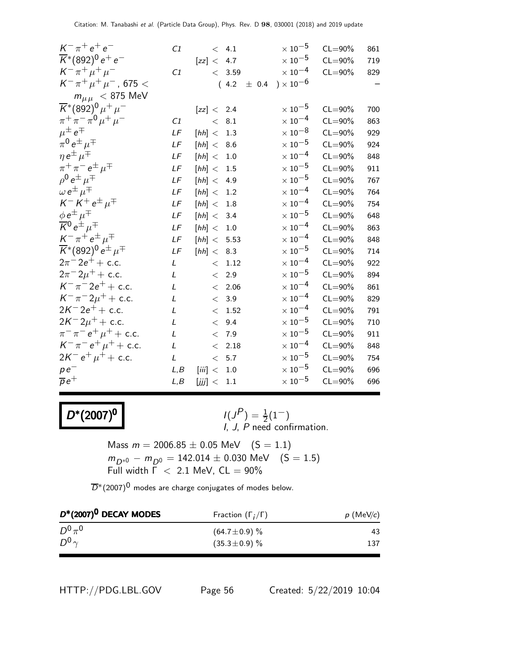| $K^{-} \pi^{+} e^{+} e^{-}$                                                                      | C1             |                | < 4.1    | $\times$ $10^{-5}$             | $CL = 90\%$ | 861 |
|--------------------------------------------------------------------------------------------------|----------------|----------------|----------|--------------------------------|-------------|-----|
| $\overline{K}$ *(892) <sup>0</sup> e <sup>+</sup> e <sup>-</sup>                                 |                | [zz] < 4.7     |          | $\times$ 10 $^{-5}$            | $CL = 90\%$ | 719 |
| $K^{-} \pi^{+} \mu^{+} \mu^{-}$                                                                  | C1             |                | < 3.59   | $\times\,10^{-4}$              | $CL = 90\%$ | 829 |
| $K^-\,\pi^+\,\mu^+\,\mu^-$ , 675 $<$                                                             |                |                |          | $(4.2 \pm 0.4) \times 10^{-6}$ |             |     |
| $m_{\mu\mu}$ < 875 MeV                                                                           |                |                |          |                                |             |     |
| $\overline{K}$ *(892) <sup>0</sup> $\mu$ <sup>+</sup> $\mu$ <sup>-</sup>                         |                | [zz] < 2.4     |          | $\times$ $10^{-5}$             | $CL = 90\%$ | 700 |
| $\pi^+ \pi^- \pi^0 \mu^+ \mu^-$                                                                  | C1             | $\lt$          | 8.1      | $\times$ $10^{-4}$             | $CL = 90\%$ | 863 |
| $\mu^{\pm} e^{\mp}$                                                                              | LF             | [hh] <         | 1.3      | $\times$ 10 $^{-8}$            | $CL = 90\%$ | 929 |
| $\pi^0 e^{\pm} \mu^{\mp}$                                                                        | LF             | [ $hh$ ] < 8.6 |          | $\times$ 10 $^{-5}$            | $CL = 90\%$ | 924 |
| $\eta e^{\pm} \mu^{\mp}$                                                                         | $L\sqrt{F}$    | [hh] < 1.0     |          | $\times\,10^{-4}$              | $CL = 90\%$ | 848 |
| $\pi^+\pi^ e^{\pm}$ $\mu^{\mp}$                                                                  | LF             | [hh] < 1.5     |          | $\times$ 10 $^{-5}$            | $CL = 90\%$ | 911 |
| $\rho^0 e^{\pm} \mu^{\mp}$                                                                       | LF             | [ $hh$ ] < 4.9 |          | $\times$ 10 $^{-5}$            | $CL = 90\%$ | 767 |
| $\omega e^{\pm} \mu^{\mp}$                                                                       | LF             | [hh] <         | 1.2      | $\times$ 10 $^{-4}$            | $CL = 90\%$ | 764 |
| $K^- K^+ e^{\pm} \mu^{\mp}$                                                                      | $L\mathcal{F}$ | [hh] <         | 1.8      | $\times$ 10 $^{-4}$            | $CL = 90\%$ | 754 |
| $\phi e^{\pm} \mu^{\mp}$                                                                         | LF             | [ $hh$ ] < 3.4 |          | $\times$ $10^{-5}$             | $CL = 90\%$ | 648 |
| $\overline{\mathcal{K}}{}^0 e^{\pm} \mu^{\mp}$                                                   | $L\sqrt{F}$    | [hh] <         | $1.0\,$  | $\times$ $10^{-4}$             | $CL = 90\%$ | 863 |
| $K^-\pi^+e^{\pm}\mu^{\mp}$                                                                       | LF             | [hh] < 5.53    |          | $\times$ 10 $^{-4}$            | $CL = 90\%$ | 848 |
| $\overline{K}$ *(892) <sup>0</sup> e <sup><math>\pm \mu</math></sup> <sup><math>\mp</math></sup> | LF             | [hh] $< 8.3$   |          | $\times$ $10^{-5}$             | $CL = 90\%$ | 714 |
| $2\pi^{-}2e^{+} + c.c.$                                                                          | L              |                | $< 1.12$ | $\times$ 10 <sup>-4</sup>      | $CL = 90\%$ | 922 |
| $2\pi^{-}2\mu^{+} +$ c.c.                                                                        | L              | $\lt$          | 2.9      | $\times$ $10^{-5}$             | $CL = 90\%$ | 894 |
| $K^{-} \pi^{-} 2e^{+} +$ c.c.                                                                    | $\mathbf{I}$   | $\lt$          | 2.06     | $\times$ 10 $^{-4}$            | $CL = 90\%$ | 861 |
| $K^{-} \pi^{-} 2\mu^{+} +$ c.c.                                                                  | L              | $\lt$          | 3.9      | $\times$ $10^{-4}$             | $CL = 90\%$ | 829 |
| $2K^{-}2e^{+}+c.c.$                                                                              | L              | $\lt$          | 1.52     | $\times$ 10 $^{-4}$            | $CL = 90\%$ | 791 |
| $2K^{-}2\mu^{+} +$ c.c.                                                                          | L              | $\lt$          | 9.4      | $\times$ $10^{-5}$             | $CL = 90\%$ | 710 |
| $\pi^{-} \pi^{-} e^{+} \mu^{+} +$ c.c.                                                           | L              | $\lt$          | 7.9      | $\times$ 10 $^{-5}$            | $CL = 90\%$ | 911 |
| $K^- \pi^- e^+ \mu^+ +$ c.c.                                                                     | $\mathcal{L}$  |                | < 2.18   | $\times$ 10 $^{-4}$            | $CL = 90\%$ | 848 |
| $2K^- e^+ \mu^+ +$ c.c.                                                                          | L              |                | < 5.7    | $\times$ 10 $^{-5}$            | $CL = 90\%$ | 754 |
| $pe^-$                                                                                           | L, B           | [iii] <        | $1.0\,$  | $\times$ $10^{-5}$             | $CL = 90\%$ | 696 |
| $\overline{\rho}e^+$                                                                             | L, B           | [jjj] <        | 1.1      | $\times$ 10 $^{-5}$            | $CL = 90\%$ | 696 |

# $D^*(2007)^0$  /(J

 $(P) = \frac{1}{2}(1^{-})$ I, J, P need confirmation.

Mass  $m = 2006.85 \pm 0.05 \text{ MeV}$  (S = 1.1)  $m_{D^{*0}} - m_{D^0} = 142.014 \pm 0.030$  MeV  $(S = 1.5)$ Full width  $\Gamma$  < 2.1 MeV,  $CL = 90\%$ 

 $\overline{D}$ <sup>\*</sup>(2007)<sup>0</sup> modes are charge conjugates of modes below.

| $D^*(2007)^0$ DECAY MODES | Fraction $(\Gamma_i/\Gamma)$ | $p$ (MeV/c) |  |  |
|---------------------------|------------------------------|-------------|--|--|
| $D^0\pi^0$                | $(64.7 \pm 0.9)$ %           | 43          |  |  |
| $D^0$                     | $(35.3 \pm 0.9)\%$           | 137         |  |  |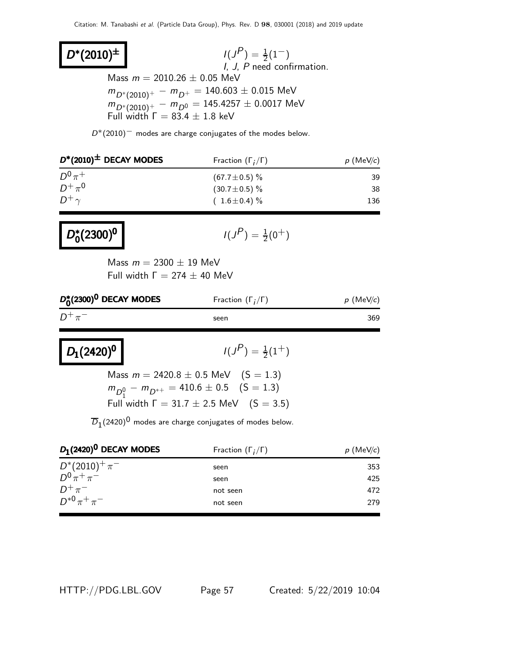$D^*(2010)^{\pm}$  |  $1(J)$  $\binom{P}{1} = \frac{1}{2}(1^{-})$ I, J, P need confirmation. Mass  $m = 2010.26 \pm 0.05$  MeV  $m_{D^*(2010)^+} - m_{D^+} = 140.603 \pm 0.015$  MeV  $m_{D^*(2010)^+}^2 - m_{D^0}^2 = 145.4257 \pm 0.0017$  MeV Full width  $\Gamma = 83.4 \pm 1.8$  keV

 $D*(2010)^-$  modes are charge conjugates of the modes below.

| $D^*(2010)^{\pm}$ DECAY MODES | Fraction $(\Gamma_i/\Gamma)$ | $p$ (MeV/c) |  |  |
|-------------------------------|------------------------------|-------------|--|--|
| $D^0\pi^+$                    | $(67.7 \pm 0.5)\%$           | 39          |  |  |
| $D^+\pi^0$                    | $(30.7 \pm 0.5)\%$           | 38          |  |  |
| $D^+\gamma$                   | $(1.6 \pm 0.4)\%$            | 136         |  |  |

| $D_0^*(2300)^0$<br>$I(J^{P}) = \frac{1}{2}(0^{+})$ |
|----------------------------------------------------|
|----------------------------------------------------|

Mass  $m = 2300 \pm 19$  MeV Full width  $Γ = 274 ± 40$  MeV

| $D_0^*(2300)^0$ DECAY MODES | Fraction $(\Gamma_i/\Gamma)$ | $p \text{ (MeV/c)}$ |
|-----------------------------|------------------------------|---------------------|
| $D^+\pi^-$                  | seen                         | 369                 |

 $D_1(2420)^0$ 

 $(P) = \frac{1}{2}(1^+)$ 

Mass  $m = 2420.8 \pm 0.5$  MeV  $(S = 1.3)$  $m_{D_1^0} - m_{D^{*+}} = 410.6 \pm 0.5 \quad (\text{S} = 1.3)$ Full width  $\Gamma = 31.7 \pm 2.5$  MeV  $(S = 3.5)$ 

 $\overline{D}_1$ (2420) $^0$  modes are charge conjugates of modes below.

| Fraction $(\Gamma_i/\Gamma)$ | $p$ (MeV/c) |  |  |
|------------------------------|-------------|--|--|
| seen                         | 353         |  |  |
| seen                         | 425         |  |  |
| not seen                     | 472         |  |  |
| not seen                     | 279         |  |  |
|                              |             |  |  |

HTTP://PDG.LBL.GOV Page 57 Created: 5/22/2019 10:04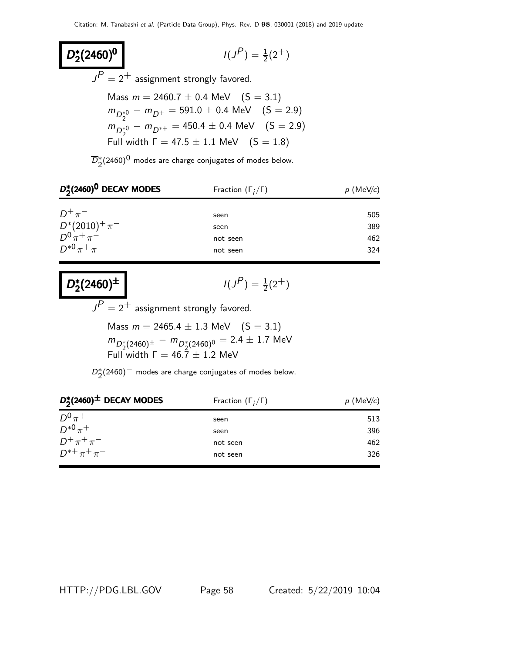$$
I(J^P) = \frac{1}{2}(2^+)
$$

 $J^{\textstyle P}=2^+$  assignment strongly favored.

Mass  $m = 2460.7 \pm 0.4$  MeV  $(S = 3.1)$  $m_{D_2^{*0}} - m_{D^+} = 591.0 \pm 0.4 \text{ MeV}$  (S = 2.9)  $m_{D_2^{*0}} - m_{D^{*+}} = 450.4 \pm 0.4 \text{ MeV}$  (S = 2.9) Full width  $Γ = 47.5 ± 1.1$  MeV  $(S = 1.8)$ 

 $\overline{D}_2^{*}(2460)^{\textstyle 0}$  modes are charge conjugates of modes below.

| $D_2^*(2460)^0$ DECAY MODES | Fraction $(\Gamma_i/\Gamma)$ | $p$ (MeV/c) |  |
|-----------------------------|------------------------------|-------------|--|
| $D^+\pi^-$                  | seen                         | 505         |  |
| $D^*(2010)^+\pi^-$          | seen                         | 389         |  |
| $D^{0}\pi^{+}\pi^{-}$       | not seen                     | 462         |  |
| $D^{*0}\pi^+\pi^-$          |                              | 324         |  |
|                             | not seen                     |             |  |

| $D_2^*(2460)^{\pm}$ | I (J |
|---------------------|------|
|---------------------|------|

D,<br>D,

 $2^*(2460)^0$ 

 $P$ ) =  $\frac{1}{2}(2^{+})$ 

 $J^{\textstyle P}=2^+$  assignment strongly favored.

Mass  $m = 2465.4 \pm 1.3$  MeV  $(S = 3.1)$  $m_{D_2^*(2460)^\pm} - m_{D_2^*(2460)^\mathrm{0}} = 2.4 \pm 1.7 \,\, \mathrm{MeV}$ Full width  $\Gamma = 46.7 \pm 1.2$  MeV

 $D_2^*(2460)^-$  modes are charge conjugates of modes below.

| $D_2^*(2460)^{\pm}$ DECAY MODES | Fraction $(\Gamma_i/\Gamma)$ | $p$ (MeV/c) |  |
|---------------------------------|------------------------------|-------------|--|
| $D^0\pi^+$                      | seen                         | 513         |  |
| $D^{*0}\pi^+$                   | seen                         | 396         |  |
| $D^+\pi^+\pi^-$                 | not seen                     | 462         |  |
| $D^{*+}\pi^+\pi^-$              | not seen                     | 326         |  |

HTTP://PDG.LBL.GOV Page 58 Created: 5/22/2019 10:04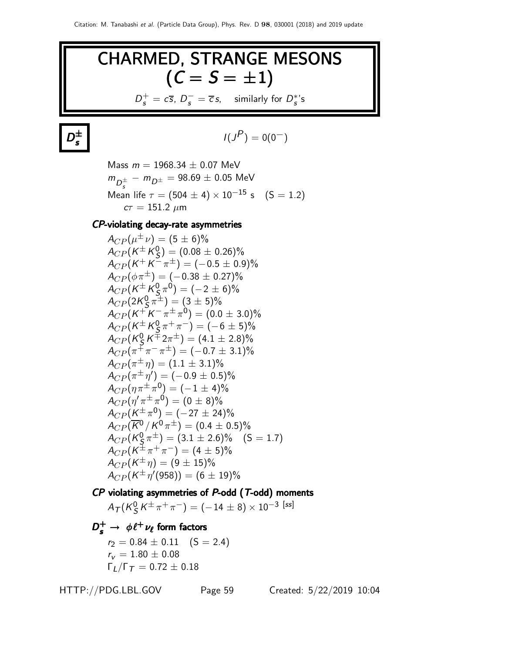# CHARMED, STRANGE MESONS  $(C = S = \pm 1)$  $D_s^+ = c\overline{s}, D_s^- = \overline{c}s$ , similarly for  $D_s^{*}$ 's

 $D_{-}^{\pm}$ s

$$
I(J^P)=0(0^-)
$$

Mass  $m = 1968.34 \pm 0.07$  MeV  $m_{D_s^{\pm}} - m_{D^{\pm}} = 98.69 \pm 0.05 \,\, {\rm MeV}$ Mean life  $\tau = (504 \pm 4) \times 10^{-15}$  s  $(S = 1.2)$  $c\tau = 151.2 \; \mu m$ 

#### CP-violating decay-rate asymmetries

 $A_{CP}(\mu^{\pm}\nu) = (5 \pm 6)\%$  $A_{CP}(\mathsf{K}^{\pm}\mathsf{K}_{\mathsf{S}}^{\mathsf{0}}$  $\binom{0}{5} = (0.08 \pm 0.26)\%$  $A_{CP}(K^+K^-\pi^\pm)=(-0.5\pm0.9)\%$  $A_{CP}(\phi \pi^{\pm}) = (-0.38 \pm 0.27)\%$  $A_{CP}(\mathsf{K}^{\pm}\mathsf{K}_{\mathsf{S}}^{\mathsf{0}}$  $(\frac{0}{5}, \pi^0) = (-2 \pm 6)\%$  $A_{CP}(2K_S^0 \pi^{\pm}) = (3 \pm 5)\%$ S  $A_{CP}(K^+K^-\pi^\pm\pi^0)=(0.0\pm 3.0)\%$  $A_{CP}(K^{\pm} K^0_S \pi^+ \pi^-) = (-6 \pm 5)\%$ S  $A_{CP}$ (K $_{\cal S}^0$  $\frac{6}{5}K^{\pm}2\pi^{\pm}$ ) =  $(4.1 \pm 2.8)\%$  $A_{CP}(\pi^{\mp}\pi^-\pi^{\pm}) = (-0.7 \pm 3.1)\%$  $A_{CP}(\pi^{\pm}\eta) = (1.1 \pm 3.1)\%$  $A_{CP}(\pi^{\pm}\,\eta') = (-0.9\pm 0.5)\%$  $A_{CP}(\eta \pi^{\pm} \pi^0) = (-1 \pm 4)\%$  $A_{CP}(\eta^{\prime}\pi^{\pm}\pi^{0})=(0\pm8)\%$  $A_{CP}(K^{\pm}\pi^0) = (-27 \pm 24)\%$  $A_{CP}(\overline{K}^0/K^0 \pi^{\pm}) = (0.4 \pm 0.5)\%$  $A_{CP}$ (K $_{\cal S}^0$  $\left(\frac{0}{5}\pi^{\pm}\right) = (3.1 \pm 2.6)\% \quad (\textsf{S}=1.7)$  $A_{CP}(K^{\pm}\pi^{+}\pi^{-}) = (4 \pm 5)\%$  $A_{CP}(K^{\pm}\eta) = (9 \pm 15)\%$  $A_{CP}(K^{\pm}\eta^{\prime}(958)) = (6 \pm 19)\%$ 

# $\mathcal{CP}$  violating asymmetries of  $\mathcal{P}\text{-odd}$  (T-odd) moments

 $A_{\mathcal{T}}(\mathcal{K}^0_S$  $\frac{0}{S}\, {\cal K}^{\pm}\, \pi^+\, \pi^-)= (-\,14\,\pm\,8)\times 10^{-3}\,\, [ss]$ 

# $D_{\bf s}^+\to \ \phi\ell^+\nu_{\ell}$  form factors

 $r_2 = 0.84 \pm 0.11$  (S = 2.4)  $r_v = 1.80 \pm 0.08$  $\Gamma_I/\Gamma_T = 0.72 \pm 0.18$ 

HTTP://PDG.LBL.GOV Page 59 Created: 5/22/2019 10:04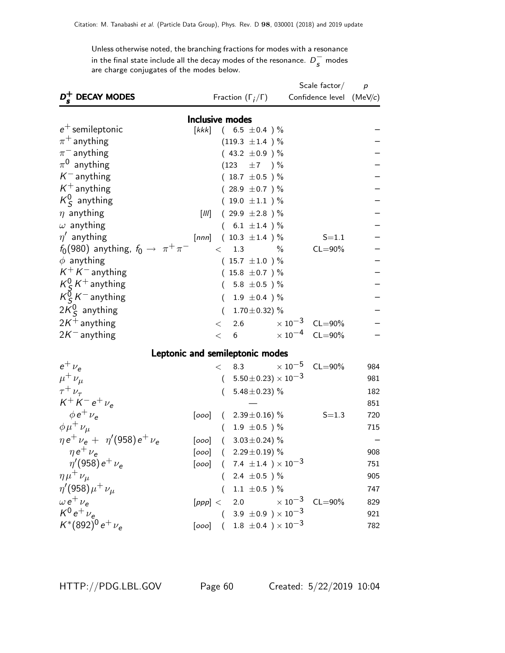Unless otherwise noted, the branching fractions for modes with a resonance in the final state include all the decay modes of the resonance.  $D_s^-$  modes are charge conjugates of the modes below.

|                                                   |                               |          |                                            |                     | Scale factor/              | $\overline{p}$ |  |
|---------------------------------------------------|-------------------------------|----------|--------------------------------------------|---------------------|----------------------------|----------------|--|
| D <sup>+</sup> DECAY MODES                        |                               |          | Fraction $(\Gamma_i/\Gamma)$               |                     | Confidence level $(MeV/c)$ |                |  |
| <b>Inclusive modes</b>                            |                               |          |                                            |                     |                            |                |  |
| $e^+$ semileptonic                                | $\left\lceil kkk\right\rceil$ |          | $(6.5 \pm 0.4)$ %                          |                     |                            |                |  |
| $\pi^+$ anything                                  |                               |          | $(119.3 \pm 1.4)$ %                        |                     |                            |                |  |
| $\pi^-$ anything                                  |                               |          | $(43.2 \pm 0.9)$ %                         |                     |                            |                |  |
| $\pi^0$ anything                                  |                               |          | $(123 \pm 7) \%$                           |                     |                            |                |  |
| $K^-$ anything                                    |                               |          | $(18.7 \pm 0.5)$ %                         |                     |                            |                |  |
| $K^+$ anything                                    |                               |          | $(28.9 \pm 0.7)$ %                         |                     |                            |                |  |
| $K_S^0$ anything                                  |                               |          | $(19.0 \pm 1.1)$ %                         |                     |                            |                |  |
| $\eta$ anything                                   | [III]                         |          | $(29.9 \pm 2.8) \%$                        |                     |                            |                |  |
| $\omega$ anything                                 |                               |          | $(6.1 \pm 1.4) \%$                         |                     |                            |                |  |
| $\eta'$ anything                                  |                               |          | [nnn] $(10.3 \pm 1.4)$ %                   |                     | $S = 1.1$                  |                |  |
| $f_0(980)$ anything, $f_0 \rightarrow \pi^+\pi^-$ |                               | $\lt$    | 1.3<br>$\%$                                |                     | $CL = 90\%$                |                |  |
| $\phi$ anything                                   |                               |          | $(15.7 \pm 1.0) \%$                        |                     |                            |                |  |
| $K^+ K^-$ anything                                |                               |          | $(15.8 \pm 0.7)$ %                         |                     |                            |                |  |
| $K_S^0 K^+$ anything                              |                               |          | 5.8 $\pm$ 0.5 ) %                          |                     |                            |                |  |
| $K_S^0 K^-$ anything                              |                               | $\left($ | 1.9 $\pm$ 0.4 ) %                          |                     |                            |                |  |
| $2K0S$ anything                                   |                               | $\left($ | 1.70 $\pm$ 0.32) %                         |                     |                            |                |  |
| $2K^+$ anything                                   |                               | $\lt$    | 2.6 $\times 10^{-3}$ CL=90%                |                     |                            |                |  |
| $2K^-$ anything                                   |                               | $\lt$    | 6 $\times 10^{-4}$ CL=90%                  |                     |                            |                |  |
|                                                   |                               |          | Leptonic and semileptonic modes            |                     |                            |                |  |
| $e^+$ $\nu_e$                                     |                               | $\lt$    | 8.3                                        | $\times$ 10 $^{-5}$ | $CL = 90\%$                | 984            |  |
| $\mu^+ \nu_\mu$                                   |                               |          | $(5.50\pm0.23)\times10^{-3}$               |                     |                            | 981            |  |
| $\tau^+ \nu_\tau$                                 |                               | $\left($ | 5.48 ± 0.23) $%$                           |                     |                            | 182            |  |
| $K^{+} K^{-} e^{+} \nu_{e}$                       |                               |          |                                            |                     |                            | 851            |  |
| $\phi e^+ \nu_e$                                  | [000]                         |          | $(2.39\pm0.16)\%$                          |                     | $S = 1.3$                  | 720            |  |
| $\phi \mu^+ \nu_\mu$                              |                               | $\left($ | $1.9 \pm 0.5$ ) $\%$                       |                     |                            | 715            |  |
| $\eta e^+ \nu_e + \eta'(958) e^+ \nu_e$           |                               |          | [ $000$ ] ( $3.03 \pm 0.24$ ) %            |                     |                            |                |  |
| $\eta e^+ \nu_e$                                  |                               |          | $[0.00]$ $(2.29 \pm 0.19)$ %               |                     |                            | 908            |  |
| $\eta'(958) e^+ \nu_e$                            |                               |          | $[000]$ ( 7.4 ± 1.4 ) $\times 10^{-3}$     |                     |                            | 751            |  |
| $\eta\mu^+\nu_\mu$                                |                               |          | $(2.4 \pm 0.5)$ %                          |                     |                            | 905            |  |
| $\eta'(958)\mu^{+}\nu_{\mu}$                      |                               |          | $1.1\ \pm0.5$ ) $\%$                       |                     |                            | 747            |  |
| $\omega e^+ \nu_{\rm e}$                          |                               |          | $[ppp] < 2.0$ $\times 10^{-3}$ CL=90%      |                     |                            | 829            |  |
| $K^0 e^+ \nu_e$                                   |                               |          | $(3.9 \pm 0.9) \times 10^{-3}$             |                     |                            | 921            |  |
| $K^*(892)^0 e^+ \nu_e$                            |                               |          | $[000]$ ( 1.8 $\pm 0.4$ ) $\times 10^{-3}$ |                     |                            | 782            |  |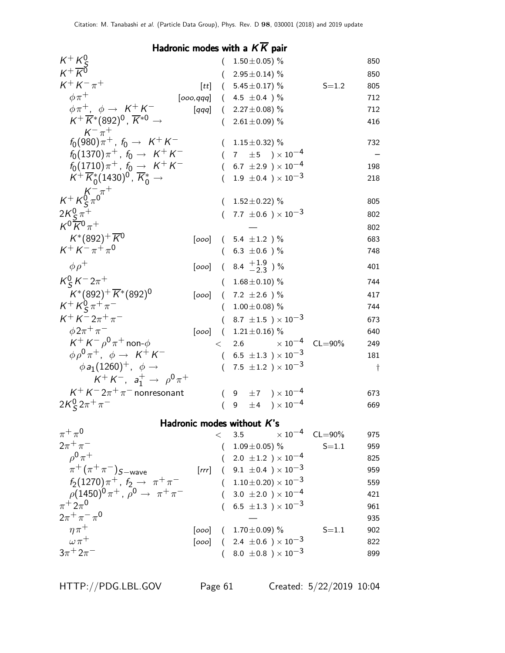# Hadronic modes with a  $K\overline{K}$  pair

| $K^+ K^0_c$                                                        |                     |          | $1.50 \pm 0.05$ ) %                              |             | 850       |
|--------------------------------------------------------------------|---------------------|----------|--------------------------------------------------|-------------|-----------|
| $K^+\overline{K^0}$                                                |                     | $\left($ | $2.95 \pm 0.14$ ) %                              |             | 850       |
| $K^{+} K^{-} \pi^{+}$                                              | [tt]                |          | $(5.45 \pm 0.17)\%$                              | $S = 1.2$   | 805       |
| $\phi \pi^+$                                                       |                     |          | [000,qqq] $(4.5 \pm 0.4)$ %                      |             | 712       |
| $\phi \pi^+$ , $\phi \rightarrow K^+ K^-$                          | $\left[ qqq\right]$ |          | $(2.27 \pm 0.08)\%$                              |             | 712       |
| $K^+\overline{K}{}^*(892)^0$ , $\overline{K}{}^{*0}$ $\rightarrow$ |                     | €        | 2.61 $\pm$ 0.09) %                               |             | 416       |
| $K^{-}$ $\pi^{+}$                                                  |                     |          |                                                  |             |           |
| $f_0(980)\pi^+$ , $f_0 \to K^+K^-$                                 |                     |          | $1.15\pm0.32)$ %                                 |             | 732       |
| $f_0(1370)\pi^+$ , $f_0 \to K^+K^-$                                |                     |          | 7 $\pm 5$ $) \times 10^{-4}$                     |             |           |
| $f_0(1710)\pi^+$ , $f_0 \to K^+K^-$                                |                     |          | 6.7 $\pm 2.9$ ) $\times 10^{-4}$                 |             | 198       |
| $K^+ \overline{K}_0^*(1430)^0$ , $\overline{K}_0^* \rightarrow$    |                     |          | $1.9 \pm 0.4$ ) $\times 10^{-3}$                 |             | 218       |
| $K^{+} K^{0}_{S} \pi^{0}$                                          |                     |          |                                                  |             |           |
|                                                                    |                     |          | $1.52 \pm 0.22$ ) %                              |             | 805       |
| $2K_{\rm S}^0 \pi^+$<br>$K^0 \overline{K}{}^0 \pi^+$               |                     |          | 7.7 $\pm$ 0.6 $\prime$ $\times$ 10 <sup>-3</sup> |             | 802       |
|                                                                    |                     |          |                                                  |             | 802       |
| $K^*(892)^+ \overline{K}{}^0$<br>$K^+ K^- \pi^+ \pi^0$             | [000]               |          | $(5.4 \pm 1.2)$ %                                |             | 683       |
|                                                                    |                     |          | $(6.3 \pm 0.6)$ %                                |             | 748       |
| $\phi \rho^+$                                                      |                     |          | [000] $(8.4 \frac{+1.9}{-2.3})\%$                |             | 401       |
| $K_S^0 K^- 2\pi^+$                                                 |                     |          | $(1.68 \pm 0.10)\%$                              |             | 744       |
| $K^*(892)^+ \overline{K}^*(892)^0$                                 | [000]               |          | $(7.2 \pm 2.6)$ %                                |             | 417       |
| $K^+ K^0_S \pi^+ \pi^-$                                            |                     |          | $(1.00 \pm 0.08)$ %                              |             | 744       |
| $K^{+} K^{-} 2\pi^{+} \pi^{-}$                                     |                     |          | $(8.7 \pm 1.5) \times 10^{-3}$                   |             | 673       |
| $\phi 2\pi^+ \pi^-$                                                | [000]               |          | $(1.21 \pm 0.16)$ %                              |             | 640       |
| $K^+ K^- \rho^0 \pi^+$ non- $\phi$                                 |                     | $\lt$    | $\times$ 10 $^{-4}$<br>2.6                       | $CL = 90\%$ | 249       |
| $\phi \rho^0 \pi^+$ , $\phi \rightarrow K^+ K^-$                   |                     |          | $(6.5 \pm 1.3) \times 10^{-3}$                   |             | 181       |
| $\phi a_1(1260)^+$ , $\phi \rightarrow$                            |                     | $\left($ | 7.5 $\pm$ 1.2 ) $\times$ 10 <sup>-3</sup>        |             | $\dagger$ |
| $K^+ K^-$ , $a_1^+ \rightarrow \rho^0 \pi^+$                       |                     |          |                                                  |             |           |
| $K^+ K^- 2\pi^+\pi^-$ nonresonant                                  |                     | $\left($ | 9 $\pm 7$ $) \times 10^{-4}$                     |             | 673       |
| $2K_S^0 2\pi^+\pi^-$                                               |                     |          | 9 $\pm 4$ ) $\times 10^{-4}$                     |             | 669       |
|                                                                    |                     |          | Hadronic modes without $K$ 's                    |             |           |
| $\pi^+\pi^0$                                                       |                     |          | $< 3.5 \times 10^{-4} \text{ CL} = 90\%$         |             | 975       |
| $2\pi^{+}\pi^{-}$                                                  |                     | $\left($ | $1.09 \pm 0.05$ ) %                              | $S = 1.1$   | 959       |
| $\rho^{0}\pi^{+}$                                                  |                     |          | $(2.0 \pm 1.2) \times 10^{-4}$                   |             | 825       |
| $\pi^+ (\pi^+ \pi^-)_{S-wave}$                                     |                     |          | [rrr] $(9.1 \pm 0.4) \times 10^{-3}$             |             | 959       |
| $f_2(1270)\pi^+$ , $f_2 \to \pi^+\pi^-$                            |                     |          | $(1.10\pm0.20)\times10^{-3}$                     |             | 559       |
| $\rho (1450)^0 \pi^+$ , $\rho^0 \rightarrow \pi^+ \pi^-$           |                     |          | $(3.0 \pm 2.0) \times 10^{-4}$                   |             | 421       |
| $\pi^+ 2\pi^0$                                                     |                     |          | 6.5 $\pm 1.3$ ) $\times 10^{-3}$                 |             | 961       |
| $2\pi^{+}\pi^{-}\pi^{0}$                                           |                     |          |                                                  |             | 935       |
| $\eta \pi^+$                                                       |                     |          | $[000]$ $(1.70 \pm 0.09)$ %                      | $S = 1.1$   | 902       |
| $\omega\pi^+$                                                      |                     |          | $[0.00]$ ( 2.4 $\pm 0.6$ ) $\times 10^{-3}$      |             | 822       |
| $3\pi + 2\pi^-$                                                    |                     |          | $(8.0\ \pm0.8\ )\times10^{-3}$                   |             | 899       |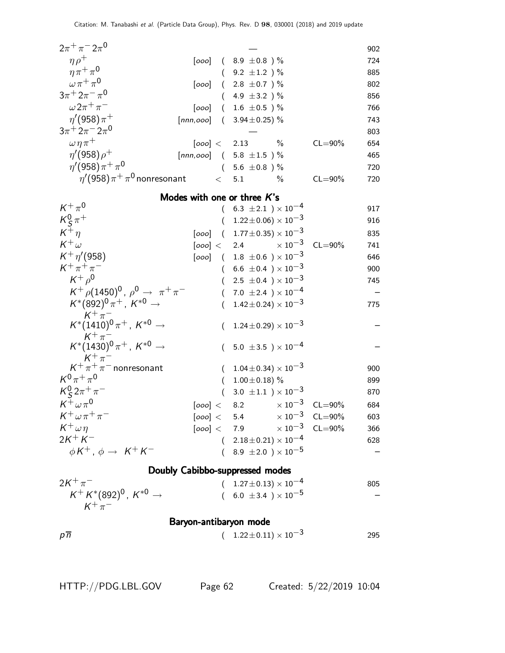| $2\pi^{+}\pi^{-}2\pi^{0}$                                                                                           |             |           |                                                                    |                            | 902 |
|---------------------------------------------------------------------------------------------------------------------|-------------|-----------|--------------------------------------------------------------------|----------------------------|-----|
| $\eta \rho^+$                                                                                                       |             |           | $[0.00]$ ( 8.9 ± 0.8 ) %                                           |                            | 724 |
| $\eta \pi^+ \pi^0$                                                                                                  |             |           | $(9.2 \pm 1.2)$ %                                                  |                            | 885 |
| $\omega \pi^+ \pi^0$                                                                                                | [000]       |           | $(2.8 \pm 0.7)$ %                                                  |                            | 802 |
| $3\pi$ <sup>+</sup> $2\pi$ <sup>-</sup> $\pi$ <sup>0</sup>                                                          |             |           | $(4.9 \pm 3.2)$ %                                                  |                            | 856 |
| $\omega 2\pi^+\pi^-$                                                                                                | [000] $\,$  |           | $(1.6 \pm 0.5)$ %                                                  |                            | 766 |
| $\eta'(958)\pi^+$                                                                                                   |             |           | [nnn,ooo] $(3.94 \pm 0.25)\%$                                      |                            | 743 |
| $3\pi$ <sup>+</sup> $2\pi$ <sup>-</sup> $2\pi$ <sup>0</sup>                                                         |             |           |                                                                    |                            | 803 |
| $\omega \eta \pi^+$                                                                                                 |             |           | $[000] < 2.13$ %                                                   | $CL = 90\%$                | 654 |
| $\eta' (958) \rho^+$                                                                                                |             |           | [nnn,000] $(5.8 \pm 1.5)$ %                                        |                            | 465 |
| $\eta'(958)\pi^{+}\pi^{0}$                                                                                          |             |           | $(5.6 \pm 0.8)$ %                                                  |                            | 720 |
| $\eta^\prime$ (958) $\pi^+\pi^0$ nonresonant                                                                        |             | $\lt$ 5.1 | $\%$                                                               | $CL = 90\%$                | 720 |
|                                                                                                                     |             |           | Modes with one or three $K$ 's                                     |                            |     |
| $K^+\pi^0$                                                                                                          |             |           | $(6.3 \pm 2.1) \times 10^{-4}$                                     |                            | 917 |
|                                                                                                                     |             |           | $1.22 \pm 0.06 \times 10^{-3}$                                     |                            | 916 |
| $\frac{K^0_S \pi^+}{K^+ \eta}$                                                                                      |             |           | $[000]$ $(1.77 \pm 0.35) \times 10^{-3}$                           |                            | 835 |
| $K^+\omega$                                                                                                         | [000] < 2.4 |           | $\times$ 10 $^{-3}$                                                | $CL = 90\%$                | 741 |
| $K^+ \eta' (958)$                                                                                                   |             |           | $[000]$ ( 1.8 $\pm 0.6$ ) $\times 10^{-3}$                         |                            | 646 |
| $K^+\pi^+\pi^-$                                                                                                     |             |           | $(6.6 \pm 0.4) \times 10^{-3}$                                     |                            | 900 |
| $K^+ \rho^0$                                                                                                        |             | $\left($  | 2.5 $\pm$ 0.4 $)\times10^{-3}$                                     |                            | 745 |
| $K^+$ $\rho$ (1450) <sup>0</sup> , $\rho$ <sup>0</sup> $\rightarrow \pi^+ \pi^-$                                    |             |           | $(7.0 \pm 2.4) \times 10^{-4}$                                     |                            |     |
| $K^*(892)^0 \pi^+$ , $K^{*0} \to$                                                                                   |             | (         | $1.42 \pm 0.24 \times 10^{-3}$                                     |                            | 775 |
| $\begin{array}{c} \mathcal{K}^+\pi^- \\ \mathcal{K}^*(1410)^0\pi^+ \, , \; \mathcal{K}^{*0}\rightarrow \end{array}$ |             | $\left($  | $1.24 \pm 0.29 \times 10^{-3}$                                     |                            |     |
| $K^+\pi^-$<br>$K^*(1430)^0 \pi^+$ , $K^{*0}$ $\rightarrow$                                                          |             | $\left($  | 5.0 $\pm$ 3.5 $\$ \times 10^{-4}                                   |                            |     |
| $K^+\pi^-\over \kappa^+\pi^-$ nonresonant                                                                           |             |           | $(1.04\pm0.34)\times10^{-3}$                                       |                            | 900 |
| $K^{0}\pi^{+}\pi^{0}$                                                                                               |             | $\left($  | $1.00 \pm 0.18$ ) %                                                |                            | 899 |
| $K_S^0 2\pi^+\pi^-$                                                                                                 |             | $\left($  | 3.0 $\pm$ 1.1 ) $\times$ 10 <sup>-3</sup>                          |                            | 870 |
| $K^+\omega\pi^0$                                                                                                    | [000] $<\,$ |           | 8.2 $\times 10^{-3}$ CL=90%                                        |                            | 684 |
| $K^+\omega\pi^+\pi^-$                                                                                               |             |           | [000] < 5.4                                                        | $\times 10^{-3}$ CL=90%    | 603 |
| $K^+\omega\eta$                                                                                                     |             |           | [000] < 7.9                                                        | $\times$ 10 $^{-3}$ CL=90% | 366 |
| $2K^{+}K^{-}$                                                                                                       |             |           | $(2.18\pm0.21)\times10^{-4}$                                       |                            | 628 |
| $\phi K^+$ , $\phi \rightarrow K^+ K^-$                                                                             |             |           | $(8.9 \pm 2.0) \times 10^{-5}$                                     |                            |     |
|                                                                                                                     |             |           |                                                                    |                            |     |
| $2K^{+}\pi^{-}$                                                                                                     |             |           | Doubly Cabibbo-suppressed modes                                    |                            |     |
| $K^+ K^*(892)^0$ , $K^{*0} \rightarrow$                                                                             |             |           | $(1.27 \pm 0.13) \times 10^{-4}$<br>$(6.0 \pm 3.4) \times 10^{-5}$ |                            | 805 |
| $K^+\pi^-$                                                                                                          |             |           |                                                                    |                            |     |
|                                                                                                                     |             |           | Baryon-antibaryon mode                                             |                            |     |
| $p\overline{n}$                                                                                                     |             |           | $(1.22 \pm 0.11) \times 10^{-3}$                                   |                            | 295 |
|                                                                                                                     |             |           |                                                                    |                            |     |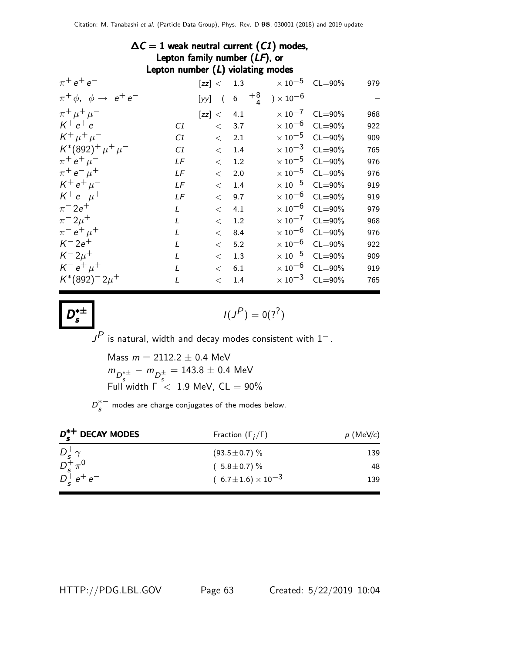### $\Delta C = 1$  weak neutral current (C1) modes, Lepton family number (LF), or Lepton number (L) violating modes

| $\pi^+ e^+ e^-$                           |               |            |                    | $[zz] < 1.3$ $\times 10^{-5}$ CL=90%     |                         | 979 |
|-------------------------------------------|---------------|------------|--------------------|------------------------------------------|-------------------------|-----|
| $\pi^+ \phi$ , $\phi \rightarrow e^+ e^-$ |               |            |                    | [yy] $(6 + \frac{8}{-4}) \times 10^{-6}$ |                         |     |
| $\pi^+ \mu^+ \mu^-$                       |               | [zz] < 4.1 |                    |                                          | $\times 10^{-7}$ CL=90% | 968 |
| $K^+e^+e^-$                               | C1            |            | < 3.7              |                                          | $\times 10^{-6}$ CL=90% | 922 |
| $K^+ \mu^+ \mu^-$                         | C1            |            | $<\phantom{00}2.1$ |                                          | $\times 10^{-5}$ CL=90% | 909 |
| $K^*(892)^+ \mu^+ \mu^-$                  | C1            | $\lt$      | 1.4                |                                          | $\times 10^{-3}$ CL=90% | 765 |
| $\pi^+ e^+ \mu^-$                         | LF            | $\lt$      | 1.2                |                                          | $\times 10^{-5}$ CL=90% | 976 |
| $\pi^+ e^- \mu^+$                         | LF            | $\lt$      | 2.0                |                                          | $\times 10^{-5}$ CL=90% | 976 |
| $K^+ e^+ \mu^-$                           | LF            | $\lt$      | 1.4                |                                          | $\times 10^{-5}$ CL=90% | 919 |
| $K^+e^-\mu^+$                             | LF            | $\lt$      | 9.7                |                                          | $\times 10^{-6}$ CL=90% | 919 |
| $\pi^{-} 2e^{+}$                          | $\mathcal{L}$ | $\lt$      | 4.1                |                                          | $\times 10^{-6}$ CL=90% | 979 |
| $\pi^{-} 2\mu^{+}$                        | $\mathcal{L}$ | $\lt$      | 1.2                |                                          | $\times 10^{-7}$ CL=90% | 968 |
| $\pi^{-} e^{+} \mu^{+}$                   | $\mathcal{L}$ | $\lt$      | 8.4                |                                          | $\times 10^{-6}$ CL=90% | 976 |
| $K^- 2e^+$                                | $\mathcal{L}$ | $\lt$      | 5.2                |                                          | $\times 10^{-6}$ CL=90% | 922 |
| $K^- 2\mu^+$                              | L             | $\lt$      | 1.3                |                                          | $\times 10^{-5}$ CL=90% | 909 |
| $K^- e^+ \mu^+$                           | $\mathbf{I}$  | $\lt$      | 6.1                |                                          | $\times 10^{-6}$ CL=90% | 919 |
| $K^*(892)^-2\mu^+$                        | $\mathbf{I}$  | $\lt$      | 1.4                |                                          | $\times 10^{-3}$ CL=90% | 765 |
|                                           |               |            |                    |                                          |                         |     |

$$
I(J^P)=0(?^?)
$$

 ${\color{black} J^P}$  is natural, width and decay modes consistent with  $1^-$  .

Mass  $m = 2112.2 \pm 0.4$  MeV  $m_{D_s^{*\pm}} - m_{D_s^{\pm}} = 143.8 \pm 0.4$  MeV Full width  $\Gamma$   $<$  1.9 MeV, CL  $=$  90%

 $D_{S}^{*-}$  modes are charge conjugates of the modes below.

| $D_{\epsilon}^{*+}$ DECAY MODES                            | Fraction $(\Gamma_i/\Gamma)$   | $p$ (MeV/c) |  |
|------------------------------------------------------------|--------------------------------|-------------|--|
|                                                            | $(93.5 \pm 0.7)$ %             | 139         |  |
| $\begin{array}{c} D_s^+ \gamma \\ D_s^+ \pi^0 \end{array}$ | $(5.8 \pm 0.7)\%$              | 48          |  |
| $D_{\epsilon}^{+}e^{+}e^{-}$                               | $(6.7 \pm 1.6) \times 10^{-3}$ | 139         |  |

HTTP://PDG.LBL.GOV Page 63 Created: 5/22/2019 10:04

 $D^{*\pm}$ s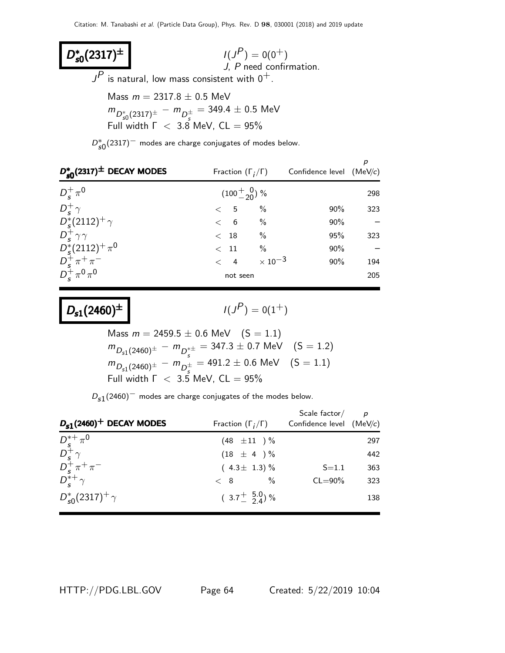D<sup>∗</sup>  $D_{s0}^*(2317)^{\pm}$ **so(2317)<sup>±</sup>**  $I(J^P) = 0(0^+)$ J, P need confirmation.  $J^{\textstyle P}$  is natural, low mass consistent with  $0^+$ . Mass  $m = 2317.8 \pm 0.5$  MeV  $m_{D_{s0}^{\ast}(2317)^{\pm}} - m_{D_{s}^{\pm}} = 349.4 \pm 0.5$  MeV

Full width  $\Gamma$   $<$  3.8 MeV, CL  $=$  95%

 $D_{s0}^{*}(2317)^{-}$  modes are charge conjugates of modes below.

| $D_{s0}^*(2317)^{\pm}$ DECAY MODES                     | Fraction $(\Gamma_i/\Gamma)$ |                           | Confidence level $(MeV/c)$ |     |
|--------------------------------------------------------|------------------------------|---------------------------|----------------------------|-----|
| $D_s^+\pi^0$                                           | $(100^{+}_{-20})$ %          |                           |                            | 298 |
| $D_s^+\gamma$                                          | $\lt$ 5                      | $\frac{0}{0}$             | 90%                        | 323 |
| $D_s^*(2112)^+\gamma$                                  | $\lt$ 6                      | $\frac{0}{0}$             | 90%                        |     |
| $D_s^+\gamma\gamma$                                    | $<$ 18                       | $\frac{0}{0}$             | 95%                        | 323 |
| $D_s^*(2112)^+\pi^0$                                   | $<$ 11                       | $\frac{0}{0}$             | 90%                        |     |
| $D_{s}^{+}\pi^{+}\pi^{-}$<br>$D_{s}^{+}\pi^{0}\pi^{0}$ | $\lt$ 4                      | $\times$ 10 <sup>-3</sup> | 90%                        | 194 |
|                                                        | not seen                     |                           |                            | 205 |

$$
\mathsf{I}(J^{\textstyle{\mathcal{P}}})= \mathsf{0}(1^+)
$$

Mass 
$$
m = 2459.5 \pm 0.6
$$
 MeV  $(S = 1.1)$   
\n $m_{D_{s1}(2460)^{\pm}} - m_{D_s^{\pm \pm}} = 347.3 \pm 0.7$  MeV  $(S = 1.2)$   
\n $m_{D_{s1}(2460)^{\pm}} - m_{D_s^{\pm}} = 491.2 \pm 0.6$  MeV  $(S = 1.1)$   
\nFull width  $\Gamma$  < 3.5 MeV, CL = 95%

 $D_{s1}(2460)^-$  modes are charge conjugates of the modes below.

| $D_{s1}(2460)^+$ DECAY MODES                            | Fraction $(\Gamma_i/\Gamma)$ | Scale factor/<br>Confidence level (MeV/c) | $\overline{p}$ |
|---------------------------------------------------------|------------------------------|-------------------------------------------|----------------|
|                                                         |                              |                                           |                |
| $D_{s}^{*+}\pi^{0}$                                     | $(48 \pm 11)^{\frac{0}{2}}$  |                                           | 297            |
| $D_s^+\gamma \atop D_s^+\pi^+\pi^-$<br>$D_s^{*+}\gamma$ | $(18 \pm 4) \%$              |                                           | 442            |
|                                                         | $(4.3 \pm 1.3)$ %            | $S = 1.1$                                 | 363            |
|                                                         | $\%$<br>< 8                  | $CL = 90\%$                               | 323            |
| $D_{s0}^*(2317)^+$ $\gamma$                             | $(3.7+$ $5.00$ %             |                                           | 138            |

HTTP://PDG.LBL.GOV Page 64 Created: 5/22/2019 10:04

 $D_{s1}(2460)^{\pm}$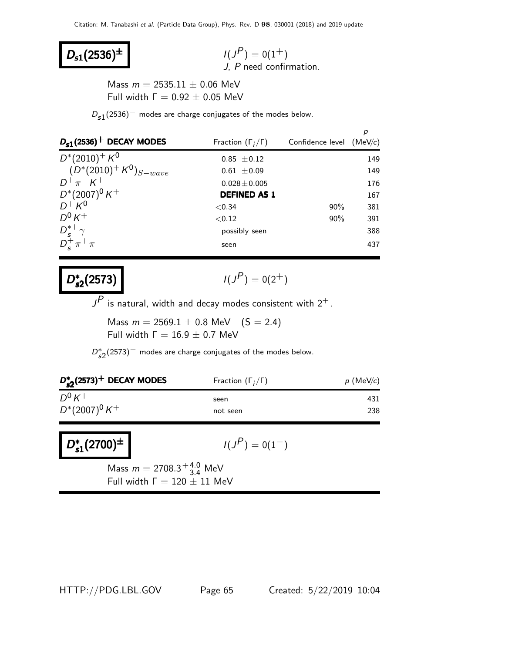# $D_{s1}(2536)^{\pm}$

 $P$ ) = 0(1<sup>+</sup>) J, P need confirmation.

Mass  $m = 2535.11 \pm 0.06$  MeV Full width  $Γ = 0.92 ± 0.05$  MeV

 $D_{s1}(2536)^-$  modes are charge conjugates of the modes below.

| $D_{s1}(2536)^+$ DECAY MODES                                             | Fraction $(\Gamma_i/\Gamma)$ | Confidence level $(MeV/c)$ |     |
|--------------------------------------------------------------------------|------------------------------|----------------------------|-----|
| $D^*(2010)^+ K^0$                                                        | $0.85 \pm 0.12$              |                            | 149 |
| $(D^*(2010)^+ K^0)_{S-wave}$                                             | $0.61 \pm 0.09$              |                            | 149 |
| $D^+\pi^- K^+$                                                           | $0.028 \pm 0.005$            |                            | 176 |
| $D^*(2007)^0 K^+$                                                        | <b>DEFINED AS 1</b>          |                            | 167 |
| $D^+ K^0$                                                                | ${<}0.34$                    | $90\%$                     | 381 |
| $D^0 K^+$                                                                | < 0.12                       | $90\%$                     | 391 |
| $\begin{array}{l}D_{s}^{*+}\gamma\\ D_{s}^{+}\pi^{+}\pi^{-} \end{array}$ | possibly seen                |                            | 388 |
|                                                                          | seen                         |                            | 437 |

#### D ∗  $s_2$ (2573)  $($

$$
I(J^P) = 0(2^+)
$$

 $J^{\!\!P}$  is natural, width and decay modes consistent with  $2^+$  .

Mass  $m = 2569.1 \pm 0.8$  MeV  $(S = 2.4)$ Full width  $Γ = 16.9 ± 0.7$  MeV

 $D_{s2}^*(2573)^-$  modes are charge conjugates of the modes below.

| $D_{\epsilon 2}^*(2573)^+$ DECAY MODES | Fraction $(\Gamma_i/\Gamma)$ | $p$ (MeV/c) |  |
|----------------------------------------|------------------------------|-------------|--|
| $D^0 K^+$                              | seen                         | 431         |  |
| $D^*(2007)^0 K^+$                      | not seen                     | 238         |  |

D<sup>∗</sup>  $D_{s1}^{*}(2700)^{\pm}$  |  $1(J)$ 

$$
I(J^{\textstyle \mathcal{P}})=0(1^-)
$$

Mass  $m = 2708.3^{+4.0}_{-3.4}$  MeV Full width  $\Gamma = 120 \pm 11$  MeV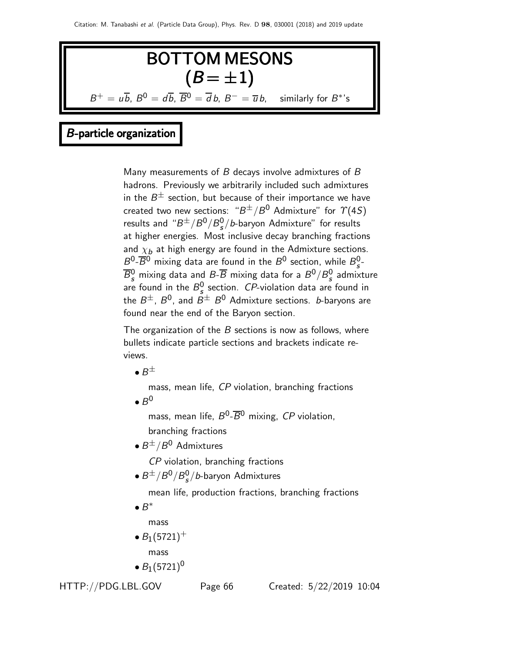

# B-particle organization

Many measurements of  $B$  decays involve admixtures of  $B$ hadrons. Previously we arbitrarily included such admixtures in the  $B^\pm$  section, but because of their importance we have created two new sections: " $B^\pm/B^0$  Admixture" for  $\varUpsilon(4S)$ results and " $B^{\pm}/B^0/B_s^0$  $\sigma_{\rm s}^{\rm 0}/b$ -baryon Admixture" for results at higher energies. Most inclusive decay branching fractions and  $\chi_b$  at high energy are found in the Admixture sections.  $B^0$ - $\overline{B}{}^0$  mixing data are found in the  $B^0$  section, while  $B^0_s$ s -  $\overline{B}_s^0$  mixing data and  $B\overline{\cdot B}$  mixing data for a  $B^0/B_s^0$  $\frac{0}{s}$  admixture are found in the  $B_s^0$  $S_{s}^{0}$  section. *CP*-violation data are found in the  $B^\pm$ ,  $B^0$ , and  $B^\pm$   $B^0$  Admixture sections.  $b$ -baryons are found near the end of the Baryon section.

The organization of the  $B$  sections is now as follows, where bullets indicate particle sections and brackets indicate reviews.

 $\bullet$   $B^{\pm}$ 

mass, mean life, CP violation, branching fractions  $\bullet$   $B^0$ 

mass, mean life,  $B^0$ - $\overline{B}{}^0$  mixing, CP violation, branching fractions

 $\bullet$   $B^{\pm}/B^0$  Admixtures

CP violation, branching fractions

 $\bullet$   $B^{\pm}/B^0/B_s^0$  $\frac{0}{s}/b$ -baryon Admixtures

mean life, production fractions, branching fractions

 $\bullet$   $B^*$ 

mass

•  $B_1(5721)^+$ 

mass

•  $B_1(5721)^0$ 

HTTP://PDG.LBL.GOV Page 66 Created: 5/22/2019 10:04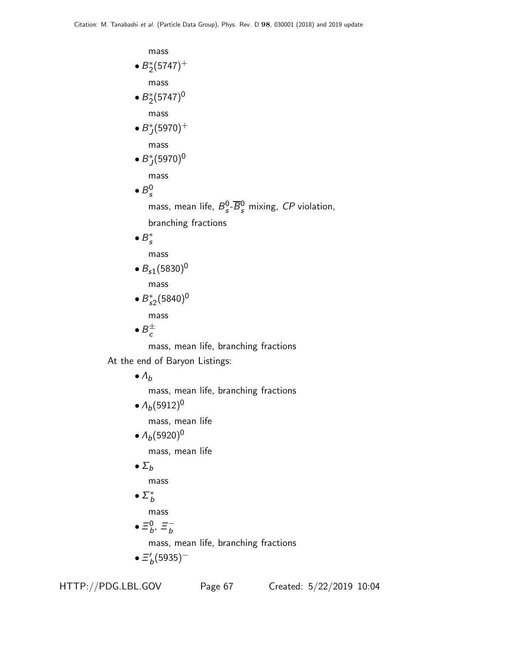mass  $\bullet B_2^*(5747)^+$ mass •  $B_2^*(5747)^0$ mass  $\bullet$   $B_J^*(5970)^+$ mass  $\bullet B_J^*(5970)^0$ mass  $\bullet$   $B_s^0$ s mass, mean life,  $B_s^0$  $\frac{0}{s}$ - $\overline{B}_{s}^{0}$  mixing, CP violation, branching fractions  $\bullet$   $B_s^*$ mass  $\bullet B_{s1}(5830)^{0}$ mass  $\bullet B_{s2}^*(5840)^0$ mass  $\bullet$   $B_c^{\pm}$ mass, mean life, branching fractions At the end of Baryon Listings:  $\bullet$   $\Lambda_b$ mass, mean life, branching fractions •  $\Lambda_b(5912)^0$ mass, mean life •  $\Lambda_b(5920)^0$ mass, mean life  $\bullet$   $\Sigma_b$ mass

 $\bullet$   $\Sigma^*_b$ 

mass

 $\bullet \equiv^0_b$  $_b^0, \equiv_b^-$ 

mass, mean life, branching fractions

 $\bullet \equiv_b' (5935)^-$ 

HTTP://PDG.LBL.GOV Page 67 Created: 5/22/2019 10:04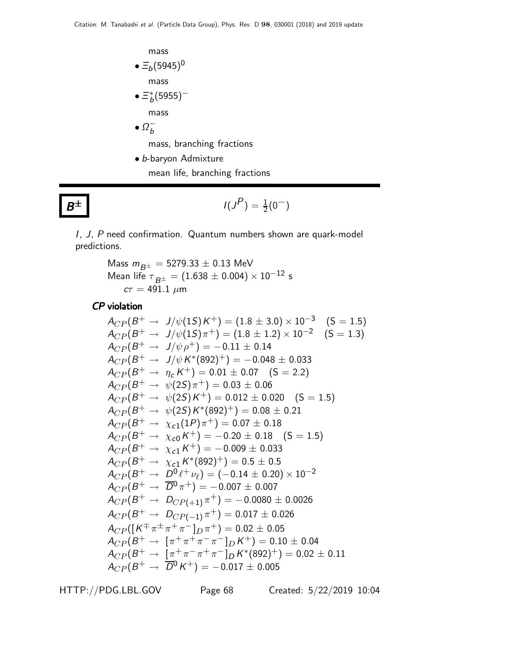mass  $\bullet \equiv_b (5945)^0$ mass  $\bullet \, \Xi^{\ast}_{b} (5955)^$ mass  $\bullet$   $\Omega_b^-$ 

mass, branching fractions

• b-baryon Admixture

mean life, branching fractions

$$
\pm \qquad I(J^P) = \frac{1}{2}(0^-)
$$

I, J, P need confirmation. Quantum numbers shown are quark-model predictions.

> Mass  $m_{B^{\pm}} = 5279.33 \pm 0.13 \text{ MeV}$ Mean life  $\tau_{B^{\pm}} = (1.638 \pm 0.004) \times 10^{-12}$  s  $c\tau = 491.1 \ \mu m$

CP violation

 $B^\pm$ 

$$
A_{CP}(B^+ \to J/\psi(1S)K^+) = (1.8 \pm 3.0) \times 10^{-3} \quad (S = 1.5)
$$
  
\n
$$
A_{CP}(B^+ \to J/\psi(1S)\pi^+) = (1.8 \pm 1.2) \times 10^{-2} \quad (S = 1.3)
$$
  
\n
$$
A_{CP}(B^+ \to J/\psi \mu^+) = -0.11 \pm 0.14
$$
  
\n
$$
A_{CP}(B^+ \to J/\psi K^*(892)^+) = -0.048 \pm 0.033
$$
  
\n
$$
A_{CP}(B^+ \to \eta_c K^+) = 0.01 \pm 0.07 \quad (S = 2.2)
$$
  
\n
$$
A_{CP}(B^+ \to \psi(2S)\pi^+) = 0.03 \pm 0.06
$$
  
\n
$$
A_{CP}(B^+ \to \psi(2S)K^*(892)^+) = 0.08 \pm 0.21
$$
  
\n
$$
A_{CP}(B^+ \to \chi_{c1}(1P)\pi^+) = 0.07 \pm 0.18
$$
  
\n
$$
A_{CP}(B^+ \to \chi_{c1}(K^+) = -0.20 \pm 0.18 \quad (S = 1.5)
$$
  
\n
$$
A_{CP}(B^+ \to \chi_{c1}K^+) = -0.009 \pm 0.033
$$
  
\n
$$
A_{CP}(B^+ \to \chi_{c1}K^*(892)^+) = 0.5 \pm 0.5
$$
  
\n
$$
A_{CP}(B^+ \to \chi_{c1}K^*(892)^+) = 0.5 \pm 0.5
$$
  
\n
$$
A_{CP}(B^+ \to \mathcal{D}^0 \ell^+ \nu_\ell) = (-0.14 \pm 0.20) \times 10^{-2}
$$
  
\n
$$
A_{CP}(B^+ \to \mathcal{D}^0 \tau^+) = -0.007 \pm 0.007
$$
  
\n
$$
A_{CP}(B^+ \to \mathcal{D}_{CP(+1)}\pi^+) = 0.017 \pm 0.026
$$
  
\n
$$
A_{CP}(B^+ \to \mathcal{D}_{CP(-1)}
$$

HTTP://PDG.LBL.GOV Page 68 Created: 5/22/2019 10:04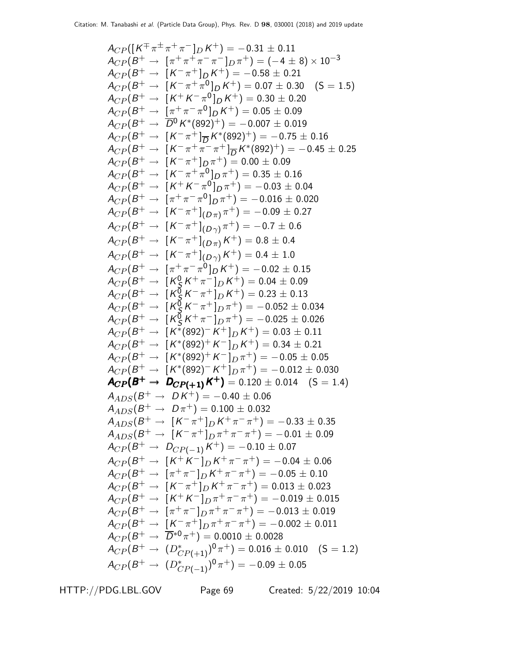ACP ([K ∓ π ± π <sup>+</sup> π <sup>−</sup> ]<sup>D</sup> K <sup>+</sup>) = <sup>−</sup>0.<sup>31</sup> <sup>±</sup> <sup>0</sup>.<sup>11</sup> ACP (B <sup>+</sup> <sup>→</sup> [<sup>π</sup> <sup>+</sup> π <sup>+</sup> π − π <sup>−</sup> ]<sup>D</sup> π <sup>+</sup>) = (−<sup>4</sup> <sup>±</sup> 8) <sup>×</sup> <sup>10</sup>−<sup>3</sup> ACP (B <sup>+</sup> <sup>→</sup> [<sup>K</sup> − π <sup>+</sup> ]<sup>D</sup> K <sup>+</sup>) = <sup>−</sup>0.<sup>58</sup> <sup>±</sup> <sup>0</sup>.<sup>21</sup> ACP (B <sup>+</sup> <sup>→</sup> [<sup>K</sup> − π <sup>+</sup> π 0 ]D K <sup>+</sup>) = 0.<sup>07</sup> <sup>±</sup> <sup>0</sup>.30 (S = 1.5) ACP (B <sup>+</sup> <sup>→</sup> [<sup>K</sup> <sup>+</sup> K − π 0 ]D K <sup>+</sup>) = 0.<sup>30</sup> <sup>±</sup> <sup>0</sup>.<sup>20</sup> ACP (B <sup>+</sup> <sup>→</sup> [<sup>π</sup> <sup>+</sup> π − π 0 ]D K <sup>+</sup>) = 0.<sup>05</sup> <sup>±</sup> <sup>0</sup>.<sup>09</sup> ACP (B <sup>+</sup> <sup>→</sup> <sup>D</sup> <sup>0</sup>K ∗ (892)+) = <sup>−</sup>0.<sup>007</sup> <sup>±</sup> <sup>0</sup>.<sup>019</sup> ACP (B <sup>+</sup> <sup>→</sup> [<sup>K</sup> − π <sup>+</sup> ]<sup>D</sup> K ∗ (892)+) = <sup>−</sup>0.<sup>75</sup> <sup>±</sup> <sup>0</sup>.<sup>16</sup> ACP (B <sup>+</sup> <sup>→</sup> [<sup>K</sup> − π <sup>+</sup> π − π <sup>+</sup> ]<sup>D</sup> K ∗ (892)+) = <sup>−</sup>0.<sup>45</sup> <sup>±</sup> <sup>0</sup>.<sup>25</sup> ACP (B <sup>+</sup> <sup>→</sup> [<sup>K</sup> − π <sup>+</sup> ]<sup>D</sup> π <sup>+</sup>) = 0.<sup>00</sup> <sup>±</sup> <sup>0</sup>.<sup>09</sup> ACP (B <sup>+</sup> <sup>→</sup> [<sup>K</sup> − π <sup>+</sup> π 0 ]D π <sup>+</sup>) = 0.<sup>35</sup> <sup>±</sup> <sup>0</sup>.<sup>16</sup> ACP (B <sup>+</sup> <sup>→</sup> [<sup>K</sup> <sup>+</sup> K − π 0 ]D π <sup>+</sup>) = <sup>−</sup>0.<sup>03</sup> <sup>±</sup> <sup>0</sup>.<sup>04</sup> ACP (B <sup>+</sup> <sup>→</sup> [<sup>π</sup> <sup>+</sup> π − π 0 ]D π <sup>+</sup>) = <sup>−</sup>0.<sup>016</sup> <sup>±</sup> <sup>0</sup>.<sup>020</sup> ACP (B <sup>+</sup> <sup>→</sup> [<sup>K</sup> − π + ] (<sup>D</sup> <sup>π</sup>) π <sup>+</sup>) = <sup>−</sup>0.<sup>09</sup> <sup>±</sup> <sup>0</sup>.<sup>27</sup> ACP (B <sup>+</sup> <sup>→</sup> [<sup>K</sup> − π + ] (<sup>D</sup> <sup>γ</sup>) π <sup>+</sup>) = <sup>−</sup>0.<sup>7</sup> <sup>±</sup> <sup>0</sup>.<sup>6</sup> ACP (B <sup>+</sup> <sup>→</sup> [<sup>K</sup> − π + ] (<sup>D</sup> <sup>π</sup>)K <sup>+</sup>) = 0.<sup>8</sup> <sup>±</sup> <sup>0</sup>.<sup>4</sup> ACP (B <sup>+</sup> <sup>→</sup> [<sup>K</sup> − π + ] (<sup>D</sup> <sup>γ</sup>)K <sup>+</sup>) = 0.<sup>4</sup> <sup>±</sup> <sup>1</sup>.<sup>0</sup> ACP (B <sup>+</sup> <sup>→</sup> [<sup>π</sup> <sup>+</sup> π − π 0 ]D K <sup>+</sup>) = <sup>−</sup>0.<sup>02</sup> <sup>±</sup> <sup>0</sup>.<sup>15</sup> ACP (B <sup>+</sup> <sup>→</sup> [<sup>K</sup> 0 S K <sup>+</sup> π <sup>−</sup> ]<sup>D</sup> K <sup>+</sup>) = 0.<sup>04</sup> <sup>±</sup> <sup>0</sup>.<sup>09</sup> ACP (B <sup>+</sup> <sup>→</sup> [<sup>K</sup> 0 S K − π <sup>+</sup> ]<sup>D</sup> K <sup>+</sup>) = 0.<sup>23</sup> <sup>±</sup> <sup>0</sup>.<sup>13</sup> ACP (B <sup>+</sup> <sup>→</sup> [<sup>K</sup> 0 S K − π <sup>+</sup> ]<sup>D</sup> π <sup>+</sup>) = <sup>−</sup>0.<sup>052</sup> <sup>±</sup> <sup>0</sup>.<sup>034</sup> ACP (B <sup>+</sup> <sup>→</sup> [<sup>K</sup> 0 S K <sup>+</sup> π <sup>−</sup> ]<sup>D</sup> π <sup>+</sup>) = <sup>−</sup>0.<sup>025</sup> <sup>±</sup> <sup>0</sup>.<sup>026</sup> ACP (B <sup>+</sup> <sup>→</sup> [<sup>K</sup> ∗ (892)− K <sup>+</sup> ]<sup>D</sup> K <sup>+</sup>) = 0.<sup>03</sup> <sup>±</sup> <sup>0</sup>.<sup>11</sup> ACP (B <sup>+</sup> <sup>→</sup> [<sup>K</sup> ∗ (892)<sup>+</sup> K <sup>−</sup> ]<sup>D</sup> K <sup>+</sup>) = 0.<sup>34</sup> <sup>±</sup> <sup>0</sup>.<sup>21</sup> ACP (B <sup>+</sup> <sup>→</sup> [<sup>K</sup> ∗ (892)<sup>+</sup> K <sup>−</sup> ]<sup>D</sup> π <sup>+</sup>) = <sup>−</sup>0.<sup>05</sup> <sup>±</sup> <sup>0</sup>.<sup>05</sup> ACP (B <sup>+</sup> <sup>→</sup> [<sup>K</sup> ∗ (892)− K <sup>+</sup> ]<sup>D</sup> π <sup>+</sup>) = <sup>−</sup>0.<sup>012</sup> <sup>±</sup> <sup>0</sup>.<sup>030</sup> ACP (B <sup>+</sup> <sup>→</sup> <sup>D</sup>CP(+ 1)<sup>K</sup> <sup>+</sup> CP ) <sup>+</sup> CP(+ 1)<sup>+</sup> ACP(B <sup>+</sup> D CP(+ 1)K CP )<sup>+</sup> CP(+ 1)= 0.<sup>120</sup> <sup>±</sup> <sup>0</sup>.014 (S = 1.4) AADS(B <sup>+</sup> <sup>→</sup> D K <sup>+</sup>) = <sup>−</sup>0.<sup>40</sup> <sup>±</sup> <sup>0</sup>.<sup>06</sup> AADS(B <sup>+</sup> <sup>→</sup> <sup>D</sup> <sup>π</sup> <sup>+</sup>) = 0.<sup>100</sup> <sup>±</sup> <sup>0</sup>.<sup>032</sup> AADS(B <sup>+</sup> <sup>→</sup> [<sup>K</sup> − π <sup>+</sup> ]<sup>D</sup> K <sup>+</sup> π − π <sup>+</sup>) = <sup>−</sup>0.<sup>33</sup> <sup>±</sup> <sup>0</sup>.<sup>35</sup> AADS(B <sup>+</sup> <sup>→</sup> [<sup>K</sup> − π <sup>+</sup> ]<sup>D</sup> π <sup>+</sup> π − π <sup>+</sup>) = <sup>−</sup>0.<sup>01</sup> <sup>±</sup> <sup>0</sup>.<sup>09</sup> ACP (B <sup>+</sup> <sup>→</sup> <sup>D</sup>CP(−1)<sup>K</sup> <sup>+</sup>) = <sup>−</sup>0.<sup>10</sup> <sup>±</sup> <sup>0</sup>.<sup>07</sup> ACP (B <sup>+</sup> <sup>→</sup> [<sup>K</sup> <sup>+</sup> K <sup>−</sup> ]<sup>D</sup> K <sup>+</sup> π − π <sup>+</sup>) = <sup>−</sup>0.<sup>04</sup> <sup>±</sup> <sup>0</sup>.<sup>06</sup> ACP (B <sup>+</sup> <sup>→</sup> [<sup>π</sup> <sup>+</sup> π <sup>−</sup> ]<sup>D</sup> K <sup>+</sup> π − π <sup>+</sup>) = <sup>−</sup>0.<sup>05</sup> <sup>±</sup> <sup>0</sup>.<sup>10</sup> ACP (B <sup>+</sup> <sup>→</sup> [<sup>K</sup> − π <sup>+</sup> ]<sup>D</sup> K <sup>+</sup> π − π <sup>+</sup>) = 0.<sup>013</sup> <sup>±</sup> <sup>0</sup>.<sup>023</sup> ACP (B <sup>+</sup> <sup>→</sup> [<sup>K</sup> <sup>+</sup> K <sup>−</sup> ]<sup>D</sup> π <sup>+</sup> π − π <sup>+</sup>) = <sup>−</sup>0.<sup>019</sup> <sup>±</sup> <sup>0</sup>.<sup>015</sup> ACP (B <sup>+</sup> <sup>→</sup> [<sup>π</sup> <sup>+</sup> π <sup>−</sup> ]<sup>D</sup> π <sup>+</sup> π − π <sup>+</sup>) = <sup>−</sup>0.<sup>013</sup> <sup>±</sup> <sup>0</sup>.<sup>019</sup> ACP (B <sup>+</sup> <sup>→</sup> [<sup>K</sup> − π <sup>+</sup> ]<sup>D</sup> π <sup>+</sup> π − π <sup>+</sup>) = <sup>−</sup>0.<sup>002</sup> <sup>±</sup> <sup>0</sup>.<sup>011</sup> ACP (B <sup>+</sup> <sup>→</sup> <sup>D</sup> <sup>∗</sup><sup>0</sup> π <sup>+</sup>) = 0.<sup>0010</sup> <sup>±</sup> <sup>0</sup>.<sup>0028</sup> ACP (B <sup>+</sup> <sup>→</sup> (D<sup>∗</sup> CP(+1)) 0 π <sup>+</sup>) = 0.<sup>016</sup> <sup>±</sup> <sup>0</sup>.010 (S = 1.2) ACP (B <sup>+</sup> <sup>→</sup> (D<sup>∗</sup> CP(−1)) 0 π <sup>+</sup>) = <sup>−</sup>0.<sup>09</sup> <sup>±</sup> <sup>0</sup>.<sup>05</sup>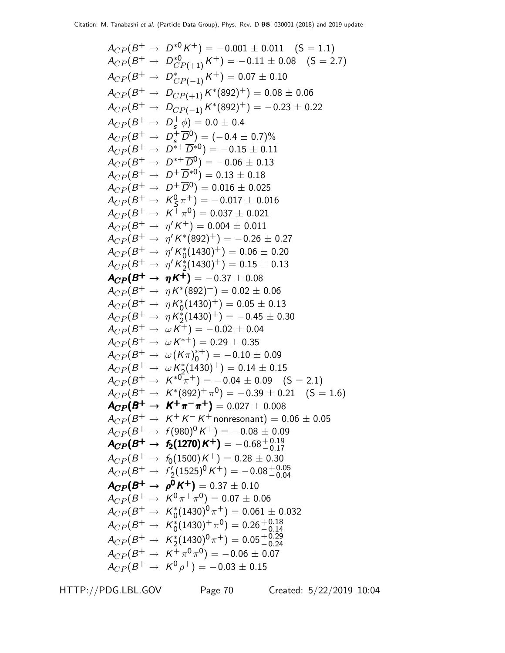$$
A_{CP}(B^+ \to D^{*0} K^+) = -0.001 \pm 0.011 (S = 1.1)
$$
  
\n
$$
A_{CP}(B^+ \to D^{*0}_{CP(+1)} K^+) = -0.11 \pm 0.08 (S = 2.7)
$$
  
\n
$$
A_{CP}(B^+ \to D^{*}_{CP(-1)} K^+) = 0.07 \pm 0.10
$$
  
\n
$$
A_{CP}(B^+ \to D^{*}_{CP(-1)} K^*(892)^+) = 0.08 \pm 0.06
$$
  
\n
$$
A_{CP}(B^+ \to D^{*0}_{CP(-1)} K^*(892)^+) = -0.23 \pm 0.22
$$
  
\n
$$
A_{CP}(B^+ \to D^{*0}_{S}) = 0.0 \pm 0.4
$$
  
\n
$$
A_{CP}(B^+ \to D^{*0}_{S}) = 0.0 \pm 0.4
$$
  
\n
$$
A_{CP}(B^+ \to D^{*+} D^{*0}) = -0.15 \pm 0.11
$$
  
\n
$$
A_{CP}(B^+ \to D^{*+} D^{*0}) = 0.13 \pm 0.18
$$
  
\n
$$
A_{CP}(B^+ \to D^{*} D^{0}) = 0.016 \pm 0.025
$$
  
\n
$$
A_{CP}(B^+ \to K^0_S \pi^+) = -0.017 \pm 0.016
$$
  
\n
$$
A_{CP}(B^+ \to K^0_S \pi^+) = 0.003 \pm 0.021
$$
  
\n
$$
A_{CP}(B^+ \to \eta' K^*(892)^+) = -0.26 \pm 0.27
$$
  
\n
$$
A_{CP}(B^+ \to \eta' K^*(892)^+) = 0.05 \pm 0.13
$$
  
\n
$$
A_{CP}(B^+ \to \eta' K^*(892)^+) = 0.05 \pm 0.13
$$
  
\n
$$
A_{CP}(B^+ \to \eta' K^*(892)^+) = 0.05 \pm 0.13
$$
  
\n
$$
A_{CP}(B^+ \to \eta' K^*(892)^+) = 0.05 \pm 0
$$

HTTP://PDG.LBL.GOV Page 70 Created: 5/22/2019 10:04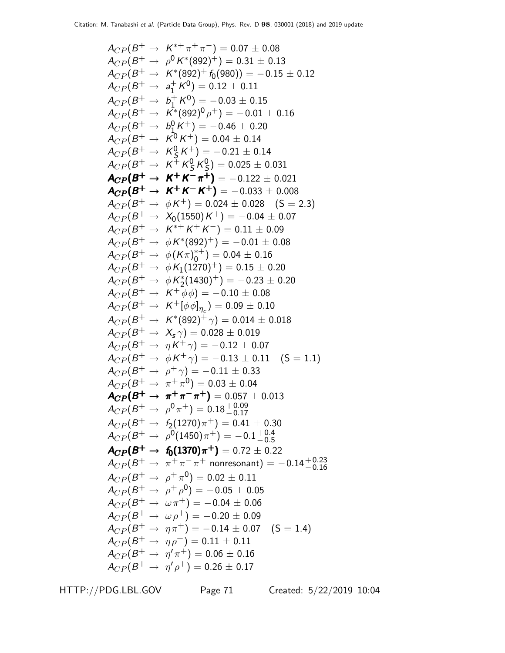ACP (B <sup>+</sup> <sup>→</sup> <sup>K</sup> <sup>∗</sup><sup>+</sup> π <sup>+</sup> π <sup>−</sup>) = 0.07 ± 0.08 ACP (B <sup>+</sup> <sup>→</sup> <sup>ρ</sup> <sup>0</sup>K ∗ (892)+) = 0.<sup>31</sup> <sup>±</sup> <sup>0</sup>.<sup>13</sup> ACP (B <sup>+</sup> <sup>→</sup> <sup>K</sup> ∗ (892)<sup>+</sup> <sup>f</sup>0(980)) = <sup>−</sup>0.<sup>15</sup> <sup>±</sup> <sup>0</sup>.<sup>12</sup> ACP (B <sup>+</sup> <sup>→</sup> <sup>a</sup> + 1 K 0 ) = 0.12 ± 0.11 ACP (B <sup>+</sup> <sup>→</sup> <sup>b</sup> + 1 K 0 ) = −0.03 ± 0.15 ACP (B <sup>+</sup> <sup>→</sup> <sup>K</sup> ∗ (892)<sup>0</sup> ρ <sup>+</sup>) = <sup>−</sup>0.<sup>01</sup> <sup>±</sup> <sup>0</sup>.<sup>16</sup> ACP (B <sup>+</sup> <sup>→</sup> <sup>b</sup> 0 1 K <sup>+</sup>) = <sup>−</sup>0.<sup>46</sup> <sup>±</sup> <sup>0</sup>.<sup>20</sup> ACP (B <sup>+</sup> <sup>→</sup> <sup>K</sup> <sup>0</sup>K <sup>+</sup>) = 0.<sup>04</sup> <sup>±</sup> <sup>0</sup>.<sup>14</sup> ACP (B <sup>+</sup> <sup>→</sup> <sup>K</sup> 0 S K <sup>+</sup>) = <sup>−</sup>0.<sup>21</sup> <sup>±</sup> <sup>0</sup>.<sup>14</sup> ACP (B <sup>+</sup> <sup>→</sup> <sup>K</sup> <sup>+</sup> K 0 S K 0 S ) = 0.025 ± 0.031 ACP (B <sup>+</sup> <sup>→</sup> <sup>K</sup> <sup>+</sup> K − π <sup>+</sup> CP ) <sup>+</sup> <sup>+</sup> <sup>−</sup> <sup>+</sup> ACP(B<sup>+</sup> K <sup>+</sup> K π <sup>+</sup> <sup>+</sup> ) <sup>=</sup> <sup>−</sup>0.<sup>122</sup> <sup>±</sup> <sup>0</sup>.<sup>021</sup> ACP (B <sup>+</sup> <sup>→</sup> <sup>K</sup> <sup>+</sup> K − K <sup>+</sup> ACP(B ) <sup>+</sup><sup>→</sup> <sup>K</sup> <sup>+</sup>K −K <sup>+</sup>ACP(B <sup>+</sup> K <sup>+</sup> K +) <sup>+</sup>K <sup>+</sup>K <sup>+</sup>) <sup>=</sup> <sup>−</sup>0.<sup>033</sup> <sup>±</sup> <sup>0</sup>.<sup>008</sup> ACP (B <sup>+</sup> <sup>→</sup> <sup>φ</sup><sup>K</sup> <sup>+</sup>) = 0.<sup>024</sup> <sup>±</sup> <sup>0</sup>.028 (S = 2.3) ACP (B <sup>+</sup> <sup>→</sup> <sup>X</sup>0(1550)<sup>K</sup> <sup>+</sup>) = <sup>−</sup>0.<sup>04</sup> <sup>±</sup> <sup>0</sup>.<sup>07</sup> ACP (B <sup>+</sup> <sup>→</sup> <sup>K</sup> <sup>∗</sup><sup>+</sup> K <sup>+</sup> K <sup>−</sup>) = 0.11 ± 0.09 ACP (B <sup>+</sup> <sup>→</sup> <sup>φ</sup><sup>K</sup> ∗ (892)+) = <sup>−</sup>0.<sup>01</sup> <sup>±</sup> <sup>0</sup>.<sup>08</sup> ACP (B <sup>+</sup> <sup>→</sup> <sup>φ</sup>(Kπ) ∗+ 0 ) = 0.04 ± 0.16 ACP (B <sup>+</sup> <sup>→</sup> <sup>φ</sup>K1(1270)+) = 0.<sup>15</sup> <sup>±</sup> <sup>0</sup>.<sup>20</sup> ACP (B <sup>+</sup> <sup>→</sup> <sup>φ</sup><sup>K</sup> ∗ 2 (1430)+) = <sup>−</sup>0.<sup>23</sup> <sup>±</sup> <sup>0</sup>.<sup>20</sup> ACP (B <sup>+</sup> <sup>→</sup> <sup>K</sup> <sup>+</sup> φφ) = <sup>−</sup>0.<sup>10</sup> <sup>±</sup> <sup>0</sup>.<sup>08</sup> ACP (B <sup>+</sup> <sup>→</sup> <sup>K</sup> <sup>+</sup>[φφ]η<sup>c</sup> ) = 0.09 ± 0.10 ACP (B <sup>+</sup> <sup>→</sup> <sup>K</sup> ∗ (892)<sup>+</sup> <sup>γ</sup>) = 0.<sup>014</sup> <sup>±</sup> <sup>0</sup>.<sup>018</sup> ACP (B <sup>+</sup> <sup>→</sup> <sup>X</sup><sup>s</sup> <sup>γ</sup>) = 0.<sup>028</sup> <sup>±</sup> <sup>0</sup>.<sup>019</sup> ACP (B <sup>+</sup> <sup>→</sup> <sup>η</sup><sup>K</sup> <sup>+</sup> <sup>γ</sup>) = <sup>−</sup>0.<sup>12</sup> <sup>±</sup> <sup>0</sup>.<sup>07</sup> ACP (B <sup>+</sup> <sup>→</sup> <sup>φ</sup><sup>K</sup> <sup>+</sup> <sup>γ</sup>) = <sup>−</sup>0.<sup>13</sup> <sup>±</sup> <sup>0</sup>.11 (S = 1.1) ACP (B <sup>+</sup> <sup>→</sup> <sup>ρ</sup> <sup>+</sup> <sup>γ</sup>) = <sup>−</sup>0.<sup>11</sup> <sup>±</sup> <sup>0</sup>.<sup>33</sup> ACP (B <sup>+</sup> <sup>→</sup> <sup>π</sup> <sup>+</sup> π 0 ) = 0.03 ± 0.04 ACP (B <sup>+</sup> <sup>→</sup> <sup>π</sup> <sup>+</sup> π − π <sup>+</sup> ACP(B ) <sup>+</sup><sup>→</sup> <sup>π</sup> <sup>+</sup>π −π <sup>+</sup>ACP(B<sup>+</sup> π <sup>+</sup>π π ) <sup>+</sup>π <sup>+</sup>π π ) = 0.057 ± 0.013 ACP (B <sup>+</sup> <sup>→</sup> <sup>ρ</sup> 0 π <sup>+</sup>) = 0.18+ 0.<sup>09</sup> −0.17 ACP (B <sup>+</sup> <sup>→</sup> <sup>f</sup>2(1270)<sup>π</sup> <sup>+</sup>) = 0.<sup>41</sup> <sup>±</sup> <sup>0</sup>.<sup>30</sup> ACP (B <sup>+</sup> <sup>→</sup> <sup>ρ</sup> 0 (1450)π <sup>+</sup>) = <sup>−</sup>0.<sup>1</sup> + 0.4 −0.5 ACP (B <sup>+</sup> <sup>→</sup> <sup>f</sup>0(1370)<sup>π</sup> <sup>+</sup> CP ) <sup>+</sup>→0+ACP(<sup>B</sup> <sup>+</sup> f <sup>0</sup>(1370)π CP )+0= 0.<sup>72</sup> <sup>±</sup> <sup>0</sup>.<sup>22</sup> ACP (B <sup>+</sup> <sup>→</sup> <sup>π</sup> <sup>+</sup> π − π <sup>+</sup> nonresonant) = <sup>−</sup>0.14+ 0.<sup>23</sup> −0.16 ACP (B <sup>+</sup> <sup>→</sup> <sup>ρ</sup> <sup>+</sup> π 0 ) = 0.02 ± 0.11 ACP (B <sup>+</sup> <sup>→</sup> <sup>ρ</sup> <sup>+</sup> ρ 0 ) = −0.05 ± 0.05 ACP (B <sup>+</sup> <sup>→</sup> ωπ+) = <sup>−</sup>0.<sup>04</sup> <sup>±</sup> <sup>0</sup>.<sup>06</sup> ACP (B <sup>+</sup> <sup>→</sup> ωρ+) = <sup>−</sup>0.<sup>20</sup> <sup>±</sup> <sup>0</sup>.<sup>09</sup> ACP (B <sup>+</sup> <sup>→</sup> ηπ+) = <sup>−</sup>0.<sup>14</sup> <sup>±</sup> <sup>0</sup>.07 (S = 1.4) ACP (B <sup>+</sup> <sup>→</sup> ηρ+) = 0.<sup>11</sup> <sup>±</sup> <sup>0</sup>.<sup>11</sup> ACP (B <sup>+</sup> <sup>→</sup> <sup>η</sup> ′ π <sup>+</sup>) = 0.<sup>06</sup> <sup>±</sup> <sup>0</sup>.<sup>16</sup> ACP (B <sup>+</sup> <sup>→</sup> <sup>η</sup> ′ ρ <sup>+</sup>) = 0.<sup>26</sup> <sup>±</sup> <sup>0</sup>.<sup>17</sup>

HTTP://PDG.LBL.GOV Page 71 Created: 5/22/2019 10:04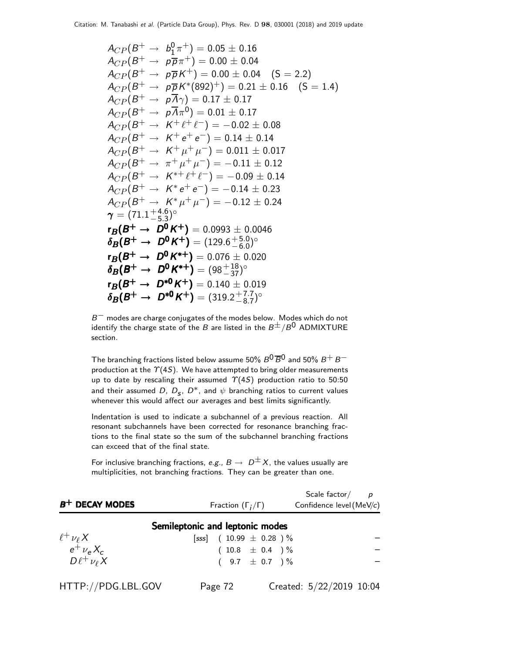$$
A_{CP}(B^+ \rightarrow b_1^0 \pi^+) = 0.05 \pm 0.16
$$
  
\n
$$
A_{CP}(B^+ \rightarrow p\overline{p}\pi^+) = 0.00 \pm 0.04
$$
  
\n
$$
A_{CP}(B^+ \rightarrow p\overline{p}K^+) = 0.00 \pm 0.04
$$
 (S = 2.2)  
\n
$$
A_{CP}(B^+ \rightarrow p\overline{p}K^*(892)^+) = 0.21 \pm 0.16
$$
 (S = 1.4)  
\n
$$
A_{CP}(B^+ \rightarrow p\overline{A}\gamma) = 0.17 \pm 0.17
$$
  
\n
$$
A_{CP}(B^+ \rightarrow p\overline{A}\pi^0) = 0.01 \pm 0.17
$$
  
\n
$$
A_{CP}(B^+ \rightarrow K^+ \ell^+ \ell^-) = -0.02 \pm 0.08
$$
  
\n
$$
A_{CP}(B^+ \rightarrow K^+ \ell^+ \ell^-) = 0.14 \pm 0.14
$$
  
\n
$$
A_{CP}(B^+ \rightarrow K^+ \mu^+ \mu^-) = 0.011 \pm 0.017
$$
  
\n
$$
A_{CP}(B^+ \rightarrow K^* \mu^+ \mu^-) = -0.11 \pm 0.12
$$
  
\n
$$
A_{CP}(B^+ \rightarrow K^* \ell^+ \ell^-) = -0.09 \pm 0.14
$$
  
\n
$$
A_{CP}(B^+ \rightarrow K^* \mu^+ \mu^-) = -0.12 \pm 0.23
$$
  
\n
$$
A_{CP}(B^+ \rightarrow K^* \mu^+ \mu^-) = -0.12 \pm 0.24
$$
  
\n
$$
\gamma = (71.1^{+4.6}_{-5.3})^{\circ}
$$
  
\n
$$
r_B(B^+ \rightarrow D^0 K^+) = (129.6^{+5.0}_{-6.0})^{\circ}
$$
  
\n
$$
r_B(B^+ \rightarrow D^0 K^{*+}) = (129.6^{+18.0}_{-6.0})^{\circ}
$$
  
\n
$$
r_B(B^+ \rightarrow D^0 K^{*+}) = (98^{+18.0}_{-37.
$$

 $B^-$  modes are charge conjugates of the modes below. Modes which do not identify the charge state of the B are listed in the  $B^{\pm}/B^0$  ADMIXTURE section.

The branching fractions listed below assume 50%  $B^0\overline{B}^0$  and 50%  $B^+$   $B^$ production at the  $\Upsilon(4S)$ . We have attempted to bring older measurements up to date by rescaling their assumed  $\Upsilon(4S)$  production ratio to 50:50 and their assumed  $D,~D_{\bm{s}},~D^*$ , and  $\psi$  branching ratios to current values whenever this would affect our averages and best limits significantly.

Indentation is used to indicate a subchannel of a previous reaction. All resonant subchannels have been corrected for resonance branching fractions to the final state so the sum of the subchannel branching fractions can exceed that of the final state.

For inclusive branching fractions, e.g.,  $B \to D^{\pm}X$ , the values usually are multiplicities, not branching fractions. They can be greater than one.

| $B^+$ DECAY MODES                                                                  | Fraction $(\Gamma_i/\Gamma)$    | Scale factor $/p$<br>Confidence level (MeV/c) |
|------------------------------------------------------------------------------------|---------------------------------|-----------------------------------------------|
|                                                                                    | Semileptonic and leptonic modes |                                               |
|                                                                                    | [sss] $(10.99 \pm 0.28)$ %      |                                               |
|                                                                                    | $(10.8 \pm 0.4)$ %              |                                               |
| $\begin{array}{c} \ell^+\nu_\ell X\\ e^+\nu_e X_c\\ D\ell^+\nu_\ell X \end{array}$ | $(9.7 \pm 0.7)$ %               |                                               |
| HTTP://PDG.LBL.GOV                                                                 | Page 72                         | Created: 5/22/2019 10:04                      |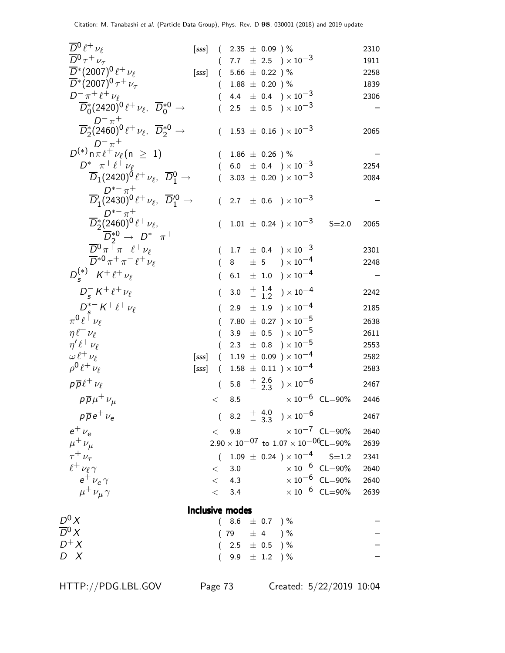| $\overline{D}{}^0\ell^+\nu_\ell$                                                                        | [SSS] |          | $(2.35 \pm 0.09) \%$     |                    |                                                                 |                            | 2310 |
|---------------------------------------------------------------------------------------------------------|-------|----------|--------------------------|--------------------|-----------------------------------------------------------------|----------------------------|------|
| $\overline{D}{}^0\tau^+\nu_\tau$                                                                        |       |          |                          |                    | $(7.7 \pm 2.5) \times 10^{-3}$                                  |                            | 1911 |
| $\overline{D}^*(2007)^0 \, \ell^+ \, \nu_\ell$                                                          | [sss] |          | $(5.66 \pm 0.22)$ %      |                    |                                                                 |                            | 2258 |
| $\overline{D}^*(2007)^0 \tau^+ \nu_{\tau}$                                                              |       | $\left($ |                          | $1.88 \pm 0.20$ )% |                                                                 |                            | 1839 |
| $D^{-} \pi^{+} \ell^{+} \nu_{\ell}$                                                                     |       |          |                          |                    | 4.4 $\pm$ 0.4 $) \times 10^{-3}$                                |                            | 2306 |
| $\overline{D}_0^*(2420)^0 \ell^+ \nu_\ell, \ \overline{D}_0^{*0} \rightarrow$                           |       |          |                          |                    | 2.5 $\pm$ 0.5 $\times$ 10 <sup>-3</sup>                         |                            |      |
| $\overline{D}^+_{2}(2460)^0 \ell^+ \nu_{\ell}, \ \ \overline{D}^{*0}_{2} \rightarrow$                   |       |          |                          |                    | $(1.53 \pm 0.16) \times 10^{-3}$                                |                            | 2065 |
| $D^{-\pi^{+}}$<br>$D^{(*)}$ n $\pi \ell^{+} \nu_{\ell}$ (n $\geq 1$ )                                   |       |          | $(1.86 \pm 0.26)$ %      |                    |                                                                 |                            |      |
| $D^{*-}\pi^+\ell^+\nu_{\ell}$                                                                           |       |          |                          |                    | $(6.0 \pm 0.4) \times 10^{-3}$                                  |                            | 2254 |
| $\overline{D}_1(2420)^0 \ell^+ \nu_\ell, \ \overline{D}_1^0 \rightarrow$                                |       | (        |                          |                    | 3.03 $\pm$ 0.20 $) \times 10^{-3}$                              |                            | 2084 |
| $\overline{D}'_1(2430)^0 \ell^+ \nu_\ell, \ \ \overline{D}'_1^0 \rightarrow$                            |       |          |                          |                    | $(2.7 \pm 0.6) \times 10^{-3}$                                  |                            |      |
| $\frac{D^{*-}\pi^+}{D_2^*(2460)^0\ell^+\, \nu_\ell,}$<br>$\overline{D}_2^{*0} \rightarrow D^{*-} \pi^+$ |       |          |                          |                    | $(1.01 \pm 0.24) \times 10^{-3}$ S=2.0                          |                            | 2065 |
| $\overline{D}^0 \pi^+ \pi^- \ell^+ \nu_\ell$                                                            |       |          |                          |                    | $1.7\phantom{0} \pm \phantom{0} 0.4\phantom{0} )\times 10^{-3}$ |                            | 2301 |
| $\overline{D}^{*0}\pi^+\pi^-\ell^+\nu_\ell$                                                             |       |          |                          |                    | $(8 \pm 5) \times 10^{-4}$                                      |                            | 2248 |
| $D_{s}^{(*)-} K^{+} \ell^{+} \nu_{\ell}$                                                                |       | €        |                          |                    | 6.1 $\pm$ 1.0 $) \times 10^{-4}$                                |                            |      |
| $D_{s}^{-} K^{+} \ell^{+} \nu_{\ell}$                                                                   |       | (        |                          |                    | 3.0 $\frac{+}{-}$ $\frac{1.4}{1.2}$ $\times 10^{-4}$            |                            | 2242 |
| $D_{c}^{*-} K^{+} \ell^{+} \nu_{\ell}$                                                                  |       | (        |                          |                    | 2.9 $\pm$ 1.9 $) \times 10^{-4}$                                |                            | 2185 |
| $\pi^0 \ell^{\pm} \nu_{\ell}$                                                                           |       |          |                          |                    | 7.80 $\pm$ 0.27 $) \times 10^{-5}$                              |                            | 2638 |
| $\eta \ell^+ \nu_\ell$                                                                                  |       | $\left($ |                          |                    | 3.9 $\pm$ 0.5 $\right) \times 10^{-5}$                          |                            | 2611 |
| $\eta' \ell^+ \nu_\ell$                                                                                 |       |          |                          |                    | 2.3 $\pm$ 0.8 $\right) \times 10^{-5}$                          |                            | 2553 |
| $\omega \ell^+ \nu_\ell$                                                                                | [sss] |          |                          |                    | $(1.19 \pm 0.09) \times 10^{-4}$                                |                            | 2582 |
| $\rho^0 \ell^+ \nu_\ell$                                                                                | [sss] |          |                          |                    | $(1.58 \pm 0.11) \times 10^{-4}$                                |                            | 2583 |
| $p\overline{p}\ell^+\nu_\ell$                                                                           |       |          |                          |                    | $(5.8 \tfrac{+}{2} 3.6 \t) \times 10^{-6}$                      |                            | 2467 |
| $p\overline{p}\mu^+\nu_\mu$                                                                             |       | $\lt$    |                          |                    | 8.5 $\times 10^{-6}$ CL=90%                                     |                            | 2446 |
| $p\overline{p}e^+\nu_e$                                                                                 |       |          |                          |                    | $(8.2 + \frac{4.0}{3.3}) \times 10^{-6}$                        |                            | 2467 |
| $e^+$ $\nu_e$                                                                                           |       |          |                          |                    | $< 9.8$ $\times 10^{-7}$ CL=90%                                 |                            | 2640 |
| $\mu^+ \nu_\mu$                                                                                         |       |          |                          |                    | $2.90 \times 10^{-07}$ to $1.07 \times 10^{-06}$ CL=90%         |                            | 2639 |
| $\tau^+ \nu_\tau$                                                                                       |       |          |                          |                    | $(1.09 \pm 0.24) \times 10^{-4}$ S=1.2                          |                            | 2341 |
| $\ell^+\nu_\ell\gamma$                                                                                  |       |          | < 3.0                    |                    | $\times$ 10 $^{-6}$ CL=90%                                      |                            | 2640 |
| $e^{\pm}$ $\nu_e \gamma$                                                                                |       |          | < 4.3                    |                    |                                                                 | $\times$ 10 $^{-6}$ CL=90% | 2640 |
| $\mu^+ \nu_\mu \gamma$                                                                                  |       |          | < 3.4                    |                    |                                                                 | $\times 10^{-6}$ CL=90%    | 2639 |
|                                                                                                         |       |          | <b>Inclusive modes</b>   |                    |                                                                 |                            |      |
| $D^0 X$                                                                                                 |       |          | $(8.6 \pm 0.7)$ %        |                    |                                                                 |                            |      |
| $\overline{D}{}^0 X$                                                                                    |       | (        | 79 $\pm$ 4 $\frac{1}{6}$ |                    |                                                                 |                            |      |
| $D^+X$                                                                                                  |       |          | $(2.5 \pm 0.5)$ %        |                    |                                                                 |                            |      |
| $D^- X$                                                                                                 |       |          |                          | 9.9 $\pm$ 1.2 ) %  |                                                                 |                            |      |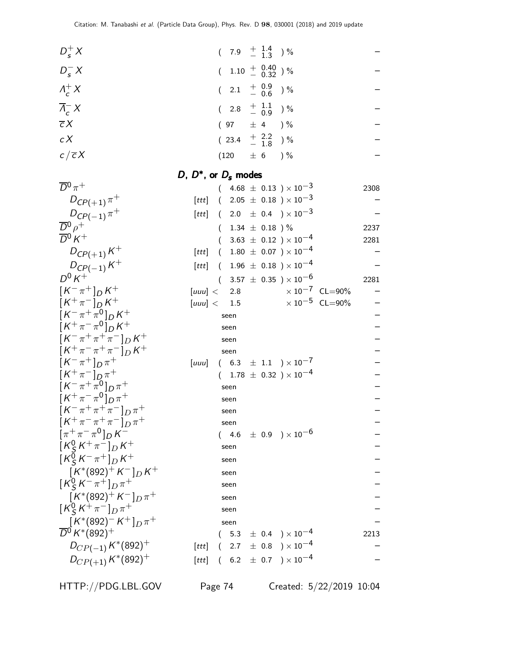| $D_s^+ X$                                                                                  |                           |          | $(7.9 \tfrac{+1.4}{-1.3})\%$                             |  |                                                                |                         |      |
|--------------------------------------------------------------------------------------------|---------------------------|----------|----------------------------------------------------------|--|----------------------------------------------------------------|-------------------------|------|
| $D_{s}^{-}X$                                                                               |                           |          | $(1.10 + \begin{array}{c} 0.40 \\ - 0.32 \end{array})$ % |  |                                                                |                         |      |
| $\Lambda_c^+ X$                                                                            |                           |          | $(2.1 + \frac{0.9}{0.6})\%$                              |  |                                                                |                         |      |
| $\overline{\Lambda}_{c}^{-} X$                                                             |                           | $\left($ | 2.8 $\frac{+}{-}$ $\frac{1.1}{0.9}$ ) %                  |  |                                                                |                         |      |
| $\overline{c}X$                                                                            |                           |          | $(97 \pm 4) \%$                                          |  |                                                                |                         |      |
| c X                                                                                        |                           |          | $(23.4 + \frac{2.2}{1.8})\%$                             |  |                                                                |                         |      |
| $c/\overline{c}X$                                                                          |                           |          | $(120 \pm 6) \%$                                         |  |                                                                |                         |      |
|                                                                                            | D, $D^*$ , or $D_s$ modes |          |                                                          |  |                                                                |                         |      |
| $\overline{D}{}^0\pi^+$                                                                    |                           |          |                                                          |  | $(4.68 \pm 0.13) \times 10^{-3}$                               |                         |      |
|                                                                                            |                           |          |                                                          |  | [ <i>ttt</i> ] ( 2.05 $\pm$ 0.18 ) $\times$ 10 <sup>-3</sup>   |                         | 2308 |
| $D_{C P(+1)} \pi^+$                                                                        |                           |          |                                                          |  |                                                                |                         |      |
| $D_{C P(-1)} \pi^+$                                                                        | [ttt]                     |          |                                                          |  | $(2.0 \pm 0.4) \times 10^{-3}$                                 |                         |      |
| $\overline{D}{}^0 \rho^+$<br>$\overline{D}{}^0 K^+$                                        |                           |          | $(1.34 \pm 0.18)$ %                                      |  |                                                                |                         | 2237 |
|                                                                                            |                           |          |                                                          |  | $(3.63 \pm 0.12) \times 10^{-4}$                               |                         | 2281 |
| $D_{CP(+1)}K^+$                                                                            | [ttt]                     |          |                                                          |  | $(1.80 \pm 0.07) \times 10^{-4}$                               |                         |      |
| $D_{CP(-1)}K^{+}$                                                                          | [ttt]                     |          |                                                          |  | $(1.96 \pm 0.18) \times 10^{-4}$                               |                         |      |
| $D^0 K^+$                                                                                  |                           |          |                                                          |  | $(3.57 \pm 0.35) \times 10^{-6}$                               |                         | 2281 |
| $[K^{-}\pi^{+}]_{D}K^{+}$                                                                  | [uuu] < 2.8               |          |                                                          |  |                                                                | $\times 10^{-7}$ CL=90% |      |
| $[K^+\pi^-]_D K^+$                                                                         | [uuu] < 1.5               |          |                                                          |  |                                                                | $\times 10^{-5}$ CL=90% |      |
| $[K^-\pi^+\pi^0]_D K^+$                                                                    |                           |          | seen                                                     |  |                                                                |                         |      |
| $[K^+\pi^-\pi^0]_D K^+$                                                                    |                           |          | seen                                                     |  |                                                                |                         |      |
| $[K^-\pi^+\pi^+\pi^-]_D K^+$                                                               |                           |          | seen                                                     |  |                                                                |                         |      |
| $[K^+\pi^-\pi^+\pi^-]_D K^+$                                                               |                           |          | seen                                                     |  |                                                                |                         |      |
| $[K^-\pi^+]_{D}\pi^+$                                                                      | [uuu]                     |          |                                                          |  | $(6.3 \pm 1.1) \times 10^{-7}$                                 |                         |      |
| $[K^+\pi^-]_{D}\pi^+$                                                                      |                           |          |                                                          |  | $(1.78 \pm 0.32) \times 10^{-4}$                               |                         |      |
| $[K^-\pi^+\pi^0]_{D}\pi^+$                                                                 |                           |          | seen                                                     |  |                                                                |                         |      |
| $[K^+\pi^-\pi^0]_{D}\pi^+$                                                                 |                           |          | seen                                                     |  |                                                                |                         |      |
| $[K^-\pi^+\pi^+\pi^-]_D\pi^+$                                                              |                           |          | seen                                                     |  |                                                                |                         |      |
| $\left[K^{+}\pi^{-}\pi^{+}\pi^{-}\right]_{D}\pi^{+}$<br>$[\pi^{+}\pi^{-}\pi^{0}]_{D}K^{-}$ |                           |          | seen                                                     |  |                                                                |                         |      |
| $\left[ K_S^0 K^+\pi^- \right]_D K^+$                                                      |                           |          |                                                          |  | $(\phantom{-}4.6\phantom{0} \pm~0.9\phantom{0})\times 10^{-6}$ |                         |      |
|                                                                                            |                           |          | seen                                                     |  |                                                                |                         |      |
| $\left[ K_S^0 K^- \pi^+ \right]_D K^+$                                                     |                           |          | seen                                                     |  |                                                                |                         |      |
| $\left[ K^*(892)^+ K^- \right]_D K^+$                                                      |                           |          | seen                                                     |  |                                                                |                         |      |
| $[K_S^0 K^- \pi^+]_D \pi^+$                                                                |                           |          | seen                                                     |  |                                                                |                         |      |
| $\left[K^*(892)^+K^-\right]_D\pi^+$                                                        |                           |          | seen                                                     |  |                                                                |                         |      |
| $[K_S^0 K^+\pi^-]_D \pi^+$                                                                 |                           |          | seen                                                     |  |                                                                |                         |      |
| $\left[ K^*(892)^- K^+ \right]_{D} \pi^+$<br>$\overline{D}{}^0 K^*(892)^+$                 |                           |          | seen                                                     |  |                                                                |                         |      |
|                                                                                            |                           |          |                                                          |  | $(5.3 \pm 0.4) \times 10^{-4}$                                 |                         | 2213 |
| $D_{CP(-1)} K^*(892)^+$                                                                    | [ttt]                     | $\left($ |                                                          |  | $2.7 \pm 0.8$ $) \times 10^{-4}$                               |                         |      |
| $D_{CP(+1)} K^*(892)^+$                                                                    |                           |          |                                                          |  | [ <i>ttt</i> ] ( $6.2 \pm 0.7$ ) $\times 10^{-4}$              |                         |      |

HTTP://PDG.LBL.GOV Page 74 Created: 5/22/2019 10:04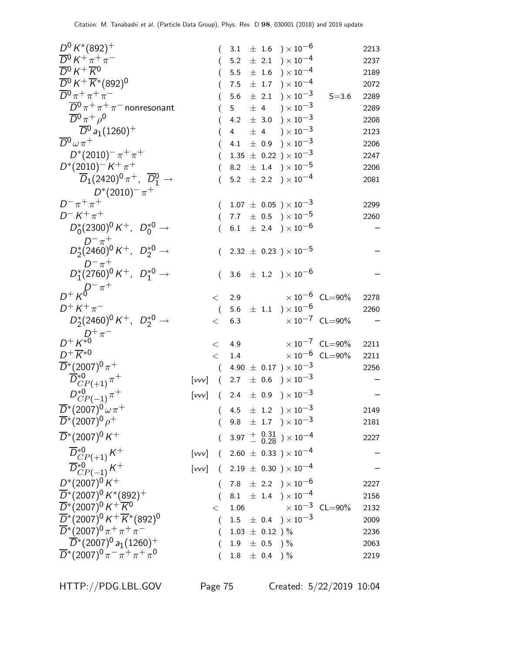| $D^0 K^*(892)^+$                                                                                                |                |                |                    | $3.1 \pm 1.6$ $) \times 10^{-6}$                                       |                            | 2213 |
|-----------------------------------------------------------------------------------------------------------------|----------------|----------------|--------------------|------------------------------------------------------------------------|----------------------------|------|
| $\overline{D}{}^0 K^+ \pi^+ \pi^-$                                                                              |                |                |                    | 5.2 $\pm$ 2.1 $) \times 10^{-4}$                                       |                            | 2237 |
| $\overline{D}^0 K^+ \overline{K}^0$                                                                             |                |                |                    | $5.5 \pm 1.6$ $) \times 10^{-4}$                                       |                            | 2189 |
| $\overline{D}{}^0 K^+ \overline{K}{}^* (892)^0$                                                                 |                |                |                    | 7.5 $\pm$ 1.7 $\right) \times 10^{-4}$                                 |                            | 2072 |
| $\overline{D}{}^0\pi^+\pi^+\pi^-$                                                                               |                | 5.6            |                    | $\pm$ 2.1 $\rightarrow$ $\times 10^{-3}$                               | $S = 3.6$                  | 2289 |
| $\overline{D}{}^0 \pi^+ \pi^+ \pi^-$ nonresonant                                                                |                | 5 <sub>5</sub> |                    | $\pm$ 4 $\rightarrow$ $\times$ 10 <sup>-3</sup>                        |                            | 2289 |
| $\overline{D}{}^0 \pi^+ \rho^0$                                                                                 |                | 4.2            |                    | $\pm$ 3.0 $\right) \times 10^{-3}$                                     |                            | 2208 |
| $\overline{D}{}^0$ a <sub>1</sub> (1260) <sup>+</sup>                                                           |                | $4 \quad$      |                    | $\pm$ 4 $\rightarrow$ $\times$ 10 <sup>-3</sup>                        |                            | 2123 |
| $\overline{D}{}^0\omega\pi^+$                                                                                   |                | 4.1            |                    | $\pm$ 0.9 $\mathrm{)}\times10^{-3}$                                    |                            | 2206 |
| $D^*(2010)^{-} \pi^+ \pi^+$                                                                                     |                |                |                    | $1.35 \pm 0.22$ ) × $10^{-3}$                                          |                            | 2247 |
| $D^*(2010)^{-} K^+\pi^+$                                                                                        |                |                |                    | 8.2 $\pm$ 1.4 $\rightarrow$ $\times 10^{-5}$                           |                            | 2206 |
| $\overline{D}_1(2420)^0 \pi^+$ , $\overline{D}_1^0 \rightarrow$                                                 |                |                |                    | 5.2 $\pm$ 2.2 $) \times 10^{-4}$                                       |                            | 2081 |
| $D^*(2010)^{-} \pi^+$                                                                                           |                |                |                    |                                                                        |                            |      |
| $D^- \pi^+ \pi^+$                                                                                               |                |                |                    | $(1.07 \pm 0.05) \times 10^{-3}$                                       |                            | 2299 |
| $D^- K^+ \pi^+$                                                                                                 | $\left($       |                |                    | 7.7 $\pm$ 0.5 $\rightarrow$ 10 <sup>-5</sup>                           |                            | 2260 |
| $D_0^*(2300)^0 K^+$ , $D_0^{*0} \rightarrow$                                                                    | (              |                |                    | 6.1 $\pm$ 2.4 $\rightarrow$ $\times 10^{-6}$                           |                            |      |
| $D^{-} \pi^{+}$<br>$D_{2}^{*}(2460)^{0} K^{+}$ , $D_{2}^{*0} \rightarrow$                                       |                |                |                    | $(2.32 \pm 0.23) \times 10^{-5}$                                       |                            |      |
| $D^{-} \pi^{+}$<br>$D_{1}^{*}(2760)^{0} K^{+}$ , $D_{1}^{*0} \rightarrow$                                       |                |                |                    |                                                                        |                            |      |
|                                                                                                                 | (              |                |                    | 3.6 $\pm$ 1.2 $)\times 10^{-6}$                                        |                            |      |
| $D^+ \kappa^{D^- \pi^+}$                                                                                        | $\lt$          |                | 2.9                |                                                                        | $\times$ 10 $^{-6}$ CL=90% | 2278 |
| $D^{+} K^{+} \pi^{-}$                                                                                           | $\left($       |                |                    | 5.6 $\pm$ 1.1 $) \times 10^{-6}$                                       |                            | 2260 |
| $D_2^*(2460)^0 K^+$ , $D_2^{*0} \rightarrow$                                                                    | $\lt$          | 6.3            |                    | $\times$ 10 <sup>-7</sup> CL=90%                                       |                            |      |
| $D^+\, \boldsymbol{K}^{D^+\, \pi^-}$                                                                            | $\lt$          | 4.9            |                    |                                                                        | $\times 10^{-7}$ CL=90%    | 2211 |
| $D^+\overline{K}{}^{*0}$                                                                                        | $\lt$          |                |                    | 1.4 $\times 10^{-6}$ CL=90%                                            |                            | 2211 |
| $\overline{D}^*(2007)^0 \pi^+$                                                                                  | $\left($       |                |                    | 4.90 $\pm$ 0.17 $) \times 10^{-3}$                                     |                            | 2256 |
| $\overline{D}_{CP(+1)}^{*0} \pi^+$                                                                              | $[vvv]$ (      |                |                    | 2.7 $\pm$ 0.6 $\right) \times 10^{-3}$                                 |                            |      |
| $D_{CP(-1)}^{*0} \pi^+$                                                                                         | [vvv]          |                |                    | $(\phantom{-}2.4\phantom{0}\pm\phantom{0}0.9\phantom{0})\times10^{-3}$ |                            |      |
| $\overline{D}^*(2007)^0 \omega \pi^+$                                                                           |                |                |                    | $(4.5 \pm 1.2) \times 10^{-3}$                                         |                            | 2149 |
| $\overline{D}^*(2007)^0 \rho^+$                                                                                 |                |                |                    | $(9.8 \pm 1.7) \times 10^{-3}$                                         |                            | 2181 |
| $\overline{D}^*(2007)^0 K^+$                                                                                    |                |                |                    | $3.97 \; + \; 0.31 \atop - \; 0.28 \;$ ) $\times \; 10^{-4}$           |                            | 2227 |
|                                                                                                                 |                |                |                    | [ <i>vvv</i> ] ( 2.60 $\pm$ 0.33 ) $\times$ 10 <sup>-4</sup>           |                            |      |
| $\frac{\overline{D}_{CP(+1)}^{*0}K^+}{\overline{D}_{CP(-1)}^{*0}K^+}$                                           | [vv]           |                |                    | $(2.19 \pm 0.30) \times 10^{-4}$                                       |                            |      |
| $D^*(2007)^0 K^+$                                                                                               | $\overline{ }$ |                |                    | 7.8 $\pm$ 2.2 $\rightarrow \times 10^{-6}$                             |                            | 2227 |
| $\overline{D}^*(2007)^0 K^*(892)^+$                                                                             | (              |                |                    | 8.1 $\pm$ 1.4 $) \times 10^{-4}$                                       |                            | 2156 |
| $\overline{D}^*(2007)^0 K^+ \overline{K}^0$                                                                     | $\,<\,$        | 1.06           |                    |                                                                        | $\times 10^{-3}$ CL=90%    | 2132 |
| $\overline{D}^*(2007)^0 K^+ \overline{K}^*(892)^0$                                                              | €              |                |                    | $1.5 \pm 0.4$ $) \times 10^{-3}$                                       |                            | 2009 |
| $\overline{D}^*(2007)^0 \pi^+ \pi^+ \pi^-$                                                                      |                |                | $1.03 \pm 0.12$ )% |                                                                        |                            | 2236 |
| $\overline{D}^*(2007)^0 a_1(1260)^+$                                                                            |                |                | $1.9 \pm 0.5$ ) %  |                                                                        |                            | 2063 |
| $\overline{D}$ *(2007) <sup>0</sup> $\pi$ <sup>-</sup> $\pi$ <sup>+</sup> $\pi$ <sup>+</sup> $\pi$ <sup>0</sup> |                |                | $1.8 \pm 0.4$ ) %  |                                                                        |                            | 2219 |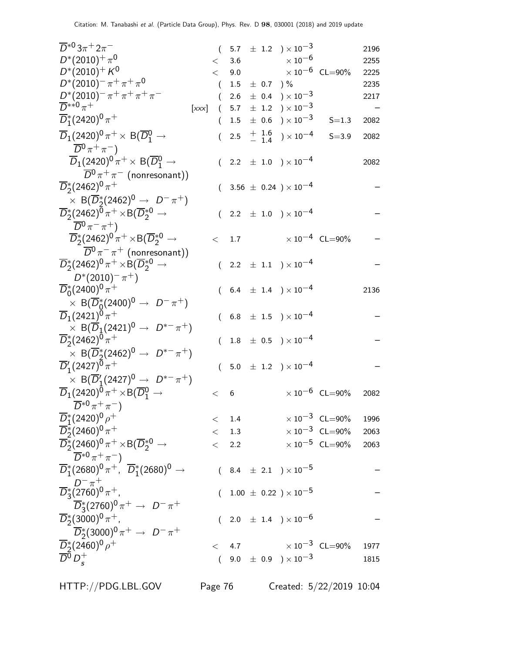| $\overline{D}^{*0}3\pi$ <sup>+</sup> 2 $\pi$ <sup>-</sup>                                                          | $\left($ |           |                   | 5.7 $\pm$ 1.2 $) \times 10^{-3}$                     |                                  | 2196 |
|--------------------------------------------------------------------------------------------------------------------|----------|-----------|-------------------|------------------------------------------------------|----------------------------------|------|
| $D^*(2010)^+ \pi^0$                                                                                                | $\lt$    | 3.6       |                   | $\times$ 10 $^{-6}$                                  |                                  | 2255 |
| $D^*(2010)^+ K^0$                                                                                                  | $\lt$    |           |                   | 9.0 $\times 10^{-6}$ CL=90%                          |                                  | 2225 |
| $D^*(2010)^{-} \pi^+ \pi^+ \pi^0$                                                                                  | (        |           | $1.5 \pm 0.7$ ) % |                                                      |                                  | 2235 |
| $D^*(2010)^{-} \pi^+ \pi^+ \pi^+ \pi^-$                                                                            |          | $2.6\,$   |                   | $\pm$ 0.4 $\mathrm{)}\times10^{-3}$                  |                                  | 2217 |
| $\overline{D}^{**0}\pi^+$<br>[xxx]                                                                                 | $\left($ | 5.7       |                   | $\pm$ 1.2 $\right) \times 10^{-3}$                   |                                  |      |
| $\overline{D}_1^*(2420)^0 \pi^+$                                                                                   |          |           |                   | $1.5\ \pm\ 0.6\ \rangle \times 10^{-3}$              | $S = 1.3$                        | 2082 |
| $\overline{D}_1(2420)^0 \pi^+ \times B(\overline{D}^0_1 \rightarrow$<br>$\overline{D}{}^0 \pi^+ \pi^-$             | (        |           |                   | 2.5 $\frac{+}{-}$ $\frac{1.6}{1.4}$ $\times 10^{-4}$ | $S = 3.9$                        | 2082 |
| $\overline{D}_1(2420)^0 \pi^+ \times B(\overline{D}^0_1 \rightarrow$                                               |          |           |                   | $(2.2 \pm 1.0) \times 10^{-4}$                       |                                  | 2082 |
| $\overline{D}{}^0 \pi^+ \pi^-$ (nonresonant))<br>$\overline{D}_2^*(2462)^0 \pi^+$                                  |          |           |                   | $3.56 \pm 0.24$ ) $\times 10^{-4}$                   |                                  |      |
| $\times$ B( $\overline{D}_2^*(2462)^0 \rightarrow D^-\pi^+)$                                                       |          |           |                   |                                                      |                                  |      |
| $\overline{D}_2^*(2462)^0 \pi^+ \times B(\overline{D}_2^{*0} \rightarrow$                                          |          |           |                   | $(2.2 \pm 1.0) \times 10^{-4}$                       |                                  |      |
| $\overline{D}{}^0 \pi^- \pi^+)$<br>$\overline{D}_2^*(2462)^0 \pi^+ \times B(\overline{D}_2^{*0} \rightarrow$       | $\lt$    | 1.7       |                   |                                                      | $\times 10^{-4}$ CL=90%          |      |
| $\overline{D}{}^0 \pi^- \pi^+$ (nonresonant))                                                                      |          |           |                   |                                                      |                                  |      |
| $\overline{D}_2^*(2462)^0 \pi^+ \times B(\overline{D}_2^{*0} \rightarrow$                                          |          |           |                   | $(2.2 \pm 1.1) \times 10^{-4}$                       |                                  |      |
| $D^*(2010)^{-} \pi^{+}$<br>$\overline{D}_0^*(2400)^0 \pi^+$                                                        |          |           |                   | $(6.4 \pm 1.4) \times 10^{-4}$                       |                                  | 2136 |
| $\times$ B( $\overline{D}_0^*(2400)^0 \rightarrow D^-\pi^+)$                                                       |          |           |                   |                                                      |                                  |      |
| $\overline{D}_1(2421)^0 \pi^+$                                                                                     |          |           |                   | $6.8 \pm 1.5$ $\times 10^{-4}$                       |                                  |      |
| $\times$ B( $\overline{D}_1$ (2421) <sup>0</sup> $\rightarrow$ $D^{*-}\pi^+$ )<br>$\overline{D}_2^*(2462)^0 \pi^+$ | (        |           |                   | $1.8 \pm 0.5$ $) \times 10^{-4}$                     |                                  |      |
| $\times$ B( $\overline{D}_2^*(2462)^0$ $\rightarrow$ $D^{*-}\pi^+$ )                                               |          |           |                   |                                                      |                                  |      |
| $\overline{D}'_1(2427)^0 \pi^+$                                                                                    |          |           |                   | $(5.0 \pm 1.2) \times 10^{-4}$                       |                                  |      |
| $\times$ B( $\overline{D}'_1(2427)^0 \rightarrow D^{*-}\pi^+$ )                                                    |          |           |                   |                                                      |                                  |      |
| $\overline{D}_1(2420)^{0} \pi^+ \times B(\overline{D}^0_1 \rightarrow$                                             | $\lt$    | 6         |                   |                                                      | $\times 10^{-6}$ CL=90%          | 2082 |
| $\overline{D}^{*0}\pi^{+}\pi^{-}$                                                                                  |          |           |                   |                                                      |                                  |      |
| $\overline{D}_1^*(2420)^0 \rho^+$                                                                                  | $\lt$    | $1.4\,$   |                   |                                                      | $\times 10^{-3}$ CL=90%          | 1996 |
| $\overline{D}_2^*(2460)^0 \pi^+$                                                                                   | $\lt$    | 1.3       |                   |                                                      | $\times 10^{-3}$ CL=90%          | 2063 |
| $\overline{D}_2^*(2460)^0 \pi^+ \times B(\overline{D}_2^{*0} \rightarrow$                                          |          | $\lt$ 2.2 |                   |                                                      | $\times 10^{-5}$ CL=90%          | 2063 |
| $\overline{D}^{*0}\pi^+\pi^-$                                                                                      |          |           |                   |                                                      |                                  |      |
| $\overline{D}_1^*(2680)^0 \pi^+, \ \overline{D}_1^*(2680)^0 \to$                                                   |          |           |                   | $(8.4 \pm 2.1) \times 10^{-5}$                       |                                  |      |
| $\frac{D^-\pi^+}{D_3^*(2760)^0\pi^+}$                                                                              |          |           |                   | $(1.00 \pm 0.22) \times 10^{-5}$                     |                                  |      |
| $\overline{D}_3^*(2760)^0 \pi^+ \to D^- \pi^+$                                                                     |          |           |                   |                                                      |                                  |      |
| $\overline{D}_2^*(3000)^0 \pi^+,$                                                                                  |          |           |                   | 2.0 $\pm$ 1.4 $\rightarrow$ $\times 10^{-6}$         |                                  |      |
| $\overline{D}_2^*(3000)^0 \pi^+ \to D^- \pi^+$                                                                     |          |           |                   |                                                      |                                  |      |
| $\overline{D}_2^*(2460)^0 \rho^+$                                                                                  | $\lt$    | 4.7       |                   |                                                      | $\times$ 10 <sup>-3</sup> CL=90% | 1977 |
| $\overline{D}^{\overline{0}} D^+_{\overline{s}}$                                                                   | $\left($ |           |                   | 9.0 $\pm$ 0.9 $) \times 10^{-3}$                     |                                  | 1815 |
|                                                                                                                    |          |           |                   |                                                      |                                  |      |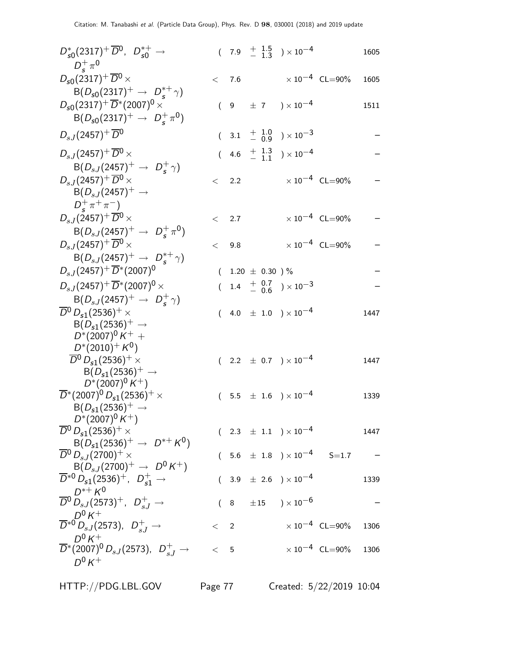| $D_{s0}^*(2317)^+ \overline{D}^0$ , $D_{s0}^{*+} \rightarrow$<br>$D_{\epsilon}^{+} \pi^{0}$                                                                 |     |                     |  | $(7.9 + \frac{1.5}{1.3}) \times 10^{-4}$  |                                  | 1605 |
|-------------------------------------------------------------------------------------------------------------------------------------------------------------|-----|---------------------|--|-------------------------------------------|----------------------------------|------|
| $D_{s0}(2317)^{+}$ $\overline{D}{}^{0}$ $\times$                                                                                                            |     | $<$ 7.6             |  |                                           | $\times$ 10 <sup>-4</sup> CL=90% | 1605 |
| $B(D_{s0}(2317)^{+} \rightarrow D_{s}^{*+}\gamma)$<br>$D_{s0}(2317)^{+}\overline{D}^{*}(2007)^{0}$ ×<br>$B(D_{s0}(2317)^{+} \rightarrow D_{s}^{+} \pi^{0})$ |     |                     |  | $(9 \pm 7) \times 10^{-4}$                |                                  | 1511 |
| $D_{sJ}(2457)^+\overline{D}{}^0$                                                                                                                            |     |                     |  | $(3.1 + \frac{1.0}{0.9}) \times 10^{-3}$  |                                  |      |
| $D_{s,J}(2457)^{+} \overline{D}{}^{0} \times$                                                                                                               |     |                     |  | $(4.6 \tfrac{+1.3}{-1.1}) \times 10^{-4}$ |                                  |      |
| $B(D_{sJ}(2457)^{+} \rightarrow D_{s}^{+}\gamma)$<br>$D_{s,J}(2457)^{+}$ $\overline{D}{}^{0}$ $\times$<br>$B(D_{s,I}(2457)^{+} \rightarrow$                 |     | < 2.2               |  |                                           | $\times 10^{-4}$ CL=90%          |      |
| $D_{c}^{+}\pi^{+}\pi^{-}$<br>$D_{s,J}(2457)^{+}$ $\overline{D}{}^{0}$ $\times$                                                                              |     | < 2.7               |  |                                           | $\times 10^{-4}$ CL=90%          |      |
| $B(D_{sJ}(2457)^+ \rightarrow D_s^+\pi^0)$<br>$D_{sJ}(2457)^{+} \overline{D}{}^{0}$ ×                                                                       |     | < 9.8               |  |                                           | $\times 10^{-4}$ CL=90%          |      |
| $B(D_{sJ}(2457)^{+} \rightarrow D_{s}^{*+}\gamma)$<br>$D_{sJ}(2457)^{+} \overline{D}^{*}(2007)^{0}$                                                         |     | $(1.20 \pm 0.30)$ % |  |                                           |                                  |      |
| $D_{s,J}(2457)^{+} \overline{D}{}^{*}(2007)^{0}$ $\times$                                                                                                   |     |                     |  | $(1.4 + \frac{0.7}{0.6}) \times 10^{-3}$  |                                  |      |
| $B(D_{sJ}(2457)^{+} \rightarrow D_{s}^{+}\gamma)$<br>$\overline{D}{}^0$ $D_{s1}(2536)^+$ $\times$<br>$B(D_{s1}(2536)^+\to$                                  |     |                     |  | $(4.0 \pm 1.0) \times 10^{-4}$            |                                  | 1447 |
| $D^*(2007)^0 K^+$ +<br>$D^*(2010)^+ K^0$<br>$\overline{D}{}^0 D_{s1}(2536)^+$ ×<br>$B(D_{s1}(2536)^+ \rightarrow$<br>$D^*(2007)^0 K^+)$                     |     |                     |  | $(2.2 \pm 0.7) \times 10^{-4}$            |                                  | 1447 |
| $\overline{D}^*(2007)^0 D_{s1}(2536)^+$ $\times$<br>$B(D_{s1}(2536)^+\rightarrow$                                                                           | (   |                     |  | $5.5$ $\pm$ $1.6$ $)\times10^{-4}$        |                                  | 1339 |
| $D^*(2007)^0 K^+)$<br>$\overline{D}{}^0$ D <sub>s1</sub> (2536) <sup>+</sup> $\times$<br>$B(D_{s1}(2536)^+\rightarrow D^{*+}K^0)$                           |     |                     |  | $(2.3 \pm 1.1) \times 10^{-4}$            |                                  | 1447 |
| $\overline{D}{}^0$ $D_{s,J}(2700)^+$ $\times$<br>$B(D_{sJ}(2700)^+ \rightarrow D^0 K^+)$                                                                    |     |                     |  | $(5.6 \pm 1.8) \times 10^{-4}$ S=1.7      |                                  |      |
| $\overline{D}^{*0} D_{s1}(2536)^{+}$ , $D_{s1}^{+} \rightarrow$                                                                                             |     |                     |  | $(3.9 \pm 2.6) \times 10^{-4}$            |                                  | 1339 |
| $D^{*+} K^0$<br>$\overline{D}^0 \overset{\nu}{D}_{sJ} (2573)^+$ , $D_{sJ}^+ \rightarrow$                                                                    |     |                     |  | $(8 + 15) \times 10^{-6}$                 |                                  |      |
| $D^0 K^+$<br>$\overline{D}^{*0} D_{sJ}$ (2573), $D_{sJ}^+ \rightarrow$                                                                                      |     | $\langle 2 \rangle$ |  |                                           | $\times$ 10 <sup>-4</sup> CL=90% | 1306 |
| $D^0 K^+$<br>$\overline{D}^*(2007)^0 D_{sJ}(2573)$ , $D_{sJ}^+ \to$<br>$D^0 K^+$                                                                            | < 5 |                     |  |                                           | $\times 10^{-4}$ CL=90% 1306     |      |
|                                                                                                                                                             |     |                     |  |                                           |                                  |      |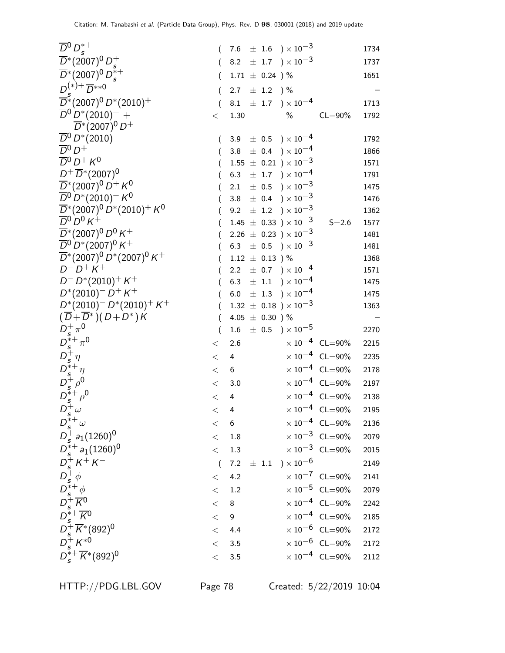| $\overline{D}{}^0 D_s^{*+}$                                                                                                                    | €                |                 |                             | 7.6 $\pm$ 1.6 $) \times 10^{-3}$                  |                                  | 1734 |
|------------------------------------------------------------------------------------------------------------------------------------------------|------------------|-----------------|-----------------------------|---------------------------------------------------|----------------------------------|------|
| $\overline{D}^*(2007)^0 D_c^+$                                                                                                                 |                  |                 |                             | 8.2 $\pm$ 1.7 $\right) \times 10^{-3}$            |                                  | 1737 |
| $\overline{D}^*(2007)^0 D_s^{*+}$                                                                                                              | €                |                 | $1.71 \pm 0.24$ )%          |                                                   |                                  | 1651 |
| $D^{(*)+} \overline{D}^{**0}$                                                                                                                  | $\overline{(\ }$ |                 | 2.7 $\pm$ 1.2 $\frac{1}{2}$ |                                                   |                                  |      |
| $\overline{D}$ *(2007) <sup>0</sup> D*(2010) <sup>+</sup>                                                                                      |                  |                 |                             | 8.1 $\pm$ 1.7 $) \times 10^{-4}$                  |                                  | 1713 |
| $\overline{D}{}^0 D^* (2010)^+$ +                                                                                                              | <                | 1.30            |                             | $\%$                                              | $CL = 90\%$                      | 1792 |
| $\overline{D}^*(2007)^0 D^+$                                                                                                                   |                  |                 |                             |                                                   |                                  |      |
| $\overline{D}{}^0 D^* (2010)^+$                                                                                                                |                  |                 |                             | 3.9 $\pm$ 0.5 $\times 10^{-4}$                    |                                  | 1792 |
| $\overline{D}{}^0 D^+$                                                                                                                         |                  | 3.8             |                             | $\pm$ 0.4 ) $\times$ 10 <sup>-4</sup>             |                                  | 1866 |
| $\overline{D}{}^0 D^+ K^0$                                                                                                                     |                  |                 |                             | $1.55 \pm 0.21$ ) $\times 10^{-3}$                |                                  | 1571 |
| $D^+ \overline{D}^*(2007)^0$                                                                                                                   |                  | 6.3             |                             | $\pm$ 1.7 $\rightarrow$ $\times$ 10 <sup>-4</sup> |                                  | 1791 |
| $\overline{D}^*(2007)^0 D^+ K^0$                                                                                                               |                  | 2.1             |                             | $\pm$ 0.5 $\mathrm{)}\times10^{-3}$               |                                  | 1475 |
| $\overline{D}{}^0\, D^*(2010)^+$ K $^0$                                                                                                        |                  | 3.8             |                             | $\pm$ 0.4 $\rightarrow \times 10^{-3}$            |                                  | 1476 |
| $\overline{D}^*(2007)^0\,D^*(2010)^+\,K^0$                                                                                                     |                  | 9.2             |                             | $\pm$ 1.2 $\rightarrow \times 10^{-3}$            |                                  | 1362 |
| $\overline{D}{}^0\,D^0\,K^+$                                                                                                                   |                  |                 |                             | $1.45 \pm 0.33$ $) \times 10^{-3}$                | $S = 2.6$                        | 1577 |
| $\overline{D}^*(2007)^0 D^0 K^+$                                                                                                               |                  |                 |                             | $2.26 \pm 0.23$ ) × $10^{-3}$                     |                                  | 1481 |
| $\overline{D}{}^0$ D <sup>*</sup> (2007) <sup>0</sup> K <sup>+</sup>                                                                           |                  |                 |                             | 6.3 $\pm$ 0.5 $\times$ 10 <sup>-3</sup>           |                                  | 1481 |
| $\overline{D}^*($ 2007) $^0$ $D^*($ 2007) $^0$ $K^+$                                                                                           |                  |                 | $1.12 \pm 0.13$ )%          |                                                   |                                  | 1368 |
| $D^{-} D^{+} K^{+}$                                                                                                                            |                  | 2.2             |                             | $\pm$ 0.7 $\rightarrow$ $\times$ 10 <sup>-4</sup> |                                  | 1571 |
| $D^- D^*(2010)^+ K^+$                                                                                                                          |                  |                 |                             | 6.3 $\pm$ 1.1 $) \times 10^{-4}$                  |                                  | 1475 |
| $D^*(2010)^- D^+ K^+$                                                                                                                          |                  | 6.0             |                             | $\pm$ 1.3 $\rightarrow$ $\times$ 10 <sup>-4</sup> |                                  | 1475 |
| $D^*(2010)^- D^*(2010)^+ K^+$                                                                                                                  |                  |                 |                             | $1.32 \pm 0.18$ ) $\times 10^{-3}$                |                                  | 1363 |
| $(\overline{D} + \overline{D}^*) (D + D^*) K$                                                                                                  |                  |                 | 4.05 $\pm$ 0.30 ) %         |                                                   |                                  |      |
|                                                                                                                                                |                  |                 |                             | $1.6 \pm 0.5$ ) $\times 10^{-5}$                  |                                  | 2270 |
|                                                                                                                                                | $\,<\,$          | 2.6             |                             |                                                   | $\times 10^{-4}$ CL=90%          | 2215 |
| $D_s^+ \pi^0$<br>$D_s^{*+} \pi^0$<br>$D_s^{*+} \eta$<br>$D_s^{*+} \rho^0$<br>$D_s^{*+} \rho^0$<br>$D_s^{*+} \rho^0$                            | $<\,$            | 4               |                             |                                                   | $\times 10^{-4}$ CL=90%          | 2235 |
|                                                                                                                                                | $<\,$            | 6               |                             |                                                   | $\times 10^{-4}$ CL=90%          | 2178 |
|                                                                                                                                                | $\,<\,$          | $3.0\,$         |                             |                                                   | $\times 10^{-4}$ CL=90%          | 2197 |
|                                                                                                                                                | $\,<$            | 4               |                             |                                                   | $\times 10^{-4}$ CL=90%          | 2138 |
| $D_s^+\omega$                                                                                                                                  | $\lt$            | 4               |                             |                                                   | $\times$ 10 <sup>-4</sup> CL=90% | 2195 |
| $D_s^{*+}\omega$                                                                                                                               | $<\,$            | $6\phantom{1}6$ |                             |                                                   | $\times$ 10 <sup>-4</sup> CL=90% | 2136 |
| $D_s^+ a_1(1260)^0$                                                                                                                            | $<\,$            | $1.8\,$         |                             |                                                   | $\times$ 10 <sup>-3</sup> CL=90% | 2079 |
| $D_s^{*+} a_1(1260)^0$                                                                                                                         | $\,<\,$          | 1.3             |                             |                                                   | $\times 10^{-3}$ CL=90%          | 2015 |
|                                                                                                                                                | $\overline{(\ }$ | 7.2             |                             | $\pm$ 1.1 $\rightarrow \times 10^{-6}$            |                                  | 2149 |
|                                                                                                                                                | $<\,$            | 4.2             |                             |                                                   | $\times 10^{-7}$ CL=90%          | 2141 |
|                                                                                                                                                | $<\,$            | $1.2\,$         |                             |                                                   | $\times 10^{-5}$ CL=90%          | 2079 |
|                                                                                                                                                | $\,<$            | $8\phantom{1}$  |                             |                                                   | $\times 10^{-4}$ CL=90%          | 2242 |
|                                                                                                                                                | $\,<$            | 9               |                             |                                                   | $\times$ 10 <sup>-4</sup> CL=90% | 2185 |
| $D_s^+ K^+ K^-$<br>$D_s^+ K^+ K^-$<br>$D_s^+ \phi$<br>$D_s^+ K^0$<br>$D_s^+ K^* (892)^0$<br>$D_s^+ K^{*0}$<br>$D_s^+ + \overline{K}^* (992)^0$ | $\,<$            | 4.4             |                             |                                                   | $\times 10^{-6}$ CL=90%          | 2172 |
|                                                                                                                                                | $<\,$            | $3.5\,$         |                             |                                                   | $\times 10^{-6}$ CL=90%          | 2172 |
| $D_s^{*+}\overline{K}^*(892)^0$                                                                                                                | $\,<$            | 3.5             |                             |                                                   | $\times$ 10 <sup>-4</sup> CL=90% | 2112 |
|                                                                                                                                                |                  |                 |                             |                                                   |                                  |      |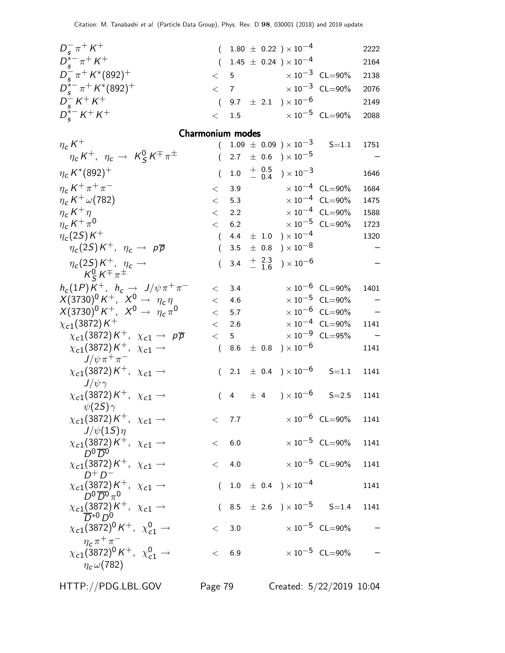| $D_{s}^{-} \pi^{+} K^{+}$                                                    |          |                 |               | $(1.80 \pm 0.22) \times 10^{-4}$                            |                                  | 2222 |
|------------------------------------------------------------------------------|----------|-----------------|---------------|-------------------------------------------------------------|----------------------------------|------|
| $D_{s}^{*-} \pi^{+} K^{+}$                                                   | $\left($ |                 |               | $1.45 \pm 0.24$ ) × $10^{-4}$                               |                                  | 2164 |
| $D_{s}^{-} \pi^{+} K^{*}(892)^{+}$                                           | $\lt$    | 5               |               | $\times$ 10 <sup>-3</sup> CL=90%                            |                                  | 2138 |
| $D_{s}^{*-} \pi^{+} K^{*}(892)^{+}$                                          | $\lt$    |                 |               | 7 $\times 10^{-3}$ CL=90%                                   |                                  | 2076 |
| $D_{s}^{-} K^{+} K^{+}$                                                      | $\left($ |                 |               | 9.7 $\pm$ 2.1 $) \times 10^{-6}$                            |                                  | 2149 |
| $D_{s}^{*-} K^{+} K^{+}$                                                     | $\lt$    |                 |               | 1.5 $\times 10^{-5}$ CL=90%                                 |                                  | 2088 |
|                                                                              |          |                 |               |                                                             |                                  |      |
| Charmonium modes                                                             |          |                 |               |                                                             |                                  |      |
| $\eta_c K^+$                                                                 | $\left($ |                 |               | $1.09 \pm 0.09$ ) $\times 10^{-3}$                          | $S = 1.1$                        | 1751 |
| $\eta_c K^+$ , $\eta_c \rightarrow K^0_S K^\mp \pi^\pm$                      | $\left($ |                 |               | 2.7 $\pm$ 0.6 $\rightarrow$ 10 <sup>-5</sup>                |                                  |      |
| $\eta_c K^*(892)^+$                                                          | $\left($ | 1.0             |               | $^{+}_{-}$ $^{0.5}_{0.4}$ ) $\times$ 10 <sup>-3</sup>       |                                  | 1646 |
| $\eta_c K^+\pi^+\pi^-$                                                       | $\,<\,$  |                 |               | 3.9 $\times 10^{-4}$ CL=90%                                 |                                  | 1684 |
| $\eta_c K^+ \omega(782)$                                                     | $\lt$    | 5.3             |               |                                                             | $\times 10^{-4}$ CL=90%          | 1475 |
| $\eta_c K^+ \eta$                                                            |          |                 |               | $<$ 2.2 $\times 10^{-4}$ CL=90%                             |                                  | 1588 |
| $\eta_c K^+\pi^0$                                                            |          |                 |               | $< 6.2$ $\times 10^{-5}$ CL=90%                             |                                  | 1723 |
| $\eta_c(2S)K^+$                                                              | $\left($ |                 |               | 4.4 $\pm$ 1.0 $) \times 10^{-4}$                            |                                  | 1320 |
| $\eta_c(2S)K^+$ , $\eta_c \to p\overline{p}$                                 | $\left($ | 3.5             |               | $\pm$ 0.8 $\mathrm{)}\times10^{-8}$                         |                                  |      |
| $\eta_c(2S)K^+$ , $\eta_c \rightarrow$                                       | $\left($ |                 | 3.4 $\pm$ 2.3 | $) \times 10^{-6}$                                          |                                  |      |
| $K^0_S K^\mp \pi^\pm$                                                        |          |                 |               |                                                             |                                  |      |
| $h_c(1P)K^+$ , $h_c \rightarrow J/\psi \pi^+ \pi^-$                          |          | < 3.4           |               |                                                             | $\times 10^{-6}$ CL=90%          | 1401 |
| $X(3730)^0 K^+$ , $X^0 \to \eta_c \eta$                                      |          | < 4.6           |               |                                                             | $\times 10^{-5}$ CL=90%          |      |
| $X(3730)^0 K^+$ , $X^0 \to \eta_c \pi^0$                                     |          |                 |               |                                                             | $\times 10^{-6}$ CL=90%          |      |
| $\chi_{c1}(3872)K^+$                                                         | $\lt$    | 2.6             |               |                                                             | $\times 10^{-4}$ CL=90%          | 1141 |
| $\chi_{c1}(3872)K^+$ , $\chi_{c1} \rightarrow p\overline{p}$                 | $\lt$    | $5\overline{)}$ |               |                                                             | $\times$ 10 <sup>-9</sup> CL=95% |      |
| $\chi_{c1}(3872)K^+$ , $\chi_{c1} \rightarrow$                               | $\left($ |                 |               | 8.6 $\pm$ 0.8 $) \times 10^{-6}$                            |                                  | 1141 |
| $J/\psi \pi^+ \pi^-$                                                         |          |                 |               |                                                             |                                  |      |
| $\chi_{c1}(3872)K^+$ , $\chi_{c1} \rightarrow$                               | $\left($ |                 |               | 2.1 $\pm$ 0.4 $\rightarrow$ $\times$ 10 <sup>-6</sup> S=1.1 |                                  | 1141 |
| $J/\psi\gamma$                                                               |          |                 |               |                                                             |                                  |      |
| $\chi_{c1}(3872)K^+$ , $\chi_{c1} \rightarrow$                               |          |                 |               | $(4 \pm 4) \times 10^{-6}$ S=2.5                            |                                  | 1141 |
| $\psi(2S)\gamma$                                                             |          |                 |               |                                                             | $\times 10^{-6}$ CL=90% 1141     |      |
| $\chi_{c1}(3872)K^+$ , $\chi_{c1} \rightarrow$                               |          | $<$ 7.7         |               |                                                             |                                  |      |
| $J/\psi(1S)\eta$<br>$\chi_{c1}(3872)K^+$ , $\chi_{c1} \rightarrow$           |          | < 6.0           |               |                                                             | $\times$ 10 <sup>-5</sup> CL=90% | 1141 |
| $D^0\overline{D}^{0'}$                                                       |          |                 |               |                                                             |                                  |      |
| $\chi_{c1}(3872)K^+$ , $\chi_{c1} \rightarrow$                               |          | < 4.0           |               |                                                             | $\times$ 10 <sup>-5</sup> CL=90% | 1141 |
| $D^+D^-$                                                                     |          |                 |               |                                                             |                                  |      |
| $\chi_{c1}(3872)K^+$ , $\chi_{c1} \rightarrow$<br>$D^0\overline{D}{}^0\pi^0$ |          |                 |               | $(1.0 \pm 0.4) \times 10^{-4}$                              |                                  | 1141 |
| $\chi_{c1}$ (3872) $K^+$ , $\chi_{c1} \rightarrow$                           |          |                 |               | $(8.5 \pm 2.6) \times 10^{-5}$ S=1.4                        |                                  | 1141 |
| $\chi_{c1}(3872)^{0} K^{+}$ , $\chi_{c1}^{0} \rightarrow$                    |          | < 3.0           |               |                                                             | $\times$ 10 $^{-5}$ CL=90%       |      |
| $\eta_c \pi^+ \pi^-$                                                         |          |                 |               |                                                             |                                  |      |
| $\chi_{c1}(3872)^{0} K^{+}$ , $\chi_{c1}^{0} \rightarrow$                    |          | < 6.9           |               |                                                             | $\times$ 10 <sup>-5</sup> CL=90% |      |
| $\eta_c\omega(782)$                                                          |          |                 |               |                                                             |                                  |      |
|                                                                              |          |                 |               |                                                             |                                  |      |

HTTP://PDG.LBL.GOV Page 79 Created: 5/22/2019 10:04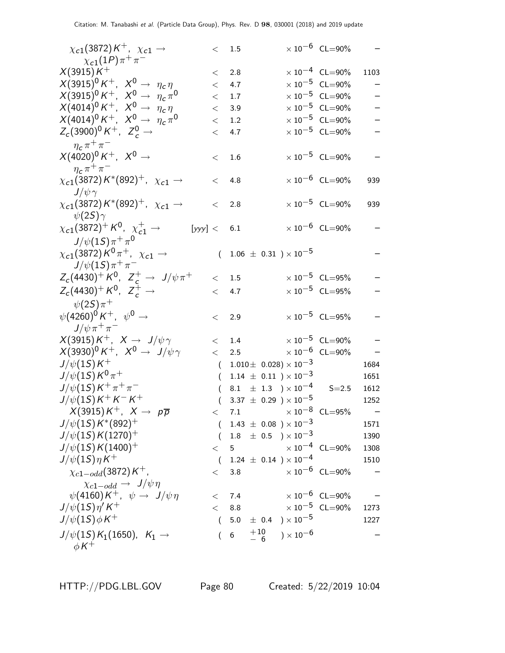| $\chi_{c1}(3872)K^+$ , $\chi_{c1} \rightarrow$                  |          | < 1.5          |               |                                      | $\times 10^{-6}$ CL=90%          |      |
|-----------------------------------------------------------------|----------|----------------|---------------|--------------------------------------|----------------------------------|------|
| $\chi_{c1}(1P)\pi^{+}\pi^{-}$                                   |          |                |               |                                      |                                  |      |
| $X(3915)K^+$                                                    | <        | 2.8            |               |                                      | $\times 10^{-4}$ CL=90%          | 1103 |
| $X(3915)^{0} K^{+}$ , $X^{0} \rightarrow \eta_{c} \eta$         | $\lt$    | 4.7            |               |                                      | $\times$ 10 <sup>-5</sup> CL=90% |      |
| $X(3915)^0 K^+$ , $X^0 \rightarrow \eta_c \pi^0$                | $\lt$    | 1.7            |               |                                      | $\times$ 10 <sup>-5</sup> CL=90% |      |
| $X(4014)^0 K^+$ , $X^0 \to \eta_c \eta$                         | $\lt$    | 3.9            |               |                                      | $\times 10^{-5}$ CL=90%          |      |
| $X(4014)^0 K^+$ , $X^0 \rightarrow \eta_c \pi^0$                | $\,<\,$  | 1.2            |               |                                      | $\times$ 10 <sup>-5</sup> CL=90% |      |
| $Z_c(3900)^0 K^+$ , $Z_c^0 \rightarrow$                         | $\lt$    | 4.7            |               |                                      | $\times$ 10 <sup>-5</sup> CL=90% |      |
| $\eta_c \pi^+ \pi^-$                                            |          |                |               |                                      |                                  |      |
| $X(4020)^0 K^+$ , $X^0 \to$                                     | $\,<\,$  | $1.6\,$        |               |                                      | $\times 10^{-5}$ CL=90%          |      |
| $\eta_c \pi^+ \pi^-$                                            |          |                |               |                                      |                                  |      |
| $\chi_{c1}(3872) K^{*}(892)^{+}$ , $\chi_{c1} \rightarrow$      | $\,<\,$  | 4.8            |               |                                      | $\times 10^{-6}$ CL=90%          | 939  |
| $J/\psi\gamma$                                                  |          |                |               |                                      |                                  |      |
| $\chi_{c1}(3872)K^{*}(892)^{+}$ , $\chi_{c1} \rightarrow$       | $\lt$    | 2.8            |               |                                      | $\times 10^{-5}$ CL=90%          | 939  |
| $\psi(2S)\gamma$                                                |          |                |               |                                      |                                  |      |
| $\chi_{c1}(3872)^+ K^0$ , $\chi_{c1}^+ \rightarrow$<br>[yyy] <  |          | 6.1            |               |                                      | $\times 10^{-6}$ CL=90%          |      |
| $J/\psi(1S)\pi^{+}\pi^{0}$                                      |          |                |               |                                      |                                  |      |
| $\chi_{c1}($ 3872) $K^0\pi^+$ , $\chi_{c1}\rightarrow$          | $\left($ |                |               | $1.06 \pm 0.31$ ) × 10 <sup>-5</sup> |                                  |      |
| $J/\psi(1S)\pi^{+}\pi^{-}$                                      |          |                |               |                                      |                                  |      |
| $Z_c(4430)^+ K^0$ , $Z_c^+ \to J/\psi \pi^+$                    | $\lt$    | 1.5            |               |                                      | $\times 10^{-5}$ CL=95%          |      |
| $Z_c(4430)^+ K^0$ , $Z_c^+ \rightarrow$                         | $\lt$    | 4.7            |               |                                      | $\times$ $10^{-5}$ $\,$ CL=95%   |      |
| $\psi(2S)\pi^+$                                                 |          |                |               |                                      |                                  |      |
| $\psi(4260)^{0}K^{+}$ , $\psi^{0} \rightarrow$                  |          |                |               |                                      | $\times 10^{-5}$ CL=95%          |      |
| $J/\psi \pi^+ \pi^-$                                            | $\lt$    | 2.9            |               |                                      |                                  |      |
| $X(3915)K^+$ , $X \rightarrow J/\psi \gamma$                    |          |                |               |                                      | $\times 10^{-5}$ CL=90%          |      |
| $X(3930)^{\mathbb{O}} K^+$ , $X^{\mathbb{O}} \to J/\psi \gamma$ | $\lt$    | 1.4            |               |                                      | $\times 10^{-6}$ CL=90%          |      |
| $J/\psi(1S)K^+$                                                 | $\lt$    | 2.5            |               |                                      |                                  |      |
| $J/\psi(1S)K^0\pi^+$                                            | $\left($ |                |               | $1.010 \pm 0.028 \times 10^{-3}$     |                                  | 1684 |
|                                                                 |          |                |               | $(1.14 \pm 0.11) \times 10^{-3}$     |                                  | 1651 |
| $J/\psi(1S)\,K^+\,\pi^+\,\pi^-$                                 | $\left($ |                |               | 8.1 $\pm$ 1.3 $) \times 10^{-4}$     | $S = 2.5$                        | 1612 |
| $J/\psi(1S)K^+K^-K^+$                                           |          |                |               | $3.37 \pm 0.29$ $) \times 10^{-5}$   |                                  | 1252 |
| $X(3915)K^+$ , $X \rightarrow p\overline{p}$                    |          |                |               | 7.1 $\times 10^{-8}$ CL=95%          |                                  |      |
| $J/\psi(15)K^*(892)^+$                                          | $\left($ |                |               | $1.43 \pm 0.08$ ) $\times 10^{-3}$   |                                  | 1571 |
| $J/\psi(1S)K(1270)^+$                                           | (        |                |               | $1.8 \pm 0.5$ $) \times 10^{-3}$     |                                  | 1390 |
| $J/\psi(1S)K(1400)^+$                                           | $\lt$    | 5              |               |                                      | $\times 10^{-4}$ CL=90%          | 1308 |
| $J/\psi(1S)\eta K^+$                                            | $\left($ |                |               | $1.24 \pm 0.14$ ) $\times 10^{-4}$   |                                  | 1510 |
| $\chi_{c1-odd}$ (3872) K <sup>+</sup> ,                         | $\,<\,$  | 3.8            |               |                                      | $\times$ 10 $^{-6}$ CL=90%       |      |
| $\chi_{c1-odd} \rightarrow J/\psi \eta$                         |          |                |               |                                      |                                  |      |
| $\psi(4160)K^+$ , $\psi \rightarrow J/\psi \eta$                | $\lt$    | 7.4            |               |                                      | $\times 10^{-6}$ CL=90%          |      |
| $J/\psi(1S)\eta' K^+$                                           | $\lt$    |                |               | 8.8 $\times 10^{-5}$ CL=90%          |                                  | 1273 |
| $J/\psi(1S)\phi K^+$                                            | $\left($ |                |               | 5.0 $\pm$ 0.4 $) \times 10^{-5}$     |                                  | 1227 |
| $J/\psi(1S) K_1(1650)$ , $K_1 \to$<br>$\phi K^+$                | $\left($ | $6\overline{}$ | $^{+10}_{-6}$ | ) $\times$ $10^{-6}$                 |                                  |      |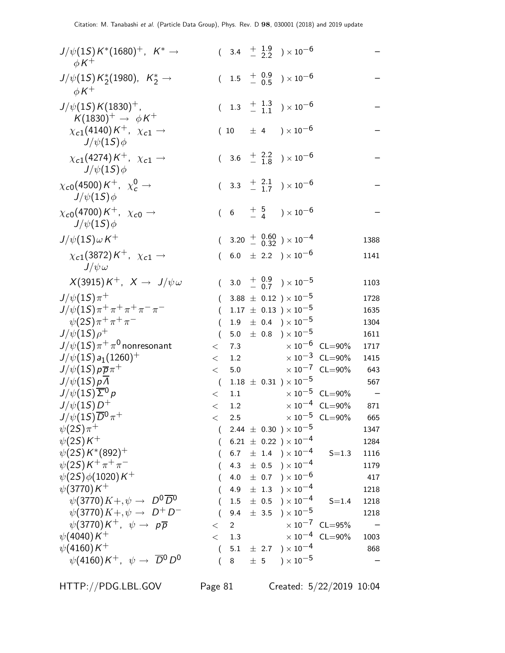| $J/\psi(1S) K^*(1680)^+$ , $K^* \to$<br>$\phi K^+$                 |          |                |         | $(3.4 \frac{+}{2} 1.9 \frac{0}{2}) \times 10^{-6}$                    |                                  |      |
|--------------------------------------------------------------------|----------|----------------|---------|-----------------------------------------------------------------------|----------------------------------|------|
| $J/\psi(1S) K^*_{2}(1980)$ , $K^*_{2} \rightarrow$<br>$\phi K^+$   |          |                |         | $(1.5 \tfrac{+0.9}{-0.5}) \times 10^{-6}$                             |                                  |      |
| $J/\psi(1S)K(1830)^+$ ,<br>$K(1830)^+\rightarrow \phi K^+$         |          |                |         | $(1.3 \tfrac{+1.3}{-1.1}) \times 10^{-6}$                             |                                  |      |
| $\chi_{c1}(4140)K^+$ , $\chi_{c1} \rightarrow$<br>$J/\psi(1S)\phi$ |          |                |         | $(10 \pm 4) \times 10^{-6}$                                           |                                  |      |
| $\chi_{c1}(4274)K^+$ , $\chi_{c1} \rightarrow$<br>$J/\psi(1S)\phi$ |          |                |         | $(3.6 \tfrac{+}{-} 2.2 \t) \times 10^{-6}$                            |                                  |      |
| $\chi_{c0}(4500)K^+$ , $\chi_c^0 \rightarrow$<br>$J/\psi(1S)\phi$  |          |                |         | $(3.3 + \frac{2.1}{1.7}) \times 10^{-6}$                              |                                  |      |
| $\chi_{c0}(4700)K^+$ , $\chi_{c0} \rightarrow$<br>$J/\psi(1S)\phi$ |          |                |         | $(6 \t+\tfrac{5}{4})\times 10^{-6}$                                   |                                  |      |
| $J/\psi(1S)\omega K^+$                                             |          |                |         | $(3.20 + \begin{array}{c} 0.60 \\ - 0.32 \end{array}) \times 10^{-4}$ |                                  | 1388 |
| $\chi_{c1}(3872)K^+$ , $\chi_{c1} \rightarrow$<br>$J/\psi \omega$  |          |                |         | $(6.0 \pm 2.2) \times 10^{-6}$                                        |                                  | 1141 |
| $X(3915)K^+$ , $X \to J/\psi \omega$                               |          |                |         | $(3.0 + \frac{0.9}{0.7}) \times 10^{-5}$                              |                                  | 1103 |
| $J/\psi(1S)\pi^+$                                                  | $\left($ |                |         | 3.88 $\pm$ 0.12 $) \times 10^{-5}$                                    |                                  | 1728 |
| $J/\psi(1S)\pi^+\pi^+\pi^+\pi^-\pi^-$                              | $\left($ |                |         | $1.17 \pm 0.13$ ) × $10^{-5}$                                         |                                  | 1635 |
| $\psi(2S)\pi^+\pi^+\pi^-$                                          | $\left($ |                |         | $1.9 \pm 0.4$ ) $\times 10^{-5}$                                      |                                  | 1304 |
| $J/\psi(1S)\rho^+$                                                 | $\left($ | 5.0            |         | $\pm$ 0.8 ) $\times$ 10 <sup>-5</sup>                                 |                                  | 1611 |
| $J/\psi(1S)\pi^+\pi^0$ nonresonant                                 | $\lt$    |                |         | 7.3 $\times 10^{-6}$ CL=90%                                           |                                  | 1717 |
| $J/\psi(1S) a_1(1260)^+$                                           | $\lt$    |                |         | 1.2 $\times 10^{-3}$ CL=90%                                           |                                  | 1415 |
| $J/\psi(1S) \rho \overline{\rho} \pi^+$                            | $\lt$    |                |         | 5.0 $\times 10^{-7}$ CL=90%                                           |                                  | 643  |
| $J/\psi(1S)pA$                                                     | $\left($ |                |         | $1.18 \pm 0.31$ ) $\times 10^{-5}$                                    |                                  | 567  |
| $J/\psi(1S)\overline{\Sigma}^0 p$                                  | $\lt$    |                |         | 1.1 $\times 10^{-5}$ CL=90%                                           |                                  |      |
| $J/\psi(1S)D^+$                                                    | $\lt$    |                |         | 1.2 $\times 10^{-4}$ CL=90%                                           |                                  | 871  |
| $J/\psi(1S)\overline{D}{}^0\pi^+$                                  | $\lt$    | 2.5            |         |                                                                       | $\times 10^{-5}$ CL=90%          | 665  |
| $\psi(2S)\pi^+$                                                    |          |                |         | $(2.44 \pm 0.30) \times 10^{-5}$                                      |                                  | 1347 |
| $\psi(2S)K^+$                                                      |          |                |         | $6.21~\pm~0.22~)\times10^{-4}$                                        |                                  | 1284 |
| $\psi(2S)K^*(892)^+$                                               | $\left($ |                |         | 6.7 $\pm$ 1.4 $\rightarrow$ $\times 10^{-4}$                          | $S = 1.3$                        | 1116 |
| $\psi(2S)K^{+}\pi^{+}\pi^{-}$                                      |          |                |         | 4.3 $\pm$ 0.5 $\right) \times 10^{-4}$                                |                                  | 1179 |
| $\psi(2S)\phi(1020)K^+$                                            | (        | 4.0            |         | $\pm$ 0.7 $\mathrm{)}\times10^{-6}$                                   |                                  | 417  |
| $\psi(3770)K^+$                                                    |          | 4.9            |         | $\pm$ 1.3 $\mathrm{)}\times10^{-4}$                                   |                                  | 1218 |
| $\psi$ (3770) $K + \psi \rightarrow D^0 \overline{D}{}^0$          |          |                |         | $1.5 \pm 0.5$ ) $\times 10^{-4}$                                      | $S = 1.4$                        | 1218 |
| $\psi(3770)K + , \psi \to D^+D^-$                                  |          | 9.4            |         | $\pm$ 3.5 $\times$ 10 <sup>-5</sup>                                   |                                  | 1218 |
| $\psi(3770)K^+$ , $\psi \rightarrow p\overline{p}$                 | $\,<\,$  | $\overline{2}$ |         |                                                                       | $\times 10^{-7}$ CL=95%          |      |
| $\psi(4040)K^+$                                                    | $\lt$    | 1.3            |         |                                                                       | $\times$ 10 <sup>-4</sup> CL=90% | 1003 |
| $\psi(4160)K^+$                                                    | $\left($ |                |         | 5.1 $\pm$ 2.7 $\right) \times 10^{-4}$                                |                                  | 868  |
| $\psi(4160)K^+$ , $\psi \rightarrow \overline{D}^0 D^0$            | (        | 8              | $\pm$ 5 | ) $\times\,10^{-5}$                                                   |                                  |      |

HTTP://PDG.LBL.GOV Page 81 Created: 5/22/2019 10:04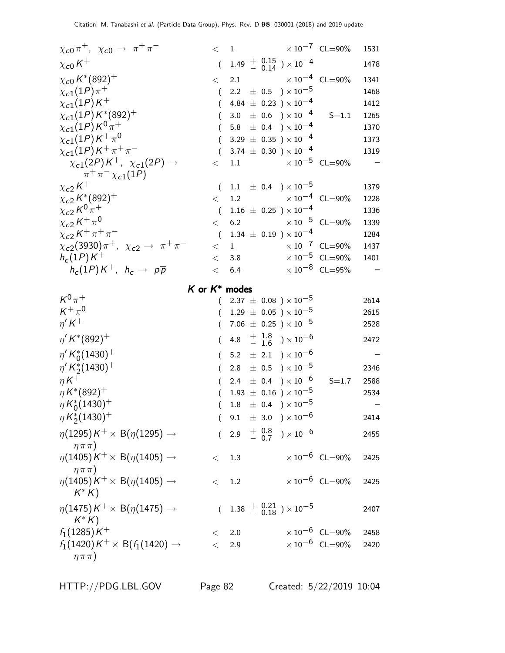| $\chi_{c0}\pi^+$ , $\chi_{c0}\to \pi^+\pi^-$                     | $<$ 1            | $\times$ 10 <sup>-7</sup> CL=90%                                       |                                  | 1531 |
|------------------------------------------------------------------|------------------|------------------------------------------------------------------------|----------------------------------|------|
| $\chi_{c0}K^+$                                                   |                  | $(1.49 \frac{+}{0.14}) \times 10^{-4}$                                 |                                  | 1478 |
| $\chi_{c0}\,K^*(892)^+$                                          | $\lt$            | $\times$ 10 <sup>-4</sup> CL=90%<br>2.1                                |                                  | 1341 |
| $\chi_{c1}(1P)\pi^{+}$                                           | $\left($         | 2.2 $\pm$ 0.5 $\right) \times 10^{-5}$                                 |                                  | 1468 |
| $\chi_{c1}(1P)K^+$                                               | $\left($         | 4.84 $\pm$ 0.23 ) $\times$ 10 <sup>-4</sup>                            |                                  | 1412 |
| $\chi_{c1}(1P)K^{*}(892)^{+}$                                    |                  | 3.0 $\pm$ 0.6 $)\times 10^{-4}$                                        | $S = 1.1$                        | 1265 |
| $\chi_{c1}(1P)K^{0} \pi^{+}$                                     |                  | 5.8 $\pm$ 0.4 $) \times 10^{-4}$                                       |                                  | 1370 |
| $\chi_{c1}(1P)\,K^+\,\pi^0$                                      | $\left($         | 3.29 $\pm$ 0.35 $\times$ 10 <sup>-4</sup>                              |                                  | 1373 |
| $\chi_{c1}(1P)K^+\pi^+\pi^-$                                     | (                | 3.74 $\pm$ 0.30 $) \times 10^{-4}$                                     |                                  | 1319 |
| $\chi_{c1}(2P)K^+$ , $\chi_{c1}(2P) \rightarrow$                 | $\lt$            | 1.1 $\times 10^{-5}$ CL=90%                                            |                                  |      |
| $\pi^{+}\pi^{-}\chi_{c1}(1P)$                                    |                  |                                                                        |                                  |      |
| $\chi_{c2}\,K^+$                                                 |                  | $(1.1 \pm 0.4) \times 10^{-5}$                                         |                                  | 1379 |
| $\chi_{c2}\,K^*(892)^+$                                          | $\lt$            | 1.2 $\times 10^{-4}$ CL=90%                                            |                                  | 1228 |
| $\chi_{c2} K^{0} \pi^{+}$                                        | $\left($         | $1.16 \pm 0.25$ ) × $10^{-4}$                                          |                                  | 1336 |
| $\chi_{c2} K^+\pi^0$                                             | $\lt$            | $\times$ 10 $^{-5}$ CL=90%<br>6.2                                      |                                  | 1339 |
| $\chi_{c2} K^+ \pi^+ \pi^-$                                      | $\left($         | 1.34 $\pm$ 0.19 $) \times 10^{-4}$                                     |                                  | 1284 |
| $\chi_{c2}(3930)\pi^+$ , $\chi_{c2} \to \pi^+\pi^-$              | $\lt$            | $\times$ 10 <sup>-7</sup> CL=90%<br>$1 \quad$                          |                                  | 1437 |
| $h_c(1P)K^+$                                                     | $\lt$            | 3.8                                                                    | $\times$ 10 <sup>-5</sup> CL=90% | 1401 |
| $h_c(1P)K^+$ , $h_c \rightarrow p\overline{p}$                   | $\lt$            | 6.4                                                                    | $\times 10^{-8}$ CL=95%          |      |
|                                                                  |                  | K or $K^*$ modes                                                       |                                  |      |
| $K^0\pi^+$                                                       |                  | $2.37 \pm 0.08$ ) × $10^{-5}$                                          |                                  | 2614 |
|                                                                  |                  |                                                                        |                                  |      |
| $K^+\pi^0$                                                       |                  |                                                                        |                                  | 2615 |
| $\eta^{\prime} K^{+}$                                            | €                | $(1.29 \pm 0.05) \times 10^{-5}$<br>7.06 $\pm$ 0.25 $) \times 10^{-5}$ |                                  | 2528 |
| $\eta^{\prime}$ K <sup>*</sup> (892) <sup>+</sup>                | $\left($         | 4.8 $\frac{+1.8}{-1.6}$ ) × 10 <sup>-6</sup>                           |                                  | 2472 |
|                                                                  |                  |                                                                        |                                  |      |
| $\eta' K_0^*(1430)^+$                                            | $\left($         | 5.2 $\pm$ 2.1 $) \times 10^{-6}$                                       |                                  |      |
| $\eta^{\prime} K_2^*(1430)^+$                                    | (                | 2.8 $\pm$ 0.5 $\times 10^{-5}$                                         |                                  | 2346 |
| $\eta K^+$                                                       |                  | 2.4 $\pm$ 0.4 $) \times 10^{-6}$                                       | $S = 1.7$                        | 2588 |
| $\eta K^{*}(892)^{+}$                                            | $\left($         | $1.93 \pm 0.16$ ) $\times 10^{-5}$                                     |                                  | 2534 |
| $\eta K_0^*(1430)^+$                                             |                  | $1.8 \pm 0.4$ $) \times 10^{-5}$                                       |                                  |      |
| $\eta K_2^*(1430)^+$                                             | $\left($         | $9.1 \pm 3.0$ $) \times 10^{-6}$                                       |                                  | 2414 |
| $\eta(1295)K^+\times B(\eta(1295)\rightarrow$                    | $\overline{(\ }$ | 2.9 $\frac{+}{-}$ $\frac{0.8}{0.7}$ $\times 10^{-6}$                   |                                  | 2455 |
| $\eta \pi \pi$ )                                                 | $\lt$            |                                                                        |                                  |      |
| $\eta(1405)K^+\times B(\eta(1405)\rightarrow$                    |                  | 1.3                                                                    | $\times 10^{-6}$ CL=90%          | 2425 |
| $\eta \pi \pi$ )                                                 | $\lt$            |                                                                        |                                  | 2425 |
| $\eta(1405)\,$ K $^+\times$ B $(\eta(1405)\rightarrow$<br>$K^*K$ |                  | 1.2                                                                    | $\times 10^{-6}$ CL=90%          |      |
|                                                                  |                  |                                                                        |                                  |      |
| $\eta(1475)K^+\times B(\eta(1475)\rightarrow$                    |                  | $(1.38 \frac{+}{-0.18}) \times 10^{-5}$                                |                                  | 2407 |
| $K^*K$                                                           |                  |                                                                        |                                  |      |
| $f_1(1285)K^+$                                                   | $\,<\,$          | 2.0                                                                    | $\times 10^{-6}$ CL=90%          | 2458 |
| $f_1(1420)K^+\times B(f_1(1420)\rightarrow$<br>$\eta \pi \pi$ )  | $\lt$            | 2.9                                                                    | $\times 10^{-6}$ CL=90%          | 2420 |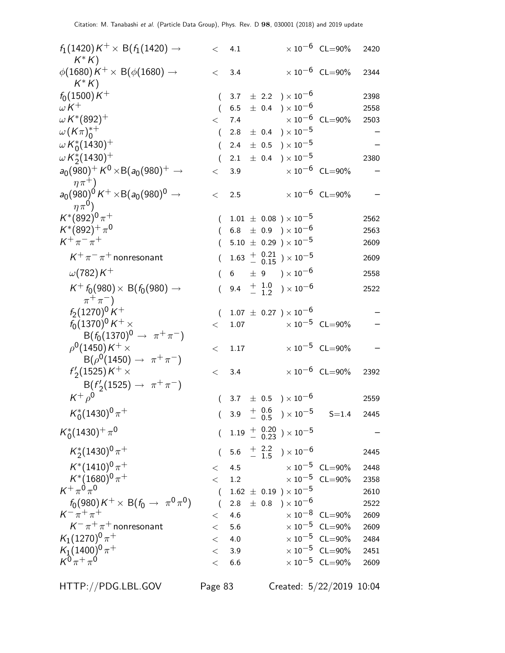| $f_1(1420)K^+\times B(f_1(1420)\rightarrow$<br>$K^*K$              |          | < 4.1          |  |                                                      | $\times 10^{-6}$ CL=90%                     | 2420 |
|--------------------------------------------------------------------|----------|----------------|--|------------------------------------------------------|---------------------------------------------|------|
| $\phi(1680)K^+\times B(\phi(1680)\rightarrow$<br>$K^*K$            | $\lt$    | 3.4            |  |                                                      | $\times 10^{-6}$ CL=90%                     | 2344 |
| $f_0(1500)K^+$                                                     |          |                |  | $(3.7 \pm 2.2) \times 10^{-6}$                       |                                             | 2398 |
| $\omega K^+$                                                       | (        | 6.5            |  | $\pm$ 0.4 ) $\times$ $10^{-6}$                       |                                             | 2558 |
| $\omega K^{*}(892)^{+}$                                            | $\lt$    | 7.4            |  | $\times$ 10 $^{-6}$ CL=90%                           |                                             | 2503 |
| $\omega(K\pi)_{0}^{*+}$                                            | $\left($ |                |  | $2.8 \pm 0.4$ $) \times 10^{-5}$                     |                                             |      |
| $\omega K_0^*(1430)^+$                                             |          | 2.4            |  | $\pm$ 0.5 ) $\times$ 10 $^{-5}$                      |                                             |      |
| $\omega K_2^*(1430)^+$                                             |          | 2.1            |  | $\pm$ 0.4 $\mathrm{)}\times10^{-5}$                  |                                             | 2380 |
| $a_0(980)^+ K^0 \times B(a_0(980)^+ \rightarrow$<br>$\eta \pi^+$ ) | $\lt$    | 3.9            |  |                                                      | $\times$ 10 <sup>-6</sup> CL=90%            |      |
| $a_0(980)^0 K^+ \times B(a_0(980)^0 \rightarrow$<br>$\eta \pi^0$ ) | $\lt$    | 2.5            |  |                                                      | $\times 10^{-6}$ CL=90%                     |      |
| $K^*(892)^0\pi^+$                                                  | $\left($ |                |  | $1.01 \pm 0.08$ ) × 10 <sup>-5</sup>                 |                                             | 2562 |
| $K^*(892)^{+}\pi^0$                                                |          |                |  | $(6.8 \pm 0.9) \times 10^{-6}$                       |                                             | 2563 |
| $K^+\pi^-\pi^+$                                                    |          |                |  | $5.10 \pm 0.29$ ) × 10 <sup>-5</sup>                 |                                             | 2609 |
| $K^+\pi^-\pi^+$ nonresonant                                        | $\left($ |                |  | $1.63$ + $0.21$ $\rightarrow$ $10^{-5}$              |                                             | 2609 |
| $\omega(782)K^+$                                                   | €        | $6\overline{}$ |  | $\pm$ 9 ) $\times$ 10 <sup>-6</sup>                  |                                             | 2558 |
| $K^+ f_0(980) \times B(f_0(980) \rightarrow$<br>$\pi^+\pi^-$       | $\left($ |                |  | 9.4 $\frac{+}{-}$ $\frac{1.0}{1.2}$ $\times 10^{-6}$ |                                             | 2522 |
| $f_2(1270)^0 K^+$                                                  | $\left($ |                |  | $1.07 \pm 0.27$ ) $\times 10^{-6}$                   |                                             |      |
| $f_0(1370)^0 K^+ \times$                                           | $\lt$    | 1.07           |  | $\times$ 10 $^{-5}$ CL=90%                           |                                             |      |
| $B(f_0(1370)^0 \to \pi^+\pi^-)$                                    |          |                |  |                                                      |                                             |      |
| $\rho^0(1450)K^+\times$                                            | $\,<\,$  | 1.17           |  |                                                      | $\times 10^{-5}$ CL=90%                     |      |
| $B(\rho^0(1450) \to \pi^+\pi^-)$                                   |          |                |  |                                                      |                                             |      |
| $f'_{2}(1525)K^{+}\times$                                          | $\,<\,$  | 3.4            |  |                                                      | $\times 10^{-6}$ CL=90%                     | 2392 |
| $B(f'_2(1525) \to \pi^+\pi^-)$                                     |          |                |  |                                                      |                                             |      |
| $K^+\rho^0$                                                        | $\left($ |                |  | 3.7 $\pm$ 0.5 $\times 10^{-6}$                       |                                             | 2559 |
| $K_0^*(1430)^0 \pi^+$                                              |          |                |  |                                                      | $(3.9 \tfrac{+}{0.5}) \times 10^{-5}$ S=1.4 | 2445 |
| $K_0^*(1430)^+\pi^0$                                               |          |                |  | $(1.19 \frac{+}{0.20}) \times 10^{-5}$               |                                             |      |
| $K_2^*(1430)^0 \pi^+$                                              |          |                |  | $(5.6 \tfrac{+}{-} \tfrac{2.2}{1.5}) \times 10^{-6}$ |                                             | 2445 |
| $K^*(1410)^0 \pi^+$                                                | $\lt$    | 4.5            |  | $\times$ 10 $^{-5}$ CL=90%                           |                                             | 2448 |
| $K^*(1680)^0 \pi^+$                                                | $\lt$    | 1.2            |  | $\times$ 10 $^{-5}$ CL=90%                           |                                             | 2358 |
| $K^+ \pi^0 \pi^0$                                                  | $\left($ |                |  | $1.62 \pm 0.19$ ) $\times 10^{-5}$                   |                                             | 2610 |
| $f_0(980)K^+\times B(f_0\to \pi^0\pi^0)$                           | $\left($ |                |  | 2.8 $\pm$ 0.8 $) \times 10^{-6}$                     |                                             | 2522 |
| $K^{-} \pi^{+} \pi^{+}$                                            | $\lt$    | 4.6            |  |                                                      | $\times 10^{-8}$ CL=90%                     | 2609 |
| $K^-\pi^+\pi^+$ nonresonant                                        | $\lt$    | 5.6            |  |                                                      | $\times$ 10 <sup>-5</sup> CL=90%            | 2609 |
| $K_1(1270)^0 \pi^+$                                                | $\lt$    | 4.0            |  |                                                      | $\times 10^{-5}$ CL=90%                     | 2484 |
| $\frac{K_1(1400)^0}{K^0\pi^+\pi^0}$                                | $\lt$    | 3.9            |  |                                                      | $\times 10^{-5}$ CL=90%                     | 2451 |
|                                                                    | $\lt$    | 6.6            |  |                                                      | $\times$ 10 <sup>-5</sup> CL=90%            | 2609 |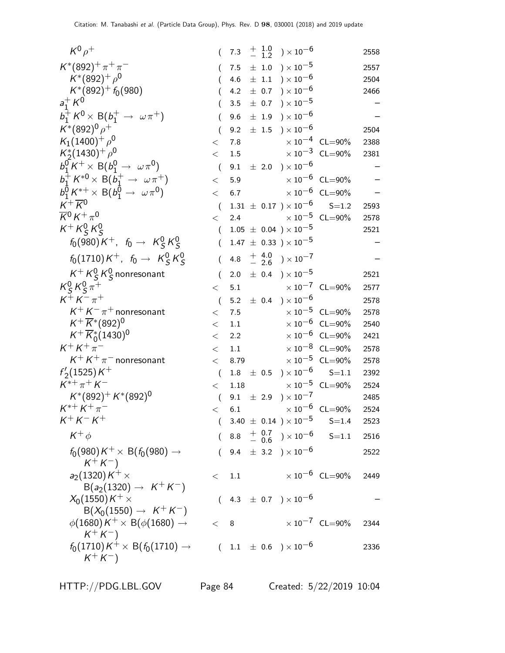| $K^0\rho^+$                                                                | $\left($         | 7.3  |  | $^{+\hspace{+0.4em}1.0}_{-\hspace{+0.4em}1.2}$ ) $\times\hspace{1.4em}10^{-6}$ |                                          | 2558 |
|----------------------------------------------------------------------------|------------------|------|--|--------------------------------------------------------------------------------|------------------------------------------|------|
| $K^*(892)^+\pi^+\pi^-$                                                     | (                | 7.5  |  | $\pm$ 1.0 $\$ \times 10^{-5}                                                   |                                          | 2557 |
| $K^*(892)^+$ $\rho^0$                                                      |                  | 4.6  |  | $\pm$ 1.1 $\rightarrow$ $\times 10^{-6}$                                       |                                          | 2504 |
| $K^*(892)^+ f_0(980)$                                                      |                  | 4.2  |  | $\pm$ 0.7 $\rightarrow$ $\times 10^{-6}$                                       |                                          | 2466 |
| $a_1^+ K^0$                                                                |                  | 3.5  |  | $\pm$ 0.7 ) $\times$ 10 <sup>-5</sup>                                          |                                          |      |
| $b_1^+ K^0 \times B(b_1^+ \rightarrow \omega \pi^+)$                       |                  | 9.6  |  | $\pm$ 1.9 $\rightarrow$ $\times 10^{-6}$                                       |                                          |      |
| $K^*(892)^0 \rho^+$                                                        |                  | 9.2  |  | $\pm$ 1.5 $\times$ 10 <sup>-6</sup>                                            |                                          | 2504 |
| $K_1(1400)^+$ $\rho^0$                                                     | $\,<\,$          | 7.8  |  |                                                                                | $\times$ 10 $^{-4}~$ CL=90%              | 2388 |
| $K_2^*(1430)^+$ $\rho^0$                                                   | $\lt$            | 1.5  |  |                                                                                | $\times 10^{-3}$ CL=90%                  | 2381 |
| $b_1^0 K^+ \times B(b_1^0 \rightarrow \omega \pi^0)$                       | $\overline{(}$   |      |  | 9.1 $\pm$ 2.0 $) \times 10^{-6}$                                               |                                          |      |
| $b_1^+ K^{*0} \times B(b_1^+ \to \omega \pi^+)$                            | $\,<\,$          | 5.9  |  |                                                                                | $\times$ 10 $^{-6}$ CL=90%               |      |
| $b_1^0 K^{*+} \times B(b_1^0 \to \omega \pi^0)$                            | $\lt$            | 6.7  |  |                                                                                | $\times$ 10 $^{-6}$ CL=90%               |      |
| $K^+\overline{K}{}^0$                                                      | $\overline{(\ }$ |      |  |                                                                                | $1.31 \pm 0.17$ $) \times 10^{-6}$ S=1.2 | 2593 |
| $\overline{K}{}^0 K^+\pi^0$                                                | $\lt$            | 2.4  |  |                                                                                | $\times 10^{-5}$ CL=90%                  | 2578 |
| $K^+ K^0_S K^0_S$                                                          | $\left($         |      |  | $1.05 \pm 0.04$ ) $\times 10^{-5}$                                             |                                          | 2521 |
| $f_0(980)K^+$ , $f_0 \to K^0_S K^0_S$                                      | (                |      |  | $1.47 \pm 0.33$ ) × $10^{-5}$                                                  |                                          |      |
| $f_0(1710)K^+$ , $f_0 \to K^0_S K^0_S$                                     | (                | 4.8  |  | $^{+}_{-}$ 4.0 ) $\times$ 10 <sup>-7</sup>                                     |                                          |      |
| $K^+ K^0_S K^0_S$ nonresonant                                              | $\overline{(}$   | 2.0  |  | $\pm$ 0.4 ) $\times$ 10 <sup>-5</sup>                                          |                                          | 2521 |
| $K_S^0 K_S^0 \pi^+$                                                        | $\lt$            | 5.1  |  |                                                                                | $\times$ 10 $^{-7}$ CL=90%               | 2577 |
| $K^{+} K^{-} \pi^{+}$                                                      | $\overline{(}$   |      |  | 5.2 $\pm$ 0.4 $)\times 10^{-6}$                                                |                                          | 2578 |
| $K^+ K^- \pi^+$ nonresonant                                                | $\,<\,$          | 7.5  |  |                                                                                | $\times 10^{-5}$ CL=90%                  | 2578 |
| $K^{+}\overline{K}^{*}(892)^{0}$                                           | $\lt$            | 1.1  |  |                                                                                | $\times 10^{-6}$ CL=90%                  | 2540 |
| $K^+ \overline{K}{}^*_{0} (1430)^0$                                        | $\lt$            | 2.2  |  |                                                                                | $\times 10^{-6}$ CL=90%                  | 2421 |
| $K^{+}K^{+}\pi^{-}$                                                        | $\,<\,$          | 1.1  |  |                                                                                | $\times$ 10 $^{-8}$ CL=90%               | 2578 |
| $K^+ K^+ \pi^-$ nonresonant                                                | $\lt$            | 8.79 |  |                                                                                | $\times 10^{-5}$ CL=90%                  | 2578 |
| $f'_{2}(1525)K^{+}$                                                        | $\left($         | 1.8  |  | $\pm$ 0.5 $\$ \times 10^{-6}                                                   | $S = 1.1$                                | 2392 |
| $K^{*+}\pi^+K^-$                                                           | $\lt$            | 1.18 |  |                                                                                | $\times 10^{-5}$ CL=90%                  | 2524 |
| $K^*(892)^+ K^*(892)^0$                                                    | $\overline{(}$   |      |  | 9.1 $\pm$ 2.9 $) \times 10^{-7}$                                               |                                          | 2485 |
| $K^{*+} K^+ \pi^-$                                                         | $\,<\,$          | 6.1  |  |                                                                                | $\times$ 10 <sup>-6</sup> CL=90%         | 2524 |
| $K^{+} K^{-} K^{+}$                                                        |                  |      |  | $(3.40 \pm 0.14) \times 10^{-5}$                                               | $S = 1.4$                                | 2523 |
| $K^+ \phi$                                                                 |                  |      |  | 8.8 $\frac{+}{-}$ 0.7 $\rightarrow$ 10 <sup>-6</sup>                           | $S = 1.1$                                | 2516 |
| $f_0(980)K^+\times \mathsf{B}(f_0(980)\to$<br>$K^+ K^-$                    | $\left($         |      |  | 9.4 $\pm$ 3.2 $) \times 10^{-6}$                                               |                                          | 2522 |
| $a_2(1320)K^+\times$                                                       | $\lt$            | 1.1  |  |                                                                                | $\times$ 10 $^{-6}$ CL=90%               | 2449 |
| $B(a_2(1320) \to K^+K^-)$<br>$X_0(1550)K^+\times$                          |                  |      |  | $(4.3 \pm 0.7) \times 10^{-6}$                                                 |                                          |      |
| $B(X_0(1550) \to K^+K^-)$<br>$\phi(1680)K^+\times B(\phi(1680)\rightarrow$ | $<$ 8            |      |  |                                                                                | $\times$ 10 <sup>-7</sup> CL=90%         | 2344 |
| $K^+K^-$<br>$f_0(1710)K^+\times B(f_0(1710)\rightarrow$<br>$K^{+} K^{-}$   |                  |      |  | $(1.1 \pm 0.6) \times 10^{-6}$                                                 |                                          | 2336 |

HTTP://PDG.LBL.GOV Page 84 Created: 5/22/2019 10:04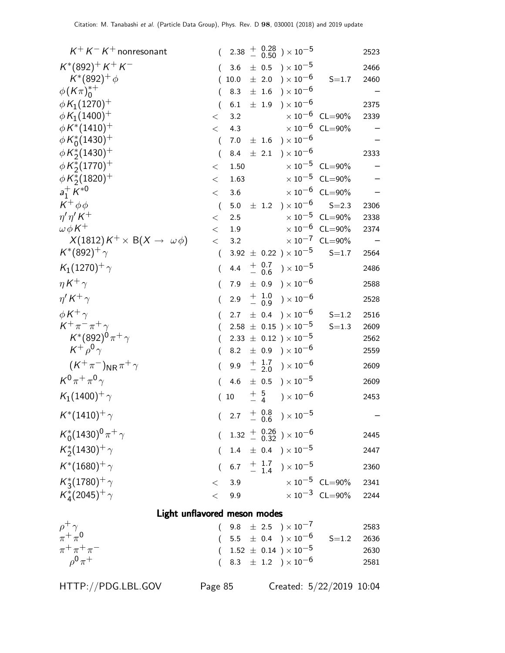| $K^+ K^- K^+$ nonresonant                     | $\left($         | 2.38       |  |                  | $^{+~~0.28}_{-~~0.50}$ ) $\times\,10^{-5}$                                       |                                                             | 2523 |  |  |
|-----------------------------------------------|------------------|------------|--|------------------|----------------------------------------------------------------------------------|-------------------------------------------------------------|------|--|--|
| $K^*(892)^+ K^+ K^-$                          | (                | 3.6        |  |                  | $\pm$ 0.5 $\mathrm{)}\times10^{-5}$                                              |                                                             | 2466 |  |  |
| $K^*(892)^+ \phi$                             |                  | 10.0       |  | $\pm$ 2.0        | $)\times10^{-6}$                                                                 | $S = 1.7$                                                   | 2460 |  |  |
| $\phi(K\pi)_0^{*+}$                           |                  | 8.3        |  |                  | $\pm$ 1.6 $\$ x 10^{-6}                                                          |                                                             |      |  |  |
| $\phi K_1(1270)^+$                            | (                | 6.1        |  | $\pm$ 1.9        | ) $\times$ 10 <sup>-6</sup>                                                      |                                                             | 2375 |  |  |
| $\phi K_1(1400)^+$                            | $\lt$            | 3.2        |  |                  |                                                                                  | $\times 10^{-6}$ CL=90%                                     | 2339 |  |  |
| $\phi\,K^*(1410)^+$                           | $\lt$            | 4.3        |  |                  |                                                                                  | $\times$ 10 <sup>-6</sup> CL=90%                            |      |  |  |
| $\phi K_0^*(1430)^+$                          | $\left($         | 7.0        |  |                  | $\pm$ 1.6 $\$ \times 10^{-6}                                                     |                                                             |      |  |  |
| $\phi\,K^\ast_2(1430)^+$                      | (                | 8.4        |  | $\pm$ 2.1        | ) $\times$ 10 $^{-6}$                                                            |                                                             | 2333 |  |  |
| $\phi K_2^*(1770)^+$                          | $\lt$            | 1.50       |  |                  |                                                                                  | $\times 10^{-5}$ CL=90%                                     |      |  |  |
| $\phi K_2^*(1820)^+$                          | $\,<\,$          | 1.63       |  |                  |                                                                                  | $\times 10^{-5}$ CL=90%                                     |      |  |  |
| $a_1^+ K^{*0}$                                | $\lt$            | 3.6        |  |                  |                                                                                  | $\times 10^{-6}$ CL=90%                                     |      |  |  |
| $K^+\phi\phi$                                 | $\overline{(}$   | 5.0        |  |                  | $\pm$ 1.2 $\rightarrow \times 10^{-6}$                                           | $S = 2.3$                                                   | 2306 |  |  |
| $\eta' \eta' K^+$<br>$\omega \phi K^+$        | $\lt$            | 2.5        |  |                  |                                                                                  | $\times 10^{-5}$ CL=90%<br>$\times$ 10 <sup>-6</sup> CL=90% | 2338 |  |  |
| $X(1812)K^+\times B(X\rightarrow \omega\phi)$ | $\lt$<br>$\lt$   | 1.9<br>3.2 |  |                  |                                                                                  | $\times 10^{-7}$ CL=90%                                     | 2374 |  |  |
| $K^*(892)^+$ $\gamma$                         | (                |            |  |                  | $3.92 \pm 0.22$ ) $\times 10^{-5}$                                               | $S = 1.7$                                                   | 2564 |  |  |
| $K_1(1270)^+$ $\gamma$                        | $\left($         | 4.4        |  |                  | ${+\phantom{0}0.7\atop-\phantom{0}0.6\phantom{0}}0.7\phantom{0000}\times10^{-5}$ |                                                             | 2486 |  |  |
| $\eta K^+ \gamma$                             | (                | 7.9        |  |                  | $\pm$ 0.9 ) $\times$ 10 <sup>-6</sup>                                            |                                                             | 2588 |  |  |
| $\eta' K^+ \gamma$                            | (                | 2.9        |  | $+ 1.0$<br>- 0.9 | ) $\times$ $10^{-6}$                                                             |                                                             | 2528 |  |  |
| $\phi K^+ \gamma$                             | (                | 2.7        |  |                  | $\pm$ 0.4 ) $\times$ 10 <sup>-6</sup>                                            | $S = 1.2$                                                   | 2516 |  |  |
| $K^+\pi^-\pi^+\gamma$                         |                  |            |  |                  | $2.58 \pm 0.15$ ) $\times 10^{-5}$                                               | $S = 1.3$                                                   | 2609 |  |  |
| $K^*(892)^0 \pi^+ \gamma$                     |                  |            |  |                  | 2.33 $\pm$ 0.12 $) \times 10^{-5}$                                               |                                                             | 2562 |  |  |
| $K^+ \rho^0 \gamma$                           | $\overline{(\ }$ | 8.2        |  |                  | $\pm$ 0.9 ) $\times$ 10 $^{-6}$                                                  |                                                             | 2559 |  |  |
| $(K^+\pi^-)_{\rm NR}\pi^+\gamma$              | $\left($         | 9.9        |  | $+$ 1.7<br>- 2.0 | ) $\times$ $10^{-6}$                                                             |                                                             | 2609 |  |  |
| $K^0\pi^+\pi^0\gamma$                         | (                | 4.6        |  |                  | $\pm$ 0.5 $\mathrm{)}\times10^{-5}$                                              |                                                             | 2609 |  |  |
| $K_1(1400)^+$ $\gamma$                        | (                | $10\,$     |  | $+$ 5<br>- 4     | ) $\times$ 10 $^{-6}$                                                            |                                                             | 2453 |  |  |
| $K^*(1410)^+$ $\gamma$                        |                  |            |  |                  | $(2.7 + \frac{0.8}{0.6}) \times 10^{-5}$                                         |                                                             |      |  |  |
| $K_0^*(1430)^0 \pi^+ \gamma$                  |                  |            |  |                  | $(1.32 \frac{+}{0.32}) \times 10^{-6}$                                           |                                                             | 2445 |  |  |
| $K_{2}^{*}(1430)^{+}\gamma$                   | (                |            |  |                  | 1.4 $\pm$ 0.4 $\right) \times 10^{-5}$                                           |                                                             | 2447 |  |  |
| $K^*(1680)^+\gamma$                           | $\overline{(\ }$ |            |  |                  | 6.7 $\frac{+}{-}$ $\frac{1.7}{1.4}$ $\times 10^{-5}$                             |                                                             | 2360 |  |  |
| $K_3^*(1780)^+$ $\gamma$                      | $\lt$            | 3.9        |  |                  | $\times$ 10 $^{-5}$ CL=90%                                                       |                                                             | 2341 |  |  |
| $K_{4}^{*}(2045)^{+}\gamma$                   | $\lt$            | 9.9        |  |                  | $\times$ 10 $^{-3}$ CL=90%                                                       |                                                             | 2244 |  |  |
| Light unflavored meson modes                  |                  |            |  |                  |                                                                                  |                                                             |      |  |  |

| $\rho^+$ $\gamma$   | $(9.8 \pm 2.5) \times 10^{-7}$                                         | 2583           |
|---------------------|------------------------------------------------------------------------|----------------|
| $\pi^+\pi^0$        | $(\phantom{-}5.5\phantom{0}\pm\phantom{0}0.4\phantom{0})\times10^{-6}$ | $S = 1.2$ 2636 |
| $\pi^+ \pi^+ \pi^-$ | $(1.52 \pm 0.14) \times 10^{-5}$                                       | 2630           |
| $0^0 \pi^+$         | $(8.3 \pm 1.2) \times 10^{-6}$                                         | 2581           |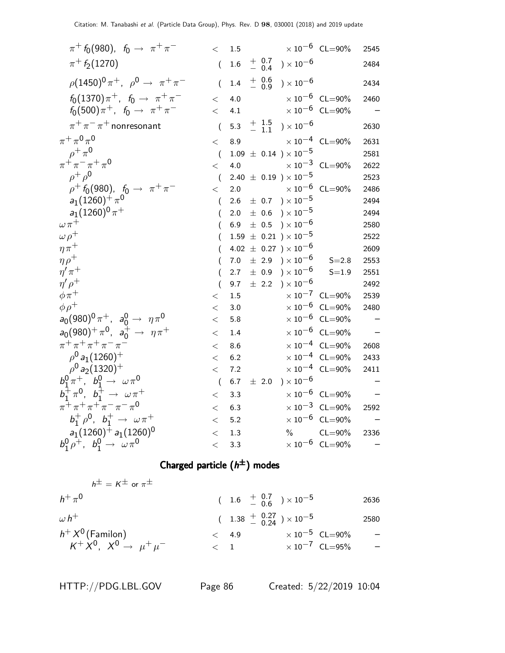| $\pi^+$ f <sub>0</sub> (980), f <sub>0</sub> $\to \pi^+ \pi^-$ | $\lt$            | $1.5\,$ |                  |                                       | $\times$ $10^{-6}$ $\,$ CL=90%   | 2545 |
|----------------------------------------------------------------|------------------|---------|------------------|---------------------------------------|----------------------------------|------|
| $\pi$ <sup>+</sup> $f_2$ (1270)                                | $\overline{(\ }$ | 1.6     | $+$ 0.7<br>- 0.4 | ) $\times$ 10 $^{-6}$                 |                                  | 2484 |
| $\rho (1450)^0 \pi^+$ , $\rho^0 \to \pi^+ \pi^-$               | $\overline{(}$   | 1.4     | $+ 0.6$<br>- 0.9 | ) $\times$ 10 $^{-6}$                 |                                  | 2434 |
| $f_0(1370)\pi^+$ , $f_0 \to \pi^+\pi^-$                        | $\lt$            | 4.0     |                  |                                       | $\times 10^{-6}$ CL=90%          | 2460 |
| $f_0(500)\pi^+$ , $f_0 \to \pi^+\pi^-$                         | $\lt$            | 4.1     |                  |                                       | $\times$ $10^{-6}$ $\,$ CL=90%   |      |
| $\pi^+\pi^-\pi^+$ nonresonant                                  | $\overline{(}$   | 5.3     | $+$ 1.5<br>- 1.1 | ) $\times$ 10 $^{-6}$                 |                                  | 2630 |
| $\pi^+\,\pi^0\,\pi^0$                                          | $\,<\,$          | 8.9     |                  |                                       | $\times 10^{-4}$ CL=90%          | 2631 |
| $\rho^+\pi^0$                                                  | $\overline{(}$   |         |                  | $1.09 \pm 0.14$ ) $\times 10^{-5}$    |                                  | 2581 |
| $\pi^{+}\pi^{-}\pi^{+}\pi^{0}$                                 | $\lt$            | 4.0     |                  |                                       | $\times 10^{-3}$ CL=90%          | 2622 |
| $\rho^+$ $\rho^0$                                              | $\overline{(\ }$ |         |                  | 2.40 $\pm$ 0.19 $) \times 10^{-5}$    |                                  | 2523 |
| $\rho^+ f_0(980)$ , $f_0 \to \pi^+ \pi^-$                      | $\,<\,$          | 2.0     |                  |                                       | $\times$ $10^{-6}$ $\,$ CL=90%   | 2486 |
| $a_1(1260)^{+}\pi^0$                                           | (                | 2.6     |                  | $\pm$ 0.7 ) $\times$ 10 <sup>-5</sup> |                                  | 2494 |
| $a_1(1260)^0 \pi^+$                                            | (                | 2.0     | ± 0.6            | ) $\times$ 10 $^{-5}$                 |                                  | 2494 |
| $\omega \pi^+$                                                 | (                | 6.9     | $\pm$ 0.5        | $) \times 10^{-6}$                    |                                  | 2580 |
| $\omega \rho^+$                                                |                  |         |                  | $1.59 \pm 0.21$ ) $\times 10^{-5}$    |                                  | 2522 |
| $\eta\pi^+$                                                    | (                |         |                  | 4.02 $\pm$ 0.27 $) \times 10^{-6}$    |                                  | 2609 |
| $\eta \rho^+$                                                  | (                | $7.0\,$ |                  | $\pm$ 2.9 ) $\times 10^{-6}$          | $S = 2.8$                        | 2553 |
| $\eta^{\prime}\pi^+$                                           |                  | 2.7     | $\pm$ 0.9        | $\chi 10^{-6}$                        | $S = 1.9$                        | 2551 |
| $\eta' \rho^+$                                                 | (                | 9.7     | $\pm$ 2.2        | $\chi 10^{-6}$                        |                                  | 2492 |
| $\phi \pi^+$                                                   | $\,<\,$          | 1.5     |                  | $\times$ 10 <sup>-7</sup>             | $CL = 90\%$                      | 2539 |
| $\phi \rho^+$                                                  | $\,<\,$          | 3.0     |                  | $\times$ $10^{-6}$                    | $CL = 90\%$                      | 2480 |
| $a_0(980)^0 \pi^+$ , $a_0^0 \rightarrow \eta \pi^0$            | $\,<\,$          | 5.8     |                  | $\times$ 10 $^{-6}$                   | $CL = 90\%$                      |      |
| $a_0(980)^+ \pi^0$ , $a_0^+ \rightarrow \eta \pi^+$            | $\,<\,$          | 1.4     |                  |                                       | $\times$ 10 <sup>-6</sup> CL=90% |      |
| $\pi^{+}\pi^{+}\pi^{+}\pi^{-}\pi^{-}$                          | $\,<\,$          | 8.6     |                  | $\times$ $10^{-4}$                    | $CL = 90\%$                      | 2608 |
| $\rho^0$ a <sub>1</sub> (1260) <sup>+</sup>                    | $\,<\,$          | 6.2     |                  | $\times$ $10^{-4}$                    | $CL = 90\%$                      | 2433 |
| $\rho^0$ a <sub>2</sub> (1320) <sup>+</sup>                    | $\lt$            | 7.2     |                  |                                       | $\times$ 10 <sup>-4</sup> CL=90% | 2411 |
| $b_1^0 \pi^+$ , $b_1^0 \to \omega \pi^0$                       | $\overline{(}$   | 6.7     | $\pm$ 2.0        | ) $\times$ 10 $^{-6}$                 |                                  |      |
| $b_1^+ \pi^0$ , $b_1^+ \to \omega \pi^+$                       | <                | 3.3     |                  |                                       | $\times$ 10 <sup>-6</sup> CL=90% |      |
| $\pi^+ \pi^+ \pi^+ \pi^- \pi^- \pi^0$                          | $\,<\,$          | 6.3     |                  |                                       | $\times$ 10 <sup>-3</sup> CL=90% | 2592 |
| $b_1^+ \rho^0$ , $b_1^+ \to \omega \pi^+$                      | $\,<\,$          | 5.2     |                  |                                       | $\times 10^{-6}$ CL=90%          |      |
| $a_1(1260)^+ a_1(1260)^0$                                      | $\,<\,$          | 1.3     |                  | $\%$                                  | $CL = 90\%$                      | 2336 |
| $b_1^0 \rho^+$ , $b_1^0 \to \omega \pi^0$                      | $\,<\,$          | 3.3     |                  |                                       | $\times 10^{-6}$ CL=90%          |      |

## Charged particle  $(h^{\pm})$  modes

$$
h^{\pm} = K^{\pm} \text{ or } \pi^{\pm}
$$
\n
$$
h^{\pm} \pi^{0}
$$
\n
$$
(1.6 + 0.7) \times 10^{-5}
$$
\n
$$
\omega h^{\pm}
$$
\n
$$
(1.38 + 0.27) \times 10^{-5}
$$
\n
$$
\omega h^{\pm}
$$
\n
$$
h^{\pm} X^{0} \text{ (Familon)}
$$
\n
$$
K^{\pm} X^{0}, X^{0} \to \mu^{\pm} \mu^{-}
$$
\n
$$
\omega h^{\pm}
$$
\n
$$
(1.38 + 0.27) \times 10^{-5}
$$
\n
$$
\omega 10^{-5} \text{ CL} = 90\% \text{ CL} = 90\% \text{ CL} = 90\% \text{ CL} = 90\% \text{ CL} = 95\% \text{ CL} = 95\% \text{ CL} = 95\% \text{ CL} = 95\% \text{ CL} = 95\% \text{ CL} = 95\% \text{ CL} = 95\% \text{ CL} = 95\% \text{ CL} = 95\% \text{ CL} = 95\% \text{ CL} = 95\% \text{ CL} = 95\% \text{ CL} = 95\% \text{ CL} = 95\% \text{ CL} = 95\% \text{ CL} = 95\% \text{ CL} = 95\% \text{ CL} = 95\% \text{ CL} = 95\% \text{ CL} = 95\% \text{ CL} = 95\% \text{ CL} = 95\% \text{ CL} = 95\% \text{ CL} = 95\% \text{ CL} = 95\% \text{ CL} = 95\% \text{ CL} = 95\% \text{ CL} = 95\% \text{ CL} = 95\% \text{ CL} = 95\% \text{ CL} = 95\% \text{ CL} = 95\% \text{ CL} = 95\% \text{ CL} = 95\% \text{ CL} = 95\% \text{ CL} = 95\% \text{ CL} = 95\% \text{ CL} = 95\% \text{ CL} = 95\% \text{ CL} = 95\% \text{ CL} = 95\% \text{ CL} = 95\% \text{ CL} = 95
$$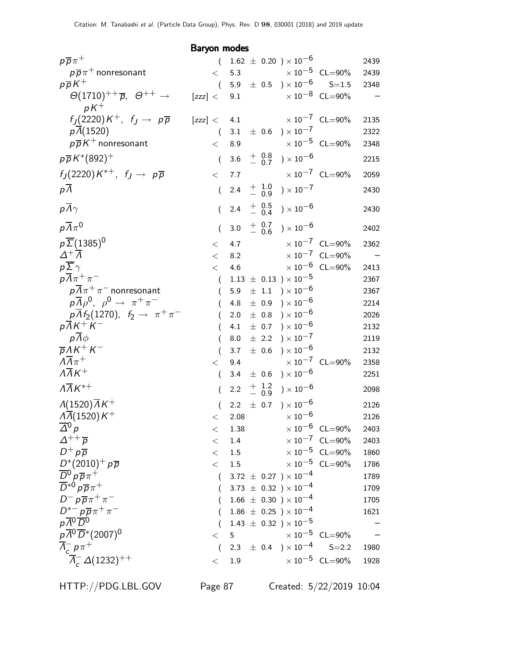Baryon modes

| $p\overline{p}\pi^+$                                             | $\left($         |         |                    | $1.62 \pm 0.20$ ) $\times 10^{-6}$                                               |                                  | 2439                     |
|------------------------------------------------------------------|------------------|---------|--------------------|----------------------------------------------------------------------------------|----------------------------------|--------------------------|
| $p\overline{p}\pi$ <sup>+</sup> nonresonant                      | $\lt$            | 5.3     |                    | $\times$ 10 $^{-5}$ CL=90%                                                       |                                  | 2439                     |
| $p\overline{p}K^+$                                               | $\left($         |         |                    | 5.9 $\pm$ 0.5 $\times 10^{-6}$                                                   | $S = 1.5$                        | 2348                     |
| $\Theta(1710)^{++}$ $\overline{p}$ , $\Theta^{++}$ $\rightarrow$ | [zzz] <          | 9.1     |                    |                                                                                  | $\times 10^{-8}$ CL=90%          |                          |
| $pK^+$                                                           |                  |         |                    |                                                                                  |                                  |                          |
| $f_J(2220)K^+$ , $f_J \rightarrow p\overline{p}$                 | [zzz] <          | 4.1     |                    |                                                                                  | $\times 10^{-7}$ CL=90%          | 2135                     |
| p(A(1520))                                                       | $\left($         | 3.1     |                    | $\pm$ 0.6 $\mathrm{)} \times 10^{-7}$                                            |                                  | 2322                     |
| $p\overline{p}K^+$ nonresonant                                   | $\,<\,$          | 8.9     |                    |                                                                                  | $\times 10^{-5}$ CL=90%          | 2348                     |
| $p\overline{p}K^{*}(892)^{+}$                                    | $\overline{(\ }$ | 3.6     | $+$ 0.8<br>$-$ 0.7 | ) $\times$ 10 $^{-6}$                                                            |                                  | 2215                     |
| $f_J(2220)K^{*+}$ , $f_J \rightarrow p\overline{p}$              | $\lt$            | 7.7     |                    |                                                                                  | $\times 10^{-7}$ CL=90%          | 2059                     |
| $p\Lambda$                                                       | $\left($         | 2.4     | $+ 1.0$<br>- 0.9   | ) $\times\,10^{-7}$                                                              |                                  | 2430                     |
| $p\overline{\Lambda}\gamma$                                      |                  | 2.4     | $+ 0.5 - 0.4$      | ) $\times$ 10 $^{-6}$                                                            |                                  | 2430                     |
| $p\overline{\Lambda}\pi^0$                                       | (                | 3.0     |                    | ${+\phantom{0}0.7\atop-\phantom{0}0.6\phantom{0}}0.7\phantom{0000}\times10^{-6}$ |                                  | 2402                     |
| $p\overline{\Sigma}$ (1385) <sup>0</sup>                         | $\lt$            | 4.7     |                    |                                                                                  | $\times 10^{-7}$ CL=90%          | 2362                     |
| $\Delta^+ \overline{\Lambda}$                                    | $\,<\,$          | 8.2     |                    |                                                                                  | $\times 10^{-7}$ CL=90%          | $\overline{\phantom{0}}$ |
| $p\overline{\Sigma}\gamma$                                       | $\,<$            | 4.6     |                    |                                                                                  | $\times\,10^{-6}$ CL=90%         | 2413                     |
| $p\overline{\Lambda}\pi^+\pi^-$                                  | $\left($         |         |                    | $1.13 \pm 0.13$ ) $\times 10^{-5}$                                               |                                  | 2367                     |
| $p\overline{\Lambda}\pi^+\pi^-$ nonresonant                      | €                | 5.9     |                    | $\pm$ 1.1 $\times$ 10 <sup>-6</sup>                                              |                                  | 2367                     |
| $p\overline{\Lambda}\rho^0$ , $\rho^0 \rightarrow \pi^+\pi^-$    |                  | 4.8     | $\pm$ 0.9          | $) \times 10^{-6}$                                                               |                                  | 2214                     |
| $p \Lambda f_2(1270)$ , $f_2 \to \pi^+ \pi^-$                    |                  | 2.0     | $\pm$ 0.8          | ) $\times$ 10 $^{-6}$                                                            |                                  | 2026                     |
| $p\overline{\Lambda}K^+K^-$                                      |                  | 4.1     | $\pm$ 0.7          | ) $\times 10^{-6}$                                                               |                                  | 2132                     |
| $p\bar{A}\phi$                                                   |                  | 8.0     | $\pm$ 2.2          | ) $\times$ $10^{-7}$                                                             |                                  | 2119                     |
| $\overline{p} \Lambda K^+ K^-$                                   | $\left($         | 3.7     |                    | $\pm$ 0.6 ) $\times$ 10 <sup>-6</sup>                                            |                                  | 2132                     |
| $\Lambda \overline{\Lambda} \pi^+$                               | $\lt$            | 9.4     |                    |                                                                                  | $\times 10^{-7}$ CL=90%          | 2358                     |
| $\overline{\Lambda\Lambda K^+}$                                  | $\left($         | 3.4     |                    | $\pm$ 0.6 $\mathrm{)}\times10^{-6}$                                              |                                  | 2251                     |
| $\Lambda \overline{\Lambda} K^{*+}$                              | $\left($         | 2.2     | $+$ 1.2<br>- 0.9   | ) $\times$ 10 $^{-6}$                                                            |                                  | 2098                     |
| $\Lambda(1520)\overline{\Lambda}K^+$                             | $\left($         | 2.2     |                    | $\pm$ 0.7 ) $\times$ 10 $^{-6}$                                                  |                                  | 2126                     |
| $\overline{\Lambda(1520)K^+}$                                    | $\,<\,$          | 2.08    |                    | $\times$ 10 <sup>-6</sup>                                                        |                                  | 2126                     |
| $\Delta^0 p$                                                     | $\,<\,$          | 1.38    |                    |                                                                                  | $\times$ 10 <sup>-6</sup> CL=90% | 2403                     |
| $\Delta^{++}$ $\overline{p}$                                     | $\,<\,$          | 1.4     |                    |                                                                                  | $\times$ 10 <sup>-7</sup> CL=90% | 2403                     |
| $D^+ p \overline{p}$                                             | $\lt$            | $1.5\,$ |                    |                                                                                  | $\times$ 10 <sup>-5</sup> CL=90% | 1860                     |
| $D^*(2010)^+ p\overline{p}$                                      | $\lt$            | $1.5\,$ |                    |                                                                                  | $\times$ 10 <sup>-5</sup> CL=90% | 1786                     |
| $\overline{D}{}^0$ $p\overline{p}\pi^+$                          |                  |         |                    | 3.72 $\pm$ 0.27 $) \times 10^{-4}$                                               |                                  | 1789                     |
| $\overline{D}^{*0}p\overline{p}\pi^+$                            |                  |         |                    | 3.73 $\pm$ 0.32 $) \times 10^{-4}$                                               |                                  | 1709                     |
| $D^- p \overline{p} \pi^+ \pi^-$                                 |                  |         |                    | $1.66 \pm 0.30$ ) $\times 10^{-4}$                                               |                                  | 1705                     |
| $D^{*-} p \overline{p} \pi^+ \pi^-$                              |                  |         |                    | $1.86 \pm 0.25$ ) × $10^{-4}$                                                    |                                  | 1621                     |
| $p\overline{A^0}\overline{D^0}$                                  |                  |         |                    | $1.43 \pm 0.32$ ) × $10^{-5}$                                                    |                                  |                          |
| $p\overline{A}^0\overline{D}$ *(2007) <sup>0</sup>               | $\,<\,$          | 5       |                    |                                                                                  | $\times 10^{-5}$ CL=90%          |                          |
| $\overline{\Lambda}_c^- p \pi^+$                                 | $\left($         |         |                    | 2.3 $\pm$ 0.4 $\mathrm{)}\times10^{-4}$                                          | $S = 2.2$                        | 1980                     |
| $\overline{\Lambda}_c^- \Delta(1232)^{++}$                       | $\lt$            | 1.9     |                    |                                                                                  | $\times$ 10 <sup>-5</sup> CL=90% | 1928                     |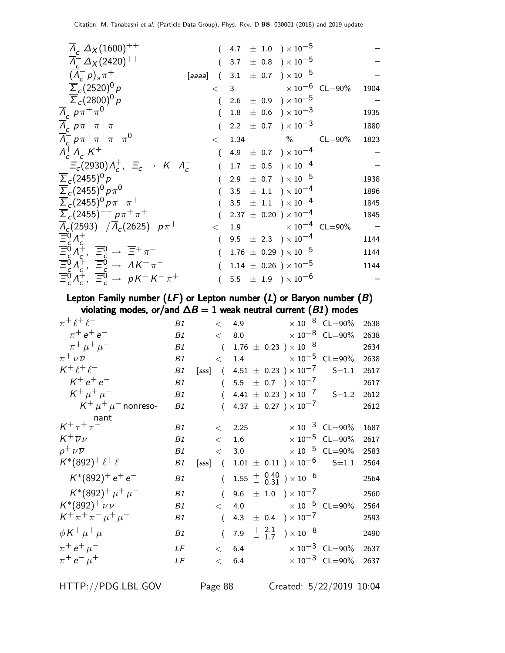| $\Lambda_c^- \Delta_X (1600)^{++}$                                                                                                                                                                                                                                           |       |  | $(4.7 \pm 1.0) \times 10^{-5}$          |             |      |
|------------------------------------------------------------------------------------------------------------------------------------------------------------------------------------------------------------------------------------------------------------------------------|-------|--|-----------------------------------------|-------------|------|
| $\Lambda_c^- \Delta_X (2420)^{++}$                                                                                                                                                                                                                                           |       |  | $(3.7 \pm 0.8) \times 10^{-5}$          |             |      |
| $(\Lambda_c^- p)_s \pi^+$                                                                                                                                                                                                                                                    |       |  | [aaaa] $(3.1 \pm 0.7) \times 10^{-5}$   |             |      |
| $\overline{\Sigma}_c(2520)^{0} p$                                                                                                                                                                                                                                            |       |  | $< 3$ $\times 10^{-6}$ CL=90%           |             | 1904 |
| $\overline{\Sigma}_c(2800)^0 p$                                                                                                                                                                                                                                              |       |  | $(2.6 \pm 0.9) \times 10^{-5}$          |             |      |
| $\Lambda_c^- p \pi^+ \pi^0$                                                                                                                                                                                                                                                  |       |  | $1.8 \pm 0.6$ ) $\times 10^{-3}$        |             | 1935 |
| $\overline{\Lambda}_c^- p \pi^+ \pi^+ \pi^-$                                                                                                                                                                                                                                 |       |  | $(2.2 \pm 0.7) \times 10^{-3}$          |             | 1880 |
| $\overline{\Lambda}_c^- p \pi^+ \pi^+ \pi^- \pi^0$                                                                                                                                                                                                                           | $\lt$ |  | 1.34 $\%$                               | $CL = 90\%$ | 1823 |
| $\Lambda^+_c \Lambda^-_c K^+$                                                                                                                                                                                                                                                |       |  | 4.9 $\pm$ 0.7 $) \times 10^{-4}$        |             |      |
| $\Xi_c(2930)\Lambda_c^+$ , $\Xi_c \to K^+\Lambda_c^-$                                                                                                                                                                                                                        |       |  | $1.7 \pm 0.5$ ) $\times 10^{-4}$        |             |      |
| $\overline{\Sigma}_c(2455)^{0} p$                                                                                                                                                                                                                                            |       |  | 2.9 $\pm$ 0.7 $)\times 10^{-5}$         |             | 1938 |
| $\overline{\Sigma}_c(2455)^0 p \pi^0$                                                                                                                                                                                                                                        |       |  | 3.5 $\pm$ 1.1 $) \times 10^{-4}$        |             | 1896 |
| $\overline{\Sigma}_c (2455)^0 p \pi^- \pi^+$                                                                                                                                                                                                                                 |       |  | 3.5 $\pm$ 1.1 $) \times 10^{-4}$        |             | 1845 |
| $\sum_{c} (2455)^{--} p \pi^+ \pi^+$                                                                                                                                                                                                                                         |       |  | $(2.37 \pm 0.20) \times 10^{-4}$        |             | 1845 |
| $\overline{\Lambda}_c(2593)^{-}/\overline{\Lambda}_c(2625)^{-} p \pi^{+}$                                                                                                                                                                                                    | $\lt$ |  | 1.9 $\times 10^{-4}$ CL=90%             |             |      |
|                                                                                                                                                                                                                                                                              |       |  | $(9.5 \pm 2.3) \times 10^{-4}$          |             | 1144 |
|                                                                                                                                                                                                                                                                              |       |  | $1.76 \pm 0.29$ ) × 10 <sup>-5</sup>    |             | 1144 |
|                                                                                                                                                                                                                                                                              |       |  | $1.14 \pm 0.26$ ) × $10^{-5}$           |             | 1144 |
| $\overline{\Xi_0^0} A_c^+$<br>$\overline{\Xi_0^0} A_c^+$ , $\overline{\Xi_0^0} \rightarrow \overline{\Xi^+} \pi^-$<br>$\overline{\Xi_0^0} A_c^+$ , $\overline{\Xi_0^0} \rightarrow AK^+ \pi^-$<br>$\overline{\Xi_0^0} A_c^+$ , $\overline{\Xi_0^0} \rightarrow pK^-K^-\pi^+$ |       |  | $5.5\ \pm\ 1.9\ \rangle \times 10^{-6}$ |             |      |
|                                                                                                                                                                                                                                                                              |       |  |                                         |             |      |

Lepton Family number  $(LF)$  or Lepton number  $(L)$  or Baryon number  $(B)$ violating modes, or/and  $\Delta B = 1$  weak neutral current ( $B1$ ) modes

| $\pi$ <sup>+</sup> $\ell$ <sup>+</sup> $\ell$ <sup>-</sup> | B1 |          | $\langle 4.9$  |                                                                           | $\times 10^{-8}$ CL=90%          | 2638 |
|------------------------------------------------------------|----|----------|----------------|---------------------------------------------------------------------------|----------------------------------|------|
| $\pi^+ e^+ e^-$                                            | B1 |          |                | $< 8.0 \times 10^{-8} \text{ CL} = 90\%$                                  |                                  | 2638 |
| $\pi^+ \mu^+ \mu^-$                                        | B1 |          |                | $(1.76 \pm 0.23) \times 10^{-8}$                                          |                                  | 2634 |
| $\pi^+ \nu \overline{\nu}$                                 | B1 | $\lt$    |                | 1.4 $\times 10^{-5}$ CL=90%                                               |                                  | 2638 |
| $K^+ \ell^+ \ell^-$                                        | B1 |          |                | [sss] $(4.51 \pm 0.23) \times 10^{-7}$                                    | $S = 1.1$                        | 2617 |
| $K^+e^+e^-$                                                | B1 |          |                | $(5.5 \pm 0.7) \times 10^{-7}$                                            |                                  | 2617 |
| $K^+ \mu^+ \mu^-$                                          | B1 |          |                | $(4.41 \pm 0.23) \times 10^{-7}$ S=1.2                                    |                                  | 2612 |
| $\mathsf{K}^+\mu^+\mu^-$ nonreso-                          | B1 |          |                | $(4.37 \pm 0.27) \times 10^{-7}$                                          |                                  | 2612 |
| nant                                                       |    |          |                |                                                                           |                                  |      |
| $K^+ \tau^+ \tau^-$                                        | B1 |          | $\langle$ 2.25 |                                                                           | $\times$ 10 <sup>-3</sup> CL=90% | 1687 |
| $K^+\overline{\nu}\nu$                                     | B1 | $\lt$    |                | 1.6 $\times 10^{-5}$ CL=90%                                               |                                  | 2617 |
| $\rho^+ \nu \overline{\nu}$                                | B1 | $\lt$    |                | 3.0 $\times 10^{-5}$ CL=90%                                               |                                  | 2583 |
| $K^*(892)^+ \ell^+ \ell^-$                                 | B1 |          |                | [sss] $(1.01 \pm 0.11) \times 10^{-6}$                                    | $S = 1.1$                        | 2564 |
| $K^*(892)^+ e^+ e^-$                                       | B1 | $\left($ |                | $1.55 \begin{array}{c} + & 0.40 \\ - & 0.31 \end{array}$ $\times 10^{-6}$ |                                  | 2564 |
| $K^*(892)^+ \mu^+ \mu^-$                                   | B1 |          |                | $(9.6 \pm 1.0) \times 10^{-7}$                                            |                                  | 2560 |
| $K^*(892)^+ \nu \overline{\nu}$                            | B1 | $\lt$    |                | 4.0 $\times 10^{-5}$ CL=90%                                               |                                  | 2564 |
| $K^+ \pi^+ \pi^- \mu^+ \mu^-$                              | B1 | $\left($ |                | 4.3 $\pm$ 0.4 $\sqrt{2}$ $\times 10^{-7}$                                 |                                  | 2593 |
| $\phi K^+ \mu^+ \mu^-$                                     | B1 | $\left($ |                | 7.9 $\frac{+}{-}$ $\frac{2.1}{1.7}$ $\times 10^{-8}$                      |                                  | 2490 |
| $\pi^+ e^+ \mu^-$                                          | LF |          | < 6.4          |                                                                           | $\times 10^{-3}$ CL=90%          | 2637 |
| $\pi^+ e^- \mu^+$                                          | LF |          | $<$ 6.4        |                                                                           | $\times 10^{-3}$ CL=90%          | 2637 |
|                                                            |    |          |                |                                                                           |                                  |      |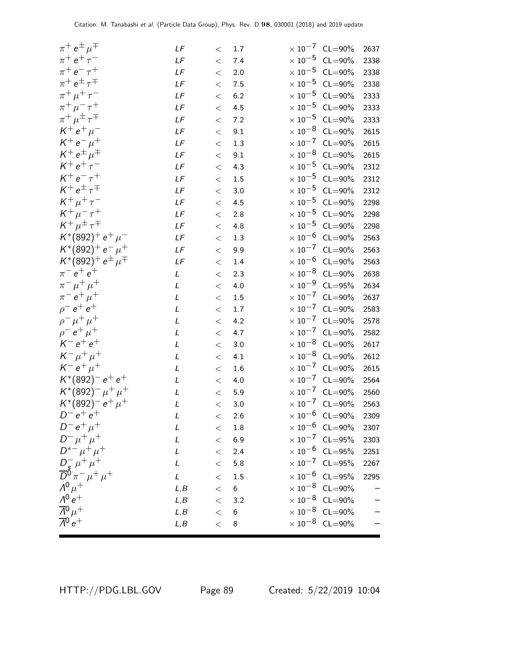| $\pi^+ e^{\pm} \mu^{\mp}$                                   | LF            | $<\,$ | 1.7             |                     | $\times 10^{-7}$ CL=90%          | 2637 |
|-------------------------------------------------------------|---------------|-------|-----------------|---------------------|----------------------------------|------|
| $\pi^{+} e^{+} \tau^{-}$                                    | LF            | $\,<$ | 7.4             | $\times\,10^{-5}$   | $CL = 90\%$                      | 2338 |
| $\pi^+$ e <sup>-</sup> $\tau^+$                             | LF            | $\,<$ | 2.0             |                     | $\times$ 10 <sup>-5</sup> CL=90% | 2338 |
| $\pi^+ e^{\pm} \tau^{\mp}$                                  | LF            | $<\,$ | 7.5             |                     | $\times$ 10 <sup>-5</sup> CL=90% | 2338 |
| $\pi^+\,\mu^+\,\tau^-$                                      | LF            | $<\,$ | 6.2             |                     | $\times$ 10 <sup>-5</sup> CL=90% | 2333 |
| $\pi^{+}\mu^{-}\tau^{+}$                                    | LF            | $<\,$ | 4.5             |                     | $\times$ 10 <sup>-5</sup> CL=90% | 2333 |
| $\pi^+ \mu^{\pm} \tau^{\mp}$                                | LF            | $<\,$ | 7.2             | $\times$ 10 $^{-5}$ | $CL = 90\%$                      | 2333 |
| $K^+ e^+ \mu^-$                                             | $L\digamma$   | $\,<$ | 9.1             | $\times$ 10 $^{-8}$ | $CL = 90\%$                      | 2615 |
| $K^+ e^- \mu^+$                                             | LF            | $<\,$ | 1.3             |                     | $\times$ 10 <sup>-7</sup> CL=90% | 2615 |
| $K^+ e^{\pm} \mu^{\mp}$                                     | LF            | $<\,$ | 9.1             |                     | $\times$ 10 <sup>-8</sup> CL=90% | 2615 |
| $K^+ e^+ \tau^-$                                            | LF            | $\,<$ | 4.3             |                     | $\times$ 10 <sup>-5</sup> CL=90% | 2312 |
| $K^{+}e^{-}\tau^{+}$                                        | LF            | $<\,$ | 1.5             | $\times$ 10 $^{-5}$ | $CL = 90\%$                      | 2312 |
| $K^+ e^{\pm} \tau^{\mp}$                                    | LF            | $\,<$ | 3.0             | $\times$ 10 $^{-5}$ | $CL = 90\%$                      | 2312 |
| $K^+ \mu^+ \tau^-$                                          | LF            | $<\,$ | 4.5             |                     | $\times$ $10^{-5}$ $\,$ CL=90%   | 2298 |
| $K^+\, \mu^-\, \tau^+$                                      | LF            | $\,<$ | 2.8             |                     | $\times$ 10 <sup>-5</sup> CL=90% | 2298 |
| $K^+\mu^{\pm}\tau^{\mp}$                                    | $L\digamma$   | $\,<$ | 4.8             |                     | $\times$ 10 <sup>-5</sup> CL=90% | 2298 |
| $K^*(892)^+ e^+ \mu^-$                                      | LF            | $<\,$ | 1.3             | $\times$ 10 $^{-6}$ | $CL = 90\%$                      | 2563 |
| $K^*(892)^+e^- \mu^+$                                       | LF            | $\,<$ | 9.9             | $\times$ 10 $^{-7}$ | $CL = 90\%$                      | 2563 |
| $K^*(892)^+ e^{\pm} \mu^{\mp}$                              | LF            | $<\,$ | 1.4             |                     | $\times$ 10 $^{-6}$ CL=90%       | 2563 |
| $\pi^-$ e <sup>+</sup> e <sup>+</sup>                       | L             | $<\,$ | 2.3             |                     | $\times$ 10 <sup>-8</sup> CL=90% | 2638 |
| $\pi^{-} \mu^{+} \mu^{+}$                                   | L             | $\,<$ | 4.0             |                     | $\times$ 10 <sup>-9</sup> CL=95% | 2634 |
| $\pi^- e^+ \mu^+$                                           | L             | $<\,$ | 1.5             | $\times$ 10 $^{-7}$ | $CL = 90\%$                      | 2637 |
| $\rho^- e^+ e^+$                                            | L             | $<\,$ | 1.7             | $\times$ 10 $^{-7}$ | $CL = 90\%$                      | 2583 |
| $\rho^- \mu^+ \mu^+$                                        | L             | $<\,$ | 4.2             |                     | $\times$ 10 <sup>-7</sup> CL=90% | 2578 |
| $e^+ \mu^+$<br>$\rho^-$                                     | L             | $<\,$ | 4.7             |                     | $\times$ 10 <sup>-7</sup> CL=90% | 2582 |
| $K^- e^+ e^+$                                               | L             | $\,<$ | 3.0             |                     | $\times$ 10 <sup>-8</sup> CL=90% | 2617 |
| $K^- \mu^+ \mu^+$                                           | L             | $<\,$ | 4.1             |                     | $\times$ 10 <sup>-8</sup> CL=90% | 2612 |
| $K^- e^+ \mu^+$                                             | L             | $<\,$ | 1.6             | $\times\,10^{-7}$   | $CL = 90\%$                      | 2615 |
| $K^*(892)^- e^+ e^+$                                        | L             | $<\,$ | 4.0             |                     | $\times 10^{-7}$ CL=90%          | 2564 |
| $K^*(892)^-\mu^+\mu^+$                                      | L             | $\,<$ | 5.9             |                     | $\times$ $10^{-7}$ $\,$ CL=90%   | 2560 |
| $K^*(892)^- e^+ \mu^+$                                      | L             | $\lt$ | 3.0             |                     | $\times 10^{-7}$ CL=90%          | 2563 |
| $D^- e^+ e^+$                                               | L             | $<\,$ | 2.6             |                     | $\times 10^{-6}$ CL=90%          | 2309 |
| $D^- e^+ \mu^+$                                             | L             | $\lt$ | $1.8\,$         |                     | $\times$ 10 <sup>-6</sup> CL=90% | 2307 |
| $D^{-} \mu^{+} \mu^{+}$                                     | L             | $\lt$ | 6.9             |                     | $\times 10^{-7}$ CL=95%          | 2303 |
| $D^{*-} \mu^+ \mu^+$                                        | L             | $\lt$ | 2.4             |                     | $\times 10^{-6}$ CL=95%          | 2251 |
|                                                             | L             | $\lt$ | 5.8             |                     | $\times 10^{-7}$ CL=95%          | 2267 |
| $\frac{D_s^-}{D^0} \mu^+ \mu^+ \over D^0 \pi^- \mu^+ \mu^+$ | $\mathcal{L}$ | $<\,$ | $1.5\,$         |                     | $\times$ 10 <sup>-6</sup> CL=95% | 2295 |
| $\Lambda^{0}$ $\mu^{+}$                                     | L, B          | $\lt$ | $6\phantom{.}6$ |                     | $\times 10^{-8}$ CL=90%          |      |
| $\Lambda^{0}e^{+}$                                          | L, B          | $\lt$ | 3.2             |                     | $\times$ 10 <sup>-8</sup> CL=90% |      |
| $\overline{\Lambda}{}^0\mu^+$                               | L, B          | $\lt$ | 6               |                     | $\times$ 10 <sup>-8</sup> CL=90% |      |
| $\overline{\Lambda}{}^0 e^+$                                | L, B          | $\lt$ | $\bf 8$         |                     | $\times$ 10 <sup>-8</sup> CL=90% |      |
|                                                             |               |       |                 |                     |                                  |      |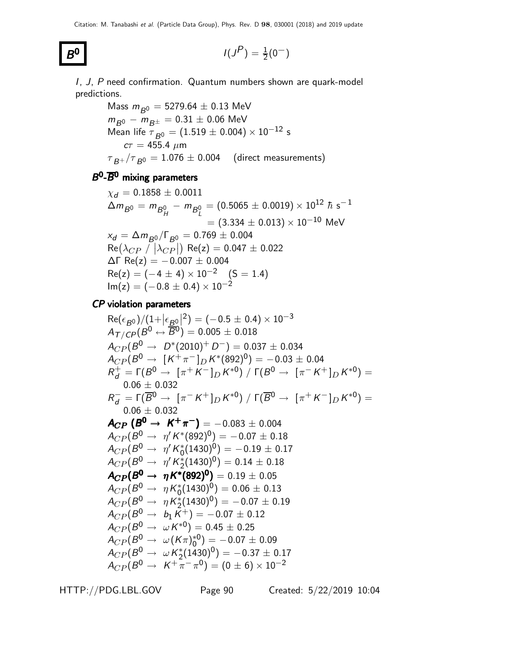$B<sup>0</sup>$ 

**0** 
$$
I(J^P) = \frac{1}{2}(0^-)
$$

I, J, P need confirmation. Quantum numbers shown are quark-model predictions.

> Mass  $m_{B^0} = 5279.64 \pm 0.13$  MeV  $m_{B^0}-m_{B^\pm}=0.31\pm0.06$  MeV Mean life  $\tau_{B^0} = (1.519 \pm 0.004) \times 10^{-12}$  s  $c\tau = 455.4 \; \mu m$  $\tau_{B+}/\tau_{B0} = 1.076 \pm 0.004$  (direct measurements)

## $B^0$ - $\overline{B}{}^0$  mixing parameters

$$
\chi_d = 0.1858 \pm 0.0011
$$
\n
$$
\Delta m_{B^0} = m_{B_H^0} - m_{B_L^0} = (0.5065 \pm 0.0019) \times 10^{12} \hbar s^{-1}
$$
\n
$$
= (3.334 \pm 0.013) \times 10^{-10} \text{ MeV}
$$
\n
$$
x_d = \Delta m_{B^0} / \Gamma_{B^0} = 0.769 \pm 0.004
$$
\n
$$
\text{Re}(\lambda_{CP} / |\lambda_{CP}|) \text{ Re}(z) = 0.047 \pm 0.022
$$
\n
$$
\Delta \Gamma \text{ Re}(z) = -0.007 \pm 0.004
$$
\n
$$
\text{Re}(z) = (-4 \pm 4) \times 10^{-2} \quad (\text{S} = 1.4)
$$
\n
$$
\text{Im}(z) = (-0.8 \pm 0.4) \times 10^{-2}
$$

CP violation parameters

$$
Re(\epsilon_{B0})/(1+|\epsilon_{B0}|^2) = (-0.5 \pm 0.4) \times 10^{-3}
$$
\n
$$
A_{T/CP}(B^0 \leftrightarrow \overline{B}^0) = 0.005 \pm 0.018
$$
\n
$$
A_{CP}(B^0 \to D^*(2010)^+ D^-) = 0.037 \pm 0.034
$$
\n
$$
A_{CP}(B^0 \to [K^+\pi^-]_D K^*(892)^0) = -0.03 \pm 0.04
$$
\n
$$
R_d^+ = \Gamma(B^0 \to [\pi^+ K^-]_D K^{*0}) / \Gamma(B^0 \to [\pi^- K^+]_D K^{*0}) =
$$
\n
$$
0.06 \pm 0.032
$$
\n
$$
R_d^- = \Gamma(\overline{B^0} \to [\pi^- K^+]_D K^{*0}) / \Gamma(\overline{B^0} \to [\pi^+ K^-]_D K^{*0}) =
$$
\n
$$
0.06 \pm 0.032
$$
\n
$$
A_{CP}(B^0 \to K^+\pi^-) = -0.083 \pm 0.004
$$
\n
$$
A_{CP}(B^0 \to \eta' K^*(892)^0) = -0.07 \pm 0.18
$$
\n
$$
A_{CP}(B^0 \to \eta' K^*(1430)^0) = -0.19 \pm 0.17
$$
\n
$$
A_{CP}(B^0 \to \eta' K^*(1430)^0) = 0.14 \pm 0.18
$$
\n
$$
A_{CP}(B^0 \to \eta K^*(892)^0) = 0.19 \pm 0.05
$$
\n
$$
A_{CP}(B^0 \to \eta K^*(1430)^0) = 0.06 \pm 0.13
$$
\n
$$
A_{CP}(B^0 \to \eta K^*(1430)^0) = -0.07 \pm 0.19
$$
\n
$$
A_{CP}(B^0 \to \eta K^*(1430)^0) = -0.07 \pm 0.19
$$
\n
$$
A_{CP}(B^0 \to \omega K^*(1430)^0) = -0.07 \pm 0.19
$$
\n
$$
A_{CP}(B^0 \
$$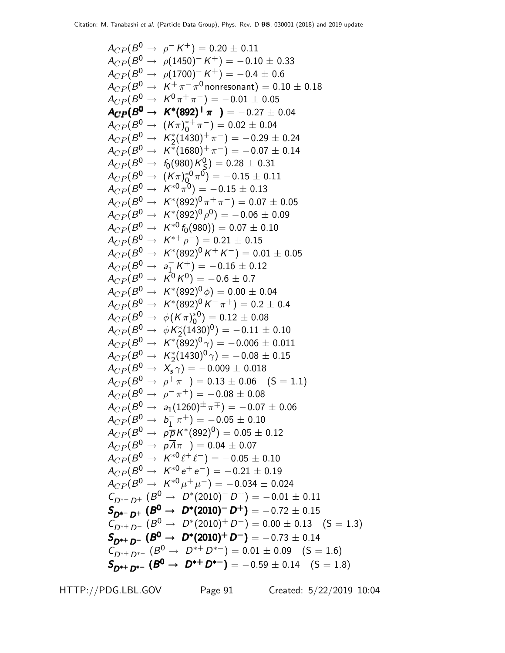$$
A_{CP}(B^{0} \rightarrow \rho K^{+}) = 0.20 \pm 0.11
$$
  
\n
$$
A_{CP}(B^{0} \rightarrow \rho(1450)^{-} K^{+}) = -0.10 \pm 0.33
$$
  
\n
$$
A_{CP}(B^{0} \rightarrow \rho(1700)^{-} K^{+}) = -0.4 \pm 0.6
$$
  
\n
$$
A_{CP}(B^{0} \rightarrow K^{+}\pi^{-}\pi^{-}) = -0.01 \pm 0.05
$$
  
\n
$$
A_{CP}(B^{0} \rightarrow K^{0} \pi^{+}\pi^{-}) = -0.02 \pm 0.04
$$
  
\n
$$
A_{CP}(B^{0} \rightarrow K^{*} (692)^{+}\pi^{-}) = -0.22 \pm 0.04
$$
  
\n
$$
A_{CP}(B^{0} \rightarrow K^{*}(1430)^{+}\pi^{-}) = -0.29 \pm 0.24
$$
  
\n
$$
A_{CP}(B^{0} \rightarrow K^{*}(1680)^{+}\pi^{-}) = -0.29 \pm 0.24
$$
  
\n
$$
A_{CP}(B^{0} \rightarrow K^{*}(1680)^{+}\pi^{-}) = -0.07 \pm 0.14
$$
  
\n
$$
A_{CP}(B^{0} \rightarrow K^{*}(982)^{0}\pi^{0}) = -0.15 \pm 0.11
$$
  
\n
$$
A_{CP}(B^{0} \rightarrow K^{*}(892)^{0}\pi^{0}) = -0.15 \pm 0.13
$$
  
\n
$$
A_{CP}(B^{0} \rightarrow K^{*}(892)^{0}\pi^{0}) = -0.05 \pm 0.07 \pm 0.05
$$
  
\n
$$
A_{CP}(B^{0} \rightarrow K^{*}(892)^{0}\pi^{0}) = -0.06 \pm 0.9
$$
  
\n
$$
A_{CP}(B^{0} \rightarrow K^{*}(892)^{0}\pi^{0}) = -0.06 \pm 0.04
$$
  
\n
$$
A_{CP}(B^{0} \rightarrow K^{*}(892)^{0}\pi^{0}) = 0.00 \pm 0.04
$$
  
\n
$$
A_{CP}(B^{0} \rightarrow K^{*}(892)^{0}\pi^{0
$$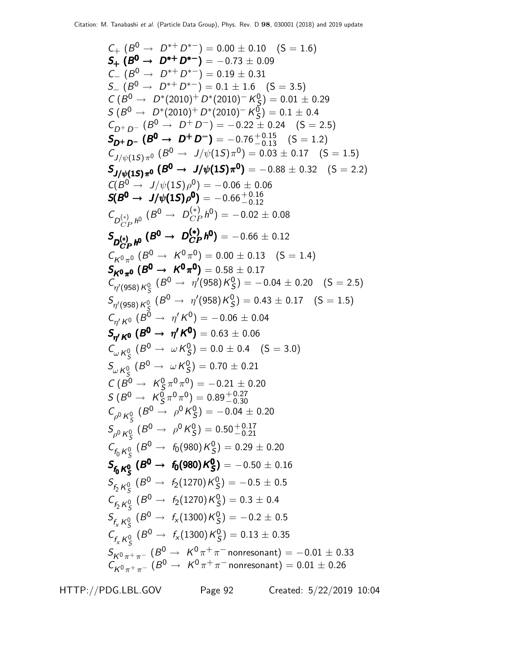$C_+$   $(B^0 \rightarrow D^{*+} D^{*-}) = 0.00 \pm 0.10$   $(S = 1.6)$  $S_+$  ( $B^0 \rightarrow D^{*+}D^{*-}$ ) = -0.73  $\pm$  0.09  $C_{-}$   $(B^{0} \rightarrow D^{*+} D^{*-}) = 0.19 \pm 0.31$  $S_{-} (B^{0} \rightarrow D^{*+} D^{*-}) = 0.1 \pm 1.6 \quad (S = 3.5)$  $C (B^0 \rightarrow D^*(2010)^+ D^*(2010)^- K^0_S)$  $S_{\rm S}^{0}$ ) = 0.01  $\pm$  0.29  $S\ (B^0\ \rightarrow\ D^*(2010)^+\ D^*(2010)^-\ K^0_S)$  $\binom{0}{5}$  = 0.1  $\pm$  0.4  $C_{D^+ D^-}$   $(B^0 \rightarrow D^+ D^-) = -0.22 \pm 0.24$   $(S = 2.5)$  $S_{D^+D^-}$  (B<sup>0</sup>  $\rightarrow$  D<sup>+</sup>D<sup>-</sup>) = -0.76<sup>+0.15</sup> (S = 1.2)  $\mathcal{C}_{J/\psi(1S)\pi^0}\ (B^0\to\ J/\psi(1S)\pi^0)=0.03\pm0.17\quad(\rm S=1.5)$  $S_{J/\psi(1S)\pi^0}$  ( $B^0 \to J/\psi(1S)\pi^0$ ) = -0.88  $\pm$  0.32 (S = 2.2)  $C(B^0 \to J/\psi(15))\rho^0$  = -0.06  $\pm$  0.06  $\textit{S}(B^0 \rightarrow \hspace{1mm}$   $\textit{J}/\psi(1S)\rho^0) = 0.66 {+0.16 \atop -0.12}$  $-0.12$  $C_{D_{CP}^{(*)}h^0}$   $(B^0 \rightarrow D_{CP}^{(*)}h^0) = -0.02 \pm 0.08$  $S_{D^{(*)}_{CP}h^0}$   $(B^0 \rightarrow D^{(*)}_{CP}h^0)$  $S_{D_{CP}^{(*)}\,h^0}$  ( $B^0\to D_{CP}^{(*)}\,h^0) = -0.66\pm0.12$  $C_{K^0\pi^0}$  ( $B^0 \rightarrow K^0\pi^0$ ) = 0.00 ± 0.13 (S = 1.4)  $S_{K^0\pi^0}$  ( $B^0 \to K^0\pi^0$ ) = 0.58  $\pm$  0.17  $C_{\eta'(958) K^0_S}^{\qquad \qquad \ \ \, \cdot}$  (B<sup>0</sup>  $\rightarrow \eta'(958) K^0_S$ S  $S(S) = -0.04 \pm 0.20$  (S = 2.5)  $\mathcal{S}_{\eta^\prime(958)\,K^0_\mathcal{S}}\,(B^0\to~\eta^\prime(958)\,K^0_\mathcal{S}$ S  $S(S) = 0.43 \pm 0.17$   $(S = 1.5)$  $C_{\eta' K^0}$   $(B^0 \rightarrow \eta' K^0) = -0.06 \pm 0.04$  $S_{\eta' K^0}$  ( $B^0 \to \eta' K^0$ ) = 0.63  $\pm$  0.06  $C_{\omega K^0_S}$   $(B^0 \rightarrow \omega K^0_S)$ S  $S^{(0)}_{\mathcal{S}}=0.0\pm0.4$   $(S=3.0)$  $S_{\omega\,K^0_S}$   $(B^0\to\ \omega\,K^0_S$ S  $S^{0}(S) = 0.70 \pm 0.21$  $C(B^0 \rightarrow K_S^0)$  $\left( \frac{0}{5} \pi^0 \pi^0 \right) = -0.21 \pm 0.20$  $S(B^0\rightarrow K^0_S)$  $\left( \frac{0}{S}\pi^{0}\pi^{0}\right) =0.89\substack{+0.27\-0.30}$  $-0.30$  $C_{\rho^0 K^0_S}$  (B<sup>0</sup>  $\rightarrow \rho^0 K^0_S$ S  $S^{0}$ ) =  $-0.04 \pm 0.20$  $S_{\rho^0 K^0_S}$   $(B^0 \to \rho^0 K^0_S)$ S  $S^{(0)}_5$ ) = 0.50 $^{+0.17}_{-0.21}$  $C_{f_0 K_S^0}$  (B<sup>0</sup>  $\rightarrow f_0(980) K_S^0$ S  $S^{0}(S) = 0.29 \pm 0.20$  $\mathsf{S}_{\mathsf{f}_0\mathsf{K}^0_\mathsf{S}}\left( B^0\to\ \mathsf{f}_0(980)\mathsf{K}^0_\mathsf{S}\right)$ S S S S  $S_{f_0K^0_S}$  ( $B^0 \rightarrow f_0(980)K^0_S$ ) =  $-0.50 \pm 0.16$  $\mathcal{S}_{\mathnormal{f}_2\,\mathnormal{K}^0_S}$   $(\mathnormal{B}^0\rightarrow \mathnormal{f}_2(1270)\mathnormal{K}^0_S)$ S  $\binom{0}{5}$  =  $-0.5 \pm 0.5$  $C_{f_2 K_S^0}$  ( $B^0 \to f_2(1270) K_S^0$ S  $_{\rm S}^{0}$ ) = 0.3  $\pm$  0.4  $\mathcal{S}_{f_\chi K^0_S}$   $(B^0\to\ f_\chi(1300)K^0_S$ S  $S^{0}$ ) =  $-0.2 \pm 0.5$  $C_{f_x K_S^0}$  ( $B^0 \to f_x(1300) K_S^0$ S  $S^{0}(S) = 0.13 \pm 0.35$  $S_{K^0 \pi^+ \pi^-}$   $(B^0 \rightarrow K^0 \pi^+ \pi^-$ nonresonant) =  $-0.01 \pm 0.33$  $C_{K^0 \pi^+ \pi^-}$   $(B^0 \to K^0 \pi^+ \pi^-$  nonresonant) =  $0.01 \pm 0.26$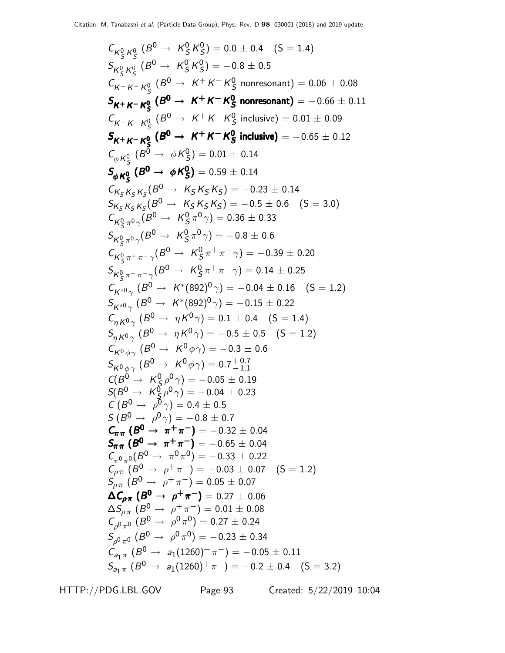$$
C_{K_{S}^{0} K_{S}^{0}} (B^{0} \rightarrow K_{S}^{0} K_{S}^{0}) = 0.0 \pm 0.4 \quad (5 = 1.4)
$$
\n
$$
S_{K_{S}^{0} K_{S}^{0}} (B^{0} \rightarrow K_{S}^{0} K_{S}^{0}) = -0.8 \pm 0.5
$$
\n
$$
C_{K^{+} K^{-} K_{S}^{0}} (B^{0} \rightarrow K^{+} K^{-} K_{S}^{0} \text{ nonresonant}) = 0.06 \pm 0.08
$$
\n
$$
S_{K^{+} K^{-} K_{S}^{0}} (B^{0} \rightarrow K^{+} K^{-} K_{S}^{0} \text{ nonresonant}) = -0.66 \pm 0.11
$$
\n
$$
C_{K^{+} K^{-} K_{S}^{0}} (B^{0} \rightarrow K^{+} K^{-} K_{S}^{0} \text{ inclusive}) = 0.01 \pm 0.09
$$
\n
$$
S_{K^{+} K^{-} K_{S}^{0}} (B^{0} \rightarrow K^{+} K^{-} K_{S}^{0} \text{ inclusive}) = -0.65 \pm 0.12
$$
\n
$$
C_{\phi K_{S}^{0}} (B^{0} \rightarrow \phi K_{S}^{0}) = 0.01 \pm 0.14
$$
\n
$$
S_{K_{S}^{0} K_{S}^{0}} (B^{0} \rightarrow K_{S}^{0} K_{S}^{0}) = 0.5 \pm 0.14
$$
\n
$$
S_{K_{S}^{0} K_{S}^{0}} (B^{0} \rightarrow K_{S}^{0} K_{S}^{0}) = -0.23 \pm 0.14
$$
\n
$$
S_{K_{S}^{0} K_{S}^{0}} (B^{0} \rightarrow K_{S}^{0} K_{S}^{0}) = -0.36 \pm 0.5
$$
\n
$$
K_{S}^{0} \rightarrow \gamma (B^{0} \rightarrow K_{S}^{0} \pi^{0} \gamma) = -0.36 \pm 0.6
$$
\n
$$
C_{K_{S}^{0} \pi^{+} \gamma^{-}} (B^{0} \rightarrow K_{S}^{0} \pi^{0} \gamma) = -0.39 \pm 0.20
$$
\n
$$
S_{K_{S}^{0} \pi^{+} \gamma^{-}} (B^{0
$$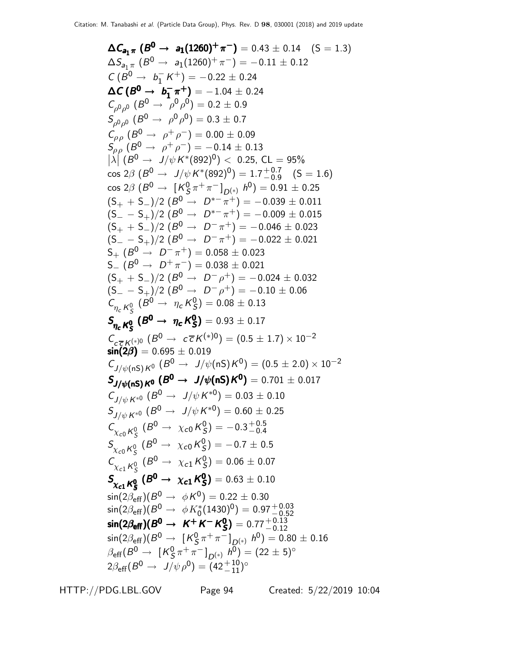ΔC<sub>aj</sub> **F** (B<sup>0</sup> → a<sub>1</sub>(1260)<sup>+</sup>π<sup>-</sup>) = 0.43 ± 0.14 (S = 1.3)  
\nΔS<sub>ajπ</sub> (B<sup>0</sup> → a<sub>1</sub>(1260)<sup>+</sup>π<sup>-</sup>) = -0.11 ± 0.12  
\nC (B<sup>0</sup> → b<sub>1</sub> K<sup>+</sup>) = -0.22 ± 0.24  
\nΔC (B<sup>0</sup> → b<sub>1</sub> K<sup>+</sup>) = -1.04 ± 0.24  
\nC<sub>ρρρ</sub> (β<sup>0</sup> → ρ<sub>ρ</sub>ρ<sup>0</sup>) = 0.2 ± 0.9  
\nS<sub>ρρρ</sub> (β<sup>0</sup> → ρ<sub>ρ</sub>ρ<sup>0</sup>) = 0.3 ± 0.7  
\nC<sub>ρρ</sub> (β<sup>0</sup> → ρ<sub>ρ</sub>ρ<sup>0</sup>) = 0.0 ± 0.09  
\nS<sub>ρρ</sub> (β<sup>0</sup> → ρ<sub>ρ</sub>ρ<sup>0</sup>) = 0.01 ± 0.13  
\n|λ | (B<sup>0</sup> → ψ<sub>γ</sub>μ<sup>0</sup> + β<sup>-</sup>) = -0.14 ± 0.13  
\n|λ | (B<sup>0</sup> → ψ<sub>γ</sub>μ<sub>κ</sub> + (892)<sup>0</sup>) 
$$
0.25
$$
, CL = 95%  
\ncos 2β (B<sup>0</sup> → ρ<sub>γ</sub>μ<sub>κ</sub> + (892)<sup>0</sup>) = 1.7<sup>-0.7</sup><sub>-0.7</sub><sup>-0</sup><sub>0</sub><sup>-0.625</sup>  
\n(S<sub>+</sub> + S<sub>−</sub>)/2 (B<sup>0</sup> → D<sup>-π</sup> +) = -0.039 ± 0.011  
\n(S<sub>-</sub> - S<sub>+</sub>)/2 (B<sup>0</sup> → D<sup>-π</sup> +) = -0.038 ± 0.011  
\n(S<sub>-</sub> + S<sub>-</sub>)/2 (B<sup>0</sup> → D<sup>-π</sup>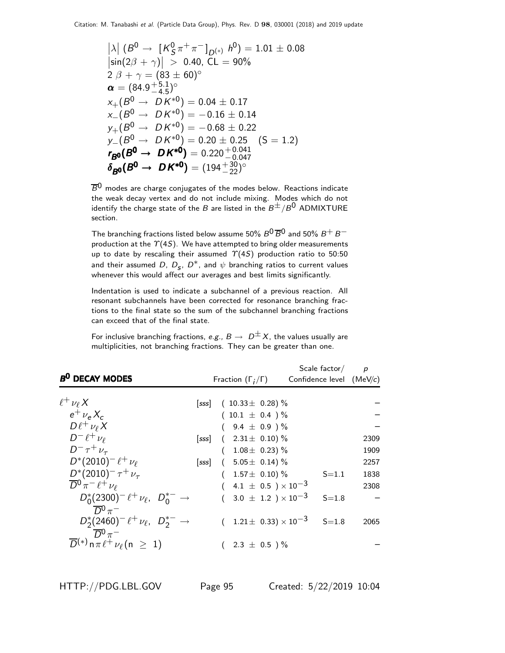$$
|\lambda| (B^0 \to [K_S^0 \pi^+ \pi^-]_{D^{(*)}} h^0) = 1.01 \pm 0.08
$$
  
\n
$$
|\sin(2\beta + \gamma)| > 0.40, CL = 90\%
$$
  
\n
$$
2 \beta + \gamma = (83 \pm 60)^\circ
$$
  
\n
$$
\alpha = (84.9^{+5.1}_{-4.5})^\circ
$$
  
\n
$$
\times_{+} (B^0 \to D K^{*0}) = 0.04 \pm 0.17
$$
  
\n
$$
\times_{-} (B^0 \to D K^{*0}) = -0.16 \pm 0.14
$$
  
\n
$$
y_+(B^0 \to D K^{*0}) = -0.68 \pm 0.22
$$
  
\n
$$
y_-(B^0 \to D K^{*0}) = 0.20 \pm 0.25 \quad (S = 1.2)
$$
  
\n
$$
r_{B0}(B^0 \to D K^{*0}) = 0.220^{+0.041}_{-0.047}
$$
  
\n
$$
\delta_{B0}(B^0 \to D K^{*0}) = (194^{+30}_{-22})^\circ
$$

 $\overline{B}^0$  modes are charge conjugates of the modes below. Reactions indicate the weak decay vertex and do not include mixing. Modes which do not identify the charge state of the B are listed in the  $B^{\pm}/B^0$  ADMIXTURE section.

The branching fractions listed below assume 50%  $B^0\overline{B}{}^0$  and 50%  $B^+$   $B^$ production at the  $\Upsilon(4S)$ . We have attempted to bring older measurements up to date by rescaling their assumed  $\Upsilon(4S)$  production ratio to 50:50 and their assumed  $D,~D_{\bm{s}},~D^*$ , and  $\psi$  branching ratios to current values whenever this would affect our averages and best limits significantly.

Indentation is used to indicate a subchannel of a previous reaction. All resonant subchannels have been corrected for resonance branching fractions to the final state so the sum of the subchannel branching fractions can exceed that of the final state.

For inclusive branching fractions, e.g.,  $B \to D^{\pm}X$ , the values usually are multiplicities, not branching fractions. They can be greater than one.

|                                                                                      |                              |                                         | Scale factor $/p$          |      |
|--------------------------------------------------------------------------------------|------------------------------|-----------------------------------------|----------------------------|------|
| B <sup>0</sup> DECAY MODES                                                           | Fraction $(\Gamma_i/\Gamma)$ |                                         | Confidence level $(MeV/c)$ |      |
| $\ell^+ \nu_\ell X$                                                                  |                              | [sss] $(10.33 \pm 0.28)$ %              |                            |      |
| $e^{\mu} \nu_e X_c$                                                                  |                              | $(10.1 \pm 0.4)$ %                      |                            |      |
| $D\ell^+\nu_\ell X$                                                                  |                              | $(9.4 \pm 0.9)$ %                       |                            |      |
| $D^-\ell^+\nu_\ell$                                                                  | [sss]                        | $(2.31 \pm 0.10)\%$                     |                            | 2309 |
| $D^{-} \tau^{+} \nu_{\tau}$                                                          |                              | $1.08 \pm 0.23$ ) %                     |                            | 1909 |
| $D^*(2010)^- \ell^+ \nu_\ell$                                                        | [sss]                        | $(5.05 \pm 0.14)\%$                     |                            | 2257 |
| $D^{*}(2010)^{-} \tau^{+} \nu_{\tau}$                                                |                              | $1.57\pm 0.10$ ) %                      | $S = 1.1$                  | 1838 |
| $\overline{D}{}^0 \pi^- \ell^+ \nu_\ell$                                             |                              | 4.1 $\pm$ 0.5 $\times$ 10 <sup>-3</sup> |                            | 2308 |
| $D_0^*(2300)^- \ell^+ \nu_{\ell}$ , $D_0^{*-} \rightarrow$<br>$\overline{D}^0 \pi^-$ |                              | $(3.0 \pm 1.2) \times 10^{-3}$          | $S = 1.8$                  |      |
| $D_2^*(2460)^- \ell^+ \nu_\ell$ , $D_2^{*-} \rightarrow$<br>$\overline{D}{}^0 \pi^-$ |                              | $1.21 \pm 0.33 \times 10^{-3}$ S=1.8    |                            | 2065 |
| $\overline{D}^{(*)}$ n $\pi \ell^+ \nu_\ell$ (n $\geq 1$ )                           |                              | $2.3 \pm 0.5$ )%                        |                            |      |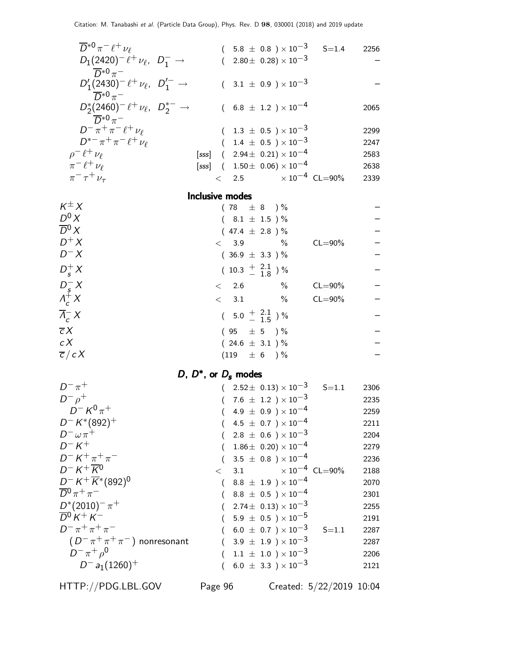| $\overline{D}^{*0}\pi^{-}\ell^{+}\nu_{\ell}$                    |                 |                                       |      |                                                                    | $(5.8 \pm 0.8) \times 10^{-3}$ S=1.4 | 2256         |
|-----------------------------------------------------------------|-----------------|---------------------------------------|------|--------------------------------------------------------------------|--------------------------------------|--------------|
| $D_1(2420)^{-} \ell^+ \nu_{\ell}$ , $D_1^{-} \rightarrow$       |                 |                                       |      | $(2.80 \pm 0.28) \times 10^{-3}$                                   |                                      |              |
| $\overline{D}^{*0} \pi^-$                                       |                 |                                       |      |                                                                    |                                      |              |
| $D'_1(2430)^- \ell^+ \nu_\ell, \ \ D'_1^{\prime -} \rightarrow$ |                 |                                       |      | $(3.1 \pm 0.9) \times 10^{-3}$                                     |                                      |              |
| $\overline{D}^{*0}\pi^-$                                        |                 |                                       |      |                                                                    |                                      |              |
| $D_2^*(2460)^- \ell^+ \nu_\ell$ , $D_2^{*-} \rightarrow$        |                 |                                       |      | $(6.8 \pm 1.2) \times 10^{-4}$                                     |                                      | 2065         |
| $\overline{D}^{*0}\pi^-$                                        |                 |                                       |      |                                                                    |                                      |              |
| $D^{-} \pi^{+} \pi^{-} \ell^{+} \nu_{\ell}$                     |                 |                                       |      | $(1.3 \pm 0.5) \times 10^{-3}$                                     |                                      | 2299         |
| $D^{*-}\pi^+\pi^- \ell^+\nu_{\ell}$                             |                 |                                       |      | $(1.4 \pm 0.5) \times 10^{-3}$                                     |                                      | 2247         |
| $\rho^- \ell^+ \nu_\ell$                                        |                 |                                       |      | [sss] $(2.94 \pm 0.21) \times 10^{-4}$                             |                                      | 2583         |
| $\pi^{-} \ell^{+} \nu_{\ell}$                                   |                 |                                       |      | [sss] $(1.50 \pm 0.06) \times 10^{-4}$                             |                                      | 2638         |
| $\pi^{-} \tau^{+} \nu_{\tau}$                                   |                 |                                       |      |                                                                    | $<$ 2.5 $\times 10^{-4}$ CL=90%      | 2339         |
|                                                                 | Inclusive modes |                                       |      |                                                                    |                                      |              |
| $K^{\pm} X$                                                     |                 | $(78 \pm 8)$ %                        |      |                                                                    |                                      |              |
| $D^0 X$                                                         |                 | $(8.1 \pm 1.5)$ %                     |      |                                                                    |                                      |              |
| $\overline{D}{}^0 X$                                            |                 | $(47.4 \pm 2.8) \%$                   |      |                                                                    |                                      |              |
| $D^+X$                                                          |                 | $< 3.9$ %                             |      |                                                                    | $CL = 90\%$                          |              |
| $D^- X$                                                         |                 | $(36.9 \pm 3.3)$ %                    |      |                                                                    |                                      |              |
| $D_{\rm s}^{+}X$                                                |                 | $(10.3 \frac{+}{-} 2.1_{-} 8)$ %      |      |                                                                    |                                      |              |
|                                                                 | < 2.6           |                                       | $\%$ |                                                                    | $CL = 90\%$                          |              |
| $\begin{array}{c}D_s^- X\\ \Lambda_c^+ X\end{array}$            | < 3.1           |                                       | $\%$ |                                                                    | $CL = 90\%$                          |              |
| $\overline{\Lambda}_{c}^{-} X$                                  |                 | $(5.0 \frac{+}{-} \frac{2.1}{1.5})$ % |      |                                                                    |                                      |              |
| $\overline{c}X$                                                 |                 | $(95 \pm 5) \%$                       |      |                                                                    |                                      |              |
| c X                                                             |                 | $(24.6 \pm 3.1) \%$                   |      |                                                                    |                                      |              |
| $\overline{c}/cX$                                               |                 | $(119 + 6)$ %                         |      |                                                                    |                                      |              |
|                                                                 |                 |                                       |      |                                                                    |                                      |              |
| D, $D^*$ , or $D_s$ modes<br>$D^{-} \pi^{+}$                    |                 |                                       |      |                                                                    |                                      |              |
| $D^ \rho^+$                                                     |                 |                                       |      | $(2.52 \pm 0.13) \times 10^{-3}$<br>$(7.6 \pm 1.2) \times 10^{-3}$ | $S = 1.1$                            | 2306         |
| D <sup>-</sup> K $^0$ $\pi^+$                                   |                 |                                       |      | $(4.9 \pm 0.9) \times 10^{-4}$                                     |                                      | 2235<br>2259 |
| $D^- K^*(892)^+$                                                |                 |                                       |      | 4.5 $\pm$ 0.7 ) $\times$ 10 <sup>-4</sup>                          |                                      | 2211         |
| $D^- \omega \pi^+$                                              |                 |                                       |      | $2.8 \pm 0.6$ ) $\times 10^{-3}$                                   |                                      | 2204         |
| $D-K^+$                                                         |                 |                                       |      | $1.86 \pm 0.20 \times 10^{-4}$                                     |                                      | 2279         |
| $D^- K^+ \pi^+ \pi^-$                                           |                 |                                       |      | $3.5 \pm 0.8$ ) × $10^{-4}$                                        |                                      | 2236         |
| $D^- K^+ \overline{K}{}^0$                                      | $\lt$           | 3.1                                   |      |                                                                    | $\times 10^{-4}$ CL=90%              | 2188         |
| $D^- K^+ \overline{K}^*(892)^0$                                 |                 |                                       |      | $8.8 \pm 1.9$ $\times 10^{-4}$                                     |                                      | 2070         |
| $\overline{D}{}^0 \pi^+ \pi^-$                                  |                 |                                       |      | $8.8 \pm 0.5$ ) $\times 10^{-4}$                                   |                                      | 2301         |
| $D^*(2010)^- \pi^+$                                             |                 |                                       |      | $2.74\pm 0.13 \times 10^{-3}$                                      |                                      | 2255         |
| $\overline{D}^0 K^+ K^-$                                        |                 |                                       |      | $5.9 \pm 0.5$ ) $\times 10^{-5}$                                   |                                      | 2191         |
| $D^{-} \pi^{+} \pi^{+} \pi^{-}$                                 |                 |                                       |      | $6.0 \pm 0.7$ ) $\times 10^{-3}$                                   | $S = 1.1$                            | 2287         |
| $(D^{-}\pi^{+}\pi^{+}\pi^{-})$ nonresonant                      |                 |                                       |      | $3.9 \pm 1.9$ ) $\times 10^{-3}$                                   |                                      | 2287         |
| $D^{-} \pi^{+} \rho^{0}$                                        |                 |                                       |      | $1.1 \pm 1.0$ $) \times 10^{-3}$                                   |                                      | 2206         |
| $D^-$ a <sub>1</sub> (1260) <sup>+</sup>                        |                 |                                       |      | $6.0 \pm 3.3$ ) $\times 10^{-3}$                                   |                                      | 2121         |
|                                                                 |                 |                                       |      |                                                                    |                                      |              |

HTTP://PDG.LBL.GOV Page 96 Created: 5/22/2019 10:04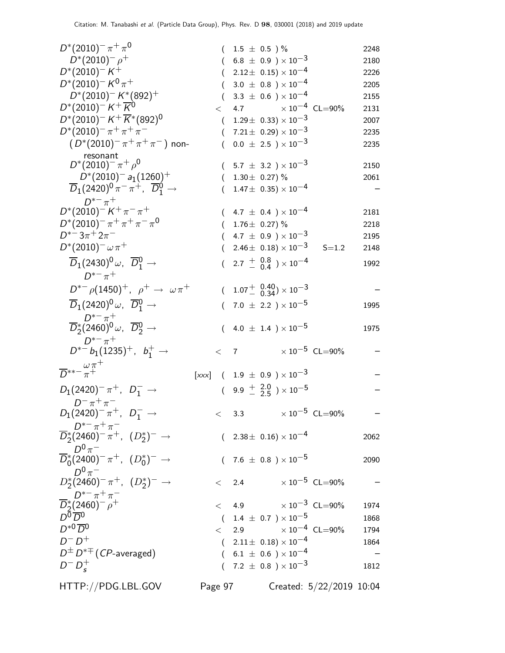| $D^{*}(2010)^{-} \pi^{+} \pi^{0}$                                                         |          |         | $(1.5 \pm 0.5) \%$                                               |                             | 2248 |
|-------------------------------------------------------------------------------------------|----------|---------|------------------------------------------------------------------|-----------------------------|------|
| $D^*(2010)^ \rho^+$                                                                       |          |         | $(6.8 \pm 0.9) \times 10^{-3}$                                   |                             | 2180 |
| $D^*(2010)^{-}K^+$                                                                        |          |         | $(2.12 \pm 0.15) \times 10^{-4}$                                 |                             | 2226 |
| $D^*(2010)^- K^0 \pi^+$                                                                   |          |         | $(3.0 \pm 0.8) \times 10^{-4}$                                   |                             | 2205 |
| $D^*(2010)^- K^*(892)^+$                                                                  |          |         | $(3.3 \pm 0.6) \times 10^{-4}$                                   |                             | 2155 |
| $D^*(2010)^{-} K^+ \overline{K}{}^{0}$                                                    |          |         | $< 4.7 \times 10^{-4} \text{ CL} = 90\%$                         |                             | 2131 |
| $D^*(2010)^- K^+ \overline{K}{}^*(892)^0$                                                 |          |         | $(1.29 \pm 0.33) \times 10^{-3}$                                 |                             | 2007 |
| $D^*(2010)^- \pi^+ \pi^+ \pi^-$                                                           |          |         | $(7.21 \pm 0.29) \times 10^{-3}$                                 |                             | 2235 |
| $(D^*(2010)^{-} \pi^{+} \pi^{+} \pi^{-})$ non-                                            |          |         | $0.0 \pm 2.5$ ) $\times 10^{-3}$                                 |                             | 2235 |
| resonant<br>$D^*(2010)^{-} \pi^{+} \rho^0$                                                |          |         |                                                                  |                             |      |
| $D^*(2010)^-$ a <sub>1</sub> (1260) <sup>+</sup>                                          |          |         | $(5.7 \pm 3.2) \times 10^{-3}$<br>$(1.30 \pm 0.27)\%$            |                             | 2150 |
| $\overline{D}_1(2420)^0 \pi^- \pi^+$ , $\overline{D}_1^0 \rightarrow$                     |          |         | $1.47\pm\ 0.35) \times 10^{-4}$                                  |                             | 2061 |
| $D^{*-} \pi^+$                                                                            |          |         |                                                                  |                             |      |
| $D^*(2010)^- K^+\pi^-\pi^+$                                                               |          |         | $(4.7 \pm 0.4) \times 10^{-4}$                                   |                             | 2181 |
| $D^*(2010)^-\pi^+\pi^+\pi^-\pi^0$                                                         |          |         | $(1.76 \pm 0.27)\%$                                              |                             | 2218 |
| $D^{*-}3\pi^+2\pi^-$                                                                      |          |         | $(4.7 \pm 0.9) \times 10^{-3}$                                   |                             | 2195 |
| $D^{*}(2010)^{-} \omega \pi^{+}$                                                          |          |         | $(2.46\pm 0.18)\times 10^{-3}$                                   | $S = 1.2$                   | 2148 |
| $\overline{D}_1(2430)^0 \omega$ , $\overline{D}{}^0_1 \rightarrow$                        |          |         |                                                                  |                             |      |
| $D^{*-} \pi^+$                                                                            |          |         | $(2.7 + \begin{array}{c} 0.8 \\ 0.4 \end{array}) \times 10^{-4}$ |                             | 1992 |
| $D^{*-} \rho (1450)^+$ , $\rho^+ \to \omega \pi^+$                                        |          |         | $(1.07 \frac{+}{0.34}) \times 10^{-3}$                           |                             |      |
| $\overline{D}_1(2420)^0 \omega$ , $\overline{D}_1^0 \rightarrow$                          | $\left($ |         | $7.0~\pm~2.2~)\times10^{-5}$                                     |                             | 1995 |
| $D^{*-} \pi^+$<br>$\overline{D}_2^*(2460)^0 \omega$ , $\overline{D}_2^0 \rightarrow$      |          |         | $(4.0 \pm 1.4) \times 10^{-5}$                                   |                             | 1975 |
| $D^{*-}\pi^+$                                                                             |          |         |                                                                  | $\times$ 10 $^{-5}$ CL=90%  |      |
| $D^{*-}b_1(1235)^+$ , $b_1^+ \rightarrow$                                                 | $<$ 7    |         |                                                                  |                             |      |
| $\overline{D}^{**-\frac{\omega\pi^+}{\pi^+}}$                                             |          |         | $[xxx]$ ( 1.9 $\pm$ 0.9 ) $\times$ 10 <sup>-3</sup>              |                             |      |
| $D_1(2420)^{-} \pi^{+}$ , $D_1^{-} \rightarrow$                                           |          |         | $(9.9 \frac{+}{2} \frac{2.0}{2.5}) \times 10^{-5}$               |                             |      |
|                                                                                           |          |         |                                                                  |                             |      |
| $D^{-} \pi^{+} \pi^{-}$<br>$D_1(2420)^{-} \pi^{+}$ , $D_1^{-} \to$                        |          | $<$ 3.3 |                                                                  | $\times$ $10^{-5}\,$ CL=90% |      |
| $\frac{D^{\ast -} \pi^+ \pi^-}{D_2^{\ast} (2460)^{-} \pi^+ , (D_2^{\ast})^-} \rightarrow$ |          |         | $(2.38 \pm 0.16) \times 10^{-4}$                                 |                             |      |
| $D^0\pi^-$                                                                                |          |         |                                                                  |                             | 2062 |
| $\overline{D}_0^*(2400)^- \pi^+, (D_0^*)^- \to$                                           |          |         | $(7.6 \pm 0.8) \times 10^{-5}$                                   |                             | 2090 |
| $D^0\pi^-$                                                                                |          |         |                                                                  |                             |      |
| $D_2^*(2460)^-\pi^+$ , $(D_2^*)^- \to$                                                    |          |         | $<$ 2.4 $\times 10^{-5}$ CL=90%                                  |                             |      |
| $D^{*-}\pi^+\pi^-$<br>$\overline{D}_2^*(2460)^ \rho^+$                                    |          |         | $< 4.9 \times 10^{-3} \text{ CL} = 90\%$                         |                             |      |
| $D^{\overline{0}}\overline{D}{}^{\overline{0}}$                                           |          |         |                                                                  |                             | 1974 |
| $D^{*0}\overline{D}^0$                                                                    |          |         | $(1.4 \pm 0.7) \times 10^{-5}$                                   |                             | 1868 |
|                                                                                           |          |         | $<$ 2.9 $\times 10^{-4}$ CL=90%                                  |                             | 1794 |
| $D^-D^+$                                                                                  |          |         | $(2.11 \pm 0.18) \times 10^{-4}$                                 |                             | 1864 |
| $D^{\pm} D^{*\mp}$ ( <i>CP</i> -averaged)                                                 |          |         | $(6.1 \pm 0.6) \times 10^{-4}$                                   |                             |      |
| $D^{-} D_{s}^{+}$                                                                         |          |         | $(7.2 \pm 0.8) \times 10^{-3}$                                   |                             | 1812 |
| HTTP://PDG.LBL.GOV                                                                        | Page 97  |         |                                                                  | Created: 5/22/2019 10:04    |      |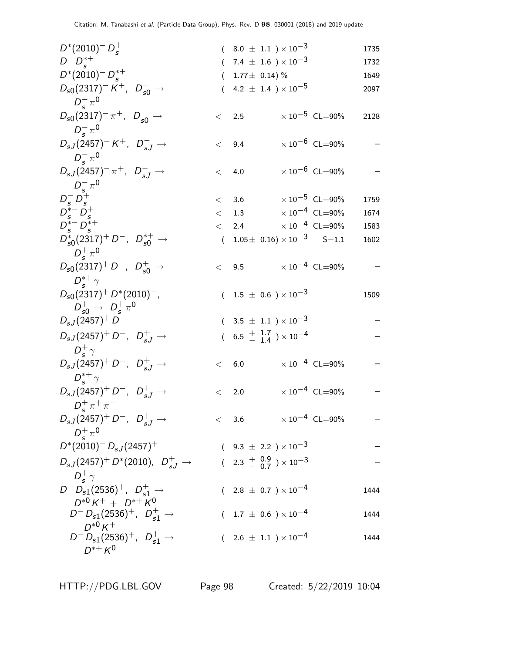| $D^*(2010)^{-} D_{\rm s}^{+}$                                                        |           | $(8.0 \pm 1.1) \times 10^{-3}$                     |                                  | 1735 |
|--------------------------------------------------------------------------------------|-----------|----------------------------------------------------|----------------------------------|------|
| $D^{-} D_{s}^{*+}$                                                                   |           | $(7.4 \pm 1.6) \times 10^{-3}$                     |                                  | 1732 |
| $D^*(2010)^- D_{\rm c}^{*+}$                                                         | (         | $1.77 \pm 0.14$ ) %                                |                                  | 1649 |
| $D_{s0}(2317)^{-}K^{+}$ , $D_{s0}^{-} \rightarrow$<br>$D_{\rm s}^{-} \pi^{0}$        |           | $(4.2 \pm 1.4) \times 10^{-5}$                     |                                  | 2097 |
| $D_{s0}(2317)^{-} \pi^{+}$ , $D_{s0}^{-} \rightarrow$<br>$D_{\rm s}^{-} \pi^{0}$     | $\lt$ 2.5 |                                                    | $\times 10^{-5}$ CL=90%          | 2128 |
| $D_{sJ}(2457)^{-}K^{+}$ , $D_{sJ}^{-} \rightarrow$<br>$D_{\rm s}^{-} \pi^{0}$        | < 9.4     |                                                    | $\times 10^{-6}$ CL=90%          |      |
| $D_{sJ}(2457)^{-} \pi^{+}$ , $D_{sJ}^{-} \to$                                        | $\lt$     | 4.0                                                | $\times$ 10 $^{-6}$ CL=90%       |      |
| $D_s^- \pi^0$<br>$D_s^- \bar{D_s^+}$<br>$D_s^* - D_s^+$                              |           | < 3.6                                              | $\times$ 10 $^{-5}$ CL=90%       | 1759 |
|                                                                                      |           | $<$ 1.3 $\times 10^{-4}$ CL=90%                    |                                  | 1674 |
| $D_{s}^{*-}D_{s}^{*+}$                                                               |           | $<$ 2.4 $\times 10^{-4}$ CL=90%                    |                                  | 1583 |
| $D_{s0}^*(2317)^+ D^-$ , $D_{s0}^{*+} \rightarrow$<br>$D_{\rm c}^{+} \pi^{0}$        |           | $(1.05 \pm 0.16) \times 10^{-3}$ S=1.1             |                                  | 1602 |
| $D_{s0}(2317)^+ D^-$ , $D_{s0}^+ \rightarrow$<br>$D_{\epsilon}^{*+}\gamma$           |           | < 9.5                                              | $\times$ 10 $^{-4}~$ CL $=$ 90%  |      |
| $D_{s0}(2317)^{+} D^{*}(2010)^{-}$ ,<br>$D_{\rm c0}^+ \rightarrow D_{\rm s}^+ \pi^0$ |           | $(1.5 \pm 0.6) \times 10^{-3}$                     |                                  | 1509 |
| $D_{sJ}(2457)^+D^-$                                                                  |           | $(3.5 \pm 1.1) \times 10^{-3}$                     |                                  |      |
| $D_{sJ}(2457)^+ D^-$ , $D_{sJ}^+ \to$<br>$D_{\epsilon}^{+}\gamma$                    |           | $(6.5 \frac{+}{-} \frac{1.7}{1.4}) \times 10^{-4}$ |                                  |      |
| $D_{sJ}(2457)^+ D^-$ , $D_{sJ}^+ \rightarrow$<br>$D_{\rm c}^{*+}\gamma$              | < 6.0     |                                                    | $\times$ 10 <sup>-4</sup> CL=90% |      |
| $D_{sJ}(2457)^+ D^-$ , $D_{sJ}^+ \rightarrow$<br>$D_{\rm c}^{+}\pi^{+}\pi^{-}$       | $\lt$     | 2.0                                                | $\times$ 10 <sup>-4</sup> CL=90% |      |
| $D_{sJ}(2457)^+ D^-$ , $D_{sJ}^+ \rightarrow$                                        |           | $< 3.6 \times 10^{-4} \text{ CL} = 90\%$           |                                  |      |
| $D_{\epsilon}^{+} \pi^{0}$<br>$D^*(2010)^{-} D_{s,J}(2457)^{+}$                      |           | $(9.3 \pm 2.2) \times 10^{-3}$                     |                                  |      |
| $D_{s,J}(2457)^+ D^*(2010)$ , $D_{s,J}^+$ $\rightarrow$                              |           | $(2.3 \frac{+}{0.9}) \times 10^{-3}$               |                                  |      |
| $D^+_{\sigma}$                                                                       |           |                                                    |                                  |      |
| $D^{-} D_{s1}(2536)^{+}$ , $D_{s1}^{+} \rightarrow$<br>$D^{*0} K^+ + D^{*+} K^0$     |           | $(2.8 \pm 0.7) \times 10^{-4}$                     |                                  | 1444 |
| $D^{-} D_{s1}(2536)^{+}$ , $D_{s1}^{+} \rightarrow$                                  |           | $(1.7 \pm 0.6) \times 10^{-4}$                     |                                  | 1444 |
| $D^{*0} K^+$<br>$D^{-} D_{s1}(2536)^{+}$ , $D_{s1}^{+} \rightarrow$<br>$D^{*+} K^0$  |           | $(2.6 \pm 1.1) \times 10^{-4}$                     |                                  | 1444 |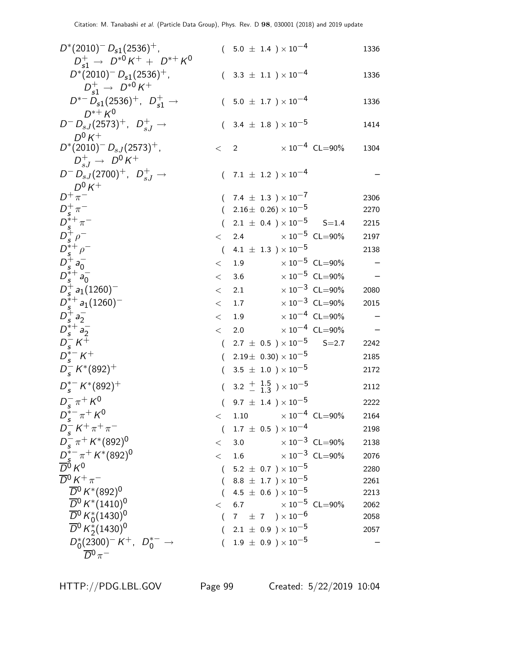| $D^*(2010)^{-} D_{s1}(2536)^{+}$ ,                                 |         | $(5.0 \pm 1.4) \times 10^{-4}$                     |                         | 1336 |
|--------------------------------------------------------------------|---------|----------------------------------------------------|-------------------------|------|
| $D_{c1}^+$ $\rightarrow$ $D^{*0}K^+ + D^{*+}K^0$                   |         |                                                    |                         |      |
| $D^*(2010)^{-} D_{s1}(2536)^{+}$ ,<br>$D_{c1}^+ \to D^{*0} K^+$    |         | $(3.3 \pm 1.1) \times 10^{-4}$                     |                         | 1336 |
| $D^{*-}D_{s1}(2536)^+$ , $D_{s1}^+$ $\rightarrow$                  |         | $(5.0 \pm 1.7) \times 10^{-4}$                     |                         | 1336 |
| $D^{*+} K^0$                                                       |         |                                                    |                         |      |
| $D^{-} D_{sJ}(2573)^{+}$ , $D_{sJ}^{+} \rightarrow$<br>$D^0 K^+$   |         | $(3.4 \pm 1.8) \times 10^{-5}$                     |                         | 1414 |
| $D^*(2010)^{-} D_{sJ}(2573)^{+}$ ,                                 | $\lt$ 2 |                                                    | $\times 10^{-4}$ CL=90% | 1304 |
| $D_{s,I}^{+} \to D^{0}K^{+}$                                       |         |                                                    |                         |      |
| $D^- D_{sJ}(2700)^+$ , $D_{sJ}^+$ $\rightarrow$                    |         | $(7.1 \pm 1.2) \times 10^{-4}$                     |                         |      |
| $D^0 K^+$                                                          |         |                                                    |                         |      |
| $D^+\pi^-$                                                         |         | $(7.4 \pm 1.3) \times 10^{-7}$                     |                         | 2306 |
| $D_s^+\pi^-$                                                       |         | $(2.16\pm 0.26)\times 10^{-5}$                     |                         | 2270 |
|                                                                    |         | $(2.1 \pm 0.4) \times 10^{-5}$ S=1.4               |                         | 2215 |
|                                                                    |         | $<$ 2.4 $\times 10^{-5}$ CL=90%                    |                         | 2197 |
| $D_{s}^{*+}\pi^{-}$<br>$D_{s}^{+}\rho^{-}$<br>$D_{s}^{*+}\rho^{-}$ |         | $(4.1 \pm 1.3) \times 10^{-5}$                     |                         | 2138 |
| $D_{s}^{+}a_{0}^{-}$<br>$D_{s}^{*+}a_{0}^{-}$                      |         | $<$ 1.9 $\times 10^{-5}$ CL=90%                    |                         |      |
|                                                                    |         | $<$ 3.6 $\times 10^{-5}$ CL=90%                    |                         |      |
| $D_s^+ a_1(1260)^-$                                                | $\lt$   | 2.1 $\times 10^{-3}$ CL=90%                        |                         | 2080 |
| $D_s^{*+} a_1(1260)^-$                                             |         |                                                    | $\times 10^{-3}$ CL=90% | 2015 |
|                                                                    |         | < 1.9                                              | $\times 10^{-4}$ CL=90% |      |
| $D_s^+ a_2^-$<br>$D_s^{*+} a_2^-$                                  |         | < 2.0                                              | $\times 10^{-4}$ CL=90% |      |
| $D_s^- K^+$                                                        |         | $(2.7 \pm 0.5) \times 10^{-5}$                     | $S = 2.7$               | 2242 |
| $D_{s}^{*-} K^{+}$                                                 |         | $(2.19\pm 0.30)\times 10^{-5}$                     |                         | 2185 |
| $D_{\rm c}^- K^*(892)^+$                                           |         | $(3.5 \pm 1.0) \times 10^{-5}$                     |                         | 2172 |
| $D_{s}^{*-} K^{*}(892)^{+}$                                        |         | $(3.2 \frac{+}{-} \frac{1.5}{1.3}) \times 10^{-5}$ |                         | 2112 |
|                                                                    |         |                                                    |                         |      |
| $D_{s}^{-} \pi^{+} K^{0}$                                          |         | $(9.7 \pm 1.4) \times 10^{-5}$                     |                         | 2222 |
| $D_{s}^{*-} \pi^{+} K^{0}$                                         | $\,<\,$ | 1.10                                               | $\times 10^{-4}$ CL=90% | 2164 |
| $D_{s}^{-} K^{+} \pi^{+} \pi^{-}$                                  |         | $(1.7 \pm 0.5) \times 10^{-4}$                     |                         | 2198 |
| $D_{s}^{-} \pi^{+} K^{*}(892)^{0}$                                 | $\lt$   | $\times$ 10 $^{-3}$ CL=90%<br>3.0                  |                         | 2138 |
| $\frac{D_5^{\ast -} \pi^+}{D_0^6 K^0} K^{\ast} (892)^0$            |         | $<$ 1.6 $\times 10^{-3}$ CL=90%                    |                         | 2076 |
|                                                                    |         | $(5.2 \pm 0.7) \times 10^{-5}$                     |                         | 2280 |
| $\overline{D}^0 K^+\pi^-$                                          |         | $(8.8 \pm 1.7) \times 10^{-5}$                     |                         | 2261 |
| $\overline{D}{}^0 K^*(892)^0$                                      |         | $(4.5 \pm 0.6) \times 10^{-5}$                     |                         | 2213 |
| $\overline{D}{}^0 K^*(1410)^0$                                     |         | $< 6.7$ $\times 10^{-5}$ CL=90%                    |                         | 2062 |
| $\overline{D}{}^0 K_0^*(1430)^0$                                   |         | $(7 \pm 7) \times 10^{-6}$                         |                         | 2058 |
| $\overline{D}{}^0 K_2^*(1430)^0$                                   |         | $(2.1 \pm 0.9) \times 10^{-5}$                     |                         | 2057 |
| $D_0^*(2300)^- K^+$ , $D_0^{*-} \to$                               |         | $(1.9 \pm 0.9) \times 10^{-5}$                     |                         |      |
| $\overline{D}{}^0\pi^-$                                            |         |                                                    |                         |      |

HTTP://PDG.LBL.GOV Page 99 Created: 5/22/2019 10:04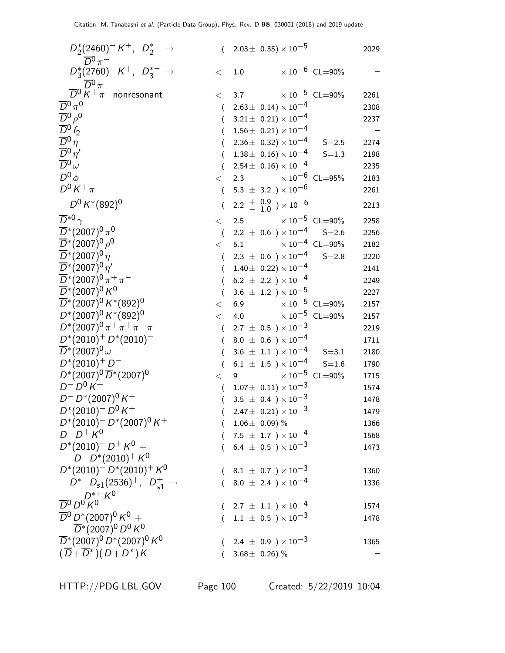| $D_{2}^{*}(2460)^{-}K^{+}$ , $D_{2}^{*-} \rightarrow$<br>$\overline{D}{}^0 \pi^-$ |          | $(2.03 \pm 0.35) \times 10^{-5}$                                       |                                | 2029 |
|-----------------------------------------------------------------------------------|----------|------------------------------------------------------------------------|--------------------------------|------|
| $D_3^*(2760)^- K^+$ , $D_3^{*-} \rightarrow$                                      | $\,<\,$  | 1.0                                                                    | $\times 10^{-6}$ CL=90%        |      |
| $\overline{D}^0 \overline{N}^0 \pi^-$ nonresonant                                 |          |                                                                        |                                |      |
| $\overline{D}{}^0\pi^0$                                                           | $\lt$    | 3.7 $\times 10^{-5}$ CL=90%                                            |                                | 2261 |
| $\overline{D}{}^0\rho^0$                                                          | $\left($ | $2.63 \pm 0.14 \times 10^{-4}$                                         |                                | 2308 |
| $\overline{D}{}^0f_2$                                                             | €        | $3.21 \pm 0.21 \times 10^{-4}$                                         |                                | 2237 |
| $\overline{D}{}^0\eta$                                                            | $\left($ | $1.56\pm~0.21)\times10^{-4}$                                           |                                |      |
| $\overline{D}{}^0\eta'$                                                           |          | $2.36\pm 0.32 \times 10^{-4}$                                          | $S = 2.5$                      | 2274 |
| $\overline{D}{}^0\omega$                                                          | $\left($ | $1.38\pm 0.16 \times 10^{-4}$                                          | $S = 1.3$                      | 2198 |
|                                                                                   | $\left($ | $2.54 \pm 0.16 \times 10^{-4}$                                         |                                | 2235 |
| $D^0\phi$                                                                         | $\lt$    | 2.3 $\times 10^{-6}$ CL=95%                                            |                                | 2183 |
| $D^{0} K^{+} \pi^{-}$                                                             | $\left($ | 5.3 $\pm$ 3.2 $) \times 10^{-6}$                                       |                                | 2261 |
| $D^0 K^*(892)^0$                                                                  |          | $2.2 \begin{array}{c} + & 0.9 \\ - & 1.0 \end{array}$ $\times 10^{-6}$ |                                | 2213 |
| $\overline{D}^{*0}$ $\gamma$                                                      | $\lt$    | $\times$ 10 <sup>-5</sup> CL=90%<br>2.5                                |                                | 2258 |
| $\overline{D}^*(2007)^0 \pi^0$                                                    | $\left($ | 2.2 $\pm$ 0.6 $\times$ 10 $^{-4}$                                      | $S = 2.6$                      | 2256 |
| $\overline{D}^*(2007)^0 \rho^0$                                                   | $\lt$    | 5.1                                                                    | $\times$ $10^{-4}$ $\,$ CL=90% | 2182 |
| $\overline{D}^*(2007)^0 \eta$                                                     | $\left($ | $2.3 \pm 0.6$ ) $\times 10^{-4}$                                       | $S = 2.8$                      | 2220 |
| $\overline{D}^*(2007)^0 \eta'$                                                    | $\left($ | $1.40 \pm 0.22 \times 10^{-4}$                                         |                                | 2141 |
| $\overline{D}^*(2007)^0 \pi^+ \pi^-$                                              |          | 6.2 $\pm$ 2.2 ) $\times$ 10 <sup>-4</sup>                              |                                | 2249 |
| $\overline{D}^*(2007)^0 K^0$                                                      | $\left($ | 3.6 $\pm$ 1.2 $) \times 10^{-5}$                                       |                                | 2227 |
| $\overline{D}^*(2007)^0 K^*(892)^0$                                               | $\lt$    | 6.9 $\times 10^{-5}$ CL=90%                                            |                                | 2157 |
| $D^*(2007)^0 K^*(892)^0$                                                          | $\lt$    | 4.0                                                                    | $\times$ $10^{-5}\,$ CL=90%    | 2157 |
| $D^*(2007)^0 \pi^+ \pi^+ \pi^- \pi^-$                                             | $\left($ | $2.7 \pm 0.5$ ) $\times 10^{-3}$                                       |                                | 2219 |
| $D^*(2010)^+ D^*(2010)^-$                                                         |          | $8.0 \pm 0.6$ ) $\times 10^{-4}$                                       |                                | 1711 |
| $\overline{D}^*(2007)^0\,\omega$                                                  |          | $3.6 \pm 1.1$ ) $\times 10^{-4}$                                       | $S = 3.1$                      | 2180 |
| $D^*(2010)^+D^-$                                                                  | $\left($ | $6.1~\pm~1.5~$ ) $\times\,10^{-4}$                                     | $S = 1.6$                      | 1790 |
| $D^*(2007)^0 \overline{D}^*(2007)^0$                                              | $\lt$    | 9                                                                      | $\times 10^{-5}$ CL=90%        | 1715 |
| $D^{-} D^{0} K^{+}$                                                               | $\left($ | $1.07\pm\ 0.11)\times 10^{-3}$                                         |                                | 1574 |
| $D^- D^*(2007)^0 K^+$                                                             | $\left($ | 3.5 $\pm$ 0.4 $) \times 10^{-3}$                                       |                                | 1478 |
| $D^*(2010)^- D^0 K^+$                                                             |          | $(2.47 \pm 0.21) \times 10^{-3}$                                       |                                | 1479 |
| $D^*(2010)^- D^*(2007)^0 K^+$                                                     |          | $1.06 \pm 0.09$ ) %                                                    |                                | 1366 |
| $D^{-} D^{+} K^{0}$                                                               |          | $7.5~\pm~1.7~$ ) $\times\,10^{-4}$                                     |                                | 1568 |
| $D^*(2010)^{-} D^{+} K^0 +$                                                       |          | $6.4~\pm~0.5~$ $)\times10^{-3}$                                        |                                | 1473 |
| $D^- D^*(2010)^+ K^0$                                                             |          |                                                                        |                                |      |
| $D^*(2010)^- D^*(2010)^+ K^0$                                                     |          | 8.1 $\pm$ 0.7 $\times$ 10 $^{-3}$                                      |                                | 1360 |
| $D^{*-}D_{s1}(2536)^+$ , $D_{s1}^+ \rightarrow$                                   |          | 8.0 $\pm$ 2.4 ) $\times$ $10^{-4}$                                     |                                | 1336 |
| $D^{\ast +}$ K <sup>0</sup>                                                       |          |                                                                        |                                |      |
| $\overline{D}{}^0 D^0 K^0$                                                        |          | $(2.7 \pm 1.1) \times 10^{-4}$                                         |                                | 1574 |
| $\overline{D}{}^0 D^* (2007)^0 K^0 +$                                             |          | $1.1~\pm~0.5~$ ) $\times\,10^{-3}$                                     |                                | 1478 |
| $\overline{D}^*(2007)^0 D^0 K^0$                                                  |          |                                                                        |                                |      |
| $\overline{D}^*(2007)^0 D^*(2007)^0 K^0$                                          |          | 2.4 $\pm$ 0.9 $) \times 10^{-3}$                                       |                                | 1365 |
| $(D+D^*)(D+D^*)K$                                                                 |          | 3.68 $\pm$ 0.26) %                                                     |                                |      |
|                                                                                   |          |                                                                        |                                |      |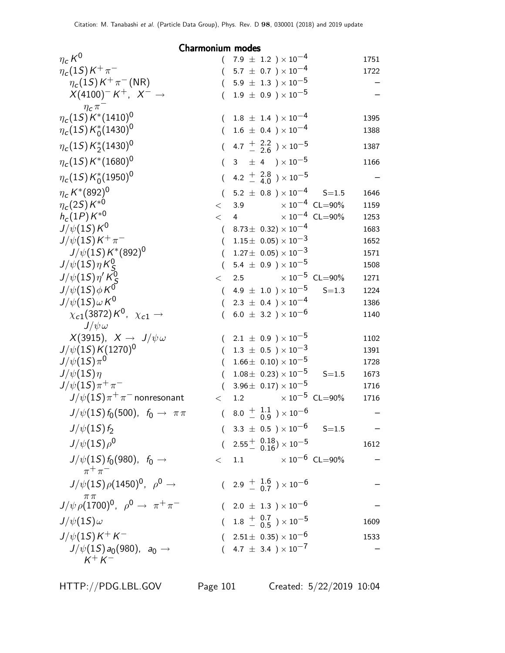Charmonium modes

| $\eta_c K^0$                                                       |                  | $7.9$ $\pm$ $1.2$ $)\times10^{-4}$                                   | 1751         |
|--------------------------------------------------------------------|------------------|----------------------------------------------------------------------|--------------|
| $\eta_c(1S)K^+\pi^-$                                               |                  | $(5.7 \pm 0.7) \times 10^{-4}$                                       | 1722         |
| $\eta_c(1S) K^+\pi^-$ (NR)                                         | $\left($         | $5.9~\pm~1.3~$ ) $\times\,10^{-5}$                                   |              |
| $X(4100)^-K^+$ , $X^- \rightarrow$                                 | $\left($         | $1.9 \pm 0.9$ ) $\times 10^{-5}$                                     |              |
| $\eta_c \pi$                                                       |                  |                                                                      |              |
| $\eta_c(1S) K^*(1410)^0$                                           |                  | $1.8~\pm~1.4~$ ) $\times\,10^{-4}$                                   | 1395         |
| $\eta_c(1S) K_0^*(1430)^0$                                         |                  | $(1.6 \pm 0.4) \times 10^{-4}$                                       | 1388         |
| $\eta_c(1S) K_2^*(1430)^0$                                         | $\left($         | 4.7 $\frac{+}{-}$ $\frac{2.2}{2.6}$ $\times 10^{-5}$                 | 1387         |
| $\eta_c(1S)K^*(1680)^0$                                            | $\left($         | 3 $\pm$ 4 $\rightarrow$ $\times$ 10 <sup>-5</sup>                    | 1166         |
| $\eta_c(1S) K_0^*(1950)^0$                                         | $\overline{(\ }$ | 4.2 $\frac{+}{-}$ $\frac{2.8}{4.0}$ $\times 10^{-5}$                 |              |
| $\eta_c\,K^*(892)^0\\ \eta_c(2S)\,K^{*0}$                          | $\left($         | $5.2 \pm 0.8$ $) \times 10^{-4}$ S=1.5                               | 1646         |
|                                                                    |                  | $< 3.9 \times 10^{-4} \text{ CL} = 90\%$                             | 1159         |
| $h_c(1P)\,K^{*0}$                                                  | $\lt$            | $\times 10^{-4}$ CL=90%<br>$\overline{4}$                            | 1253         |
| $J/\psi(1S)K^0$                                                    |                  | $(8.73 \pm 0.32) \times 10^{-4}$                                     | 1683         |
| $J/\psi(1S)K^{+}\pi^{-}$                                           | $\left($         | $1.15\pm~0.05)\times10^{-3}$                                         | 1652         |
| $J/\psi(1S)K^*(892)^0$                                             | $\left($         | $1.27 \pm\;\, 0.05) \times 10^{-3}$                                  | 1571         |
| $J/\psi(1S)\eta K_S^0$                                             | $\left($         | 5.4 $\pm$ 0.9 $) \times 10^{-5}$                                     | 1508         |
| $J/\psi(1S)\eta^{\prime}K_{S}^{0}$                                 | $\lt$            | 2.5 $\times 10^{-5}$ CL=90%                                          | 1271         |
| $J/\psi(1S)\phi K^0$                                               | $\left($         | 4.9 $\pm$ 1.0 $) \times 10^{-5}$<br>$S = 1.3$                        | 1224         |
| $J/\psi(1S)\omega K^0$                                             | $\left($         | 2.3 $\pm$ 0.4 $\times$ 10 <sup>-4</sup>                              | 1386         |
| $\chi_{c1}(3872) K^0$ , $\chi_{c1} \rightarrow$                    | $\left($         | 6.0 $\pm$ 3.2 ) $\times$ 10 <sup>-6</sup>                            | 1140         |
| $J/\psi \omega$                                                    |                  |                                                                      |              |
| $X(3915), X \rightarrow J/\psi \omega$<br>$J/\psi(1S) K(1270)^{0}$ |                  | $(2.1 \pm 0.9) \times 10^{-5}$<br>$1.3~\pm~0.5~$ ) $\times\,10^{-3}$ | 1102         |
| $J/\psi(15)\pi^{0}$                                                | (<br>$\left($    | $1.66 \pm 0.10 \times 10^{-5}$                                       | 1391<br>1728 |
| $J/\psi(1S)\eta$                                                   | $\left($         | $1.08 \pm 0.23 \times 10^{-5}$<br>$S = 1.5$                          | 1673         |
| $J/\psi(1S)\pi^{+}\pi^{-}$                                         | $\left($         | $3.96\pm 0.17 \times 10^{-5}$                                        | 1716         |
| $J/\psi(1S)\pi^+\pi^-$ nonresonant                                 | $\lt$            | 1.2 $\times 10^{-5}$ CL=90%                                          | 1716         |
| $J/\psi(15) f_0(500)$ , $f_0 \to \pi \pi$                          | $\overline{(\ }$ | $8.0 \begin{array}{c} + 1.1 \\ - 0.9 \end{array}$ ) $\times 10^{-6}$ |              |
| $J/\psi(1S) f_2$                                                   |                  | $(3.3 \pm 0.5) \times 10^{-6}$ S=1.5                                 |              |
| $J/\psi(1S)\rho^0$                                                 |                  | $(2.55 \frac{+}{0.16}) \times 10^{-5}$                               | 1612         |
| $J/\psi(1S) f_0(980)$ , $f_0 \to$                                  | $<\quad1.1$      | $\times$ 10 $^{-6}$ CL=90%                                           |              |
| $\pi^+\pi^-$                                                       |                  |                                                                      |              |
| $J/\psi(1S)\rho(1450)^{0}$ , $\rho^{0} \rightarrow$                |                  | $(2.9 + \frac{1.6}{0.7}) \times 10^{-6}$                             |              |
| $J/\psi \rho (1700)^0$ , $\rho^0 \to \pi^+ \pi^-$                  |                  | $(2.0 \pm 1.3) \times 10^{-6}$                                       |              |
| $J/\psi(1S)\omega$                                                 |                  | $(1.8 \frac{+}{-} 0.7) \times 10^{-5}$                               | 1609         |
| $J/\psi(1S)K^{+}K^{-}$                                             |                  | $(2.51 \pm 0.35) \times 10^{-6}$                                     | 1533         |
| $J/\psi(1S) a_0(980)$ , $a_0 \to$                                  |                  | $(4.7 \pm 3.4) \times 10^{-7}$                                       |              |
| $K^+ K^-$                                                          |                  |                                                                      |              |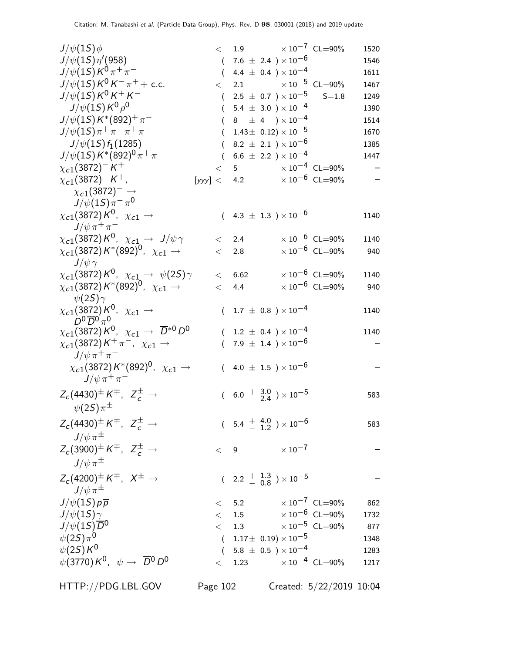| $J/\psi(1S)\phi$                                                            |          |           | $< 1.9 \times 10^{-7} \text{ CL} = 90\%$           |                                  | 1520 |
|-----------------------------------------------------------------------------|----------|-----------|----------------------------------------------------|----------------------------------|------|
| $J/\psi(1S)\eta'(958)$                                                      |          |           | $(7.6 \pm 2.4) \times 10^{-6}$                     |                                  | 1546 |
| $J/\psi(1S)K^0\pi^+\pi^-$                                                   |          |           | $(4.4 \pm 0.4) \times 10^{-4}$                     |                                  | 1611 |
| $J/\psi(1S)K^0K^-\pi^+ +$ c.c.                                              |          |           | $<$ 2.1 $\times 10^{-5}$ CL=90%                    |                                  | 1467 |
| $J/\psi(1S)K^0K^+K^-$                                                       |          |           | $(2.5 \pm 0.7) \times 10^{-5}$                     | $S = 1.8$                        | 1249 |
| $J/\psi(1S) K^{0} \rho^{0}$                                                 |          |           | $(5.4 \pm 3.0) \times 10^{-4}$                     |                                  | 1390 |
| $J/\psi(1S) K^*(892)^+\pi^-$                                                |          |           | $(8 \pm 4) \times 10^{-4}$                         |                                  | 1514 |
| $J/\psi(1S)\pi^+\pi^-\pi^+\pi^-$                                            |          |           | $(1.43 \pm 0.12) \times 10^{-5}$                   |                                  | 1670 |
| $J/\psi(1S) f_1(1285)$                                                      | $\left($ |           | 8.2 $\pm$ 2.1 $) \times 10^{-6}$                   |                                  | 1385 |
| $J/\psi(1S) K^{*}(892)^{0} \pi^{+} \pi^{-}$                                 |          |           | $(6.6 \pm 2.2) \times 10^{-4}$                     |                                  | 1447 |
| $\chi_{c1}(3872)^-K^+$                                                      |          |           | $< 5$ $\times 10^{-4}$ CL=90%                      |                                  |      |
| $\chi_{c1}(3872)^{-}K^{+}$ ,                                                |          |           | [yyy] < 4.2 $\times 10^{-6}$ CL=90%                |                                  |      |
| $\chi_{c1}(3872)^-\rightarrow$                                              |          |           |                                                    |                                  |      |
| $J/\psi(1S)\pi^{-}\pi^{0}$                                                  |          |           |                                                    |                                  |      |
| $\chi_{c1}(3872) K^0$ , $\chi_{c1} \rightarrow$                             |          |           | $(4.3 \pm 1.3) \times 10^{-6}$                     |                                  | 1140 |
| $J/\psi \pi^+ \pi^-$                                                        |          |           |                                                    |                                  |      |
| $\chi_{c1}(3872) K^0$ , $\chi_{c1} \rightarrow J/\psi \gamma$               |          | $\lt$ 2.4 |                                                    | $\times 10^{-6}$ CL=90%          | 1140 |
| $\chi_{c1}(3872)$ K* $(892)^0$ , $\chi_{c1} \rightarrow$                    | $\lt$    | 2.8       |                                                    | $\times$ 10 <sup>-6</sup> CL=90% | 940  |
| $J/\psi\gamma$                                                              |          |           |                                                    |                                  |      |
| $\chi_{c1}(3872) K^0$ , $\chi_{c1} \rightarrow \psi(2S)\gamma$              |          | < 6.62    |                                                    | $\times 10^{-6}$ CL=90%          | 1140 |
|                                                                             |          |           |                                                    | $\times$ 10 <sup>-6</sup> CL=90% |      |
| $\chi_{c1}(3872) K^{*}(892)^{0}$ , $\chi_{c1} \rightarrow$                  | $\lt$    | 4.4       |                                                    |                                  | 940  |
| $\psi(2\mathcal{S})\gamma$                                                  |          |           |                                                    |                                  |      |
| $\chi_{c1}(3872) K^0$ , $\chi_{c1} \rightarrow$<br>$D^0\overline{D}^0\pi^0$ |          |           | $(1.7 \pm 0.8) \times 10^{-4}$                     |                                  | 1140 |
| $\chi_{c1}(3872) K^0$ , $\chi_{c1} \to \overline{D}^{*0} D^0$               |          |           | $(1.2 \pm 0.4) \times 10^{-4}$                     |                                  | 1140 |
| $\chi_{c1}(3872)K^+\pi^-, \chi_{c1} \rightarrow$                            |          |           | $(7.9 \pm 1.4) \times 10^{-6}$                     |                                  |      |
| $J/\psi \pi^+ \pi^-$                                                        |          |           |                                                    |                                  |      |
| $\chi_{c1}(3872) K^{*}(892)^{0}$ , $\chi_{c1} \rightarrow$                  |          |           | $(4.0 \pm 1.5) \times 10^{-6}$                     |                                  |      |
| $J/\psi\,\pi^+\,\pi^-$                                                      |          |           |                                                    |                                  |      |
|                                                                             |          |           |                                                    |                                  |      |
| $Z_c(4430)^{\pm} K^{\mp}$ , $Z_c^{\pm} \rightarrow$                         |          |           | $(6.0 + \frac{3.0}{2.4}) \times 10^{-5}$           |                                  | 583  |
| $\psi(2\mathcal{S})\pi^{\pm}$                                               |          |           |                                                    |                                  |      |
| $Z_c(4430)^{\pm} K^{\mp}$ , $Z_c^{\pm} \rightarrow$                         |          |           | $(5.4 \frac{+}{-} \frac{4.0}{1.2}) \times 10^{-6}$ |                                  | 583  |
| $J/\psi \pi^{\pm}$                                                          |          |           |                                                    |                                  |      |
| $Z_c(3900)^{\pm} K^{\mp}$ , $Z_c^{\pm} \rightarrow$                         |          |           | $< 9$ $\times 10^{-7}$                             |                                  |      |
|                                                                             |          |           |                                                    |                                  |      |
| $J/\psi\pi^{\pm}$                                                           |          |           |                                                    |                                  |      |
| $Z_c(4200)^{\pm} K^{\mp}$ , $X^{\pm} \rightarrow$                           |          |           | $(2.2 \frac{+}{0.8}) \times 10^{-5}$               |                                  |      |
| $J/\psi \pi^{\pm}$                                                          |          |           |                                                    |                                  |      |
| $J/\psi(1S)p\overline{p}$                                                   |          |           | $< 5.2$ $\times 10^{-7}$ CL=90%                    |                                  | 862  |
| $J/\psi(1S)\gamma$                                                          |          |           | $<$ 1.5 $\times 10^{-6}$ CL=90%                    |                                  | 1732 |
| $J/\psi(15)\overline{D}^0$                                                  |          |           | $< 1.3 \times 10^{-5}$ CL=90%                      |                                  | 877  |
| $\psi(2S)\pi^0$                                                             |          |           | $(1.17\pm 0.19)\times 10^{-5}$                     |                                  | 1348 |
| $\psi(2S)K^0$                                                               |          |           | $(5.8 \pm 0.5)\times 10^{-4}$                      |                                  | 1283 |
| $\psi(3770) K^0$ , $\psi \rightarrow \overline{D}{}^0 D^0$                  |          |           | $<$ 1.23 $\times 10^{-4}$ CL=90%                   |                                  | 1217 |
|                                                                             |          |           |                                                    |                                  |      |
| HTTP://PDG.LBL.GOV                                                          | Page 102 |           |                                                    | Created: 5/22/2019 10:04         |      |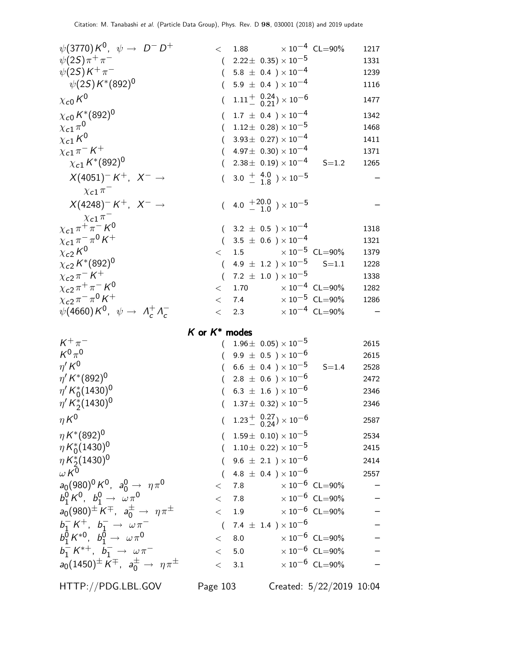| $\psi(3770) K^0$ , $\psi \to D^- D^+$<br>$\psi(2S)\pi^{+}\pi^{-}$<br>$\psi(2S)K^{+}\pi^{-}$<br>$\psi(2S) K^*(892)^0$<br>$\chi_{c0}K^0$<br>$\chi_{c0}\,K^*({892})^0$                                                                                                                                                                                                                                          |                                                          | $<$ 1.88 $\times 10^{-4}$ CL=90%<br>$2.22 \pm 0.35 \times 10^{-5}$<br>$(5.8 \pm 0.4) \times 10^{-4}$<br>$5.9 \pm 0.4$ ) $\times 10^{-4}$<br>$1.11^{+}_{-}$ $^{0.24}_{0.21}$ ) $\times$ 10 <sup>-6</sup><br>$1.7 \pm 0.4$ ) $\times 10^{-4}$                                                                                                                                                             |                                               | 1217<br>1331<br>1239<br>1116<br>1477<br>1342         |
|--------------------------------------------------------------------------------------------------------------------------------------------------------------------------------------------------------------------------------------------------------------------------------------------------------------------------------------------------------------------------------------------------------------|----------------------------------------------------------|---------------------------------------------------------------------------------------------------------------------------------------------------------------------------------------------------------------------------------------------------------------------------------------------------------------------------------------------------------------------------------------------------------|-----------------------------------------------|------------------------------------------------------|
| $\chi_{c1} \pi^0$<br>$\chi_{c1}K^0$<br>$\chi_{c1}\pi^-K^+$<br>$\chi_{c1} K^{*}(892)^{0}$<br>$X(4051)^-K^+$ , $X^- \rightarrow$<br>$\chi_{c1} \pi^-$<br>$X(4248)$ <sup>-</sup> K <sup>+</sup> , $X^ \rightarrow$                                                                                                                                                                                              | $\left($                                                 | $1.12 \pm 0.28 \times 10^{-5}$<br>$3.93\pm 0.27)\times 10^{-4}$<br>$4.97\pm 0.30 \times 10^{-4}$<br>$2.38 \pm 0.19 \times 10^{-4}$<br>$3.0 + 4.0$ $) \times 10^{-5}$<br>$(4.0 + {}^{20.0}_{-1.0}) \times 10^{-5}$                                                                                                                                                                                       | $S = 1.2$                                     | 1468<br>1411<br>1371<br>1265                         |
| $\chi_{c1} \pi$<br>$\chi_{c1} \pi^+ \pi^- K^0$<br>$\chi_{c1}\pi^-\pi^0\,K^+$<br>$\chi_{c2}K^0$<br>$\chi_{c2}\,K^*(892)^0$<br>$\chi_{c2}\pi^ K^+$<br>$\chi_{c2} \pi^+ \pi^- K^0$<br>$\chi_{c2}\pi^-\pi^0\,K^+$<br>$\psi(4660) K^0$ , $\psi \rightarrow A_c^+ A_c^-$                                                                                                                                           | $\lt$<br>$\left($<br>$\left($<br>$\lt$<br>$\lt$<br>$\lt$ | $(3.2 \pm 0.5) \times 10^{-4}$<br>$(3.5 \pm 0.6) \times 10^{-4}$<br>$\times$ 10 $^{-5}$ CL=90%<br>1.5<br>4.9 $\pm$ 1.2 $)\times10^{-5}$<br>7.2 $\pm$ 1.0 $\times$ 10 <sup>-5</sup><br>$\times$ 10 <sup>-4</sup> CL=90%<br>1.70<br>7.4 $\times 10^{-5}$ CL=90%<br>2.3                                                                                                                                    | $S = 1.1$<br>$\times$ 10 <sup>-4</sup> CL=90% | 1318<br>1321<br>1379<br>1228<br>1338<br>1282<br>1286 |
| $K^+\pi^-$<br>$K^0\pi^0$<br>$\eta^{\prime} K^{0}$<br>$\eta' K^{*}(892)^{0}$<br>$\eta' K_0^*(1430)^0$<br>$\eta' K_2^*(1430)^0$<br>$\eta K^0$                                                                                                                                                                                                                                                                  | K or $K^*$ modes<br>$\left($                             | $1.96\pm\ 0.05) \times 10^{-5}$<br>$(9.9 \pm 0.5)\times 10^{-6}$<br>$6.6 \pm 0.4$ ) $\times 10^{-5}$<br>$2.8 \pm 0.6$ ) $\times 10^{-6}$<br>$6.3 \pm 1.6$ ) $\times 10^{-6}$<br>$1.37 \pm 0.32 \times 10^{-5}$                                                                                                                                                                                          | $S = 1.4$                                     | 2615<br>2615<br>2528<br>2472<br>2346<br>2346         |
| $\eta K^{*}(892)^{0}$<br>$\eta K_0^*(1430)^0$<br>$\eta K_2^*(1430)^0$<br>$W^{0}$<br>$a_0(980)^0 K^0$ , $a_0^0 \rightarrow \eta \pi^0$<br>$b_1^0 K^0$ , $b_1^0 \rightarrow \omega \pi^0$<br>$a_0(980)^{\pm} K^{\mp}$ , $a_0^{\pm} \to \eta \pi^{\pm}$<br>$b_1^- K^+$ , $b_1^- \to \omega \pi^-$<br>$b_1^{\bar0} K^{*0}$ , $b_1^{\bar0} \rightarrow \omega \pi^0$<br>$b_1^- K^{*+}$ , $b_1^- \to \omega \pi^-$ |                                                          | $(1.23 \frac{+}{0.24}) \times 10^{-6}$<br>$(1.59\pm 0.10)\times 10^{-5}$<br>$1.10\pm~0.22)\times10^{-5}$<br>$(9.6 \pm 2.1) \times 10^{-6}$<br>4.8 $\pm$ 0.4 $)\times10^{-6}$<br>$\times$ 10 $^{-6}$ CL=90%<br>$<$ 7.8<br>$<$ 7.8 $\times 10^{-6}$ CL=90%<br>$<$ 1.9 $\times 10^{-6}$ CL=90%<br>$(7.4 \pm 1.4) \times 10^{-6}$<br>$\times$ 10 $^{-6}$ CL=90%<br>< 8.0<br>$<$ 5.0 $\times 10^{-6}$ CL=90% |                                               | 2587<br>2534<br>2415<br>2414<br>2557                 |
| $a_0(1450)^{\pm}$ $K^{\mp}$ , $a_0^{\pm} \rightarrow \eta \pi^{\pm}$                                                                                                                                                                                                                                                                                                                                         |                                                          | $< 3.1 \times 10^{-6}$ CL=90%                                                                                                                                                                                                                                                                                                                                                                           |                                               |                                                      |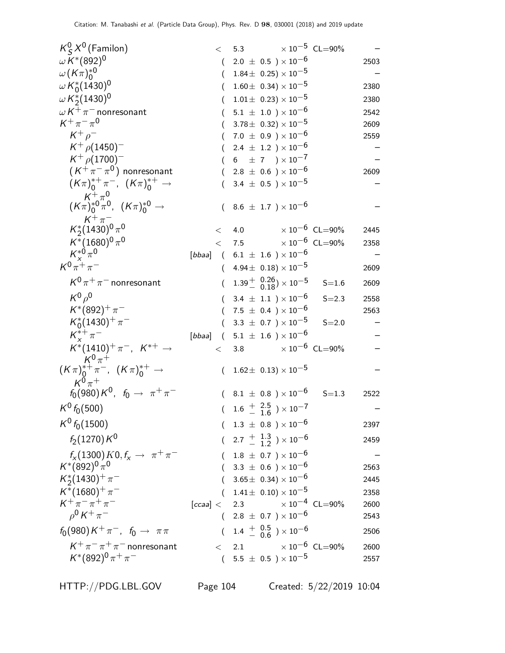| $K^0_S X^0$ (Familon)                                                              |          | $< 5.3 \times 10^{-5}$ CL=90%                                       |                         |      |
|------------------------------------------------------------------------------------|----------|---------------------------------------------------------------------|-------------------------|------|
| $\omega K^{*}(892)^{0}$                                                            | $\left($ | $2.0 \pm 0.5$ ) $\times 10^{-6}$                                    |                         | 2503 |
| $\omega(K\pi)_0^{*0}$                                                              | $\left($ | $1.84\pm\ 0.25) \times 10^{-5}$                                     |                         |      |
| $\omega K_0^*(1430)^0$                                                             | (        | $1.60 \pm 0.34 \times 10^{-5}$                                      |                         | 2380 |
| $\omega K_2^*(1430)^0$                                                             |          | $1.01 \pm 0.23 \times 10^{-5}$                                      |                         | 2380 |
| $\omega K^+\pi^-$ nonresonant                                                      |          | $5.1 \pm 1.0$ ) $\times 10^{-6}$                                    |                         | 2542 |
| $K^+\pi^-\pi^0$                                                                    | $\left($ | $3.78 \pm 0.32 \times 10^{-5}$                                      |                         | 2609 |
| $K^+\rho^-$                                                                        |          | $(7.0 \pm 0.9) \times 10^{-6}$                                      |                         | 2559 |
| $K^+$ $\rho$ (1450) <sup>-1</sup>                                                  | €        | 2.4 $\pm$ 1.2 $)\times10^{-6}$                                      |                         |      |
| $K^+$ $\rho$ (1700) <sup>-1</sup>                                                  |          | 6 $\pm$ 7 $) \times 10^{-7}$                                        |                         |      |
| $(K^+\pi^-\pi^0)$ nonresonant                                                      |          | $(2.8 \pm 0.6) \times 10^{-6}$                                      |                         | 2609 |
| $(K\pi)_0^{*+}\pi^-$ , $(K\pi)_0^{*+} \to$                                         |          | 3.4 $\pm$ 0.5 $\times$ 10 <sup>-5</sup>                             |                         |      |
| $K^{+}_{0}\pi^{0}_{0}$<br>$(K\pi)^{*0}_{0}\pi^{0}$ , $(K\pi)^{*0}_{0} \rightarrow$ |          | $(8.6 \pm 1.7) \times 10^{-6}$                                      |                         |      |
| $K^+\pi^-$<br>$K_2^*(1430)^0 \pi^0$                                                | $\lt$    | 4.0                                                                 | $\times 10^{-6}$ CL=90% | 2445 |
| $K^{*}(1680)^{0}\pi^{0}$                                                           |          | $<$ 7.5                                                             | $\times 10^{-6}$ CL=90% | 2358 |
| $K_{x}^{*0}\pi^{0}$                                                                |          | [ <i>bbaa</i> ] ( $6.1 \pm 1.6$ ) $\times 10^{-6}$                  |                         |      |
| $K^{0}\pi^{+}\pi^{-}$                                                              |          | $(4.94 \pm 0.18) \times 10^{-5}$                                    |                         | 2609 |
| $K^0 \pi^+ \pi^-$ nonresonant                                                      |          | $(1.39 - \begin{array}{c} 0.26 \\ 0.18 \end{array}) \times 10^{-5}$ | $S = 1.6$               | 2609 |
| $K^0\rho^0$                                                                        |          | $(3.4 \pm 1.1) \times 10^{-6}$                                      | $S = 2.3$               | 2558 |
| $K^*(892)^+\pi^-$                                                                  |          | $7.5~\pm~0.4~$ $)\times10^{-6}$                                     |                         | 2563 |
| $K_0^*(1430)^+\pi^-$                                                               |          | 3.3 $\pm$ 0.7 ) $\times$ 10 <sup>-5</sup>                           | $S = 2.0$               |      |
| $K^{*+}_{r} \pi^{-}$                                                               |          | [ <i>bbaa</i> ] (5.1 $\pm$ 1.6 ) × 10 <sup>-6</sup>                 |                         |      |
| $K^*(1410)^+ \pi^-$ , $K^{*+} \to$<br>$K^0 \pi^+$                                  | $\lt$    | 3.8 $\times 10^{-6}$ CL=90%                                         |                         |      |
| $(K \pi)_0^{*+} \pi^-$ , $(K \pi)_0^{*+} \to$                                      | $\left($ | $1.62\pm$ 0.13) $\times\,10^{-5}$                                   |                         |      |
| $K^0\pi^+$<br>$f_0(980) K^0$ , $f_0 \to \pi^+ \pi^-$                               |          | $(8.1 \pm 0.8) \times 10^{-6}$                                      | $S = 1.3$               | 2522 |
| $K^0 f_0(500)$                                                                     |          | $(1.6 \frac{+}{-} 1.6^{+}) \times 10^{-7}$                          |                         |      |
| $K^0 f_0(1500)$                                                                    |          | $(1.3 \pm 0.8) \times 10^{-6}$                                      |                         | 2397 |
| $f_2(1270)K^0$                                                                     |          | $(2.7 \frac{+}{-} \frac{1.3}{1.2}) \times 10^{-6}$                  |                         | 2459 |
| $f_{x}(1300) K0, f_{x} \rightarrow \pi^{+} \pi^{-}$                                |          | $(1.8 \pm 0.7) \times 10^{-6}$                                      |                         |      |
| $K^*(892)^0 \pi^0$                                                                 |          | $(3.3 \pm 0.6) \times 10^{-6}$                                      |                         | 2563 |
| $K_2^*(1430)^+\pi^-$                                                               |          | $3.65\pm~\,0.34) \times 10^{-6}$                                    |                         | 2445 |
| $K^*(1680)^+ \pi^-$                                                                |          | $(1.41 \pm 0.10) \times 10^{-5}$                                    |                         | 2358 |
| $K^+\pi^-\pi^+\pi^-$                                                               |          | [ccaa] < 2.3 $\times 10^{-4}$ CL=90%                                |                         | 2600 |
| $\rho^0 K^+ \pi^-$                                                                 |          | $(2.8 \pm 0.7) \times 10^{-6}$                                      |                         | 2543 |
| $f_0(980) K^+\pi^-$ , $f_0 \to \pi\pi$                                             |          | $(1.4 \frac{+}{0.5}) \times 10^{-6}$                                |                         | 2506 |
| $K^+\pi^-\pi^+\pi^-$ nonresonant                                                   | $\lt$    | 2.1                                                                 | $\times 10^{-6}$ CL=90% | 2600 |
| $K^*(892)^0 \pi^+ \pi^-$                                                           |          | $(5.5 \pm 0.5) \times 10^{-5}$                                      |                         | 2557 |

HTTP://PDG.LBL.GOV Page 104 Created: 5/22/2019 10:04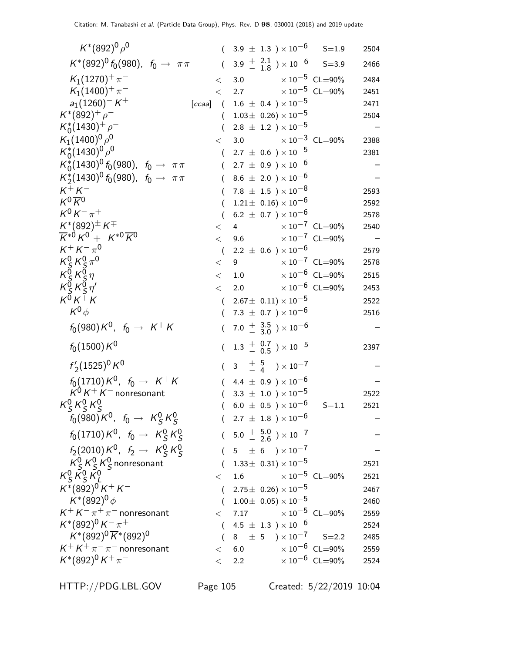| $K^*(892)^0 \rho^0$                                                                                  |                  | $(3.9 \pm 1.3) \times 10^{-6}$ S=1.9                                    |                             | 2504 |
|------------------------------------------------------------------------------------------------------|------------------|-------------------------------------------------------------------------|-----------------------------|------|
| $K^*(892)^0 f_0(980)$ , $f_0 \to \pi \pi$                                                            |                  | $(3.9 \frac{+}{-} 2.1 \over 1.8) \times 10^{-6}$ S=3.9                  |                             | 2466 |
| $K_1(1270)^{+}\pi^-$                                                                                 | $\lt$            | 3.0 $\times 10^{-5}$ CL=90%                                             |                             | 2484 |
| $K_1(1400)^+\pi^-$                                                                                   | $\lt$            | 2.7                                                                     | $\times$ $10^{-5}\,$ CL=90% | 2451 |
| $a_1(1260)^-K^+$                                                                                     |                  | [ccaa] $(1.6 \pm 0.4) \times 10^{-5}$                                   |                             | 2471 |
| $K^*(892)^+$ $\rho^-$                                                                                | $\left($         | $1.03\pm 0.26 \times 10^{-5}$                                           |                             | 2504 |
| $K_0^*(1430)^+$ $\rho^-$                                                                             |                  | $2.8 \pm 1.2$ ) $\times 10^{-5}$                                        |                             |      |
| $K_1(1400)^0 \rho^0$                                                                                 | $\lt$            | $\times$ 10 <sup>-3</sup> CL=90%<br>3.0                                 |                             | 2388 |
| $K_0^*(1430)^0 \rho^0$                                                                               | $\left($         | $2.7 \pm 0.6$ ) $\times 10^{-5}$                                        |                             | 2381 |
| $K_0^*(1430)^0 f_0(980)$ , $f_0 \to \pi \pi$                                                         | $\left($         | $2.7 \pm 0.9$ ) $\times 10^{-6}$                                        |                             |      |
| $K_2^*(1430)^0 f_0(980)$ , $f_0 \to \pi \pi$                                                         |                  | 8.6 $\pm$ 2.0 ) $\times$ 10 <sup>-6</sup>                               |                             |      |
| $K^+K^-$<br>$K^0 \overline{K}{}^0$                                                                   |                  | 7.8 $\pm$ 1.5 $\times$ 10 <sup>-8</sup>                                 |                             | 2593 |
| $K^0 K^- \pi^+$                                                                                      |                  | $1.21 \pm 0.16 \times 10^{-6}$                                          |                             | 2592 |
| $K^{*}(892)^{\pm} K^{\mp}$                                                                           | $\left($         | $6.2 \pm 0.7$ ) $\times 10^{-6}$<br>$< 4 \times 10^{-7}$ CL=90%         |                             | 2578 |
| $\overline{K}^{*0}K^0 + K^{*0}\overline{K}^0$                                                        | $\lt$            | 9.6 $\times 10^{-7}$ CL=90%                                             |                             | 2540 |
| $K^+ K^- \pi^0$                                                                                      | $\overline{ }$   | $2.2 \pm 0.6$ ) × $10^{-6}$                                             |                             | 2579 |
| $K_S^0 K_S^0 \pi^0$                                                                                  | $\lt$            | $\times$ 10 $^{-7}$ CL=90%<br>$9^{\circ}$                               |                             | 2578 |
|                                                                                                      | $\lt$            | 1.0 $\times 10^{-6}$ CL=90%                                             |                             | 2515 |
| $\begin{array}{c} K_S^{\vec{0}} K_S^{\vec{0}} \eta \\ K_S^{\vec{0}} K_S^{\vec{0}} \eta' \end{array}$ | $\lt$            | 2.0                                                                     | $\times$ $10^{-6}\,$ CL=90% | 2453 |
| $K^{\bar{0}}K^{\bar{+}}K^-$                                                                          |                  | $(2.67 \pm 0.11) \times 10^{-5}$                                        |                             | 2522 |
| $K^0\phi$                                                                                            | $\left($         | 7.3 $\pm$ 0.7 ) $\times$ 10 <sup>-6</sup>                               |                             | 2516 |
| $f_0(980)K^0$ , $f_0 \to K^+K^-$                                                                     | $\overline{(\ }$ | 7.0 $\frac{+}{-}$ $\frac{3.5}{3.0}$ $\times 10^{-6}$                    |                             |      |
| $f_0(1500) K^0$                                                                                      | $\left($         | $1.3 \begin{array}{c} +0.7 \\ -0.5 \end{array}$ $\times 10^{-5}$        |                             | 2397 |
| $f'_2(1525)^0 K^0$                                                                                   | $\left($         | $3\quad \frac{+}{-}\quad \frac{5}{4} \quad \frac{5}{10} \times 10^{-7}$ |                             |      |
| $f_0(1710)K^0$ , $f_0 \to K^+K^-$                                                                    |                  | 4.4 $\pm$ 0.9 $) \times 10^{-6}$                                        |                             |      |
| $K^0 K^+ K^-$ nonresonant                                                                            |                  | 3.3 $\pm$ 1.0 $\times$ 10 <sup>-5</sup>                                 |                             | 2522 |
| $K_S^0 K_S^0 K_S^0$                                                                                  |                  | $6.0 \pm 0.5$ ) $\times 10^{-6}$                                        | $S = 1.1$                   | 2521 |
| $f_0(980)K^0$ , $f_0 \rightarrow K_S^0K_S^0$                                                         |                  | $(2.7 \pm 1.8) \times 10^{-6}$                                          |                             |      |
| $f_0(1710)K^0$ , $f_0 \rightarrow K_S^0 K_S^0$                                                       |                  | $(5.0 + \frac{5.0}{2.6}) \times 10^{-7}$                                |                             |      |
| $f_2(2010) K^0$ , $f_2 \rightarrow K_S^0 K_S^0$                                                      |                  | $(5 \pm 6) \times 10^{-7}$                                              |                             |      |
| $K_S^0 K_S^0 K_S^0$ nonresonant                                                                      |                  | $(1.33\pm 0.31)\times 10^{-5}$                                          |                             | 2521 |
| $K_S^0 K_S^0 K_I^0$                                                                                  | $\lt$            | $\times$ 10 $^{-5}~$ CL $=$ 90%<br>1.6                                  |                             | 2521 |
| $K^*(892)^0 K^+ K^-$                                                                                 |                  | $(2.75 \pm 0.26) \times 10^{-5}$                                        |                             | 2467 |
| $K^*(892)^0 \phi$                                                                                    | $\left($         | $1.00\pm\;$ 0.05) $\times\;$ 10 $^{-5}$                                 |                             | 2460 |
| $K^+ K^- \pi^+ \pi^-$ nonresonant                                                                    |                  | $<$ 7.17 $\times 10^{-5}$ CL=90%                                        |                             | 2559 |
| $K^*(892)^0 K^- \pi^+$                                                                               |                  | $4.5~\pm~1.3~$ $)\times10^{-6}$                                         |                             | 2524 |
| $K^*(892)^0 \overline{K}^*(892)^0$                                                                   |                  | $8 \pm 5$ $\times 10^{-7}$ S=2.2                                        |                             | 2485 |
| $K^+ K^+ \pi^- \pi^-$ nonresonant                                                                    |                  | $\times$ 10 $^{-6}$ CL=90%<br>< 6.0                                     |                             | 2559 |
| $K^*(892)^0 K^+\pi^-$                                                                                | $\lt$            | 2.2                                                                     | $\times 10^{-6}$ CL=90%     | 2524 |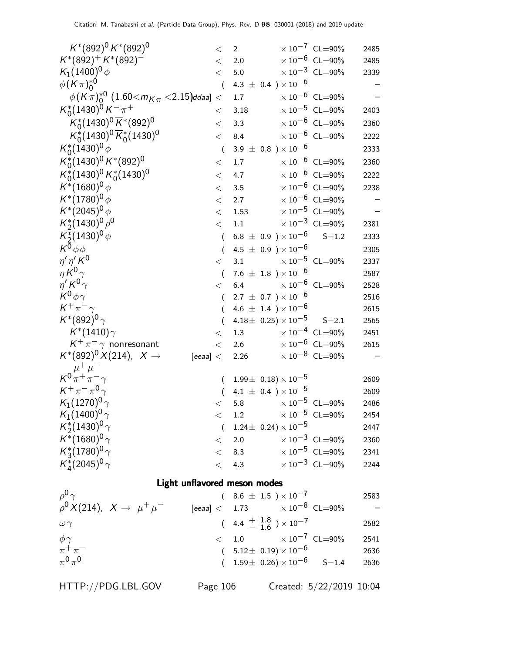| $K^*(892)^0 K^*(892)^0$                                             | $\,<\,$          | $\overline{2}$                                                            | $\times 10^{-7}$ CL=90%                                | 2485                     |
|---------------------------------------------------------------------|------------------|---------------------------------------------------------------------------|--------------------------------------------------------|--------------------------|
| $K^*(892)^+ K^*(892)^-$                                             | $\lt$            | 2.0                                                                       | $\times$ 10 <sup>-6</sup> CL=90%                       | 2485                     |
| $K_1(1400)^0 \phi$                                                  | $\lt$            | 5.0                                                                       | $\times\,10^{-3}$ CL=90%                               | 2339                     |
| $\phi$ (K $\pi$ ) <sup>*0</sup>                                     | $\overline{a}$   | 4.3 $\pm$ 0.4 $) \times 10^{-6}$                                          |                                                        |                          |
| $\phi$ (K $\pi$ ) <sup>*0</sup> (1.60 $<$ m $_K$ $<$ 2.15)ddaa] $<$ |                  | 1.7                                                                       | $\times$ 10 <sup>-6</sup> CL=90%                       |                          |
| $K_0^*(1430)^0 K^- \pi^+$                                           | $\,<\,$          | 3.18                                                                      | $\times 10^{-5}$ CL=90%                                | 2403                     |
| $K_0^*(1430)^0 \overline{K}^*(892)^0$                               | $\lt$            | 3.3                                                                       | $\times 10^{-6}$ CL=90%                                | 2360                     |
| $K_0^*(1430)^0 \overline{K}_0^*(1430)^0$                            | $\lt$            | 8.4                                                                       | $\times$ $10^{-6}\,$ CL=90%                            | 2222                     |
| $K_0^*(1430)^0 \phi$                                                | $\overline{(}$   | $3.9 \pm 0.8$ ) $\times 10^{-6}$                                          |                                                        | 2333                     |
| $K_0^*(1430)^0 K^*(892)^0$                                          | $<\,$            | 1.7                                                                       | $\times 10^{-6}$ CL=90%                                | 2360                     |
| $K_0^*(1430)^0 K_0^*(1430)^0$                                       | $\lt$            | 4.7                                                                       | $\times 10^{-6}$ CL=90%                                | 2222                     |
| $K^*(1680)^0 \phi$                                                  | $\lt$            | 3.5                                                                       | $\times 10^{-6}$ CL=90%                                | 2238                     |
| $K^*(1780)^0 \phi$                                                  | $<\,$            | 2.7                                                                       | $\times 10^{-6}$ CL=90%                                | $\overline{\phantom{0}}$ |
| $K^*(2045)^0 \phi$                                                  | $\lt$            | 1.53                                                                      | $\times 10^{-5}$ CL=90%                                |                          |
| $K_2^*(1430)^0 \rho^0$                                              | $\lt$            | 1.1                                                                       | $\times 10^{-3}$ CL=90%                                | 2381                     |
| $K_2^*(1430)^0 \phi$                                                | $\left($         | $6.8 \pm 0.9$ ) $\times 10^{-6}$                                          | $S = 1.2$                                              | 2333                     |
| $K^{\overline{0}}\phi\phi$                                          |                  | 4.5 $\pm$ 0.9 ) $\times$ 10 <sup>-6</sup>                                 |                                                        | 2305                     |
| $\eta' \eta' K^0$                                                   | $\lt$            | 3.1                                                                       | $\times$ $10^{-5}\,$ CL=90%                            | 2337                     |
| $\eta K^0 \gamma$                                                   | $\left($         | 7.6 $\pm$ 1.8 ) $\times$ 10 <sup>-6</sup>                                 |                                                        | 2587                     |
| $\eta' K^0 \gamma$                                                  | $\lt$            | 6.4                                                                       | $\times 10^{-6}$ CL=90%                                | 2528                     |
| $K^0 \phi \gamma$                                                   | $\left($         | $2.7 \pm 0.7$ ) $\times 10^{-6}$                                          |                                                        | 2516                     |
| $K^+\pi^-\gamma$                                                    | $\left($         | 4.6 $\pm$ 1.4 ) $\times$ 10 <sup>-6</sup>                                 |                                                        | 2615                     |
| $K^*(892)^0 \gamma$                                                 | $\overline{(\ }$ | $4.18 \pm 0.25 \times 10^{-5}$                                            | $S = 2.1$                                              | 2565                     |
| $K^*(1410)\gamma$                                                   | $\lt$            | 1.3                                                                       | $\times 10^{-4}$ CL=90%                                | 2451                     |
| $K^+\pi^-\gamma$ nonresonant                                        | $\lt$            | 2.6                                                                       | $\times 10^{-6}$ CL=90%                                | 2615                     |
| $K^*(892)^0 X(214)$ , $X \to$                                       |                  | [eeaa] < 2.26 $\times 10^{-8}$ CL=90%                                     |                                                        |                          |
| $\mu^+ \mu^-$                                                       |                  |                                                                           |                                                        |                          |
| $K^0\pi^+\pi^-\gamma$                                               | $\left($         | $1.99\pm 0.18 \times 10^{-5}$                                             |                                                        | 2609                     |
| $K^+\pi^-\pi^0\gamma$                                               | $\left($         | 4.1 $\pm$ 0.4 $) \times 10^{-5}$                                          |                                                        | 2609                     |
| $K_1(1270)^0 \gamma$                                                | $\lt$            | 5.8 $\times 10^{-5}$ CL=90%                                               |                                                        | 2486                     |
| $K_1(1400)^0 \gamma$                                                | $\lt$            | 1.2                                                                       | $\times 10^{-5}$ CL=90%                                | 2454                     |
| $K_2^*(1430)^0 \gamma$                                              |                  | $(1.24 \pm 0.24) \times 10^{-5}$                                          |                                                        | 2447                     |
| $K^*(1680)^0 \gamma$                                                |                  | < 2.0                                                                     | $\times 10^{-3}$ CL=90%<br>$\times$ $10^{-5}\,$ CL=90% | 2360                     |
| $K_3^*(1780)^0 \gamma$                                              |                  | < 8.3                                                                     |                                                        | 2341                     |
| $K_{4}^{*}(2045)^{0}\gamma$                                         | $\lt$            | 4.3                                                                       | $\times 10^{-3}$ CL=90%                                | 2244                     |
| Light unflavored meson modes                                        |                  |                                                                           |                                                        |                          |
| $\rho^0 \gamma$                                                     |                  | $(8.6 \pm 1.5) \times 10^{-7}$                                            |                                                        | 2583                     |
| $ho^0 X(214), X \to \mu^+ \mu^-$                                    |                  | $\left[ {eea a} \right] < \quad 1.73 \qquad \qquad \times 10^{-8}$ CL=90% |                                                        |                          |
|                                                                     |                  |                                                                           |                                                        |                          |

 $\omega \gamma$  (4.4  $^{+1.8}_{-1.6}$ )  $\frac{+}{-}$  1.6 ) × 10<sup>-7</sup> 2582  $\phi \gamma$  < 1.0  $\times 10^{-7}$  CL=90% 2541 − (  $5.12 \pm 0.19$ )  $\times 10^{-6}$  2636  $(1.59\pm 0.26)\times 10^{-6}$  S=1.4 2636

 $\pi^+\pi$ 

 $\pi^0\pi^0$ 

HTTP://PDG.LBL.GOV Page 106 Created: 5/22/2019 10:04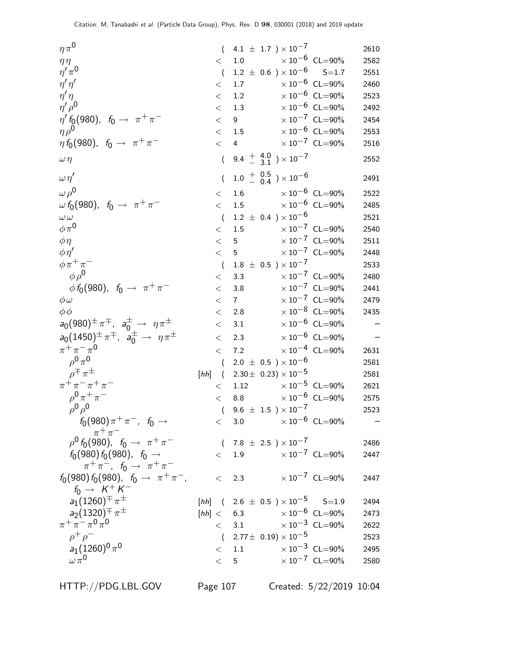| $\eta\pi^0$                                                                            |      |                  | $(4.1 \pm 1.7) \times 10^{-7}$                       |  |                                  | 2610 |
|----------------------------------------------------------------------------------------|------|------------------|------------------------------------------------------|--|----------------------------------|------|
| $\eta\eta$                                                                             |      | $<$ 1.0          |                                                      |  | $\times 10^{-6}$ CL=90%          | 2582 |
| $\eta' \pi^0$                                                                          |      | $\left($         | $1.2~\pm~0.6~$ ) $\times\,10^{-6}$                   |  | $S = 1.7$                        | 2551 |
| $\eta' \eta'$                                                                          |      | $\lt$            | 1.7                                                  |  | $\times 10^{-6}$ CL=90%          | 2460 |
| $\eta' \eta$                                                                           |      | $\lt$            | 1.2                                                  |  | $\times 10^{-6}$ CL=90%          | 2523 |
| $\eta' \rho^0$                                                                         |      | $\lt$            | 1.3                                                  |  | $\times 10^{-6}$ CL=90%          | 2492 |
| $\eta' f_0(980)$ , $f_0 \to \pi^+ \pi^-$                                               |      | $\lt$            | 9                                                    |  | $\times$ 10 <sup>-7</sup> CL=90% | 2454 |
| $\eta \rho^0$                                                                          |      | $\lt$            | 1.5                                                  |  | $\times 10^{-6}$ CL=90%          | 2553 |
| $\eta\,f_0(980),~f_0\rightarrow~\pi^+\pi^-$                                            |      | $\lt$            | $\overline{4}$                                       |  | $\times$ $10^{-7}$ $\,$ CL=90%   | 2516 |
| $\omega \eta$                                                                          |      | $\overline{(\ }$ | 9.4 $\frac{+}{-}$ $\frac{4.0}{3.1}$ $\times 10^{-7}$ |  |                                  | 2552 |
| $\omega \eta'$                                                                         |      |                  | $1.0^{+}$ $\frac{0.5}{0.4}$ $\times 10^{-6}$         |  |                                  | 2491 |
| $\omega \rho^0$                                                                        |      | $\lt$            | 1.6 $\times 10^{-6}$ CL=90%                          |  |                                  | 2522 |
| $\omega f_0(980)$ , $f_0 \to \pi^+ \pi^-$                                              |      | $\lt$            | 1.5                                                  |  | $\times$ $10^{-6}$ CL=90%        | 2485 |
| $\omega \, \omega$                                                                     |      | $\sqrt{ }$       | $1.2 \pm 0.4$ ) $\times 10^{-6}$                     |  |                                  | 2521 |
| $\phi \pi^0$                                                                           |      | $\lt$            | 1.5                                                  |  | $\times$ 10 <sup>-7</sup> CL=90% | 2540 |
| $\phi\eta$                                                                             |      | $\lt$            | $5\overline{)}$                                      |  | $\times\,10^{-7}$ CL=90%         | 2511 |
| $\phi \eta'$                                                                           |      | $\lt$            | 5 <sup>5</sup>                                       |  | $\times$ $10^{-7}$ CL=90%        | 2448 |
| $\phi \pi^+ \pi^-$                                                                     |      | $\sqrt{ }$       | $1.8 \pm 0.5$ ) $\times 10^{-7}$                     |  |                                  | 2533 |
| $\phi \rho^0$                                                                          |      | $\,<\,$          | 3.3                                                  |  | $\times 10^{-7}$ CL=90%          | 2480 |
| $\phi f_0(980)$ , $f_0 \to \pi^+ \pi^-$                                                |      | $\lt$            | $3.8\,$                                              |  | $\times 10^{-7}$ CL=90%          | 2441 |
| $\phi\omega$                                                                           |      | $\,<\,$          | $7\overline{ }$                                      |  | $\times 10^{-7}$ CL=90%          | 2479 |
| $\phi \phi$                                                                            |      | $\,<\,$          | 2.8                                                  |  | $\times 10^{-8}$ CL=90%          | 2435 |
| $a_0(980)^{\pm} \pi^{\mp}$ , $a_0^{\pm} \rightarrow \eta \pi^{\pm}$                    |      | $\lt$            | 3.1                                                  |  | $\times 10^{-6}$ CL=90%          |      |
| $a_0(1450)^{\pm} \pi^{\mp}$ , $a_0^{\pm} \rightarrow \eta \pi^{\pm}$                   |      | $<\,$            | 2.3                                                  |  | $\times 10^{-6}$ CL=90%          |      |
| $\pi^{+}\pi^{-}\pi^{0}$                                                                |      | $\lt$            | 7.2                                                  |  | $\times$ $10^{-4}$ CL=90%        | 2631 |
| $\rho^0 \pi^0$                                                                         |      | $\left($         | $2.0 \pm 0.5$ ) $\times 10^{-6}$                     |  |                                  | 2581 |
| $\rho^{\mp} \pi^{\pm}$                                                                 | [hh] | $\sqrt{2}$       | 2.30 $\pm$ 0.23) $\times$ 10 <sup>-5</sup>           |  |                                  | 2581 |
| $\pi^{+}\pi^{-}\pi^{+}\pi^{-}$                                                         |      | $\lt$            | 1.12                                                 |  | $\times$ 10 $^{-5}$ CL=90%       | 2621 |
| $\rho^{0} \pi^{+} \pi^{-}$                                                             |      |                  | < 8.8                                                |  | $\times$ $10^{-6}\,$ CL=90%      | 2575 |
| $\rho^0 \rho^0$                                                                        |      |                  | $(9.6 \pm 1.5) \times 10^{-7}$                       |  |                                  | 2523 |
| $f_0(980)\pi^+\pi^-$ , $f_0 \to$                                                       |      |                  | $< 3.0 \times 10^{-6} \text{ CL} = 90\%$             |  |                                  |      |
| $\begin{array}{c}\pi^+\pi^-\\ \rho^0\,f_0(980),\;\; f_0\,\to\;\;\pi^+\pi^-\end{array}$ |      |                  | $(7.8 \pm 2.5) \times 10^{-7}$                       |  |                                  | 2486 |
| $f_0(980) f_0(980)$ , $f_0 \rightarrow$                                                |      |                  | $< 1.9$ $\times 10^{-7}$ CL=90%                      |  |                                  | 2447 |
| $\pi^+ \pi^-$ , $f_0 \to \pi^+ \pi^-$                                                  |      |                  |                                                      |  |                                  |      |
| $f_0(980) f_0(980)$ , $f_0 \rightarrow \pi^+ \pi^-$ ,                                  |      |                  | $\langle$ 2.3                                        |  | $\times$ 10 $^{-7}$ CL=90%       | 2447 |
| $f_0 \rightarrow K^+ K^-$                                                              |      |                  |                                                      |  |                                  |      |
| $a_1(1260)^{\pm} \pi^{\pm}$                                                            |      |                  | [hh] $(2.6 \pm 0.5) \times 10^{-5}$ S=1.9            |  |                                  | 2494 |
| $a_2(1320)^{\mp} \pi^{\pm}$                                                            |      |                  | [hh] < $6.3$ $\times 10^{-6}$ CL=90%                 |  |                                  | 2473 |
| $\pi^{+}\pi^{-}\pi^{0}\pi^{0}$                                                         |      |                  | $< 3.1 \times 10^{-3} \text{ CL} = 90\%$             |  |                                  | 2622 |
| $\rho^+ \rho^-$                                                                        |      |                  | $(2.77\pm\ 0.19)\times 10^{-5}$                      |  |                                  | 2523 |
| $a_1(1260)^0 \pi^0$<br>$\omega \pi^0$                                                  |      |                  | $<$ 1.1 $\times 10^{-3}$ CL=90%                      |  |                                  | 2495 |
|                                                                                        |      |                  | < 5                                                  |  | $\times 10^{-7}$ CL=90%          | 2580 |

HTTP://PDG.LBL.GOV Page 107 Created: 5/22/2019 10:04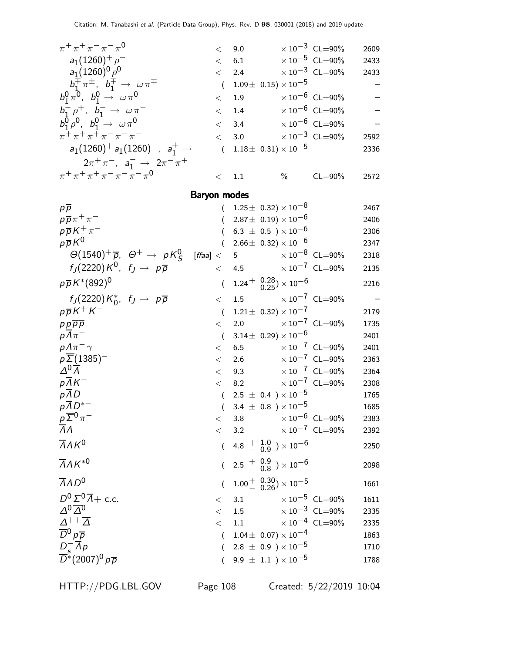| $\pi^{+}\pi^{+}\pi^{-}\pi^{-}\pi^{0}$                                      | $\lt$            | 9.0                                                                     | $\times 10^{-3}$ CL=90%          | 2609                     |
|----------------------------------------------------------------------------|------------------|-------------------------------------------------------------------------|----------------------------------|--------------------------|
| $a_1(1260)^+$ $\rho^-$                                                     | $\lt$            | 6.1                                                                     | $\times 10^{-5}$ CL=90%          | 2433                     |
| $a_1(1260)^0\rho^0$                                                        | $\lt$            | 2.4 $\times 10^{-3}$ CL=90%                                             |                                  | 2433                     |
| $b_1^{\pm} \pi^{\pm}$ , $b_1^{\pm} \rightarrow \omega \pi^{\mp}$           | $\overline{(\ }$ | $1.09\pm 0.15 \times 10^{-5}$                                           |                                  |                          |
| $b_1^0 \pi^0$ , $b_1^0 \to \omega \pi^0$                                   | $\lt$            | 1.9                                                                     | $\times$ 10 $^{-6}$ CL=90%       |                          |
| $b_1^- \rho^+, b_1^- \to \omega \pi^-$                                     | $\lt$            | 1.4 $\times 10^{-6}$ CL=90%                                             |                                  |                          |
| $b_1^0 \rho^0$ , $b_1^0 \rightarrow \omega \pi^0$                          | $\lt$            | 3.4                                                                     | $\times 10^{-6}$ CL=90%          |                          |
| $\pi^+ \pi^+ \pi^+ \pi^- \pi^- \pi^-$                                      | $\lt$            | 3.0                                                                     | $\times 10^{-3}$ CL=90%          | 2592                     |
| $a_1(1260)^+ a_1(1260)^-, a_1^+ \rightarrow$                               | $\sqrt{ }$       | $1.18\pm 0.31 \times 10^{-5}$                                           |                                  | 2336                     |
| $2\pi^+\pi^-$ , $a_1^- \to 2\pi^-\pi^+$                                    |                  |                                                                         |                                  |                          |
| $\pi^+ \pi^+ \pi^+ \pi^- \pi^- \pi^- \pi^0$                                | $\lt$            | 1.1                                                                     | $\%$ CL=90%                      | 2572                     |
|                                                                            |                  |                                                                         |                                  |                          |
| <b>Baryon modes</b>                                                        |                  |                                                                         |                                  |                          |
| $p\overline{p}$<br>$p\overline{p}\pi^+\pi^-$                               |                  | $(1.25 \pm 0.32) \times 10^{-8}$<br>$2.87 \pm 0.19 \times 10^{-6}$      |                                  | 2467                     |
| $p\overline{p}K^{+}\pi^{-}$                                                |                  | $6.3 \pm 0.5$ ) $\times 10^{-6}$                                        |                                  | 2406<br>2306             |
| $p\overline{p}K^0$                                                         | $\left($         | $2.66 \pm 0.32 \times 10^{-6}$                                          |                                  | 2347                     |
| $\Theta(1540)^+\overline{p}$ , $\Theta^+ \rightarrow pK^0_S$<br>[ffaa] $<$ |                  | 5 <sub>5</sub>                                                          | $\times$ 10 $^{-8}$ CL=90%       | 2318                     |
| $f_I(2220)K^0$ , $f_J \rightarrow p\overline{p}$                           | $\lt$            | 4.5 $\times 10^{-7}$ CL=90%                                             |                                  | 2135                     |
| $p\overline{p}K^*(892)^0$                                                  |                  |                                                                         |                                  |                          |
|                                                                            | $\overline{(\ }$ | $1.24 + {0.28 \choose 0.25} \times 10^{-6}$                             |                                  | 2216                     |
| $f_J(2220)K_0^*, f_J \rightarrow p\overline{p}$                            | $\lt$            | 1.5 $\times 10^{-7}$ CL=90%                                             |                                  | $\overline{\phantom{m}}$ |
| $p\overline{p}K^+K^-$                                                      | $\left($         | $1.21 \pm 0.32 \times 10^{-7}$                                          |                                  | 2179                     |
| $p p \overline{p} \overline{p}$                                            | $\lt$            | $2.0\,$                                                                 | $\times\,10^{-7}$ CL=90%         | 1735                     |
| $p\overline{\Lambda}\pi^-$                                                 | $\left($         | $3.14 \pm 0.29 \times 10^{-6}$                                          |                                  | 2401                     |
| $p\overline{\Lambda}\pi^{-}\gamma$                                         | $\lt$            | 6.5                                                                     | $\times$ 10 <sup>-7</sup> CL=90% | 2401                     |
| $p\Sigma(1385)^-$<br>$\Delta^0\overline{\Lambda}$                          | $\lt$            | 2.6 $\times 10^{-7}$ CL=90%<br>$< 9.3 \times 10^{-7} \text{ CL} = 90\%$ |                                  | 2363                     |
| $pAK^-$                                                                    | $\lt$            | 8.2                                                                     | $\times\,10^{-7}$ CL=90%         | 2364                     |
| $p\overline{AD}^-$                                                         |                  | $(2.5 \pm 0.4) \times 10^{-5}$                                          |                                  | 2308<br>1765             |
| $p\overline{\Lambda}D^{*-}$                                                |                  | $(3.4 \pm 0.8) \times 10^{-5}$                                          |                                  | 1685                     |
|                                                                            |                  | < 3.8                                                                   | $\times 10^{-6}$ CL=90%          | 2383                     |
| $\frac{\rho}{\Lambda} \frac{\overline{\Sigma}^0}{\Lambda} \pi^-$           |                  | $< 3.2 \times 10^{-7}$ CL=90%                                           |                                  | 2392                     |
| $\overline{\Lambda}$ AK <sup>0</sup>                                       |                  | $(4.8 + 1.0 / 0.9) \times 10^{-6}$                                      |                                  | 2250                     |
| $\overline{\Lambda}$ AK <sup>*0</sup>                                      |                  | $(2.5 + 0.9 \n0.8) \times 10^{-6}$                                      |                                  | 2098                     |
| $\overline{A}AD^0$                                                         |                  | $1.00^{+}$ $\frac{0.30}{0.26}$ $\times 10^{-5}$                         |                                  | 1661                     |
| $D^0\Sigma^0\overline{\Lambda}+$ c.c.                                      |                  | $<$ 3.1 $\times 10^{-5}$ CL=90%                                         |                                  | 1611                     |
| $\Delta^{0}\overline{\Delta}^{0}$                                          | $\lt$            | 1.5                                                                     | $\times 10^{-3}$ CL=90%          | 2335                     |
| $\frac{\varDelta^{++}\overline{\varDelta}^{--}}{D^0\,p\,\overline{p}}$     | $\lt$            | 1.1 $\times 10^{-4}$ CL=90%                                             |                                  | 2335                     |
|                                                                            | $\left($         | $1.04\pm\,$ 0.07) $\times\,10^{-4}$                                     |                                  | 1863                     |
|                                                                            | (                | $2.8~\pm~0.9~$ $)\times10^{-5}$                                         |                                  | 1710                     |
| $\frac{D_s^-}{D^*}(2007)^0 p\overline{p}$                                  |                  | $(9.9 \pm 1.1) \times 10^{-5}$                                          |                                  | 1788                     |
|                                                                            |                  |                                                                         |                                  |                          |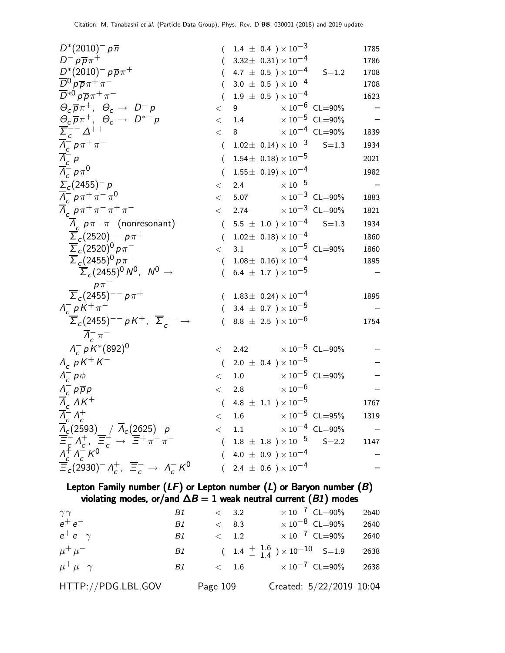| $D^{*}(2010)^{-} p \overline{n}$                                                                                                                                                                                                                                                                                                                                                                                                                               |                  | $(1.4 \pm 0.4) \times 10^{-3}$              |                           | 1785 |
|----------------------------------------------------------------------------------------------------------------------------------------------------------------------------------------------------------------------------------------------------------------------------------------------------------------------------------------------------------------------------------------------------------------------------------------------------------------|------------------|---------------------------------------------|---------------------------|------|
| $D^- p \overline{p} \pi^+$                                                                                                                                                                                                                                                                                                                                                                                                                                     |                  | $(3.32 \pm 0.31) \times 10^{-4}$            |                           | 1786 |
| $D^{*}(2010)^{-} p \overline{p} \pi^{+}$                                                                                                                                                                                                                                                                                                                                                                                                                       | $\left($         | 4.7 $\pm$ 0.5 $\times$ 10 $^{-4}$           | $S = 1.2$                 | 1708 |
| $\overline{D}{}^0 \rho \overline{\rho} \pi^+ \pi^-$                                                                                                                                                                                                                                                                                                                                                                                                            | $\left($         | $3.0 \pm 0.5$ ) $\times 10^{-4}$            |                           | 1708 |
| $\overline{D}^{*0} p \overline{p} \pi^+ \pi^-$                                                                                                                                                                                                                                                                                                                                                                                                                 | $\left($         | $1.9 \pm 0.5$ ) $\times 10^{-4}$            |                           | 1623 |
| $\Theta_c \overline{p} \pi^+$ , $\Theta_c \rightarrow D^- p$                                                                                                                                                                                                                                                                                                                                                                                                   | $\lt$            | 9 $\times 10^{-6}$ CL=90%                   |                           |      |
| $\Theta_c \overline{p} \pi^+, \ \Theta_c \rightarrow \ D^{*-} p$                                                                                                                                                                                                                                                                                                                                                                                               | $\lt$            | 1.4 $\times 10^{-5}$ CL=90%                 |                           |      |
| $\overline{\Sigma}_{c}^{--} \Delta^{++}$                                                                                                                                                                                                                                                                                                                                                                                                                       | $\lt$            | $8 \overline{3}$                            | $\times$ $10^{-4}$ CL=90% | 1839 |
| $\frac{\overline{\Lambda}_c^{\scriptscriptstyle C}}{\overline{\Lambda}_c^{\scriptscriptstyle C}} p \pi^+ \pi^-$<br>$\frac{\overline{\Lambda}_c^{\scriptscriptstyle C}}{\overline{\Lambda}_c^{\scriptscriptstyle C}} p \pi^0$                                                                                                                                                                                                                                   | $\left($         | $1.02\pm\phantom{0}0.14) \times 10^{-3}$    | $S = 1.3$                 | 1934 |
|                                                                                                                                                                                                                                                                                                                                                                                                                                                                |                  | $(1.54\pm 0.18)\times 10^{-5}$              |                           | 2021 |
|                                                                                                                                                                                                                                                                                                                                                                                                                                                                | $\overline{(}$   | $1.55\pm 0.19 \times 10^{-4}$               |                           | 1982 |
| $\Sigma_c(2455)^- p$                                                                                                                                                                                                                                                                                                                                                                                                                                           | $\lt$            | 2.4 $\times 10^{-5}$                        |                           |      |
| $\overline{\Lambda}_{c}^{-} p \pi^{+} \pi^{-} \pi^{0}$                                                                                                                                                                                                                                                                                                                                                                                                         |                  | $< 5.07 \times 10^{-3} \text{ CL} = 90\%$   |                           | 1883 |
| $\overline{\Lambda}_c^- p \pi^+ \pi^- \pi^+ \pi^-$                                                                                                                                                                                                                                                                                                                                                                                                             | $\lt$            | 2.74 $\times 10^{-3}$ CL=90%                |                           | 1821 |
| $\overline{\Lambda}_{c}^{-} p \pi^{+} \pi^{-}$ (nonresonant)                                                                                                                                                                                                                                                                                                                                                                                                   | $\left($         | $5.5 \pm 1.0$ $\times 10^{-4}$ S=1.3        |                           | 1934 |
| $\overline{\Sigma}_c (2520)^{--} p \pi^+$                                                                                                                                                                                                                                                                                                                                                                                                                      | $\overline{(\ }$ | $1.02 \pm 0.18 \times 10^{-4}$              |                           | 1860 |
| $\overline{\Sigma}_c(2520)^0 p \pi^-$                                                                                                                                                                                                                                                                                                                                                                                                                          | $\lt$            | 3.1 $\times 10^{-5}$ CL=90%                 |                           | 1860 |
| $\overline{\Sigma}_c(2455)^0 p \pi^-$                                                                                                                                                                                                                                                                                                                                                                                                                          |                  | $(1.08\pm 0.16)\times 10^{-4}$              |                           | 1895 |
| $\overline{\Sigma}_c(2455)^0 N^0$ , $N^0 \rightarrow$                                                                                                                                                                                                                                                                                                                                                                                                          |                  | $(6.4 \pm 1.7) \times 10^{-5}$              |                           |      |
| $p\pi^-$                                                                                                                                                                                                                                                                                                                                                                                                                                                       |                  |                                             |                           |      |
| $\overline{\Sigma}_c (2455)^{--} p \pi^+$                                                                                                                                                                                                                                                                                                                                                                                                                      |                  | $(1.83 \pm 0.24) \times 10^{-4}$            |                           | 1895 |
| $\Lambda_c^- p K^+ \pi^-$                                                                                                                                                                                                                                                                                                                                                                                                                                      |                  | $(3.4 \pm 0.7) \times 10^{-5}$              |                           |      |
| $\overline{\Sigma}_c(2455)^{--} pK^+$ , $\overline{\Sigma}_c^{--} \rightarrow$                                                                                                                                                                                                                                                                                                                                                                                 | $\left($         | 8.8 $\pm$ 2.5 ) $\times$ 10 <sup>-6</sup>   |                           | 1754 |
| $\Lambda_c^- \pi^-$                                                                                                                                                                                                                                                                                                                                                                                                                                            |                  |                                             |                           |      |
| $\Lambda_c^- p K^*(892)^0$                                                                                                                                                                                                                                                                                                                                                                                                                                     |                  | $<$ 2.42 $\times 10^{-5}$ CL=90%            |                           |      |
| $\Lambda_c^- p K^+ K^-$                                                                                                                                                                                                                                                                                                                                                                                                                                        |                  | $(2.0 \pm 0.4) \times 10^{-5}$              |                           |      |
| $\Lambda_c^- p\phi$                                                                                                                                                                                                                                                                                                                                                                                                                                            | $\lt$            | 1.0 $\times 10^{-5}$ CL=90%                 |                           |      |
| $\Lambda_c^- p \overline{p} p$                                                                                                                                                                                                                                                                                                                                                                                                                                 | $\lt$            | 2.8 $\times 10^{-6}$                        |                           |      |
| $\overline{\Lambda}_{c}^{-} \Lambda K^{+}$                                                                                                                                                                                                                                                                                                                                                                                                                     | $\left($         | $4.8 \pm 1.1$ $\times 10^{-5}$              |                           | 1767 |
| $\overline{\Lambda}_{c}^{-} \Lambda_{c}^{+}$                                                                                                                                                                                                                                                                                                                                                                                                                   | $\lt$            | 1.6 $\times 10^{-5}$ CL=95%                 |                           | 1319 |
|                                                                                                                                                                                                                                                                                                                                                                                                                                                                | $\lt$            | $\times$ 10 <sup>-4</sup> CL=90%<br>$1.1\,$ |                           |      |
|                                                                                                                                                                                                                                                                                                                                                                                                                                                                |                  | $(1.8 \pm 1.8) \times 10^{-5}$ S=2.2        |                           | 1147 |
|                                                                                                                                                                                                                                                                                                                                                                                                                                                                |                  | $(4.0 \pm 0.9) \times 10^{-4}$              |                           |      |
| $\frac{\overline{\Lambda}_c(2593)^{-}}{\overline{\Xi}_c^{-}} \overline{\Lambda}_c^{+}, \frac{\overline{\Xi}_c^{-}}{\overline{\Xi}_c^{-}} \rightarrow \frac{\overline{\Xi}^{+}}{\overline{\Xi}^{+}} \pi^{-} \pi^{-}$<br>$\frac{\Lambda_c^{+}}{\overline{\Xi}_c} \overline{\Lambda}_c^{-} K^0$<br>$\frac{\overline{\Xi}_c(2930)^{-}}{\overline{\Xi}_c(2930)^{-}} \Lambda_c^{+}, \frac{\overline{\Xi}_c^{-}}{\overline{\Xi}_c^{-}} \rightarrow \Lambda_c^{-} K^0$ |                  | $(2.4 \pm 0.6) \times 10^{-4}$              |                           |      |
|                                                                                                                                                                                                                                                                                                                                                                                                                                                                |                  |                                             |                           |      |

Lepton Family number  $(LF)$  or Lepton number  $(L)$  or Baryon number  $(B)$ violating modes, or/and  $\Delta B=1$  weak neutral current  $(B1)$  modes

| $\gamma\gamma$       | B1   | $\langle$ 3.2 |               | $\times 10^{-7}$ CL=90%                      | 2640 |
|----------------------|------|---------------|---------------|----------------------------------------------|------|
| $e^+e^-$             | B1   | < 8.3         |               | $\times$ 10 $^{-8}$ CL=90%                   | 2640 |
| $e^+e^-\gamma$       | B1.  |               | $\langle$ 1.2 | $\times$ 10 $^{-7}~$ CL=90%                  | 2640 |
| $\mu^+ \mu^-$        | B1 — |               |               | $(1.4 \frac{+}{-1.4}) \times 10^{-10}$ S=1.9 | 2638 |
| $\mu^+ \mu^- \gamma$ | B1 — |               |               | $< 1.6 \times 10^{-7}$ CL=90% 2638           |      |
| HTTP://PDG.LBL.GOV   |      | Page 109      |               | Created: 5/22/2019 10:04                     |      |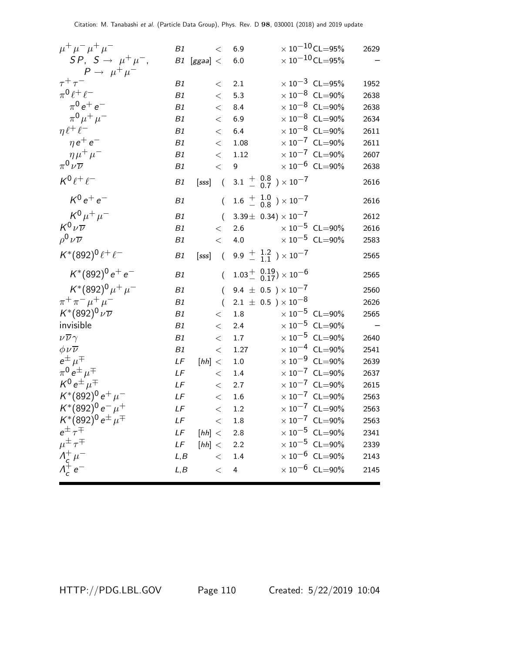| $\mu^+ \mu^- \mu^+ \mu^-$                                                  | B1   | $\lt$            | 6.9              | $\times$ 10 $^{-10}$ CL $=$ 95%                                    | 2629 |
|----------------------------------------------------------------------------|------|------------------|------------------|--------------------------------------------------------------------|------|
| $SP, S \rightarrow \mu^+ \mu^-,$                                           |      | $B1$ [ggaa] $<$  | 6.0              | $\times$ 10 $^{-10}$ CL $=$ 95%                                    |      |
| $P \rightarrow \mu^+ \mu^-$                                                |      |                  |                  |                                                                    |      |
| $\tau^+\tau^-$                                                             | B1   | $\lt$            | 2.1              | $\times$ 10 <sup>-3</sup> CL=95%                                   | 1952 |
| $\pi^0 \ell^+ \ell^-$                                                      | B1   | $\lt$            | 5.3              | $\times$ 10 <sup>-8</sup> CL=90%                                   | 2638 |
| $\pi^{0} e^{+} e^{-}$                                                      | B1   | $\,<\,$          | 8.4              | $\times$ 10 <sup>-8</sup> CL=90%                                   | 2638 |
| $\pi^{0} \mu^{+} \mu^{-}$                                                  | B1   | $\lt$            | 6.9              | $\times$ 10 <sup>-8</sup> CL=90%                                   | 2634 |
| $\eta \ell^+ \ell^-$                                                       | B1   | $\lt$            | 6.4              | $\times$ 10 <sup>-8</sup> CL=90%                                   | 2611 |
| $\eta e^+ e^-$                                                             | B1   | $\,<$            | 1.08             | $\times$ 10 <sup>-7</sup> CL=90%                                   | 2611 |
| $\eta \mu^+ \mu^-$                                                         | B1   | $\,<\,$          | 1.12             | $\times 10^{-7}$ CL=90%                                            | 2607 |
| $\pi^0\nu\overline{\nu}$                                                   | B1   | $\lt$            | $\boldsymbol{9}$ | $\times\,10^{-6}$ CL=90%                                           | 2638 |
| $K^0\ell^+\ell^-$                                                          | B1   | [sss]            |                  | $(3.1 \pm 0.8 \pm 0.7) \times 10^{-7}$                             | 2616 |
| $K^0 e^+ e^-$                                                              | B1   | $\overline{(\ }$ |                  | $1.6 \begin{array}{c} + 1.0 \\ - 0.8 \end{array}$ $\times 10^{-7}$ | 2616 |
| $K^{0}\mu^{+}\mu^{-}$                                                      | B1   | $\overline{(\ }$ |                  | 3.39 ± 0.34) $\times$ 10 <sup>-7</sup>                             | 2612 |
| $K^0\nu\overline{\nu}$                                                     | B1   | $\lt$            | 2.6              | $\times$ 10 $^{-5}$ CL=90%                                         | 2616 |
| $\rho^0 \nu \overline{\nu}$                                                | B1   | $\,<\,$          | 4.0              | $\times 10^{-5}$ CL=90%                                            | 2583 |
| $K^*(892)^0 \, \ell^+ \, \ell^-$                                           | B1   |                  |                  | [sss] $(9.9 \frac{+}{1.1}) \times 10^{-7}$                         | 2565 |
| $K^*(892)^0 e^+ e^-$                                                       | B1   | $\overline{(\ }$ |                  | $1.03^{+}_{-}$ $0.19$ $\times 10^{-6}$                             | 2565 |
| $K^*(892)^0 \mu^+ \mu^-$                                                   | B1   | $\left($         |                  | 9.4 $\pm$ 0.5 $) \times 10^{-7}$                                   | 2560 |
| $\pi^+ \pi^- \mu^+ \mu^-$                                                  | B1   | $\overline{(}$   |                  | $2.1 \pm 0.5$ ) $\times 10^{-8}$                                   | 2626 |
| $K^{*}(892)^{0} \nu \overline{\nu}$                                        | B1   | $\lt$            | $1.8\,$          | $\times 10^{-5}$ CL=90%                                            | 2565 |
| invisible                                                                  | B1   | $\,<\,$          | 2.4              | $\times$ 10 <sup>-5</sup> CL=90%                                   |      |
| $\nu\overline{\nu}\gamma$                                                  | B1   | $\lt$            | 1.7              | $\times 10^{-5}$ CL=90%                                            | 2640 |
| $\phi \nu \overline{\nu}$                                                  | B1   | $<\,$            | 1.27             | $\times$ 10 <sup>-4</sup> CL=90%                                   | 2541 |
| $e^{\pm}$ $\mu^{\mp}$                                                      | LF   | [hh] <           | $1.0\,$          | $\times$ 10 <sup>-9</sup> CL=90%                                   | 2639 |
| $\pi^0 e^{\pm} \mu^{\mp}$                                                  | LF   | $\lt$            | $1.4\,$          | $\times 10^{-7}$ CL=90%                                            | 2637 |
| $K^0 e^{\pm} \mu^{\mp}$                                                    | LF   | $\,<\,$          | 2.7              | $\times$ 10 <sup>-7</sup> CL=90%                                   | 2615 |
| $K^*(892)^0 e^+ \mu^-$                                                     | LF   | $\lt$            | 1.6              | $\times 10^{-7}$ CL=90%                                            | 2563 |
| $K^*(892)^0 e^- \mu^+$                                                     | LF   | $<\,$            | 1.2              | $\times$ $10^{-7}$ $\,$ CL=90%                                     | 2563 |
| $K^*(892)^0 e^{\pm} \mu^{\mp}$                                             | LF   |                  | $\rm < -1.8$     | $\times 10^{-7}$ CL=90%                                            | 2563 |
| $e^{\pm} \tau^{\mp}$                                                       |      | $LF$ [hh] < 2.8  |                  | $\times$ $10^{-5}\,$ CL=90%                                        | 2341 |
|                                                                            | LF   | [hh] < 2.2       |                  | $\times$ 10 <sup>-5</sup> CL=90%                                   | 2339 |
|                                                                            | L, B |                  | $\rm < -1.4$     | $\times 10^{-6}$ CL=90%                                            | 2143 |
| $\mu^{\pm} \tau^{\mp}$<br>$\Lambda_c^{\pm} \mu^-$<br>$\Lambda_c^{\pm} e^-$ | L, B | $\lt$            | $\overline{4}$   | $\times$ $10^{-6}\,$ CL=90%                                        | 2145 |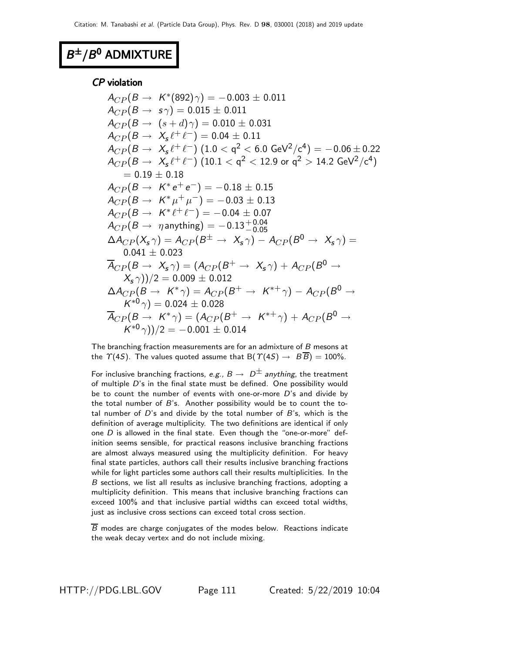# $B^{\pm}/B^0$  ADMIXTURE

### CP violation

 $A_{CP} (B \to K^{*}(892) \gamma) = -0.003 \pm 0.011$  $A_{CP}(B \rightarrow s\gamma) = 0.015 \pm 0.011$  $A_{CP}(B \to (s+d)\gamma) = 0.010 \pm 0.031$  $A_{CP}(B \to X_s \ell^+ \ell^-) = 0.04 \pm 0.11$  $A_{CP} (B \to~X_{\sf s} \, \ell^+ \, \ell^-)~(1.0 <{\sf q}^2 < 6.0~{\sf GeV}^2/{\sf c}^4) = -\,0.06 \pm 0.22$  $A_{CP}(B\rightarrow~X_s\ell^+\ell^-)~(10.1 < \mathsf{q}^2 < 12.9$  or  $\mathsf{q}^2 > 14.2~\mathsf{GeV}^2/\mathsf{c}^4)$  $= 0.19 + 0.18$  $A_{CP} (B \rightarrow~\mathit{K}^* \, e^+ \, e^-) = -\,0.18 \pm 0.15$  $A_{CP} (B \to~K^* \mu^+ \mu^-) = -0.03 \pm 0.13$  $A_{CP}(B \to K^* \ell^+ \ell^-) = -0.04 \pm 0.07$  $A_{CP}(B \to \eta \text{ anything}) = -0.13^{+0.04}_{-0.05}$  $\Delta A_{CP}(X_s\gamma) = A_{CP}(B^{\pm} \rightarrow X_s\gamma) - A_{CP}(B^{0} \rightarrow X_s\gamma) =$  $0.041 + 0.023$  $\overline{A}_{CP}(B\to X_s\gamma) = (A_{CP}(B^+\to X_s\gamma) + A_{CP}(B^0\to$  $(X_s \gamma))/2 = 0.009 \pm 0.012$  $\Delta A_{CP}(B\to~K^*\gamma)=A_{CP}(B^+\to~K^{*+}\gamma)-A_{CP}(B^0\to~% \gamma)$  $\mathcal{K}^{*0}\gamma) = 0.024\pm0.028$  $\overline{A}_{CP}(B\to~K^*\gamma)=(A_{CP}(B^+\to~K^{*+}\gamma)+A_{CP}(B^0\to~\gamma)$  $({\sf K}^{*0}\gamma))/2 = -0.001 \pm 0.014$ 

The branching fraction measurements are for an admixture of B mesons at the  $\Upsilon(4S)$ . The values quoted assume that B( $\Upsilon(4S) \rightarrow B\overline{B}$ ) = 100%.

For inclusive branching fractions, e.g.,  $B \to D^{\pm}$  anything, the treatment of multiple D's in the final state must be defined. One possibility would be to count the number of events with one-or-more  $D$ 's and divide by the total number of  $B$ 's. Another possibility would be to count the total number of  $D$ 's and divide by the total number of  $B$ 's, which is the definition of average multiplicity. The two definitions are identical if only one  $D$  is allowed in the final state. Even though the "one-or-more" definition seems sensible, for practical reasons inclusive branching fractions are almost always measured using the multiplicity definition. For heavy final state particles, authors call their results inclusive branching fractions while for light particles some authors call their results multiplicities. In the B sections, we list all results as inclusive branching fractions, adopting a multiplicity definition. This means that inclusive branching fractions can exceed 100% and that inclusive partial widths can exceed total widths, just as inclusive cross sections can exceed total cross section.

B modes are charge conjugates of the modes below. Reactions indicate the weak decay vertex and do not include mixing.

HTTP://PDG.LBL.GOV Page 111 Created: 5/22/2019 10:04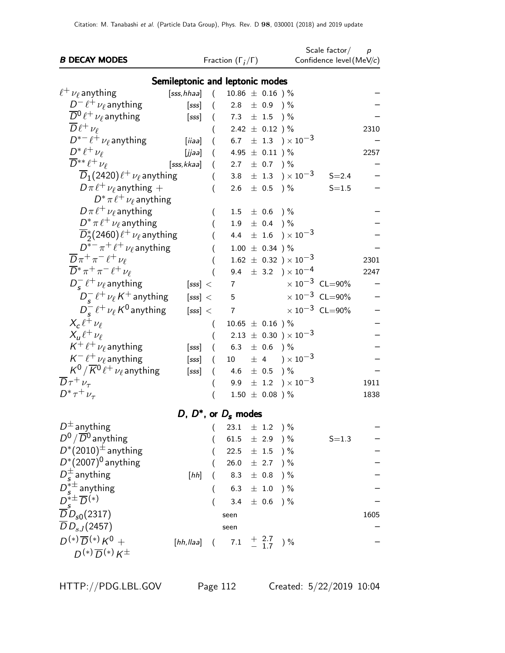| <b>B DECAY MODES</b>                            |                                 |                  | Fraction $(\Gamma_i/\Gamma)$                |                     |                                                    | Scale factor/<br>Confidence level (MeV/c) | $\boldsymbol{p}$ |
|-------------------------------------------------|---------------------------------|------------------|---------------------------------------------|---------------------|----------------------------------------------------|-------------------------------------------|------------------|
|                                                 |                                 |                  |                                             |                     |                                                    |                                           |                  |
|                                                 | Semileptonic and leptonic modes |                  |                                             |                     |                                                    |                                           |                  |
| $\ell^+ \nu_\ell$ anything                      | [sss,hhaa]                      | $\left($         | $10.86 \pm 0.16$ )%                         |                     |                                                    |                                           |                  |
| $D^- \ell^+ \nu_\ell$ anything                  | [sss]                           | $\left($         | 2.8 $\pm$ 0.9 ) %                           |                     |                                                    |                                           |                  |
| $\overline{D}{}^0\ell^+\nu_\ell$ anything       | [sss]                           | $\left($         | $7.3$ $\pm$ $1.5$ $)\,\%$                   |                     |                                                    |                                           |                  |
| $\overline{D}\ell^+\nu_\ell$                    |                                 |                  |                                             | 2.42 $\pm$ 0.12 ) % |                                                    |                                           | 2310             |
| $D^{*-}\ell^+\nu_\ell$ anything                 | [iiaa]                          | $\overline{(\ }$ |                                             |                     | 6.7 $\pm$ 1.3 $) \times 10^{-3}$                   |                                           |                  |
| $D^* \ell^+ \nu_\ell$                           | [jjaa]                          | $\left($         | 4.95 $\pm$ 0.11 ) %                         |                     |                                                    |                                           | 2257             |
| $\overline{D}^{**}\ell^+\nu_{\ell}$             | [sss,kkaa]                      | $\overline{(\ }$ | 2.7 $\pm$ 0.7 $\frac{1}{2}$                 |                     |                                                    |                                           |                  |
| $D_1(2420)\ell^+\nu_\ell$ anything              |                                 | $\overline{(\ }$ |                                             |                     | 3.8 $\pm$ 1.3 $) \times 10^{-3}$                   | $S = 2.4$                                 |                  |
| $D\pi \ell^+ \nu_\ell$ anything +               |                                 |                  |                                             | 2.6 $\pm$ 0.5 ) %   |                                                    | $S = 1.5$                                 |                  |
| $D^* \pi \ell^+ \nu_\ell$ anything              |                                 |                  |                                             |                     |                                                    |                                           |                  |
| $D\pi \ell^+ \nu_\ell$ anything                 |                                 |                  |                                             | $1.5 \pm 0.6$ ) %   |                                                    |                                           |                  |
| $D^* \pi \ell^+ \nu_\ell$ anything              |                                 |                  |                                             | $1.9 \pm 0.4$ ) %   |                                                    |                                           |                  |
| $\overline{D}_2^*(2460)\ell^+\nu_\ell$ anything |                                 |                  |                                             |                     | 4.4 $\pm$ 1.6 $) \times 10^{-3}$                   |                                           |                  |
| $D^{*-}\pi^+\ell^+\nu_\ell$ anything            |                                 |                  |                                             | $1.00 \pm 0.34$ )%  |                                                    |                                           |                  |
| $\overline{D}\pi^+\pi^-\ell^+\nu_\ell$          |                                 |                  |                                             |                     | $1.62 \pm 0.32$ ) × $10^{-3}$                      |                                           | 2301             |
| $\overline{D}^* \pi^+ \pi^- \ell^+ \nu_\ell$    |                                 |                  | 9.4                                         |                     | $\pm$ 3.2 ) $\times$ 10 <sup>-4</sup>              |                                           | 2247             |
| $D_{s}^{-} \ell^{+} \nu_{\ell}$ anything        | [sss] <                         |                  | $\overline{7}$                              |                     |                                                    | $\times 10^{-3}$ CL=90%                   |                  |
| $D_{s}^{-} \ell^{+} \nu_{\ell} K^{+}$ anything  | [sss] <                         |                  | 5                                           |                     |                                                    | $\times 10^{-3}$ CL=90%                   |                  |
| $D_{s}^{-} \ell^{+} \nu_{\ell} K^{0}$ anything  | [sss] <                         |                  | $\overline{7}$                              |                     |                                                    | $\times 10^{-3}$ CL=90%                   |                  |
| $X_c \ell^+ \nu_\ell$                           |                                 | $\left($         | $10.65 \pm 0.16$ )%                         |                     |                                                    |                                           |                  |
| $X_{\mu}\ell^+\nu_{\ell}$                       |                                 |                  |                                             |                     | $2.13 \pm 0.30$ ) × $10^{-3}$                      |                                           |                  |
| $K^+ \ell^+ \nu_\ell$ anything                  | [sss]                           | $\left($         |                                             | 6.3 $\pm$ 0.6 ) %   |                                                    |                                           |                  |
| $K^-\ell^+\nu_\ell$ anything                    | [sss]                           | (                |                                             |                     | 10 $\pm$ 4 $\rightarrow$ $\times$ 10 <sup>-3</sup> |                                           |                  |
| $K^0/\overline{K}{}^0\ell^+\nu_\ell$ anything   | [sss]                           |                  | 4.6 $\pm$ 0.5 $\frac{1}{6}$                 |                     |                                                    |                                           |                  |
| $\overline{D}\tau^+\nu_\tau$                    |                                 |                  |                                             |                     | 9.9 $\pm$ 1.2 $) \times 10^{-3}$                   |                                           | 1911             |
| $D^* \tau^+ \nu_{\tau}$                         |                                 |                  |                                             | $1.50 \pm 0.08$ )%  |                                                    |                                           | 1838             |
|                                                 | D, $D^*$ , or $D_s$ modes       |                  |                                             |                     |                                                    |                                           |                  |
| $D^{\pm}$ anything                              |                                 |                  |                                             |                     |                                                    |                                           |                  |
| $D^0$ / $\overline{D}{}^0$ anything             |                                 | (                | 23.1 $\pm$ 1.2 $\frac{1}{6}$                |                     |                                                    |                                           |                  |
| $D^*(2010)^{\pm}$ anything                      |                                 |                  | 61.5                                        | $\pm$ 2.9           | $)$ %                                              | $S = 1.3$                                 |                  |
| $D^*(2007)^0$ anything                          |                                 |                  | 22.5 $\pm$ 1.5 $\frac{1}{2}$                |                     |                                                    |                                           |                  |
|                                                 |                                 |                  | 26.0                                        | $\pm$ 2.7 ) %       |                                                    |                                           |                  |
| $D_{\epsilon}^{\pm}$ anything                   | [hh]                            |                  | 8.3                                         | $\pm$ 0.8 )%        |                                                    |                                           |                  |
| $D_s^{*\pm}$ anything                           |                                 |                  | 6.3                                         | $\pm$ 1.0           | $)$ %                                              |                                           |                  |
| $D_{\epsilon}^{*\pm} \overline{D}^{(*)}$        |                                 |                  | 3.4                                         | $\pm$ 0.6           | $)$ %                                              |                                           |                  |
| $\overline{D}D_{s0}(2317)$                      |                                 |                  | seen                                        |                     |                                                    |                                           | 1605             |
| $\overline{D}D_{sJ}(2457)$                      |                                 |                  | seen                                        |                     |                                                    |                                           |                  |
| $D^{(*)}\overline{D}^{(*)}K^0 +$                | $[hh, llaa]$ (                  |                  | $7.1 \quad {+ 2.7 \atop - \;1.7} \quad$ ) % |                     |                                                    |                                           |                  |
| $D^{(*)}\overline{D}^{(*)}K^{\pm}$              |                                 |                  |                                             |                     |                                                    |                                           |                  |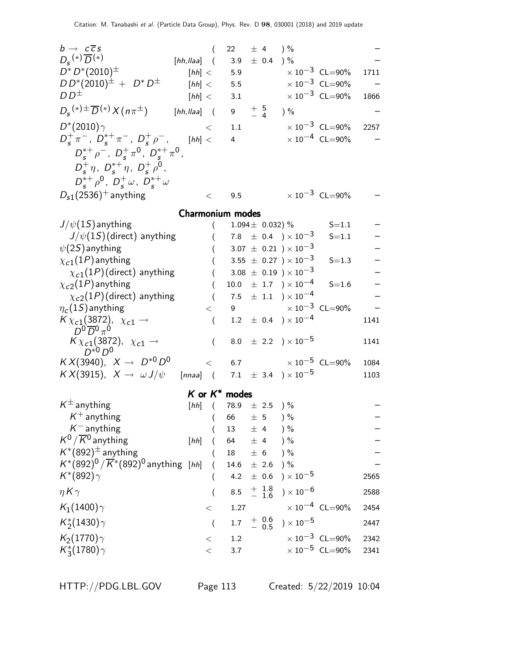| $b \rightarrow c\overline{c}s$                                             | (                |                         |                    | 22 $\pm$ 4 $\frac{9}{6}$           |                                  |      |
|----------------------------------------------------------------------------|------------------|-------------------------|--------------------|------------------------------------|----------------------------------|------|
| $D_{s}^{(*)}\overline{D}^{(*)}$                                            | $[hh, llaa]$ (   | 3.9                     |                    | $\pm$ 0.4 ) %                      |                                  |      |
| $D^* D^* (2010)^{\pm}$                                                     | [hh] <           | 5.9                     |                    |                                    | $\times 10^{-3}$ CL=90%          | 1711 |
| $DD^*(2010)^{\pm} + D^*D^{\pm}$                                            | [hh] <           | 5.5                     |                    |                                    | $\times$ 10 <sup>-3</sup> CL=90% |      |
| $DD^{\pm}$                                                                 | [hh] <           | 3.1                     |                    |                                    | $\times$ 10 <sup>-3</sup> CL=90% | 1866 |
| $D_{\rm s}$ <sup>(*)±</sup> $\overline{D}$ <sup>(*)</sup> $X(n\pi^{\pm})$  | $[hh, llaa]$ (   |                         |                    | 9 $\frac{+}{-}$ 5 ) %              |                                  |      |
| $D^*(2010)\gamma$                                                          | $\,<\,$          | 1.1                     |                    |                                    | $\times$ 10 $^{-3}$ CL=90%       | 2257 |
| $D_{s}^{+}\pi^{-}$ , $D_{s}^{*+}\pi^{-}$ , $D_{s}^{+}\rho^{-}$ ,           | [hh] <           | $4 \quad$               |                    |                                    | $\times 10^{-4}$ CL=90%          |      |
| $D_s^{*+} \rho^-$ , $D_s^+ \pi^0$ , $D_s^{*+} \pi^0$ ,                     |                  |                         |                    |                                    |                                  |      |
| $D_s^+ \eta$ , $D_s^{*+} \eta$ , $D_s^+ \rho^0$ ,                          |                  |                         |                    |                                    |                                  |      |
| $D_{s}^{*+}\rho^{0}$ , $D_{s}^{+}\omega$ , $D_{s}^{*+}\omega$              |                  |                         |                    |                                    |                                  |      |
| $D_{s1}(2536)^+$ anything                                                  | $\,<\,$          | 9.5                     |                    |                                    | $\times$ 10 <sup>-3</sup> CL=90% |      |
|                                                                            |                  |                         |                    |                                    |                                  |      |
|                                                                            | Charmonium modes |                         |                    |                                    |                                  |      |
| $J/\psi(1S)$ anything                                                      |                  |                         |                    | 1.094 $\pm$ 0.032) %               | $S = 1.1$                        |      |
| $J/\psi(1S)$ (direct) anything                                             |                  |                         |                    | 7.8 $\pm$ 0.4 $) \times 10^{-3}$   | $S = 1.1$                        |      |
| $\psi(2S)$ anything                                                        |                  |                         |                    | $3.07 \pm 0.21$ ) $\times 10^{-3}$ |                                  |      |
| $\chi_{c1}(1P)$ anything                                                   |                  |                         |                    | 3.55 $\pm$ 0.27 $) \times 10^{-3}$ | $S = 1.3$                        |      |
| $\chi_{c1}(1P)$ (direct) anything                                          |                  |                         |                    | $3.08 \pm 0.19$ ) $\times 10^{-3}$ |                                  |      |
| $\chi_{c2}(1P)$ anything                                                   |                  |                         |                    | $10.0 \pm 1.7$ $) \times 10^{-4}$  | $S = 1.6$                        |      |
| $\chi_{c2}(1P)$ (direct) anything                                          | $\left($         |                         |                    | $7.5$ $\pm$ 1.1 $)\times10^{-4}$   |                                  |      |
| $\eta_c(1S)$ anything                                                      | $\lt$            | 9                       |                    |                                    | $\times$ 10 <sup>-3</sup> CL=90% |      |
| $K\chi_{c1}(3872)$ , $\chi_{c1} \rightarrow$<br>$D^0\overline{D}{}^0\pi^0$ | $\left($         |                         |                    | $1.2 \pm 0.4$ ) $\times 10^{-4}$   |                                  | 1141 |
| $K\chi_{c1}(3872)$ , $\chi_{c1} \rightarrow$<br>$D^{*0}D^0$                | $\left($         |                         |                    | 8.0 $\pm$ 2.2 $) \times 10^{-5}$   |                                  | 1141 |
| $KX(3940), X \to D^{*0}D^0$                                                |                  | $\lt$                   |                    |                                    | 6.7 $\times 10^{-5}$ CL=90%      | 1084 |
| $KX(3915)$ , $X \to \omega J/\psi$ [nnaa] (7.1 ± 3.4 ) × 10 <sup>-5</sup>  |                  |                         |                    |                                    |                                  | 1103 |
|                                                                            |                  |                         |                    |                                    |                                  |      |
| $K^{\pm}$ anything                                                         |                  | $K$ or $K^*$ modes      |                    |                                    |                                  |      |
| $K^+$ anything                                                             |                  | [hh] $(78.9 \pm 2.5)$ % | ± 5                |                                    |                                  |      |
| $K^-$ anything                                                             |                  | 66<br>13                | ± 4                | ) %<br>) %                         |                                  |      |
| $K^0/\overline{K}{}^0$ anything                                            | [hh]             | 64                      | ± 4                | ) %                                |                                  |      |
| $K^*(892)^{\pm}$ anything                                                  |                  | 18                      | ± 6                | $)$ %                              |                                  |      |
| $K^{*}(892)^{0}/\overline{K}^{*}(892)^{0}$ anything [hh]                   |                  | 14.6                    | $\pm$ 2.6          | $)$ %                              |                                  |      |
| $K^*(892)\gamma$                                                           |                  | 4.2                     | $\pm$ 0.6          | ) $\times$ 10 $^{-5}$              |                                  | 2565 |
|                                                                            |                  |                         |                    |                                    |                                  |      |
| $\eta K \gamma$                                                            | (                | 8.5                     | $+$ 1.8<br>$-$ 1.6 | ) $\times$ 10 $^{-6}$              |                                  | 2588 |
| $K_1(1400)\gamma$                                                          | $<\,$            | 1.27                    |                    |                                    | $\times$ 10 <sup>-4</sup> CL=90% | 2454 |
| $K_2^*(1430)\gamma$                                                        | $\overline{(}$   | $1.7\,$                 | $+ 0.6$<br>- 0.5   | ) $\times$ 10 $^{-5}$              |                                  | 2447 |
| $K_2(1770)\gamma$                                                          | $\,<\,$          | 1.2                     |                    |                                    | $\times 10^{-3}$ CL=90%          | 2342 |
| $K_3^*(1780)\gamma$                                                        | $\,<$            | 3.7                     |                    |                                    | $\times$ 10 <sup>-5</sup> CL=90% | 2341 |
|                                                                            |                  |                         |                    |                                    |                                  |      |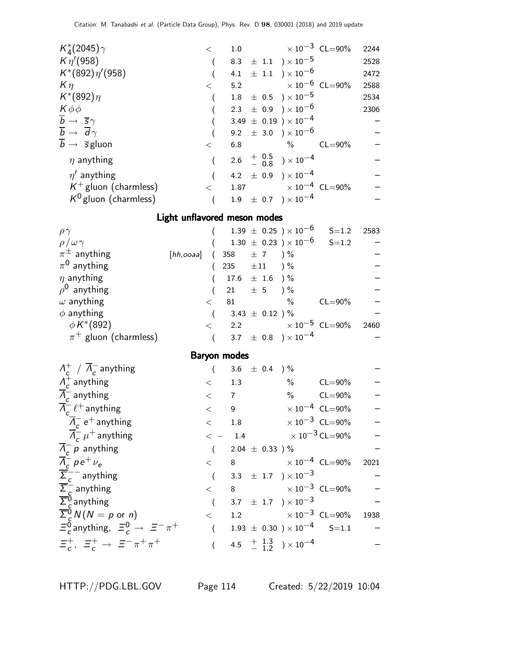| $\lt$ |     |      |                                                                                                                                                                                                                                                                                                                                                            | 2244                                                                                       |
|-------|-----|------|------------------------------------------------------------------------------------------------------------------------------------------------------------------------------------------------------------------------------------------------------------------------------------------------------------------------------------------------------------|--------------------------------------------------------------------------------------------|
|       |     |      |                                                                                                                                                                                                                                                                                                                                                            | 2528                                                                                       |
|       | 4.1 |      |                                                                                                                                                                                                                                                                                                                                                            | 2472                                                                                       |
| $\lt$ |     |      |                                                                                                                                                                                                                                                                                                                                                            | 2588                                                                                       |
|       |     |      |                                                                                                                                                                                                                                                                                                                                                            | 2534                                                                                       |
|       |     |      |                                                                                                                                                                                                                                                                                                                                                            | 2306                                                                                       |
|       |     |      |                                                                                                                                                                                                                                                                                                                                                            |                                                                                            |
|       |     |      |                                                                                                                                                                                                                                                                                                                                                            |                                                                                            |
| $\lt$ | 6.8 | $\%$ | $CL = 90\%$                                                                                                                                                                                                                                                                                                                                                |                                                                                            |
|       |     |      |                                                                                                                                                                                                                                                                                                                                                            |                                                                                            |
|       |     |      |                                                                                                                                                                                                                                                                                                                                                            |                                                                                            |
| $\lt$ |     |      |                                                                                                                                                                                                                                                                                                                                                            |                                                                                            |
|       |     |      |                                                                                                                                                                                                                                                                                                                                                            |                                                                                            |
|       |     |      | 8.3 $\pm$ 1.1 $) \times 10^{-5}$<br>$\pm$ 1.1 $)\times 10^{-6}$<br>$1.8 \pm 0.5$ ) $\times 10^{-5}$<br>2.3 $\pm$ 0.9 $) \times 10^{-6}$<br>3.49 $\pm$ 0.19 ) $\times$ 10 <sup>-4</sup><br>9.2 $\pm$ 3.0 $) \times 10^{-6}$<br>2.6 $\frac{+}{-}$ 0.5 $\rightarrow$ 10 <sup>-4</sup><br>4.2 $\pm$ 0.9 $) \times 10^{-4}$<br>$1.9 \pm 0.7$ $) \times 10^{-4}$ | 1.0 $\times 10^{-3}$ CL=90%<br>5.2 $\times 10^{-6}$ CL=90%<br>1.87 $\times 10^{-4}$ CL=90% |

### Light unflavored meson modes

| $\rho\gamma$              |                            |    |                          | $1.39 \pm 0.25$ ) $\times 10^{-6}$ | $S = 1.2$   | 2583 |
|---------------------------|----------------------------|----|--------------------------|------------------------------------|-------------|------|
| $\rho/\omega\gamma$       |                            |    |                          | $1.30 \pm 0.23$ ) $\times 10^{-6}$ | $S = 1.2$   |      |
| $\pi^{\pm}$ anything      | [hh,ooaa] (358 $\pm$ 7 ) % |    |                          |                                    |             |      |
| $\pi^0$ anything          |                            |    | 235 $\pm 11$ ) %         |                                    |             |      |
| $\eta$ anything           |                            |    | $17.6 \pm 1.6$ ) %       |                                    |             |      |
| $\rho^0$ anything         |                            |    | 21 $\pm$ 5 $\frac{1}{6}$ |                                    |             |      |
| $\omega$ anything         | $\,<\,$                    | 81 |                          | $\%$                               | $CL = 90\%$ |      |
| $\phi$ anything           |                            |    | 3.43 $\pm$ 0.12 ) %      |                                    |             |      |
| $\phi K^{*}(892)$         |                            |    |                          | 2.2 $\times 10^{-5}$ CL=90%        |             | 2460 |
| $\pi^+$ gluon (charmless) |                            |    |                          | 3.7 $\pm$ 0.8 $) \times 10^{-4}$   |             |      |

# Baryon modes

| $\Lambda_c^+$ / $\overline{\Lambda}_c^-$ anything                                                                       |              | 3.6 $\pm$ 0.4 ) %                                    |                                  |  |
|-------------------------------------------------------------------------------------------------------------------------|--------------|------------------------------------------------------|----------------------------------|--|
| $\Lambda_c^+$ anything                                                                                                  | $\lt$ 1.3    |                                                      | $\%$ CL=90%                      |  |
| $\overline{\Lambda}_{c}^{-}$ anything                                                                                   | $<$ 7        |                                                      | $\%$ CL=90%                      |  |
| $\overline{A}_{c}^{-} \ell^{+}$ anything                                                                                | $\lt$ $\sim$ | 9                                                    | $\times$ 10 <sup>-4</sup> CL=90% |  |
| $\overline{\Lambda}_{c}^{-}$ e <sup>+</sup> anything                                                                    | $\lt$ $\sim$ | 1.8 $\times 10^{-3}$ CL=90%                          |                                  |  |
| $\overline{\Lambda}_{c}^{-}$ $\mu^{+}$ anything                                                                         |              | $\epsilon$ - 1.4 $\times 10^{-3}$ CL=90%             |                                  |  |
| $\overline{A}_{c}^{-} p$ anything                                                                                       |              | 2.04 $\pm$ 0.33 ) %                                  |                                  |  |
|                                                                                                                         |              | $<$ 8 $\times 10^{-4}$ CL=90% 2021                   |                                  |  |
| $\frac{\overline{A}_c^-}{\overline{\Sigma}_c^-}$ anything                                                               |              | 3.3 $\pm$ 1.7 $\right) \times 10^{-3}$               |                                  |  |
|                                                                                                                         |              | $<$ 8 $\times 10^{-3}$ CL=90%                        |                                  |  |
| $\frac{\overline{\Sigma}_c^-}{\overline{\Sigma}_c^0}$ anything<br>$\frac{\overline{\Sigma}_c^0}{\Sigma_c^0}$ anything   |              | 3.7 $\pm$ 1.7 $) \times 10^{-3}$                     |                                  |  |
|                                                                                                                         | $\lt$        | 1.2 $\times 10^{-3}$ CL=90% 1938                     |                                  |  |
| $\overline{\Sigma}_{c}^{6} N(N = p \text{ or } n)$<br>$\Xi_{c}^{0}$ anything, $\Xi_{c}^{0} \rightarrow \Xi^{-} \pi^{+}$ |              | $1.93 \pm 0.30$ $) \times 10^{-4}$ S=1.1             |                                  |  |
| $\Xi_c^+$ , $\Xi_c^+$ $\to$ $\Xi^- \pi^+ \pi^+$                                                                         |              | 4.5 $\frac{+}{-}$ $\frac{1.3}{1.2}$ $\times 10^{-4}$ |                                  |  |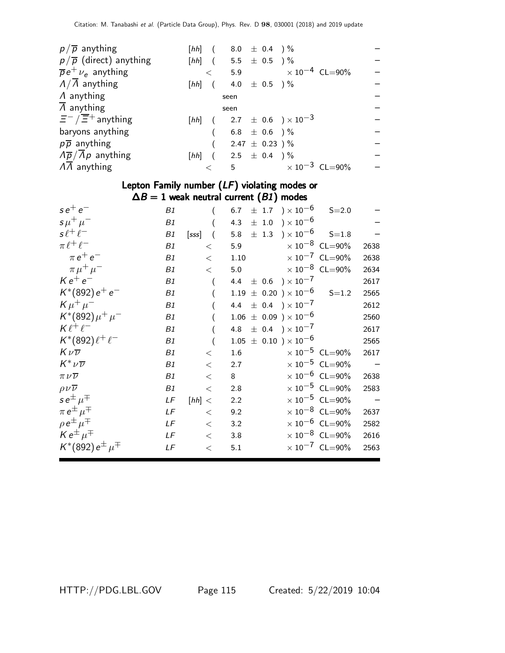| $p/\overline{p}$ anything                          |          |         | [hh] $(8.0 \pm 0.4)$ %    |  |                                     |  |
|----------------------------------------------------|----------|---------|---------------------------|--|-------------------------------------|--|
| $p/\overline{p}$ (direct) anything                 |          |         | [hh] $(5.5 \pm 0.5)$ %    |  |                                     |  |
| $\overline{p}e^+\nu_e$ anything                    |          | $\lt$   |                           |  | 5.9 $\times 10^{-4}$ CL=90%         |  |
| $\Lambda/\Lambda$ anything                         | $[hh]$ ( |         | 4.0 $\pm$ 0.5 $)\%$       |  |                                     |  |
| $\Lambda$ anything                                 |          |         | seen                      |  |                                     |  |
| $\overline{\Lambda}$ anything                      |          |         | seen                      |  |                                     |  |
| $\overline{\Xi}^-/\overline{\Xi}{}^+$ anything     |          |         |                           |  | [hh] $(2.7 \pm 0.6) \times 10^{-3}$ |  |
| baryons anything                                   |          |         | $6.8$ $\pm$ $0.6$ $)\,\%$ |  |                                     |  |
| $p\overline{p}$ anything                           |          |         | $2.47 \pm 0.23$ ) $\%$    |  |                                     |  |
| $\sqrt{\overline{p}}/\overline{\Lambda}p$ anything |          |         | [hh] $(2.5 \pm 0.4)$ %    |  |                                     |  |
| $\Lambda \overline{\Lambda}$ anything              |          | $\prec$ |                           |  | 5 $\times 10^{-3}$ CL=90%           |  |
|                                                    |          |         |                           |  |                                     |  |

## Lepton Family number (LF) violating modes or  $\Delta B = 1$  weak neutral current  $(B1)$  modes

| $se^+e^-$<br>B1                    |           |                  | 6.7 $\pm$ 1.7 $) \times 10^{-6}$         | $S = 2.0$                        |      |
|------------------------------------|-----------|------------------|------------------------------------------|----------------------------------|------|
| $\sigma \mu^+ \mu^-$<br>B1         |           |                  | 4.3 $\pm$ 1.0 $) \times 10^{-6}$         |                                  |      |
| $s\ell^+\ell^-$<br>B1              | $[sss]$ ( |                  | 5.8 $\pm$ 1.3 $) \times 10^{-6}$ S=1.8   |                                  |      |
| $\pi \ell^+ \ell^-$<br>B1          | $\lt$     | 5.9              | $\times$ 10 $^{-8}$ CL=90%               |                                  | 2638 |
| $\pi e^+e^-$<br>B1                 | $\lt$     |                  | 1.10 $\times 10^{-7}$ CL=90%             |                                  | 2638 |
| $\pi \mu^+ \mu^-$<br>B1            | $\lt$     |                  | 5.0 $\times 10^{-8}$ CL=90%              |                                  | 2634 |
| $K e^+ e^-$<br>B1                  |           |                  | $4.4 \pm 0.6$ ) $\times\,10^{-7}$        |                                  | 2617 |
| $K^*(892) e^+ e^-$<br>B1           |           |                  | $1.19 \pm 0.20$ $) \times 10^{-6}$ S=1.2 |                                  | 2565 |
| $K \mu^+ \mu^-$<br>B1              |           |                  | 4.4 $\pm$ 0.4 $) \times 10^{-7}$         |                                  | 2612 |
| $K^*(892)\mu^+\mu^-$<br>B1         |           |                  | $1.06 \pm 0.09$ ) $\times 10^{-6}$       |                                  | 2560 |
| $K\ell^+\ell^-$<br>B1              |           |                  | 4.8 $\pm$ 0.4 $) \times 10^{-7}$         |                                  | 2617 |
| $K^*(892)\ell^+\ell^-$<br>B1       |           |                  | $1.05 \pm 0.10$ ) $\times 10^{-6}$       |                                  | 2565 |
| $K\nu\overline{\nu}$<br>B1         | $\lt$     | $1.6\phantom{0}$ | $\times$ 10 $^{-5}$ CL=90%               |                                  | 2617 |
| $K^* \nu \overline{\nu}$<br>B1     | $\,<\,$   | 2.7              |                                          | $\times 10^{-5}$ CL=90%          |      |
| $\pi \nu \overline{\nu}$<br>B1     | $\,<\,$   | 8                |                                          | $\times$ 10 <sup>-6</sup> CL=90% | 2638 |
| $\rho\nu\overline{\nu}$<br>B1      | $\,<\,$   | 2.8              |                                          | $\times$ 10 <sup>-5</sup> CL=90% | 2583 |
| $se^{\pm}$ $\mu^{\mp}$<br>LF       | [hh] <    | 2.2              |                                          | $\times$ 10 <sup>-5</sup> CL=90% |      |
| $\pi e^{\pm} \mu^{\mp}$<br>LF      | $\lt$     | 9.2              |                                          | $\times$ 10 <sup>-8</sup> CL=90% | 2637 |
| $\rho e^{\pm} \mu^{\mp}$<br>LF     | $\lt$     | 3.2              |                                          | $\times$ 10 <sup>-6</sup> CL=90% | 2582 |
| $K e^{\pm} \mu^{\mp}$<br>LF        | $\lt$     | 3.8              |                                          | $\times$ 10 <sup>-8</sup> CL=90% | 2616 |
| $K^*(892) e^{\pm} \mu^{\mp}$<br>LF | $\,<$     | 5.1              |                                          | $\times$ 10 <sup>-7</sup> CL=90% | 2563 |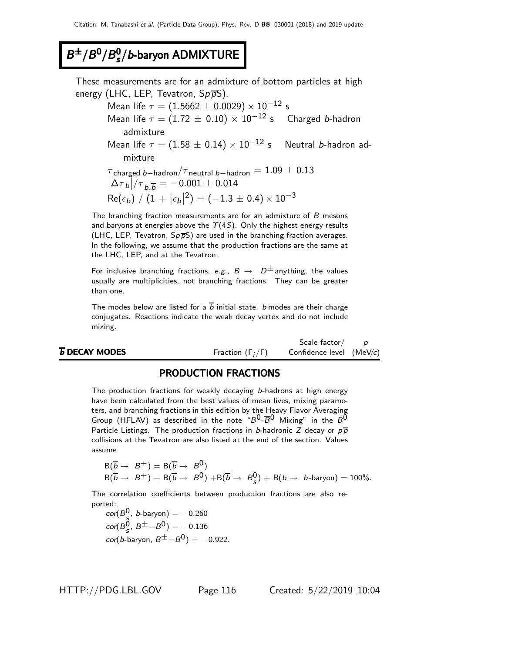#### $B^{\pm}/B^0/B_s^0$  $B^{\pm}/B^0/B_s^0/b$ -baryon ADMIXTURE

These measurements are for an admixture of bottom particles at high energy (LHC, LEP, Tevatron,  $Sp\overline{p}S$ ).

Mean life  $\tau = (1.5662 \pm 0.0029) \times 10^{-12}$  s Mean life  $\tau = (1.72 \pm 0.10) \times 10^{-12}$  s Charged b-hadron admixture Mean life  $\tau = (1.58 \pm 0.14) \times 10^{-12}$  s Neutral b-hadron admixture  $\tau$ charged b−hadron $/\tau$ neutral b−hadron  $= 1.09 \pm 0.13$ 

 $\left| \Delta{\tau}_b \right|/{\tau}_{b,\overline{b}} = -0.001 \pm 0.014$  $\textsf{Re}(\epsilon_{\pmb{b}})\bigm/ (1+|\epsilon_{\pmb{b}}|)$  $(2^2) = (-1.3 \pm 0.4) \times 10^{-3}$ 

The branching fraction measurements are for an admixture of B mesons and baryons at energies above the  $\Upsilon(4S)$ . Only the highest energy results (LHC, LEP, Tevatron,  $Sp\overline{p}S$ ) are used in the branching fraction averages. In the following, we assume that the production fractions are the same at the LHC, LEP, and at the Tevatron.

For inclusive branching fractions, e.g.,  $B \rightarrow D^{\pm}$  anything, the values usually are multiplicities, not branching fractions. They can be greater than one.

The modes below are listed for a  $\overline{b}$  initial state. *b* modes are their charge conjugates. Reactions indicate the weak decay vertex and do not include mixing.

|                            |                              | Scale factor $\sqrt{}$   |  |
|----------------------------|------------------------------|--------------------------|--|
| $\overline{b}$ DECAY MODES | Fraction $(\Gamma_i/\Gamma)$ | Confidence level (MeV/c) |  |
|                            |                              |                          |  |

### PRODUCTION FRACTIONS

The production fractions for weakly decaying b-hadrons at high energy have been calculated from the best values of mean lives, mixing parameters, and branching fractions in this edition by the Heavy Flavor Averaging Group (HFLAV) as described in the note " $B^0$ - $\overline{B}^0$  Mixing" in the  $B^0$ Particle Listings. The production fractions in b-hadronic Z decay or  $p\overline{p}$ collisions at the Tevatron are also listed at the end of the section. Values assume

$$
B(\overline{b} \rightarrow B^+) = B(\overline{b} \rightarrow B^0)
$$
  
 
$$
B(\overline{b} \rightarrow B^+) + B(\overline{b} \rightarrow B^0) + B(\overline{b} \rightarrow B^0_s) + B(b \rightarrow b\text{-baryon}) = 100\%.
$$

The correlation coefficients between production fractions are also reported:

 $\textit{cor}(B_{\frac{5}{3}}^0, b\text{-baryon}) = -0.260$  $\text{cor}(B^0_{\sf s},\ B^{\pm} = B^0) = -0.136$  $cor(b$ -baryon,  $B^{\pm} = B^0$ ) = -0.922.

HTTP://PDG.LBL.GOV Page 116 Created: 5/22/2019 10:04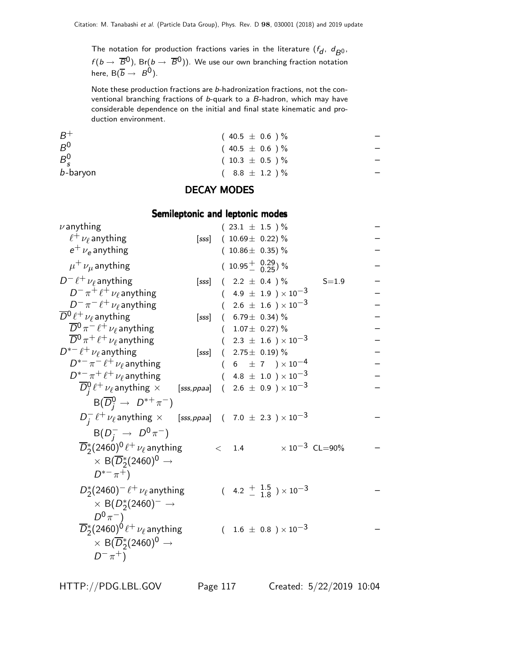The notation for production fractions varies in the literature  $(f_d, d_{B^0},$  $f( b \to \ \overline{B}{}^0)$ , Br $( b \to \ \overline{B}{}^0)$ ). We use our own branching fraction notation here,  $B(\overline{b} \rightarrow B^0)$ .

Note these production fractions are b-hadronization fractions, not the conventional branching fractions of b-quark to a B-hadron, which may have considerable dependence on the initial and final state kinematic and production environment.

| $B^+$         | $(40.5 \pm 0.6)$ %  |  |
|---------------|---------------------|--|
| $B^0$         | $(40.5 \pm 0.6)$ %  |  |
| $B_{\rm c}^0$ | $(10.3 \pm 0.5) \%$ |  |
| b-baryon      | $(8.8 \pm 1.2)$ %   |  |

### DECAY MODES

### Semileptonic and leptonic modes

| $\nu$ anything                                                                                |             | $(23.1 \pm 1.5) \%$          |                                                    |                         |  |
|-----------------------------------------------------------------------------------------------|-------------|------------------------------|----------------------------------------------------|-------------------------|--|
| $\ell^+ \nu_\ell$ anything                                                                    | [sss]       | $(10.69 \pm 0.22)\%$         |                                                    |                         |  |
| $e^+$ $\nu_e$ anything                                                                        |             | $(10.86 \pm 0.35)\%$         |                                                    |                         |  |
| $\mu^+ \nu_\mu$ anything                                                                      |             | $(10.95 \frac{+}{0} 0.29)$ % |                                                    |                         |  |
| $D^- \ell^+ \nu_\ell$ anything                                                                | [sss]       | $(2.2 \pm 0.4) \%$           |                                                    | $S = 1.9$               |  |
| $D^-\,\pi^+\,\ell^+\,\nu_\ell$ anything                                                       |             |                              | $(4.9 \pm 1.9) \times 10^{-3}$                     |                         |  |
| $D^- \pi^- \ell^+ \nu_\ell$ anything                                                          |             |                              | $2.6 \pm 1.6$ ) $\times 10^{-3}$                   |                         |  |
| $\overline{D}{}^0\ell^+\nu_\ell$ anything                                                     | [sss]       | $(6.79 \pm 0.34)\%$          |                                                    |                         |  |
| $\overline{D}{}^0 \pi^- \ell^+ \nu_\ell$ anything                                             |             | $(1.07 \pm 0.27)\%$          |                                                    |                         |  |
| $\overline{D}{}^0 \pi^+ \ell^+ \nu_\ell$ anything                                             |             |                              | $($ 2.3 $\pm$ 1.6 $)\times10^{-3}$                 |                         |  |
| $D^{*-} \ell^+ \nu_\ell$ anything                                                             | [sss]       | $(2.75 \pm 0.19)$ %          |                                                    |                         |  |
| $D^{\ast -} \pi^- \, \ell^+ \, \nu_\ell$ anything                                             |             |                              | $(6\pm7)\times10^{-4}$                             |                         |  |
| $D^{*-}\pi^+\ell^+\nu_\ell$ anything                                                          |             |                              | $4.8~\pm~1.0~$ ) $\times\,10^{-3}$                 |                         |  |
| $\overline{D}{}^0_i \ell^+ \nu_\ell$ anything $\times$                                        | [sss, ppaa] |                              | $(2.6 \pm 0.9) \times 10^{-3}$                     |                         |  |
| $B(\overline{D}_{i}^{0} \rightarrow D^{*+}\pi^{-})$                                           |             |                              |                                                    |                         |  |
| $D_i^-\ell^+\nu_\ell$ anything $\times$ [sss, ppaa] (7.0 $\pm$ 2.3) $\times$ 10 <sup>-3</sup> |             |                              |                                                    |                         |  |
| $B(D^{-}_{i} \to D^{0}\pi^{-})$                                                               |             |                              |                                                    |                         |  |
| $\overline{D}_2^*(2460)^0 \ell^+ \nu_\ell$ anything                                           |             | $\langle$ 1.4                |                                                    | $\times 10^{-3}$ CL=90% |  |
| $\times$ B( $\overline{D}_2^*(2460)^0 \rightarrow$                                            |             |                              |                                                    |                         |  |
| $D^{*-}\pi^+$                                                                                 |             |                              |                                                    |                         |  |
|                                                                                               |             |                              |                                                    |                         |  |
| $D_{2}^{*}(2460)^{-}$ $\ell^{+}$ $\nu_{\ell}$ anything                                        |             |                              | $(4.2 \frac{+}{-} \frac{1.5}{1.8}) \times 10^{-3}$ |                         |  |
| $\times$ B( $D_{2}^{*}(2460)^{-}$ $\rightarrow$                                               |             |                              |                                                    |                         |  |
| $D^{0}\pi^{-}$ )                                                                              |             |                              |                                                    |                         |  |
| $\overline{D}_2^*(2460)^0 \, \ell^+ \, \nu_\ell$ anything                                     |             |                              | $(1.6 \pm 0.8) \times 10^{-3}$                     |                         |  |
| $\times$ B( $\overline{D}_2^*(2460)^0 \rightarrow$                                            |             |                              |                                                    |                         |  |
| $D^{-} \pi^{+}$ )                                                                             |             |                              |                                                    |                         |  |
|                                                                                               |             |                              |                                                    |                         |  |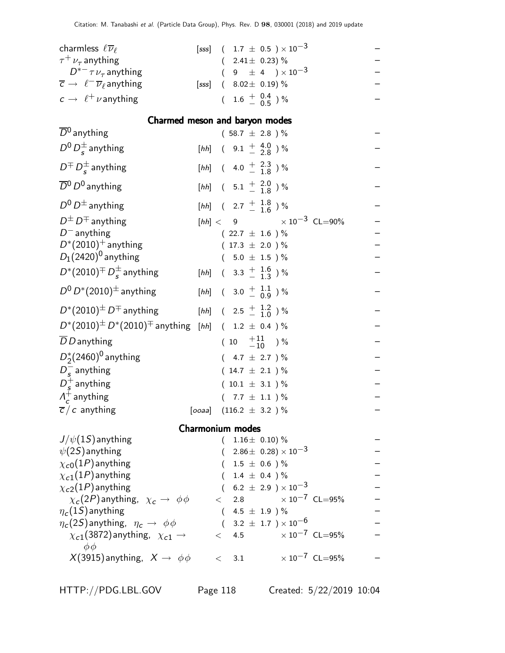| Citation: M. Tanabashi et al. (Particle Data Group), Phys. Rev. D 98, 030001 (2018) and 2019 update |          |                                        |                                                        |  |
|-----------------------------------------------------------------------------------------------------|----------|----------------------------------------|--------------------------------------------------------|--|
| charmless $\ell \overline{\nu}_{\ell}$                                                              |          |                                        | [sss] $(1.7 \pm 0.5) \times 10^{-3}$                   |  |
| $\tau^+ \nu_\tau$ anything                                                                          |          | $(2.41 \pm 0.23)\%$                    |                                                        |  |
| $D^{*-} \tau \nu_{\tau}$ anything                                                                   |          |                                        | $(9 \pm 4) \times 10^{-3}$                             |  |
| $\overline{c} \rightarrow \ell^- \overline{\nu}_\ell$ anything<br>[sss]                             |          | $(8.02 \pm 0.19)\%$                    |                                                        |  |
| $c \rightarrow \ell^+ \nu$ anything                                                                 |          |                                        | $(1.6 \pm \begin{array}{c} 0.4 \\ -0.5 \end{array})$ % |  |
| Charmed meson and baryon modes                                                                      |          |                                        |                                                        |  |
| $\overline{D}{}^0$ anything                                                                         |          | $(58.7 \pm 2.8) \%$                    |                                                        |  |
| $D^0 D_s^{\pm}$ anything                                                                            |          | [hh] $(9.1 \frac{+}{2} 3.0^{\circ})\%$ |                                                        |  |
| $D^{\pm} D_{s}^{\pm}$ anything                                                                      |          |                                        | [hh] $(4.0 \frac{+}{-} \frac{2.3}{1.8})\%$             |  |
| $\overline{D}{}^0$ $D^0$ anything                                                                   |          |                                        | [hh] $(5.1 \frac{+}{-} \frac{2.0}{1.8})\%$             |  |
| $D^0 D^{\pm}$ anything                                                                              |          |                                        | [hh] $(2.7 \frac{+}{1.6})\%$                           |  |
| $D^{\pm} D^{\mp}$ anything                                                                          |          |                                        | $[hh] < 9$ $\times 10^{-3}$ CL=90%                     |  |
| $D^-$ anything                                                                                      |          | $(22.7 \pm 1.6)$ %                     |                                                        |  |
| $D^*(2010)^+$ anything                                                                              |          | $(17.3 \pm 2.0) \%$                    |                                                        |  |
| $D_1(2420)^0$ anything                                                                              |          | $(5.0 \pm 1.5) \%$                     |                                                        |  |
| $D^*(2010)^{\pm} D_s^{\pm}$ anything                                                                |          |                                        | [hh] $(3.3 \frac{+}{1} \frac{1.6}{1.3})\%$             |  |
| $D^0 D^*(2010)^{\pm}$ anything                                                                      |          |                                        | [hh] $(3.0 \frac{+}{0.0})\%$                           |  |
| $D^*(2010)^{\pm}$ $D^{\mp}$ anything                                                                |          |                                        | [hh] $(2.5 \frac{+}{1.2})\%$                           |  |
| $D^*(2010)^{\pm} D^*(2010)^{\mp}$ anything [hh] ( 1.2 $\pm$ 0.4 )%                                  |          |                                        |                                                        |  |
| $\overline{D}$ D anything                                                                           |          |                                        | $(10 \tfrac{+11}{-10})\%$                              |  |
| $D_2^*(2460)^0$ anything                                                                            |          | $(4.7 \pm 2.7) \%$                     |                                                        |  |
| $D_s^-$ anything                                                                                    |          | $(14.7 \pm 2.1) \%$                    |                                                        |  |
| $D_{s}^{+}$ anything                                                                                |          | $(10.1 \pm 3.1)$ %                     |                                                        |  |
| $\Lambda_c^+$ anything                                                                              |          | $(7.7 \pm 1.1) \%$                     |                                                        |  |
| $\overline{c}/c$ anything                                                                           |          | [ooaa] $(116.2 \pm 3.2)$ %             |                                                        |  |
| <b>Charmonium modes</b>                                                                             |          |                                        |                                                        |  |
| $J/\psi(1S)$ anything                                                                               |          | $(1.16 \pm 0.10)\%$                    |                                                        |  |
| $\psi(2S)$ anything                                                                                 |          |                                        | $2.86 \pm 0.28 \times 10^{-3}$                         |  |
| $\chi_{c0}(1P)$ anything                                                                            |          |                                        | $1.5 \pm 0.6$ )%                                       |  |
| $\chi_{c1}(1P)$ anything                                                                            |          |                                        | $1.4 \pm 0.4$ )%                                       |  |
| $\chi_{c2}(1P)$ anything                                                                            |          |                                        | $(6.2 \pm 2.9) \times 10^{-3}$                         |  |
| $\chi_c(2P)$ anything, $\chi_c \to \phi \phi$                                                       | $\lt$    |                                        | 2.8 $\times 10^{-7}$ CL=95%                            |  |
| $\eta_c(1S)$ anything                                                                               | $\left($ |                                        | 4.5 $\pm$ 1.9 ) %                                      |  |
| $\eta_c(2S)$ anything, $\eta_c \to \phi \phi$                                                       |          |                                        | $(3.2~\pm~1.7~)\times10^{-6}$                          |  |
| $\chi_{c1}(3872)$ anything, $\chi_{c1} \rightarrow$<br>$\phi\phi$                                   | $\lt$    |                                        | 4.5 $\times 10^{-7}$ CL=95%                            |  |

 $X(3915)$  anything,  $X \to \phi \phi$  < 3.1  $\times 10^{-7}$  CL=95% –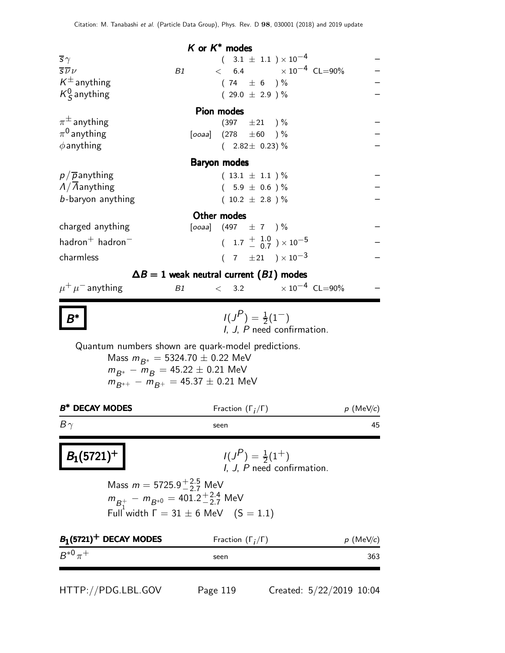|                                            |                                       | K or $K^*$ modes                                                                    |             |
|--------------------------------------------|---------------------------------------|-------------------------------------------------------------------------------------|-------------|
| $\overline{s}\gamma$                       |                                       | $(3.1 \pm 1.1) \times 10^{-4}$                                                      |             |
| $\overline{\overline{S}}\overline{\nu}\nu$ |                                       | $< 6.4 \times 10^{-4} \text{ CL} = 90\%$<br>B1                                      |             |
| $K^{\pm}$ anything                         |                                       | $(74 \pm 6) \%$                                                                     |             |
| $K^0_S$ anything                           |                                       | $(29.0 \pm 2.9)$ %                                                                  |             |
|                                            |                                       | <b>Pion modes</b>                                                                   |             |
| $\pi^{\pm}$ anything                       |                                       | $(397 \pm 21)$ %                                                                    |             |
| $\pi^0$ anything                           |                                       | [ooaa] $(278 \pm 60)$ %                                                             |             |
| $\phi$ anything                            |                                       | $(2.82 \pm 0.23)\%$                                                                 |             |
|                                            |                                       | <b>Baryon modes</b>                                                                 |             |
| $p/\overline{p}$ anything                  |                                       | $(13.1 \pm 1.1)$ %                                                                  |             |
| $\Lambda/\Lambda$ anything                 |                                       | $(5.9 \pm 0.6)$ %                                                                   |             |
| b-baryon anything                          |                                       | $(10.2 \pm 2.8) \%$                                                                 |             |
|                                            |                                       | Other modes                                                                         |             |
| charged anything                           |                                       | [ooaa] $(497 \pm 7)$ %                                                              |             |
|                                            |                                       |                                                                                     |             |
| hadron $^+$ hadron $^-$                    |                                       | $(1.7 \frac{+}{0.7}) \times 10^{-5}$                                                |             |
| charmless                                  |                                       | $(7 \pm 21) \times 10^{-3}$                                                         |             |
|                                            |                                       | $\Delta B = 1$ weak neutral current (B1) modes                                      |             |
| $\mu^+ \mu^-$ anything                     |                                       | $< 3.2 \times 10^{-4} \text{ CL} = 90\%$<br>B1                                      |             |
|                                            |                                       |                                                                                     |             |
|                                            |                                       | $I(J^{P})=\frac{1}{2}(1^{-})$<br>I, J, P need confirmation.                         |             |
|                                            |                                       |                                                                                     |             |
|                                            |                                       | Quantum numbers shown are quark-model predictions.                                  |             |
|                                            |                                       | Mass $m_{B^*} = 5324.70 \pm 0.22$ MeV                                               |             |
|                                            |                                       | $m_{B^*} - m_R = 45.22 \pm 0.21$ MeV<br>$m_{R^{*+}} - m_{R^+} = 45.37 \pm 0.21$ MeV |             |
|                                            |                                       |                                                                                     |             |
| <b>B* DECAY MODES</b>                      |                                       | Fraction $(\Gamma_i/\Gamma)$                                                        | $p$ (MeV/c) |
| $B\gamma$                                  |                                       | seen                                                                                | 45          |
|                                            |                                       |                                                                                     |             |
|                                            |                                       | $I(J^{P})=\frac{1}{2}(1^{+})$                                                       |             |
| $B_1(5721)^+$                              |                                       | I, J, P need confirmation.                                                          |             |
|                                            |                                       |                                                                                     |             |
|                                            | Mass $m = 5725.9^{+2.5}_{-2.7}$ MeV   |                                                                                     |             |
|                                            |                                       | $m_{B_1^+} - m_{B^{*0}} = 401.2^{+2.4}_{-2.7}$ MeV                                  |             |
|                                            |                                       | Full width $\Gamma = 31 \pm 6$ MeV $(S = 1.1)$                                      |             |
|                                            | $B_1$ (5721) <sup>+</sup> DECAY MODES | Fraction $(\Gamma_i/\Gamma)$                                                        | $p$ (MeV/c) |
| $B^{*0}\pi^+$                              |                                       | seen                                                                                | 363         |

HTTP://PDG.LBL.GOV Page 119 Created: 5/22/2019 10:04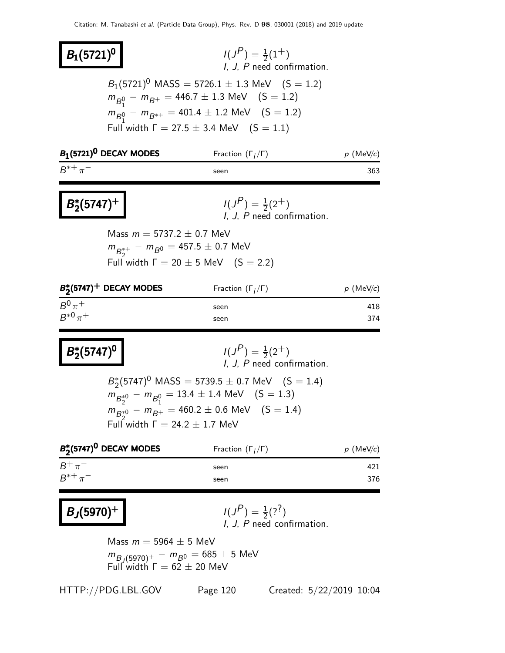| $B_1(5721)^0$               |                                         | $I(J^P) = \frac{1}{2}(1^+)$                                                                                                                                                                                                  | I, J, P need confirmation. |                     |
|-----------------------------|-----------------------------------------|------------------------------------------------------------------------------------------------------------------------------------------------------------------------------------------------------------------------------|----------------------------|---------------------|
|                             |                                         | $B_1(5721)^0$ MASS = 5726.1 $\pm$ 1.3 MeV (S = 1.2)<br>$m_{B_1^0} - m_{B_1^+} = 446.7 \pm 1.3$ MeV (S = 1.2)<br>$m_{B_1^0} - m_{B^{*+}} = 401.4 \pm 1.2$ MeV (S = 1.2)<br>Full width $\Gamma = 27.5 \pm 3.4$ MeV $(S = 1.1)$ |                            |                     |
|                             | $B_1$ (5721) <sup>0</sup> DECAY MODES   | Fraction $(\Gamma_i/\Gamma)$                                                                                                                                                                                                 |                            | $p \text{ (MeV/c)}$ |
| $B^{*+}\pi^-$               |                                         | seen                                                                                                                                                                                                                         |                            | 363                 |
| $B_2^*(5747)^+$             |                                         | $I(J^{P}) = \frac{1}{2}(2^{+})$                                                                                                                                                                                              | I. J. P need confirmation. |                     |
|                             | Mass $m = 5737.2 \pm 0.7$ MeV           | $m_{B_2^{*+}} - m_{B^0} = 457.5 \pm 0.7$ MeV<br>Full width $\Gamma = 20 \pm 5$ MeV $(S = 2.2)$                                                                                                                               |                            |                     |
|                             | $B_2^*(5747)^+$ DECAY MODES             | Fraction $(\Gamma_i/\Gamma)$                                                                                                                                                                                                 |                            | $p \text{ (MeV/c)}$ |
| $B^0\pi^+$<br>$B^{*0}\pi^+$ |                                         | seen<br>seen                                                                                                                                                                                                                 |                            | 418<br>374          |
| $B_2^*(5747)^0$             |                                         | $I(J^{P}) = \frac{1}{2}(2^{+})$                                                                                                                                                                                              | I, J, P need confirmation. |                     |
|                             | Full width $\Gamma = 24.2 \pm 1.7$ MeV  | $B_2^*(5747)^0$ MASS = 5739.5 $\pm$ 0.7 MeV (S = 1.4)<br>$m_{B_2^{*0}} - m_{B_1^0} = 13.4 \pm 1.4$ MeV (S = 1.3)<br>$m_{B_2^{*0}} - m_{B^+} = 460.2 \pm 0.6$ MeV (S = 1.4)                                                   |                            |                     |
|                             | $B^*_2$ (5747) <sup>0</sup> DECAY MODES | Fraction $(\Gamma_i/\Gamma)$                                                                                                                                                                                                 |                            | $p$ (MeV/c)         |
| $B^+\pi^-$<br>$B^{*+}\pi^-$ |                                         | seen<br>seen                                                                                                                                                                                                                 |                            | 421<br>376          |
| $B_J(5970)^+$               |                                         | $I(J^P) = \frac{1}{2}(?^?)$                                                                                                                                                                                                  | I, J, P need confirmation. |                     |
|                             | Mass $m = 5964 \pm 5$ MeV               | $m_{B_J(5970)^+} - m_{B^0} = 685 \pm 5$ MeV<br>Full width $\Gamma = 62 \pm 20$ MeV                                                                                                                                           |                            |                     |
|                             | HTTP://PDG.LBL.GOV                      | Page 120                                                                                                                                                                                                                     | Created: 5/22/2019 10:04   |                     |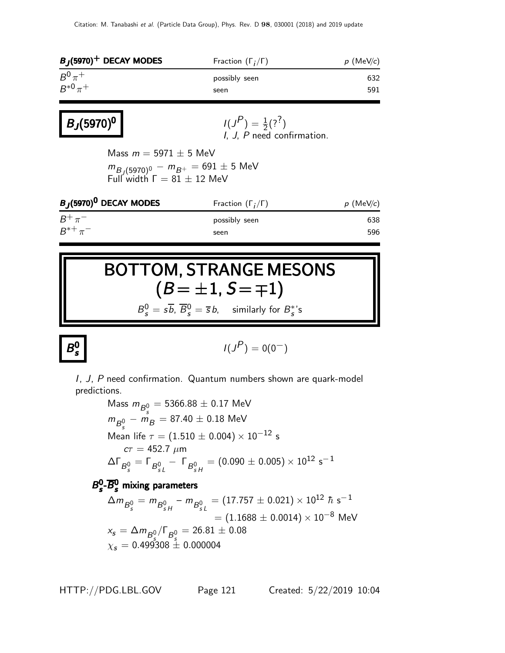| $B_J$ (5970) <sup>+</sup> DECAY MODES                                                                           | Fraction $(\Gamma_i/\Gamma)$                                  | $p$ (MeV/c) |
|-----------------------------------------------------------------------------------------------------------------|---------------------------------------------------------------|-------------|
| $B^0\pi^+$<br>$B^{*0} \pi^+$                                                                                    | possibly seen<br>seen                                         | 632<br>591  |
| $B_J(5970)^0$                                                                                                   | $I(J^{P}) = \frac{1}{2}(?^{?})$<br>I, J, P need confirmation. |             |
| Mass $m = 5971 \pm 5$ MeV<br>$m_{B_1(5970)^0} - m_{B^+} = 691 \pm 5$ MeV<br>Full width $\Gamma = 81 \pm 12$ MeV |                                                               |             |
| $B_I$ (5970) <sup>0</sup> DECAY MODES                                                                           | Fraction $(\Gamma_i/\Gamma)$                                  | $p$ (MeV/c) |
| $B^+\pi^-$                                                                                                      | possibly seen                                                 | 638         |
| $B^{*+}\pi^-$                                                                                                   | seen                                                          | 596         |

# BOTTOM, STRANGE MESONS  $(B = \pm 1, S = \mp 1)$

 $B_s^0 = s\overline{b}$ ,  $\overline{B}_s^0 = \overline{s}b$ , similarly for  $B_s^*$ 's

 $B^0$ s

$$
I(J^P)=0(0^-)
$$

I, J, P need confirmation. Quantum numbers shown are quark-model predictions.

Mass 
$$
m_{B_s^0}
$$
 = 5366.88 ± 0.17 MeV  
\n $m_{B_s^0} - m_B$  = 87.40 ± 0.18 MeV  
\nMean life  $\tau$  = (1.510 ± 0.004) × 10<sup>-12</sup> s  
\n $c\tau$  = 452.7  $\mu$ m  
\n $\Delta\Gamma_{B_s^0}$  =  $\Gamma_{B_{sL}^0}$  -  $\Gamma_{B_{sH}^0}$  = (0.090 ± 0.005) × 10<sup>12</sup> s<sup>-1</sup>

#### $B_{\rm c}^0$  $B_s^0$ - $\overline{B}_s^0$  mixing parameters

$$
\Delta m_{B_s^0} = m_{B_{sH}^0} - m_{B_{sL}^0} = (17.757 \pm 0.021) \times 10^{12} \hbar \text{ s}^{-1}
$$
  
= (1.1688 \pm 0.0014) \times 10^{-8} MeV  

$$
x_s = \Delta m_{B_s^0} / \Gamma_{B_s^0} = 26.81 \pm 0.08
$$

$$
\chi_s = 0.499308 \pm 0.000004
$$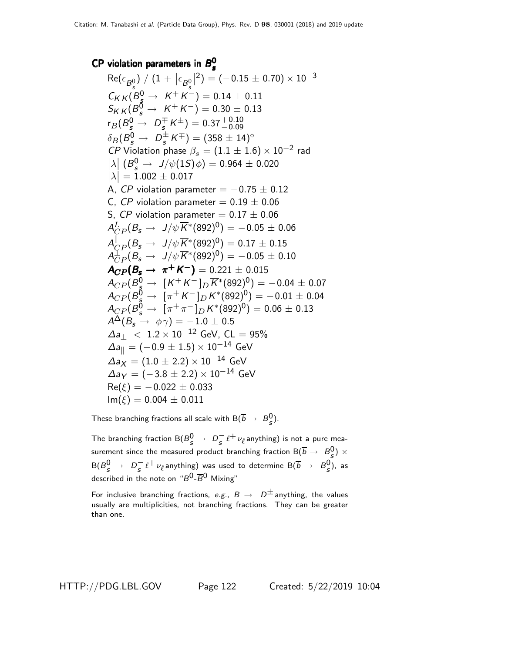#### CP violation parameters in  $B_{\rm s}^0$ s

$$
Re(\epsilon_{B_s^0}) / (1 + |\epsilon_{B_s^0}|^2) = (-0.15 \pm 0.70) \times 10^{-3}
$$
  
\n
$$
C_{KK} (B_s^0 \rightarrow K^+ K^-) = 0.14 \pm 0.11
$$
  
\n
$$
S_{KK} (B_s^0 \rightarrow K^+ K^-) = 0.30 \pm 0.13
$$
  
\n
$$
r_B (B_s^0 \rightarrow D_s^{\pm} K^{\pm}) = 0.37^{+0.10}_{-0.09}
$$
  
\n
$$
\delta_B (B_s^0 \rightarrow D_s^{\pm} K^{\mp}) = (358 \pm 14)^{\circ}
$$
  
\n*CP* Violation phase  $\beta_s = (1.1 \pm 1.6) \times 10^{-2}$  rad  
\n $|\lambda| (B_s^0 \rightarrow J/\psi(1S)\phi) = 0.964 \pm 0.020$   
\n $|\lambda| = 1.002 \pm 0.017$   
\nA, *CP* violation parameter = -0.75  $\pm$  0.12  
\nC, *CP* violation parameter = 0.19  $\pm$  0.06  
\nS, *CP* violation parameter = 0.17  $\pm$  0.06  
\n $A_{CP}^L (B_s \rightarrow J/\psi \overline{K}^*(892)^0) = -0.05 \pm 0.06$   
\n $A_{CP}^L (B_s \rightarrow J/\psi \overline{K}^*(892)^0) = 0.17 \pm 0.15$   
\n $A_{CP}^L (B_s \rightarrow J/\psi \overline{K}^*(892)^0) = -0.05 \pm 0.10$   
\n**ACP**( $B_s^0 \rightarrow \pi^+ K^-$ ) = 0.221  $\pm$  0.015  
\n $A_{CP} (B_s^0 \rightarrow \pi^+ K^-) = 0.221 \pm 0.015$   
\n $A_{CP} (B_s^0 \rightarrow [\pi^+ K^-]_D K^*(892)^0) = -0.04 \pm 0.07$   
\n $A_{CP} (B_s^0 \rightarrow [\pi^+ K^-]_D K^*(892)^0) = -0.01 \$ 

These branching fractions all scale with  $\mathsf{B}(\overline{b}\rightarrow\ B^0_S).$ 

The branching fraction  $\mathsf{B}(B_{S}^{0} \to D_{S}^{-}\ell^{+}\nu_{\ell}$ anything) is not a pure measurement since the measured product branching fraction  ${\sf B}(\overline{b}\to~B_{\cal S}^0)\times$  ${\sf B}(B_{\cal S}^0\to~D_{\cal S}^- \ell^+\nu_\ell$ anything) was used to determine  ${\sf B}(\overline{b}\to~B_{\cal S}^0)$ , as described in the note on " $B^{\mathsf{0}}\text{-}\overline{B}{}^{\mathsf{0}}$  Mixing"

For inclusive branching fractions, e.g.,  $B \rightarrow D^{\pm}$  anything, the values usually are multiplicities, not branching fractions. They can be greater than one.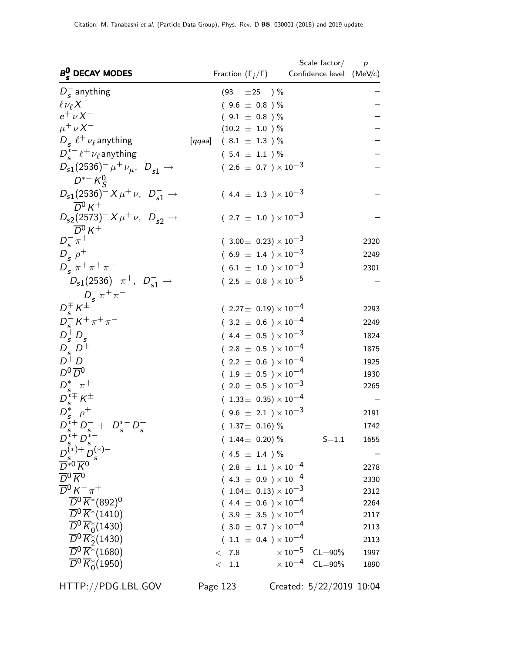| $B_s^0$ DECAY MODES                                                                                                                                | Fraction $(\Gamma_i/\Gamma)$               | Scale factor $/$ p<br>Confidence level (MeV/c)     |              |
|----------------------------------------------------------------------------------------------------------------------------------------------------|--------------------------------------------|----------------------------------------------------|--------------|
| $D_s^-$ anything                                                                                                                                   | (93)<br>$\pm 25$ )%                        |                                                    |              |
| $\ell \nu_{\ell} X$                                                                                                                                | $(9.6 \pm 0.8)$ %                          |                                                    |              |
| $e^{\dagger} \nu X^{-}$                                                                                                                            | $(9.1 \pm 0.8)$ %                          |                                                    |              |
| $\mu^+ \nu X^-$                                                                                                                                    | $(10.2 \pm 1.0) \%$                        |                                                    |              |
| $D_{s}^{-} \ell^{+} \nu_{\ell}$ anything                                                                                                           | $(8.1 \pm 1.3) \%$<br>$\left[ qqaa\right]$ |                                                    |              |
| $D_{\epsilon}^{*-} \ell^+ \nu_{\ell}$ anything                                                                                                     | $(5.4 \pm 1.1) \%$                         |                                                    |              |
| $D_{s1}(2536)^{-} \mu^{+} \nu_{\mu}$ , $D_{s1}^{-} \rightarrow$<br>$D^{*-}K^0_S$                                                                   | $(2.6 \pm 0.7) \times 10^{-3}$             |                                                    |              |
| $D_{s1}(2536)^{-} X \mu^{+} \nu$ , $D_{s1}^{-} \rightarrow$<br>$\overline{D}{}^0 K^+$                                                              | $(4.4 \pm 1.3) \times 10^{-3}$             |                                                    |              |
| $D_{s2}(2573)^{-} X \mu^{+} \nu$ , $D_{s2}^{-} \rightarrow$<br>$\overline{D}{}^0 K^+$                                                              | $(2.7 \pm 1.0) \times 10^{-3}$             |                                                    |              |
| $D_{s}^{-} \pi^{+}$                                                                                                                                | $(3.00 \pm 0.23) \times 10^{-3}$           |                                                    | 2320         |
| $D_{\rm s}^{-}$ $\rho^{+}$                                                                                                                         | $(6.9 \pm 1.4) \times 10^{-3}$             |                                                    | 2249         |
| $D_{c}^{-} \pi^{+} \pi^{+} \pi^{-}$                                                                                                                | $(6.1 \pm 1.0) \times 10^{-3}$             |                                                    | 2301         |
| $D_{s1}(2536)^{-} \pi^{+}$ , $D_{s1}^{-}$ $\rightarrow$<br>$D_s^{\dagger} \kappa^{\dagger}$<br>$D_s^{\dagger} \kappa^{\dagger}$<br>$D_s^{\dagger}$ | $(2.5 \pm 0.8) \times 10^{-5}$             |                                                    |              |
|                                                                                                                                                    | $(2.27 \pm 0.19) \times 10^{-4}$           |                                                    | 2293         |
| $D_s^- K^+ \pi^+ \pi^-$                                                                                                                            | $(3.2 \pm 0.6) \times 10^{-4}$             |                                                    | 2249         |
| $D_s^{\dagger} D_s^-$                                                                                                                              | $(4.4 \pm 0.5) \times 10^{-3}$             |                                                    | 1824         |
| $D_{s}^{-}D^{+}$                                                                                                                                   | $(2.8 \pm 0.5) \times 10^{-4}$             |                                                    | 1875         |
| $D^+D^-$                                                                                                                                           | $(2.2 \pm 0.6) \times 10^{-4}$             |                                                    | 1925         |
| $D^0\overline{D}{}^0$                                                                                                                              | $(1.9 \pm 0.5) \times 10^{-4}$             |                                                    | 1930         |
| $D_{s}^{*-} \pi^{+}$                                                                                                                               | $(2.0 \pm 0.5) \times 10^{-3}$             |                                                    | 2265         |
| $D_s^{*\mp} K^{\pm}$                                                                                                                               | $(1.33\pm 0.35)\times 10^{-4}$             |                                                    |              |
| $D_{\epsilon}^{*-}\rho^+$                                                                                                                          | $(9.6 \pm 2.1) \times 10^{-3}$             |                                                    | 2191         |
| $D_s^{*+}D_s^- + D_s^{*-}D_s^+$                                                                                                                    | $(1.37\pm 0.16)\%$                         |                                                    | 1742         |
| $D_{s}^{s+}D_{s}^{s-}$<br>$D_{s}^{(*)+}D_{s}^{(*)-}$<br>$\overline{D}_{s}^{s0}\overline{K}^{0}$                                                    | $(1.44 \pm 0.20)\%$                        | $S = 1.1$                                          | 1655         |
|                                                                                                                                                    | $(4.5 \pm 1.4) \%$                         |                                                    |              |
|                                                                                                                                                    | $(2.8 \pm 1.1) \times 10^{-4}$             |                                                    | 2278         |
| $\overline{D}{}^0 \overline{K}{}^0$                                                                                                                | $(4.3 \pm 0.9) \times 10^{-4}$             |                                                    | 2330         |
| $\overline{D}{}^0 K^- \pi^+$                                                                                                                       | $(1.04\pm 0.13)\times 10^{-3}$             |                                                    | 2312         |
| $\overline{D}{}^0 \overline{K}{}^*(892)^0$                                                                                                         | $(4.4 \pm 0.6) \times 10^{-4}$             |                                                    | 2264         |
| $\overline{D}^0 \overline{K}$ *(1410)                                                                                                              | $(3.9 \pm 3.5) \times 10^{-4}$             |                                                    | 2117         |
| $\overline{D}{}^0\overline{K}_0^*(1430)$                                                                                                           | $(3.0 \pm 0.7) \times 10^{-4}$             |                                                    | 2113         |
| $\overline{D}^0 \overline{K}_2^*(1430)$                                                                                                            | $(1.1 \pm 0.4) \times 10^{-4}$             |                                                    | 2113         |
| $\overline{D}^0 \overline{K}$ *(1680)<br>$\overline{D}^0 \overline{K}{}^*_{0}(1950)$                                                               | < 7.8<br>1.1<br>$\lt$                      | $\times 10^{-5}$ CL=90%<br>$\times 10^{-4}$ CL=90% | 1997<br>1890 |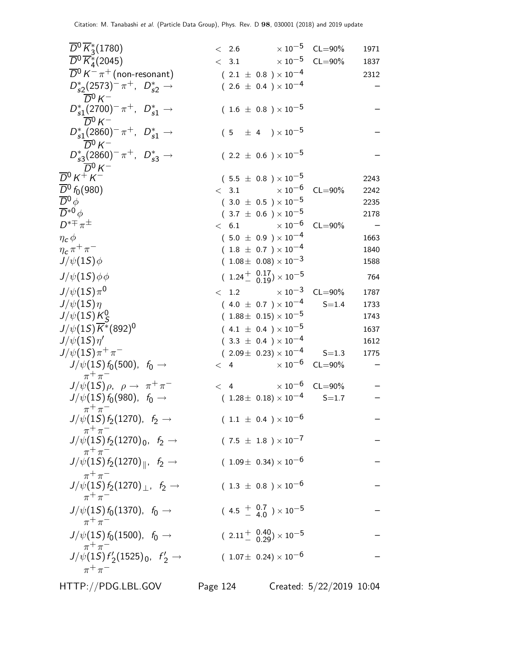| $\overline{D}{}^0\overline{K}{}^*_3(1780)$                             | $< 2.6$ $\times 10^{-5}$ CL=90%                                     |             | 1971 |
|------------------------------------------------------------------------|---------------------------------------------------------------------|-------------|------|
| $\overline{D}{}^0\overline{K}{}^*_4(2045)$                             | $< 3.1$ $\times 10^{-5}$                                            | $CL = 90\%$ | 1837 |
| $\overline{D}{}^0 K^-\pi^+$ (non-resonant)                             | $(\phantom{-}2.1~\pm~0.8~)\times10^{-4}$                            |             | 2312 |
| $D_{s2}^*(2573)^-\pi^+$ , $D_{s2}^*\to$                                | $(2.6 \pm 0.4) \times 10^{-4}$                                      |             |      |
| $\overline{D}{}^0 K^-$                                                 |                                                                     |             |      |
| $D_{s1}^*(2700)^{-} \pi^+$ , $D_{s1}^* \to$                            | $(1.6 \pm 0.8) \times 10^{-5}$                                      |             |      |
| $\overline{D}{}^0 K^-$                                                 |                                                                     |             |      |
| $D_{s1}^*(2860)^{-} \pi^+$ , $D_{s1}^* \to$                            | $(5 \pm 4) \times 10^{-5}$                                          |             |      |
| $\overline{D}{}^0 K^-$                                                 |                                                                     |             |      |
| $D_{s3}^*(2860)^-\pi^+$ , $D_{s3}^*\to$<br>$\overline{D}{}^0 K^-$      | $(2.2 \pm 0.6) \times 10^{-5}$                                      |             |      |
| $\overline{D}{}^0 K^+ K^-$                                             | $(5.5 \pm 0.8) \times 10^{-5}$                                      |             | 2243 |
| $\overline{D}{}^0 f_0(980)$                                            | $< 3.1 \times 10^{-6}$                                              | $CL = 90\%$ | 2242 |
| $\overline{D}{}^0\phi$                                                 | $(3.0 \pm 0.5) \times 10^{-5}$                                      |             | 2235 |
| $\overline{D}^{*0} \phi$                                               | $(3.7 \pm 0.6) \times 10^{-5}$                                      |             | 2178 |
| $D^{*\mp}\pi^{\pm}$                                                    | $< 6.1$ $\times 10^{-6}$                                            | $CL = 90\%$ |      |
| $\eta_c$ $\phi$                                                        | $(5.0 \pm 0.9) \times 10^{-4}$                                      |             | 1663 |
| $\eta_c \pi^+ \pi^-$                                                   | $(1.8 \pm 0.7) \times 10^{-4}$                                      |             | 1840 |
| $J/\psi(1S)\phi$                                                       | $(1.08\pm 0.08)\times 10^{-3}$                                      |             | 1588 |
| $J/\psi(1S)\phi\phi$                                                   | $(1.24 \frac{+}{0.19}) \times 10^{-5}$                              |             | 764  |
| $J/\psi(15)\pi^{0}$                                                    | $< 1.2 \times 10^{-3}$                                              | $CL = 90\%$ | 1787 |
| $J/\psi(1S)\eta$                                                       | $(4.0 \pm 0.7) \times 10^{-4}$                                      | $S = 1.4$   | 1733 |
| $J/\psi(15)K_S^0$                                                      | $(1.88 \pm 0.15) \times 10^{-5}$                                    |             | 1743 |
| $J/\psi(1S)\overline{K}^*(892)^0$                                      | $(4.1 \pm 0.4) \times 10^{-5}$                                      |             | 1637 |
| $J/\psi(1S)\eta'$                                                      | $(3.3 \pm 0.4) \times 10^{-4}$                                      |             | 1612 |
| $J/\psi(1S)\pi^{+}\pi^{-}$                                             | $(2.09 \pm 0.23) \times 10^{-4}$                                    | $S = 1.3$   | 1775 |
| $J/\psi(1S) f_0(500)$ , $f_0 \to$                                      | $< 4$ $\times 10^{-6}$ CL=90%                                       |             |      |
| $\pi^+\pi^-$<br>$J/\psi(15)\rho$ , $\rho \rightarrow \pi^+\pi^-$       | $< 4 \times 10^{-6}$ CL=90%                                         |             |      |
| $J/\psi(1S) f_0(980)$ , $f_0 \to$                                      | $(1.28\pm\ 0.18)\times 10^{-4}$                                     | $S = 1.7$   |      |
| $\pi^+\pi^-$                                                           |                                                                     |             |      |
| $J/\psi(1S) \, f_2(1270), \; \; f_2 \rightarrow$                       | $(1.1 \pm 0.4) \times 10^{-6}$                                      |             |      |
| $\pi^+\pi^-$<br>$J/\psi(1S) f_2(1270)_0$ , $f_2 \to$                   | $(7.5 \pm 1.8) \times 10^{-7}$                                      |             |      |
| $\pi^+\pi^-$<br>$J/\psi(1S) f_2(1270)_{\parallel}$ , $f_2 \rightarrow$ | $(1.09\pm 0.34)\times 10^{-6}$                                      |             |      |
| $\pi^+\pi^-$                                                           |                                                                     |             |      |
| $J/\psi(1S) f_2(1270)_\perp$ , $f_2 \to$<br>$\pi^+\pi^-$               | $(1.3 \pm 0.8) \times 10^{-6}$                                      |             |      |
| $J/\psi(1S) f_0(1370)$ , $f_0 \rightarrow$<br>$\pi^+\pi^-$             | $(4.5 \frac{+}{-} \frac{0.7}{4.0}) \times 10^{-5}$                  |             |      |
| $J/\psi(1S) f_0(1500)$ , $f_0 \to$                                     | $(2.11 + \begin{array}{c} 0.40 \\ 0.29 \end{array}) \times 10^{-5}$ |             |      |
| $\pi^+\pi^-$<br>$J/\psi(1S) f'_2(1525)_0$ , $f'_2 \rightarrow$         | $(1.07\pm 0.24)\times 10^{-6}$                                      |             |      |
| $\pi^+\pi^-$                                                           |                                                                     |             |      |

HTTP://PDG.LBL.GOV Page 124 Created: 5/22/2019 10:04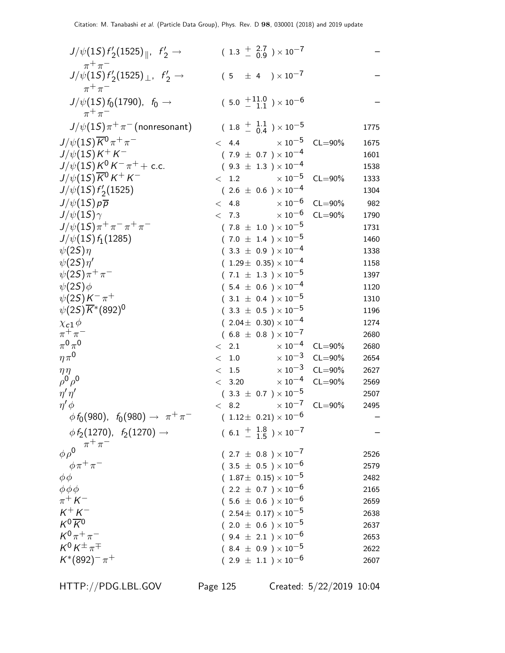| $J/\psi(1S) f'_2(1525)_{\parallel}$ , $f'_2 \rightarrow$                             | $(1.3 \frac{+}{-} 2.7 \overline{)0.9}) \times 10^{-7}$ |             |      |
|--------------------------------------------------------------------------------------|--------------------------------------------------------|-------------|------|
| $\pi^+\pi^-$<br>$J/\psi(1S) f'_2(1525)_{\perp}$ , $f'_2 \rightarrow$<br>$\pi^+\pi^-$ | $(5 \pm 4) \times 10^{-7}$                             |             |      |
| $J/\psi(1S) f_0(1790)$ , $f_0 \to$<br>$\pi^+\pi^-$                                   | $(5.0 \tfrac{+11.0}{-11.}) \times 10^{-6}$             |             |      |
| $J/\psi(1S)\pi^+\pi^-$ (nonresonant)                                                 | $(1.8 \frac{+}{-} 0.4) \times 10^{-5}$                 |             | 1775 |
| $J/\psi(1S)\overline{K}^0\pi^+\pi^-$                                                 | $\times$ 10 $^{-5}$<br>< 4.4                           | $CL = 90%$  | 1675 |
| $J/\psi(1S)K^{+}K^{-}$                                                               | $(7.9 \pm 0.7) \times 10^{-4}$                         |             | 1601 |
| $J/\psi(1S)K^0K^-\pi^+ +$ c.c.                                                       | $(9.3 \pm 1.3) \times 10^{-4}$                         |             | 1538 |
| $J/\psi(1S)\overline{K}^0 K^+ K^-$                                                   | $< 1.2 \times 10^{-5}$                                 | $CL = 90\%$ | 1333 |
| $J/\psi(1S) f'_2(1525)$                                                              | $(2.6 \pm 0.6) \times 10^{-4}$                         |             | 1304 |
| $J/\psi(1S)p\overline{p}$                                                            | $\times$ 10 $^{-6}$<br>< 4.8                           | $CL = 90\%$ | 982  |
| $J/\psi(1S)\gamma$                                                                   | $\times$ $10^{-6}$<br>< 7.3                            | $CL = 90\%$ | 1790 |
| $J/\psi(1S)\pi^+\pi^-\pi^+\pi^-$                                                     | $(7.8 \pm 1.0) \times 10^{-5}$                         |             | 1731 |
| $J/\psi(1S) f_1(1285)$                                                               | $(7.0 \pm 1.4) \times 10^{-5}$                         |             | 1460 |
| $\psi(2S)\eta$                                                                       | $(3.3 \pm 0.9) \times 10^{-4}$                         |             | 1338 |
| $\psi(2S)\eta'$                                                                      | $(1.29 \pm 0.35) \times 10^{-4}$                       |             | 1158 |
| $\psi(2S)\pi^{+}\pi^{-}$                                                             | $(7.1 \pm 1.3) \times 10^{-5}$                         |             | 1397 |
| $\psi(2S)\phi$                                                                       | $(5.4 \pm 0.6) \times 10^{-4}$                         |             | 1120 |
| $\psi(2S)K^{-}\pi^{+}$                                                               | $(3.1 \pm 0.4) \times 10^{-5}$                         |             | 1310 |
| $\psi(2S)\overline{K}^*(892)^0$                                                      | $(3.3 \pm 0.5) \times 10^{-5}$                         |             | 1196 |
| $\chi_{c1}\phi$                                                                      | $(2.04 \pm 0.30) \times 10^{-4}$                       |             | 1274 |
| $\pi^+\pi^-$                                                                         | $(6.8 \pm 0.8) \times 10^{-7}$                         |             | 2680 |
| $\pi^0\pi^0$                                                                         | $\times$ 10 <sup>-4</sup><br>$\langle$ 2.1             | $CL = 90\%$ | 2680 |
| $\eta \pi^0$                                                                         | $\times$ 10 <sup>-3</sup><br>< 1.0                     | $CL = 90\%$ | 2654 |
| $\eta\eta$                                                                           | $\times$ 10 $^{-3}$<br>< 1.5                           | $CL = 90\%$ | 2627 |
| $\rho^0 \rho^0$                                                                      | $\times$ 10 $^{-4}$<br>< 3.20                          | $CL = 90\%$ | 2569 |
| $\eta' \eta'$                                                                        | $(3.3 \pm 0.7) \times 10^{-5}$                         |             | 2507 |
| $\eta' \phi$                                                                         | $< 8.2 \times 10^{-7}$                                 | $CL = 90\%$ | 2495 |
| $\phi f_0(980)$ , $f_0(980) \rightarrow \pi^+\pi^-$                                  | $(1.12 \pm 0.21) \times 10^{-6}$                       |             |      |
| $\phi f_2(1270)$ , $f_2(1270) \rightarrow$<br>$\pi^+\pi^-$                           | $(6.1 + \frac{1.8}{1.5}) \times 10^{-7}$               |             |      |
| $\phi \rho^0$                                                                        | $(2.7 \pm 0.8) \times 10^{-7}$                         |             | 2526 |
| $\phi\pi^+\pi^-$                                                                     | $(3.5 \pm 0.5) \times 10^{-6}$                         |             | 2579 |
| $\phi\phi$                                                                           | $(1.87\pm 0.15)\times 10^{-5}$                         |             | 2482 |
| $\phi \phi \phi$                                                                     | $(2.2 \pm 0.7) \times 10^{-6}$                         |             | 2165 |
| $\pi^+ K^-$                                                                          | $(5.6 \pm 0.6) \times 10^{-6}$                         |             | 2659 |
| $K^+ \, K^-$                                                                         | $(2.54\pm 0.17)\times 10^{-5}$                         |             | 2638 |
| $K^0\overline{K}{}^0$                                                                | $(2.0 \pm 0.6) \times 10^{-5}$                         |             | 2637 |
| $K^{0}\pi^{+}\pi^{-}$                                                                | $(9.4 \pm 2.1) \times 10^{-6}$                         |             | 2653 |
| $K^0 K^{\pm} \pi^{\mp}$                                                              | $(8.4 \pm 0.9) \times 10^{-5}$                         |             | 2622 |
| $K^*(892)^- \pi^+$                                                                   | $(2.9 \pm 1.1) \times 10^{-6}$                         |             | 2607 |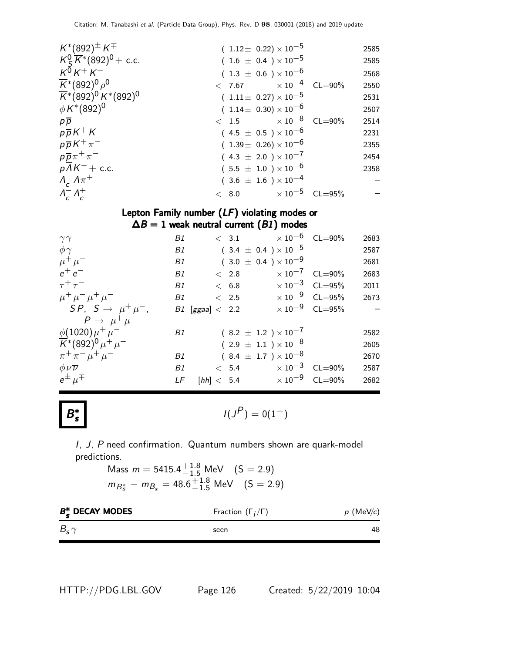| $K^*(892)^{\pm} K^{\mp}$                                             | $(1.12 \pm 0.22) \times 10^{-5}$ |  | 2585 |
|----------------------------------------------------------------------|----------------------------------|--|------|
| $K_S^0 \overline{K}$ <sup>*</sup> (892) <sup>0</sup> + c.c.          | $(1.6 \pm 0.4) \times 10^{-5}$   |  | 2585 |
| $K^{\overline{0}}K^+K^-$                                             | $(1.3 \pm 0.6) \times 10^{-6}$   |  | 2568 |
| $\overline{K}$ *(892) <sup>0</sup> $\rho$ <sup>0</sup>               | $< 7.67$ $\times 10^{-4}$ CL=90% |  | 2550 |
| $\overline{K}$ *(892) <sup>0</sup> K <sup>*</sup> (892) <sup>0</sup> | $(1.11 \pm 0.27) \times 10^{-5}$ |  | 2531 |
| $\phi K^*(892)^0$                                                    | $(1.14 \pm 0.30) \times 10^{-6}$ |  | 2507 |
| $p\overline{p}$                                                      | $< 1.5 \times 10^{-8}$ CL=90%    |  | 2514 |
| $p\overline{p}K^+K^-$                                                | $(4.5 \pm 0.5) \times 10^{-6}$   |  | 2231 |
| $p\overline{p}K^{+}\pi^{-}$                                          | $(1.39\pm 0.26)\times 10^{-6}$   |  | 2355 |
| $p\overline{p}\pi^+\pi^-$                                            | $(4.3 \pm 2.0) \times 10^{-7}$   |  | 2454 |
| $pAK^-$ + c.c.                                                       | $(5.5 \pm 1.0) \times 10^{-6}$   |  | 2358 |
| $\Lambda_c^- \Lambda \pi^+$                                          | $(3.6 \pm 1.6) \times 10^{-4}$   |  |      |
| $\Lambda_c^- \Lambda_c^+$                                            | $< 8.0$ $\times 10^{-5}$ CL=95%  |  |      |
|                                                                      |                                  |  |      |

### Lepton Family number (LF) violating modes or  $\Delta B = 1$  weak neutral current  $(B1)$  modes

| $\gamma\gamma$                                                           | B1 |                     | $< 3.1 \times 10^{-6}$ CL=90%            |                                  | 2683 |
|--------------------------------------------------------------------------|----|---------------------|------------------------------------------|----------------------------------|------|
| $\phi\gamma$                                                             | B1 |                     | $(3.4 \pm 0.4) \times 10^{-5}$           |                                  | 2587 |
| $\mu^+ \mu^-$                                                            | B1 |                     | $(3.0 \pm 0.4) \times 10^{-9}$           |                                  | 2681 |
| $e^+e^-$                                                                 | B1 | $~<~2.8$            | $\times$ 10 <sup>-7</sup> CL=90%         |                                  | 2683 |
| $\tau^+\tau^-$                                                           | B1 | < 6.8               | $\times 10^{-3}$ CL=95%                  |                                  | 2011 |
| $\mu^+ \mu^- \mu^+ \mu^-$                                                | B1 | $\langle$ 2.5       |                                          | $\times$ 10 <sup>-9</sup> CL=95% | 2673 |
| $SP, S \rightarrow \mu^+ \mu^-,$                                         |    | $B1$ [ggaa] $<$ 2.2 |                                          | $\times 10^{-9}$ CL=95%          |      |
| $P \rightarrow \mu^+ \mu^-$                                              |    |                     |                                          |                                  |      |
| $\phi(1020)\mu^{+}\mu^{-}$                                               | B1 |                     | $(8.2 \pm 1.2) \times 10^{-7}$           |                                  | 2582 |
| $\overline{K}$ *(892) <sup>0</sup> $\mu$ <sup>+</sup> $\mu$ <sup>-</sup> |    |                     | $(2.9 \pm 1.1) \times 10^{-8}$           |                                  | 2605 |
| $\pi^+ \pi^- \mu^+ \mu^-$                                                | B1 |                     | $(8.4 \pm 1.7) \times 10^{-8}$           |                                  | 2670 |
| $\phi \nu \overline{\nu}$                                                | B1 |                     | $< 5.4 \times 10^{-3} \text{ CL} = 90\%$ |                                  | 2587 |
| $e^{\pm}$ $\mu^{\mp}$                                                    | LF |                     | $[hh] < 5.4$ $\times 10^{-9}$ CL=90%     |                                  | 2682 |



$$
I(J^P) = 0(1^-)
$$

I, J, P need confirmation. Quantum numbers shown are quark-model predictions.

Mass  $m = 5415.4^{+1.8}_{-1.5}$  MeV  $(S = 2.9)$  $m_{B_s^*} - m_{B_s} = 48.6^{+1.8}_{-1.5}$  MeV  $(S = 2.9)$ 

| $B_{\epsilon}^*$ DECAY MODES | Fraction $(\Gamma_i/\Gamma)$ | $p$ (MeV/c) |
|------------------------------|------------------------------|-------------|
| $B_{\rm s} \gamma$           | seen                         | 48          |

HTTP://PDG.LBL.GOV Page 126 Created: 5/22/2019 10:04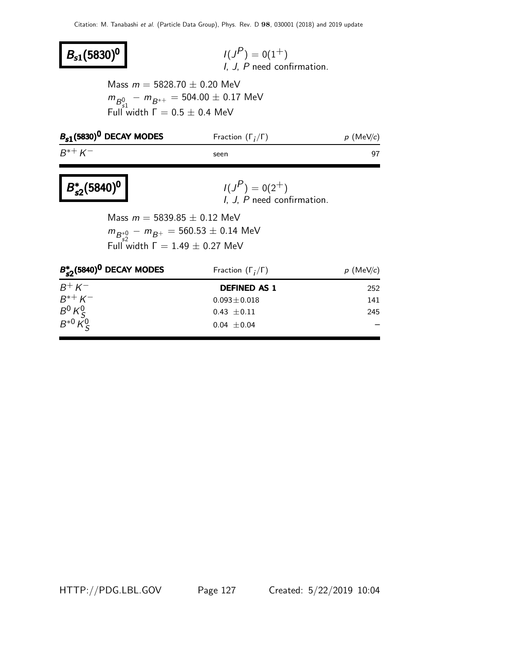# $B_{s1}(5830)^{0}$

 $P$ ) = 0(1<sup>+</sup>) I, J, P need confirmation.

Mass  $m = 5828.70 \pm 0.20$  MeV  $m_{B_{0}^{0}} - m_{B^{*+}} = 504.00 \pm 0.17$  MeV Full width  $\Gamma = 0.5 \pm 0.4$  MeV

| $B_{s1}$ (5830) <sup>0</sup> DECAY MODES | Fraction $(\Gamma_i/\Gamma)$ | $p$ (MeV/c) |
|------------------------------------------|------------------------------|-------------|
| $B^{*+} K^-$                             | seen                         |             |

#### B ∗  $B_{s2}^*(5840)^0$

$$
I(JP) = 0(2+)
$$
  
I, J, P need confirmation.

Mass  $m = 5839.85 \pm 0.12$  MeV  $m_{B^{*0}_{52}} - m_{B^{+}} = 560.53 \pm 0.14$  MeV Full width  $Γ = 1.49 \pm 0.27$  MeV

| $B_{c2}^*(5840)^0$ DECAY MODES | Fraction $(\Gamma_i/\Gamma)$ | $p$ (MeV/c) |  |  |
|--------------------------------|------------------------------|-------------|--|--|
| $B^+ K^-$                      | <b>DEFINED AS 1</b>          | 252         |  |  |
| $R^{*+} K^-$                   | $0.093 \pm 0.018$            | 141         |  |  |
| $B^0 K_S^0$<br>$B^{*0} K_S^0$  | $0.43 \pm 0.11$              | 245         |  |  |
|                                | $0.04 \pm 0.04$              |             |  |  |

HTTP://PDG.LBL.GOV Page 127 Created: 5/22/2019 10:04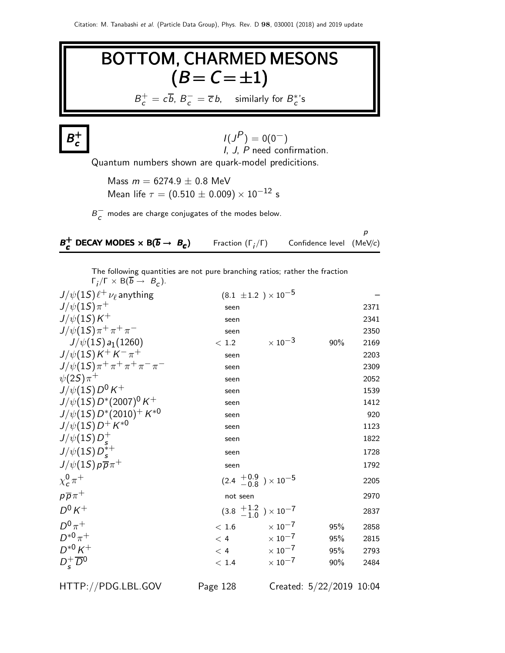# BOTTOM, CHARMED MESONS  $(B = C = \pm 1)$  $B_c^+ = c\overline{b}$ ,  $B_c^- = \overline{c}b$ , similarly for  $B_c^*$ 's

 $B^+$ c

$$
I(JP) = 0(0-)
$$
  
*I, J, P* need confirmation.

Quantum numbers shown are quark-model predicitions.

Mass  $m = 6274.9 \pm 0.8$  MeV Mean life  $\tau = (0.510 \pm 0.009) \times 10^{-12}$  s

 $B_{\cal C}^-$  modes are charge conjugates of the modes below.

| $B_{c}^{+}$ DECAY MODES $\times$ B( $\overline{b} \rightarrow B_{c}$ ) | Fraction $(\Gamma_i/\Gamma)$ | Confidence level $(MeV/c)$ |  |
|------------------------------------------------------------------------|------------------------------|----------------------------|--|

The following quantities are not pure branching ratios; rather the fraction  $\Gamma_j/\Gamma \times B(b \to B_c)$ .

| $J/\psi(1S)\ell^+\nu_\ell$ anything   |          | $(8.1 \pm 1.2) \times 10^{-5}$            |     |      |
|---------------------------------------|----------|-------------------------------------------|-----|------|
| $J/\psi(1S)\pi^+$                     | seen     |                                           |     | 2371 |
| $J/\psi(1S)K^+$                       | seen     |                                           |     | 2341 |
| $J/\psi(1S)\pi^+\pi^+\pi^-$           | seen     |                                           |     | 2350 |
| $J/\psi(1S) a_1(1260)$                | < 1.2    | $\times$ 10 <sup>-3</sup>                 | 90% | 2169 |
| $J/\psi(1S)K^+K^-\pi^+$               | seen     |                                           |     | 2203 |
| $J/\psi(1S)\pi^+\pi^+\pi^+\pi^-\pi^-$ | seen     |                                           |     | 2309 |
| $\psi(2S)\pi^+$                       | seen     |                                           |     | 2052 |
| $J/\psi(1S)D^0K^+$                    | seen     |                                           |     | 1539 |
| $J/\psi(1S) D^*(2007)^0 K^+$          | seen     |                                           |     | 1412 |
| $J/\psi(1S)D^*(2010)^+K^{*0}$         | seen     |                                           |     | 920  |
| $J/\psi(1S)D^+K^{*0}$                 | seen     |                                           |     | 1123 |
| $J/\psi(1S)D_{\rm c}^+$               | seen     |                                           |     | 1822 |
| $J/\psi(15)D^{*+}$                    | seen     |                                           |     | 1728 |
| $J/\psi(1S) p \overline{p} \pi^+$     | seen     |                                           |     | 1792 |
| $\chi^0_{\sigma} \pi^+$               |          | $(2.4 \frac{+0.9}{-0.8}) \times 10^{-5}$  |     | 2205 |
| $p\overline{p}\pi^+$                  | not seen |                                           |     | 2970 |
| $D^0 K^+$                             |          | $(3.8 \tfrac{+1.2}{-1.0}) \times 10^{-7}$ |     | 2837 |
| $D^0\pi^+$                            | < 1.6    | $\times$ 10 <sup>-7</sup>                 | 95% | 2858 |
| $D^{*0}\pi^+$                         | < 4      | $\times$ 10 <sup>-7</sup>                 | 95% | 2815 |
| $D^{*0}K^+$                           | < 4      | $\times$ 10 <sup>-7</sup>                 | 95% | 2793 |
| $D_s^+\overline{D}{}^0$               | < 1.4    | $\times$ 10 <sup>-7</sup>                 | 90% | 2484 |
|                                       |          |                                           |     |      |

HTTP://PDG.LBL.GOV Page 128 Created: 5/22/2019 10:04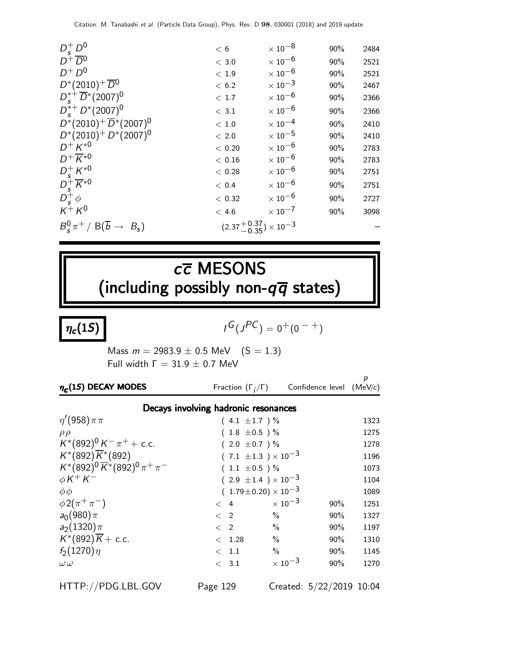| $D_s^+ D^0$                                                                                              | < 6                                     | $\times$ 10 $^{-8}$       | 90% | 2484 |
|----------------------------------------------------------------------------------------------------------|-----------------------------------------|---------------------------|-----|------|
| $D^+\overline{D}^0$                                                                                      | $<$ 3.0                                 | $\times$ 10 <sup>-6</sup> | 90% | 2521 |
| $D^+D^0$                                                                                                 | < 1.9                                   | $\times$ 10 $^{-6}$       | 90% | 2521 |
| $D^*(2010)^+ \overline{D}{}^0$                                                                           | < 6.2                                   | $\times$ 10 <sup>-3</sup> | 90% | 2467 |
| $D_s^{*+}\overline{D}{}^*(2007)^0$                                                                       | < 1.7                                   | $\times$ 10 $^{-6}$       | 90% | 2366 |
| $D_{s}^{*+}D^{*}(2007)^{0}$                                                                              | $<$ 3.1                                 | $\times$ 10 <sup>-6</sup> | 90% | 2366 |
| $D^*(2010)^+ \overline{D}^*(2007)^0$                                                                     | < 1.0                                   | $\times$ 10 $^{-4}$       | 90% | 2410 |
| $D^*(2010)^+ D^*(2007)^0$                                                                                | < 2.0                                   | $\times$ 10 $^{-5}$       | 90% | 2410 |
| $D^{+} K^{*0}$                                                                                           | < 0.20                                  | $\times$ 10 $^{-6}$       | 90% | 2783 |
| $D^+\overline{K}^{*0}$                                                                                   | < 0.16                                  | $\times$ 10 $^{-6}$       | 90% | 2783 |
|                                                                                                          | < 0.28                                  | $\times$ 10 $^{-6}$       | 90% | 2751 |
| $\begin{array}{l} D_s^+ \, K^{\ast 0} \\ D_s^+ \, \overline{K}^{\ast 0} \\ D_s^+ \, \phi \\ \end{array}$ | < 0.4                                   | $\times$ 10 <sup>-6</sup> | 90% | 2751 |
|                                                                                                          | < 0.32                                  | $\times$ 10 $^{-6}$       | 90% | 2727 |
| $K^+ K^0$                                                                                                | < 4.6                                   | $\times$ 10 <sup>-7</sup> | 90% | 3098 |
| $B_s^0 \pi^+ / B(\overline{b} \rightarrow B_s)$                                                          | $(2.37^{+0.37}_{-0.35}) \times 10^{-3}$ |                           |     |      |

# $c\overline{c}$  MESONS (including possibly non- $q\overline{q}$  states)

 $\eta_c(1S)$ 

 $G(J^{PC}) = 0^+(0^{-+})$ 

Mass  $m = 2983.9 \pm 0.5$  MeV  $(S = 1.3)$ Full width  $\Gamma = 31.9 \pm 0.7$  MeV

| $\eta_c(1S)$ DECAY MODES                       | Fraction $(\Gamma_i/\Gamma)$         |                           | Confidence level $(MeV/c)$ | p    |
|------------------------------------------------|--------------------------------------|---------------------------|----------------------------|------|
|                                                | Decays involving hadronic resonances |                           |                            |      |
| $\eta'(958)\pi\pi$                             | $(4.1 \pm 1.7) \%$                   |                           |                            | 1323 |
| $\rho \rho$                                    | $(1.8 \pm 0.5)$ %                    |                           |                            | 1275 |
| $K^*(892)^0 K^- \pi^+ +$ c.c.                  | $(2.0 \pm 0.7)$ %                    |                           |                            | 1278 |
| $K^*(892)\overline{K}^*(892)$                  | $(.7.1 \pm 1.3) \times 10^{-3}$      |                           |                            | 1196 |
| $K^*(892)^0 \overline{K}^*(892)^0 \pi^+ \pi^-$ | $(1.1 \pm 0.5)$ %                    |                           |                            | 1073 |
| $\phi K^+ K^-$                                 | $(2.9 \pm 1.4) \times 10^{-3}$       |                           |                            | 1104 |
| $\phi \phi$                                    | $(1.79 \pm 0.20) \times 10^{-3}$     |                           |                            | 1089 |
| $\phi 2(\pi^+\pi^-)$                           | $\lt$ 4                              | $\times$ 10 <sup>-3</sup> | $90\%$                     | 1251 |
| $a_0(980)\pi$                                  | $\langle$ 2                          | $\%$                      | $90\%$                     | 1327 |
| $a_2(1320)\pi$                                 | $\langle$ 2                          | $\frac{0}{0}$             | $90\%$                     | 1197 |
| $K^*(892)\overline{K}$ + c.c.                  | < 1.28                               | $\%$                      | $90\%$                     | 1310 |
| $f_2(1270)\eta$                                | $\langle$ 1.1                        | $\%$                      | $90\%$                     | 1145 |
| $\omega\,\omega$                               | $\langle$ 3.1                        | $\times$ 10 <sup>-3</sup> | $90\%$                     | 1270 |

HTTP://PDG.LBL.GOV Page 129 Created: 5/22/2019 10:04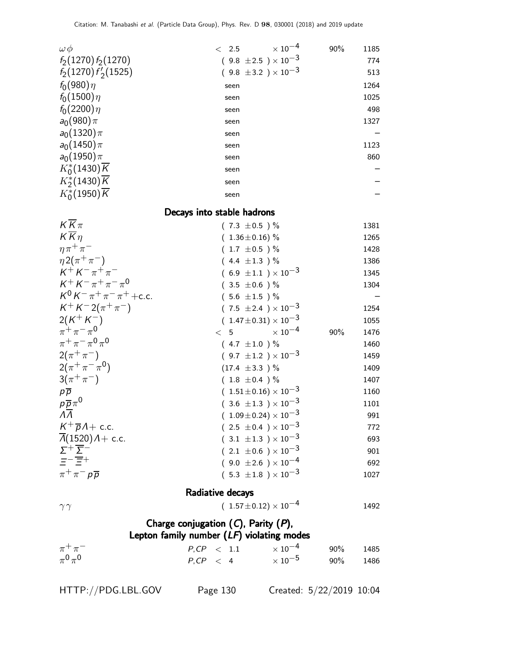| $\omega\,\phi$                             | $\lt$ 2.5                                   | $\times$ 10 <sup>-4</sup>                                          | 90% | 1185       |
|--------------------------------------------|---------------------------------------------|--------------------------------------------------------------------|-----|------------|
| $f_2(1270) f_2(1270)$                      |                                             | $(9.8 \pm 2.5) \times 10^{-3}$                                     |     | 774        |
| $f_2(1270) f'_2(1525)$                     |                                             | $(9.8 \pm 3.2) \times 10^{-3}$                                     |     | 513        |
| $f_0(980)\eta$                             | seen                                        |                                                                    |     | 1264       |
| $f_0(1500)\eta$                            | seen                                        |                                                                    |     | 1025       |
| $f_0(2200)\eta$                            | seen                                        |                                                                    |     | 498        |
| $a_0(980)\pi$                              | seen                                        |                                                                    |     | 1327       |
| $a_0(1320)\pi$                             | seen                                        |                                                                    |     |            |
| $a_0(1450)\pi$                             | seen                                        |                                                                    |     | 1123       |
| $a_0(1950)\pi$                             | seen                                        |                                                                    |     | 860        |
| $K_0^*(1430)\overline{K}$                  | seen                                        |                                                                    |     |            |
| $K_2^*(1430)\overline{K}$                  | seen                                        |                                                                    |     |            |
| $K_0^*(1950)\overline{K}$                  | seen                                        |                                                                    |     |            |
|                                            | Decays into stable hadrons                  |                                                                    |     |            |
| $K\overline{K}\pi$                         |                                             | $(7.3 \pm 0.5)$ %                                                  |     | 1381       |
| $K\overline{K}\eta$                        |                                             | $(1.36 \pm 0.16)$ %                                                |     | 1265       |
| $\eta \pi^+ \pi^-$                         |                                             | $(1.7 \pm 0.5)$ %                                                  |     | 1428       |
| $\eta 2(\pi^+\pi^-)$                       |                                             | $(4.4 \pm 1.3) \%$                                                 |     | 1386       |
| $K^+ K^- \pi^+ \pi^-$                      |                                             | $(6.9 \pm 1.1) \times 10^{-3}$                                     |     | 1345       |
| $K^+ K^- \pi^+ \pi^- \pi^0$                |                                             | $(3.5 \pm 0.6)$ %                                                  |     | 1304       |
| $K^0 K^- \pi^+ \pi^- \pi^+ + c.c.$         |                                             | $(5.6 \pm 1.5)$ %                                                  |     |            |
| $K^+ K^- 2(\pi^+ \pi^-)$                   |                                             | $(7.5 \pm 2.4) \times 10^{-3}$                                     |     | 1254       |
| $2(K^+K^-)$                                |                                             | $(1.47 \pm 0.31) \times 10^{-3}$                                   |     | 1055       |
| $\pi^{+}\pi^{-}\pi^{0}$                    | < 5                                         | $\times$ $10^{-4}$                                                 | 90% | 1476       |
| $\pi^+ \pi^- \pi^0 \pi^0$                  |                                             | $(4.7 \pm 1.0) \%$                                                 |     | 1460       |
| $2(\pi^{+}\pi^{-})$                        |                                             | $(9.7 \pm 1.2) \times 10^{-3}$                                     |     | 1459       |
| $2(\pi^+\pi^-\pi^0)$                       |                                             | $(17.4 \pm 3.3)$ %                                                 |     | 1409       |
| $3(\pi^{+}\pi^{-})$                        |                                             | $(1.8 \pm 0.4) \%$                                                 |     | 1407       |
| $p\overline{p}$<br>$p\overline{p}\pi^0$    |                                             | $(1.51\pm0.16)\times10^{-3}$                                       |     | 1160       |
| $\overline{\Lambda}$                       |                                             | $(3.6 \pm 1.3) \times 10^{-3}$<br>$(1.09 \pm 0.24) \times 10^{-3}$ |     | 1101       |
| $K^+\overline{p}A+$ c.c.                   |                                             | $(2.5 \pm 0.4) \times 10^{-3}$                                     |     | 991<br>772 |
| $\overline{\Lambda}(1520)$ $\Lambda+$ c.c. |                                             | $(3.1 \pm 1.3) \times 10^{-3}$                                     |     | 693        |
| $\Sigma^+\overline{\Sigma}^-$              |                                             | $(2.1 \pm 0.6) \times 10^{-3}$                                     |     | 901        |
| $\overline{\Xi}$ - $\overline{\Xi}$ +      |                                             | $(9.0 \pm 2.6) \times 10^{-4}$                                     |     | 692        |
| $\pi^+\pi^-p\overline{p}$                  |                                             | $(5.3 \pm 1.8) \times 10^{-3}$                                     |     | 1027       |
|                                            |                                             |                                                                    |     |            |
|                                            | Radiative decays                            |                                                                    |     |            |
| $\gamma\gamma$                             |                                             | $(1.57 \pm 0.12) \times 10^{-4}$                                   |     | 1492       |
|                                            | Charge conjugation $(C)$ , Parity $(P)$ ,   |                                                                    |     |            |
|                                            | Lepton family number $(LF)$ violating modes |                                                                    |     |            |
| $\pi^+\pi^-$                               | $P, CP \leq 1.1$                            | $\times$ 10 $^{-4}$                                                | 90% | 1485       |
| $\pi^0\pi^0$                               | $P, CP \leq 4$                              | $\times$ 10 $^{-5}$                                                | 90% | 1486       |
|                                            |                                             |                                                                    |     |            |

HTTP://PDG.LBL.GOV Page 130 Created: 5/22/2019 10:04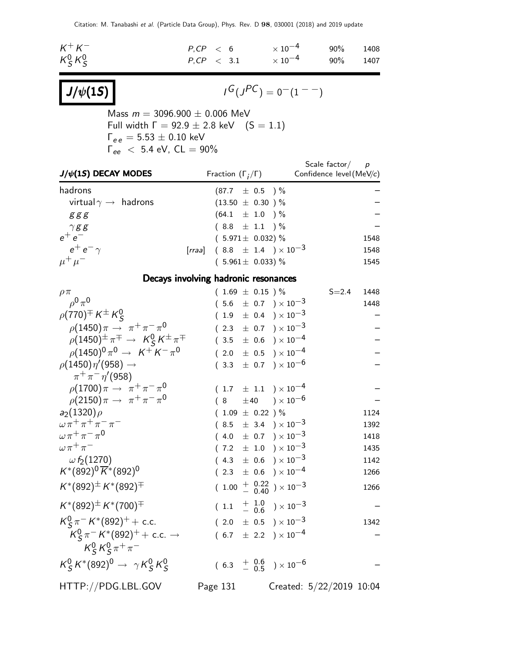| $K^+ K^-$     | P.CP < 6        |  | $\times$ 10 $^{-4}$ 90% 1408 |  |
|---------------|-----------------|--|------------------------------|--|
| $K_S^0 K_S^0$ | $P.CP \leq 3.1$ |  | $\times$ 10 $^{-4}$ 90% 1407 |  |

$$
J/\psi(1S)
$$

$$
I^G(J^{PC}) = 0^-(1^{--})
$$

Mass  $m = 3096.900 \pm 0.006$  MeV Full width  $\Gamma = 92.9 \pm 2.8$  keV  $(S = 1.1)$  $\Gamma_{ee}=5.53\pm0.10$  keV  $\Gamma_{ee}~<~$  5.4 eV, CL  $=$   $90\%$ 

| $J/\psi(1S)$ DECAY MODES                                                        | Fraction $(\Gamma_i/\Gamma)$                               |  |  |                                                                     | Scale factor $/$ p<br>Confidence level (MeV/c) |      |  |  |  |  |  |  |
|---------------------------------------------------------------------------------|------------------------------------------------------------|--|--|---------------------------------------------------------------------|------------------------------------------------|------|--|--|--|--|--|--|
| hadrons                                                                         | $(87.7 \pm 0.5)$ %                                         |  |  |                                                                     |                                                |      |  |  |  |  |  |  |
| virtual $\gamma \rightarrow$ hadrons                                            | $(13.50 \pm 0.30)$ %                                       |  |  |                                                                     |                                                |      |  |  |  |  |  |  |
| ggg                                                                             | $(64.1 \pm 1.0) \%$                                        |  |  |                                                                     |                                                |      |  |  |  |  |  |  |
| $\gamma$ gg                                                                     | $(8.8 \pm 1.1)$ %                                          |  |  |                                                                     |                                                |      |  |  |  |  |  |  |
| $e^+e^-$                                                                        | $(5.971 \pm 0.032)$ %                                      |  |  |                                                                     |                                                | 1548 |  |  |  |  |  |  |
| $e^+e^-\gamma$                                                                  | [ <i>rraa</i> ] (8.8 $\pm$ 1.4 ) $\times$ 10 <sup>-3</sup> |  |  |                                                                     |                                                | 1548 |  |  |  |  |  |  |
| $\mu^+ \mu^-$                                                                   | $(5.961 \pm 0.033)$ %                                      |  |  |                                                                     |                                                | 1545 |  |  |  |  |  |  |
| Decays involving hadronic resonances                                            |                                                            |  |  |                                                                     |                                                |      |  |  |  |  |  |  |
| $\rho \pi$                                                                      | $(1.69 \pm 0.15) \%$                                       |  |  |                                                                     | $S = 2.4$                                      | 1448 |  |  |  |  |  |  |
| $\rho^0 \pi^0$                                                                  |                                                            |  |  | $(5.6 \pm 0.7) \times 10^{-3}$                                      |                                                | 1448 |  |  |  |  |  |  |
| $\rho(770)^{\pm} K^{\pm} K_S^0$                                                 |                                                            |  |  | $(1.9 \pm 0.4) \times 10^{-3}$                                      |                                                |      |  |  |  |  |  |  |
| $\rho(1450)\pi \to \pi^+\pi^-\pi^0$                                             |                                                            |  |  | $(2.3 \pm 0.7) \times 10^{-3}$                                      |                                                |      |  |  |  |  |  |  |
| $\rho(1450)^{\pm} \pi^{\mp} \rightarrow K_S^0 K^{\pm} \pi^{\mp}$                |                                                            |  |  | $(3.5 \pm 0.6) \times 10^{-4}$                                      |                                                |      |  |  |  |  |  |  |
| $\rho (1450)^0 \pi^0 \rightarrow K^+ K^- \pi^0$                                 |                                                            |  |  | $(2.0 \pm 0.5) \times 10^{-4}$                                      |                                                |      |  |  |  |  |  |  |
| $\rho(1450)\eta'(958) \rightarrow$                                              |                                                            |  |  | $(3.3 \pm 0.7) \times 10^{-6}$                                      |                                                |      |  |  |  |  |  |  |
| $\pi^{+}\pi^{-}\eta'$ (958)                                                     |                                                            |  |  |                                                                     |                                                |      |  |  |  |  |  |  |
| $\rho(1700)\pi \to \pi^+\pi^-\pi^0$                                             |                                                            |  |  | $(1.7 \pm 1.1) \times 10^{-4}$                                      |                                                |      |  |  |  |  |  |  |
| $\rho(2150)\pi \to \pi^+\pi^-\pi^0$                                             |                                                            |  |  | $(8\quad \pm 40\quad )\times 10^{-6}$                               |                                                |      |  |  |  |  |  |  |
| $a_2(1320)\rho$                                                                 | $(1.09 \pm 0.22) \%$                                       |  |  |                                                                     |                                                | 1124 |  |  |  |  |  |  |
| $\omega \pi^+ \pi^+ \pi^- \pi^-$                                                |                                                            |  |  | $(8.5 \pm 3.4) \times 10^{-3}$                                      |                                                | 1392 |  |  |  |  |  |  |
| $\omega \pi^+ \pi^- \pi^0$                                                      |                                                            |  |  | $(4.0 \pm 0.7) \times 10^{-3}$                                      |                                                | 1418 |  |  |  |  |  |  |
| $\omega \pi^+ \pi^-$                                                            |                                                            |  |  | $(7.2 \pm 1.0) \times 10^{-3}$                                      |                                                | 1435 |  |  |  |  |  |  |
| $\omega f_2(1270)$                                                              |                                                            |  |  | $(4.3 \pm 0.6) \times 10^{-3}$                                      |                                                | 1142 |  |  |  |  |  |  |
| $K^*(892)^0 \overline{K}^*(892)^0$                                              |                                                            |  |  | $(2.3 \pm 0.6) \times 10^{-4}$                                      |                                                | 1266 |  |  |  |  |  |  |
| $K^*(892)^\pm K^*(892)^\mp$                                                     |                                                            |  |  | $(1.00 + \begin{array}{c} 0.22 \\ 0.40 \end{array}) \times 10^{-3}$ |                                                | 1266 |  |  |  |  |  |  |
| $K^*(892)^\pm K^*(700)^\mp$                                                     |                                                            |  |  | $(1.1 + \frac{1.0}{0.6}) \times 10^{-3}$                            |                                                |      |  |  |  |  |  |  |
| $K_S^0 \pi^- K^*(892)^+ +$ c.c.                                                 |                                                            |  |  | $(2.0 \pm 0.5) \times 10^{-3}$                                      |                                                | 1342 |  |  |  |  |  |  |
| $K_S^0 \pi^- K^*(892)^+ + \text{c.c.} \rightarrow$<br>$K_S^0 K_S^0 \pi^+ \pi^-$ |                                                            |  |  | $(6.7 \pm 2.2) \times 10^{-4}$                                      |                                                |      |  |  |  |  |  |  |
| $K_S^0 K^*(892)^0 \to \gamma K_S^0 K_S^0$                                       |                                                            |  |  | $(6.3 + \begin{array}{cc} 0.6 \\ -0.5 \end{array}) \times 10^{-6}$  |                                                |      |  |  |  |  |  |  |
| HTTP://PDG.LBL.GOV                                                              | Page 131                                                   |  |  |                                                                     | Created: 5/22/2019 10:04                       |      |  |  |  |  |  |  |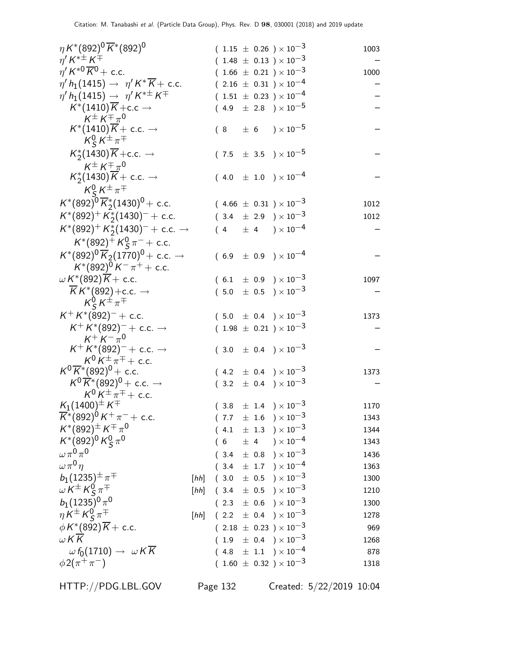| $\eta K^{*}(892)^{0} \overline{K}^{*}(892)^{0}$                                                                      |      |  |  | $(1.15 \pm 0.26) \times 10^{-3}$             | 1003 |
|----------------------------------------------------------------------------------------------------------------------|------|--|--|----------------------------------------------|------|
| $\eta^{\prime}\,{\mathsf K}^{*\pm}\,{\mathsf K}^{\mp}$                                                               |      |  |  | $(1.48 \pm 0.13) \times 10^{-3}$             |      |
| $\eta' K^{*0} \overline{K}{}^0$ + c.c.                                                                               |      |  |  | $(1.66 \pm 0.21) \times 10^{-3}$             | 1000 |
| $\eta' h_1(1415) \to \eta' K^* \overline{K} + \text{c.c.}$                                                           |      |  |  | $(2.16 \pm 0.31) \times 10^{-4}$             |      |
| $\eta' h_1(1415) \to \eta' K^{*\pm} K^{\mp}$                                                                         |      |  |  | $(1.51 \pm 0.23) \times 10^{-4}$             |      |
| $K^*(1410)\overline{K}$ + c.c $\rightarrow$                                                                          |      |  |  | $(4.9 \pm 2.8) \times 10^{-5}$               |      |
| $K^{\pm} K^{\mp} \pi^0$                                                                                              |      |  |  |                                              |      |
| $K^*(1410)K + \text{c.c.} \rightarrow$                                                                               |      |  |  | $(8 \pm 6) \times 10^{-5}$                   |      |
| $K_S^0 K^{\pm} \pi^{\mp}$                                                                                            |      |  |  |                                              |      |
| $K_2^*(1430)\overline{K}$ + c.c. $\rightarrow$                                                                       |      |  |  | $(7.5 \pm 3.5) \times 10^{-5}$               |      |
| $K^{\pm} K^{\mp} \pi^0$                                                                                              |      |  |  |                                              |      |
| $K_2^*(1430)K + \text{c.c.} \rightarrow$                                                                             |      |  |  | $(4.0 \pm 1.0) \times 10^{-4}$               |      |
| $K_S^0 K^{\pm} \pi^{\mp}$                                                                                            |      |  |  |                                              |      |
| $K^*(892)^0 \overline{K}_2^*(1430)^0$ + c.c.                                                                         |      |  |  | $(4.66 \pm 0.31) \times 10^{-3}$             | 1012 |
| $K^*(892)^+ K^*_2(1430)^- +$ c.c.                                                                                    |      |  |  | $(3.4 \pm 2.9) \times 10^{-3}$               | 1012 |
| $K^*(892)^+ K^*_2(1430)^- +$ c.c. $\rightarrow$                                                                      |      |  |  | $(4 \pm 4) \times 10^{-4}$                   |      |
| $K^*(892)^+ K_S^0 \pi^- +$ c.c.                                                                                      |      |  |  |                                              |      |
| $K^*(892)^0 \overline{K}_2(1770)^0$ + c.c. $\rightarrow$                                                             |      |  |  | $(6.9 \pm 0.9) \times 10^{-4}$               |      |
| $K^*(892)^0 K^- \pi^+ +$ c.c.                                                                                        |      |  |  |                                              |      |
| $\omega K^*(892)\overline{K}+$ c.c.                                                                                  |      |  |  | $(6.1 \pm 0.9) \times 10^{-3}$               | 1097 |
| $\overline{K}K^*(892) + c.c. \rightarrow$                                                                            |      |  |  | $(5.0 \pm 0.5) \times 10^{-3}$               |      |
| $K_S^0 K^{\pm} \pi^{\mp}$                                                                                            |      |  |  |                                              |      |
| $K^+ K^*(892)^-$ + c.c.                                                                                              |      |  |  | $(5.0 \pm 0.4) \times 10^{-3}$               | 1373 |
| $K^+ K^*(892)^- +$ c.c. $\rightarrow$                                                                                |      |  |  | $(1.98 \pm 0.21) \times 10^{-3}$             |      |
| $K^+ K^- \pi^0$                                                                                                      |      |  |  |                                              |      |
| $K^+ K^*(892)^- +$ c.c. $\rightarrow$                                                                                |      |  |  | $(3.0 \pm 0.4) \times 10^{-3}$               |      |
| $K^0 K^{\pm} \pi^{\mp} +$ c.c.                                                                                       |      |  |  |                                              |      |
| $K^0 \overline{K}{}^* (892)^0$ + c.c.                                                                                |      |  |  | $(4.2 \pm 0.4) \times 10^{-3}$               | 1373 |
| $K^0 \overline{K}{}^*(892)^0$ + c.c. $\rightarrow$                                                                   |      |  |  | $(3.2 \pm 0.4) \times 10^{-3}$               |      |
| $K^0 K^{\pm} \pi^{\mp} +$ c.c.                                                                                       |      |  |  |                                              |      |
| $K_1(1400)^{\pm} K^{\mp}$<br>$\overline{K}$ <sup>*</sup> (892) <sup>0</sup> K <sup>+</sup> $\pi$ <sup>-</sup> + c.c. |      |  |  | $(3.8 \pm 1.4) \times 10^{-3}$               | 1170 |
| $K^{*}(892)^{\pm} K^{\mp} \pi^{0}$                                                                                   |      |  |  | $(7.7 \pm 1.6) \times 10^{-3}$               | 1343 |
| $K^*(892)^0 K^0_S \pi^0$                                                                                             |      |  |  | $(4.1 \pm 1.3) \times 10^{-3}$               | 1344 |
|                                                                                                                      |      |  |  | $(6 \pm 4) \times 10^{-4}$                   | 1343 |
| $\omega \pi^0 \pi^0$                                                                                                 |      |  |  | $(3.4 \pm 0.8) \times 10^{-3}$               | 1436 |
| $\omega \pi^0 \eta$                                                                                                  |      |  |  | $(3.4 \pm 1.7) \times 10^{-4}$               | 1363 |
| $b_1(1235)^{\pm} \pi^{\mp}$                                                                                          |      |  |  | [hh] $(3.0 \pm 0.5) \times 10^{-3}$          | 1300 |
| $\omega K^{\pm} K^0_S \pi^{\mp}$                                                                                     |      |  |  | [ <i>hh</i> ] $(3.4 \pm 0.5) \times 10^{-3}$ | 1210 |
| $b_1(1235)^0 \pi^0$                                                                                                  |      |  |  | $(2.3 \pm 0.6) \times 10^{-3}$               | 1300 |
| $\eta K^{\pm} K^0_S \pi^{\mp}$                                                                                       | [hh] |  |  | $(2.2 \pm 0.4) \times 10^{-3}$               | 1278 |
| $\phi K^*(892)\overline{K}$ + c.c.                                                                                   |      |  |  | $(2.18 \pm 0.23) \times 10^{-3}$             | 969  |
| W K K                                                                                                                |      |  |  | $(1.9 \pm 0.4) \times 10^{-3}$               | 1268 |
| $\omega f_0(1710) \rightarrow \omega K \overline{K}$                                                                 |      |  |  | $(4.8 \pm 1.1) \times 10^{-4}$               | 878  |
| $\phi 2(\pi^+\pi^-)$                                                                                                 |      |  |  | $(1.60 \pm 0.32) \times 10^{-3}$             | 1318 |

HTTP://PDG.LBL.GOV Page 132 Created: 5/22/2019 10:04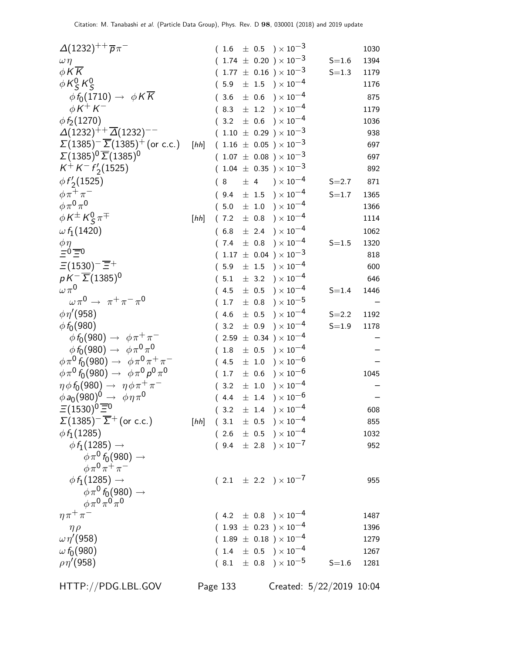| $\Delta(1232)^{++}$ $\overline{p}\pi^-$                   |      | (1.6) |           | $\pm$ 0.5 $)\times 10^{-3}$                       |           | 1030 |
|-----------------------------------------------------------|------|-------|-----------|---------------------------------------------------|-----------|------|
| $\omega \eta$                                             |      |       |           | $(1.74 \pm 0.20) \times 10^{-3}$                  | $S = 1.6$ | 1394 |
| $\phi K \overline{K}$                                     |      |       |           | $(1.77 \pm 0.16) \times 10^{-3}$                  | $S = 1.3$ | 1179 |
| $\phi$ K $^0$ <sub>S</sub> K $^0$ <sub>S</sub>            |      | (5.9) |           | $\pm$ 1.5 $\rightarrow$ $\times$ 10 <sup>-4</sup> |           | 1176 |
| $\phi f_0(1710) \rightarrow \phi K \overline{K}$          |      | 3.6   | $\pm$ 0.6 | ) $\times$ 10 $^{-4}$                             |           | 875  |
| $\phi K^+ K^-$                                            |      | (8.3) |           | $\pm$ 1.2 $)\times10^{-4}$                        |           | 1179 |
| $\phi f_2(1270)$                                          |      |       |           | $(3.2 \pm 0.6) \times 10^{-4}$                    |           | 1036 |
| $\Delta(1232)^{++}$ $\overline{\Delta}(1232)^{--}$        |      |       |           | $(1.10 \pm 0.29) \times 10^{-3}$                  |           | 938  |
| $\Sigma(1385)^{-} \overline{\Sigma}(1385)^{+}$ (or c.c.)  | [hh] |       |           | $(1.16 \pm 0.05) \times 10^{-3}$                  |           | 697  |
| $\Sigma(1385)^{0}\overline{\Sigma}(1385)^{0}$             |      |       |           | $(1.07 \pm 0.08) \times 10^{-3}$                  |           | 697  |
| $K^+ K^- f'_2(1525)$                                      |      |       |           | $(1.04 \pm 0.35) \times 10^{-3}$                  |           | 892  |
| $\phi f'_2(1525)$                                         |      | 8     | $\pm$ 4   | $) \times 10^{-4}$                                | $S = 2.7$ | 871  |
| $\phi \pi^+ \pi^-$                                        |      | (9.4) |           | $\pm$ 1.5 ) $\times$ 10 $^{-4}$                   | $S = 1.7$ | 1365 |
| $\phi \pi^0 \pi^0$                                        |      | (5.0) |           | $\pm$ 1.0 $)\times10^{-4}$                        |           | 1366 |
| $\phi K^{\pm} K^0_S \pi^{\mp}$                            | [hh] | (7.2) |           | $\pm$ 0.8 $)\times10^{-4}$                        |           | 1114 |
| $\omega f_1(1420)$                                        |      | (6.8) |           | $\pm$ 2.4 ) $\times$ $10^{-4}$                    |           | 1062 |
|                                                           |      | (7.4) | $\pm$ 0.8 | ) $\times$ 10 $^{-4}$                             | $S = 1.5$ | 1320 |
| $\frac{\phi \eta}{=0}$ =0                                 |      |       |           | $(1.17 \pm 0.04) \times 10^{-3}$                  |           | 818  |
| $\Xi(1530)^{-} \overline{\Xi}{}^{+}$                      |      | (5.9) | $\pm$ 1.5 | ) $\times$ 10 <sup>-4</sup>                       |           | 600  |
| $pK^{-}\overline{\Sigma} (1385)^{0}$                      |      | (5.1) |           | $\pm$ 3.2 ) $\times$ 10 $^{-4}$                   |           | 646  |
| $\omega\pi^{0}$                                           |      | (4.5) | $\pm$ 0.5 | $) \times 10^{-4}$                                | $S = 1.4$ | 1446 |
| $\omega \pi^0 \rightarrow \pi^+ \pi^- \pi^0$              |      | 1.7   | $\pm$ 0.8 | $)\times10^{-5}$                                  |           |      |
| $\phi \eta' (958)$                                        |      | (4.6) |           | $\pm$ 0.5 $\mathrm{)}\times10^{-4}$               | $S = 2.2$ | 1192 |
| $\phi f_0(980)$                                           |      | (3.2) | $\pm$ 0.9 | $) \times 10^{-4}$                                | $S = 1.9$ | 1178 |
| $\phi f_0(980) \rightarrow \phi \pi^+ \pi^-$              |      |       |           | $(2.59 \pm 0.34) \times 10^{-4}$                  |           |      |
| $\phi f_0(980) \to \phi \pi^0 \pi^0$                      |      | 1.8   | $\pm$ 0.5 | ) $\times$ $10^{-4}$                              |           |      |
| $\phi \pi^0 f_0(980) \to \phi \pi^0 \pi^+ \pi^-$          |      | (4.5) | $\pm$ 1.0 | ) $\times$ 10 $^{-6}$                             |           |      |
| $\phi \pi^0 f_0(980) \rightarrow \phi \pi^0 p^0 \pi^0$    |      | 1.7   | $\pm$ 0.6 | ) $\times$ 10 $^{-6}$                             |           | 1045 |
| $\eta \phi f_0(980) \rightarrow \eta \phi \pi^+ \pi^-$    |      | 3.2   | $\pm$ 1.0 | ) $\times$ $10^{-4}$                              |           |      |
| $\phi a_0(980)^0 \rightarrow \phi \eta \pi^0$             |      | (4.4) |           | $\pm$ 1.4 ) $\times$ 10 $^{-6}$                   |           |      |
| $\Xi(1530)^{\overline{0}}\overline{\Xi}{}^{\overline{0}}$ |      |       |           | $(3.2 \pm 1.4) \times 10^{-4}$                    |           | 608  |
| $\Sigma(1385)^{-} \overline{\Sigma}^{+}$ (or c.c.)        |      |       |           | [hh] $(3.1 \pm 0.5) \times 10^{-4}$               |           | 855  |
| $\phi f_1(1285)$                                          |      |       |           | $(2.6 \pm 0.5) \times 10^{-4}$                    |           | 1032 |
| $\phi f_1(1285) \rightarrow$                              |      |       |           | $(9.4 \pm 2.8) \times 10^{-7}$                    |           | 952  |
| $\phi \pi^0 f_0(980) \rightarrow$                         |      |       |           |                                                   |           |      |
| $\phi \pi^0 \pi^+ \pi^-$                                  |      |       |           |                                                   |           |      |
| $\phi f_1(1285) \rightarrow$                              |      |       |           | $(2.1 \pm 2.2) \times 10^{-7}$                    |           | 955  |
| $\phi \pi^0 f_0(980) \rightarrow$                         |      |       |           |                                                   |           |      |
| $\phi \pi^0 \pi^0 \pi^0$                                  |      |       |           |                                                   |           |      |
| $\eta \pi^+ \pi^-$                                        |      |       |           | $(4.2 \pm 0.8) \times 10^{-4}$                    |           | 1487 |
| $\eta \rho$                                               |      |       |           | $(1.93 \pm 0.23) \times 10^{-4}$                  |           | 1396 |
| $\omega\eta'(958)$                                        |      |       |           | $(1.89 \pm 0.18) \times 10^{-4}$                  |           | 1279 |
| $\omega f_0(980)$                                         |      |       |           | $(1.4 \pm 0.5) \times 10^{-4}$                    |           | 1267 |
| $\rho\eta^{\prime}(958)$                                  |      |       |           | $(8.1 \pm 0.8) \times 10^{-5}$                    | $S = 1.6$ | 1281 |
|                                                           |      |       |           |                                                   |           |      |

HTTP://PDG.LBL.GOV Page 133 Created: 5/22/2019 10:04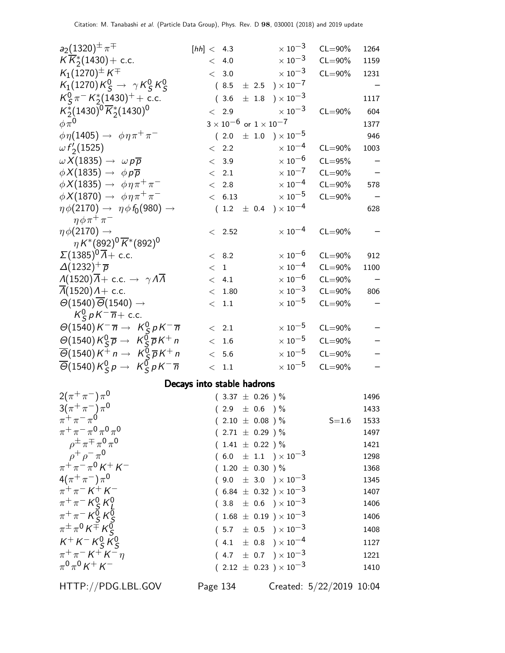| $a_2(1320)^{\pm} \pi^{\mp}$                                                                                                   | [hh] < 4.3                 |                                      | $\times$ 10 <sup>-3</sup>           | $CL = 90\%$              | 1264              |
|-------------------------------------------------------------------------------------------------------------------------------|----------------------------|--------------------------------------|-------------------------------------|--------------------------|-------------------|
| $K\overline{K}_{2}^{*}(1430) +$ c.c.                                                                                          | < 4.0                      |                                      | $\times$ 10 <sup>-3</sup>           | $CL = 90\%$              | 1159              |
| $K_1(1270)^{\pm} K^{\mp}$                                                                                                     | < 3.0                      |                                      | $\times$ 10 $^{-3}$                 | $CL = 90\%$              | 1231              |
| $K_1(1270)K_S^0 \rightarrow \gamma K_S^0 K_S^0$                                                                               |                            |                                      | $(8.5 \pm 2.5) \times 10^{-7}$      |                          |                   |
| $K_S^0 \pi^- K_2^*(1430)^+ +$ c.c.                                                                                            | (3.6)                      | $\pm$ 1.8                            | $) \times 10^{-3}$                  |                          | 1117              |
| $K_2^*(1430)^0 \overline{K}_2^*(1430)^0$                                                                                      | $< 2.9$                    |                                      | $\times$ 10 <sup>-3</sup>           | $CL = 90\%$              | 604               |
| $\phi \pi^0$                                                                                                                  |                            | $3\times10^{-6}$ or $1\times10^{-7}$ |                                     |                          | 1377              |
| $\phi \eta(1405) \rightarrow \phi \eta \pi^+ \pi^-$                                                                           | (2.0)                      |                                      | $\pm$ 1.0 $\mathrm{)}\times10^{-5}$ |                          | 946               |
| $\omega f_2(1525)$                                                                                                            | < 2.2                      |                                      | $\times$ 10 <sup>-4</sup>           | $CL = 90\%$              | 1003              |
| $\omega X(1835) \rightarrow \omega p \overline{p}$                                                                            | < 3.9                      |                                      | $\times$ 10 $^{-6}$                 | $CL = 95%$               | $\qquad \qquad -$ |
| $\phi X(1835) \rightarrow \phi p \overline{p}$                                                                                | $\langle$ 2.1              |                                      | $\times\,10^{-7}$                   | $CL = 90\%$              |                   |
| $\phi X(1835) \rightarrow \phi \eta \pi^+ \pi^-$                                                                              | < 2.8                      |                                      | $\times\,10^{-4}$                   | $CL = 90\%$              | 578               |
| $\phi X(1870) \rightarrow \phi \eta \pi^+ \pi^-$                                                                              | < 6.13                     |                                      | $\times$ 10 $^{-5}$                 | $CL = 90\%$              |                   |
| $\eta \phi(2170) \rightarrow \eta \phi f_0(980) \rightarrow$<br>$\eta \phi \pi^+ \pi^-$                                       |                            |                                      | $(1.2 \pm 0.4) \times 10^{-4}$      |                          | 628               |
| $\eta \phi(2170) \rightarrow$                                                                                                 | $< 2.52$                   |                                      | $\times$ 10 <sup>-4</sup>           | $CL = 90\%$              |                   |
| $\eta K^{*}(892)^{0} \overline{K}^{*}(892)^{0}$                                                                               |                            |                                      |                                     |                          |                   |
| $\Sigma(1385)^{0}\overline{A}$ + c.c.                                                                                         | < 8.2                      |                                      | $\times$ 10 <sup>-6</sup>           | $CL = 90\%$              | 912               |
| $\Delta(1232)^{+} \overline{p}$                                                                                               | $<$ 1                      |                                      | $\times$ 10 <sup>-4</sup>           | $CL = 90\%$              | 1100              |
| $\Lambda(1520)\overline{\Lambda}+$ c.c. $\rightarrow \gamma\Lambda\overline{\Lambda}$                                         | < 4.1                      |                                      | $\times$ 10 <sup>-6</sup>           | $CL = 90\%$              |                   |
| $\Lambda(1520)\Lambda +$ c.c.                                                                                                 | < 1.80                     |                                      | $\times\,10^{-3}$                   | $CL = 90\%$              | 806               |
| $\Theta(1540)\overline{\Theta}(1540)\rightarrow$                                                                              | < 1.1                      |                                      | $\times$ 10 $^{-5}$                 | $CL = 90\%$              |                   |
| $K_S^0 p K^- \overline{n}$ + c.c.                                                                                             |                            |                                      |                                     |                          |                   |
| $\Theta(1540)K^{-} \overline{n} \rightarrow K_S^0 pK^{-} \overline{n}$                                                        | $\langle$ 2.1              |                                      | $\times$ 10 <sup>-5</sup>           | $CL = 90\%$              |                   |
| $\Theta(1540)K_S^0\overline{p} \rightarrow K_S^0\overline{p}K^+n$                                                             | < 1.6                      |                                      | $\times$ 10 <sup>-5</sup>           | $CL = 90\%$              |                   |
| $\overline{\Theta}$ (1540) $K^+$ n $\rightarrow$ $K_S^0 \overline{p} K^+$ n                                                   | < 5.6                      |                                      | $\times$ $10^{-5}$                  | $CL = 90\%$              |                   |
| $\overline{\Theta}$ (1540) $K_S^0 p \rightarrow K_S^0 p K^- \overline{n}$                                                     | < 1.1                      |                                      | $\times$ 10 $^{-5}$                 | $CL = 90\%$              |                   |
|                                                                                                                               | Decays into stable hadrons |                                      |                                     |                          |                   |
| $2(\pi^{+}\pi^{-})\pi^{0}$                                                                                                    |                            | $(3.37 \pm 0.26)$ %                  |                                     |                          | 1496              |
| $3(\pi^{+}\pi^{-})\pi^{0}$                                                                                                    |                            | $(2.9 \pm 0.6) \%$                   |                                     |                          | 1433              |
| $\pi^+ \pi^- \pi^0$                                                                                                           |                            | $(2.10 \pm 0.08)$ %                  |                                     | $S = 1.6$                | 1533              |
| $\pi^+ \pi^- \pi^0 \pi^0 \pi^0$                                                                                               |                            | $(2.71 \pm 0.29)$ %                  |                                     |                          | 1497              |
| $\rho^{\pm} \pi^{\mp} \pi^0 \pi^0$                                                                                            |                            | $(1.41 \pm 0.22)$ %                  |                                     |                          | 1421              |
|                                                                                                                               |                            |                                      | $(6.0 \pm 1.1) \times 10^{-3}$      |                          | 1298              |
| $\rho^+ \rho^- \pi^0$<br>$\pi^+ \pi^- \pi^0 K^+ K^-$                                                                          |                            | $(1.20 \pm 0.30)$ %                  |                                     |                          | 1368              |
| $4(\pi^{+}\pi^{-})\pi^{0}$                                                                                                    |                            |                                      | $(9.0 \pm 3.0) \times 10^{-3}$      |                          | 1345              |
| $\pi^{+}\pi^{-} K^{+} K^{-}$                                                                                                  |                            |                                      | $(6.84 \pm 0.32) \times 10^{-3}$    |                          | 1407              |
|                                                                                                                               |                            |                                      | $(3.8 \pm 0.6) \times 10^{-3}$      |                          | 1406              |
|                                                                                                                               |                            |                                      | $(1.68 \pm 0.19) \times 10^{-3}$    |                          | 1406              |
| $\begin{array}{l} \pi^+\pi^- \, K^0_S \, K^0_L \\ \pi^+\pi^- \, K^0_S \, K^0_S \\ \pi^\pm\pi^0 \, K^\mp \, K^0_S \end{array}$ |                            |                                      | $(5.7 \pm 0.5) \times 10^{-3}$      |                          | 1408              |
| $K^+ K^- K^0_S K^0_S$                                                                                                         |                            |                                      | $(4.1 \pm 0.8) \times 10^{-4}$      |                          | 1127              |
| $\pi^{+}\pi^{-} K^{+} K^{-} \eta$                                                                                             |                            |                                      | $(4.7 \pm 0.7) \times 10^{-3}$      |                          | 1221              |
| $\pi^{0}\pi^{0}K^{+}K^{-}$                                                                                                    |                            |                                      | $(2.12 \pm 0.23) \times 10^{-3}$    |                          | 1410              |
| HTTP://PDG.LBL.GOV                                                                                                            | Page 134                   |                                      |                                     | Created: 5/22/2019 10:04 |                   |
|                                                                                                                               |                            |                                      |                                     |                          |                   |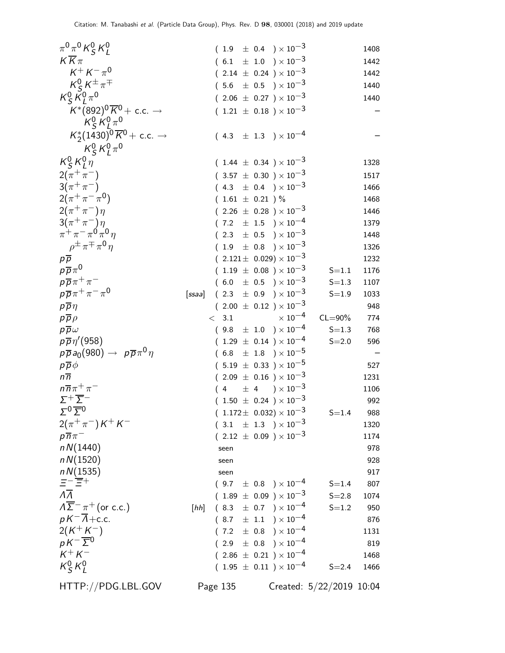| $\pi^{0}\pi^{0}K_{S}^{0}K_{L}^{0}$                         |        |          |                     |  | $(1.9 \pm 0.4) \times 10^{-3}$         |                          | 1408 |
|------------------------------------------------------------|--------|----------|---------------------|--|----------------------------------------|--------------------------|------|
| $K\overline{K}\pi$                                         |        |          |                     |  | $(6.1 \pm 1.0) \times 10^{-3}$         |                          | 1442 |
| $K^{+} K^{-} \pi^{0}$                                      |        |          |                     |  | $(2.14 \pm 0.24) \times 10^{-3}$       |                          | 1442 |
| $K_S^0 K^{\pm} \pi^{\mp}$                                  |        |          |                     |  | $(5.6 \pm 0.5) \times 10^{-3}$         |                          | 1440 |
| $K_S^0 \tilde{K}_I^0 \pi^0$                                |        |          |                     |  | $(2.06 \pm 0.27) \times 10^{-3}$       |                          | 1440 |
| $K^*(892)^0\overline{K}^0$ + c.c. $\rightarrow$            |        |          |                     |  | $(1.21 \pm 0.18) \times 10^{-3}$       |                          |      |
| $K_S^0 K_I^0 \pi^0$                                        |        |          |                     |  |                                        |                          |      |
| $K_2^*(1430)^0 \overline{K}^0$ + c.c. $\rightarrow$        |        |          |                     |  | $(4.3 \pm 1.3) \times 10^{-4}$         |                          |      |
|                                                            |        |          |                     |  |                                        |                          |      |
| $K_S^0 K_L^0 \pi^0$<br>$K_S^0 K_I^0 \eta$                  |        |          |                     |  |                                        |                          |      |
|                                                            |        |          |                     |  | $(1.44 \pm 0.34) \times 10^{-3}$       |                          | 1328 |
| $2(\pi^{+}\pi^{-})$                                        |        |          |                     |  | $(3.57 \pm 0.30) \times 10^{-3}$       |                          | 1517 |
| $3(\pi^{+}\pi^{-})$                                        |        |          |                     |  | $(4.3 \pm 0.4) \times 10^{-3}$         |                          | 1466 |
| $2(\pi^+\pi^-\pi^0)$                                       |        |          | $(1.61 \pm 0.21)$ % |  |                                        |                          | 1468 |
| $2(\pi^{+}\pi^{-})\eta$                                    |        |          |                     |  | $(2.26 \pm 0.28) \times 10^{-3}$       |                          | 1446 |
| $3(\pi^{+}\pi^{-})\eta$                                    |        | $\left($ |                     |  | 7.2 $\pm$ 1.5 $\right) \times 10^{-4}$ |                          | 1379 |
| $\pi^+ \pi^- \pi^0 \pi^0 \eta$                             |        | (        |                     |  | 2.3 $\pm$ 0.5 $\right) \times 10^{-3}$ |                          | 1448 |
| $\rho^{\pm} \pi^{\mp} \pi^{\mathbf{0}} \eta$               |        |          |                     |  | $(1.9 \pm 0.8) \times 10^{-3}$         |                          | 1326 |
| $p\overline{p}$                                            |        |          |                     |  | $(2.121 \pm 0.029) \times 10^{-3}$     |                          | 1232 |
| $p\overline{p}\pi^0$                                       |        |          |                     |  | $(1.19 \pm 0.08) \times 10^{-3}$       | $S = 1.1$                | 1176 |
| $p\overline{p}\pi^+\pi^-$                                  |        |          |                     |  | $(6.0 \pm 0.5) \times 10^{-3}$         | $S = 1.3$                | 1107 |
| $p\overline{p}\pi^+\pi^-\pi^0$                             | [ssaa] |          |                     |  | $(2.3 \pm 0.9) \times 10^{-3}$         | $S = 1.9$                | 1033 |
| $p\overline{p}\eta$                                        |        |          |                     |  | $(2.00 \pm 0.12) \times 10^{-3}$       |                          | 948  |
| $p\overline{p}\rho$                                        |        | $\lt$    | 3.1                 |  | $\times$ 10 <sup>-4</sup>              | $CL = 90\%$              | 774  |
| $p\overline{p}\omega$                                      |        |          |                     |  | $(9.8 \pm 1.0) \times 10^{-4}$         | $S = 1.3$                | 768  |
| $p\overline{p}\eta'(958)$                                  |        |          |                     |  | $(1.29 \pm 0.14) \times 10^{-4}$       | $S = 2.0$                | 596  |
| $p\overline{p}a_0(980) \rightarrow p\overline{p}\pi^0\eta$ |        |          |                     |  | $(6.8 \pm 1.8) \times 10^{-5}$         |                          |      |
| $p\overline{p}\phi$                                        |        |          |                     |  | $(5.19 \pm 0.33) \times 10^{-5}$       |                          | 527  |
| $n\overline{n}$                                            |        |          |                     |  | $(2.09 \pm 0.16) \times 10^{-3}$       |                          | 1231 |
| $n\overline{n}\pi^+\pi^-$                                  |        |          |                     |  | $(4 \pm 4) \times 10^{-3}$             |                          | 1106 |
| $\Sigma^+\overline{\Sigma}^-$                              |        |          |                     |  | $(1.50 \pm 0.24) \times 10^{-3}$       |                          | 992  |
| $\Sigma^0 \overline{\Sigma}{}^0$                           |        |          |                     |  | $(1.172 \pm 0.032) \times 10^{-3}$     | $S = 1.4$                | 988  |
| $2(\pi^+\pi^-)K^+K^-$                                      |        |          |                     |  | $(3.1 \pm 1.3) \times 10^{-3}$         |                          | 1320 |
| $p\overline{n}\pi^-$                                       |        |          |                     |  | $(2.12 \pm 0.09) \times 10^{-3}$       |                          | 1174 |
| nN(1440)                                                   |        |          | seen                |  |                                        |                          | 978  |
| nN(1520)                                                   |        |          | seen                |  |                                        |                          | 928  |
| nN(1535)                                                   |        |          | seen                |  |                                        |                          | 917  |
| $E^-\overline{E}{}^+$                                      |        |          |                     |  | $(9.7 \pm 0.8) \times 10^{-4}$         | $S = 1.4$                | 807  |
| $\overline{\Lambda}$                                       |        |          |                     |  | $(1.89 \pm 0.09) \times 10^{-3}$       | $S = 2.8$                | 1074 |
| $\Lambda \overline{\Sigma}^- \pi^+$ (or c.c.)              | [hh]   |          |                     |  | $(8.3 \pm 0.7) \times 10^{-4}$         | $S = 1.2$                | 950  |
| $pK^{-1}\overline{\Lambda}+c.c.$                           |        |          |                     |  | $(8.7 \pm 1.1) \times 10^{-4}$         |                          | 876  |
| $2(K^+K^-)$                                                |        |          |                     |  | $(7.2 \pm 0.8) \times 10^{-4}$         |                          | 1131 |
| $pK^{-}\overline{\Sigma}{}^{0}$                            |        |          |                     |  | $(2.9 \pm 0.8) \times 10^{-4}$         |                          | 819  |
| $K^+ K^-$                                                  |        |          |                     |  | $(2.86 \pm 0.21) \times 10^{-4}$       |                          | 1468 |
| $K_S^0 K_l^0$                                              |        |          |                     |  | $(1.95 \pm 0.11) \times 10^{-4}$       | $S = 2.4$                | 1466 |
| HTTP://PDG.LBL.GOV                                         |        |          | Page 135            |  |                                        | Created: 5/22/2019 10:04 |      |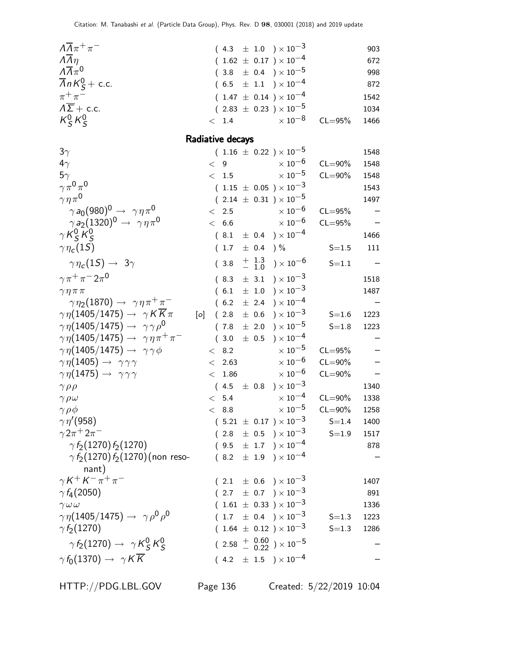| $\Lambda \overline{\Lambda} \pi^+ \pi^-$                                      |     |         |                   |           | $(4.3 \pm 1.0) \times 10^{-3}$                                     |                        | 903         |
|-------------------------------------------------------------------------------|-----|---------|-------------------|-----------|--------------------------------------------------------------------|------------------------|-------------|
| $\overline{\Lambda} \overline{\eta}$                                          |     |         |                   |           | $(1.62 \pm 0.17) \times 10^{-4}$                                   |                        | 672         |
| $\Lambda \overline{\Lambda} \pi^0$                                            |     |         |                   |           | $(3.8 \pm 0.4) \times 10^{-5}$                                     |                        | 998         |
| $\overline{\Lambda}$ n $K_S^0$ + c.c.                                         |     |         |                   |           | $(6.5 \pm 1.1) \times 10^{-4}$                                     |                        | 872         |
| $\pi^+\pi^-$                                                                  |     |         |                   |           | $(1.47 \pm 0.14) \times 10^{-4}$                                   |                        | 1542        |
| $\Lambda \overline{\Sigma}$ + c.c.                                            |     |         |                   |           | $(2.83 \pm 0.23) \times 10^{-5}$                                   |                        | 1034        |
| $K_S^0 K_S^0$                                                                 |     |         | < 1.4             |           | $\times$ 10 $^{-8}$                                                | $CL = 95%$             | 1466        |
|                                                                               |     |         | Radiative decays  |           |                                                                    |                        |             |
| $3\gamma$                                                                     |     |         |                   |           | $(1.16 \pm 0.22) \times 10^{-5}$                                   |                        | 1548        |
| $4\gamma$                                                                     |     | $\lt$ 9 |                   |           | $\times$ 10 <sup>-6</sup>                                          | $CL = 90\%$            | 1548        |
| $5\gamma$                                                                     |     |         | $\rm <~1.5$       |           | $\times$ 10 <sup>-5</sup>                                          | $CL = 90\%$            | 1548        |
| $\gamma \pi^0 \pi^0$                                                          |     |         |                   |           | $(1.15 \pm 0.05) \times 10^{-3}$                                   |                        | 1543        |
| $\gamma \eta \pi^0$                                                           |     |         |                   |           | $(2.14 \pm 0.31) \times 10^{-5}$                                   |                        | 1497        |
| $\gamma a_0(980)^0 \rightarrow \gamma \eta \pi^0$                             |     |         | $\langle$ 2.5     |           | $\times$ 10 <sup>-6</sup>                                          | $CL = 95%$             |             |
| $\gamma$ a <sub>2</sub> (1320) <sup>0</sup> $\rightarrow$ $\gamma\eta\pi^{0}$ |     |         | < 6.6             |           | $\times\,10^{-6}$                                                  | $CL = 95%$             |             |
| $\gamma K_S^0 K_S^0$                                                          |     |         |                   |           | $(8.1 \pm 0.4) \times 10^{-4}$                                     |                        | 1466        |
| $\gamma\eta_c(1S)$                                                            |     |         | $(1.7 \pm 0.4)$ % |           |                                                                    | $S = 1.5$              | 111         |
| $\gamma \eta_c(1S) \rightarrow 3\gamma$                                       |     |         |                   |           | $(3.8 + \frac{1.3}{-1.0}) \times 10^{-6}$                          | $S = 1.1$              |             |
| $\gamma \pi^+ \pi^- 2 \pi^0$                                                  |     |         |                   |           | $(8.3 \pm 3.1) \times 10^{-3}$                                     |                        | 1518        |
| $\gamma \eta \pi \pi$                                                         |     |         | (6.1)             |           | $\pm$ 1.0 $\$ \times 10^{-3}                                       |                        | 1487        |
| $\gamma \eta_2(1870) \rightarrow \gamma \eta \pi^+ \pi^-$                     |     |         |                   |           | $(6.2 \pm 2.4) \times 10^{-4}$                                     |                        |             |
| $\gamma \eta(1405/1475) \rightarrow \gamma K \overline{K} \pi$                | [0] |         | (2.8)             | $\pm$ 0.6 | ) $\times$ $10^{-3}$                                               | $S = 1.6$              | 1223        |
| $\gamma\eta(1405/1475) \rightarrow \gamma\gamma\rho^{0}$                      |     |         | (7.8)             | $\pm$ 2.0 | ) $\times$ 10 $^{-5}$                                              | $S = 1.8$              | 1223        |
| $\gamma \eta (1405/1475) \rightarrow \gamma \eta \pi^+ \pi^-$                 |     |         | (3.0)             | $\pm$ 0.5 | ) $\times 10^{-4}$                                                 |                        |             |
| $\gamma \eta(1405/1475) \rightarrow \gamma \gamma \phi$                       |     |         | < 8.2             |           | $\times$ 10 <sup>-5</sup>                                          | $CL = 95%$             |             |
| $\gamma\eta(1405) \rightarrow \gamma\gamma\gamma$                             |     | $\lt$   | 2.63              |           | $\times\,10^{-6}$                                                  | $CL = 90\%$            |             |
| $\gamma\eta(1475) \rightarrow \gamma\gamma\gamma$                             |     | $\lt$   | 1.86              |           | $\times$ $10^{-6}$                                                 | $CL = 90\%$            |             |
| $\gamma \rho \rho$                                                            |     |         |                   |           | $(4.5 \pm 0.8) \times 10^{-3}$                                     |                        | 1340        |
| $\gamma \rho \omega$                                                          |     |         | $< 5.4$           |           | $\times$ 10 <sup>-4</sup>                                          | $CL = 90\%$            | 1338        |
| $\gamma \rho \phi$<br>$\gamma\eta^{\prime}(958)$                              |     |         | < 8.8             |           | $\times$ 10 $^{-5}$                                                | $CL = 90\%$            | 1258        |
| $\gamma 2\pi^{+} 2\pi^{-}$                                                    |     |         |                   |           | $(5.21 \pm 0.17) \times 10^{-3}$<br>$(2.8 \pm 0.5) \times 10^{-3}$ | $S = 1.4$<br>$S = 1.9$ | 1400        |
| $\gamma f_2(1270) f_2(1270)$                                                  |     |         |                   |           | $(9.5 \pm 1.7) \times 10^{-4}$                                     |                        | 1517<br>878 |
| $\gamma$ $f_{\mathcal{D}}(1270)$ $f_{\mathcal{2}}(1270)$ (non reso-           |     |         |                   |           | $(8.2 \pm 1.9) \times 10^{-4}$                                     |                        |             |
| nant)                                                                         |     |         |                   |           |                                                                    |                        |             |
| $\gamma K^+ K^- \pi^+ \pi^-$                                                  |     |         |                   |           | $(2.1 \pm 0.6) \times 10^{-3}$                                     |                        | 1407        |
| $\gamma f_4(2050)$                                                            |     |         |                   |           | $(2.7 \pm 0.7) \times 10^{-3}$                                     |                        | 891         |
| $\gamma \omega \omega$                                                        |     |         |                   |           | $(1.61 \pm 0.33) \times 10^{-3}$                                   |                        | 1336        |
| $\gamma\eta(1405/1475) \rightarrow \gamma\rho^0\rho^0$                        |     |         |                   |           | $(1.7 \pm 0.4) \times 10^{-3}$                                     | $S = 1.3$              | 1223        |
| $\gamma f_2(1270)$                                                            |     |         |                   |           | $(1.64 \pm 0.12) \times 10^{-3}$                                   | $S = 1.3$              | 1286        |
| $\gamma f_2(1270) \rightarrow \gamma K_S^0 K_S^0$                             |     |         |                   |           | $(2.58 \frac{+}{0.02}) \times 10^{-5}$                             |                        |             |
| $\gamma f_0(1370) \rightarrow \gamma K \overline{K}$                          |     |         |                   |           | $(4.2 \pm 1.5) \times 10^{-4}$                                     |                        |             |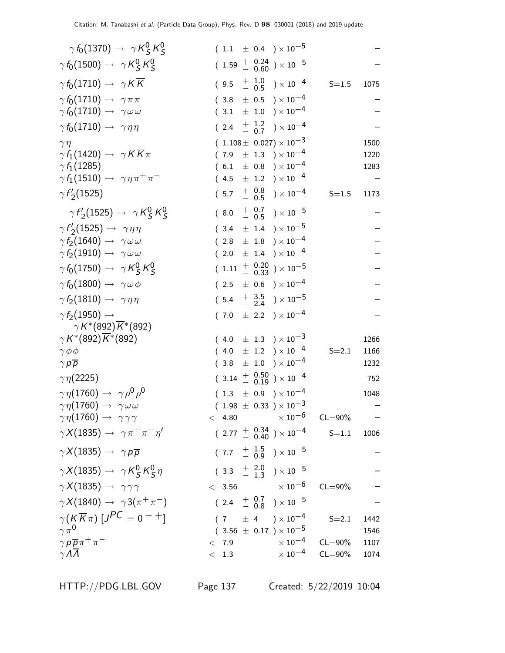| $\gamma f_0(1370) \rightarrow \gamma K_S^0 K_S^0$                |                 |           | $(1.1 \pm 0.4) \times 10^{-5}$                        |                            |      |
|------------------------------------------------------------------|-----------------|-----------|-------------------------------------------------------|----------------------------|------|
| $\gamma f_0(1500) \rightarrow \gamma K_S^0 K_S^0$                |                 |           | $(1.59 + 0.24 \n- 0.60) \times 10^{-5}$               |                            |      |
| $\gamma f_0(1710) \rightarrow \gamma K \overline{K}$             |                 |           | $(9.5 \t + 1.0 \t - 0.5) \times 10^{-4}$              | $S = 1.5$                  | 1075 |
| $\gamma f_0(1710) \rightarrow \gamma \pi \pi$                    | (3.8)           |           | $\pm$ 0.5 $)\times10^{-4}$                            |                            |      |
| $\gamma f_0(1710) \rightarrow \gamma \omega \omega$              |                 |           | $(3.1 \pm 1.0) \times 10^{-4}$                        |                            |      |
| $\gamma f_0(1710) \rightarrow \gamma \eta \eta$                  | (2.4)           |           | $+\frac{1.2}{0.7}$ ) $\times 10^{-4}$                 |                            |      |
| $\gamma \eta$                                                    |                 |           | $(1.108 \pm 0.027) \times 10^{-3}$                    |                            | 1500 |
| $\gamma f_1(1420) \rightarrow \gamma K K \pi$                    | (7.9)           |           | $\pm$ 1.3 $)\times10^{-4}$                            |                            | 1220 |
| $\gamma f_1(1285)$                                               |                 |           | $(6.1 \pm 0.8) \times 10^{-4}$                        |                            | 1283 |
| $\gamma f_1(1510) \rightarrow \gamma \eta \pi^+ \pi^-$           |                 |           | $(4.5 \pm 1.2) \times 10^{-4}$                        |                            |      |
| $\gamma f_2(1525)$                                               | (5.7)           |           | $^{+}_{-}$ $^{0.8}_{0.5}$ ) $\times$ 10 <sup>-4</sup> | $S = 1.5$                  | 1173 |
| $\gamma f_2(1525) \rightarrow \gamma K_S^0 K_S^0$                | (8.0)           |           | $^{+}_{-}$ $^{0.7}_{0.5}$ ) $\times$ 10 <sup>-5</sup> |                            |      |
| $\gamma f_2'(1525) \rightarrow \gamma \eta \eta$                 |                 |           | $(3.4 \pm 1.4) \times 10^{-5}$                        |                            |      |
| $\gamma f_2(1640) \rightarrow \gamma \omega \omega$              |                 |           | $(2.8 \pm 1.8) \times 10^{-4}$                        |                            |      |
| $\gamma\,\mathit{f}_2(1910)\rightarrow\ \gamma\omega\,\omega$    | (2.0)           | $\pm$ 1.4 | $) \times 10^{-4}$                                    |                            |      |
| $\gamma f_0(1750) \rightarrow \gamma K_S^0 K_S^0$                | $(1.11 + 0.20)$ |           | ) $\times$ $10^{-5}$                                  |                            |      |
| $\gamma f_0(1800) \rightarrow \gamma \omega \phi$                |                 |           | $(2.5 \pm 0.6) \times 10^{-4}$                        |                            |      |
| $\gamma f_2(1810) \rightarrow \gamma \eta \eta$                  |                 |           | $(5.4 \frac{+}{-} 3.5 \over 2.4) \times 10^{-5}$      |                            |      |
| $\gamma f_2(1950) \rightarrow$<br>$\gamma K^{*}(892) K^{*}(892)$ |                 |           | $(7.0 \pm 2.2) \times 10^{-4}$                        |                            |      |
| $\gamma K^{*}(892) K^{*}(892)$                                   |                 |           | $(4.0 \pm 1.3) \times 10^{-3}$                        |                            | 1266 |
| $\gamma \phi \phi$                                               |                 |           | $(4.0 \pm 1.2) \times 10^{-4}$                        | $S = 2.1$                  | 1166 |
| $\gamma p \overline{p}$                                          |                 |           | $(3.8 \pm 1.0) \times 10^{-4}$                        |                            | 1232 |
| $\gamma\eta(2225)$                                               |                 |           | $(3.14 \frac{+}{-} 0.50) \times 10^{-4}$              |                            | 752  |
| $\gamma \eta(1760) \rightarrow \gamma \rho^0 \rho^0$             |                 |           | $(1.3 \pm 0.9) \times 10^{-4}$                        |                            | 1048 |
| $\gamma\eta(1760) \rightarrow \gamma\omega\omega$                |                 |           | $(1.98 \pm 0.33) \times 10^{-3}$                      |                            |      |
| $\gamma\eta(1760) \rightarrow \gamma\gamma\gamma$                | < 4.80          |           |                                                       | $\times$ 10 $^{-6}$ CL=90% |      |
| $\gamma X(1835) \rightarrow \gamma \pi^+ \pi^- \eta'$            |                 |           | $(2.77 \frac{+}{0.40}) \times 10^{-4}$                | $S = 1.1$                  | 1006 |
| $\gamma X(1835) \rightarrow \gamma p \overline{p}$               |                 |           | $(7.7 + \frac{1.5}{0.9}) \times 10^{-5}$              |                            |      |
| $\gamma X(1835) \rightarrow \gamma K_S^0 K_S^0 \eta$             |                 |           | $(3.3 + \frac{2.0}{1.3}) \times 10^{-5}$              |                            |      |
| $\gamma X(1835) \rightarrow \gamma \gamma \gamma$                |                 |           | $< 3.56$ $\times 10^{-6}$                             | $CL = 90\%$                |      |
| $\gamma X(1840) \rightarrow \gamma 3(\pi^+\pi^-)$                |                 |           | $(2.4 + \frac{0.7}{0.8}) \times 10^{-5}$              |                            |      |
| $\gamma(K\overline{K}\pi)[J^{PC}=0^{-+}]$                        |                 |           | $(7 \pm 4) \times 10^{-4}$                            | $S = 2.1$                  | 1442 |
| $\gamma \pi^0$                                                   |                 |           | $(3.56 \pm 0.17) \times 10^{-5}$                      |                            | 1546 |
| $\gamma p \overline{p} \pi^+ \pi^-$                              | < 7.9           |           | $\times$ $10^{-4}$                                    | $CL = 90\%$                | 1107 |
| $\gamma \Lambda \overline{\Lambda}$                              | < 1.3           |           | $\times$ 10 <sup>-4</sup>                             | $CL = 90\%$                | 1074 |
|                                                                  |                 |           |                                                       |                            |      |

HTTP://PDG.LBL.GOV Page 137 Created: 5/22/2019 10:04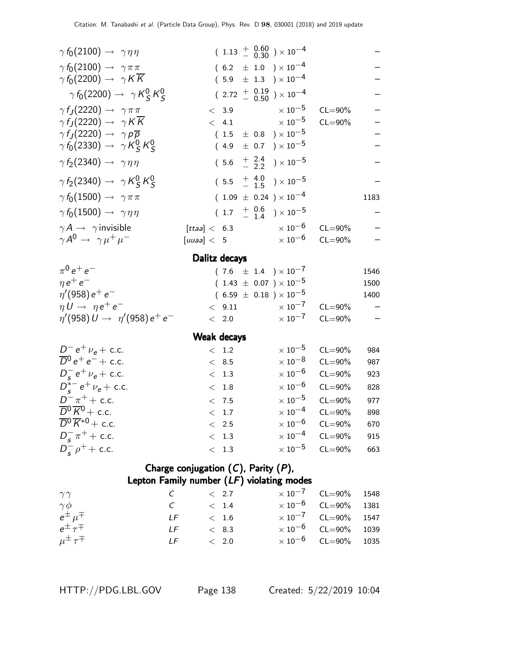| $\gamma f_0(2100) \rightarrow \gamma \eta \eta$                                           |                   | $(1.13 + 0.60) \times 10^{-4}$                                       |             |                    |  |
|-------------------------------------------------------------------------------------------|-------------------|----------------------------------------------------------------------|-------------|--------------------|--|
| $\gamma f_0(2100) \rightarrow \gamma \pi \pi$                                             |                   | $(6.2 \pm 1.0) \times 10^{-4}$                                       |             |                    |  |
| $\gamma f_0(2200) \rightarrow \gamma K \overline{K}$                                      |                   | $(5.9 \pm 1.3) \times 10^{-4}$                                       |             |                    |  |
| $\gamma f_0(2200) \rightarrow \gamma K_S^0 K_S^0$                                         |                   | $(2.72 \frac{+}{0.50}) \times 10^{-4}$                               |             |                    |  |
| $\gamma f_J(2220) \rightarrow \gamma \pi \pi$                                             |                   | $< 3.9$ $\times 10^{-5}$                                             | $CL = 90\%$ |                    |  |
| $\gamma f_J(2220) \rightarrow \gamma K \overline{K}$                                      | < 4.1             | $\times$ 10 $^{-5}$                                                  | $CL = 90\%$ |                    |  |
| $\gamma f_J(2220) \rightarrow \gamma p \overline{p}$                                      |                   | $(1.5 \pm 0.8) \times 10^{-5}$                                       |             |                    |  |
| $\gamma f_0(2330) \rightarrow \gamma K_S^0 K_S^0$                                         |                   | $(4.9 \pm 0.7) \times 10^{-5}$                                       |             |                    |  |
| $\gamma f_2(2340) \rightarrow \gamma \eta \eta$                                           |                   | $(5.6 \tfrac{+}{-} 2.4 \t) \times 10^{-5}$                           |             | — — — — —<br>— — — |  |
| $\gamma f_2(2340) \rightarrow \gamma K_S^0 K_S^0$                                         |                   | $(5.5 + \frac{4.0}{-1.5}) \times 10^{-5}$                            |             |                    |  |
| $\gamma f_0(1500) \rightarrow \gamma \pi \pi$                                             |                   | $(1.09 \pm 0.24) \times 10^{-4}$                                     |             | 1183               |  |
| $\gamma f_0(1500) \rightarrow \gamma \eta \eta$                                           |                   | $(1.7 \t+\t\begin{array}{c} 0.6 \\ -1.4 \end{array}) \times 10^{-5}$ |             |                    |  |
| $\gamma A \rightarrow \gamma$ invisible                                                   | [ttaa] < 6.3      | $\times$ 10 <sup>-6</sup>                                            | $CL = 90\%$ |                    |  |
| $\gamma A^0 \rightarrow \gamma \mu^+ \mu^-$                                               | [uuaa] < 5        | $\times$ 10 $^{-6}$                                                  | $CL = 90\%$ |                    |  |
|                                                                                           | Dalitz decays     |                                                                      |             |                    |  |
| $\pi^{0} e^{+} e^{-}$                                                                     |                   | $(7.6 \pm 1.4) \times 10^{-7}$                                       |             | 1546               |  |
| $\eta e^+ e^-$                                                                            |                   | $(1.43 \pm 0.07) \times 10^{-5}$                                     |             | 1500               |  |
| $\eta'(958) e^+ e^-$                                                                      |                   | $(6.59 \pm 0.18) \times 10^{-5}$                                     |             | 1400               |  |
| $\eta U \rightarrow \eta e^+ e^-$                                                         |                   | $< 9.11$ $\times 10^{-7}$                                            | $CL = 90\%$ |                    |  |
| $\eta'(958) U \to \eta'(958) e^+ e^-$                                                     | < 2.0             | $\times$ 10 $^{-7}$                                                  | $CL = 90\%$ |                    |  |
|                                                                                           | Weak decays       |                                                                      |             |                    |  |
| $D^- e^+ \nu_e +$ c.c.                                                                    | $<\phantom{0}1.2$ | $\times$ 10 $^{-5}$                                                  | $CL = 90\%$ | 984                |  |
| $\overline{D}^0 e^+ e^- +$ c.c.                                                           | < 8.5             | $\times$ 10 $^{-8}$                                                  | $CL = 90\%$ | 987                |  |
| $D_{s}^{-} e^{+} \nu_{e} +$ c.c.                                                          | < 1.3             | $\times$ 10 <sup>-6</sup>                                            | $CL = 90\%$ | 923                |  |
| $D_{s}^{*-}e^{+}\nu_{e}$ + c.c.                                                           | $\rm <~1.8$       | $\times$ 10 <sup>-6</sup>                                            | $CL = 90\%$ | 828                |  |
| $D^- \pi^+ +$ c.c.                                                                        | < 7.5             | $\times$ 10 $^{-5}$                                                  | $CL = 90\%$ | 977                |  |
| $\overline{D}{}^0\overline{K}{}^0$ + c.c.                                                 | < 1.7             | $\times$ 10 <sup>-4</sup>                                            | $CL = 90\%$ | 898                |  |
| $\overline{D}^0 \overline{K}{}^{*0}$ + c.c.                                               | $\lt$ 2.5         | $\times$ 10 $^{-6}$                                                  | $CL = 90\%$ | 670                |  |
| $D_{s}^{-} \pi^{+}$ + c.c.                                                                | 1.3<br>$\,<\,$    | $\times$ 10 $^{-4}$                                                  | $CL = 90\%$ | 915                |  |
| $D_{s}^{-} \rho^{+} +$ c.c.                                                               | 1.3<br>$\lt$      | $\times$ 10 $^{-5}$                                                  | $CL = 90\%$ | 663                |  |
| Charge conjugation $(C)$ , Parity $(P)$ ,<br>Lonton Family number (LE) violating<br>madac |                   |                                                                      |             |                    |  |

|                        |               | Lepton Family number (LF) violating modes |                              |  |
|------------------------|---------------|-------------------------------------------|------------------------------|--|
| $\gamma\gamma$         |               | $\langle$ 2.7                             | $\times 10^{-7}$ CL=90% 1548 |  |
| $\gamma \phi$          | $\mathcal{C}$ | < 1.4                                     | $\times 10^{-6}$ CL=90% 1381 |  |
| $e^{\pm}$ $\mu^{\mp}$  | IF            | < 1.6                                     | $\times 10^{-7}$ CL=90% 1547 |  |
| $e^{\pm} \tau^{\mp}$   | IF            | < 8.3                                     | $\times 10^{-6}$ CL=90% 1039 |  |
| $\mu^{\pm} \tau^{\mp}$ | IF            | < 2.0                                     | $\times 10^{-6}$ CL=90% 1035 |  |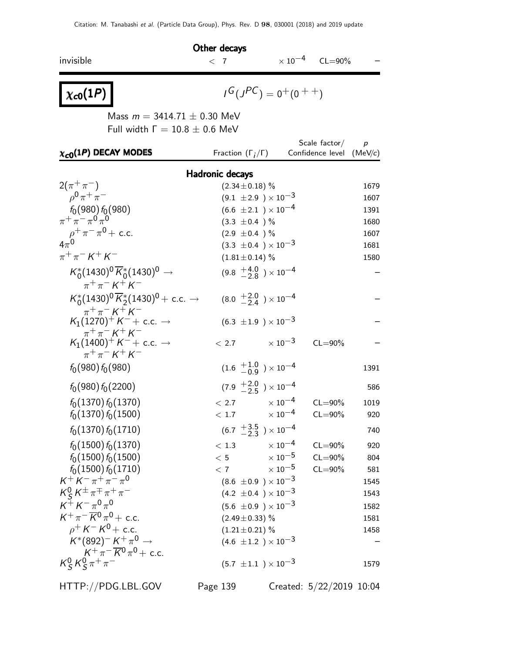|                                                                                                                          | Other decays                              |                     |                          |                  |
|--------------------------------------------------------------------------------------------------------------------------|-------------------------------------------|---------------------|--------------------------|------------------|
| invisible                                                                                                                | $<$ 7                                     |                     | $\times 10^{-4}$ CL=90%  |                  |
| $\chi_{c0}(1P)$                                                                                                          | $I^G(J^{PC}) = 0^+(0^{++})$               |                     |                          |                  |
|                                                                                                                          | Mass $m = 3414.71 \pm 0.30$ MeV           |                     |                          |                  |
|                                                                                                                          | Full width $\Gamma = 10.8 \pm 0.6$ MeV    |                     | Scale $\sf factor/$      | $\boldsymbol{p}$ |
| $\chi_{c0}(1P)$ DECAY MODES                                                                                              | Fraction $(\Gamma_i/\Gamma)$              |                     | Confidence level (MeV/c) |                  |
|                                                                                                                          | Hadronic decays                           |                     |                          |                  |
| $2(\pi^+\pi^-)$                                                                                                          | $(2.34 \pm 0.18)$ %                       |                     |                          | 1679             |
| $\rho^0 \pi^+ \pi^-$                                                                                                     | $(9.1 \pm 2.9) \times 10^{-3}$            |                     |                          | 1607             |
| $f_0(980) f_0(980)$                                                                                                      | $(6.6 \pm 2.1) \times 10^{-4}$            |                     |                          | 1391             |
| $\pi + \pi - \pi \sigma \pi$ <sup>0</sup>                                                                                | $(3.3 \pm 0.4)$ %                         |                     |                          | 1680             |
| $\rho^+ \pi^- \pi^0$ + c.c.                                                                                              | $(2.9 \pm 0.4)$ %                         |                     |                          | 1607             |
| $4\pi^0$                                                                                                                 | $(3.3 \pm 0.4) \times 10^{-3}$            |                     |                          | 1681             |
| $\pi^{+}\pi^{-} K^{+} K^{-}$                                                                                             | $(1.81 \pm 0.14)$ %                       |                     |                          | 1580             |
| $K_0^*(1430)^0 \overline{K}_0^*(1430)^0 \rightarrow$<br>$\pi^{+}\pi^{-} K^{+} K^{-}$                                     | $(9.8 \tfrac{+4.0}{-2.8}) \times 10^{-4}$ |                     |                          |                  |
| $K_0^*(1430)^0 \overline{K}_2^*(1430)^0$ + c.c. $\rightarrow$                                                            | $(8.0 \tfrac{+2.0}{-2.4}) \times 10^{-4}$ |                     |                          |                  |
| $\pi^{+}\pi^{-} K^{+} K^{-}$<br>$K_1(1270)^+ K^- +$ c.c. $\rightarrow$                                                   | $(6.3 \pm 1.9) \times 10^{-3}$            |                     |                          |                  |
| $\pi^{+}\pi^{-} K^{+} K^{-}$<br>$K_1(1400)^+ K^- +$ c.c. $\rightarrow$<br>$\pi^{+}\pi^{-}$ K <sup>+</sup> K <sup>-</sup> | $< 2.7$ $\times 10^{-3}$                  |                     | $CL = 90\%$              |                  |
| $f_0(980) f_0(980)$                                                                                                      | $(1.6 \tfrac{+1.0}{-0.9}) \times 10^{-4}$ |                     |                          | 1391             |
| $f_0(980) f_0(2200)$                                                                                                     | $(7.9 \tfrac{+2.0}{-2.5}) \times 10^{-4}$ |                     |                          | 586              |
| $f_0(1370) f_0(1370)$                                                                                                    | $\times$ 10 $^{-4}$<br>< 2.7              |                     | $CL = 90\%$              | 1019             |
| $f_0(1370) f_0(1500)$                                                                                                    | $\times$ 10 $^{-4}$<br>< 1.7              |                     | $CL = 90\%$              | 920              |
| $f_0(1370) f_0(1710)$                                                                                                    | $(6.7 \frac{+3.5}{-2.3}) \times 10^{-4}$  |                     |                          | 740              |
| $f_0(1500) f_0(1370)$                                                                                                    | < 1.3                                     | $\times$ 10 $^{-4}$ | $CL = 90\%$              | 920              |
| $f_0(1500) f_0(1500)$                                                                                                    | < 5                                       | $\times$ $10^{-5}$  | $CL = 90\%$              | 804              |
| $f_0(1500) f_0(1710)$                                                                                                    | < 7                                       | $\times$ 10 $^{-5}$ | $CL = 90\%$              | 581              |
| $K^+ K^- \pi^+ \pi^- \pi^0$                                                                                              | $(8.6 \pm 0.9) \times 10^{-3}$            |                     |                          | 1545             |
| $K_S^0 K^{\pm} \pi^{\mp} \pi^+ \pi^-$                                                                                    | $(4.2 \pm 0.4) \times 10^{-3}$            |                     |                          | 1543             |
| $K^+ K^- \pi^0 \pi^0$                                                                                                    | $(5.6 \pm 0.9) \times 10^{-3}$            |                     |                          | 1582             |
| $K^+\pi^-\overline{K}{}^0\pi^0$ + c.c.                                                                                   | $(2.49 \pm 0.33)$ %                       |                     |                          | 1581             |
| $\rho^+$ K $^-$ K $^0$ $+$ c.c.                                                                                          | $(1.21 \pm 0.21)$ %                       |                     |                          | 1458             |
| $K^*(892)^- K^+ \pi^0 \rightarrow$                                                                                       | $(4.6 \pm 1.2) \times 10^{-3}$            |                     |                          |                  |
| $K^+\pi^-\overline{K^0}\pi^0 + c.c.$<br>$K_S^0 K_S^0 \pi^+ \pi^-$                                                        | $(5.7 \pm 1.1) \times 10^{-3}$            |                     |                          | 1579             |

HTTP://PDG.LBL.GOV Page 139 Created: 5/22/2019 10:04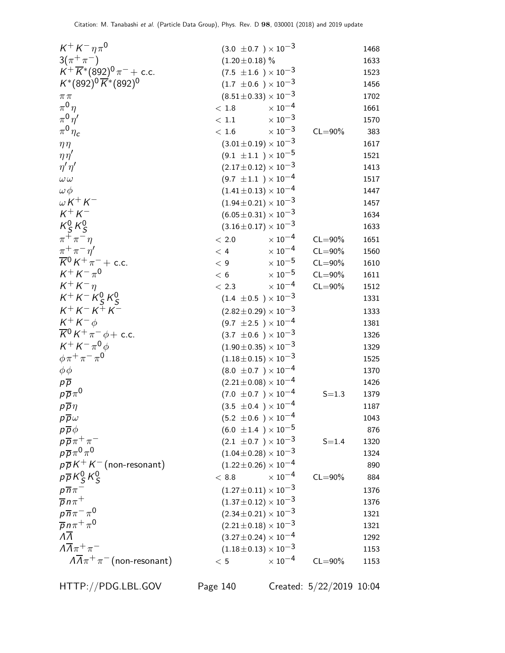| $K^+ K^- \eta \pi^0$                            | $(3.0 \pm 0.7) \times 10^{-3}$   |                           |             | 1468 |
|-------------------------------------------------|----------------------------------|---------------------------|-------------|------|
| $3(\pi^{+}\pi^{-})$                             | $(1.20 \pm 0.18)$ %              |                           |             | 1633 |
| $K^+ \overline{K}{}^*(892)^0 \pi^-$ + c.c.      | $(7.5 \pm 1.6) \times 10^{-3}$   |                           |             | 1523 |
| $K^*(892)^0 \overline{K}^*(892)^0$              | $(1.7 \pm 0.6) \times 10^{-3}$   |                           |             | 1456 |
| $\pi\,\pi$                                      | $(8.51\pm0.33)\times10^{-3}$     |                           |             | 1702 |
| $\pi^0\eta$                                     | $\rm <~1.8$                      | $\times$ $10^{-4}$        |             | 1661 |
| $\pi^0\eta'$                                    | $<\,1.1$                         | $\times\,10^{-3}$         |             | 1570 |
| $\pi^0 \eta_c$                                  | $<\,1.6$                         | $\times\,10^{-3}$         | $CL = 90\%$ | 383  |
| $\eta\eta$                                      | $(3.01 \pm 0.19) \times 10^{-3}$ |                           |             | 1617 |
| $\eta\eta'$                                     | $(9.1 \pm 1.1) \times 10^{-5}$   |                           |             | 1521 |
| $\eta' \eta'$                                   | $(2.17 \pm 0.12) \times 10^{-3}$ |                           |             | 1413 |
| $\omega\omega$                                  | $(9.7 \pm 1.1) \times 10^{-4}$   |                           |             | 1517 |
| $\omega \phi$                                   | $(1.41 \pm 0.13) \times 10^{-4}$ |                           |             | 1447 |
| $\omega K^+ K^-$                                | $(1.94 \pm 0.21) \times 10^{-3}$ |                           |             | 1457 |
| $K^+ K^-$                                       | $(6.05 \pm 0.31) \times 10^{-3}$ |                           |             | 1634 |
| $K_S^0 K_S^0$                                   | $(3.16 \pm 0.17) \times 10^{-3}$ |                           |             | 1633 |
| $\pi^+\pi^-\eta$                                | $<\,2.0$                         | $\times$ 10 <sup>-4</sup> | $CL = 90\%$ | 1651 |
| $\pi^+\pi^-\eta^{\prime}$                       | < 4                              | $\times$ $10^{-4}$        | $CL = 90\%$ | 1560 |
| $\overline{K}{}^0 K^+ \pi^-$ + c.c.             | < 9                              | $\times$ $10^{-5}$        | $CL = 90\%$ | 1610 |
| $K^+ K^- \pi^0$                                 | < 6                              | $\times$ $10^{-5}$        | $CL = 90\%$ | 1611 |
| $K^+ K^- \eta$                                  | < 2.3                            | $\times$ 10 <sup>-4</sup> | $CL = 90\%$ | 1512 |
| $K^+ K^- K^0_S K^0_S$                           | $(1.4 \pm 0.5) \times 10^{-3}$   |                           |             | 1331 |
| $K^{+}K^{-}K^{+}K^{-}$                          | $(2.82 \pm 0.29) \times 10^{-3}$ |                           |             | 1333 |
| $K^+ K^- \phi$                                  | $(9.7 \pm 2.5) \times 10^{-4}$   |                           |             | 1381 |
| $\overline{K}{}^0 K^+ \pi^- \phi + \text{c.c.}$ | $(3.7 \pm 0.6) \times 10^{-3}$   |                           |             | 1326 |
| $K^+ K^- \pi^0 \phi$                            | $(1.90 \pm 0.35) \times 10^{-3}$ |                           |             | 1329 |
| $\phi \pi^+ \pi^- \pi^0$                        | $(1.18\pm0.15)\times10^{-3}$     |                           |             | 1525 |
| $\phi\phi$                                      | $(8.0 \pm 0.7) \times 10^{-4}$   |                           |             | 1370 |
| $p\overline{p}$                                 | $(2.21 \pm 0.08) \times 10^{-4}$ |                           |             | 1426 |
| $p\overline{p}\pi^0$                            | $(7.0 \pm 0.7) \times 10^{-4}$   |                           | $S = 1.3$   | 1379 |
| $p\overline{p}\eta$                             | $(3.5 \pm 0.4) \times 10^{-4}$   |                           |             | 1187 |
| $p\overline{p}\omega$                           | $(5.2 \pm 0.6) \times 10^{-4}$   |                           |             | 1043 |
| $p\overline{p}\phi$                             | $(6.0 \pm 1.4) \times 10^{-5}$   |                           |             | 876  |
| $p\overline{p}\pi^+\pi^-$                       | $(2.1 \pm 0.7) \times 10^{-3}$   |                           | $S = 1.4$   | 1320 |
| $p\overline{p}\pi^0\pi^0$                       | $(1.04\pm0.28)\times10^{-3}$     |                           |             | 1324 |
| $p\overline{p}K^+K^-$ (non-resonant)            | $(1.22 \pm 0.26) \times 10^{-4}$ |                           |             | 890  |
| $p\overline{p}K_S^0K_S^0$                       | < 8.8                            | $\times$ 10 <sup>-4</sup> | $CL = 90\%$ | 884  |
| $p\overline{n}\pi^-$                            | $(1.27 \pm 0.11) \times 10^{-3}$ |                           |             | 1376 |
| $\overline{p}$ n $\pi^+$                        | $(1.37 \pm 0.12) \times 10^{-3}$ |                           |             | 1376 |
| $p\overline{n}\pi^-\pi^0$                       | $(2.34 \pm 0.21) \times 10^{-3}$ |                           |             | 1321 |
| $\overline{p} n \pi^+ \pi^0$                    | $(2.21 \pm 0.18) \times 10^{-3}$ |                           |             | 1321 |
| $\overline{\Lambda}$                            | $(3.27 \pm 0.24) \times 10^{-4}$ |                           |             | 1292 |
| $\Lambda \overline{\Lambda} \pi^+ \pi^-$        | $(1.18\pm0.13)\times10^{-3}$     |                           |             | 1153 |
| $\sqrt{A}\pi^+\pi^-$ (non-resonant)             | $<\,5$                           | $\times$ 10 <sup>-4</sup> | $CL = 90\%$ | 1153 |

HTTP://PDG.LBL.GOV Page 140 Created: 5/22/2019 10:04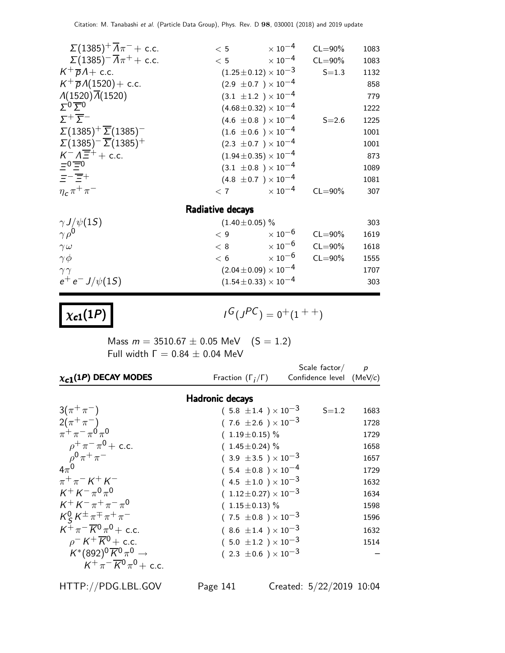| $\Sigma(1385)^{+}\overline{\Lambda}\pi^{-}$ + c.c.   | < 5                              | $\times$ 10 <sup>-4</sup>       | $CL = 90\%$ | 1083 |
|------------------------------------------------------|----------------------------------|---------------------------------|-------------|------|
| $\sum (1385)^{-} \overline{A} \pi^{+} + \text{c.c.}$ | < 5                              | $\times$ 10 $^{-4}$             | $CL = 90\%$ | 1083 |
| $K^+\overline{p}A+$ c.c.                             | $(1.25 \pm 0.12) \times 10^{-3}$ |                                 | $S = 1.3$   | 1132 |
| $K^{+} \overline{p} \Lambda(1520) + \text{c.c.}$     | $(2.9 \pm 0.7) \times 10^{-4}$   |                                 |             | 858  |
| $\Lambda(1520)\overline{\Lambda}(1520)$              | $(3.1 \pm 1.2) \times 10^{-4}$   |                                 |             | 779  |
| $\Sigma^0 \overline{\Sigma}{}^0$                     | $(4.68 \pm 0.32) \times 10^{-4}$ |                                 |             | 1222 |
| $\Sigma^+\overline{\Sigma}^-$                        | $(4.6 \pm 0.8) \times 10^{-4}$   |                                 | $S = 2.6$   | 1225 |
| $\Sigma(1385)^{+}\overline{\Sigma}(1385)^{-}$        | $(1.6 \pm 0.6) \times 10^{-4}$   |                                 |             | 1001 |
| $\Sigma(1385)^{-} \overline{\Sigma}(1385)^{+}$       | $(2.3 \pm 0.7) \times 10^{-4}$   |                                 |             | 1001 |
| $K^- \Lambda \overline{\Xi}^+$ + c.c.                | $(1.94 \pm 0.35) \times 10^{-4}$ |                                 |             | 873  |
| $=0$ $=$ 0                                           | $(3.1 \pm 0.8) \times 10^{-4}$   |                                 |             | 1089 |
| $\Xi^-\overline{\Xi^+}$                              | $(4.8 \pm 0.7) \times 10^{-4}$   |                                 |             | 1081 |
| $\eta_c \pi^+ \pi^-$                                 | < 7                              | $\times$ 10 $^{-4}$             | $CL = 90\%$ | 307  |
|                                                      | Radiative decays                 |                                 |             |      |
| $\gamma J/\psi(15)$                                  | $(1.40 \pm 0.05)$ %              |                                 |             | 303  |
| $\sim 0$                                             |                                  | $(0.0000)$ $(10^{-6}$ $(1.000)$ |             | 1010 |

| $\gamma \rho^0$     | ∠ 9 | $\times$ 10 $^{-6}$          | $CL = 90\%$ | 1619 |
|---------------------|-----|------------------------------|-------------|------|
| $\gamma \omega$     | < 8 | $\times$ 10 <sup>-6</sup>    | $CL = 90\%$ | 1618 |
| $\gamma \phi$       | ← б | $\times$ 10 <sup>-6</sup>    | $CL = 90\%$ | 1555 |
| $\gamma \gamma$     |     | $(2.04\pm0.09)\times10^{-4}$ |             | 1707 |
| $e^+e^- J/\psi(1S)$ |     | $(1.54\pm0.33)\times10^{-4}$ |             | 303  |
|                     |     |                              |             |      |

 $\chi_{c1}(1P)$ 

 $G(J^{PC}) = 0^+(1^{++})$ 

Mass  $m = 3510.67 \pm 0.05$  MeV  $(S = 1.2)$ Full width  $Γ = 0.84 ± 0.04$  MeV

| $\chi_{c1}(1P)$ DECAY MODES                                           | Fraction $(\Gamma_i/\Gamma)$   | Scale factor/ $p$<br>Confidence level (MeV/c) |      |
|-----------------------------------------------------------------------|--------------------------------|-----------------------------------------------|------|
|                                                                       | <b>Hadronic decays</b>         |                                               |      |
| $3(\pi^{+}\pi^{-})$                                                   | $(5.8 \pm 1.4) \times 10^{-3}$ | $S = 1.2$                                     | 1683 |
| $2(\pi^+\pi^-)$                                                       | $(7.6 \pm 2.6) \times 10^{-3}$ |                                               | 1728 |
| $\pi^+ \pi^- \pi^0 \pi^0$                                             | $(1.19 \pm 0.15)\%$            |                                               | 1729 |
| $\rho^+ \pi^- \pi^0$ + c.c.                                           | $(1.45 \pm 0.24)\%$            |                                               | 1658 |
| $\rho^{0} \pi^{+} \pi^{-}$                                            | $(3.9 \pm 3.5) \times 10^{-3}$ |                                               | 1657 |
| $4\pi^0$                                                              | $(5.4 \pm 0.8) \times 10^{-4}$ |                                               | 1729 |
| $\pi^{+}\pi^{-}$ K <sup>+</sup> K <sup>-</sup>                        | $(4.5 \pm 1.0) \times 10^{-3}$ |                                               | 1632 |
| $K^+ K^- \pi^0 \pi^0$                                                 | $(1.12\pm0.27)\times10^{-3}$   |                                               | 1634 |
| $K^+ K^- \pi^+ \pi^- \pi^0$                                           | $(1.15 \pm 0.13)$ %            |                                               | 1598 |
| $K_S^0 K^{\pm} \pi^{\mp} \pi^+ \pi^-$                                 | $(7.5 \pm 0.8) \times 10^{-3}$ |                                               | 1596 |
| $K^+\pi^-\overline{K^0}\pi^0 + c.c.$                                  | $(8.6 \pm 1.4) \times 10^{-3}$ |                                               | 1632 |
| $\rho$ <sup>-</sup> K <sup>+</sup> $\overline{K}$ <sup>0</sup> + c.c. | $(5.0 \pm 1.2) \times 10^{-3}$ |                                               | 1514 |
| $K^*(892)^0\overline{K}^0\pi^0\to$                                    | $(2.3 \pm 0.6) \times 10^{-3}$ |                                               |      |
| $K^+\pi^-\overline{K}{}^0\pi^0$ + c.c.                                |                                |                                               |      |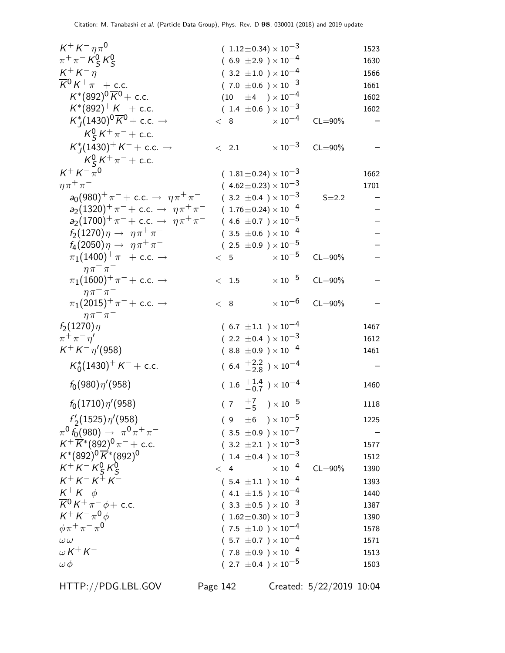| $K^+ K^- \eta \pi^0$                                              | $(1.12 \pm 0.34) \times 10^{-3}$                                   |             | 1523         |
|-------------------------------------------------------------------|--------------------------------------------------------------------|-------------|--------------|
| $\pi^{+}\pi^{-}K_{S}^{0}K_{S}^{0}$                                | $(6.9 \pm 2.9) \times 10^{-4}$                                     |             | 1630         |
| $K^+ K^- \eta$                                                    | $(3.2 \pm 1.0) \times 10^{-4}$                                     |             | 1566         |
| $\overline{K}{}^0 K^+ \pi^-$ + c.c.                               | $(7.0 \pm 0.6) \times 10^{-3}$                                     |             | 1661         |
| $K^*(892)^0 \overline{K}{}^0$ + c.c.                              | $(10 \pm 4) \times 10^{-4}$                                        |             | 1602         |
| $K^*(892)^+ K^- +$ c.c.                                           | $(1.4 \pm 0.6) \times 10^{-3}$                                     |             | 1602         |
| $K_I^*(1430)^0 \overline{K}^0$ + c.c. $\rightarrow$               | $\times$ 10 $^{-4}$<br>< 8                                         | $CL = 90\%$ |              |
| $K_S^0 K^+ \pi^-$ + c.c.                                          |                                                                    |             |              |
| $K_I^*(1430)^+ K^- +$ c.c. $\rightarrow$                          | $\times$ 10 $^{-3}$ CL=90%<br>< 2.1                                |             |              |
| $K_S^0 K^+ \pi^-$ + c.c.                                          |                                                                    |             |              |
| $K^+ K^- \pi^0$                                                   | $(1.81 \pm 0.24) \times 10^{-3}$                                   |             | 1662         |
| $n\pi^+\pi^-$                                                     | $(4.62 \pm 0.23) \times 10^{-3}$                                   |             | 1701         |
| $a_0(980)^+ \pi^- + \text{c.c.} \rightarrow \eta \pi^+ \pi^-$     | $(3.2 \pm 0.4) \times 10^{-3}$                                     | $S = 2.2$   |              |
| $a_2(1320)^+ \pi^- +$ c.c. $\rightarrow \eta \pi^+ \pi^-$         | $(1.76 \pm 0.24) \times 10^{-4}$                                   |             |              |
| $a_2(1700)^+ \pi^- +$ c.c. $\rightarrow \eta \pi^+ \pi^-$         | $(4.6 \pm 0.7) \times 10^{-5}$                                     |             |              |
| $f_2(1270)\eta \to \eta \pi^+ \pi^-$                              | $(3.5 \pm 0.6) \times 10^{-4}$                                     |             |              |
| $f_4(2050)\eta \to \eta \pi^+ \pi^-$                              | $(2.5 \pm 0.9) \times 10^{-5}$                                     |             |              |
| $\pi_1(1400)^+ \pi^- +$ c.c. $\rightarrow$                        | $\times$ 10 $^{-5}$<br>< 5                                         | $CL = 90\%$ |              |
| $n\pi^+\pi^-$                                                     |                                                                    |             |              |
| $\pi_1(1600)^+ \pi^- + \text{ c.c.} \rightarrow$                  | $\times$ 10 $^{-5}$<br>< 1.5                                       | $CL = 90\%$ |              |
| $n\pi^+\pi^-$                                                     |                                                                    |             |              |
| $\pi_1(2015)^+ \pi^- + \text{c.c.} \rightarrow$                   | $\times$ 10 $^{-6}$<br>< 8                                         | $CL = 90\%$ |              |
| $n\pi^+\pi^-$                                                     |                                                                    |             |              |
| $f_2(1270)\eta$                                                   | $(6.7 \pm 1.1) \times 10^{-4}$                                     |             | 1467         |
| $\pi^+\pi^-\eta^{\prime}$<br>$K^+ K^- \eta' (958)$                | $(2.2 \pm 0.4) \times 10^{-3}$                                     |             | 1612         |
|                                                                   | $(8.8 \pm 0.9) \times 10^{-4}$                                     |             | 1461         |
| $K_0^*(1430)^+ K^- +$ c.c.                                        | $(6.4 \frac{+2.2}{-2.8}) \times 10^{-4}$                           |             |              |
| $f_0(980)\eta'(958)$                                              | $(1.6 \tfrac{+1.4}{-0.7}) \times 10^{-4}$                          |             | 1460         |
| $f_0(1710)\eta'(958)$                                             | $(\begin{array}{cc} 7 & +7 \\ -5 \end{array}) \times 10^{-5}$      |             | 1118         |
|                                                                   |                                                                    |             |              |
| $f'_{2}(1525)\eta'(958)$                                          | $(9 \pm 6) \times 10^{-5}$                                         |             | 1225         |
| $\pi^0 f_0(980) \rightarrow \pi^0 \pi^+ \pi^-$                    | $(3.5 \pm 0.9) \times 10^{-7}$                                     |             |              |
| $K^+ \overline{K}^* (892)^0 \pi^-$ + c.c.                         | $(3.2 \pm 2.1) \times 10^{-3}$                                     |             | 1577         |
| $K^*(892)^0 \overline{K}^*(892)^0$                                | $(1.4 \pm 0.4) \times 10^{-3}$                                     |             | 1512         |
| $K^+ K^- K^0_S K^0_S$                                             | $\times$ 10 $^{-4}$<br>$\langle 4$                                 | $CL = 90\%$ | 1390         |
| $K^{+}K^{-}K^{+}K^{-}$                                            | $(5.4 \pm 1.1) \times 10^{-4}$                                     |             | 1393         |
| $K^+ K^- \phi$<br>$\overline{K}{}^0 K^+ \pi^- \phi + \text{c.c.}$ | $(4.1 \pm 1.5) \times 10^{-4}$                                     |             | 1440         |
| $K^+ K^- \pi^0 \phi$                                              | $(3.3 \pm 0.5) \times 10^{-3}$                                     |             | 1387         |
| $\phi \pi^+ \pi^- \pi^0$                                          | $(1.62 \pm 0.30) \times 10^{-3}$<br>$(7.5 \pm 1.0) \times 10^{-4}$ |             | 1390         |
| $\omega \omega$                                                   | $(5.7 \pm 0.7) \times 10^{-4}$                                     |             | 1578<br>1571 |
| $\omega K^+ K^-$                                                  | $(7.8 \pm 0.9) \times 10^{-4}$                                     |             | 1513         |
| $\omega \phi$                                                     | $(2.7 \pm 0.4) \times 10^{-5}$                                     |             | 1503         |
|                                                                   |                                                                    |             |              |

HTTP://PDG.LBL.GOV Page 142 Created: 5/22/2019 10:04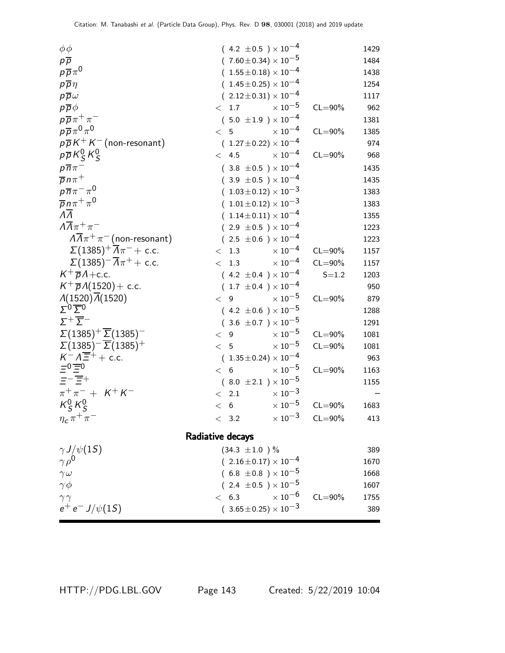| $\phi\phi$<br>$p\overline{p}$                              | $(4.2 \pm 0.5) \times 10^{-4}$<br>$(7.60 \pm 0.34) \times 10^{-5}$ |                         | 1429<br>1484 |
|------------------------------------------------------------|--------------------------------------------------------------------|-------------------------|--------------|
| $p\overline{p}\pi^0$                                       | $(1.55\pm0.18)\times10^{-4}$                                       |                         | 1438         |
| $p\overline{p}\eta$                                        | $(1.45 \pm 0.25) \times 10^{-4}$                                   |                         | 1254         |
| $p\overline{p}\omega$                                      | $(2.12 \pm 0.31) \times 10^{-4}$                                   |                         | 1117         |
| $p\overline{p}\phi$                                        | $\times$ $10^{-5}$<br>< 1.7                                        | $CL = 90\%$             | 962          |
| $p\overline{p}\pi^+\pi^-$                                  | $(5.0 \pm 1.9) \times 10^{-4}$                                     |                         | 1381         |
| $p\overline{p}\pi^0\pi^0$                                  | $\times$ 10 <sup>-4</sup><br>< 5                                   | $CL = 90\%$             | 1385         |
| $p\overline{p}K^+K^-$ (non-resonant)                       | $(1.27 \pm 0.22) \times 10^{-4}$                                   |                         | 974          |
| $p\overline{p}K_S^0K_S^0$                                  | $\times$ 10 <sup>-4</sup><br>< 4.5                                 | $CL = 90\%$             | 968          |
| $p\overline{n}\pi^-$                                       | $(3.8 \pm 0.5) \times 10^{-4}$                                     |                         | 1435         |
| $\overline{p}n\pi^+$                                       | $(3.9 \pm 0.5) \times 10^{-4}$                                     |                         | 1435         |
| $p\overline{n}\pi^{-}\pi^{0}$                              | $(1.03 \pm 0.12) \times 10^{-3}$                                   |                         | 1383         |
| $\overline{p}n\pi^+\pi^0$                                  | $(1.01 \pm 0.12) \times 10^{-3}$                                   |                         | 1383         |
| $\overline{\Lambda}$                                       | $(1.14 \pm 0.11) \times 10^{-4}$                                   |                         | 1355         |
| $\Lambda \overline{\Lambda} \pi^+ \pi^-$                   | $(2.9 \pm 0.5) \times 10^{-4}$                                     |                         | 1223         |
| $\sqrt{A}\pi^+\pi^-$ (non-resonant)                        | $(2.5 \pm 0.6) \times 10^{-4}$                                     |                         | 1223         |
| $\Sigma(1385)^{+}\overline{A}\pi^{-}$ + c.c.               | $\times$ $10^{-4}$<br>< 1.3                                        | $CL = 90\%$             | 1157         |
| $\Sigma(1385)^{-} \overline{\Lambda}\pi^{+} + \text{c.c.}$ | $\times$ 10 <sup>-4</sup><br>< 1.3                                 | $CL = 90\%$             | 1157         |
| $K^+\overline{p}A + c.c.$                                  | $(4.2 \pm 0.4) \times 10^{-4}$                                     | $S = 1.2$               | 1203         |
| $K^{+} \overline{p} \Lambda(1520) + \text{c.c.}$           | $(1.7 \pm 0.4) \times 10^{-4}$                                     |                         | 950          |
| $\Lambda(1520)\overline{\Lambda}(1520)$                    | $\times$ 10 $^{-5}$<br>< 9                                         | $CL = 90\%$             | 879          |
| $\Sigma^0 \overline{\Sigma}{}^0$                           | $(4.2 \pm 0.6) \times 10^{-5}$                                     |                         | 1288         |
| $\Sigma^+\overline{\Sigma}^-$                              | $(3.6 \pm 0.7) \times 10^{-5}$                                     |                         | 1291         |
| $\Sigma(1385)^{+}\overline{\Sigma}(1385)^{-}$              | $\times$ $10^{-5}$<br>< 9                                          | $CL = 90\%$             | 1081         |
| $\Sigma(1385)^{-}$ $\overline{\Sigma}(1385)^{+}$           | $\times$ $10^{-5}$<br>< 5                                          | $CL = 90\%$             | 1081         |
| $K^- \Lambda \overline{\Xi}{}^+ +$ c.c.                    | $(1.35\pm0.24)\times10^{-4}$                                       |                         | 963          |
| $\Xi_0 \Xi_0$                                              | $\times$ $10^{-5}$<br>< 6                                          | $CL = 90\%$             | 1163         |
| $\pm - \overline{\pm} +$                                   | $(8.0 \pm 2.1) \times 10^{-5}$                                     |                         | 1155         |
| $\pi^+\pi^- + K^+K^-$                                      | $\times$ $10^{-3}$<br>$\langle$ 2.1                                |                         |              |
| $K_S^0 K_S^0$                                              | $\times$ $10^{-5}$<br>< 6                                          | $CL = 90\%$             | 1683         |
| $\eta_c \pi^+ \pi^-$                                       | < 3.2                                                              | $\times 10^{-3}$ CL=90% | 413          |
|                                                            |                                                                    |                         |              |
|                                                            | Radiative decays                                                   |                         |              |
| $\frac{\gamma J/\psi(1S)}{\gamma \rho^0}$                  | $(34.3 \pm 1.0) \%$                                                |                         | 389          |
|                                                            | $(2.16\pm0.17)\times10^{-4}$                                       |                         | 1670         |
| $\gamma \omega$                                            | $(6.8 \pm 0.8) \times 10^{-5}$                                     |                         | 1668         |
| $\gamma \phi$                                              | $(2.4 \pm 0.5) \times 10^{-5}$<br>$\times$ 10 $^{-6}$              |                         | 1607         |
| $\gamma\, \gamma$<br>$e^+ e^- J/\psi(1S)$                  | < 6.3                                                              | $CL = 90\%$             | 1755         |
|                                                            | $(3.65 \pm 0.25) \times 10^{-3}$                                   |                         | 389          |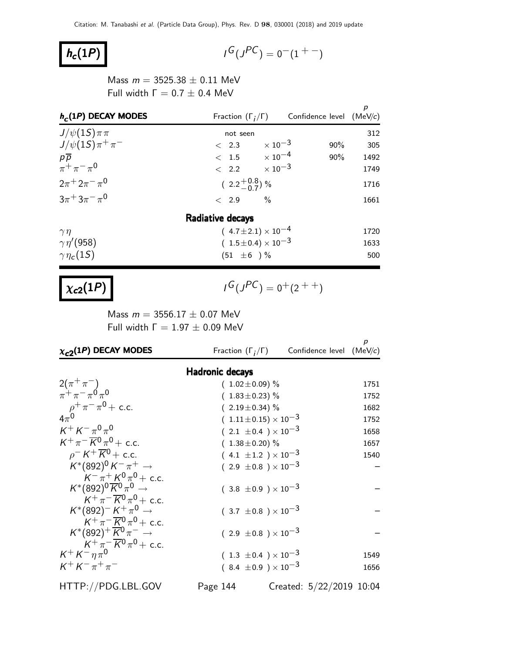# $h_c(1P)$  |

$$
G(J^{PC}) = 0(1 + 1)
$$

Mass  $m = 3525.38 \pm 0.11$  MeV Full width  $Γ = 0.7 ± 0.4$  MeV

| $h_c(1P)$ DECAY MODES      |                                | Fraction $(\Gamma_i/\Gamma)$ Confidence level (MeV/c) | р    |
|----------------------------|--------------------------------|-------------------------------------------------------|------|
| $J/\psi(1S)\pi\pi$         | not seen                       |                                                       | 312  |
| $J/\psi(1S)\pi^{+}\pi^{-}$ | $< 2.3 \times 10^{-3}$         | $90\%$                                                | 305  |
| $p\overline{p}$            | $< 1.5 \times 10^{-4}$         | 90%                                                   | 1492 |
| $\pi^{+}\pi^{-}\pi^{0}$    | $\langle 2.2 \times 10^{-3}$   |                                                       | 1749 |
| $2\pi^+ 2\pi^- \pi^0$      | $(2.2\frac{+0.8}{-0.7})$ %     |                                                       | 1716 |
| $3\pi + 3\pi - \pi^0$      | $< 2.9$ %                      |                                                       | 1661 |
|                            | Radiative decays               |                                                       |      |
| $\gamma\eta$               | $(4.7 \pm 2.1) \times 10^{-4}$ |                                                       | 1720 |
| $\gamma\eta'(958)$         | $(1.5 \pm 0.4) \times 10^{-3}$ |                                                       | 1633 |
| $\gamma\eta_c(1S)$         | $(51 \pm 6) \%$                |                                                       | 500  |

# $\chi_{c2}(1P)$

 $G(J^{PC}) = 0^+(2^{++})$ 

Mass  $m = 3556.17 \pm 0.07$  MeV Full width  $Γ = 1.97 ± 0.09$  MeV

| $\chi_{c2}(1P)$ DECAY MODES                                                                                        | Fraction $(\Gamma_i/\Gamma)$                                     | Confidence level (MeV/c) |              |
|--------------------------------------------------------------------------------------------------------------------|------------------------------------------------------------------|--------------------------|--------------|
| <b>Hadronic decays</b>                                                                                             |                                                                  |                          |              |
| $2(\pi^{+}\pi^{-})$                                                                                                | $(1.02 \pm 0.09)$ %                                              |                          | 1751         |
| $\pi^+ \pi^- \pi^0 \pi^0$                                                                                          | $(1.83 \pm 0.23)$ %                                              |                          | 1752         |
| $\rho^{+}\pi^{-}\pi^{0}$ + c.c.                                                                                    | $(2.19 \pm 0.34)$ %                                              |                          | 1682         |
|                                                                                                                    | $(1.11 \pm 0.15) \times 10^{-3}$                                 |                          | 1752         |
| $K^+ K^- \pi^0 \pi^0$                                                                                              | $(2.1 \pm 0.4) \times 10^{-3}$                                   |                          | 1658         |
| $K^+\pi^-\overline{K^0}\pi^0 + c.c.$                                                                               | $(1.38 \pm 0.20)$ %                                              |                          | 1657         |
| $\rho$ <sup>-</sup> K <sup>+</sup> K <sup>0</sup> + c.c.                                                           | $(4.1 \pm 1.2) \times 10^{-3}$                                   |                          | 1540         |
| $K^*(892)^0 K^- \pi^+ \to$                                                                                         | $(2.9 \pm 0.8) \times 10^{-3}$                                   |                          |              |
| $K^{-} \pi^{+} K^{0} \pi^{0}$ + c.c.<br>$K^*(892)^0\overline{K}^0\pi^0\to$<br>$K^+\pi^-\overline{K^0}\pi^0 + c.c.$ | $(3.8 \pm 0.9) \times 10^{-3}$                                   |                          |              |
| $K^*(892)^- K^+\pi^0 \rightarrow$<br>$K^+\pi^-\overline{K}{}^0\pi^0 + c.c.$                                        | $(3.7 \pm 0.8) \times 10^{-3}$                                   |                          |              |
| $K^*(892)^+\overline{K}{}^0\pi^- \rightarrow$<br>$K^+\pi^-\overline{K}{}^0\pi^0$ + c.c.                            | $(2.9 \pm 0.8) \times 10^{-3}$                                   |                          |              |
| $K^+ K^- \eta \pi^0$<br>$K^{+} K^{-} \pi^{+} \pi^{-}$                                                              | $(1.3 \pm 0.4) \times 10^{-3}$<br>$(8.4 \pm 0.9) \times 10^{-3}$ |                          | 1549<br>1656 |
|                                                                                                                    |                                                                  |                          |              |

HTTP://PDG.LBL.GOV Page 144 Created: 5/22/2019 10:04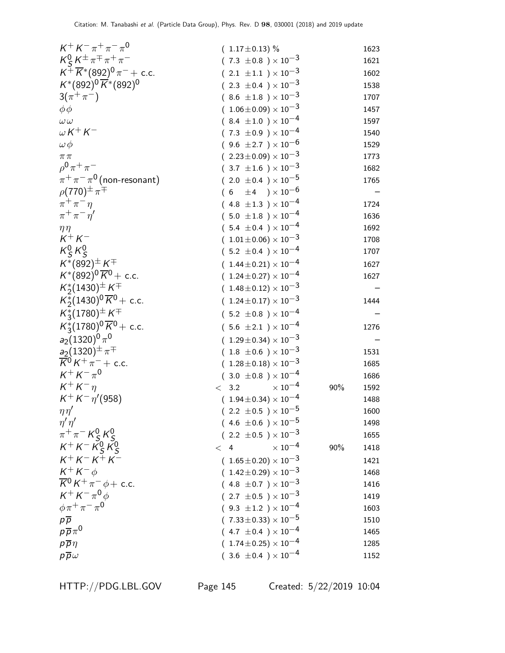| $K^+ K^- \pi^+ \pi^- \pi^0$                                      | $(1.17 \pm 0.13)$ %                   |     | 1623 |
|------------------------------------------------------------------|---------------------------------------|-----|------|
| $K_S^0 K^{\pm} \pi^{\mp} \pi^+ \pi^-$                            | $(7.3 \pm 0.8) \times 10^{-3}$        |     | 1621 |
| $K^+ \overline{K}{}^*(892)^0 \pi^-$ + c.c.                       | $(2.1 \pm 1.1) \times 10^{-3}$        |     | 1602 |
| $K^*(892)^0\overline{K}^*(892)^0$                                | $(2.3 \pm 0.4) \times 10^{-3}$        |     | 1538 |
| $3(\pi^{+}\pi^{-})$                                              | $(8.6 \pm 1.8) \times 10^{-3}$        |     | 1707 |
| $\phi\phi$                                                       | $(1.06 \pm 0.09) \times 10^{-3}$      |     | 1457 |
| $\omega \, \omega$                                               | $(8.4 \pm 1.0) \times 10^{-4}$        |     | 1597 |
| $\omega$ K $^+$ K $^-$                                           | $(7.3 \pm 0.9) \times 10^{-4}$        |     | 1540 |
| $\omega\,\phi$                                                   | $(9.6 \pm 2.7) \times 10^{-6}$        |     | 1529 |
| $\pi\pi$                                                         | $(2.23 \pm 0.09) \times 10^{-3}$      |     | 1773 |
| $\rho^{0} \pi^{+} \pi^{-}$                                       | $(3.7 \pm 1.6) \times 10^{-3}$        |     | 1682 |
| $\pi^+\pi^-\pi^0$ (non-resonant)                                 | $(2.0 \pm 0.4) \times 10^{-5}$        |     | 1765 |
| $\rho(770)^{\pm} \pi^{\mp}$                                      | $(6 \pm 4) \times 10^{-6}$            |     |      |
| $\pi^+\pi^-\eta$                                                 | $(4.8 \pm 1.3) \times 10^{-4}$        |     | 1724 |
| $\pi^+\pi^-\eta^{\prime}$                                        | $(.5.0 \pm 1.8) \times 10^{-4}$       |     | 1636 |
| $\eta\eta$                                                       | $(5.4 \pm 0.4) \times 10^{-4}$        |     | 1692 |
| $K^+ K^-$                                                        | $(1.01 \pm 0.06) \times 10^{-3}$      |     | 1708 |
| $K_S^0 K_S^0$                                                    | $(5.2 \pm 0.4) \times 10^{-4}$        |     | 1707 |
| $K^*(892)^\pm K^\mp$                                             | $(1.44 \pm 0.21) \times 10^{-4}$      |     | 1627 |
| $K^*(892)^0 \overline{K}{}^0$ + c.c.                             | $(1.24 \pm 0.27) \times 10^{-4}$      |     | 1627 |
| $K_{2}^{*}(1430)^{\pm} K^{\mp}$                                  | $(1.48\pm0.12)\times10^{-3}$          |     |      |
| $K_2^*(1430)^0 \overline{K}^0$ + c.c.                            | $(1.24 \pm 0.17) \times 10^{-3}$      |     | 1444 |
| $K_{3}^{*}(1780)^{\pm} K^{\mp}$                                  | $(5.2 \pm 0.8) \times 10^{-4}$        |     |      |
| $K_3^*(1780)^0 \overline{K}^0$ + c.c.                            | $(5.6 \pm 2.1) \times 10^{-4}$        |     | 1276 |
| $a_2(1320)^0\pi^0$                                               | $(1.29 \pm 0.34) \times 10^{-3}$      |     |      |
|                                                                  | $(1.8 \pm 0.6) \times 10^{-3}$        |     | 1531 |
| $\frac{a_2(1320)^{\pm} \pi^{\mp}}{K^0 K^+ \pi^- + \text{ c.c.}}$ | $(1.28 \pm 0.18) \times 10^{-3}$      |     | 1685 |
| $K^+ K^- \pi^0$                                                  | $(3.0 \pm 0.8) \times 10^{-4}$        |     | 1686 |
| $K^+ K^-$                                                        | $\times$ $10^{-4}$<br>< 3.2           | 90% | 1592 |
| $K^+ K^- \eta' (958)$                                            | $(1.94 \pm 0.34) \times 10^{-4}$      |     | 1488 |
| $\eta\eta'$                                                      | $(2.2 \pm 0.5) \times 10^{-5}$        |     | 1600 |
| $\eta' \eta'$                                                    | $(4.6 \pm 0.6) \times 10^{-5}$        |     | 1498 |
| $\pi^{+}\pi^{-}K_{S}^{0}K_{S}^{0}$                               | ( 2.2 $\pm$ 0.5 ) $\times$ 10 $^{-3}$ |     | 1655 |
| $K^+ K^- \overline{K^0_S} K^0_S$                                 | $\times$ $10^{-4}$<br>< 4             | 90% | 1418 |
| $K^{+} K^{-} K^{+} K^{-}$                                        | $(1.65 \pm 0.20) \times 10^{-3}$      |     | 1421 |
| $K^+ K^- \phi$                                                   | $(1.42 \pm 0.29) \times 10^{-3}$      |     | 1468 |
| $\overline{\mathcal{K}}^0\,\mathcal{K}^+\,\pi^-\,\phi+$ c.c.     | $(4.8 \pm 0.7) \times 10^{-3}$        |     | 1416 |
| $K^+ K^- \pi^0 \phi$                                             | $(2.7 \pm 0.5) \times 10^{-3}$        |     | 1419 |
| $\phi \pi^+ \pi^- \pi^0$                                         | $(9.3 \pm 1.2) \times 10^{-4}$        |     | 1603 |
| $p\overline{p}$                                                  | $(7.33 \pm 0.33) \times 10^{-5}$      |     | 1510 |
| $\rho\,\overline{\rho}\,\pi^0$                                   | $(4.7 \pm 0.4) \times 10^{-4}$        |     | 1465 |
| $p\overline{p}\eta$                                              | $(.1.74\!\pm\!0.25)\times10^{-4}$     |     | 1285 |
| $p\overline{p}\omega$                                            | $(3.6 \pm 0.4) \times 10^{-4}$        |     | 1152 |
|                                                                  |                                       |     |      |

HTTP://PDG.LBL.GOV Page 145 Created: 5/22/2019 10:04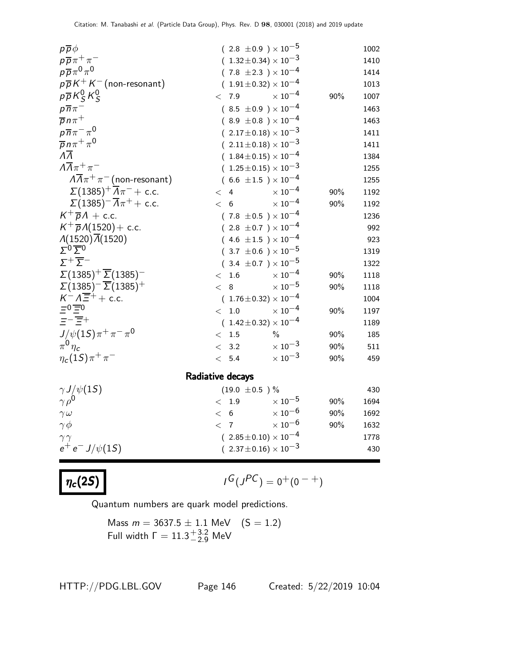| $p\overline{p}\phi$                                       |       | $(2.8 \pm 0.9) \times 10^{-5}$    |                           |     | 1002 |
|-----------------------------------------------------------|-------|-----------------------------------|---------------------------|-----|------|
| $p\overline{p}\pi^+\pi^-$                                 |       | $(1.32 \pm 0.34) \times 10^{-3}$  |                           |     | 1410 |
| $p\overline{p}\pi^0\pi^0$                                 |       | $(7.8 \pm 2.3) \times 10^{-4}$    |                           |     | 1414 |
| $p\overline{p}K^+K^-$ (non-resonant)                      |       | $(1.91 \pm 0.32) \times 10^{-4}$  |                           |     | 1013 |
| $p\overline{p}K_S^0K_S^0$                                 | < 7.9 |                                   | $\times$ 10 <sup>-4</sup> | 90% | 1007 |
| $p\overline{n}\pi$                                        |       | $(8.5 \pm 0.9) \times 10^{-4}$    |                           |     | 1463 |
| $\overline{p}$ n $\pi$ <sup>+</sup>                       |       | $(8.9 \pm 0.8) \times 10^{-4}$    |                           |     | 1463 |
| $p\overline{n}\pi^{-}\pi^{0}$                             |       | $(.2.17 \pm 0.18) \times 10^{-3}$ |                           |     | 1411 |
| $\overline{p} n \pi^+ \pi^0$                              |       | $(2.11 \pm 0.18) \times 10^{-3}$  |                           |     | 1411 |
| $\overline{\Lambda}$                                      |       | $(1.84 \pm 0.15) \times 10^{-4}$  |                           |     | 1384 |
| $\Lambda \overline{\Lambda} \pi^+ \pi^-$                  |       | $(1.25\pm0.15)\times10^{-3}$      |                           |     | 1255 |
| $A\overline{A}\pi^+\pi^-$ (non-resonant)                  |       | $(6.6 \pm 1.5) \times 10^{-4}$    |                           |     | 1255 |
| $\Sigma(1385)^{+} \overline{\Lambda}\pi^{-}$ + c.c.       | $\lt$ | $\overline{4}$                    | $\times$ $10^{-4}$        | 90% | 1192 |
| $\Sigma(1385)^{-}\overline{\Lambda}\pi^{+} + \text{c.c.}$ | < 6   |                                   | $\times$ $10^{-4}$        | 90% | 1192 |
| $K^+\overline{p}A + c.c.$                                 |       | $(7.8 \pm 0.5) \times 10^{-4}$    |                           |     | 1236 |
| $K^+\overline{p}A(1520) + c.c.$                           |       | $(2.8 \pm 0.7) \times 10^{-4}$    |                           |     | 992  |
| $\Lambda(1520)\overline{\Lambda}(1520)$                   |       | $(4.6 \pm 1.5) \times 10^{-4}$    |                           |     | 923  |
| $\Sigma^0$ $\overline{\Sigma}{}^0$                        |       | $(.3.7 \pm 0.6) \times 10^{-5}$   |                           |     | 1319 |
| $\Sigma^+\overline{\Sigma}^-$                             |       | $(.3.4 \pm 0.7) \times 10^{-5}$   |                           |     | 1322 |
| $\Sigma(1385)^{+}\overline{\Sigma}(1385)^{-}$             | < 1.6 |                                   | $\times$ 10 <sup>-4</sup> | 90% | 1118 |
| $\Sigma(1385)^{-} \overline{\Sigma}(1385)^{+}$            | $\lt$ | 8                                 | $\times$ $10^{-5}$        | 90% | 1118 |
| $K^- \Lambda \overline{\Xi}^+ +$ c.c.                     |       | $(1.76 \pm 0.32) \times 10^{-4}$  |                           |     | 1004 |
| $\equiv 0 \equiv 0$                                       | $\lt$ | $1.0\,$                           | $\times$ 10 <sup>-4</sup> | 90% | 1197 |
| $\equiv -\equiv +$                                        |       | $(1.42 \pm 0.32) \times 10^{-4}$  |                           |     | 1189 |
| $J/\psi(1S)\pi^+\pi^-\pi^0$                               | $\lt$ | 1.5                               | $\%$                      | 90% | 185  |
| $\pi^0 \eta_c$                                            | $\lt$ | 3.2                               | $\times$ 10 $^{-3}$       | 90% | 511  |
| $\eta_c(1S)\pi^+\pi^-$                                    | $\lt$ | 5.4                               | $\times$ $10^{-3}$        | 90% | 459  |
|                                                           |       | Radiative decays                  |                           |     |      |
| $\gamma J/\psi(1S)$                                       |       | $(19.0 \pm 0.5)$ %                |                           |     | 430  |
| $\gamma \rho^0$                                           | $\lt$ | 1.9                               | $\times$ 10 $^{-5}$       | 90% | 1694 |
| $\gamma \omega$                                           | $\lt$ | $6\,$                             | $\times$ 10 $^{-6}$       | 90% | 1692 |
| $\gamma\phi$                                              | $<$ 7 |                                   | $\times$ $10^{-6}$        | 90% | 1632 |
| $\gamma\, \gamma$                                         |       | $(2.85\pm0.10)\times10^{-4}$      |                           |     | 1778 |
| $e^+e^- J/\psi(1S)$                                       |       | $(2.37 \pm 0.16) \times 10^{-3}$  |                           |     | 430  |
|                                                           |       |                                   |                           |     |      |

 $\eta_c(2S)$ 

$$
\iota^G(\jmath^{PC})=0^+(0^{-+})
$$

Quantum numbers are quark model predictions.

Mass 
$$
m = 3637.5 \pm 1.1
$$
 MeV  $(S = 1.2)$   
Full width  $\Gamma = 11.3^{+3.2}_{-2.9}$  MeV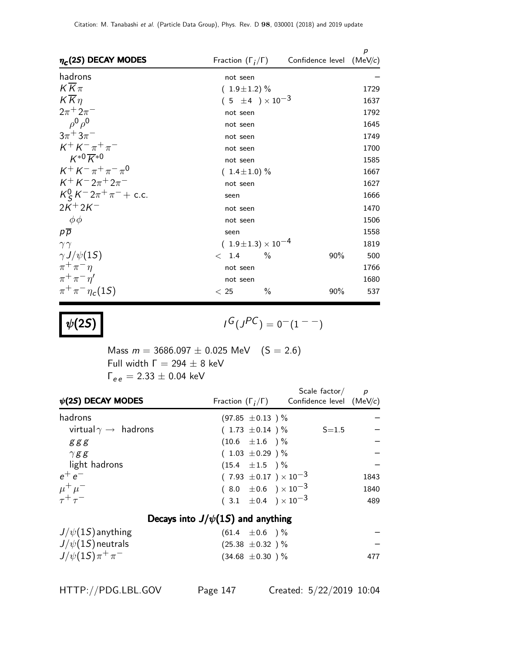| $\eta_c(2S)$ DECAY MODES        |                                | Fraction $(\Gamma_i/\Gamma)$ Confidence level | p<br>(MeV/c) |  |  |  |
|---------------------------------|--------------------------------|-----------------------------------------------|--------------|--|--|--|
| hadrons                         | not seen                       |                                               |              |  |  |  |
| $K\overline{K}\pi$              | $(1.9 \pm 1.2)$ %              |                                               |              |  |  |  |
| $K\overline{K}\eta$             | $(5 \pm 4) \times 10^{-3}$     |                                               | 1637         |  |  |  |
| $2\pi^{+} 2\pi^{-}$             | not seen                       |                                               | 1792         |  |  |  |
| $\rho^0 \rho^0$                 | not seen                       |                                               | 1645         |  |  |  |
| $3\pi + 3\pi^-$                 | not seen                       |                                               | 1749         |  |  |  |
| $K^+ K^- \pi^+ \pi^-$           | not seen                       |                                               | 1700         |  |  |  |
| $K^{*0} \overline{K}{}^{*0}$    | not seen                       |                                               | 1585         |  |  |  |
| $K^+ K^- \pi^+ \pi^- \pi^0$     | $(1.4 \pm 1.0)\%$              |                                               | 1667         |  |  |  |
| $K^{+} K^{-} 2\pi^{+} 2\pi^{-}$ | not seen                       |                                               | 1627         |  |  |  |
| $K_S^0 K^- 2\pi^+\pi^-$ + c.c.  | seen                           |                                               | 1666         |  |  |  |
| $2K+2K^-$                       | not seen                       |                                               | 1470         |  |  |  |
| $\phi\phi$                      | not seen                       |                                               | 1506         |  |  |  |
| $p\overline{p}$                 | seen                           |                                               | 1558         |  |  |  |
| $\gamma\gamma$                  | $(1.9 \pm 1.3) \times 10^{-4}$ |                                               | 1819         |  |  |  |
| $\gamma J/\psi(15)$             | < 1.4<br>$\%$                  | 90%                                           | 500          |  |  |  |
| $\pi^+\pi^-\eta$                | not seen                       |                                               | 1766         |  |  |  |
| $\pi^+\pi^-\eta^{\prime}$       | not seen                       |                                               | 1680         |  |  |  |
| $\pi^{+}\pi^{-}\eta_{c}(1S)$    | $\%$<br>< 25                   | 90%                                           | 537          |  |  |  |

 $\psi(2S)$ 

 $G(J^{PC}) = 0(1 - 1)$ 

Mass  $m = 3686.097 \pm 0.025$  MeV  $(S = 2.6)$ Full width  $Γ = 294 ± 8$  keV  $\Gamma_{ee} = 2.33 \pm 0.04$  keV

| $\psi(2S)$ DECAY MODES                     |                                       | Scale factor $\frac{\rho}{\rho}$<br>Fraction $(\Gamma_i/\Gamma)$ Confidence level (MeV/c) |      |
|--------------------------------------------|---------------------------------------|-------------------------------------------------------------------------------------------|------|
| hadrons                                    | $(97.85 \pm 0.13)$ %                  |                                                                                           |      |
| virtual $\gamma \rightarrow$ hadrons       | $(1.73 \pm 0.14)$ %                   | $S = 1.5$                                                                                 |      |
| ននន                                        | $(10.6 \pm 1.6)$ %                    |                                                                                           |      |
| $\gamma$ g g                               | $(1.03 \pm 0.29)$ %                   |                                                                                           |      |
| light hadrons                              | $(15.4 \pm 1.5)$ %                    |                                                                                           |      |
| $e^+e^-$                                   | $(7.93 \pm 0.17) \times 10^{-3}$      |                                                                                           | 1843 |
| $\frac{\mu^+}{\tau^+}\frac{\mu^-}{\tau^-}$ | $(8.0 \pm 0.6) \times 10^{-3}$        |                                                                                           | 1840 |
|                                            | $(3.1 \pm 0.4) \times 10^{-3}$        |                                                                                           | 489  |
|                                            | Decays into $J/\psi(1S)$ and anything |                                                                                           |      |
| $J/\psi(1S)$ anything                      | $(61.4 \pm 0.6)$ %                    |                                                                                           |      |

| $J/\psi(1S)$ neutrals      | $(25.38 \pm 0.32)$ % |     |
|----------------------------|----------------------|-----|
| $J/\psi(1S)\pi^{+}\pi^{-}$ | $(34.68 \pm 0.30)$ % | 477 |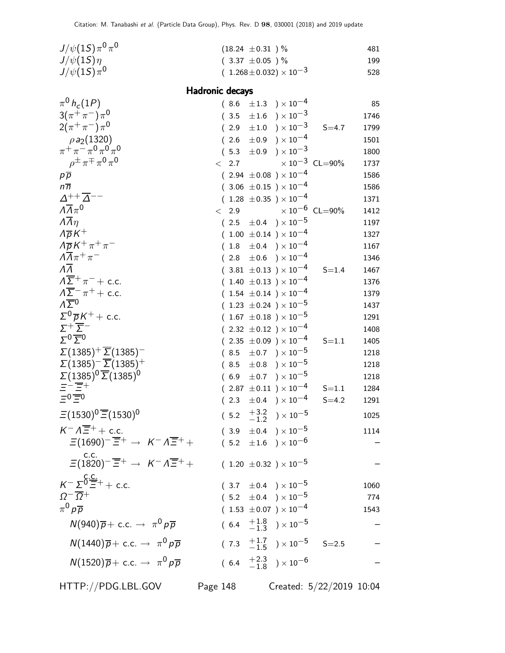| $J/\psi(1S)\pi^{0}\pi^{0}$                                                            |                        | $(18.24 \pm 0.31)$ %                                                 |                                  | 481          |
|---------------------------------------------------------------------------------------|------------------------|----------------------------------------------------------------------|----------------------------------|--------------|
| $J/\psi(1S)\eta$                                                                      |                        | $(3.37 \pm 0.05)$ %                                                  |                                  | 199          |
| $J/\psi(1S)\pi^0$                                                                     |                        | $(1.268 \pm 0.032) \times 10^{-3}$                                   |                                  | 528          |
|                                                                                       | <b>Hadronic decays</b> |                                                                      |                                  |              |
| $\pi^0 h_c(1P)$                                                                       |                        | $(8.6 \pm 1.3) \times 10^{-4}$                                       |                                  | 85           |
| $3(\pi^{+}\pi^{-})\pi^{0}$                                                            |                        | $(3.5 \pm 1.6) \times 10^{-3}$                                       |                                  | 1746         |
| $2(\pi^+\pi^-)\pi^0$                                                                  |                        | $(2.9 \pm 1.0) \times 10^{-3}$                                       | $S = 4.7$                        | 1799         |
| $\rho a_2(1320)$                                                                      |                        | $(2.6 \pm 0.9) \times 10^{-4}$                                       |                                  | 1501         |
| $\pi^+\pi^-\pi^0\pi^0\pi^0$                                                           |                        | $(5.3 \pm 0.9) \times 10^{-3}$                                       |                                  | 1800         |
| $\rho^{\pm} \pi^{\mp} \pi^0 \pi^0$                                                    |                        | $\langle 2.7$                                                        | $\times$ $10^{-3}$ $\,$ CL=90%   | 1737         |
| $p\overline{p}$                                                                       |                        | $(2.94 \pm 0.08) \times 10^{-4}$                                     |                                  | 1586         |
| $n\overline{n}$                                                                       |                        | $(3.06 \pm 0.15) \times 10^{-4}$                                     |                                  | 1586         |
| $\Delta^{++} \overline{\Delta}^{--}$                                                  |                        | $(1.28 \pm 0.35) \times 10^{-4}$                                     |                                  | 1371         |
| $\Lambda \overline{\Lambda} \pi^0$                                                    | 2.9<br>$\lt$           |                                                                      | $\times$ 10 <sup>-6</sup> CL=90% | 1412         |
| $\overline{\Lambda} \overline{\Lambda} \eta$                                          |                        | $(2.5 \pm 0.4) \times 10^{-5}$                                       |                                  | 1197         |
| $\Lambda \overline{\rho} K^+$                                                         |                        | $(1.00 \pm 0.14) \times 10^{-4}$                                     |                                  | 1327         |
| $\Lambda \overline{\rho} K^+ \pi^+ \pi^-$<br>$\Lambda \overline{\Lambda} \pi^+ \pi^-$ |                        | $(1.8 \pm 0.4) \times 10^{-4}$                                       |                                  | 1167         |
| $\Lambda\Lambda$                                                                      |                        | $(2.8 \pm 0.6) \times 10^{-4}$                                       |                                  | 1346         |
| $\Lambda \overline{\Sigma}^+ \pi^-$ + c.c.                                            |                        | $(3.81 \pm 0.13) \times 10^{-4}$<br>$(1.40 \pm 0.13) \times 10^{-4}$ | $S = 1.4$                        | 1467<br>1376 |
| $\Lambda \overline{\Sigma}^- \pi^+ +$ c.c.                                            |                        | $(1.54 \pm 0.14) \times 10^{-4}$                                     |                                  | 1379         |
| $\Lambda \overline{\Sigma}{}^0$                                                       |                        | $(1.23 \pm 0.24) \times 10^{-5}$                                     |                                  | 1437         |
| $\Sigma^0 \overline{\rho} K^+ +$ c.c.                                                 |                        | $(1.67 \pm 0.18) \times 10^{-5}$                                     |                                  | 1291         |
| $\Sigma^+\overline{\Sigma}^-$                                                         |                        | $(2.32 \pm 0.12) \times 10^{-4}$                                     |                                  | 1408         |
| $\Sigma^{0}$ $\overline{\Sigma}^{0}$                                                  |                        | $(2.35 \pm 0.09) \times 10^{-4}$                                     | $S = 1.1$                        | 1405         |
| $\Sigma(1385)^{+}\overline{\Sigma}(1385)^{-}$                                         |                        | $(8.5 \pm 0.7) \times 10^{-5}$                                       |                                  | 1218         |
| $\Sigma(1385)^{-}$ $\overline{\Sigma}(1385)^{+}$                                      |                        | $(8.5 \pm 0.8) \times 10^{-5}$                                       |                                  | 1218         |
| $\Sigma(1385)^{0}\overline{\Sigma}(1385)^{0}$                                         |                        | $(6.9 \pm 0.7) \times 10^{-5}$                                       |                                  | 1218         |
| ET Et                                                                                 |                        | $(2.87 \pm 0.11) \times 10^{-4}$                                     | $S = 1.1$                        | 1284         |
| $=0$ $=$ 0                                                                            |                        | $(2.3 \pm 0.4) \times 10^{-4}$                                       | $S = 4.2$                        | 1291         |
| $\Xi(1530)^{0}\overline{\Xi}(1530)^{0}$                                               |                        | $(5.2 \t +3.2 \t -1.2) \times 10^{-5}$                               |                                  | 1025         |
| $K^- \Lambda \overline{\Xi}^+$ + c.c.                                                 |                        | $(3.9 \pm 0.4) \times 10^{-5}$                                       |                                  | 1114         |
| $\Xi(1690)^{-} \overline{\Xi}^{+} \rightarrow K^{-} \Lambda \overline{\Xi}^{+} +$     |                        | $(5.2 \pm 1.6) \times 10^{-6}$                                       |                                  |              |
| $\Xi(1820)^{-} \overline{\Xi}^{+} \rightarrow K^{-} \Lambda \overline{\Xi}^{+} +$     |                        | $(1.20 \pm 0.32) \times 10^{-5}$                                     |                                  |              |
| $K^{-} \Sigma^0 \frac{\text{c.c.}}{\Xi^{+}} + \text{c.c.}$                            |                        |                                                                      |                                  |              |
|                                                                                       |                        | $(3.7 \pm 0.4) \times 10^{-5}$                                       |                                  | 1060         |
| $\Omega^{-} \overline{\Omega}{}^{+}$<br>$\pi^0 p \overline{p}$                        |                        | $(5.2 \pm 0.4) \times 10^{-5}$                                       |                                  | 774          |
|                                                                                       |                        | $(1.53 \pm 0.07) \times 10^{-4}$                                     |                                  | 1543         |
| $N(940)\overline{p} + \text{c.c.} \rightarrow \pi^0 p \overline{p}$                   |                        | $(6.4 \tfrac{+1.8}{-1.3}) \times 10^{-5}$                            |                                  |              |
| $N(1440)\overline{p} + \text{c.c.} \rightarrow \pi^0 p \overline{p}$                  |                        | $(7.3 \tfrac{+1.7}{-1.5}) \times 10^{-5}$ S=2.5                      |                                  |              |
| $N(1520)\overline{p} + c.c. \rightarrow \pi^0 p \overline{p}$                         |                        | $(6.4 \tfrac{+2.3}{-1.8}) \times 10^{-6}$                            |                                  |              |
| HTTP://PDG.LBL.GOV                                                                    | Page 148               |                                                                      | Created: 5/22/2019 10:04         |              |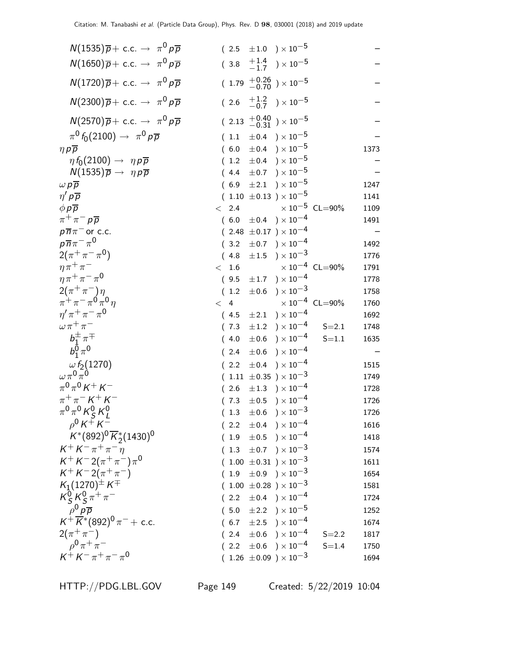| $N(1535)\overline{p} + \text{c.c.} \rightarrow \pi^0 p \overline{p}$                                        | $(2.5 \pm 1.0) \times 10^{-5}$                    |      |
|-------------------------------------------------------------------------------------------------------------|---------------------------------------------------|------|
| $N(1650)\overline{p} + c.c. \rightarrow \pi^0 p \overline{p}$                                               | $(3.8 \tfrac{+1.4}{-1.7}) \times 10^{-5}$         |      |
| $N(1720)\overline{p} + \text{c.c.} \rightarrow \pi^0 p \overline{p}$                                        | $(1.79 + 0.26 / 0.70) \times 10^{-5}$             |      |
| $N(2300)\overline{p} + \text{c.c.} \rightarrow \pi^0 p \overline{p}$                                        | $(2.6 \tfrac{+1.2}{-0.7}) \times 10^{-5}$         |      |
| $N(2570)\overline{p} + \text{c.c.} \rightarrow \pi^0 p \overline{p}$                                        | $(2.13 \frac{+0.40}{-0.31}) \times 10^{-5}$       |      |
| $\pi^0 f_0(2100) \rightarrow \pi^0 p \overline{p}$                                                          | $(1.1 \pm 0.4) \times 10^{-5}$                    |      |
| $\eta p \overline{p}$                                                                                       | $(6.0 \pm 0.4) \times 10^{-5}$                    | 1373 |
| $\eta f_0(2100) \rightarrow \eta p \overline{p}$                                                            | $(1.2 \pm 0.4) \times 10^{-5}$                    |      |
| $N(1535)\overline{p} \rightarrow \eta p \overline{p}$                                                       | $(4.4 \pm 0.7) \times 10^{-5}$                    |      |
| $\omega p\overline{p}$                                                                                      | $(6.9 \pm 2.1) \times 10^{-5}$                    | 1247 |
| $\eta' p \overline{p}$                                                                                      | $(1.10 \pm 0.13) \times 10^{-5}$                  | 1141 |
| $\phi p \overline{p}$                                                                                       | $\times$ 10 $^{-5}$ CL=90%<br>$\langle$ 2.4       | 1109 |
| $\pi^+\pi^-p\overline{p}$                                                                                   | $(6.0 \pm 0.4) \times 10^{-4}$                    | 1491 |
| $p\overline{n}\pi$ <sup>-</sup> or c.c.                                                                     | $(2.48 \pm 0.17) \times 10^{-4}$                  |      |
| $p\overline{n}\pi^{-}\pi^{0}$                                                                               | $(3.2 \pm 0.7) \times 10^{-4}$                    | 1492 |
| $2(\pi^+\pi^-\pi^0)$                                                                                        | $\pm 1.5$ $\phantom{0}$ $\times 10^{-3}$<br>(4.8) | 1776 |
| $\eta \pi^+ \pi^-$                                                                                          | $\times$ 10 <sup>-4</sup> CL=90%<br>< 1.6         | 1791 |
| $\eta \pi^+ \pi^- \pi^0$                                                                                    | $(9.5 \pm 1.7) \times 10^{-4}$                    | 1778 |
| $2(\pi^{+}\pi^{-})\eta$                                                                                     | $(1.2 \pm 0.6) \times 10^{-3}$                    | 1758 |
| $\pi^+ \pi^- \pi^0 \pi^0 \eta$                                                                              | $\times$ $10^{-4}$ $\,$ CL=90%<br>< 4             | 1760 |
| $\eta' \pi^+ \pi^- \pi^0$                                                                                   | $(4.5 \pm 2.1) \times 10^{-4}$                    | 1692 |
| $\omega \pi^+ \pi^-$                                                                                        | $(7.3 \pm 1.2) \times 10^{-4}$<br>$S = 2.1$       | 1748 |
| $b_1^{\pm} \pi^{\mp}$                                                                                       | $(4.0 \pm 0.6) \times 10^{-4}$<br>$S = 1.1$       | 1635 |
| $b_1^0 \pi^0$                                                                                               | $\pm 0.6$ ) $\times 10^{-4}$<br>(2.4)             |      |
| $\omega f_2(1270)$                                                                                          | $\pm 0.4$ ) $\times 10^{-4}$<br>(2.2)             | 1515 |
| $\omega \pi^0 \pi^0$                                                                                        | $(1.11 \pm 0.35) \times 10^{-3}$                  | 1749 |
| $\pi^{0}\pi^{0}K^{+}K^{-}$                                                                                  | $\pm 1.3$ $\rightarrow$ $\times 10^{-4}$<br>(2.6) | 1728 |
| $\pi^{+}\pi^{-} K^{+} K^{-}$                                                                                | $(7.3 \pm 0.5) \times 10^{-4}$                    | 1726 |
| $\pi^{0}\pi^{0}K_{S}^{0}K_{I}^{0}$                                                                          | $(1.3 \pm 0.6) \times 10^{-3}$                    | 1726 |
| $\rho^{0} K^{+} K^{-}$                                                                                      | $(2.2 \pm 0.4) \times 10^{-4}$                    | 1616 |
| $K^*(892)^0\overline{K}_2^*(1430)^0$                                                                        | $(1.9 \pm 0.5) \times 10^{-4}$                    | 1418 |
| $K^+ K^- \pi^+ \pi^- \eta$                                                                                  | $(1.3 \pm 0.7) \times 10^{-3}$                    | 1574 |
| $K^+ K^- 2(\pi^+ \pi^-) \pi^0$                                                                              | $(1.00 \pm 0.31) \times 10^{-3}$                  | 1611 |
| $K^+ K^- 2(\pi^+ \pi^-)$                                                                                    | $(1.9 \pm 0.9) \times 10^{-3}$                    | 1654 |
| $K_1(1270)^{\pm} K^{\mp}$                                                                                   | $(1.00 \pm 0.28) \times 10^{-3}$                  | 1581 |
| $K_S^0 K_S^0 \pi^+ \pi^-$                                                                                   | $(2.2 \pm 0.4) \times 10^{-4}$                    | 1724 |
|                                                                                                             | $(5.0 \pm 2.2) \times 10^{-5}$                    | 1252 |
| $\overline{\rho^0 \rho \overline{\rho}}$<br>K <sup>+</sup> K <sup>*</sup> (892) <sup>0</sup> $\pi^-$ + c.c. | $(6.7 \pm 2.5) \times 10^{-4}$                    | 1674 |
| $2(\pi^+\pi^-)$                                                                                             | $(2.4 \pm 0.6) \times 10^{-4}$<br>$S = 2.2$       | 1817 |
| $\rho^{0} \pi^{+} \pi^{-}$                                                                                  | $(2.2 \pm 0.6) \times 10^{-4}$<br>$S = 1.4$       | 1750 |
| $K^+ K^- \pi^+ \pi^- \pi^0$                                                                                 | $(1.26 \pm 0.09) \times 10^{-3}$                  | 1694 |
|                                                                                                             |                                                   |      |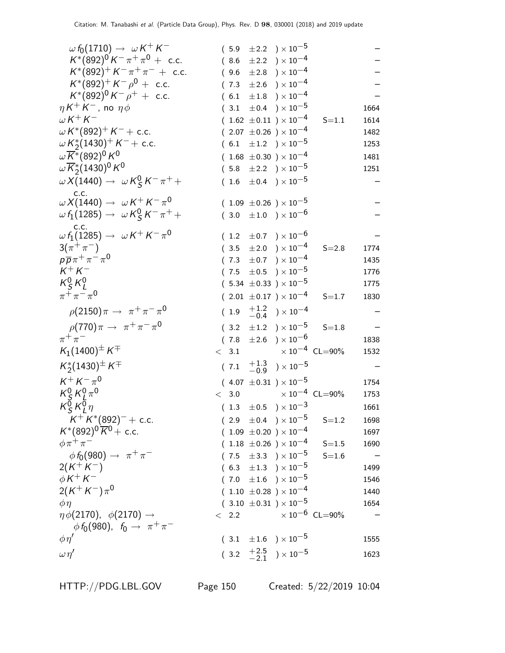| $\omega f_0(1710) \rightarrow \omega K^+ K^-$                                        |       | $(5.9 \pm 2.2) \times 10^{-5}$            |                         |      |
|--------------------------------------------------------------------------------------|-------|-------------------------------------------|-------------------------|------|
| $K^*(892)^0 K^- \pi^+ \pi^0 + \text{ c.c.}$                                          |       | $(8.6 \pm 2.2) \times 10^{-4}$            |                         |      |
| $K^*(892)^+ K^- \pi^+ \pi^-$ + c.c.                                                  |       | $(9.6 \pm 2.8) \times 10^{-4}$            |                         |      |
| $K^*(892)^+ K^- \rho^0 + \text{c.c.}$                                                |       | $(7.3 \pm 2.6) \times 10^{-4}$            |                         |      |
| $K^*(892)^0 K^- \rho^+ + \text{ c.c.}$                                               |       | $(6.1 \pm 1.8) \times 10^{-4}$            |                         |      |
| $\eta K^+ K^-$ , no $\eta \phi$                                                      |       | $(3.1 \pm 0.4) \times 10^{-5}$            |                         | 1664 |
| $\omega K^+ K^-$                                                                     |       | $(1.62 \pm 0.11) \times 10^{-4}$          | $S = 1.1$               | 1614 |
| $\omega K^*(892)^+ K^- +$ c.c.                                                       |       | $(2.07 \pm 0.26) \times 10^{-4}$          |                         | 1482 |
| $\omega K_2^*(1430)^+ K^-$ + c.c.                                                    |       | $(6.1 \pm 1.2) \times 10^{-5}$            |                         | 1253 |
| $\omega \overline{K}$ *(892) <sup>0</sup> K <sup>0</sup>                             |       | $(1.68 \pm 0.30) \times 10^{-4}$          |                         | 1481 |
| $\omega \overline{K}_{2}^{*}(1430)^{0} K^{0}$                                        |       | $(5.8 \pm 2.2) \times 10^{-5}$            |                         | 1251 |
| $\omega X(1440) \rightarrow \omega K_S^0 K^- \pi^+ +$                                |       | $(1.6 \pm 0.4) \times 10^{-5}$            |                         |      |
| c.c.<br>$\omega X(1440) \rightarrow \omega K^+ K^- \pi^0$                            |       | $(1.09 \pm 0.26) \times 10^{-5}$          |                         |      |
| $\omega f_1(1285) \to \omega K_S^0 K^- \pi^+ +$<br>C.C.                              |       | $(3.0 \pm 1.0) \times 10^{-6}$            |                         |      |
| $\omega f_1(1285) \rightarrow \omega K^+ K^- \pi^0$                                  |       | $(1.2 \pm 0.7) \times 10^{-6}$            |                         |      |
| $3(\pi^{+}\pi^{-})$                                                                  |       | $(3.5 \pm 2.0) \times 10^{-4}$            | $S = 2.8$               | 1774 |
| $p\overline{p}\pi^+\pi^-\pi^0$                                                       |       | $(7.3 \pm 0.7) \times 10^{-4}$            |                         | 1435 |
| $K^+ K^-$                                                                            |       | $(7.5 \pm 0.5) \times 10^{-5}$            |                         | 1776 |
| $K_S^0 K_I^0$                                                                        |       | $(5.34 \pm 0.33) \times 10^{-5}$          |                         | 1775 |
| $\pi^{+}\pi^{-}\pi^{0}$                                                              |       | $(2.01 \pm 0.17) \times 10^{-4}$          | $S = 1.7$               | 1830 |
| $\rho(2150)\pi \to \pi^+\pi^-\pi^0$                                                  |       | $(1.9 \tfrac{+1.2}{-0.4}) \times 10^{-4}$ |                         |      |
| $\rho(770)\pi \to \pi^+\pi^-\pi^0$                                                   |       | $(3.2 \pm 1.2) \times 10^{-5}$            | $S = 1.8$               |      |
| $\pi^+\pi^-$                                                                         |       | $(7.8 \pm 2.6) \times 10^{-6}$            |                         | 1838 |
| $K_1(1400)^{\pm} K^{\mp}$                                                            |       | $< 3.1$ $\times 10^{-4}$ CL=90%           |                         | 1532 |
| $K_2^*(1430)^{\pm} K^{\mp}$                                                          |       | $(7.1 \tfrac{+1.3}{-0.9}) \times 10^{-5}$ |                         |      |
| $K^+ K^- \pi^0$                                                                      |       | $(4.07 \pm 0.31) \times 10^{-5}$          |                         | 1754 |
| $K_S^0 K_I^0 \pi^0$                                                                  | < 3.0 | $\times$ 10 $^{-4}~$ CL=90%               |                         | 1753 |
| $K_S^{\vec{0}} K_I^{\vec{0}} \eta$                                                   |       | $(1.3 \pm 0.5) \times 10^{-3}$            |                         | 1661 |
| $K^+ K^*(892)^-$ + c.c.                                                              |       | $(2.9 \pm 0.4) \times 10^{-5}$            | $S = 1.2$               | 1698 |
| $K^*(892)^0 \overline{K}{}^0$ + c.c.                                                 |       | $(1.09 \pm 0.20) \times 10^{-4}$          |                         | 1697 |
| $\phi \pi^+ \pi^-$                                                                   |       | $(1.18 \pm 0.26) \times 10^{-4}$          | $S = 1.5$               | 1690 |
| $\phi f_0(980) \rightarrow \pi^+ \pi^-$                                              |       | $(7.5 \pm 3.3) \times 10^{-5}$            | $S = 1.6$               |      |
| $2(K^+K^-)$                                                                          |       | $(6.3 \pm 1.3) \times 10^{-5}$            |                         | 1499 |
| $\phi K^+ K^-$                                                                       |       | $(7.0 \pm 1.6) \times 10^{-5}$            |                         | 1546 |
| $2(K^+K^-)\pi^0$                                                                     |       | $(1.10 \pm 0.28) \times 10^{-4}$          |                         | 1440 |
| $\phi\eta$                                                                           |       | $(3.10 \pm 0.31) \times 10^{-5}$          |                         | 1654 |
| $\eta \phi(2170), \phi(2170) \rightarrow$<br>$\phi f_0(980)$ , $f_0 \to \pi^+ \pi^-$ | < 2.2 |                                           | $\times 10^{-6}$ CL=90% |      |
| $\phi\eta'$                                                                          |       | $(3.1 \pm 1.6) \times 10^{-5}$            |                         | 1555 |
| $\omega \eta'$                                                                       |       | $(3.2 \tfrac{+2.5}{-2.1}) \times 10^{-5}$ |                         | 1623 |
|                                                                                      |       |                                           |                         |      |

HTTP://PDG.LBL.GOV Page 150 Created: 5/22/2019 10:04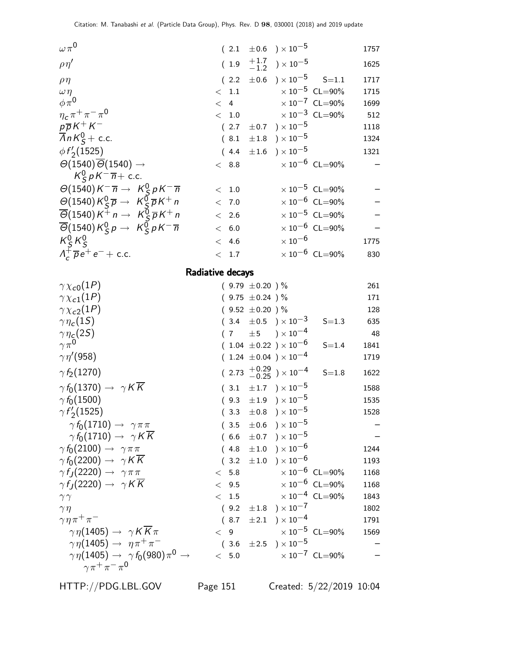| $\omega \pi^0$                                                                                                             |       |         |                     | $(2.1 \pm 0.6) \times 10^{-5}$              |                                | 1757 |
|----------------------------------------------------------------------------------------------------------------------------|-------|---------|---------------------|---------------------------------------------|--------------------------------|------|
| $\rho\eta'$                                                                                                                |       |         |                     | $(1.9 \tfrac{+1.7}{-1.2}) \times 10^{-5}$   |                                | 1625 |
| $\rho\eta$                                                                                                                 |       |         |                     | $(2.2 \pm 0.6) \times 10^{-5}$ S=1.1        |                                | 1717 |
| $\omega \eta$                                                                                                              | $\lt$ | 1.1     |                     |                                             | $\times 10^{-5}$ CL=90%        | 1715 |
| $\phi\pi^0$                                                                                                                | $\lt$ | 4       |                     |                                             | $\times 10^{-7}$ CL=90%        | 1699 |
| $\eta_c \pi^+ \pi^- \pi^0$                                                                                                 |       | $<$ 1.0 |                     |                                             | $\times$ $10^{-3}$ $\,$ CL=90% | 512  |
| $p\overline{p}K^+K^-$                                                                                                      |       | (2.7)   |                     | $\pm 0.7$ ) $\times 10^{-5}$                |                                | 1118 |
| $\overline{A}nK_S^0$ + c.c.                                                                                                |       | (8.1)   |                     | $\pm 1.8$ ) $\times 10^{-5}$                |                                | 1324 |
| $\phi f_2(1525)$                                                                                                           |       |         |                     | $(4.4 \pm 1.6) \times 10^{-5}$              |                                | 1321 |
| $\Theta(1540)\overline{\Theta}(1540)\rightarrow$                                                                           |       | < 8.8   |                     |                                             | $\times 10^{-6}$ CL=90%        |      |
| $K_S^0 p K^- \overline{n}$ + c.c.                                                                                          |       |         |                     |                                             |                                |      |
| $\Theta(1540)K^{-}\overline{n} \rightarrow K_{S}^{0}pK^{-}\overline{n}$                                                    |       | < 1.0   |                     |                                             | $\times 10^{-5}$ CL=90%        |      |
| $\Theta(1540)K_S^0\overline{p} \rightarrow K_S^0\overline{p}K^+n$                                                          |       | < 7.0   |                     |                                             | $\times 10^{-6}$ CL=90%        |      |
| $\overline{\Theta}$ (1540) $K^{\overline{+}}$ n $\rightarrow$ $K_S^{\overline{0}} \overline{p} K^+$ n                      |       | < 2.6   |                     |                                             | $\times 10^{-5}$ CL=90%        |      |
| $\overline{\Theta}$ (1540) K <sub>S</sub> <sup>0</sup> $p \rightarrow K$ <sub>S</sub> <sup>0</sup> $pK^{-}$ $\overline{n}$ | $\lt$ | 6.0     |                     |                                             | $\times 10^{-6}$ CL=90%        |      |
| $K_S^0 K_S^0$                                                                                                              | $\lt$ | 4.6     |                     | $\times$ 10 $^{-6}$                         |                                | 1775 |
| $\Lambda_c^+ \overline{\rho} e^+ e^- +$ c.c.                                                                               | $\lt$ | 1.7     |                     |                                             | $\times 10^{-6}$ CL=90%        | 830  |
|                                                                                                                            |       |         |                     |                                             |                                |      |
| Radiative decays                                                                                                           |       |         |                     |                                             |                                |      |
| $\gamma \chi_{c0}(1P)$                                                                                                     |       |         | $(9.79 \pm 0.20)$ % |                                             |                                | 261  |
| $\gamma \chi_{c1}(1P)$                                                                                                     |       |         | $(9.75 \pm 0.24)$ % |                                             |                                | 171  |
| $\gamma \chi_{c2}(1P)$                                                                                                     |       |         | $(9.52 \pm 0.20)$ % |                                             |                                | 128  |
| $\gamma\eta_c(1S)$                                                                                                         |       |         |                     | $(3.4 \pm 0.5) \times 10^{-3}$              | $S = 1.3$                      | 635  |
| $\gamma\eta_{\rm g}(2S)$                                                                                                   |       |         |                     | $(7 \pm 5) \times 10^{-4}$                  |                                | 48   |
| $\gamma \pi^0$                                                                                                             |       |         |                     | $(1.04 \pm 0.22) \times 10^{-6}$            | $S = 1.4$                      | 1841 |
| $\gamma\eta^{\prime}(958)$                                                                                                 |       |         |                     | $(1.24 \pm 0.04) \times 10^{-4}$            |                                | 1719 |
| $\gamma f_2(1270)$                                                                                                         |       |         |                     | $(2.73 \frac{+0.29}{-0.25}) \times 10^{-4}$ | $S = 1.8$                      | 1622 |
| $\gamma f_0(1370) \rightarrow \gamma K \overline{K}$                                                                       |       |         |                     | $(3.1 \pm 1.7) \times 10^{-5}$              |                                | 1588 |
| $\gamma f_0(1500)$                                                                                                         |       |         |                     | $(9.3 \pm 1.9) \times 10^{-5}$              |                                | 1535 |
| $\gamma f_2(1525)$                                                                                                         |       |         |                     | $(3.3 \pm 0.8) \times 10^{-5}$              |                                | 1528 |
| $\gamma f_0(1710) \rightarrow \gamma \pi \pi$                                                                              |       |         |                     | $(3.5 \pm 0.6) \times 10^{-5}$              |                                |      |
| $\gamma f_0(1710) \rightarrow \gamma K \overline{K}$                                                                       |       |         |                     | $(6.6 \pm 0.7) \times 10^{-5}$              |                                |      |
| $\gamma f_0(2100) \rightarrow \gamma \pi \pi$                                                                              |       |         |                     | $(4.8 \pm 1.0) \times 10^{-6}$              |                                | 1244 |
| $\gamma f_0(2200) \rightarrow \gamma K \overline{K}$                                                                       |       |         |                     | $(3.2 \pm 1.0) \times 10^{-6}$              |                                | 1193 |
| $\gamma f_J(2220) \rightarrow \gamma \pi \pi$                                                                              |       | < 5.8   |                     |                                             | $\times 10^{-6}$ CL=90%        | 1168 |
| $\gamma f_I(2220) \rightarrow \gamma K \overline{K}$                                                                       |       | < 9.5   |                     |                                             | $\times 10^{-6}$ CL=90%        | 1168 |
| $\gamma\gamma$                                                                                                             |       | < 1.5   |                     |                                             | $\times$ $10^{-4}$ $\,$ CL=90% | 1843 |
| $\gamma \eta$                                                                                                              |       |         |                     | $(9.2 \pm 1.8) \times 10^{-7}$              |                                | 1802 |
| $\gamma \eta \pi^+ \pi^-$                                                                                                  |       |         |                     | $(8.7 \pm 2.1) \times 10^{-4}$              |                                | 1791 |
| $\gamma \eta(1405) \rightarrow \gamma K K \pi$                                                                             |       | < 9     |                     |                                             | $\times 10^{-5}$ CL=90%        | 1569 |
| $\gamma \eta(1405) \rightarrow \eta \pi^+ \pi^-$                                                                           |       |         |                     | $(3.6 \pm 2.5) \times 10^{-5}$              |                                |      |
| $\gamma\,\eta(1405) \rightarrow \gamma\,f_0(980)\pi^0 \rightarrow$                                                         |       | < 5.0   |                     |                                             | $\times 10^{-7}$ CL=90%        |      |
| $\gamma \pi^+ \pi^- \pi^0$                                                                                                 |       |         |                     |                                             |                                |      |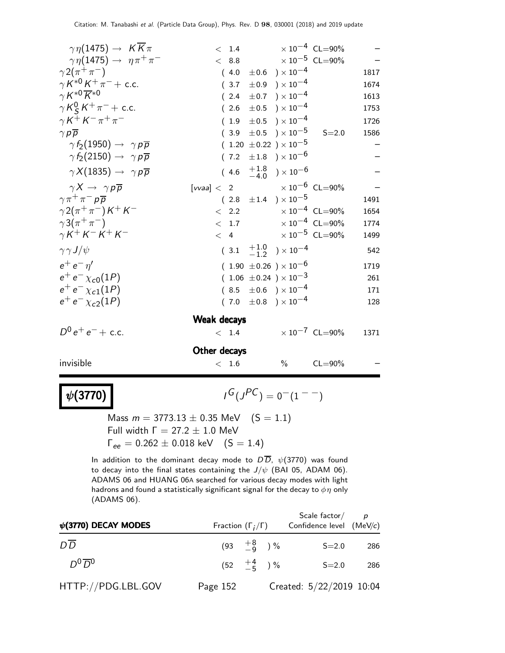| $\gamma \eta(1475) \rightarrow K \overline{K} \pi$   | $< 1.4 \times 10^{-4} \text{ CL} = 90\%$ |                              |                         |      |
|------------------------------------------------------|------------------------------------------|------------------------------|-------------------------|------|
| $\gamma \eta(1475) \rightarrow \eta \pi^+ \pi^-$     | $< 8.8$ $\times 10^{-5}$ CL=90%          |                              |                         |      |
| $\gamma 2(\pi^+\pi^-)$                               | (4.0)                                    | $\pm 0.6$ ) $\times 10^{-4}$ |                         | 1817 |
| $\gamma K^{*0} K^+ \pi^-$ + c.c.                     | (3.7)                                    | $\pm 0.9$ ) $\times 10^{-4}$ |                         | 1674 |
| $\gamma K^{*0} \overline{K}^{*0}$                    | $(2.4 \pm 0.7) \times 10^{-4}$           |                              |                         | 1613 |
| $\gamma K_S^0 K^+ \pi^- +$ c.c.                      | $(2.6 \pm 0.5) \times 10^{-4}$           |                              |                         | 1753 |
| $\gamma K^+ K^- \pi^+ \pi^-$                         | $(1.9 \pm 0.5) \times 10^{-4}$           |                              |                         | 1726 |
| $\gamma p \overline{p}$                              | $(3.9 \pm 0.5) \times 10^{-5}$           |                              | $S = 2.0$               | 1586 |
| $\gamma f_2(1950) \rightarrow \gamma p \overline{p}$ | $(1.20 \pm 0.22) \times 10^{-5}$         |                              |                         |      |
| $\gamma f_2(2150) \rightarrow \gamma p \overline{p}$ | (7.2)                                    | $\pm 1.8$ ) $\times 10^{-6}$ |                         |      |
| $\gamma X(1835) \rightarrow \gamma p \overline{p}$   | $(4.6 \t +1.8 \t -4.0) \times 10^{-6}$   |                              |                         |      |
| $\gamma X \rightarrow \gamma p \overline{p}$         | [vvaa] < 2 $\times 10^{-6}$ CL=90%       |                              |                         |      |
| $\gamma \pi^+ \pi^- p \overline{p}$                  | $(2.8 \pm 1.4) \times 10^{-5}$           |                              |                         | 1491 |
| $\gamma 2(\pi^+\pi^-)K^+K^-$                         | $< 2.2$ $\times 10^{-4}$ CL=90%          |                              |                         | 1654 |
| $\gamma 3(\pi^+\pi^-)$                               | $< 1.7$ $\times 10^{-4}$ CL=90%          |                              |                         | 1774 |
| $\gamma K^+ K^- K^+ K^-$                             | $< 4$ $\times 10^{-5}$ CL=90%            |                              |                         | 1499 |
| $\gamma \gamma J/\psi$                               | $(3.1 \t +1.0 \t -1.2) \times 10^{-4}$   |                              |                         | 542  |
| $e^+e^-\eta'$                                        | $(1.90 \pm 0.26) \times 10^{-6}$         |                              |                         | 1719 |
| $e^+e^- \chi_{c0}(1P)$                               | $(1.06 \pm 0.24) \times 10^{-3}$         |                              |                         | 261  |
| $e^+e^- \chi_{c1}(1P)$                               | $(8.5 \pm 0.6) \times 10^{-4}$           |                              |                         | 171  |
| $e^+e^- \chi_{c2}(1P)$                               | $(7.0 \pm 0.8) \times 10^{-4}$           |                              |                         | 128  |
|                                                      | Weak decays                              |                              |                         |      |
| $D^0 e^+ e^- +$ c.c.                                 | < 1.4                                    |                              | $\times 10^{-7}$ CL=90% | 1371 |
|                                                      | Other decays                             |                              |                         |      |
| invisible                                            | $<$ 1.6                                  | $\%$                         | $CL = 90\%$             |      |
|                                                      |                                          |                              |                         |      |

 $G(J^{PC}) = 0(1 - 1)$ 

Mass  $m = 3773.13 \pm 0.35$  MeV  $(S = 1.1)$ Full width  $Γ = 27.2 ± 1.0$  MeV  $\Gamma_{ee} = 0.262 \pm 0.018 \text{ keV}$  (S = 1.4)

 $\psi(3770)$ 

In addition to the dominant decay mode to  $D\overline{D}$ ,  $\psi(3770)$  was found to decay into the final states containing the  $J/\psi$  (BAI 05, ADAM 06). ADAMS 06 and HUANG 06A searched for various decay modes with light hadrons and found a statistically significant signal for the decay to  $\phi\eta$  only (ADAMS 06).

| $\psi$ (3770) DECAY MODES | Fraction $(\Gamma_i/\Gamma)$ |  | Scale factor $/$ p<br>Confidence level (MeV/c) |     |
|---------------------------|------------------------------|--|------------------------------------------------|-----|
| $D\overline{D}$           | $(93 \tfrac{+8}{-9})\%$      |  | $S = 2.0$                                      | 286 |
| $D^0\overline{D}{}^0$     | $(52 \tfrac{+4}{-5})\%$      |  | $S = 2.0$                                      | 286 |
| HTTP://PDG.LBL.GOV        | Page 152                     |  | Created: 5/22/2019 10:04                       |     |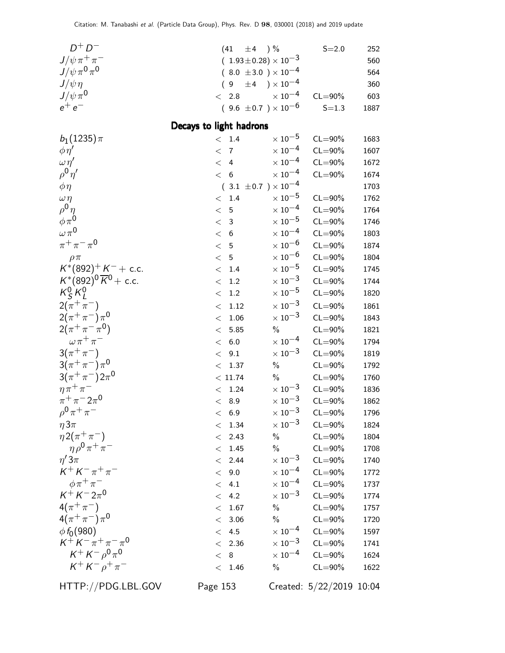| $D^+D^-$                                     | $\pm 4$ ) %<br>(41)                                        |                                                        | $S = 2.0$                  | 252          |
|----------------------------------------------|------------------------------------------------------------|--------------------------------------------------------|----------------------------|--------------|
| $J/\psi\,\pi^+\,\pi^-$                       | $(1.93 \pm 0.28) \times 10^{-3}$                           |                                                        |                            | 560          |
| $J/\psi \pi^0 \pi^0$                         | $(8.0 \pm 3.0) \times 10^{-4}$                             |                                                        |                            | 564          |
| $J/\psi\eta$                                 | $9^{\circ}$                                                | $\pm 4$ ) $\times 10^{-4}$                             |                            | 360          |
| $J/\psi \pi^0$                               | 2.8<br>$\lt$                                               | $\times$ 10 <sup>-4</sup>                              | $CL = 90\%$                | 603          |
| $e^+e^-$                                     | $(9.6 \pm 0.7) \times 10^{-6}$                             |                                                        | $S = 1.3$                  | 1887         |
|                                              | Decays to light hadrons                                    |                                                        |                            |              |
| $b_1(1235)\pi$                               | < 1.4                                                      | $\times$ 10 <sup>-5</sup>                              | $CL = 90\%$                | 1683         |
| $\phi \eta'$                                 | $\overline{7}$<br>$\lt$                                    | $\times$ $10^{-4}$                                     | $CL = 90\%$                | 1607         |
| $\omega \eta'$                               | $\overline{\left\langle \right\rangle }$<br>$\overline{4}$ | $\times$ 10 <sup>-4</sup>                              | $CL = 90\%$                | 1672         |
| $ho^0 \eta'$                                 | < 6                                                        | $\times$ 10 <sup>-4</sup>                              | $CL = 90\%$                | 1674         |
| $\phi \eta$                                  | $(.3.1 \pm 0.7) \times 10^{-4}$                            |                                                        |                            | 1703         |
| $\omega \eta$                                | 1.4<br>$\lt$                                               | $\times$ $10^{-5}$                                     | $CL = 90\%$                | 1762         |
| $ho^0 \eta$                                  | $\lt$<br>5                                                 | $\times$ 10 <sup>-4</sup>                              | $CL = 90\%$                | 1764         |
| $\phi \pi^0$                                 | $\lt$<br>$\mathbf{3}$                                      | $\times$ 10 $^{-5}$                                    | $CL = 90\%$                | 1746         |
| $\omega \pi^0$                               | $\lt$<br>6                                                 | $\times$ 10 <sup>-4</sup>                              | $CL = 90\%$                | 1803         |
| $\pi^{+}\pi^{-}\pi^{0}$                      | $\lt$<br>5                                                 | $\times$ $10^{-6}$                                     | $CL = 90\%$                | 1874         |
| $\rho \pi$                                   | $\leq$<br>5                                                | $\times$ 10 <sup>-6</sup>                              | $CL = 90\%$                | 1804         |
| $K^*(892)^+ K^- +$ c.c.                      | $1.4\,$<br>$\lt$                                           | $\times$ 10 <sup>-5</sup>                              | $CL = 90\%$                | 1745         |
| $K^*(892)^0 \overline{K}^0$ + c.c.           | 1.2<br>$\lt$                                               | $\times$ 10 <sup>-3</sup>                              | $CL = 90\%$                | 1744         |
| $K_S^0 K_l^0$                                | 1.2<br>$\lt$                                               | $\times$ 10 $^{-5}$                                    | $CL = 90\%$                | 1820         |
| $2(\pi^{+}\pi^{-})$                          | 1.12<br>$\,<\,$                                            | $\times$ $10^{-3}$                                     | $CL = 90\%$                | 1861         |
| $2(\pi^+\pi^-)\pi^0$                         | 1.06<br>$\lt$                                              | $\times$ 10 <sup>-3</sup>                              | $CL = 90\%$                | 1843         |
| $2(\pi^+\pi^-\pi^0)$                         | 5.85<br>$\lt$                                              | $\%$                                                   | $CL = 90\%$                | 1821         |
| $\omega \pi^+ \pi^-$                         | $6.0\,$<br>$\lt$                                           | $\times$ 10 <sup>-4</sup>                              | $CL = 90\%$                | 1794         |
| $3(\pi^{+}\pi^{-})$                          | 9.1<br>$\lt$                                               | $\times$ $10^{-3}$                                     | $CL = 90\%$                | 1819         |
| $3(\pi^{+}\pi^{-})\pi^{0}$                   | 1.37<br>$\lt$                                              | $\%$                                                   | $CL = 90\%$                | 1792         |
| $3(\pi^{+}\pi^{-})2\pi^{0}$                  | < 11.74                                                    | $\frac{0}{0}$                                          | $CL = 90\%$                | 1760         |
| $\eta \pi^+ \pi^-$                           | 1.24<br>$\,<\,$                                            | $\times$ 10 <sup>-3</sup>                              | $CL = 90\%$                | 1836         |
| $\pi^{+}\pi^{-}2\pi^{0}$                     | < 8.9                                                      | $\times\,10^{-3}$                                      | $CL = 90\%$                | 1862         |
| $\rho^{0} \pi^{+} \pi^{-}$                   | < 6.9                                                      | $\times$ 10 $^{-3}$                                    | $CL = 90\%$                | 1796         |
| $\eta 3\pi$                                  | 1.34<br><                                                  | $\times$ 10 <sup>-3</sup>                              | $CL = 90\%$                | 1824         |
| $\eta 2(\pi^+\pi^-)$                         | 2.43<br>$\lt$                                              | $\%$                                                   | $CL = 90\%$                | 1804         |
| $\eta \rho^0 \pi^+ \pi^-$                    | 1.45<br>$\lt$                                              | $\frac{0}{0}$                                          | $CL = 90\%$                | 1708         |
| $\eta'3\pi$<br>$K^{+} K^{-} \pi^{+} \pi^{-}$ | 2.44<br>$\lt$                                              | $\times$ 10 $^{-3}$                                    | $CL = 90\%$                | 1740         |
|                                              | 9.0<br>$\lt$                                               | $\times$ 10 <sup>-4</sup>                              | $CL = 90\%$                | 1772         |
| $\phi \pi^+ \pi^-$<br>$K^+ K^- 2\pi^0$       | 4.1<br>$\lt$                                               | $\times$ 10 <sup>-4</sup><br>$\times$ 10 <sup>-3</sup> | $CL = 90\%$                | 1737         |
| $4(\pi^{+}\pi^{-})$                          | 4.2<br>$\lt$                                               |                                                        | $CL = 90\%$                | 1774         |
| $4(\pi^+\pi^-)\pi^0$                         | 1.67<br>$\lt$                                              | $\%$<br>$\%$                                           | $CL = 90\%$                | 1757         |
| $\phi f_0(980)$                              | 3.06<br>$\,<\,$<br>< 4.5                                   | $\times$ 10 <sup>-4</sup>                              | $CL = 90\%$<br>$CL = 90\%$ | 1720         |
| $K^+ K^- \pi^+ \pi^- \pi^0$                  | 2.36<br>$\lt$                                              | $\times$ $10^{-3}$                                     | $CL = 90\%$                | 1597<br>1741 |
| $K^+ K^- \rho^0 \pi^0$                       | 8<br>$\lt$                                                 | $\times$ 10 <sup>-4</sup>                              | $CL = 90\%$                | 1624         |
| $K^+ K^- \rho^+ \pi^-$                       | < 1.46                                                     | $\frac{0}{0}$                                          | $CL = 90\%$                | 1622         |
|                                              |                                                            |                                                        |                            |              |
| HTTP://PDG.LBL.GOV                           | Page 153                                                   |                                                        | Created: 5/22/2019 10:04   |              |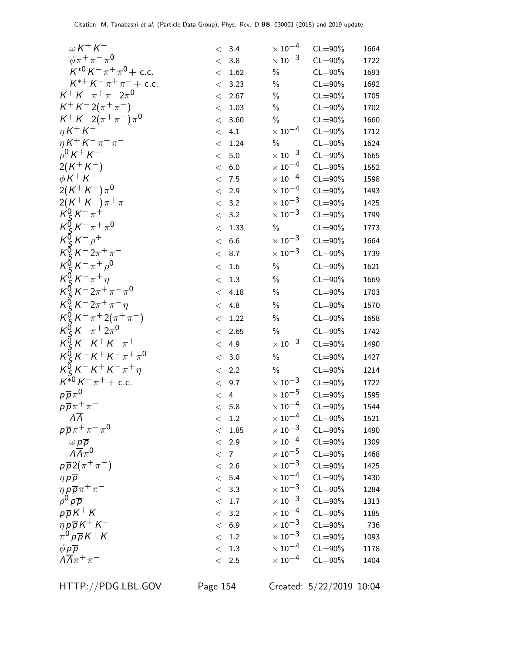| $\omega$ K + K –                             |         | < 3.4          | $\times$ 10 $^{-4}$       | $CL = 90\%$ | 1664 |
|----------------------------------------------|---------|----------------|---------------------------|-------------|------|
| $\phi \pi^+ \pi^- \pi^0$                     | $\lt$   | 3.8            | $\times$ 10 $^{-3}$       | $CL = 90\%$ | 1722 |
| $K^{*0}K^{-}\pi^{+}\pi^{0}+$ c.c.            | $\lt$   | 1.62           | $\%$                      | $CL = 90\%$ | 1693 |
| $K^{*+} K^- \pi^+ \pi^-$ + c.c.              | $\lt$   | 3.23           | $\%$                      | $CL = 90\%$ | 1692 |
| $K^+ K^- \pi^+ \pi^- 2 \pi^0$                | $\lt$   | 2.67           | $\%$                      | $CL = 90\%$ | 1705 |
| $K^+ K^- 2(\pi^+ \pi^-)$                     | $\lt$   | 1.03           | $\%$                      | $CL = 90\%$ | 1702 |
| $K^+ K^- 2(\pi^+\pi^-)\pi^0$                 | $\lt$   | 3.60           | $\%$                      | $CL = 90\%$ | 1660 |
| $\eta K^+ K^-$                               | $\lt$   | 4.1            | $\times$ 10 <sup>-4</sup> | $CL = 90\%$ | 1712 |
| $\eta K^{+} K^{-} \pi^{+} \pi^{-}$           | $\lt$   | 1.24           | $\%$                      | $CL = 90\%$ | 1624 |
| $\rho^0 K^+ K^-$                             | $\lt$   | $5.0\,$        | $\times$ $10^{-3}$        | $CL = 90\%$ | 1665 |
| $2(K^+K^-)$                                  | $\,<\,$ | $6.0\,$        | $\times$ 10 <sup>-4</sup> | $CL = 90\%$ | 1552 |
| $\phi K^+ K^-$                               | $\lt$   | 7.5            | $\times$ 10 <sup>-4</sup> | $CL = 90\%$ | 1598 |
| $2(K^+K^-)\pi^0$                             | $\,<\,$ | 2.9            | $\times$ 10 <sup>-4</sup> | $CL = 90\%$ | 1493 |
| $2(K^+K^-)\pi^+\pi^-$                        | $\lt$   | 3.2            | $\times$ $10^{-3}$        | $CL = 90\%$ | 1425 |
| $K_S^0 K^- \pi^+$                            | $\lt$   | 3.2            | $\times$ 10 <sup>-3</sup> | $CL = 90\%$ | 1799 |
| $K_S^0 K^- \pi^+ \pi^0$                      | $\lt$   | 1.33           | $\%$                      | $CL = 90\%$ | 1773 |
| $K_S^0 K^- \rho^+$                           | $\lt$   | 6.6            | $\times$ 10 <sup>-3</sup> | $CL = 90\%$ | 1664 |
| $K_S^0 K^- 2\pi^+\pi^-$                      | $\,<\,$ | 8.7            | $\times$ 10 <sup>-3</sup> | $CL = 90\%$ | 1739 |
| $K_S^{\bar{0}} K^- \pi^+ \rho^0$             | $\lt$   | 1.6            | $\%$                      | $CL = 90\%$ | 1621 |
| $K_S^0 K^- \pi^+ \eta$                       | $\lt$   | 1.3            | $\%$                      | $CL = 90\%$ | 1669 |
| $K_{c}^{\bar{0}}K^{-}2\pi^{+}\pi^{-}\pi^{0}$ | $\,<\,$ | 4.18           | $\%$                      | $CL = 90\%$ | 1703 |
| $K_S^{\bar{0}} K^- 2\pi^+ \pi^- \eta$        | $\lt$   | 4.8            | $\%$                      | $CL = 90\%$ | 1570 |
| $K_S^0 K^- \pi^+ 2(\pi^+ \pi^-)$             | $\lt$   | 1.22           | $\%$                      | $CL = 90\%$ | 1658 |
| $K_{c}^{\bar{0}}K^{-}\pi^{+}2\pi^{0}$        | $\lt$   | 2.65           | $\%$                      | $CL = 90\%$ | 1742 |
| $K_S^0 K^- K^+ K^- \pi^+$                    | $\lt$   | 4.9            | $\times$ 10 <sup>-3</sup> | $CL = 90\%$ | 1490 |
| $K_S^{\bar{0}} K^- K^+ K^- \pi^+ \pi^0$      | $\lt$   | 3.0            | $\%$                      | $CL = 90\%$ | 1427 |
| $K_S^{\bar{0}} K^- K^+ K^- \pi^+ \eta$       | $\lt$   | 2.2            | $\%$                      | $CL = 90\%$ | 1214 |
| $K^{*0}K^{-}\pi^+ +$ c.c.                    | $\lt$   | 9.7            | $\times$ $10^{-3}$        | $CL = 90\%$ | 1722 |
| $p\overline{p}\pi^0$                         | $\lt$   | $\overline{4}$ | $\times$ 10 $^{-5}$       | $CL = 90\%$ | 1595 |
| $p\overline{p}\pi^+\pi^-$                    | $\lt$   | 5.8            | $\times$ 10 <sup>-4</sup> | $CL = 90\%$ | 1544 |
| ΛΛ                                           | $\lt$   | 1.2            | $\times$ $10^{-4}$        | $CL = 90\%$ | 1521 |
| $p\overline{p}\pi^+\pi^-\pi^0$               | $\lt$   | 1.85           | $\times$ 10 <sup>-3</sup> | $CL = 90\%$ | 1490 |
| $\omega\,p\,\overline{p}$                    | $\lt$   | 2.9            | $\times$ 10 <sup>-4</sup> | $CL = 90\%$ | 1309 |
| $\Lambda \overline{\Lambda} \pi^0$           | < 7     |                | $\times$ 10 $^{-5}$       | $CL = 90\%$ | 1468 |
| $p\overline{p}2(\pi^+\pi^-)$                 | $\lt$   | 2.6            | $\times$ 10 <sup>-3</sup> | $CL = 90\%$ | 1425 |
| $\eta p \overline{p}$                        | $\lt$   | $5.4\,$        | $\times$ 10 <sup>-4</sup> | $CL = 90\%$ | 1430 |
| $\eta p \overline{p} \pi^+ \pi^-$            | $\lt$   | 3.3            | $\times$ 10 <sup>-3</sup> | $CL = 90\%$ | 1284 |
| $\rho^0 p \overline{p}$                      | $\lt$   | $1.7\,$        | $\times$ 10 $^{-3}$       | $CL = 90\%$ | 1313 |
| $p\overline{p}K^+K^-$                        | $\lt$   | 3.2            | $\times$ $10^{-4}$        | $CL = 90\%$ | 1185 |
| $\eta p \overline{p} K^+ K^-$                | $\lt$   | 6.9            | $\times$ 10 <sup>-3</sup> | $CL = 90\%$ | 736  |
| $\pi^0 p \overline{p} K^+ K^-$               | $\lt$   | $1.2\,$        | $\times$ $10^{-3}$        | $CL = 90\%$ | 1093 |
| $\phi p\overline{p}$                         | $\lt$   | 1.3            | $\times$ 10 $^{-4}$       | $CL = 90\%$ | 1178 |
| $\Lambda \overline{\Lambda} \pi^+ \pi^-$     | $\lt$   | 2.5            | $\times$ 10 $^{-4}$       | $CL = 90\%$ | 1404 |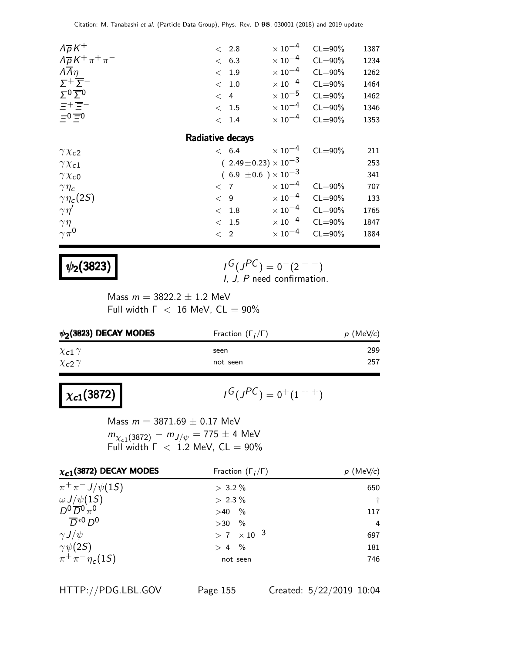| $\Lambda \overline{p} K^+$                                                       | $\langle$ 2.8                  | $\times$ 10 $^{-4}$ | $CL = 90\%$             | 1387 |
|----------------------------------------------------------------------------------|--------------------------------|---------------------|-------------------------|------|
| $\Lambda \overline{\rho} K^+ \pi^+ \pi^-$                                        | < 6.3                          | $\times$ 10 $^{-4}$ | $CL = 90\%$             | 1234 |
| $\overline{\Lambda n}$                                                           | < 1.9                          | $\times$ 10 $^{-4}$ | $CL = 90\%$             | 1262 |
| $\Sigma^+\overline{\Sigma}^-$                                                    | $< 1.0$                        | $\times$ 10 $^{-4}$ | $CL = 90\%$             | 1464 |
| $\Sigma^0 \overline{\Sigma}{}^0$                                                 | < 4                            | $\times$ 10 $^{-5}$ | $CL = 90\%$             | 1462 |
| $\begin{array}{l}\n\Xi^+\overline{\Xi}^-\\ \n\Xi^0\overline{\Xi}^0\n\end{array}$ | < 1.5                          |                     | $\times 10^{-4}$ CL=90% | 1346 |
|                                                                                  | < 1.4                          | $\times$ 10 $^{-4}$ | $CL = 90\%$             | 1353 |
|                                                                                  | Radiative decays               |                     |                         |      |
| $\gamma \chi_{c2}$                                                               | < 6.4                          | $\times$ 10 $^{-4}$ | $CL = 90\%$             | 211  |
| $\gamma \chi_{c1}$                                                               | $(2.49\pm0.23)\times10^{-3}$   |                     |                         | 253  |
| $\gamma \chi_{c0}$                                                               | $(6.9 \pm 0.6) \times 10^{-3}$ |                     |                         | 341  |
| $\gamma \eta_c$                                                                  | < 7                            | $\times$ 10 $^{-4}$ | $CL = 90\%$             | 707  |
| $\gamma\eta_c(2S)$                                                               | < 9                            | $\times$ 10 $^{-4}$ | $CL = 90\%$             | 133  |
| $\gamma\eta'$                                                                    | $<$ 1.8                        | $\times$ 10 $^{-4}$ | $CL = 90\%$             | 1765 |
| $\gamma\eta$                                                                     | < 1.5                          | $\times$ 10 $^{-4}$ | $CL = 90\%$             | 1847 |
| $\gamma \pi^0$                                                                   | $\langle$ 2                    | $\times$ 10 $^{-4}$ | $CL = 90\%$             | 1884 |
|                                                                                  |                                |                     |                         |      |

### $\psi_2(3823)$

 $G(J^{PC}) = 0(2^{--})$  $I, J, P$  need confirmation.

Mass  $m = 3822.2 \pm 1.2$  MeV Full width  $\Gamma$  < 16 MeV,  $CL = 90\%$ 

| $\psi_2$ (3823) DECAY MODES | Fraction $(\Gamma_i/\Gamma)$ | $p$ (MeV/c) |
|-----------------------------|------------------------------|-------------|
| $\chi$ c1 $\gamma$          | seen                         | 299         |
| $\chi_{c2} \gamma$          | not seen                     | 257         |

# $\chi_{c1}(3872)$

 $G(J^{PC}) = 0^+(1^{++})$ 

Mass  $m = 3871.69 \pm 0.17$  MeV  $m_{\chi_{c1}(3872)} - m_{J/\psi} = 775 \pm 4$  MeV Full width  $\Gamma$  < 1.2 MeV,  $CL = 90\%$ 

| $\chi_{c1}$ (3872) DECAY MODES | Fraction $(\Gamma_i/\Gamma)$ | $p$ (MeV/c)    |
|--------------------------------|------------------------------|----------------|
| $\pi^{+}\pi^{-}J/\psi(1S)$     | $> 3.2 \%$                   | 650            |
| $\omega J/\psi(1S)$            | $> 2.3 \%$                   | $\ddagger$     |
| $D^0\overline{D}{}^0\pi^0$     | $>40$ %                      | 117            |
| $\overline{D}^{*0}$ $D^0$      | $>30$ %                      | $\overline{4}$ |
| $\gamma J/\psi$                | $> 7 \times 10^{-3}$         | 697            |
| $\gamma\psi(2S)$               | $> 4 \frac{9}{6}$            | 181            |
| $\pi^{+}\pi^{-}\eta_{c}(1S)$   | not seen                     | 746            |

HTTP://PDG.LBL.GOV Page 155 Created: 5/22/2019 10:04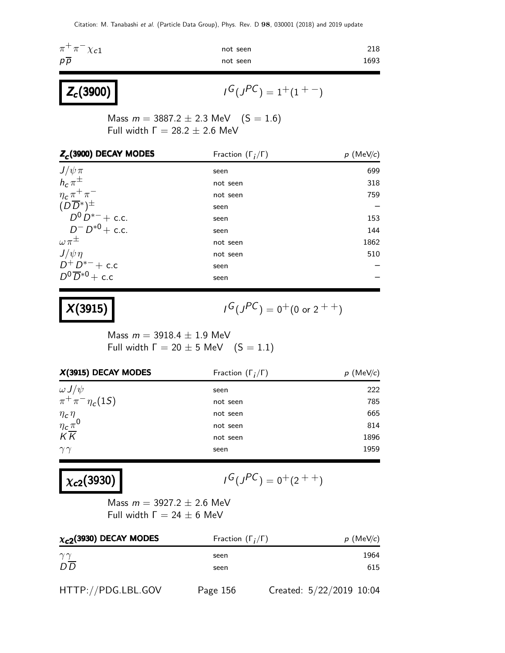| $\pi^+\pi^-\chi_{c1}$ | not seen | 218  |
|-----------------------|----------|------|
| $p\overline{p}$       | not seen | 1693 |

$$
I^G(J^{PC})=1^+(1^{+-})
$$

Mass  $m = 3887.2 \pm 2.3$  MeV  $(S = 1.6)$ Full width  $Γ = 28.2 ± 2.6$  MeV

| $Z_c$ (3900) DECAY MODES                               | Fraction $(\Gamma_i/\Gamma)$ | $p$ (MeV/c) |
|--------------------------------------------------------|------------------------------|-------------|
| $J/\psi \pi$<br>$h_c \pi^{\pm}$                        | seen                         | 699         |
|                                                        | not seen                     | 318         |
| $\frac{\eta_c \pi^+ \pi^-}{(D\overline{D}{}^*)^{\pm}}$ | not seen                     | 759         |
|                                                        | seen                         |             |
| $D^0 D^{*-}$ + c.c.                                    | seen                         | 153         |
| $D^{-}D^{*0}$ + c.c.                                   | seen                         | 144         |
| $\omega \pi^{\pm}$                                     | not seen                     | 1862        |
| $J/\psi \eta$                                          | not seen                     | 510         |
| $D^+D^{*-} + c.c$                                      | seen                         |             |
| $D^0\overline{D}^{*0}$ + c.c                           | seen                         |             |

## $X(3915)$  |  $\qquad \qquad$

 $Z_c(3900)$ 

$$
I^G(J^{PC}) = 0^+(0 \text{ or } 2^{++})
$$

Mass  $m = 3918.4 \pm 1.9$  MeV Full width  $\Gamma = 20 \pm 5$  MeV  $(S = 1.1)$ 

| $X(3915)$ DECAY MODES                  | Fraction $(\Gamma_i/\Gamma)$ | $p$ (MeV/c) |
|----------------------------------------|------------------------------|-------------|
| $\omega J/\psi$                        | seen                         | 222         |
| $\pi^{+}\pi^{-}\eta_{c}(1S)$           | not seen                     | 785         |
|                                        | not seen                     | 665         |
| $\frac{\eta_c\eta}{\eta_c\pi^0}$<br>KK | not seen                     | 814         |
|                                        | not seen                     | 1896        |
| $\gamma\gamma$                         | seen                         | 1959        |

## $\chi_{c2}(3930)$

$$
I^G(J^{PC}) = 0^+(2^{++})
$$

Mass  $m = 3927.2 \pm 2.6$  MeV Full width  $Γ = 24 ± 6$  MeV

| $\chi_{c2}$ (3930) DECAY MODES | Fraction $(\Gamma_i/\Gamma)$ | $p$ (MeV/c)              |
|--------------------------------|------------------------------|--------------------------|
| $\gamma\gamma$                 | seen                         | 1964                     |
| $D\overline{D}$                | seen                         | 615                      |
| HTTP://PDG.LBL.GOV             | Page 156                     | Created: 5/22/2019 10:04 |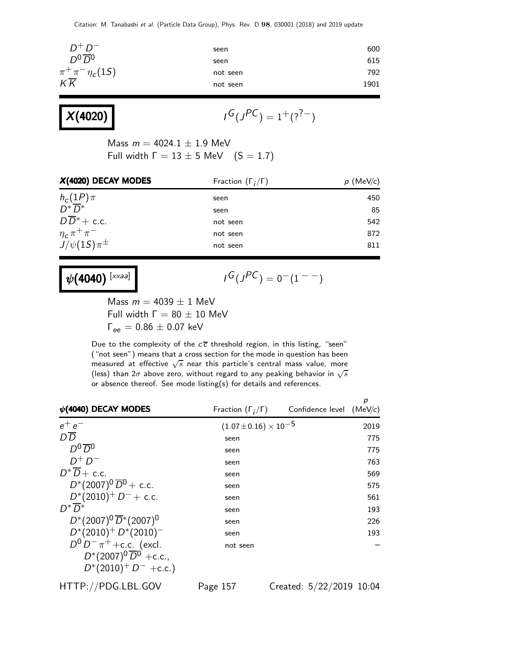| $D^+D^-$                                                         | seen     | 600  |
|------------------------------------------------------------------|----------|------|
| $D^0\overline{D}^0$                                              | seen     | 615  |
| $\frac{\pi^+\pi^-\eta_c(1S)}{\mathcal{K}\overline{\mathcal{K}}}$ | not seen | 792  |
|                                                                  | not seen | 1901 |
|                                                                  |          |      |

| X(4020) |  |
|---------|--|
|---------|--|

$$
I^G(J^{PC})=1^+(?^{?-})
$$

Mass  $m = 4024.1 \pm 1.9$  MeV Full width  $\Gamma = 13 \pm 5$  MeV  $(S = 1.7)$ 

| X(4020) DECAY MODES                             | Fraction $(\Gamma_i/\Gamma)$ | $p \text{ (MeV/c)}$ |
|-------------------------------------------------|------------------------------|---------------------|
| $h_c(1P)\pi$<br>$D^*\overline{D}^*$             | seen                         | 450                 |
|                                                 | seen                         | 85                  |
| $D\overline{D}^*$ + c.c.                        | not seen                     | 542                 |
| $\frac{\eta_c \pi^+ \pi^-}{J/\psi(1S) \pi^\pm}$ | not seen                     | 872                 |
|                                                 | not seen                     | 811                 |

 $\psi(4040)^{\rm [xxaa]}$ 

 $I^G(J^{PC}) = 0^-(1^{--})$ 

Mass  $m = 4039 \pm 1$  MeV Full width  $Γ = 80 ± 10$  MeV  $Γ_{ee} = 0.86 ± 0.07$  keV

Due to the complexity of the  $c\overline{c}$  threshold region, in this listing, "seen" ("not seen") means that a cross section for the mode in question has been measured at effective  $\sqrt{s}$  near this particle's central mass value, more (less) than  $2\sigma$  above zero, without regard to any peaking behavior in  $\sqrt{s}$ or absence thereof. See mode listing(s) for details and references.

| $\psi$ (4040) DECAY MODES            | Fraction $(\Gamma_i/\Gamma)$     | Confidence level $(MeV/c)$ | р    |
|--------------------------------------|----------------------------------|----------------------------|------|
| $e^+e^-$                             | $(1.07 \pm 0.16) \times 10^{-5}$ |                            | 2019 |
| $D\overline{D}$                      | seen                             |                            | 775  |
| $D_0$                                | seen                             |                            | 775  |
| $D^+D^-$                             | seen                             |                            | 763  |
| $D^*\overline{D}$ + c.c.             | seen                             |                            | 569  |
| $D^*(2007)^0 \overline{D}^0$ + c.c.  | seen                             |                            | 575  |
| $D^*(2010)^+$ $D^-$ + c.c.           | seen                             |                            | 561  |
| $D^* D^*$                            | seen                             |                            | 193  |
| $D^*(2007)^0 \overline{D}^*(2007)^0$ | seen                             |                            | 226  |
| $D^*(2010)^+ D^*(2010)^-$            | seen                             |                            | 193  |
| $D^0 D^- \pi^+$ + c.c. (excl.        | not seen                         |                            |      |
| $D^*(2007)^0 \overline{D}^0$ +c.c.,  |                                  |                            |      |
| $D^*(2010)^+$ D <sup>-</sup> +c.c.)  |                                  |                            |      |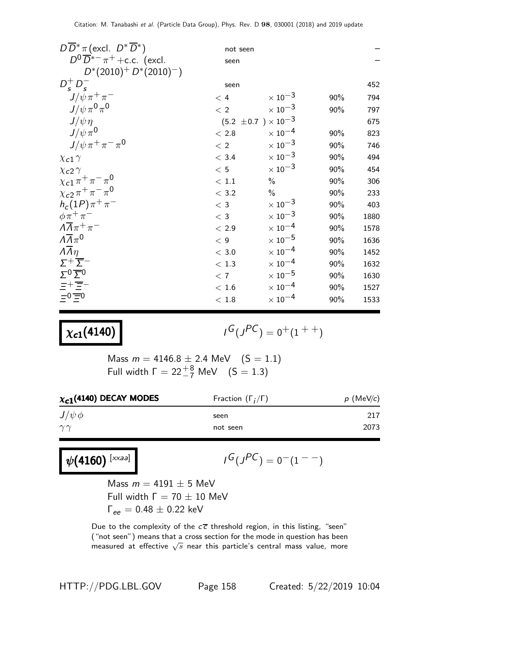| $D\overline{D}^*\pi$ (excl. $D^*\overline{D}^*$ ) | not seen                       |                           |     |      |
|---------------------------------------------------|--------------------------------|---------------------------|-----|------|
| $D^0\overline{D}^{*-}\pi^+$ +c.c. (excl.          | seen                           |                           |     |      |
| $D^*(2010)^+ D^*(2010)^-)$                        |                                |                           |     |      |
| $D_s^+ D_s^-$                                     | seen                           |                           |     | 452  |
| $J/\psi \pi^+ \pi^-$                              | < 4                            | $\times$ 10 <sup>-3</sup> | 90% | 794  |
| $J/\psi \pi^0 \pi^0$                              | < 2                            | $\times\,10^{-3}$         | 90% | 797  |
| $J/\psi \eta$                                     | $(5.2 \pm 0.7) \times 10^{-3}$ |                           |     | 675  |
| $J/\psi \pi^0$                                    | < 2.8                          | $\times$ 10 <sup>-4</sup> | 90% | 823  |
| $J/\psi \pi^+ \pi^- \pi^0$                        | $<\,2$                         | $\times\,10^{-3}$         | 90% | 746  |
| $\chi$ <sub>c</sub> 1 $\gamma$                    | < 3.4                          | $\times\,10^{-3}$         | 90% | 494  |
| $\chi$ <sub>c</sub> 2 $\gamma$                    | < 5                            | $\times\,10^{-3}$         | 90% | 454  |
| $\chi_{c1} \pi^+ \pi^- \pi^0$                     | $<\,1.1$                       | $\%$                      | 90% | 306  |
| $\chi_{c2} \pi^+ \pi^- \pi^0$                     | < 3.2                          | $\%$                      | 90% | 233  |
| $h_c(1P)\pi^+\pi^-$                               | $<$ 3                          | $\times$ 10 <sup>-3</sup> | 90% | 403  |
| $\phi \pi^+ \pi^-$                                | $<$ 3                          | $\times$ 10 $^{-3}$       | 90% | 1880 |
| $\Lambda \overline{\Lambda} \pi^+ \pi^-$          | < 2.9                          | $\times$ 10 <sup>-4</sup> | 90% | 1578 |
| $\Lambda \overline{\Lambda} \pi^0$                | < 9                            | $\times$ $10^{-5}$        | 90% | 1636 |
| $\Lambda \overline{\Lambda} \eta$                 | $<\,3.0$                       | $\times$ 10 $^{-4}$       | 90% | 1452 |
| $\Sigma^+\overline{\Sigma}^-$                     | < 1.3                          | $\times$ $10^{-4}$        | 90% | 1632 |
| $\Sigma^0 \overline{\Sigma}{}^0$                  | < 7                            | $\times$ $10^{-5}$        | 90% | 1630 |
| 보+로-                                              | $<\,1.6$                       | $\times$ $10^{-4}$        | 90% | 1527 |
| $=0$ $\equiv$ 0                                   | < 1.8                          | $\times$ 10 $^{-4}$       | 90% | 1533 |

# $\chi_{c1}(4140)$

$$
I^G(J^{PC}) = 0^+(1^{++})
$$

Mass  $m = 4146.8 \pm 2.4$  MeV  $(S = 1.1)$ Full width  $\Gamma = 22^{+8}_{-7}$  MeV  $(S = 1.3)$ 

| $\chi_{c1}$ (4140) DECAY MODES | Fraction $(\Gamma_i/\Gamma)$ | $p$ (MeV/c) |  |
|--------------------------------|------------------------------|-------------|--|
| $J/\psi \phi$                  | seen                         | 217         |  |
| $\gamma\gamma$                 | not seen                     | 2073        |  |

 $\psi(4160)^{\rm [xxaa]}$ 

$$
I^G(J^{PC})=0^-(1^{--})
$$

Mass  $m = 4191 \pm 5$  MeV Full width  $Γ = 70 ± 10$  MeV  $Γ_{ee} = 0.48 ± 0.22$  keV

Due to the complexity of the  $c\overline{c}$  threshold region, in this listing, "seen" ("not seen") means that a cross section for the mode in question has been measured at effective  $\sqrt{s}$  near this particle's central mass value, more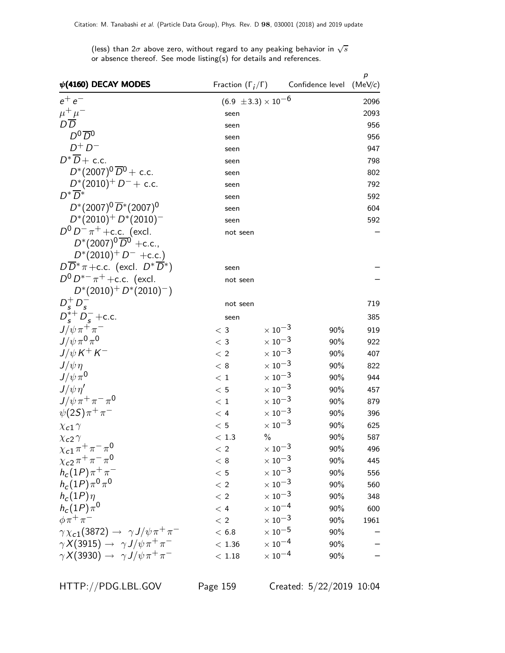(less) than 2 $\sigma$  above zero, without regard to any peaking behavior in  $\sqrt{s}$ or absence thereof. See mode listing(s) for details and references.

| $\psi$ (4160) DECAY MODES                                          |           | Fraction $(\Gamma_i/\Gamma)$   | Confidence level | $\boldsymbol{p}$<br>(MeV/c) |
|--------------------------------------------------------------------|-----------|--------------------------------|------------------|-----------------------------|
| $e^+e^-$                                                           |           | $(6.9 \pm 3.3) \times 10^{-6}$ |                  | 2096                        |
| $\frac{\mu^+ \mu^-}{D\, \overline{D}}$                             | seen      |                                |                  | 2093                        |
|                                                                    | seen      |                                |                  | 956                         |
| $D^0\overline{D}{}^0$                                              | seen      |                                |                  | 956                         |
| $D^+D^-$                                                           | seen      |                                |                  | 947                         |
| $D^*\overline{D}$ + c.c.                                           | seen      |                                |                  | 798                         |
| $D^*(2007)^0 \overline{D}^0$ + c.c.                                | seen      |                                |                  | 802                         |
| $D^*(2010)^+$ $D^-$ + c.c.                                         | seen      |                                |                  | 792                         |
| $D^*\overline{D}^*$                                                | seen      |                                |                  | 592                         |
| $D^*(2007)^0 \overline{D}^*(2007)^0$                               | seen      |                                |                  | 604                         |
| $D^*(2010)^+ D^*(2010)^-$                                          | seen      |                                |                  | 592                         |
| $D^0 D^- \pi^+$ + c.c. (excl.                                      | not seen  |                                |                  |                             |
| $D^*(2007)^0 \overline{D}{}^0$ +c.c.,                              |           |                                |                  |                             |
| $D^*(2010)^+ D^-$ +c.c.)                                           |           |                                |                  |                             |
| $D\overline{D}^*\pi + c.c.$ (excl. $D^*\overline{D}^*)$            | seen      |                                |                  |                             |
| $D^0 D^{*-} \pi^+$ + c.c. (excl.                                   | not seen  |                                |                  |                             |
| $D^*(2010)^+ D^*(2010)^-)$                                         |           |                                |                  |                             |
| $D_s^+ D_s^-$                                                      | not seen  |                                |                  | 719                         |
| $D_s^{*+} D_s^-$ +c.c.                                             | seen      |                                |                  | 385                         |
| $J/\psi\pi^+\pi^-$                                                 | $<$ 3     | $\times$ 10 <sup>-3</sup>      | 90%              | 919                         |
| $J/\psi \pi^0 \pi^0$                                               | $<$ 3     | $\times$ 10 $^{-3}$            | 90%              | 922                         |
| $J/\psi K^+ K^-$                                                   | < 2       | $\times$ 10 $^{-3}$            | 90%              | 407                         |
| $J/\psi \eta$                                                      | < 8       | $\times$ $10^{-3}$             | 90%              | 822                         |
| $J/\psi \pi^0$                                                     | < 1       | $\times\,10^{-3}$              | 90%              | 944                         |
| $J/\psi \eta'$                                                     | < 5       | $\times$ 10 $^{-3}$            | 90%              | 457                         |
| $J/\psi \pi^+ \pi^- \pi^0$                                         | < 1       | $\times$ 10 <sup>-3</sup>      | 90%              | 879                         |
| $\psi(2S)\pi^{+}\pi^{-}$                                           | < 4       | $\times$ 10 $^{-3}$            | 90%              | 396                         |
| $\chi$ <sub>c</sub> 1 $\gamma$                                     | < 5       | $\times$ 10 $^{-3}$            | 90%              | 625                         |
| $\chi$ <sub>c</sub> 2 $\gamma$                                     | < 1.3     | $\frac{0}{0}$                  | 90%              | 587                         |
| $\chi_{c1}\pi^+\pi^-\pi^0$                                         | < 2       | $\times\,10^{-3}$              | 90%              | 496                         |
| $\chi_{c2} \pi^+ \pi^- \pi^0$                                      | < 8       | $\times\,10^{-3}$              | 90%              | 445                         |
| $h_c(1P)\pi^+\pi^-$                                                | < 5       | $\times\,10^{-3}$              | 90%              | 556                         |
| $h_c(1P)\pi^0\pi^0$                                                | < 2       | $\times$ 10 <sup>-3</sup>      | 90%              | 560                         |
| $h_c(1P)\eta$                                                      | < 2       | $\times$ 10 <sup>-3</sup>      | 90%              | 348                         |
| $h_c(1P)\pi^0$                                                     | < 4       | $\times$ 10 <sup>-4</sup>      | 90%              | 600                         |
| $\phi \pi^+ \pi^-$                                                 | < 2       | $\times$ 10 <sup>-3</sup>      | 90%              | 1961                        |
| $\gamma \chi_{c1}(3872) \rightarrow \gamma J/\psi \pi^{+} \pi^{-}$ | < 6.8     | $\times$ 10 $^{-5}$            | 90%              |                             |
| $\gamma X(3915) \rightarrow \gamma J/\psi \pi^+ \pi^-$             | < 1.36    | $\times$ 10 <sup>-4</sup>      | 90%              |                             |
| $\gamma X(3930) \rightarrow \gamma J/\psi \pi^+ \pi^-$             | $<\,1.18$ | $\times$ 10 <sup>-4</sup>      | 90%              |                             |

HTTP://PDG.LBL.GOV Page 159 Created: 5/22/2019 10:04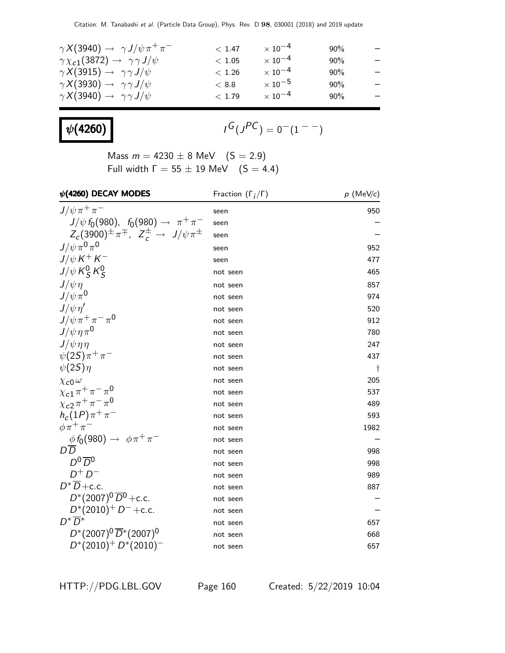| $\gamma X(3940) \rightarrow \gamma J/\psi \pi^+ \pi^-$    | < 1.47 | $\times$ 10 $^{-4}$ | $90\%$ | —                        |
|-----------------------------------------------------------|--------|---------------------|--------|--------------------------|
| $\gamma \chi_{c1}(3872) \rightarrow \gamma \gamma J/\psi$ | < 1.05 | $\times$ 10 $^{-4}$ | $90\%$ | $\qquad \qquad -$        |
| $\gamma X(3915) \rightarrow \gamma \gamma J/\psi$         | < 1.26 | $\times$ 10 $^{-4}$ | $90\%$ | $\qquad \qquad -$        |
| $\gamma X(3930) \rightarrow \gamma \gamma J/\psi$         | < 8.8  | $\times$ 10 $^{-5}$ | 90%    | $\qquad \qquad -$        |
| $\gamma X(3940) \rightarrow \gamma \gamma J/\psi$         | < 1.79 | $\times$ 10 $^{-4}$ | $90\%$ | $\overline{\phantom{m}}$ |
|                                                           |        |                     |        |                          |

# $\psi(4260)$

$$
I^{\textstyle G}(J^{\textstyle PC})=0^-(1^{--})
$$

Mass  $m = 4230 \pm 8$  MeV  $(S = 2.9)$ Full width  $\Gamma = 55 \pm 19$  MeV  $(S = 4.4)$ 

| $\psi$ (4260) DECAY MODES                                      | Fraction $(\Gamma_i/\Gamma)$ | $p$ (MeV/c) |
|----------------------------------------------------------------|------------------------------|-------------|
| $J/\psi \pi^+ \pi^-$                                           | seen                         | 950         |
| $J/\psi f_0(980)$ , $f_0(980) \to \pi^+ \pi^-$                 | seen                         |             |
| $Z_c(3900)^{\pm} \pi^{\mp}$ , $Z_c^{\pm} \to J/\psi \pi^{\pm}$ | seen                         |             |
| $J/\psi \pi^0 \pi^0$                                           | seen                         | 952         |
| $J/\psi K^+ K^-$                                               | seen                         | 477         |
| $J/\psi K_S^0 K_S^0$                                           | not seen                     | 465         |
| $J/\psi \eta$                                                  | not seen                     | 857         |
| $J/\psi \pi^0$                                                 | not seen                     | 974         |
| $J/\psi \eta'$                                                 | not seen                     | 520         |
| $J/\psi \pi^+ \pi^- \pi^0$                                     | not seen                     | 912         |
| $J/\psi \eta \pi^0$                                            | not seen                     | 780         |
| $J/\psi \eta \eta$                                             | not seen                     | 247         |
| $\psi(2S)\pi^{+}\pi^{-}$                                       | not seen                     | 437         |
| $\psi(2S)\eta$                                                 | not seen                     | t           |
| $\chi_{c0} \omega$                                             | not seen                     | 205         |
| $\chi_{c1} \pi^+ \pi^- \pi^0$                                  | not seen                     | 537         |
| $\chi_{c2} \pi^+ \pi^- \pi^0$                                  | not seen                     | 489         |
| $h_c(1P)\pi^+\pi^-$                                            | not seen                     | 593         |
| $\phi \pi^+ \pi^-$                                             | not seen                     | 1982        |
| $\frac{\phi f_0(980)}{D D} \rightarrow \phi \pi^+ \pi^-$       | not seen                     |             |
|                                                                | not seen                     | 998         |
| $D^0\overline{D}{}^0$                                          | not seen                     | 998         |
| $D^+D^-$                                                       | not seen                     | 989         |
| $D^* \overline{D}$ + c.c.                                      | not seen                     | 887         |
| $D^*(2007)^0 \overline{D}{}^0$ + c.c.                          | not seen                     |             |
| $D^*(2010)^+$ D <sup>-</sup> +c.c.                             | not seen                     |             |
| $D^*\overline{D}{}^*$                                          | not seen                     | 657         |
| $D^*(2007)^0 \overline{D}^*(2007)^0$                           | not seen                     | 668         |
| $D^*(2010)^+ D^*(2010)^-$                                      | not seen                     | 657         |

HTTP://PDG.LBL.GOV Page 160 Created: 5/22/2019 10:04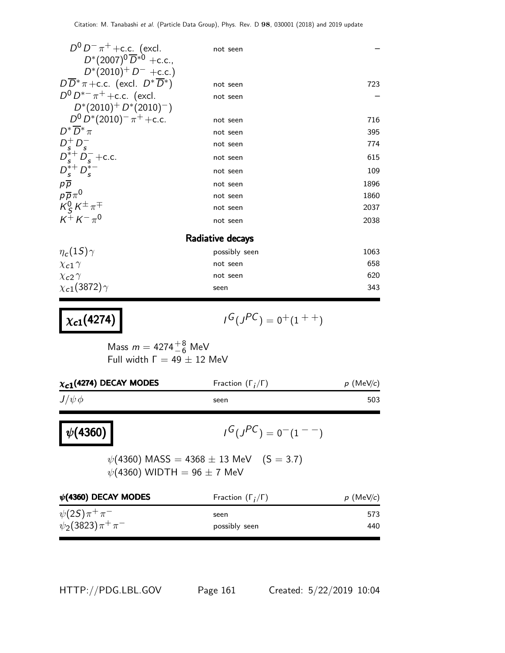| $D^0 D^- \pi^+$ + c.c. (excl.                                                                   | not seen      |      |  |  |  |
|-------------------------------------------------------------------------------------------------|---------------|------|--|--|--|
| $D^*(2007)^0 \overline{D}^{*0}$ +c.c.,                                                          |               |      |  |  |  |
| $D^*(2010)^+ D^-$ +c.c.)                                                                        |               |      |  |  |  |
| $D\overline{D}^*\pi$ + c.c. (excl. $D^*\overline{D}^*)$                                         | not seen      | 723  |  |  |  |
| $D^0 D^{*-} \pi^+$ + c.c. (excl.                                                                | not seen      |      |  |  |  |
| $D^*(2010)^+ D^*(2010)^-)$                                                                      |               |      |  |  |  |
| $D^0 D^* (2010)^- \pi^+ + c.c.$                                                                 | not seen      | 716  |  |  |  |
| $D^*\overline{D}^*\pi$                                                                          | not seen      | 395  |  |  |  |
| $D_s^+ D_s^-$                                                                                   | not seen      | 774  |  |  |  |
| $D_s^{*+}$ $D_s^-$ + c.c.                                                                       | not seen      | 615  |  |  |  |
| $D_{s}^{*+}D_{s}^{*-}$                                                                          | not seen      | 109  |  |  |  |
| $\begin{array}{l} p\overline{p} \\ p\overline{p}\pi^0 \\ K_S^0 K^{\pm}\pi^{\mp} \\ \end{array}$ | not seen      | 1896 |  |  |  |
|                                                                                                 | not seen      | 1860 |  |  |  |
|                                                                                                 | not seen      | 2037 |  |  |  |
| $K^{\perp} K^{-} \pi^{0}$                                                                       | not seen      | 2038 |  |  |  |
| Radiative decays                                                                                |               |      |  |  |  |
| $\eta_c(1S)\gamma$                                                                              | possibly seen | 1063 |  |  |  |
| $\chi$ <sub>c</sub> 1 $\gamma$                                                                  | not seen      | 658  |  |  |  |
| $\chi$ <sub>c</sub> 2 $\gamma$                                                                  | not seen      | 620  |  |  |  |
| $\chi_{c1}(3872)\gamma$                                                                         | seen          | 343  |  |  |  |

# $\chi_{c1}(4274)$

 $G(J^{PC}) = 0^+(1^{++})$ 

Mass  $m = 4274^{+8}_{-6}$  MeV Full width  $\Gamma = 49 \pm 12$  MeV

| $\chi_{c1}$ (4274) DECAY MODES      | Fraction $(\Gamma_i/\Gamma)$                    | $p$ (MeV/c) |
|-------------------------------------|-------------------------------------------------|-------------|
| $J/\psi \phi$                       | seen                                            | 503         |
| $ \psi(4360) $                      | $I^G(J^{PC}) = 0^-(1^{--})$                     |             |
| $\psi(4360)$ WIDTH = 96 $\pm$ 7 MeV | $\psi(4360)$ MASS = 4368 $\pm$ 13 MeV (S = 3.7) |             |
| $\psi$ (4360) DECAY MODES           | Fraction $(\Gamma_i/\Gamma)$                    | $p$ (MeV/c) |
| $\psi(2S)\pi^{+}\pi^{-}$            | seen                                            | 573         |
| $\psi_2(3823)\pi^+\pi^-$            | possibly seen                                   | 440         |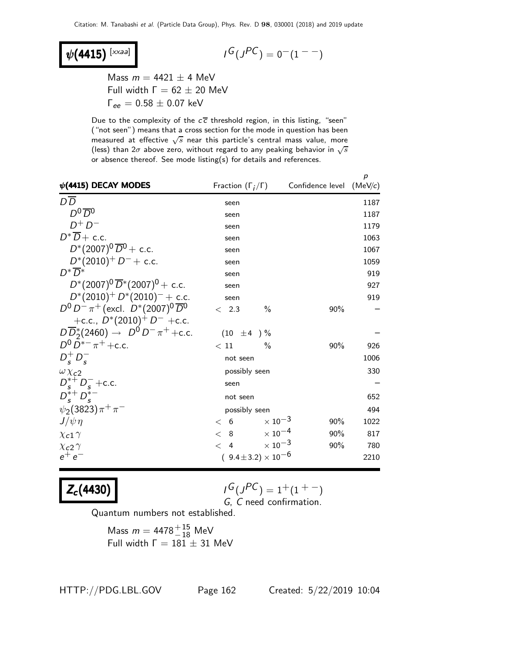$\psi$ (4415) [xxaa]

$$
\iota^G(\jmath^{PC})=0^-(1^{--})
$$

Mass  $m = 4421 \pm 4$  MeV Full width  $Γ = 62 ± 20$  MeV  $Γ_{ee} = 0.58 ± 0.07$  keV

Due to the complexity of the  $c\overline{c}$  threshold region, in this listing, "seen" ("not seen") means that a cross section for the mode in question has been measured at effective  $\sqrt{s}$  near this particle's central mass value, more (less) than  $2\sigma$  above zero, without regard to any peaking behavior in  $\sqrt{s}$ or absence thereof. See mode listing(s) for details and references.

| $\psi$ (4415) DECAY MODES                             | Fraction $(\Gamma_i/\Gamma)$             | Confidence level | $\boldsymbol{p}$<br>(MeV/c) |
|-------------------------------------------------------|------------------------------------------|------------------|-----------------------------|
| $D\overline{D}$                                       | seen                                     |                  | 1187                        |
| $D^0\overline{D}^0$                                   | seen                                     |                  | 1187                        |
| $D^+D^-$                                              | seen                                     |                  | 1179                        |
| $D^*\overline{D}$ + c.c.                              | seen                                     |                  | 1063                        |
| $D^*(2007)^0 \overline{D}^0$ + c.c.                   | seen                                     |                  | 1067                        |
| $D^*(2010)^+$ $D^-$ + c.c.                            | seen                                     |                  | 1059                        |
| $D^*\overline{D}{}^*$                                 | seen                                     |                  | 919                         |
| $D^*(2007)^0 \overline{D}^*(2007)^0$ + c.c.           | seen                                     |                  | 927                         |
| $D^*(2010)^+ D^*(2010)^- +$ c.c.                      | seen                                     |                  | 919                         |
| $D^0 D^- \pi^+$ (excl. $D^*(2007)^0 \overline{D}{}^0$ | $\%$<br>2.3<br>$\lt$                     | 90%              |                             |
| +c.c., $D^*(2010)^+$ D <sup>-</sup> +c.c.             |                                          |                  |                             |
| $D\overline{D}_2^*(2460) \to D^0 D^- \pi^+ + c.c.$    | $(10 \pm 4) \%$                          |                  |                             |
| $D^0 D^{*-} \pi^+ + c.c.$                             | $\frac{0}{0}$<br>< 11                    | 90%              | 926                         |
| $D_{\rm s}^+ D_{\rm s}^-$                             | not seen                                 |                  | 1006                        |
| $\omega \chi_{c2}$                                    | possibly seen                            |                  | 330                         |
| $D_s^{*+} D_s^-$ +c.c.                                | seen                                     |                  |                             |
| $D_{s}^{*+}D_{s}^{*-}$                                | not seen                                 |                  | 652                         |
| $\psi_2(3823)\pi^+\pi^-$                              | possibly seen                            |                  | 494                         |
| $J/\psi \eta$                                         | $\times 10^{-3}$<br>< 6                  | 90%              | 1022                        |
| $\chi$ <sub>c</sub> 1 $\gamma$                        | $\times$ 10 <sup>-4</sup><br>< 8         | 90%              | 817                         |
| $\chi$ <sub>c</sub> 2 $\gamma$                        | $\times$ 10 <sup>-3</sup><br>$\langle 4$ | 90%              | 780                         |
| −م +م                                                 | $(9.4 \pm 3.2) \times 10^{-6}$           |                  | 2210                        |

#### $Z_c(4430)$  |

$$
I^G(J^{PC}) = 1^+(1^{+-})
$$

G, C need confirmation.

Quantum numbers not established.

Mass 
$$
m = 4478^{+15}_{-18}
$$
 MeV  
Full width  $\Gamma = 181 \pm 31$  MeV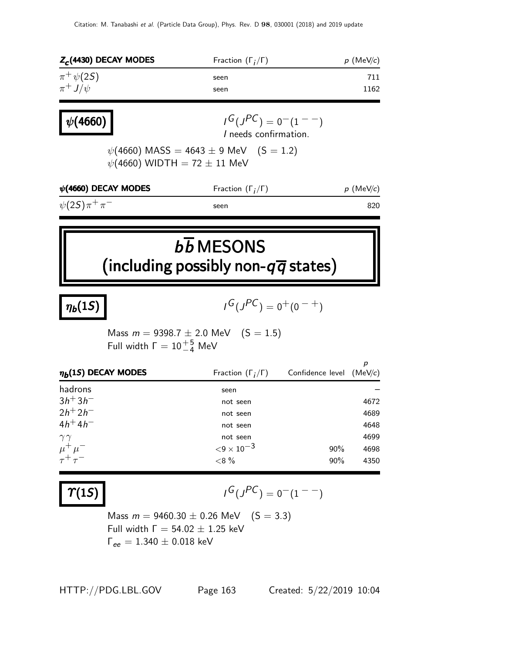| $Z_c$ (4430) DECAY MODES               | Fraction $(\Gamma_i/\Gamma)$                                                           |                  | $p$ (MeV/c)  |
|----------------------------------------|----------------------------------------------------------------------------------------|------------------|--------------|
| $\pi^+ \psi(2S)$                       | seen                                                                                   |                  | 711          |
| $\pi^+ J/\psi$                         | seen                                                                                   |                  | 1162         |
| $\psi(4660)$                           | $I^G(J^{PC})=0^-(1^{--})$<br>I needs confirmation.                                     |                  |              |
|                                        | $\psi(4660)$ MASS = 4643 $\pm$ 9 MeV (S = 1.2)<br>$\psi(4660)$ WIDTH = 72 $\pm$ 11 MeV |                  |              |
| $\psi$ (4660) DECAY MODES              | Fraction $(\Gamma_i/\Gamma)$                                                           |                  | $p$ (MeV/c)  |
| $\psi(2S)\pi^{+}\pi^{-}$               | seen                                                                                   |                  | 820          |
|                                        |                                                                                        |                  |              |
|                                        | $b\overline{b}$ MESONS<br>(including possibly non- $q\overline{q}$ states)             |                  |              |
| $\eta_b(1S)$                           | $I^G(J^{PC}) = 0^+(0^{-+})$                                                            |                  |              |
| Full width $\Gamma = 10^{+5}_{-4}$ MeV | Mass $m = 9398.7 \pm 2.0$ MeV $(S = 1.5)$                                              |                  |              |
| $\eta_b(1S)$ DECAY MODES               | Fraction $(\Gamma_i/\Gamma)$                                                           | Confidence level | р<br>(MeV/c) |
| hadrons                                | seen                                                                                   |                  |              |
| $3h + 3h$ <sup>-</sup>                 | not seen                                                                               |                  |              |
| $2h^{+}2h^{-}$<br>$4h^{+}4h^{-}$       | not seen                                                                               |                  | 4672         |
|                                        | not seen                                                                               |                  | 4689         |
|                                        |                                                                                        |                  | 4648         |
| $\gamma\gamma$                         | not seen                                                                               |                  | 4699         |
| $\mu^+ \mu^-$<br>$\tau^+\tau^-$        | ${<}9\times10^{-3}$<br>$< 8\%$                                                         | 90%<br>90%       | 4698<br>4350 |

 $\gamma(1S)$ 

$$
I^G(J^{PC}) = 0^-(1^{--})
$$

Mass  $m = 9460.30 \pm 0.26$  MeV  $(S = 3.3)$ Full width  $\Gamma = 54.02 \pm 1.25$  keV  $\Gamma_{ee} = 1.340 \pm 0.018 \text{ keV}$ 

HTTP://PDG.LBL.GOV Page 163 Created: 5/22/2019 10:04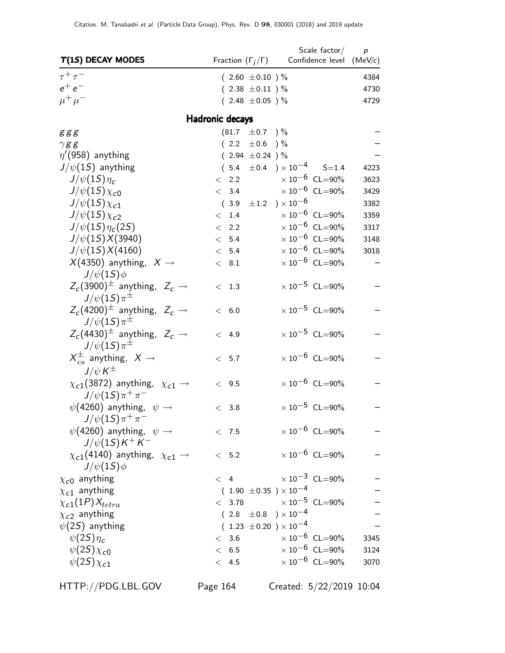|                                                                               |                                  | Scale $factor/$                                             | $\boldsymbol{p}$ |
|-------------------------------------------------------------------------------|----------------------------------|-------------------------------------------------------------|------------------|
| $T(1S)$ DECAY MODES                                                           | Fraction $(\Gamma_i/\Gamma)$     | Confidence level (MeV/c)                                    |                  |
| $\tau^+\tau^-$                                                                | $(2.60 \pm 0.10)$ %              |                                                             | 4384             |
| $e^+e^-$                                                                      | $(2.38 \pm 0.11)$ %              |                                                             | 4730             |
| $\mu^+ \mu^-$                                                                 | $(2.48 \pm 0.05)$ %              |                                                             | 4729             |
|                                                                               | <b>Hadronic decays</b>           |                                                             |                  |
| g g g                                                                         | $(81.7 \pm 0.7)$                 | $\,$ ) $\%$                                                 |                  |
| $\gamma$ gg                                                                   | $(2.2 \pm 0.6)$                  | $) \%$                                                      |                  |
| $\eta$ '(958) anything                                                        | $(2.94 \pm 0.24)$ %              |                                                             |                  |
| $J/\psi(1S)$ anything                                                         |                                  | $(5.4 \pm 0.4) \times 10^{-4}$ S=1.4                        | 4223             |
| $J/\psi(1S)\eta_c$                                                            | < 2.2                            | $\times 10^{-6}$ CL=90%                                     | 3623             |
| $J/\psi(15)\chi_{c0}$                                                         | < 3.4                            | $\times$ $10^{-6}\,$ CL=90%                                 | 3429             |
| $J/\psi(15)\chi_{c1}$                                                         | $(3.9 \pm 1.2) \times 10^{-6}$   |                                                             | 3382             |
| $J/\psi(15)\chi_{c2}$                                                         | < 1.4                            | $\times 10^{-6}$ CL=90%                                     | 3359             |
| $J/\psi(1S)\eta_c(2S)$                                                        | < 2.2                            | $\times$ 10 <sup>-6</sup> CL=90%                            | 3317             |
| $J/\psi(15)X(3940)$                                                           | < 5.4                            | $\times$ 10 <sup>-6</sup> CL=90%                            | 3148             |
| $J/\psi(1S)X(4160)$                                                           | < 5.4                            | $\times$ 10 <sup>-6</sup> CL=90%                            | 3018             |
| $X(4350)$ anything, $X \rightarrow$<br>$J/\psi(1S)\phi$                       | < 8.1                            | $\times$ 10 $^{-6}$ CL=90%                                  |                  |
| $Z_c(3900)^{\pm}$ anything, $Z_c \rightarrow$<br>$J/\psi(1S)\pi^{\pm}$        | < 1.3                            | $\times 10^{-5}$ CL=90%                                     |                  |
| $Z_c(4200)^{\pm}$ anything, $Z_c \rightarrow$<br>$J/\psi(1S)\pi^{\pm}$        | < 6.0                            | $\times$ 10 <sup>-5</sup> CL=90%                            |                  |
| $Z_c(4430)^{\pm}$ anything, $Z_c \rightarrow$<br>$J/\psi(1S)\pi^{\pm}$        | 4.9<br>$\lt$                     | $\times$ 10 <sup>-5</sup> CL=90%                            |                  |
| $X_{cs}^{\pm}$ anything, $X \rightarrow$                                      | < 5.7                            | $\times 10^{-6}$ CL=90%                                     |                  |
| $J/\psi K^{\pm}$<br>$\chi_{c1}(3872)$ anything, $\chi_{c1} \rightarrow$       | < 9.5                            | $\times 10^{-6}$ CL=90%                                     |                  |
| $J/\psi(1S)\pi^{+}\pi^{-}$<br>$\psi(4260)$ anything, $\psi \rightarrow$       | < 3.8                            | $\times 10^{-5}$ CL=90%                                     |                  |
| $J/\psi(1S)\pi^+\pi^-$<br>$\psi(4260)$ anything, $\psi \rightarrow$           | < 7.5                            | $\times 10^{-6}$ CL=90%                                     |                  |
| $J/\psi(15)K^{+}K^{-}$<br>$\chi_{c1}(4140)$ anything, $\chi_{c1} \rightarrow$ | < 5.2                            | $\times$ 10 <sup>-6</sup> CL=90%                            |                  |
| $J/\psi(1S)\phi$                                                              |                                  |                                                             |                  |
| $\chi_{c0}$ anything                                                          | < 4                              | $\times 10^{-3}$ CL=90%                                     |                  |
| $\chi_{c1}$ anything                                                          | $(1.90 \pm 0.35) \times 10^{-4}$ |                                                             |                  |
| $\chi_{c1}(1P)X_{tetra}$                                                      | < 3.78                           | $\times$ $10^{-5}\,$ CL=90%                                 |                  |
| $\chi_{c2}$ anything                                                          | $(2.8 \pm 0.8) \times 10^{-4}$   |                                                             |                  |
| $\psi(2S)$ anything                                                           | $(1.23 \pm 0.20) \times 10^{-4}$ |                                                             |                  |
| $\psi(2S)\eta_c$                                                              | < 3.6                            | $\times 10^{-6}$ CL=90%                                     | 3345             |
| $\psi(2S)\chi_{c0}$                                                           | < 6.5                            | $\times 10^{-6}$ CL=90%<br>$\times$ 10 <sup>-6</sup> CL=90% | 3124             |
| $\psi(2S)\chi_{c1}$                                                           | < 4.5                            |                                                             | 3070             |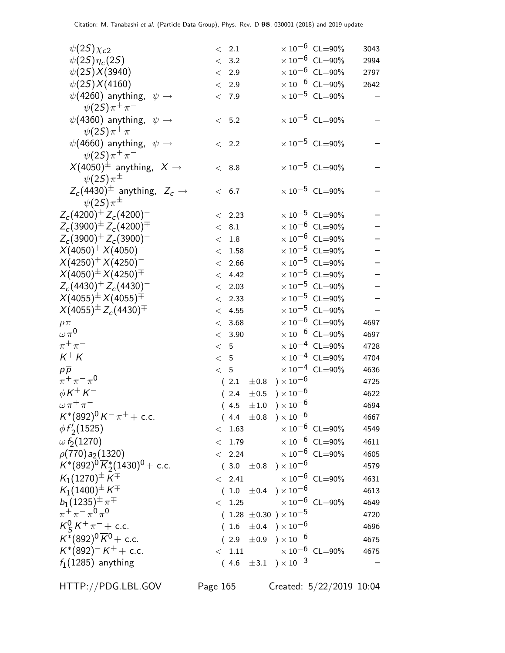| $\psi(2S)\chi_{c2}$                                   |       | < 2.1  |                                  |                       | $\times$ 10 <sup>-6</sup> CL=90%          | 3043 |
|-------------------------------------------------------|-------|--------|----------------------------------|-----------------------|-------------------------------------------|------|
| $\psi(2S)\eta_c(2S)$                                  |       | < 3.2  |                                  |                       | $\times$ 10 $^{-6}$ CL=90%                | 2994 |
| $\psi(2S)X(3940)$                                     |       | < 2.9  |                                  |                       | $\times$ 10 $^{-6}$ CL=90%                | 2797 |
| $\psi(2S)X(4160)$                                     |       | < 2.9  |                                  |                       | $\times$ 10 $^{-6}$ CL=90%                | 2642 |
| $\psi(4260)$ anything, $\psi \rightarrow$             |       | < 7.9  |                                  |                       | $\times$ 10 <sup>-5</sup> CL=90%          |      |
| $\psi(2S)\pi^{+}\pi^{-}$                              |       |        |                                  |                       |                                           |      |
| $\psi$ (4360) anything, $\psi \rightarrow$            |       | < 5.2  |                                  |                       | $\times 10^{-5}$ CL=90%                   |      |
| $\psi(2S)\pi^{+}\pi^{-}$                              |       |        |                                  |                       |                                           |      |
| $\psi$ (4660) anything, $\psi \rightarrow$            |       | < 2.2  |                                  |                       | $\times 10^{-5}$ CL=90%                   |      |
| $\psi(2S)\pi^{+}\pi^{-}$                              |       |        |                                  |                       |                                           |      |
| $X(4050)^{\pm}$ anything, $X \rightarrow$             |       | < 8.8  |                                  |                       | $\times 10^{-5}$ CL=90%                   |      |
| $\psi(2S)\pi^{\pm}$                                   |       |        |                                  |                       |                                           |      |
| $Z_c(4430)^{\pm}$ anything, $Z_c \rightarrow$         |       | < 6.7  |                                  |                       | $\times 10^{-5}$ CL=90%                   |      |
| $\psi(2S)\pi^{\pm}$                                   |       |        |                                  |                       |                                           |      |
| $Z_c(4200)^+ Z_c(4200)^-$                             |       | < 2.23 |                                  |                       | $\times 10^{-5}$ CL=90%                   |      |
| $Z_c(3900)^{\pm} Z_c(4200)^{\mp}$                     |       | < 8.1  |                                  |                       | $\times$ 10 $^{-6}$ CL=90%                |      |
| $Z_c(3900)^+ Z_c(3900)^-$                             |       | < 1.8  |                                  |                       | $\times$ 10 <sup>-6</sup> CL=90%          |      |
| $X(4050)^{+} X(4050)^{-}$                             | $\lt$ | 1.58   |                                  |                       | $\times$ 10 <sup>-5</sup> CL=90%          |      |
| $X(4250)^{+} X(4250)^{-}$                             |       | < 2.66 |                                  |                       | $\times$ 10 $^{-5}$ CL=90%                |      |
| $X(4050)^{\pm} \, X(4250)^{\mp}$                      |       | < 4.42 |                                  |                       | $\times$ $10^{-5}\,$ CL=90%               |      |
| $Z_c(4430)^+ Z_c(4430)^-$                             |       | < 2.03 |                                  |                       | $\times$ 10 <sup>-5</sup> CL=90%          |      |
| $X(4055)^{\pm} \, X(4055)^{\mp}$                      |       | < 2.33 |                                  |                       | $\times$ 10 <sup>-5</sup> CL=90%          |      |
| $X(4055)^{\pm}Z_c(4430)^{\mp}$                        | $\lt$ | 4.55   |                                  |                       | $\times$ 10 $^{-5}$ CL=90%                |      |
| $\rho \pi$                                            |       | < 3.68 |                                  |                       | $\times$ 10 <sup>-6</sup> CL=90%          | 4697 |
| $\omega\pi^{\mathsf{0}}$                              |       | < 3.90 |                                  |                       | $\times$ 10 $^{-6}$ CL=90%                | 4697 |
| $\pi^+\pi^-$                                          | < 5   |        |                                  |                       | $\times$ $10^{-4}$ CL=90%                 | 4728 |
| $K^+ K^-$                                             | < 5   |        |                                  |                       | $\times 10^{-4}$ CL=90%                   | 4704 |
| $p\overline{p}$                                       | < 5   |        |                                  |                       | $\times$ $10^{-4}$ $\,$ CL=90%            | 4636 |
| $\pi^+\pi^-\pi^0$                                     |       | (2.1)  | $\pm 0.8$                        | ) $\times$ 10 $^{-6}$ |                                           | 4725 |
| $\phi K^+ K^-$                                        |       | (2.4)  | $\pm 0.5$                        | ) $\times 10^{-6}$    |                                           | 4622 |
| $\omega \pi^+ \pi^-$                                  |       | (4.5)  | $\pm\,1.0$                       | $) \times 10^{-6}$    |                                           | 4694 |
| $K^*(892)^0 K^- \pi^+ +$ c.c.                         |       |        | $(4.4 \pm 0.8) \times 10^{-6}$   |                       |                                           | 4667 |
| $\phi f_2(1525)$                                      |       |        |                                  |                       | $< 1.63 \times 10^{-6} \text{ CL} = 90\%$ | 4549 |
| $\omega f_2(1270)$                                    |       |        |                                  |                       | $<$ 1.79 $\times 10^{-6}$ CL=90%          | 4611 |
| $\rho(770) a_2(1320)$                                 |       |        |                                  |                       | $< 2.24 \times 10^{-6} \text{ CL} = 90\%$ | 4605 |
| $K^*(892)^0\,\overline{K}_2^*(1430)^0 +$ c.c.         |       |        | $(3.0 \pm 0.8) \times 10^{-6}$   |                       |                                           | 4579 |
| $K_1(1270)^\pm K^\mp$                                 |       |        |                                  |                       | $\epsilon$ 2.41 $\times 10^{-6}$ CL=90%   | 4631 |
| $\mathcal{K}_1(1400)^\pm\,\mathcal{K}^\mp$            |       |        | $(1.0 \pm 0.4) \times 10^{-6}$   |                       |                                           | 4613 |
| $b_1(1235)^{\pm} \pi^{\mp}$<br>$\pi^+\pi^-\pi^0\pi^0$ |       |        |                                  |                       | $<$ 1.25 $\times$ 10 $^{-6}$ CL=90%       | 4649 |
|                                                       |       |        | $(1.28 \pm 0.30) \times 10^{-5}$ |                       |                                           | 4720 |
| $K_S^0 K^+ \pi^- +$ c.c.                              |       |        | $(1.6 \pm 0.4) \times 10^{-6}$   |                       |                                           | 4696 |
| $K^{*}(892)^{0} \overline{K}^{0}$ + c.c.              |       |        | $(2.9 \pm 0.9) \times 10^{-6}$   |                       |                                           | 4675 |
| $K^*(892)^- K^+ +$ c.c.                               |       |        |                                  |                       | $< 1.11$ $\times 10^{-6}$ CL=90%          | 4675 |
| $f_1(1285)$ anything                                  |       |        | $(4.6 \pm 3.1) \times 10^{-3}$   |                       |                                           |      |
|                                                       |       |        |                                  |                       |                                           |      |

HTTP://PDG.LBL.GOV Page 165 Created: 5/22/2019 10:04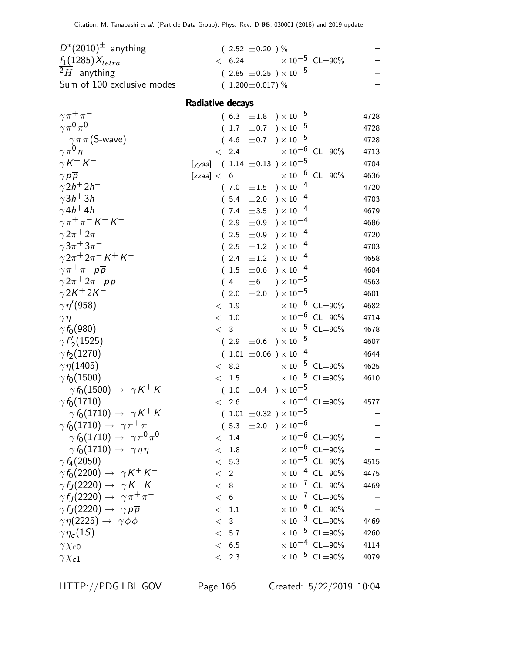| $D^*(2010)^{\pm}$ anything | $(2.52 \pm 0.20)$ %                        |  |
|----------------------------|--------------------------------------------|--|
| $f_1(1285)X_{tetra}$       | $\times$ 10 <sup>-5</sup> CL=90%<br>< 6.24 |  |
| $2H$ anything              | $(2.85 \pm 0.25) \times 10^{-5}$           |  |
| Sum of 100 exclusive modes | $(1.200 \pm 0.017)$ %                      |  |

#### Radiative decays

| $\gamma \pi^+ \pi^-$                                 | $(6.3 \pm 1.8) \times 10^{-5}$                         | 4728 |
|------------------------------------------------------|--------------------------------------------------------|------|
| $\gamma \pi^0 \pi^0$                                 | $) \times 10^{-5}$<br>$(1.7 \pm 0.7)$                  | 4728 |
| $\gamma \pi \pi$ (S-wave)                            | $)\times10^{-5}$<br>(4.6)<br>$\pm$ 0.7                 | 4728 |
| $\gamma \pi^0 \eta$                                  | $\times$ 10 <sup>-6</sup> CL=90%<br>2.4<br>$\lt$       | 4713 |
| $\gamma K^+ K^-$                                     | [ <i>yyaa</i> ] ( 1.14 $\pm 0.13$ ) $\times 10^{-5}$   | 4704 |
| $\gamma p \overline{p}$                              | $\times 10^{-6}$ CL=90%<br>[zzaa] < 6                  | 4636 |
| $\gamma$ 2h <sup>+</sup> 2h <sup>-</sup>             | ) $\times$ 10 $^{-4}$<br>$\pm 1.5$<br>(7.0)            | 4720 |
| $\gamma$ 3h <sup>+</sup> 3h <sup>-1</sup>            | ) $\times$ 10 $^{-4}$<br>$\pm 2.0$<br>(5.4)            | 4703 |
| $\gamma$ 4h <sup>+</sup> 4h <sup>-</sup>             | ) $\times 10^{-4}$<br>$\pm 3.5$<br>(7.4)               | 4679 |
| $\gamma \pi^+ \pi^- K^+ K^-$                         | ) $\times$ 10 $^{-4}$<br>±0.9<br>2.9                   | 4686 |
| $\gamma 2\pi^+ 2\pi^-$                               | ) $\times$ 10 $^{-4}$<br>2.5<br>$\pm 0.9$              | 4720 |
| $\gamma 3\pi^+ 3\pi^-$                               | $)\times10^{-4}$<br>2.5<br>$\pm\,1.2$                  | 4703 |
| $\gamma 2\pi^+ 2\pi^- K^+ K^-$                       | ) $\times$ 10 $^{-4}$<br>(2.4)<br>$\pm\,1.2$           | 4658 |
| $\gamma \pi^+ \pi^- p \overline{p}$                  | ) $\times 10^{-4}$<br>$\pm$ 0.6<br>(1.5)               | 4604 |
| $\gamma 2\pi^+ 2\pi^- p\overline{p}$                 | ) $\times$ $10^{-5}$<br>$\pm 6$<br>4<br>(              | 4563 |
| $\gamma 2K^+ 2K^-$                                   | ) $\times$ 10 $^{-5}$<br>2.0<br>$\pm\,2.0$             | 4601 |
| $\gamma\eta^{\prime}(958)$                           | $\times 10^{-6}$ CL=90%<br>1.9<br>$\lt$                | 4682 |
| $\gamma\eta$                                         | $\times 10^{-6}$ CL=90%<br>$1.0\,$<br>$\lt$            | 4714 |
| $\gamma f_0(980)$                                    | $\times$ $10^{-5}\,$ CL=90%<br>$\overline{3}$<br>$\lt$ | 4678 |
| $\gamma f'_{2}(1525)$                                | $)\times10^{-5}$<br>$\pm 0.6$<br>(2.9)                 | 4607 |
| $\gamma f_2(1270)$                                   | $(1.01 \pm 0.06) \times 10^{-4}$                       | 4644 |
| $\gamma\eta(1405)$                                   | $\times 10^{-5}$ CL=90%<br>< 8.2                       | 4625 |
| $\gamma f_0(1500)$                                   | $\times$ $10^{-5}\,$ CL=90%<br>$1.5\,$<br>$\lt$        | 4610 |
| $\gamma f_0(1500) \rightarrow \gamma K^+ K^-$        | $)\times10^{-5}$<br>(1.0)<br>$\pm 0.4$                 |      |
| $\gamma f_0(1710)$                                   | $\times 10^{-4}$ CL=90%<br>2.6<br>$\lt$                | 4577 |
| $\gamma f_0(1710) \rightarrow \gamma K^+ K^-$        | $(1.01 \pm 0.32) \times 10^{-5}$                       |      |
| $\gamma f_0(1710) \rightarrow \gamma \pi^+ \pi^-$    | $\pm 2.0$ ) $\times 10^{-6}$<br>(5.3)                  |      |
| $\gamma f_0(1710) \rightarrow \gamma \pi^0 \pi^0$    | $\times 10^{-6}$ CL=90%<br>1.4<br>$\lt$                |      |
| $\gamma f_0(1710) \rightarrow \gamma \eta \eta$      | $\times 10^{-6}$ CL=90%<br>1.8<br>$\lt$                |      |
| $\gamma f_4(2050)$                                   | $\times$ 10 <sup>-5</sup> CL=90%<br>< 5.3              | 4515 |
| $\gamma f_0(2200) \rightarrow \gamma K^+ K^-$        | $\times$ 10 <sup>-4</sup> CL=90%<br>$\langle$ 2        | 4475 |
| $\gamma f_J(2220) \rightarrow \gamma K^+ K^-$        | $\times 10^{-7}$ CL=90%<br>< 8                         | 4469 |
| $\gamma f_I(2220) \rightarrow \gamma \pi^+ \pi^-$    | $\times 10^{-7}$ CL=90%<br>< 6                         |      |
| $\gamma f_I(2220) \rightarrow \gamma p \overline{p}$ | $\times 10^{-6}$ CL=90%<br>$<\phantom{0}1.1$           |      |
| $\gamma \eta(2225) \rightarrow \gamma \phi \phi$     | $\times 10^{-3}$ CL=90%<br>< 3                         | 4469 |
| $\gamma \eta_c(15)$                                  | $\times$ 10 <sup>-5</sup> CL=90%<br>< 5.7              | 4260 |
| $\gamma \chi_{c0}$                                   | $\times 10^{-4}$ CL=90%<br>< 6.5                       | 4114 |
| $\gamma \chi_{c1}$                                   | $\times 10^{-5}$ CL=90%<br>< 2.3                       | 4079 |
|                                                      |                                                        |      |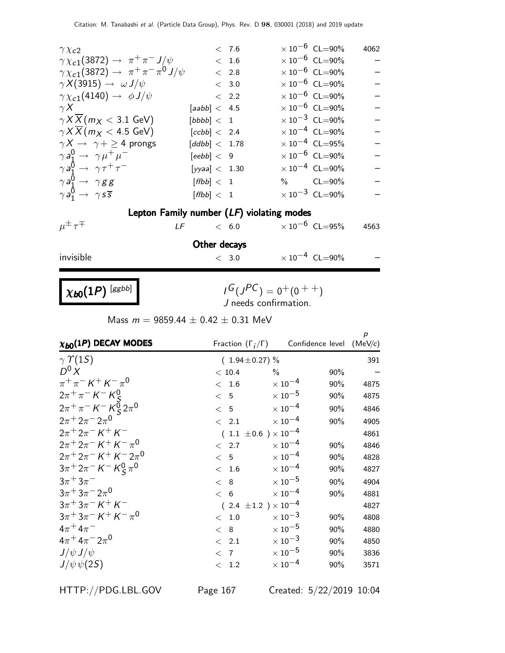| $\gamma \chi_{c2}$                                          |                              | < 7.6                           | $\times$ 10 <sup>-6</sup> CL=90% | 4062 |
|-------------------------------------------------------------|------------------------------|---------------------------------|----------------------------------|------|
| $\gamma \chi_{c1}(3872) \rightarrow \pi^{+} \pi^{-} J/\psi$ |                              | < 1.6                           | $\times$ 10 <sup>-6</sup> CL=90% |      |
| $\gamma \chi_{c1}(3872) \to \pi^+ \pi^- \pi^0 J/\psi$       |                              | $< 2.8$                         | $\times$ 10 $^{-6}$ CL=90%       |      |
| $\gamma X(3915) \rightarrow \omega J/\psi$                  |                              | $< 3.0$                         | $\times$ 10 $^{-6}$ CL=90%       |      |
| $\gamma \chi_{c1}(4140) \rightarrow \phi J/\psi$            |                              | < 2.2                           | $\times$ 10 <sup>-6</sup> CL=90% |      |
| $\gamma X$                                                  | [aabb] < 4.5                 |                                 | $\times 10^{-6}$ CL=90%          |      |
| $\gamma X \overline{X}$ ( <i>m</i> <sub>X</sub> < 3.1 GeV)  | [bbbb] < 1                   |                                 | $\times$ 10 <sup>-3</sup> CL=90% |      |
| $\gamma$ <i>X X</i> ( $m_X$ < 4.5 GeV)                      | [ccbb] < 2.4                 |                                 | $\times$ 10 <sup>-4</sup> CL=90% |      |
| $\gamma X \rightarrow \gamma + \geq 4$ prongs               | $\left[ ddbb \right] < 1.78$ |                                 | $\times 10^{-4}$ CL=95%          |      |
| $\gamma a_1^0 \rightarrow \gamma \mu^+ \mu^-$               | [eebb] < 9                   |                                 | $\times$ 10 $^{-6}$ CL=90%       |      |
| $\gamma a_1^0 \rightarrow \gamma \tau^+ \tau^-$             | [yyaa] < 1.30                |                                 | $\times$ 10 <sup>-4</sup> CL=90% |      |
| $\gamma a_1^0 \rightarrow \gamma g g$                       | [ffbb] < 1                   |                                 | $\%$ CL=90%                      |      |
| $\gamma a_1^0 \rightarrow \gamma s \overline{s}$            | [ffbb] < 1                   |                                 | $\times 10^{-3}$ CL=90%          |      |
| Lepton Family number (LF) violating modes                   |                              |                                 |                                  |      |
| $\mu^{\pm} \tau^{\mp}$<br>LF                                |                              | $< 6.0$ $\times 10^{-6}$ CL=95% |                                  | 4563 |
|                                                             | Other decays                 |                                 |                                  |      |
| invisible                                                   |                              | < 3.0                           | $\times 10^{-4}$ CL=90%          |      |
|                                                             |                              |                                 |                                  |      |
| $\chi_{b0}(1P)$ [ggbb]                                      |                              | $I^G(J^{PC}) = 0^+(0^{++})$     |                                  |      |

 $I^G(J^{PC}) = 0^+(0^{++})$ J needs confirmation.

Mass  $m = 9859.44 \pm 0.42 \pm 0.31$  MeV

| $\chi_{b0}(1P)$ DECAY MODES                | Fraction $(\Gamma_i/\Gamma)$ |                                  | Confidence level (MeV/c) | $\boldsymbol{p}$ |
|--------------------------------------------|------------------------------|----------------------------------|--------------------------|------------------|
| $\gamma$ $\Upsilon(15)$                    | $(1.94 \pm 0.27)\%$          |                                  |                          | 391              |
| $D^0 X$                                    | < 10.4                       | $\frac{0}{0}$                    | 90%                      |                  |
| $\pi^{+}\pi^{-} K^{+} K^{-}\pi^{0}$        | 1.6<br>$\lt$                 | $\times$ 10 $^{-4}$              | 90%                      | 4875             |
| $2\pi^{+}\pi^{-}K^{-}K^{0}_{S}$            | < 5                          | $\times$ 10 $^{-5}$              | 90%                      | 4875             |
| $2\pi^{+}\pi^{-} K^{-} K_{S}^{0} 2\pi^{0}$ | < 5                          | $\times$ 10 $^{-4}$              | 90%                      | 4846             |
| $2\pi + 2\pi - 2\pi$ <sup>0</sup>          | 2.1<br>$\lt$                 | $\times$ 10 $^{-4}$              | 90%                      | 4905             |
| $2\pi + 2\pi - K + K$                      |                              | 1.1 $\pm 0.6$ ) $\times 10^{-4}$ |                          | 4861             |
| $2\pi + 2\pi - K + K - \pi^0$              | 2.7<br>$\lt$                 | $\times$ 10 $^{-4}$              | 90%                      | 4846             |
| $2\pi + 2\pi - K + K - 2\pi$ <sup>0</sup>  | < 5                          | $\times$ 10 $^{-4}$              | 90%                      | 4828             |
| $3\pi^+ 2\pi^- K^- K^0_S \pi^0$            | 1.6<br>$\,<\,$               | $\times$ 10 $^{-4}$              | 90%                      | 4827             |
| $3\pi^+3\pi^-$                             | 8<br>$\lt$                   | $\times$ 10 $^{-5}$              | 90%                      | 4904             |
| $3\pi + 3\pi - 2\pi$ <sup>0</sup>          | < 6                          | $\times$ 10 $^{-4}$              | 90%                      | 4881             |
| $3\pi + 3\pi - K + K$                      |                              | 2.4 $\pm 1.2$ ) $\times 10^{-4}$ |                          | 4827             |
| $3\pi + 3\pi - K + K - \pi^0$              | $<$ 1.0                      | $\times$ 10 <sup>-3</sup>        | 90%                      | 4808             |
| $4\pi + 4\pi^-$                            | 8<br>$\lt$                   | $\times$ 10 $^{-5}$              | 90%                      | 4880             |
| $4\pi^+ 4\pi^- 2\pi^0$                     | 2.1<br>$\lt$                 | $\times$ 10 <sup>-3</sup>        | 90%                      | 4850             |
| $J/\psi J/\psi$                            | $\langle$ 7                  | $\times$ 10 $^{-5}$              | 90%                      | 3836             |
| $J/\psi \psi(2S)$                          | 1.2<br>$\lt$                 | $\times$ 10 $^{-4}$              | 90%                      | 3571             |

HTTP://PDG.LBL.GOV Page 167 Created: 5/22/2019 10:04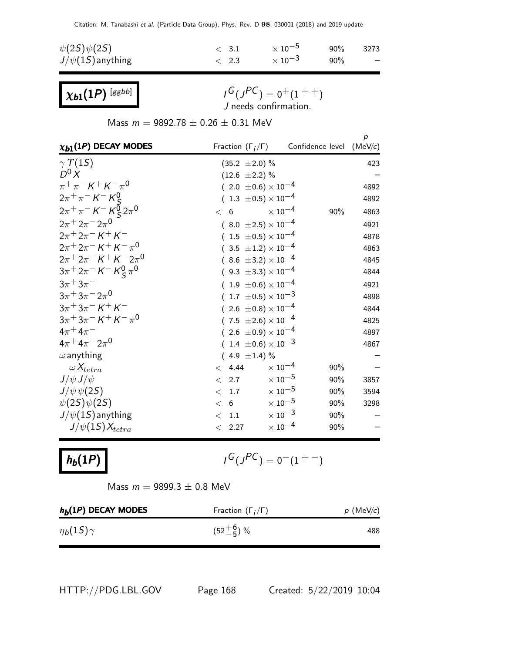| $\psi(2S)\psi(2S)$    | $\langle$ 3.1 | $\times$ 10 $^{-5}$       | 90%    | 3273                     |
|-----------------------|---------------|---------------------------|--------|--------------------------|
| $J/\psi(1S)$ anything | $\langle 2.3$ | $\times$ 10 <sup>-3</sup> | $90\%$ | $\overline{\phantom{0}}$ |

 $\chi_{b1}(1P)$  [ggbb]

 $I^G(J^{PC}) = 0^+(1^{++})$ J needs confirmation.

Mass  $m = 9892.78 \pm 0.26 \pm 0.31$  MeV

| $\chi_{b1}(1P)$ DECAY MODES                                                                               |                                | Fraction $(\Gamma_i/\Gamma)$ Confidence level (MeV/c) | $\boldsymbol{p}$ |
|-----------------------------------------------------------------------------------------------------------|--------------------------------|-------------------------------------------------------|------------------|
| $\gamma \Upsilon(15)$                                                                                     | $(35.2 \pm 2.0)\%$             |                                                       | 423              |
| $D^0 X$                                                                                                   | $(12.6 \pm 2.2)\%$             |                                                       |                  |
| $\pi^{+}\pi^{-} K^{+} K^{-}\pi^{0}$                                                                       | $(2.0 \pm 0.6) \times 10^{-4}$ |                                                       | 4892             |
| $2\pi^{+}\pi^{-}$ K <sup>-</sup> K <sup>0</sup> <sub>S</sub>                                              | $(1.3 \pm 0.5) \times 10^{-4}$ |                                                       | 4892             |
| $2\pi^{+}\pi^{-}$ K <sup>-</sup> K <sup>0</sup> <sub>S</sub> $2\pi^{0}$                                   | < 6                            | $\times$ 10 <sup>-4</sup><br>90%                      | 4863             |
| $2\pi + 2\pi - 2\pi$ <sup>0</sup>                                                                         | $(8.0 \pm 2.5) \times 10^{-4}$ |                                                       | 4921             |
| $2\pi + 2\pi - K + K$                                                                                     | $(1.5 \pm 0.5) \times 10^{-4}$ |                                                       | 4878             |
| $2\pi + 2\pi - K + K - \pi^0$                                                                             | $(3.5 \pm 1.2) \times 10^{-4}$ |                                                       | 4863             |
| $2\pi + 2\pi - K + K - 2\pi$ <sup>0</sup>                                                                 | $(8.6 \pm 3.2) \times 10^{-4}$ |                                                       | 4845             |
| $3\pi$ <sup>+</sup> $2\pi$ <sup>-</sup> $K$ <sup>-</sup> $K$ <sup>0</sup> <sub>5</sub> $\pi$ <sup>0</sup> | $(9.3 \pm 3.3) \times 10^{-4}$ |                                                       | 4844             |
| $3\pi + 3\pi^-$                                                                                           | $(1.9 \pm 0.6) \times 10^{-4}$ |                                                       | 4921             |
| $3\pi + 3\pi - 2\pi^0$                                                                                    | $(1.7 \pm 0.5) \times 10^{-3}$ |                                                       | 4898             |
| $3\pi + 3\pi - K + K$                                                                                     | $(2.6 \pm 0.8) \times 10^{-4}$ |                                                       | 4844             |
| $3\pi + 3\pi - K + K - \pi^0$                                                                             | $(7.5 \pm 2.6) \times 10^{-4}$ |                                                       | 4825             |
| $4\pi + 4\pi^-$                                                                                           | $(2.6 \pm 0.9) \times 10^{-4}$ |                                                       | 4897             |
| $4\pi^+ 4\pi^- 2\pi^0$                                                                                    | $(1.4 \pm 0.6) \times 10^{-3}$ |                                                       | 4867             |
| $\omega$ anything                                                                                         | $(4.9 \pm 1.4)\%$              |                                                       |                  |
| $\omega X_{tetra}$                                                                                        | < 4.44                         | $\times$ 10 <sup>-4</sup><br>90%                      |                  |
| $J/\psi J/\psi$                                                                                           | $< 2.7 \times 10^{-5}$         | 90%                                                   | 3857             |
| $J/\psi \psi(2S)$                                                                                         | 1.7 $\times 10^{-5}$<br>$\lt$  | 90%                                                   | 3594             |
| $\psi(2S)\psi(2S)$                                                                                        | < 6                            | $\times$ 10 $^{-5}$<br>90%                            | 3298             |
| $J/\psi(1S)$ anything                                                                                     | 1.1<br>$\lt$                   | $\times$ 10 $^{-3}$<br>90%                            |                  |
| $J/\psi(15)X_{tetra}$                                                                                     | 2.27<br>$\lt$                  | $\times$ 10 <sup>-4</sup><br>90%                      |                  |

$$
h_b(1P)
$$

$$
G(J^{PC})=0^-(1^{+-})
$$

Mass  $m = 9899.3 \pm 0.8$  MeV

| $h_b(1P)$ DECAY MODES | Fraction $(\Gamma_i/\Gamma)$ | $p$ (MeV/c) |
|-----------------------|------------------------------|-------------|
| $\eta_b(1S)\gamma$    | $(52\frac{+6}{-5})$ %        | 488         |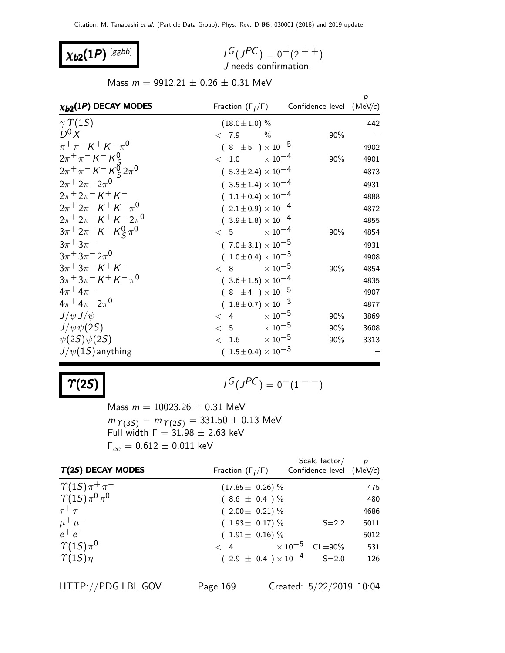## $\chi_{b2}(1P)$  [ggbb]

$$
I^G(J^{PC}) = 0^+(2^{++})
$$
  
J needs confirmation.

Mass  $m = 9912.21 \pm 0.26 \pm 0.31$  MeV

| $\chi_{b2}(1P)$ DECAY MODES                                                                  |                                | Fraction $(\Gamma_i/\Gamma)$ Confidence level | p<br>(MeV/c) |
|----------------------------------------------------------------------------------------------|--------------------------------|-----------------------------------------------|--------------|
| $\gamma \Upsilon(15)$                                                                        | $(18.0 \pm 1.0)$ %             |                                               | 442          |
| $D^0 X$                                                                                      | < 7.9<br>$\frac{0}{0}$         | 90%                                           |              |
| $\pi^+\pi^- K^+ K^- \pi^0$                                                                   | $(8 \pm 5) \times 10^{-5}$     |                                               | 4902         |
| $2\pi^{+}\pi^{-}$ K <sup>-</sup> K <sup>0</sup> <sub>c</sub>                                 | 1.0 $\times 10^{-4}$<br>$\lt$  | 90%                                           | 4901         |
| $2\pi^+\pi^ K^ K^0_\varsigma\,2\pi^0$                                                        | $(5.3 \pm 2.4) \times 10^{-4}$ |                                               | 4873         |
| $2\pi + 2\pi - 2\pi$ <sup>0</sup>                                                            | $(3.5 \pm 1.4) \times 10^{-4}$ |                                               | 4931         |
| $2\pi + 2\pi - K + K$                                                                        | $(1.1 \pm 0.4) \times 10^{-4}$ |                                               | 4888         |
| $2\pi + 2\pi - K + K - \pi^0$                                                                | $(2.1 \pm 0.9) \times 10^{-4}$ |                                               | 4872         |
| $2\pi + 2\pi - K + K - 2\pi$ <sup>0</sup>                                                    | $(3.9 \pm 1.8) \times 10^{-4}$ |                                               | 4855         |
| $3\pi$ <sup>+</sup> $2\pi$ <sup>-</sup> $K$ <sup>-</sup> $K$ <sup>0</sup> $\pi$ <sup>0</sup> | $\lt$ 5                        | $\times$ 10 <sup>-4</sup><br>90%              | 4854         |
| $3\pi + 3\pi^-$                                                                              | $(7.0 \pm 3.1) \times 10^{-5}$ |                                               | 4931         |
| $3\pi + 3\pi - 2\pi$ <sup>0</sup>                                                            | $(1.0 \pm 0.4) \times 10^{-3}$ |                                               | 4908         |
| $3\pi + 3\pi - K + K$                                                                        | < 8                            | $\times$ 10 $^{-5}$<br>90%                    | 4854         |
| $3\pi + 3\pi - K + K - \pi^0$                                                                | $(3.6 \pm 1.5) \times 10^{-4}$ |                                               | 4835         |
| $4\pi + 4\pi^-$                                                                              | $(8 \pm 4) \times 10^{-5}$     |                                               | 4907         |
| $4\pi^+ 4\pi^- 2\pi^0$                                                                       | $(1.8 \pm 0.7) \times 10^{-3}$ |                                               | 4877         |
| $J/\psi J/\psi$                                                                              | < 4                            | $\times$ 10 <sup>-5</sup><br>90%              | 3869         |
| $J/\psi \psi(2S)$                                                                            | $<$ 5 $\times 10^{-5}$         | 90%                                           | 3608         |
| $\psi(2S)\psi(2S)$                                                                           | 1.6<br>$\lt$                   | $\times$ 10 $^{-5}$<br>90%                    | 3313         |
| $J/\psi(1S)$ anything                                                                        | $(1.5 \pm 0.4) \times 10^{-3}$ |                                               |              |

#### $\bm{\Upsilon}(2S)$  |  $\bm{\Upsilon}$

$$
G(J^{PC})=0^-(1^{--})
$$

Mass  $m = 10023.26 \pm 0.31$  MeV  $m_{\, \varUpsilon (3S)} \,-\, m_{\, \varUpsilon (2S)} = 331.50 \pm 0.13 \; \textrm{MeV}$ Full width  $\Gamma = 31.98 \pm 2.63$  keV  $\Gamma_{ee} = 0.612 \pm 0.011$  keV

| $T(2S)$ DECAY MODES        | Fraction $(\Gamma_i/\Gamma)$         | Scale factor/<br>Confidence level (MeV/c) | $\boldsymbol{p}$ |
|----------------------------|--------------------------------------|-------------------------------------------|------------------|
| $\gamma(1S)\pi^+\pi^-$     | $(17.85 \pm 0.26)\%$                 |                                           | 475              |
| $\gamma(1S)\pi^{0}\pi^{0}$ | $(8.6 \pm 0.4) \%$                   |                                           | 480              |
| $\tau^+\tau^-$             | $(2.00 \pm 0.21)\%$                  |                                           | 4686             |
| $\mu^+ \mu^-$              | $(1.93 \pm 0.17)\%$                  | $S = 2.2$                                 | 5011             |
| $e^+e^-$                   | $(1.91 \pm 0.16)\%$                  |                                           | 5012             |
| $\Upsilon(1S)\pi^0$        | $< 4$ $\times 10^{-5}$ CL=90%        |                                           | 531              |
| $\gamma(1S)\eta$           | $(2.9 \pm 0.4) \times 10^{-4}$ S=2.0 |                                           | 126              |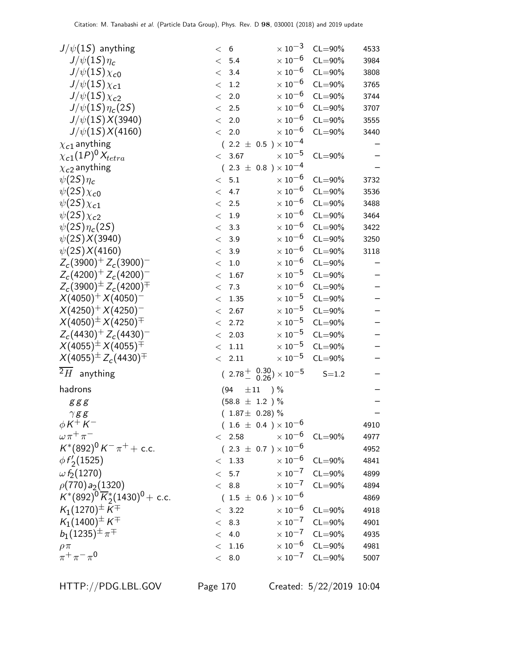| $J/\psi(1S)$ anything                        | $6\overline{6}$<br>$\lt$ |                     | $\times$ $10^{-3}$                                         | $CL = 90\%$             | 4533 |
|----------------------------------------------|--------------------------|---------------------|------------------------------------------------------------|-------------------------|------|
| $J/\psi(1S)\eta_c$                           | 5.4<br>$\lt$             |                     | $\times$ $10^{-6}$                                         | $CL = 90\%$             | 3984 |
| $J/\psi(15)\chi_{c0}$                        | 3.4<br>$\lt$             |                     | $\times$ 10 $^{-6}$                                        | $CL = 90\%$             | 3808 |
| $J/\psi(15)\chi_{c1}$                        | 1.2<br>$<\,$             |                     | $\times$ 10 $^{-6}$                                        | $CL = 90\%$             | 3765 |
| $J/\psi(15)\chi_{c2}$                        | 2.0<br>$<\,$             |                     | $\times$ 10 $^{-6}$                                        | $CL = 90\%$             | 3744 |
| $J/\psi(1S)\eta_c(2S)$                       | 2.5<br>$<\,$             |                     | $\times$ 10 $^{-6}$                                        | $CL = 90\%$             | 3707 |
| $J/\psi(1S)X(3940)$                          | 2.0<br>$\lt$             |                     | $\times$ 10 $^{-6}$                                        | $CL = 90\%$             | 3555 |
| $J/\psi(1S)X(4160)$                          | 2.0<br>$\lt$             |                     | $\times$ $10^{-6}$                                         | $CL = 90\%$             | 3440 |
| $\chi_{c1}$ anything                         |                          |                     | $(2.2 \pm 0.5) \times 10^{-4}$                             |                         |      |
| $\chi_{c1}(1P)^{0}\chi_{tetra}$              | $\lt$                    | 3.67                | $\times$ 10 $^{-5}$                                        | $CL = 90\%$             |      |
| $\chi_{c2}$ anything                         |                          |                     | $(2.3 \pm 0.8) \times 10^{-4}$                             |                         |      |
| $\psi(2S)\eta_c$                             | 5.1<br>$\lt$             |                     | $\times$ 10 $^{-6}$                                        | $CL = 90\%$             | 3732 |
| $\psi(2S)\chi_{c0}$                          | 4.7<br>$\lt$             |                     | $\times$ 10 <sup>-6</sup>                                  | $CL = 90\%$             | 3536 |
| $\psi(2S)\chi_{c1}$                          | 2.5<br>$\lt$             |                     | $\times$ $10^{-6}$                                         | $CL = 90\%$             | 3488 |
| $\psi(2S)\chi_{c2}$                          | $1.9\,$<br>$\lt$         |                     | $\times$ 10 $^{-6}$                                        | $CL = 90\%$             | 3464 |
| $\psi(2S)\eta_c(2S)$                         | 3.3<br>$\,<\,$           |                     | $\times$ 10 $^{-6}$                                        | $CL = 90\%$             | 3422 |
| $\psi(2S)X(3940)$                            | 3.9<br>$\lt$             |                     | $\times$ 10 $^{-6}$                                        | $CL = 90\%$             | 3250 |
| $\psi(2S)X(4160)$                            | 3.9<br>$\,<\,$           |                     | $\times$ $10^{-6}$                                         | $CL = 90\%$             | 3118 |
| $Z_c(3900)^+ Z_c(3900)^-$                    | $1.0\,$<br>$<\,$         |                     | $\times$ 10 $^{-6}$                                        | $CL = 90\%$             |      |
| $Z_c(4200)^+ Z_c(4200)^-$                    | $\lt$                    | 1.67                | $\times$ $10^{-5}$                                         | $CL = 90\%$             |      |
| $Z_c(3900)^{\pm} Z_c(4200)^{\mp}$            | 7.3<br>$<\,$             |                     | $\times$ 10 $^{-6}$                                        | $CL = 90\%$             |      |
| $X(4050)^{+} X(4050)^{-}$                    | $<\,$                    | 1.35                | $\times$ $10^{-5}$                                         | $CL = 90\%$             |      |
| $X(4250)^{+} X(4250)^{-}$                    | $\lt$                    | 2.67                | $\times$ 10 $^{-5}$                                        | $CL = 90\%$             |      |
| $X(4050)^{\pm} X(4250)^{\mp}$                | $\,<\,$                  | 2.72                | $\times$ 10 $^{-5}$                                        | $CL = 90\%$             |      |
| $Z_c(4430)^+ Z_c(4430)^-$                    | $\lt$                    | 2.03                | $\times$ 10 $^{-5}$                                        | $CL = 90\%$             |      |
| $X(4055)^{\pm} X(4055)^{\mp}$                | $\lt$                    | $1.11\,$            | $\times$ 10 $^{-5}$                                        | $CL = 90\%$             |      |
| $X(4055)^{\pm} Z_c(4430)^{\mp}$              | $\lt$                    | 2.11                | $\times$ 10 <sup>-5</sup>                                  | $CL = 90\%$             |      |
| $2H$ anything                                |                          |                     | $(2.78^{+0.30}_{-0.26})\times 10^{-5}$                     | $S = 1.2$               |      |
| hadrons                                      | (94)                     | $\pm 11$            | ) %                                                        |                         |      |
| g g g                                        |                          | $(58.8 \pm 1.2) %$  |                                                            |                         |      |
| $\gamma g\,g$                                |                          | $(1.87 \pm 0.28)\%$ |                                                            |                         |      |
| $\phi K^+ K^-$                               |                          |                     | $(1.6 \pm 0.4) \times 10^{-6}$                             |                         | 4910 |
| $\omega \pi^+ \pi^-$                         | < 2.58                   |                     | $\times$ 10 <sup>-6</sup>                                  | $CL = 90\%$             | 4977 |
| $K^*(892)^0 K^- \pi^+ +$ c.c.                |                          |                     | $(2.3 \pm 0.7) \times 10^{-6}$                             |                         | 4952 |
| $\phi f'_2(1525)$                            | $<\phantom{0}1.33$       |                     | $\times$ 10 $^{-6}$                                        | $CL = 90\%$             | 4841 |
| $\omega f_2(1270)$                           | < 5.7                    |                     | $\times$ 10 $^{-7}$                                        | $CL = 90\%$             | 4899 |
| $\rho(770) a_2(1320)$                        | < 8.8                    |                     | $\times$ $10^{-7}$                                         | $CL = 90\%$             | 4894 |
| $K^*(892)^0 \overline{K}_2^*(1430)^0$ + c.c. |                          |                     | $(\hphantom{0}1.5 \,\pm\, 0.6\,\phantom{0})\times 10^{-6}$ |                         | 4869 |
| $K_1(1270)^{\pm} K^{\mp}$                    | < 3.22                   |                     | $\times$ 10 <sup>-6</sup>                                  | $CL = 90\%$             | 4918 |
| $K_1(1400)^{\pm}K^{\mp}$                     | < 8.3                    |                     |                                                            | $\times 10^{-7}$ CL=90% | 4901 |
| $b_1(1235)^{\pm}\pi^{\mp}$                   | 4.0<br>$\lt$             |                     | $\times$ 10 $^{-7}$                                        | $CL = 90\%$             | 4935 |
| $\rho \pi$                                   | $\lt$                    | $1.16\,$            |                                                            | $\times 10^{-6}$ CL=90% | 4981 |
| $\pi^+ \pi^- \pi^0$                          | $<\phantom{0}8.0$        |                     |                                                            | $\times 10^{-7}$ CL=90% | 5007 |
|                                              |                          |                     |                                                            |                         |      |

HTTP://PDG.LBL.GOV Page 170 Created: 5/22/2019 10:04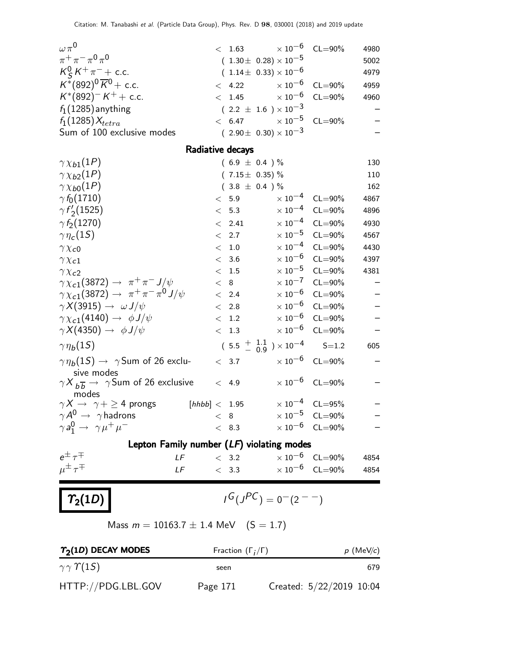| $\omega \pi^0$                                                                  | $< 1.63 \times 10^{-6}$                    |                            | $CL = 90\%$                | 4980                     |
|---------------------------------------------------------------------------------|--------------------------------------------|----------------------------|----------------------------|--------------------------|
| $\pi^+ \pi^- \pi^0 \pi^0$                                                       | $(1.30\pm 0.28)\times 10^{-5}$             |                            |                            | 5002                     |
| $K_S^0 K^+ \pi^-$ + c.c.                                                        | $(1.14\pm 0.33)\times 10^{-6}$             |                            |                            | 4979                     |
| $K^*(892)^0 \overline{K}^0$ + c.c.                                              | < 4.22                                     | $\times$ 10 $^{-6}$        | $CL = 90\%$                | 4959                     |
| $K^*(892)^{-}K^+$ + c.c.                                                        | $< 1.45 \times 10^{-6}$                    |                            | $CL = 90\%$                | 4960                     |
| $f_1(1285)$ anything                                                            | $(2.2 \pm 1.6) \times 10^{-3}$             |                            |                            |                          |
| $f_1(1285)X_{tetra}$                                                            | < 6.47                                     | $\times$ 10 $^{-5}$        | $CL = 90\%$                |                          |
| Sum of 100 exclusive modes                                                      | $(2.90 \pm 0.30) \times 10^{-3}$           |                            |                            |                          |
|                                                                                 | Radiative decays                           |                            |                            |                          |
| $\gamma \chi_{b1}(1P)$                                                          | $(6.9 \pm 0.4) \%$                         |                            |                            | 130                      |
| $\gamma \chi_{b2}(1P)$                                                          | $(7.15 \pm 0.35)\%$                        |                            |                            | 110                      |
| $\gamma \chi_{b0}(1P)$                                                          | $(3.8 \pm 0.4) \%$                         |                            |                            | 162                      |
| $\gamma f_0(1710)$                                                              | < 5.9                                      | $\times$ 10 $^{-4}$        | $CL = 90\%$                | 4867                     |
| $\gamma f_2(1525)$                                                              | < 5.3                                      | $\times$ 10 <sup>-4</sup>  | $CL = 90\%$                | 4896                     |
| $\gamma f_2(1270)$                                                              | < 2.41                                     |                            | $\times 10^{-4}$ CL=90%    | 4930                     |
| $\gamma\eta_c(1S)$                                                              | < 2.7                                      | $\times$ 10 $^{-5}$        | $CL = 90\%$                | 4567                     |
| $\gamma \chi_{c0}$                                                              | 1.0<br>$\lt$                               | $\times$ 10 $^{-4}$        | $CL = 90\%$                | 4430                     |
| $\gamma \chi_{c1}$                                                              | < 3.6                                      | $\times\,10^{-6}$          | $CL = 90\%$                | 4397                     |
| $\gamma \chi_{c2}$                                                              | < 1.5                                      | $\times$ 10 $^{-5}$        | $CL = 90\%$                | 4381                     |
| $\gamma \chi_{c1}(3872) \rightarrow \pi^{+} \pi^{-} J/\psi$                     | < 8                                        | $\times$ 10 $^{-7}$        | $CL = 90\%$                |                          |
| $\gamma \chi_{c1}(3872) \rightarrow \pi^+ \pi^- \pi^0 J/\psi$                   | < 2.4                                      | $\times$ 10 <sup>-6</sup>  | $CL = 90\%$                |                          |
| $\gamma X(3915) \rightarrow \omega J/\psi$                                      | < 2.8                                      | $\times$ 10 $^{-6}$        | $CL = 90\%$                | $\frac{-}{1}$            |
| $\gamma \chi_{c1}(4140) \rightarrow \phi J/\psi$                                | 1.2<br>$\lt$                               | $\times$ 10 <sup>-6</sup>  | $CL = 90\%$                |                          |
| $\gamma X(4350) \rightarrow \phi J/\psi$                                        | < 1.3                                      | $\times$ 10 $^{-6}$        | $CL = 90\%$                | $\overline{\phantom{0}}$ |
| $\gamma \eta_b(1S)$                                                             | $(5.5 \frac{+}{0.9}) \times 10^{-4}$ S=1.2 |                            |                            | 605                      |
| $\gamma \eta_b(1S) \rightarrow \gamma$ Sum of 26 exclu-                         | < 3.7                                      |                            | $\times 10^{-6}$ CL=90%    |                          |
| sive modes<br>$\gamma X_{b\overline{b}} \rightarrow \gamma$ Sum of 26 exclusive | < 4.9                                      |                            | $\times 10^{-6}$ CL=90%    |                          |
| modes<br>$\gamma X \rightarrow \gamma + \geq 4$ prongs [hhbb] < 1.95            |                                            |                            | $\times 10^{-4}$ CL=95%    |                          |
| $\gamma A^0 \rightarrow \gamma$ hadrons                                         | < 8                                        |                            | $\times$ 10 $^{-5}$ CL=90% |                          |
| $\gamma a_1^0 \rightarrow \gamma \mu^+ \mu^-$                                   | < 8.3                                      |                            | $\times 10^{-6}$ CL=90%    |                          |
| Lepton Family number $(LF)$ violating modes                                     |                                            |                            |                            |                          |
| $e^{\pm} \tau^{\mp}$<br>LF                                                      | < 3.2                                      | $\times$ 10 $^{-6}$ CL=90% |                            | 4854                     |
| $\mu^{\pm} \tau^{\mp}$<br>LF __                                                 | < 3.3                                      |                            | $\times 10^{-6}$ CL=90%    | 4854                     |
|                                                                                 |                                            |                            |                            |                          |
| $\mid T_2(1D)$                                                                  | $J^G(J^{PC}) = 0^-(2^{--})$                |                            |                            |                          |
| Mass $m = 10163.7 \pm 1.4$ MeV $(S = 1.7)$                                      |                                            |                            |                            |                          |

| $T2(1D)$ DECAY MODES       | Fraction $(\Gamma_i/\Gamma)$ | $p$ (MeV/c)              |     |
|----------------------------|------------------------------|--------------------------|-----|
| $\gamma \gamma \gamma(15)$ | seen                         |                          | 679 |
| HTTP://PDG.LBL.GOV         | Page 171                     | Created: 5/22/2019 10:04 |     |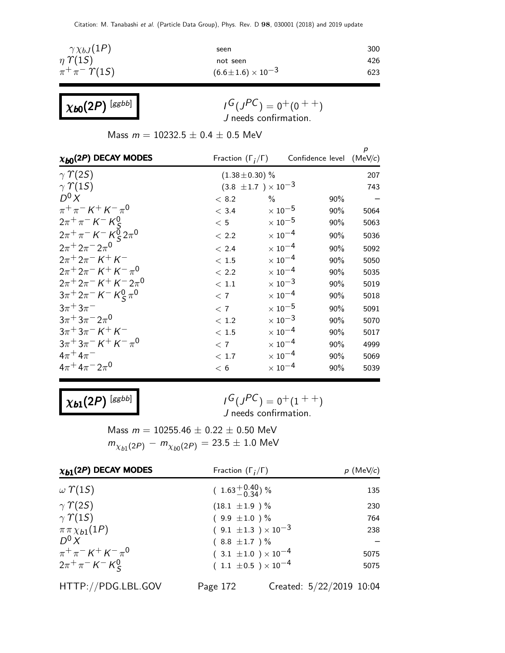| $\gamma \chi_{bJ}(1P)$   | seen                           | 300 |
|--------------------------|--------------------------------|-----|
| $\eta$ $\Upsilon(15)$    | not seen                       | 426 |
| $\pi^+\pi^-\Upsilon(1S)$ | $(6.6 \pm 1.6) \times 10^{-3}$ | 623 |

| $\chi_{\bm{b} \bm{0}}(2P)$ [ggbb] |  |
|-----------------------------------|--|
|-----------------------------------|--|

 $I^G(J^{PC}) = 0^+(0^{++})$ J needs confirmation.

Mass  $m = 10232.5 \pm 0.4 \pm 0.5$  MeV

| $\chi_{b0}(2P)$ DECAY MODES                                             | Fraction $(\Gamma_i/\Gamma)$ |                                | Confidence level (MeV/c) | p    |
|-------------------------------------------------------------------------|------------------------------|--------------------------------|--------------------------|------|
| $\gamma$ $\gamma$ (2S)                                                  | $(1.38 \pm 0.30)$ %          |                                |                          | 207  |
| $\gamma$ $\gamma$ (15)                                                  |                              | $(3.8 \pm 1.7) \times 10^{-3}$ |                          | 743  |
| $D^0 X$                                                                 | < 8.2                        | $\frac{0}{0}$                  | 90%                      |      |
| $\pi^{+}\pi^{-} K^{+} K^{-}\pi^{0}$                                     | < 3.4                        | $\times$ 10 <sup>-5</sup>      | 90%                      | 5064 |
| $2\pi^{+}\pi^{-}K^{-}K^{0}$                                             | < 5                          | $\times$ 10 $^{-5}$            | 90%                      | 5063 |
| $2\pi^{+}\pi^{-}$ K <sup>-</sup> K <sup>o</sup> <sub>S</sub> $2\pi^{0}$ | < 2.2                        | $\times$ 10 <sup>-4</sup>      | 90%                      | 5036 |
| $2\pi + 2\pi - 2\pi$ <sup>0</sup>                                       | < 2.4                        | $\times$ 10 <sup>-4</sup>      | 90%                      | 5092 |
| $2\pi + 2\pi - K + K$                                                   | < 1.5                        | $\times$ 10 <sup>-4</sup>      | 90%                      | 5050 |
| $2\pi + 2\pi - K + K - \pi^0$                                           | < 2.2                        | $\times$ 10 $^{-4}$            | 90%                      | 5035 |
| $2\pi + 2\pi - K + K - 2\pi$ <sup>0</sup>                               | < 1.1                        | $\times$ 10 <sup>-3</sup>      | 90%                      | 5019 |
| $3\pi^+ 2\pi^- K^- K^0_S \pi^0$                                         | < 7                          | $\times$ 10 <sup>-4</sup>      | 90%                      | 5018 |
| $3\pi + 3\pi^-$                                                         | < 7                          | $\times$ 10 $^{-5}$            | 90%                      | 5091 |
| $3\pi$ <sup>+</sup> $3\pi$ <sup>-</sup> $2\pi$ <sup>0</sup>             | < 1.2                        | $\times$ 10 $^{-3}$            | 90%                      | 5070 |
| $3\pi + 3\pi - K + K$                                                   | < 1.5                        | $\times$ 10 $^{-4}$            | 90%                      | 5017 |
| $3\pi + 3\pi - K + K - \pi^0$                                           | < 7                          | $\times$ 10 <sup>-4</sup>      | 90%                      | 4999 |
| $4\pi^{+}4\pi^{-}$                                                      | < 1.7                        | $\times$ 10 <sup>-4</sup>      | 90%                      | 5069 |
| $4\pi^+ 4\pi^- 2\pi^0$                                                  | < 6                          | $\times$ 10 $^{-4}$            | 90%                      | 5039 |
|                                                                         |                              |                                |                          |      |

 $\chi_{b1}(2P)$  [ggbb]

 $I^G(J^{PC}) = 0^+(1^{++})$ J needs confirmation.

Mass  $m = 10255.46 \pm 0.22 \pm 0.50$  MeV  $m_{\chi_{b1}(2P)}^{} - m_{\chi_{b0}(2P)}^{} = 23.5 \pm 1.0~\rm{MeV}$ 

| $\chi_{b1}(2P)$ DECAY MODES                                  | Fraction $(\Gamma_i/\Gamma)$   | $p$ (MeV/c) |  |
|--------------------------------------------------------------|--------------------------------|-------------|--|
| $\omega$ $\Upsilon(15)$                                      | $(1.63^{+0.40}_{-0.34})$ %     | 135         |  |
| $\gamma$ $\gamma$ (2S)                                       | $(18.1 \pm 1.9) \%$            | 230         |  |
| $\gamma$ $\Upsilon(15)$                                      | $(9.9 \pm 1.0) \%$             | 764         |  |
| $\pi \pi \chi_{b1}(1P)$                                      | $(9.1 \pm 1.3) \times 10^{-3}$ | 238         |  |
| $D^0 X$                                                      | $(8.8 \pm 1.7) \%$             |             |  |
| $\pi^{+}\pi^{-} K^{+} K^{-}\pi^{0}$                          | $(3.1 \pm 1.0) \times 10^{-4}$ | 5075        |  |
| $2\pi^{+}\pi^{-}$ K <sup>-</sup> K <sup>0</sup> <sub>S</sub> | $(1.1 \pm 0.5) \times 10^{-4}$ | 5075        |  |

HTTP://PDG.LBL.GOV Page 172 Created: 5/22/2019 10:04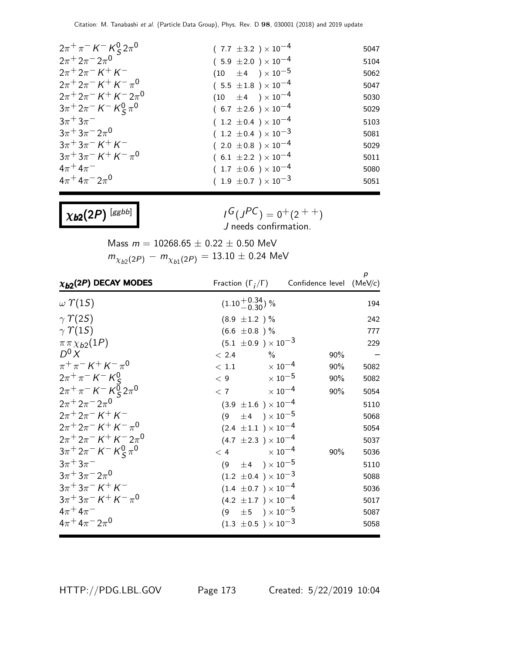| $2\pi^{+}\pi^{-}$ K <sup>-</sup> K <sup>0</sup> <sub>S</sub> $2\pi^{0}$ | $(7.7 \pm 3.2) \times 10^{-4}$ | 5047 |
|-------------------------------------------------------------------------|--------------------------------|------|
| $2\pi^+ 2\pi^- 2\pi^0$                                                  | $(5.9 \pm 2.0) \times 10^{-4}$ | 5104 |
| $2\pi + 2\pi - K + K$                                                   | $(10 \pm 4) \times 10^{-5}$    | 5062 |
| $2\pi^+ 2\pi^- K^+ K^- \pi^0$                                           | $(5.5 \pm 1.8) \times 10^{-4}$ | 5047 |
| $2\pi^+ 2\pi^- K^+ K^- 2\pi^0$                                          | $(10 \pm 4) \times 10^{-4}$    | 5030 |
| $3\pi^+ 2\pi^- K^- K^0_S \pi^0$                                         | $(6.7 \pm 2.6) \times 10^{-4}$ | 5029 |
| $3\pi + 3\pi$                                                           | $(1.2 \pm 0.4) \times 10^{-4}$ | 5103 |
| $3\pi$ <sup>+</sup> $3\pi$ <sup>-</sup> $2\pi$ <sup>0</sup>             | $(1.2 \pm 0.4) \times 10^{-3}$ | 5081 |
| $3\pi + 3\pi - K + K$                                                   | $(2.0 \pm 0.8) \times 10^{-4}$ | 5029 |
| $3\pi + 3\pi - K + K - \pi^0$                                           | $(6.1 \pm 2.2) \times 10^{-4}$ | 5011 |
| $4\pi + 4\pi$                                                           | $(1.7 \pm 0.6) \times 10^{-4}$ | 5080 |
| $4\pi + 4\pi - 2\pi$ <sup>0</sup>                                       | $(1.9 \pm 0.7) \times 10^{-3}$ | 5051 |

 $\chi_{b2}(2P)$  [ggbb]

 $I^G(J^{PC}) = 0^+(2^{++})$ J needs confirmation.

Mass  $m = 10268.65 \pm 0.22 \pm 0.50$  MeV  $m_{\chi_{b2}(2P)}^{} - m_{\chi_{b1}(2P)}^{} = 13.10 \pm 0.24$  MeV

| $\chi_{b2}(2P)$ DECAY MODES                                                                  |                                |      | Fraction $(\Gamma_i/\Gamma)$ Confidence level (MeV/c) | p    |
|----------------------------------------------------------------------------------------------|--------------------------------|------|-------------------------------------------------------|------|
| $\omega$ $\Upsilon(15)$                                                                      | $(1.10^{+0.34}_{-0.30})$ %     |      |                                                       | 194  |
| $\gamma \Upsilon(2S)$                                                                        | $(8.9 \pm 1.2) \%$             |      |                                                       | 242  |
| $\gamma \Upsilon(15)$                                                                        | $(6.6 \pm 0.8)$ %              |      |                                                       | 777  |
| $\pi \pi \chi_{b2}(1P)$                                                                      | $(5.1 \pm 0.9) \times 10^{-3}$ |      |                                                       | 229  |
| $D^0 X$                                                                                      | < 2.4                          | $\%$ | 90%                                                   |      |
| $\pi^{+}\pi^{-} K^{+} K^{-}\pi^{0}$                                                          | $< 1.1$ $\times 10^{-4}$       |      | 90%                                                   | 5082 |
| $2\pi^{+}\pi^{-}$ K <sup>-</sup> K <sup>0</sup> <sub>c</sub>                                 | $< 9$ $\times 10^{-5}$         |      | 90%                                                   | 5082 |
| $2\pi^{+}\pi^{-}$ K $^{-}$ K $_{S}^{\bar{0}}$ $2\pi^{0}$                                     | $< 7$ $\times 10^{-4}$         |      | 90%                                                   | 5054 |
| $2\pi + 2\pi - 2\pi$ <sup>0</sup>                                                            | $(3.9 \pm 1.6) \times 10^{-4}$ |      |                                                       | 5110 |
| $2\pi + 2\pi - K + K$                                                                        | $(9 \pm 4) \times 10^{-5}$     |      |                                                       | 5068 |
| $2\pi + 2\pi - K + K - \pi^0$                                                                | $(2.4 \pm 1.1) \times 10^{-4}$ |      |                                                       | 5054 |
| $2\pi + 2\pi - K + K - 2\pi$ <sup>0</sup>                                                    | $(4.7 \pm 2.3) \times 10^{-4}$ |      |                                                       | 5037 |
| $3\pi$ <sup>+</sup> $2\pi$ <sup>-</sup> $K$ <sup>-</sup> $K$ <sup>0</sup> $\pi$ <sup>0</sup> | $< 4$ $\times 10^{-4}$         |      | 90%                                                   | 5036 |
| $3\pi + 3\pi^-$                                                                              | $(9 \pm 4) \times 10^{-5}$     |      |                                                       | 5110 |
| $3\pi + 3\pi - 2\pi$ <sup>0</sup>                                                            | $(1.2 \pm 0.4) \times 10^{-3}$ |      |                                                       | 5088 |
| $3\pi + 3\pi - K + K$                                                                        | $(1.4 \pm 0.7) \times 10^{-4}$ |      |                                                       | 5036 |
| $3\pi + 3\pi - K + K - \pi^0$                                                                | $(4.2 \pm 1.7) \times 10^{-4}$ |      |                                                       | 5017 |
| $4\pi^{+}4\pi^{-}$                                                                           | $(9 \pm 5) \times 10^{-5}$     |      |                                                       | 5087 |
| $4\pi + 4\pi - 2\pi$ <sup>0</sup>                                                            | $(1.3 \pm 0.5) \times 10^{-3}$ |      |                                                       | 5058 |

HTTP://PDG.LBL.GOV Page 173 Created: 5/22/2019 10:04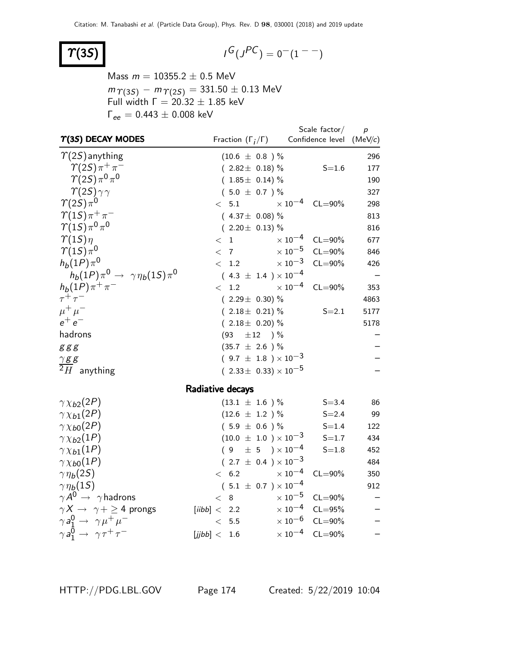## $\Upsilon(3S)$

$$
I^G(J^{PC}) = 0^-(1^{--})
$$

Mass  $m = 10355.2 \pm 0.5$  MeV  $m_{\, \Upsilon(3S)} \,-\, m_{\, \Upsilon(2S)} = 331.50 \pm 0.13 \; \textrm{MeV}$ Full width  $\Gamma = 20.32 \pm 1.85$  keV  $Γ_{ee} = 0.443 ± 0.008$  keV

| $T(3S)$ DECAY MODES                               | Fraction $(\Gamma_i/\Gamma)$     | Scale $factor/$<br>Confidence level (MeV/c) | $\boldsymbol{p}$ |
|---------------------------------------------------|----------------------------------|---------------------------------------------|------------------|
| $\Upsilon(2S)$ anything                           | $(10.6 \pm 0.8) \%$              |                                             | 296              |
| $\gamma(2S)\pi^+\pi^-$                            | $(2.82 \pm 0.18)\%$              | $S = 1.6$                                   | 177              |
| $\gamma(2S)\pi^{0}\pi^{0}$                        | $(1.85 \pm 0.14)\%$              |                                             | 190              |
| $\gamma(2S)\gamma\gamma$                          | $(5.0 \pm 0.7)$ %                |                                             | 327              |
| $\gamma(2S)\pi^{0}$                               | $<$ 5.1                          | $\times$ 10 $^{-4}$<br>$CL = 90\%$          | 298              |
| $\gamma(1S)\pi^+\pi^-$                            | $(4.37 \pm 0.08)\%$              |                                             | 813              |
| $\gamma(1S)\pi^{0}\pi^{0}$                        | $(2.20 \pm 0.13)\%$              |                                             | 816              |
| $\gamma(1S)\eta$                                  | < 1                              | $\times$ 10 $^{-4}$<br>$CL = 90\%$          | 677              |
| $\gamma_{(1S)\pi^0}$                              | < 7                              | $\times$ 10 $^{-5}$<br>$CL = 90\%$          | 846              |
| $h_b(1P)\pi^0$                                    | < 1.2                            | $\times$ 10 $^{-3}$<br>$CL = 90\%$          | 426              |
| $h_b(1P)\pi^0 \rightarrow \gamma \eta_b(1S)\pi^0$ | $(4.3 \pm 1.4) \times 10^{-4}$   |                                             |                  |
| $h_b(1P)\pi^+\pi^-$                               | 1.2<br>$\lt$                     | $\times$ 10 $^{-4}$<br>$CL = 90\%$          | 353              |
| $\tau^+\tau^-$                                    | $(2.29 \pm 0.30)$ %              |                                             | 4863             |
| $\mu^+ \mu^-$                                     | $(2.18 \pm 0.21)\%$              | $S = 2.1$                                   | 5177             |
| $e^+e^-$                                          | $(2.18 \pm 0.20)\%$              |                                             | 5178             |
| hadrons                                           | $\pm 12$ ) %<br>(93)             |                                             |                  |
| g g g                                             | $(35.7 \pm 2.6) \%$              |                                             |                  |
| $\gamma g g$                                      | $(9.7 \pm 1.8) \times 10^{-3}$   |                                             |                  |
| $\overline{^2H}$ anything                         | $(2.33 \pm 0.33) \times 10^{-5}$ |                                             |                  |
|                                                   | Radiative decays                 |                                             |                  |
| $\gamma \chi_{b2}(2P)$                            | $(13.1 \pm 1.6) \%$              | $S = 3.4$                                   | 86               |
| $\gamma \chi_{b1}(2P)$                            | $(12.6 \pm 1.2) \%$              | $S = 2.4$                                   | 99               |
| $\gamma \chi_{b0}(2P)$                            | $(5.9 \pm 0.6) \%$               | $S = 1.4$                                   | 122              |
| $\gamma \chi_{b2}(1P)$                            | $(10.0 \pm 1.0) \times 10^{-3}$  | $S = 1.7$                                   | 434              |
| $\gamma \chi_{b1}(1P)$                            | $(9 \pm 5) \times 10^{-4}$       | $S = 1.8$                                   | 452              |
| $\gamma \chi_{b0}(1P)$                            | $(2.7 \pm 0.4) \times 10^{-3}$   |                                             | 484              |
| $\gamma\eta_b(2S)$                                | < 6.2                            | $\times$ $10^{-4}$<br>$CL = 90\%$           | 350              |
| $\gamma\eta_b(1S)$                                | $(5.1 \pm 0.7) \times 10^{-4}$   |                                             | 912              |
| $\gamma A^0 \rightarrow \gamma$ hadrons           | < 8                              | $\times$ 10 $^{-5}$<br>$CL = 90\%$          |                  |
| $\gamma X \rightarrow \gamma + \geq 4$ prongs     | [iibb] < 2.2                     | $\times$ 10 $^{-4}$<br>$CL = 95%$           |                  |
| $\gamma a_1^0 \rightarrow \gamma \mu^+ \mu^-$     | < 5.5                            | $\times$ 10 $^{-6}$<br>$CL = 90\%$          |                  |
| $\gamma a_1^0 \rightarrow \gamma \tau^+ \tau^-$   | [jjbb] < 1.6                     | $\times$ 10 <sup>-4</sup><br>$CL = 90\%$    |                  |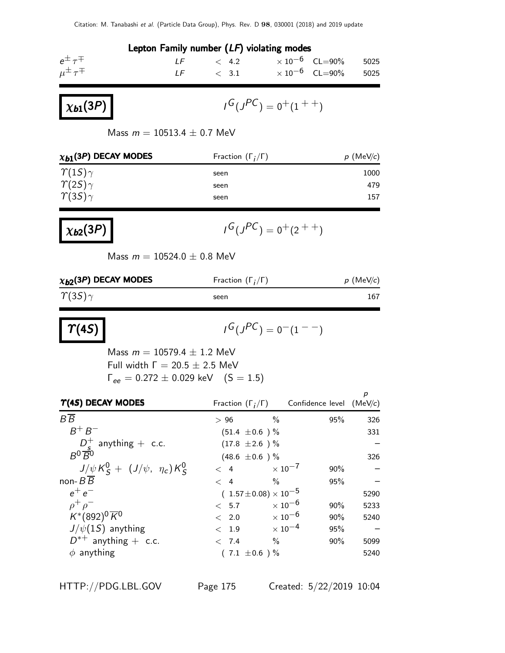|                                                                                                                                              | Lepton Family number $(LF)$ violating modes                                          |                                                                                                                 |                                 |                              |
|----------------------------------------------------------------------------------------------------------------------------------------------|--------------------------------------------------------------------------------------|-----------------------------------------------------------------------------------------------------------------|---------------------------------|------------------------------|
| $e^{\pm} \tau^{\mp}$<br>$\mu^{\pm} \tau^{\mp}$                                                                                               | LF $< 4.2 \times 10^{-6}$ CL=90%<br>LF $\,\times$ 3.1 $\times 10^{-6}$ CL=90%        |                                                                                                                 |                                 | 5025<br>5025                 |
| $\chi_{b1}(3P)$                                                                                                                              |                                                                                      | $I^G(J^{PC}) = 0^+(1^{++})$                                                                                     |                                 |                              |
| Mass $m = 10513.4 \pm 0.7$ MeV                                                                                                               |                                                                                      |                                                                                                                 |                                 |                              |
| $x_{b1}$ (3P) DECAY MODES                                                                                                                    | Fraction $(\Gamma_i/\Gamma)$                                                         |                                                                                                                 |                                 | $p$ (MeV/c)                  |
| $\gamma(1S)\gamma$<br>$\gamma(2S)\gamma$<br>$\gamma(35)\gamma$                                                                               | seen<br>seen<br>seen                                                                 |                                                                                                                 |                                 | 1000<br>479<br>157           |
| $\chi_{b2}(3P)$                                                                                                                              |                                                                                      | $I^G(J^{PC}) = 0^+(2^{++})$                                                                                     |                                 |                              |
| Mass $m = 10524.0 \pm 0.8$ MeV                                                                                                               |                                                                                      |                                                                                                                 |                                 |                              |
| $\chi_{b2}$ (3P) DECAY MODES                                                                                                                 | Fraction $(\Gamma_i/\Gamma)$                                                         |                                                                                                                 |                                 | $p$ (MeV/c)                  |
| $\gamma(35)\gamma$                                                                                                                           | seen                                                                                 |                                                                                                                 |                                 | 167                          |
| $\mid$ $\Upsilon(4S)$                                                                                                                        |                                                                                      | $I^G(J^{PC})=0^{-}(1^{--})$                                                                                     |                                 |                              |
| Mass $m = 10579.4 \pm 1.2$ MeV<br>Full width $\Gamma = 20.5 \pm 2.5$ MeV<br>$\Gamma_{ee} = 0.272 \pm 0.029 \text{ keV}$ (S = 1.5)            |                                                                                      |                                                                                                                 |                                 |                              |
| $\Upsilon(45)$ DECAY MODES                                                                                                                   | Fraction $(\Gamma_i/\Gamma)$ Confidence level (MeV/c)                                |                                                                                                                 |                                 | р                            |
| $B\overline{B}$<br>$B^+B^-$<br>$D_{\underline{s}}^{+}$ anything + c.c.<br>$B^{0}\overline{B}^{0}$<br>$J/\psi K_S^0 + (J/\psi, \eta_c) K_S^0$ | >96<br>$(51.4 \pm 0.6)$ %<br>$(17.8 \pm 2.6)$ %<br>$(48.6 \pm 0.6)$ %<br>$\langle 4$ | $\frac{0}{0}$<br>$\times$ 10 <sup>-7</sup>                                                                      | 95%<br>90%                      | 326<br>331<br>326            |
| non- $B$ $B$<br>$e^+e^-$<br>$\rho^+ \rho^-$<br>$K^{*}(892)^{0} \overline{K}^{0}$<br>$J/\psi(1S)$ anything<br>$D^{*+}$ anything + c.c.        | $\lt$ 4<br>$(1.57 \pm 0.08) \times 10^{-5}$<br>< 5.7<br>< 2.0<br>< 1.9<br>< 7.4      | $\frac{0}{0}$<br>$\times$ 10 <sup>-6</sup><br>$\times$ 10 $^{-6}$<br>$\times$ 10 <sup>-4</sup><br>$\frac{0}{0}$ | 95%<br>90%<br>90%<br>95%<br>90% | 5290<br>5233<br>5240<br>5099 |
| $\phi$ anything                                                                                                                              | $(7.1 \pm 0.6) \%$                                                                   |                                                                                                                 |                                 | 5240                         |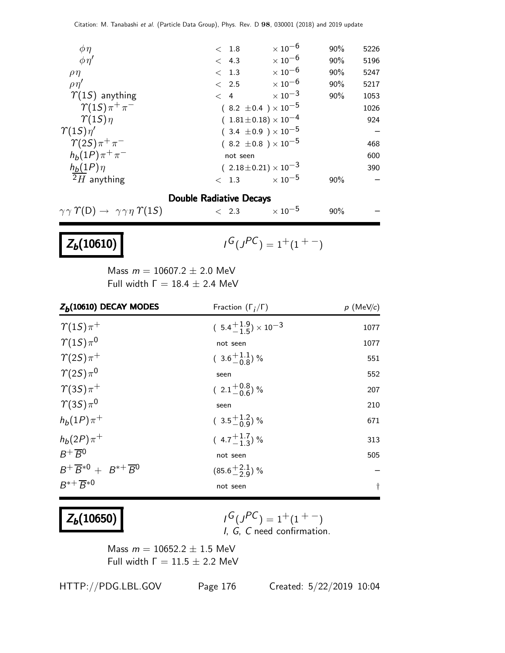| $\phi\eta$               | < 1.8                            | $\times$ 10 $^{-6}$       | 90% | 5226 |
|--------------------------|----------------------------------|---------------------------|-----|------|
| $\phi \eta'$             | < 4.3                            | $\times$ 10 $^{-6}$       | 90% | 5196 |
| $\rho\eta$               | < 1.3                            | $\times$ 10 $^{-6}$       | 90% | 5247 |
| $\rho\eta'$              | $\langle$ 2.5                    | $\times$ 10 <sup>-6</sup> | 90% | 5217 |
| $\Upsilon(15)$ anything  | $\lt$ 4                          | $\times$ 10 $^{-3}$       | 90% | 1053 |
| $\gamma(1S)\pi^+\pi^-$   | $(8.2 \pm 0.4) \times 10^{-5}$   |                           |     | 1026 |
| $\gamma(1S)\eta$         | $(1.81 \pm 0.18) \times 10^{-4}$ |                           |     | 924  |
| $\gamma(1S)\eta'$        | $(3.4 \pm 0.9) \times 10^{-5}$   |                           |     |      |
| $\gamma(2S)\pi^+\pi^-$   | $(8.2 \pm 0.8) \times 10^{-5}$   |                           |     | 468  |
| $h_b(1P)\pi^+\pi^-$      | not seen                         |                           |     | 600  |
| $h_b(1P)\eta$            | $(2.18\pm0.21)\times10^{-3}$     |                           |     | 390  |
| $\overline{2}H$ anything | < 1.3                            | $\times$ 10 <sup>-5</sup> | 90% |      |
|                          |                                  |                           |     |      |

#### Double Radiative Decays

 $\gamma \gamma \Upsilon(D) \rightarrow \gamma \gamma \eta \Upsilon(15)$  < 2.3  $\times 10^{-5}$  90%

## $Z_b(10610)$

 $G(J^{PC}) = 1+(1^{+}-)$ 

Mass  $m = 10607.2 \pm 2.0$  MeV Full width  $Γ = 18.4 ± 2.4$  MeV

| $Z_b(10610)$ DECAY MODES                    | Fraction $(\Gamma_i/\Gamma)$         | $p$ (MeV/c) |
|---------------------------------------------|--------------------------------------|-------------|
| $\gamma(1S)\pi^+$                           | $(5.4^{+1.9}_{-1.5}) \times 10^{-3}$ | 1077        |
| $\gamma_{(1S)\pi^0}$                        | not seen                             | 1077        |
| $\gamma(2S)\pi^+$                           | $(3.6\frac{+1.1}{-0.8})$ %           | 551         |
| $\gamma(2S)\pi^{0}$                         | seen                                 | 552         |
| $\gamma(3S)\pi^+$                           | $(2.1^{+0.8}_{-0.6})$ %              | 207         |
| $\gamma(3S)\pi^0$                           | seen                                 | 210         |
| $h_b(1P)\pi^+$                              | $(3.5\frac{+1.2}{-0.9})%$            | 671         |
| $h_b(2P)\pi^+$                              | $(4.7^{+1.7}_{-1.3})\%$              | 313         |
| $B^+\overline{B}{}^0$                       | not seen                             | 505         |
| $B^+\overline{B}^{*0}+B^{*+}\overline{B}^0$ | $(85.6^{+2.1}_{-2.9})$ %             |             |
| $B^{*+} \overline{B}^{*0}$                  | not seen                             | $^\dagger$  |

## $Z_b(10650)$

$$
I^G(J^{PC}) = 1^+(1^{+-})
$$
  
I, G, C need confirmation.

Mass  $m = 10652.2 \pm 1.5$  MeV Full width  $Γ = 11.5 ± 2.2$  MeV

HTTP://PDG.LBL.GOV Page 176 Created: 5/22/2019 10:04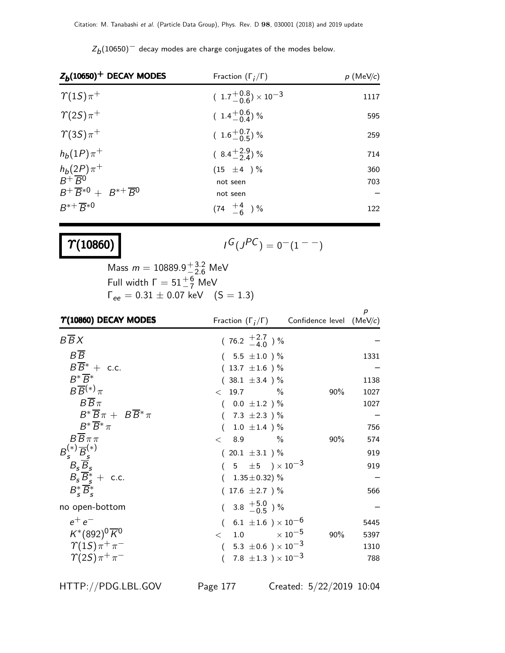| $Z_b(10650)^+$ DECAY MODES<br>Fraction $(\Gamma_i/\Gamma)$ |                                         | $p$ (MeV/c)       |
|------------------------------------------------------------|-----------------------------------------|-------------------|
| $\gamma_{(1S)\pi^+}$                                       | $(1.7\frac{+0.8}{-0.6}) \times 10^{-3}$ | 1117              |
| $\gamma(2S)\pi^+$                                          | $(1.4\frac{+0.6}{-0.4})\%$              | 595               |
| $\gamma(3S)\pi^+$                                          | $(1.6\substack{+0.7\\-0.5})$ %          | 259               |
| $h_b(1P)\pi^+$                                             | $(8.4\frac{+2.9}{2.4})\%$               | 714               |
| $\frac{h_b(2P)}{B^+B^0}\pi^+$                              | $(15 \pm 4) \%$                         | 360               |
|                                                            | not seen                                | 703               |
| $B^+\overline{B}^{*0}+B^{*+}\overline{B}^0$                | not seen                                | $\qquad \qquad -$ |
| $B^{*+} \overline{B}^{*0}$                                 | $(74 \tfrac{+4}{-6})\%$                 | 122               |

 $Z_{\small{b}}(10650)^{-1}$  decay modes are charge conjugates of the modes below.

## $\gamma_{(10860)}$

$$
I^G(J^{PC})=0^-(1^{--})
$$

Mass  $m = 10889.9^{+3.2}_{-2.6}$  MeV Full width  $\Gamma = 51^{+6}_{-7}$  MeV  $\Gamma_{ee} = 0.31 \pm 0.07 \text{ keV}$  (S = 1.3)

| $\Upsilon(10860)$ DECAY MODES                          | Fraction $(\Gamma_i/\Gamma)$ Confidence level (MeV/c)       |        | p    |
|--------------------------------------------------------|-------------------------------------------------------------|--------|------|
| $B\overline{B}X$                                       | $(76.2 \pm 2.7)$ %                                          |        |      |
| $B\overline{B}$                                        | $(5.5 \pm 1.0) \%$                                          |        | 1331 |
| $B\overline{B}^* +$ c.c.                               | $(13.7 \pm 1.6)$ %                                          |        |      |
| $R^*\overline{R}^*$                                    | $(38.1 \pm 3.4)$ %                                          |        | 1138 |
| $B\overline{B}^{(*)}\pi$                               | $< 19.7$ %                                                  | $90\%$ | 1027 |
| $B\overline{B}\pi$                                     | $(0.0 \pm 1.2)$ %                                           |        | 1027 |
| $B^* \overline{B} \pi + B \overline{B}^* \pi$          | $(7.3 \pm 2.3)$ %                                           |        |      |
| $B^*\overline{B}^*\pi$                                 | $1.0 \pm 1.4$ )%                                            |        | 756  |
| $B\overline{B}\pi\pi$                                  | < 8.9<br>$\%$                                               | $90\%$ | 574  |
|                                                        | $(20.1 \pm 3.1)$ %                                          |        | 919  |
| $B_s^{(*)} \overline{B}_s^{(*)} \\ B_s \overline{B}_s$ | $(5 \pm 5) \times 10^{-3}$                                  |        | 919  |
| $B_s \overline{B}_s^* + \text{ c.c.}$                  | $(1.35 \pm 0.32)$ %                                         |        |      |
| $B_{\epsilon}^* \overline{B}_{\epsilon}^*$             | $(17.6 \pm 2.7)$ %                                          |        | 566  |
| no open-bottom                                         | $(3.8 \tfrac{+5.0}{-0.5})\%$                                |        |      |
| $e^+e^-$                                               | $(6.1 \pm 1.6) \times 10^{-6}$                              |        | 5445 |
| $K^*(892)^0\overline{K}^0$                             | $<$ 1.0 $\times 10^{-5}$                                    | 90%    | 5397 |
| $\gamma(1S)\pi^+\pi^-$                                 | 5.3 $\pm$ 0.6 $\mathrm{)}\times10^{-3}$<br>$\overline{(\ }$ |        | 1310 |
| $\gamma(2S)\pi^+\pi^-$                                 | 7.8 $\pm 1.3$ ) $\times 10^{-3}$                            |        | 788  |

HTTP://PDG.LBL.GOV Page 177 Created: 5/22/2019 10:04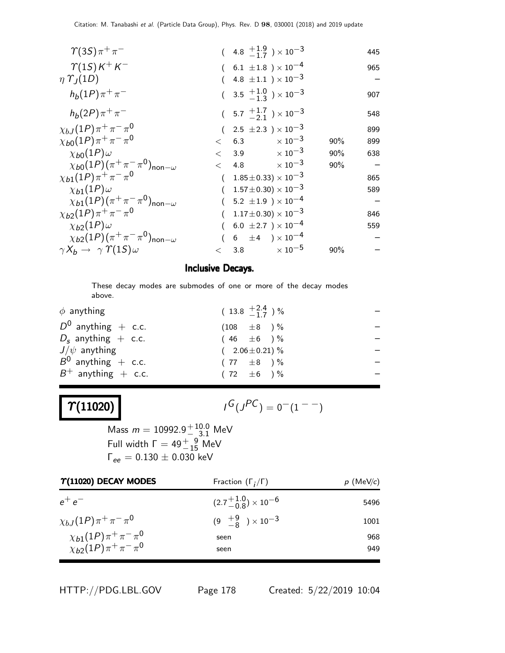| $\gamma(35)\pi^{+}\pi^{-}$                                 |       |           | $(4.8 \frac{+1.9}{-1.7}) \times 10^{-3}$          |     | 445 |
|------------------------------------------------------------|-------|-----------|---------------------------------------------------|-----|-----|
| $\gamma(1S)K^+K^-$                                         |       |           | $(6.1 \pm 1.8) \times 10^{-4}$                    |     | 965 |
| $\eta \Upsilon_I(1D)$                                      |       |           | 4.8 $\pm1.1$ $)\times10^{-3}$                     |     |     |
| $h_b(1P)\pi^+\pi^-$                                        |       |           | $(3.5 \frac{+1.0}{-1.3}) \times 10^{-3}$          |     | 907 |
| $h_b(2P)\pi^+\pi^-$                                        |       |           | $(5.7 \frac{+1.7}{-2.1}) \times 10^{-3}$          |     | 548 |
| $\chi_{bJ}(1P)\pi^+\pi^-\pi^0$                             |       |           | $(2.5 \pm 2.3) \times 10^{-3}$                    |     | 899 |
| $\chi_{b0}(1P)\pi^+\pi^-\pi^0$                             |       | $\lt$ 6.3 | $\times$ 10 $^{-3}$                               | 90% | 899 |
| $\chi_{b0}(1P)\omega$                                      |       |           | $< 3.9 \times 10^{-3}$                            | 90% | 638 |
| $\chi_{b0}(1P)(\pi^+\pi^-\pi^0)_{\text{non}-\omega}$       | $\lt$ | 4.8       | $\times$ 10 $^{-3}$                               | 90% |     |
| $\chi_{b1}(1P)\pi^{+}\pi^{-}\pi^{0}$                       |       |           | $(1.85\pm0.33)\times10^{-3}$                      |     | 865 |
| $\chi_{b1}(1P)\omega$                                      |       |           | $1.57\!\pm\!0.30)\times10^{-3}$                   |     | 589 |
| $\chi_{b1}(1P)(\pi^{+}\pi^{-}\pi^{0})_{\text{non}-\omega}$ |       |           | $5.2 \pm 1.9$ ) $\times\,10^{-4}$                 |     |     |
| $\chi_{b2}(1P)\pi^+\pi^-\pi^0$                             |       |           | $1.17 \pm 0.30 \times 10^{-3}$                    |     | 846 |
| $\chi_{b2}(1P)\omega$                                      |       |           | 6.0 $\pm 2.7$ ) $\times 10^{-4}$                  |     | 559 |
| $\chi_{b2}(1P)(\pi^+\pi^-\pi^0)_{\text{non}-\omega}$       |       |           | $6\phantom{.0} \pm 4\phantom{.0} )\times 10^{-4}$ |     |     |
| $\gamma X_b \rightarrow \gamma \Upsilon(15) \omega$        | $\lt$ |           | 3.8 $\times 10^{-5}$                              | 90% |     |

#### Inclusive Decays.

These decay modes are submodes of one or more of the decay modes above.

| $(13.8 \tfrac{+2.4}{-1.7})\%$ |
|-------------------------------|
| $(108 \pm 8)$ %               |
| $(46 \pm 6)$ %                |
| $(2.06 \pm 0.21)$ %           |
| $(77 \pm 8)$ %                |
| $(72 \pm 6) \%$               |
|                               |

# $\boxed{\gamma(11020)}$

$$
I^G(J^{PC})=0^-(1^{--})
$$

Mass  $m = 10992.9^{+10.0}_{-8.1}$  MeV Full width  $\Gamma = 49^{+9}_{-15}$  MeV  $\Gamma_{ee} = 0.130 \pm 0.030$  keV

| $\Upsilon(11020)$ DECAY MODES        | Fraction $(\Gamma_i/\Gamma)$       | $p$ (MeV/c) |
|--------------------------------------|------------------------------------|-------------|
| $e^+e^-$                             | $(2.7^{+1.0}_{-0.8})\times10^{-6}$ | 5496        |
| $\chi_{bJ}(1P)\pi^+\pi^-\pi^0$       | $(9 \frac{+9}{-8}) \times 10^{-3}$ | 1001        |
| $\chi_{b1}(1P)\pi^{+}\pi^{-}\pi^{0}$ | seen                               | 968         |
| $\chi_{b2}(1P)\pi^+\pi^-\pi^0$       | seen                               | 949         |

HTTP://PDG.LBL.GOV Page 178 Created: 5/22/2019 10:04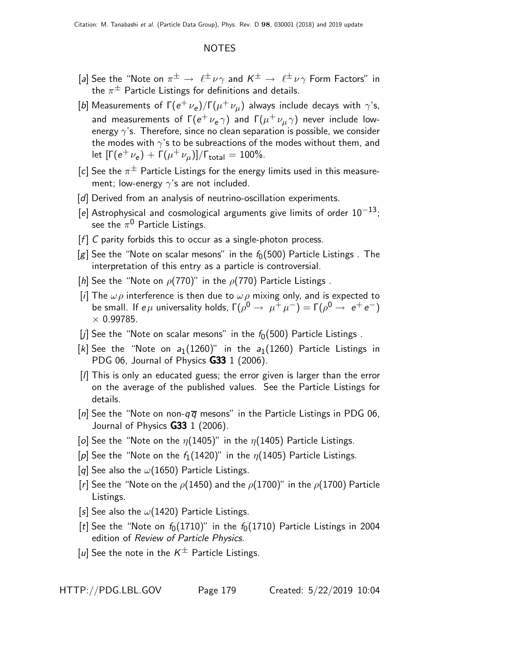#### NOTES

- [a] See the "Note on  $\pi^{\pm} \to \ell^{\pm} \nu \gamma$  and  $K^{\pm} \to \ell^{\pm} \nu \gamma$  Form Factors" in the  $\pi^{\pm}$  Particle Listings for definitions and details.
- [b] Measurements of  $\Gamma(e^+\nu_e)/\Gamma(\mu^+\nu_\mu)$  always include decays with  $\gamma$ 's, and measurements of  $\mathsf{\Gamma}(e^+\nu_e\gamma)$  and  $\mathsf{\Gamma}(\mu^+\nu_{\mu}\gamma)$  never include lowenergy  $\gamma$ 's. Therefore, since no clean separation is possible, we consider the modes with  $\gamma$ 's to be subreactions of the modes without them, and let  $[\Gamma(e^+ \nu_e) + \Gamma(\mu^+ \nu_\mu)]/\Gamma_{\rm total} = 100\%.$
- [c] See the  $\pi^{\pm}$  Particle Listings for the energy limits used in this measurement; low-energy  $\gamma$ 's are not included.
- [d] Derived from an analysis of neutrino-oscillation experiments.
- [e] Astrophysical and cosmological arguments give limits of order  $10^{-13}$ ; see the  $\pi^0$  Particle Listings.
- $[f]$  C parity forbids this to occur as a single-photon process.
- [g] See the "Note on scalar mesons" in the  $f_0(500)$  Particle Listings. The interpretation of this entry as a particle is controversial.
- [h] See the "Note on  $\rho(770)$ " in the  $\rho(770)$  Particle Listings.
- [i] The  $\omega \rho$  interference is then due to  $\omega \rho$  mixing only, and is expected to be small. If  $e\mu$  universality holds,  $\Gamma(\rho^0 \to \mu^+ \mu^-) = \Gamma(\rho^0 \to e^+ e^-)$  $\times$  0.99785.
- [j] See the "Note on scalar mesons" in the  $f_0(500)$  Particle Listings.
- [k] See the "Note on  $a_1(1260)$ " in the  $a_1(1260)$  Particle Listings in PDG 06, Journal of Physics **G33** 1 (2006).
- [l] This is only an educated guess; the error given is larger than the error on the average of the published values. See the Particle Listings for details.
- [n] See the "Note on non- $q\bar{q}$  mesons" in the Particle Listings in PDG 06, Journal of Physics  $G33$  1 (2006).
- [o] See the "Note on the  $\eta$ (1405)" in the  $\eta$ (1405) Particle Listings.
- [p] See the "Note on the  $f_1(1420)$ " in the  $\eta(1405)$  Particle Listings.
- [q] See also the  $\omega(1650)$  Particle Listings.
- [r] See the "Note on the  $\rho$ (1450) and the  $\rho$ (1700)" in the  $\rho$ (1700) Particle Listings.
- [s] See also the  $\omega(1420)$  Particle Listings.
- [t] See the "Note on  $f_0(1710)$ " in the  $f_0(1710)$  Particle Listings in 2004 edition of Review of Particle Physics.
- [u] See the note in the  $K^{\pm}$  Particle Listings.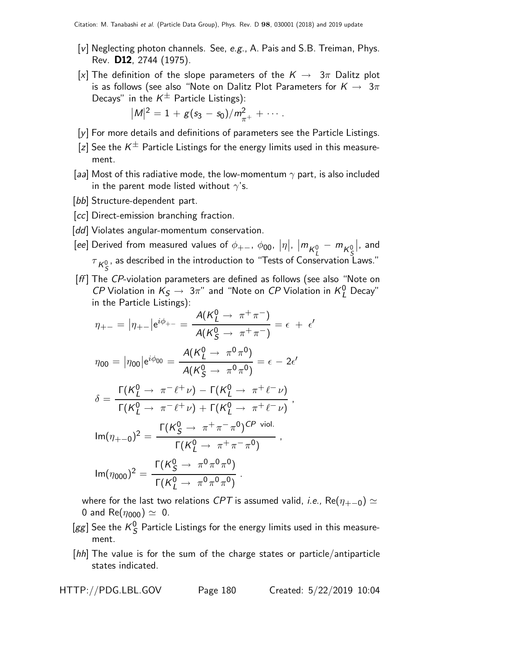- $[v]$  Neglecting photon channels. See, e.g., A. Pais and S.B. Treiman, Phys. Rev. D12, 2744 (1975).
- [x] The definition of the slope parameters of the  $K \to 3\pi$  Dalitz plot is as follows (see also "Note on Dalitz Plot Parameters for  $K \rightarrow 3\pi$ Decays" in the  $K^{\pm}$  Particle Listings):

$$
|M|^2 = 1 + g(s_3 - s_0)/m_{\pi^+}^2 + \cdots.
$$

- [y] For more details and definitions of parameters see the Particle Listings.
- [z] See the  $K^{\pm}$  Particle Listings for the energy limits used in this measurement.
- [aa] Most of this radiative mode, the low-momentum  $\gamma$  part, is also included in the parent mode listed without  $\gamma$ 's.
- [bb] Structure-dependent part.
- [cc] Direct-emission branching fraction.
- [dd] Violates angular-momentum conservation.

 $[ee]$  Derived from measured values of  $\phi_{+-},\ \phi_{00},\ |\eta|,\ |\boldsymbol{m_{K^0_I}}- \boldsymbol{m_{K^0_S}}|,$  and  $\tau_{K^0_S}$ , as described in the introduction to "Tests of Conservation I , as described in the introduction to "Tests of Conservation Laws."

[ff] The CP-violation parameters are defined as follows (see also "Note on *CP* Violation in  $K_S \to 3\pi$ " and "Note on *CP* Violation in  $K_L^0$  Decay" in the Particle Listings):

$$
\eta_{+-} = |\eta_{+-}| e^{i\phi_{+-}} = \frac{A(K_L^0 \to \pi^+ \pi^-)}{A(K_S^0 \to \pi^+ \pi^-)} = \epsilon + \epsilon
$$

$$
\eta_{00} = |\eta_{00}| e^{i\phi_{00}} = \frac{A(K_L^0 \to \pi^0 \pi^0)}{A(K_S^0 \to \pi^0 \pi^0)} = \epsilon - 2\epsilon'
$$

$$
\delta = \frac{\Gamma(K_L^0 \to \pi^- \ell^+ \nu) - \Gamma(K_L^0 \to \pi^+ \ell^- \nu)}{\Gamma(K_L^0 \to \pi^- \ell^+ \nu) + \Gamma(K_L^0 \to \pi^+ \ell^- \nu)},
$$

$$
\text{Im}(\eta_{+-0})^2 = \frac{\Gamma(K_S^0 \to \pi^+ \pi^- \pi^0)^{\text{CP viol.}}}{\Gamma(K_L^0 \to \pi^+ \pi^- \pi^0)},
$$

$$
\text{Im}(\eta_{000})^2 = \frac{\Gamma(K_S^0 \to \pi^0 \pi^0 \pi^0)}{\Gamma(K_L^0 \to \pi^0 \pi^0 \pi^0)}.
$$

where for the last two relations CPT is assumed valid, *i.e.*, Re( $\eta_{+-0}$ )  $\simeq$ 0 and Re( $\eta_{000}$ )  $\simeq$  0.

- $[gg]$  See the  $K^0_S$  $S<sub>S</sub>$  Particle Listings for the energy limits used in this measurement.
- [hh] The value is for the sum of the charge states or particle/antiparticle states indicated.

 $\epsilon'$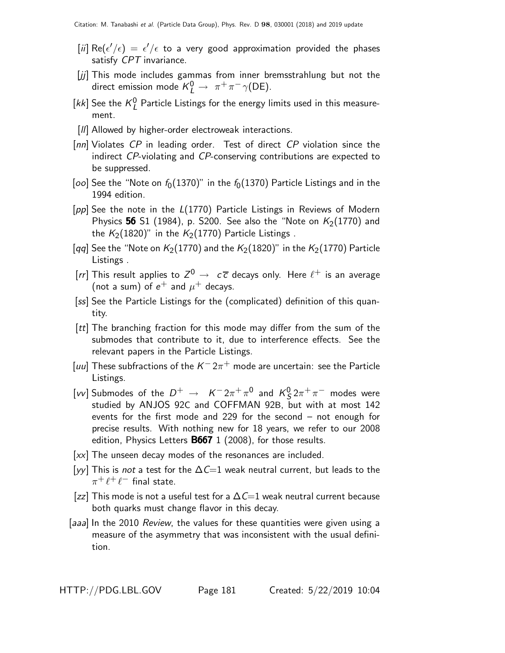- $[\widetilde{\mu}] \ \mathsf{Re}(\epsilon'/\epsilon) \, = \, \epsilon'/\epsilon$  to a very good approximation provided the phases satisfy CPT invariance.
- [jj] This mode includes gammas from inner bremsstrahlung but not the direct emission mode  $K_L^0 \rightarrow \pi^+ \pi^- \gamma(\text{DE}).$
- [kk] See the  $K_I^0$  $_{L}^{0}$  Particle Listings for the energy limits used in this measurement.
- [II] Allowed by higher-order electroweak interactions.
- [nn] Violates CP in leading order. Test of direct CP violation since the indirect CP-violating and CP-conserving contributions are expected to be suppressed.
- [oo] See the "Note on  $f_0(1370)$ " in the  $f_0(1370)$  Particle Listings and in the 1994 edition.
- [pp] See the note in the L(1770) Particle Listings in Reviews of Modern Physics 56 S1 (1984), p. S200. See also the "Note on  $K_2(1770)$  and the  $K_2(1820)$ " in the  $K_2(1770)$  Particle Listings.
- [qq] See the "Note on  $K_2(1770)$  and the  $K_2(1820)$ " in the  $K_2(1770)$  Particle Listings .
- [rr] This result applies to  $Z^0 \rightarrow c\overline{c}$  decays only. Here  $\ell^+$  is an average (not a sum) of  $e^+$  and  $\mu^+$  decays.
- [ss] See the Particle Listings for the (complicated) definition of this quantity.
- [tt] The branching fraction for this mode may differ from the sum of the submodes that contribute to it, due to interference effects. See the relevant papers in the Particle Listings.
- [uu] These subfractions of the  $K^- 2\pi^+$  mode are uncertain: see the Particle Listings.
- [*vv*] Submodes of the  $D^+ \rightarrow K^- 2\pi^+ \pi^0$  and  $K^0$  $\frac{0}{5}2\pi^+\pi^-$  modes were studied by ANJOS 92C and COFFMAN 92B, but with at most 142 events for the first mode and 229 for the second – not enough for precise results. With nothing new for 18 years, we refer to our 2008 edition, Physics Letters B667 1 (2008), for those results.
- [xx] The unseen decay modes of the resonances are included.
- [yy] This is not a test for the  $\Delta C=1$  weak neutral current, but leads to the  $\pi^+\ell^+\ell^-$  final state.
- [zz] This mode is not a useful test for a  $\Delta \mathcal{C}=1$  weak neutral current because both quarks must change flavor in this decay.
- [aaa] In the 2010 Review, the values for these quantities were given using a measure of the asymmetry that was inconsistent with the usual definition.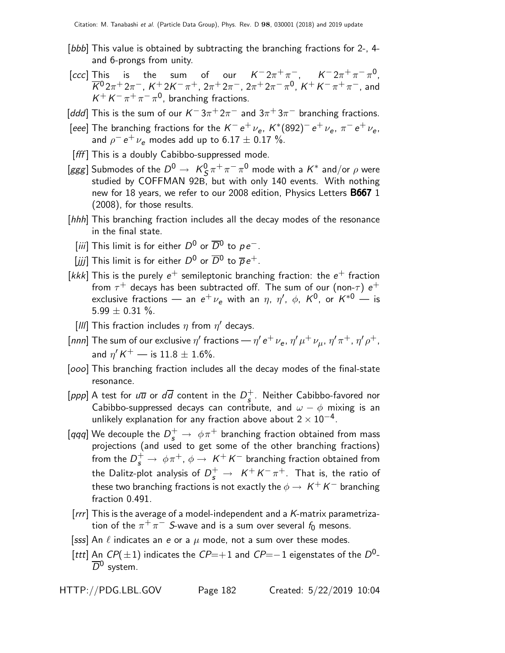- [*bbb*] This value is obtained by subtracting the branching fractions for 2-, 4and 6-prongs from unity.
- [ccc] This is the sum of our  $K^- 2\pi^+\pi^-, \quad K^- 2\pi^+\pi^-\pi^0,$  $\overline{K}{}^0 2\pi^+ 2\pi^-,~K^+ 2K^- \pi^+,~2\pi^+ 2\pi^-,~2\pi^+ 2\pi^- \pi^0,~K^+K^- \pi^+ \pi^-,$  and  $K^+ K^- \pi^+ \pi^- \pi^0$ , branching fractions.
- [ddd] This is the sum of our  $K^-3\pi^+2\pi^-$  and  $3\pi^+3\pi^-$  branching fractions.
- [eee] The branching fractions for the  $K^- \, e^+ \, \nu_e$ ,  $K^*(892)^- \, e^+ \, \nu_e$ ,  $\pi^- \, e^+ \, \nu_e$ , and  $\rho^ e^+$   $\nu_e$  modes add up to 6.17  $\pm$  0.17 %.
- [fff] This is a doubly Cabibbo-suppressed mode.
- [ggg] Submodes of the  $D^0 \rightarrow K_S^0$  $\frac{0}{S} \pi^+ \pi^- \pi^0$  mode with a  $K^*$  and/or  $\rho$  were studied by COFFMAN 92B, but with only 140 events. With nothing new for 18 years, we refer to our 2008 edition, Physics Letters **B667** 1 (2008), for those results.
- [hhh] This branching fraction includes all the decay modes of the resonance in the final state.
	- [iii] This limit is for either  $D^0$  or  $\overline{D}{}^0$  to  $\rho\, e^-$ .
	- $[jjj]$  This limit is for either  $D^0$  or  $\overline{D}{}^0$  to  $\overline{\rho}\, e^+$ .
- [kkk] This is the purely  $e^+$  semileptonic branching fraction: the  $e^+$  fraction from  $\tau^+$  decays has been subtracted off. The sum of our (non- $\tau)$   $e^+$ exclusive fractions — an  $e^+ \, \nu_e$  with an  $\eta$ ,  $\eta'$ ,  $\phi$ ,  $K^0$ , or  $K^{*0}$  — is 5.99  $\pm$  0.31 %.
	- [III] This fraction includes  $\eta$  from  $\eta'$  decays.
- $[nnn]$  The sum of our exclusive  $\eta'$  fractions  $\eta'$  e $^+$   $\nu_{\sf e}$ ,  $\eta'$   $\mu^+$   $\nu_{\mu}$ ,  $\eta'$   $\pi^+$ ,  $\eta'$   $\rho^+$ , and  $\eta' K^+$  — is  $11.8 \pm 1.6\%$ .
- [ $000$ ] This branching fraction includes all the decay modes of the final-state resonance.
- [ppp] A test for  $u\overline{u}$  or  $d\overline{d}$  content in the  $D_s^+$  $\frac{1}{5}$ . Neither Cabibbo-favored nor Cabibbo-suppressed decays can contribute, and  $\omega - \phi$  mixing is an unlikely explanation for any fraction above about  $2\times10^{-4}$ .
- [qqq] We decouple the  $D_s^+ \rightarrow~\phi \pi^+$  branching fraction obtained from mass projections (and used to get some of the other branching fractions) from the  $D_s^+ \rightarrow~ \phi \pi^+, \, \phi \rightarrow~ K^+ \, K^-$  branching fraction obtained from the Dalitz-plot analysis of  $D_s^+ \,\rightarrow\,\ K^+ \,K^- \, \pi^+. \,$  That is, the ratio of these two branching fractions is not exactly the  $\phi \to K^+K^-$  branching fraction 0.491.
- $[rrr]$  This is the average of a model-independent and a K-matrix parametrization of the  $\pi^+\pi^-$  S-wave and is a sum over several  $f_0$  mesons.
- [sss] An  $\ell$  indicates an e or a  $\mu$  mode, not a sum over these modes.
- [ttt] An CP(±1) indicates the CP=+1 and CP=−1 eigenstates of the D<sup>0</sup>- $\overline{D}{}^0$  system.

```
HTTP://PDG.LBL.GOV Page 182 Created: 5/22/2019 10:04
```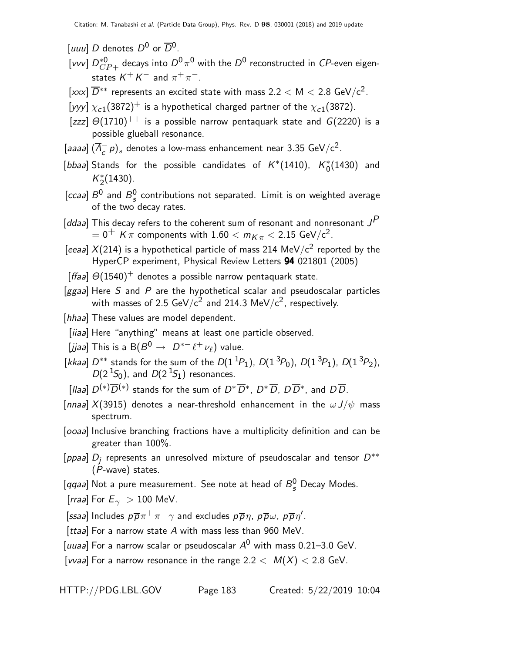[uuu] D denotes  $D^0$  or  $\overline{D}{}^0$ .

- [vvv]  $D_{CP+}^{*0}$  decays into  $D^0 \, \pi^0$  with the  $D^0$  reconstructed in  $CP$ -even eigenstates  $\mathcal{K}^+ \, \mathcal{K}^-$  and  $\pi^+ \, \pi^-$ .
- [xxx]  $\overline{D}^{**}$  represents an excited state with mass 2.2  $<$  M  $<$  2.8 GeV/c<sup>2</sup>.
- [yyy]  $\chi_{c1}(3872)^+$  is a hypothetical charged partner of the  $\chi_{c1}(3872)$ .
- [zzz]  $\Theta(1710)^{++}$  is a possible narrow pentaquark state and  $G(2220)$  is a possible glueball resonance.
- [aaaa]  $(\overline{\Lambda}_{c}^{-} p)_{s}$  denotes a low-mass enhancement near 3.35 GeV/c<sup>2</sup>.
- [bbaa] Stands for the possible candidates of  $K^*(1410)$ ,  $K^*_0(1430)$  and  $K_2^*(1430)$ .
- [ccaa]  $B^0$  and  $B^0_s$  $\frac{0}{s}$  contributions not separated. Limit is on weighted average of the two decay rates.
- [ddaa] This decay refers to the coherent sum of resonant and nonresonant  $J^{\cancel{P}}$  $= 0^+$  K  $\pi$  components with  $1.60 < m_{K\pi} < 2.15$  GeV/c<sup>2</sup>.
- [eeaa]  $X(214)$  is a hypothetical particle of mass 214 MeV/c<sup>2</sup> reported by the HyperCP experiment, Physical Review Letters 94 021801 (2005)
- [ffaa]  $\Theta(1540)^+$  denotes a possible narrow pentaquark state.
- $[ggaa]$  Here S and P are the hypothetical scalar and pseudoscalar particles with masses of 2.5 GeV/ $c^2$  and 214.3 MeV/ $c^2$ , respectively.
- [hhaa] These values are model dependent.
- [iiaa] Here "anything" means at least one particle observed.
- [jjaa] This is a  $\mathsf{B}(B^0 \to D^{*-}\ell^+\nu_\ell)$  value.
- [kkaa]  $D^{**}$  stands for the sum of the  $D(1^{1}P_1)$ ,  $D(1^{3}P_0)$ ,  $D(1^{3}P_1)$ ,  $D(1^{3}P_2)$ ,  $D(2<sup>1</sup>S<sub>0</sub>)$ , and  $D(2<sup>1</sup>S<sub>1</sub>)$  resonances.
- [Ilaa]  $D^{(*)}\overline{D}{}^{(*)}$  stands for the sum of  $D^*\overline{D}{}^*,$   $D^*\overline{D}$ ,  $D\overline{D}{}^*$ , and  $D\overline{D}{}$ .
- [nnaa]  $X(3915)$  denotes a near-threshold enhancement in the  $\omega J/\psi$  mass spectrum.
- [ooaa] Inclusive branching fractions have a multiplicity definition and can be greater than 100%.
- [ppaa]  $D_j$  represents an unresolved mixture of pseudoscalar and tensor  $D^{**}$  $(\overline{P}-wave)$  states.
- [qqaa] Not a pure measurement. See note at head of  $B_{s}^{0}$  Decay Modes.
- [*rraa*] For  $E_{\gamma} > 100$  MeV.

[ssaa] Includes  $p\overline{p}\pi^{+}\pi^{-}\gamma$  and excludes  $p\overline{p}\eta$ ,  $p\overline{p}\omega$ ,  $p\overline{p}\eta'$ .

- [ttaa] For a narrow state  $A$  with mass less than 960 MeV.
- [uuaa] For a narrow scalar or pseudoscalar  $A^0$  with mass 0.21–3.0 GeV.

[vvaa] For a narrow resonance in the range  $2.2 < M(X) < 2.8$  GeV.